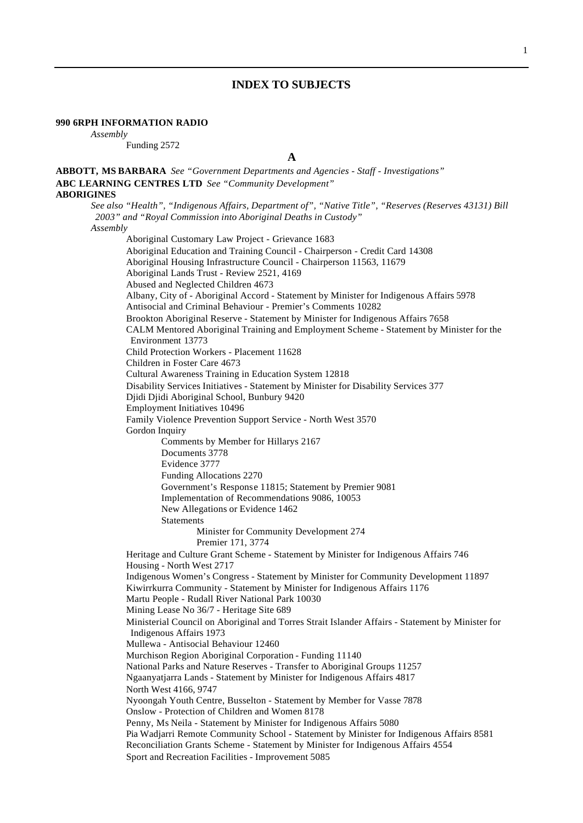# **INDEX TO SUBJECTS**

## **990 6RPH INFORMATION RADIO**

*Assembly*

Funding 2572

**A**

**ABBOTT, MS BARBARA** *See "Government Departments and Agencies - Staff - Investigations"*

**ABC LEARNING CENTRES LTD** *See "Community Development"* **ABORIGINES** *See also "Health", "Indigenous Affairs, Department of", "Native Title", "Reserves (Reserves 43131) Bill 2003" and "Royal Commission into Aboriginal Deaths in Custody" Assembly* Aboriginal Customary Law Project - Grievance 1683 Aboriginal Education and Training Council - Chairperson - Credit Card 14308 Aboriginal Housing Infrastructure Council - Chairperson 11563, 11679 Aboriginal Lands Trust - Review 2521, 4169 Abused and Neglected Children 4673 Albany, City of - Aboriginal Accord - Statement by Minister for Indigenous Affairs 5978 Antisocial and Criminal Behaviour - Premier's Comments 10282 Brookton Aboriginal Reserve - Statement by Minister for Indigenous Affairs 7658 CALM Mentored Aboriginal Training and Employment Scheme - Statement by Minister for the Environment 13773 Child Protection Workers - Placement 11628 Children in Foster Care 4673 Cultural Awareness Training in Education System 12818 Disability Services Initiatives - Statement by Minister for Disability Services 377 Djidi Djidi Aboriginal School, Bunbury 9420 Employment Initiatives 10496 Family Violence Prevention Support Service - North West 3570 Gordon Inquiry Comments by Member for Hillarys 2167 Documents 3778 Evidence 3777 Funding Allocations 2270 Government's Response 11815; Statement by Premier 9081 Implementation of Recommendations 9086, 10053 New Allegations or Evidence 1462 **Statements** Minister for Community Development 274 Premier 171, 3774 Heritage and Culture Grant Scheme - Statement by Minister for Indigenous Affairs 746 Housing - North West 2717 Indigenous Women's Congress - Statement by Minister for Community Development 11897 Kiwirrkurra Community - Statement by Minister for Indigenous Affairs 1176 Martu People - Rudall River National Park 10030 Mining Lease No 36/7 - Heritage Site 689 Ministerial Council on Aboriginal and Torres Strait Islander Affairs - Statement by Minister for Indigenous Affairs 1973 Mullewa - Antisocial Behaviour 12460 Murchison Region Aboriginal Corporation - Funding 11140 National Parks and Nature Reserves - Transfer to Aboriginal Groups 11257 Ngaanyatjarra Lands - Statement by Minister for Indigenous Affairs 4817 North West 4166, 9747 Nyoongah Youth Centre, Busselton - Statement by Member for Vasse 7878 Onslow - Protection of Children and Women 8178 Penny, Ms Neila - Statement by Minister for Indigenous Affairs 5080 Pia Wadjarri Remote Community School - Statement by Minister for Indigenous Affairs 8581 Reconciliation Grants Scheme - Statement by Minister for Indigenous Affairs 4554 Sport and Recreation Facilities - Improvement 5085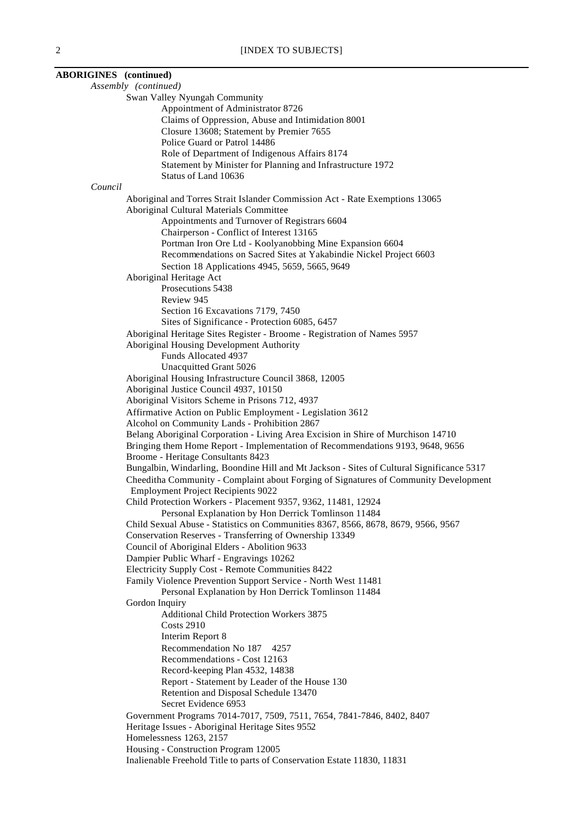| <b>ABORIGINES</b> (continued) |                                                                                                                    |
|-------------------------------|--------------------------------------------------------------------------------------------------------------------|
|                               | Assembly (continued)                                                                                               |
|                               | Swan Valley Nyungah Community                                                                                      |
|                               | Appointment of Administrator 8726                                                                                  |
|                               | Claims of Oppression, Abuse and Intimidation 8001                                                                  |
|                               | Closure 13608; Statement by Premier 7655                                                                           |
|                               | Police Guard or Patrol 14486<br>Role of Department of Indigenous Affairs 8174                                      |
|                               | Statement by Minister for Planning and Infrastructure 1972                                                         |
|                               | Status of Land 10636                                                                                               |
| Council                       |                                                                                                                    |
|                               | Aboriginal and Torres Strait Islander Commission Act - Rate Exemptions 13065                                       |
|                               | Aboriginal Cultural Materials Committee                                                                            |
|                               | Appointments and Turnover of Registrars 6604                                                                       |
|                               | Chairperson - Conflict of Interest 13165                                                                           |
|                               | Portman Iron Ore Ltd - Koolyanobbing Mine Expansion 6604                                                           |
|                               | Recommendations on Sacred Sites at Yakabindie Nickel Project 6603                                                  |
|                               | Section 18 Applications 4945, 5659, 5665, 9649                                                                     |
|                               | Aboriginal Heritage Act                                                                                            |
|                               | Prosecutions 5438                                                                                                  |
|                               | Review 945                                                                                                         |
|                               | Section 16 Excavations 7179, 7450                                                                                  |
|                               | Sites of Significance - Protection 6085, 6457                                                                      |
|                               | Aboriginal Heritage Sites Register - Broome - Registration of Names 5957                                           |
|                               | Aboriginal Housing Development Authority                                                                           |
|                               | Funds Allocated 4937                                                                                               |
|                               | Unacquitted Grant 5026                                                                                             |
|                               | Aboriginal Housing Infrastructure Council 3868, 12005                                                              |
|                               | Aboriginal Justice Council 4937, 10150                                                                             |
|                               | Aboriginal Visitors Scheme in Prisons 712, 4937<br>Affirmative Action on Public Employment - Legislation 3612      |
|                               | Alcohol on Community Lands - Prohibition 2867                                                                      |
|                               | Belang Aboriginal Corporation - Living Area Excision in Shire of Murchison 14710                                   |
|                               | Bringing them Home Report - Implementation of Recommendations 9193, 9648, 9656                                     |
|                               | Broome - Heritage Consultants 8423                                                                                 |
|                               | Bungalbin, Windarling, Boondine Hill and Mt Jackson - Sites of Cultural Significance 5317                          |
|                               | Cheeditha Community - Complaint about Forging of Signatures of Community Development                               |
|                               | <b>Employment Project Recipients 9022</b>                                                                          |
|                               | Child Protection Workers - Placement 9357, 9362, 11481, 12924                                                      |
|                               | Personal Explanation by Hon Derrick Tomlinson 11484                                                                |
|                               | Child Sexual Abuse - Statistics on Communities 8367, 8566, 8678, 8679, 9566, 9567                                  |
|                               | Conservation Reserves - Transferring of Ownership 13349                                                            |
|                               | Council of Aboriginal Elders - Abolition 9633                                                                      |
|                               | Dampier Public Wharf - Engravings 10262                                                                            |
|                               | Electricity Supply Cost - Remote Communities 8422<br>Family Violence Prevention Support Service - North West 11481 |
|                               | Personal Explanation by Hon Derrick Tomlinson 11484                                                                |
|                               | Gordon Inquiry                                                                                                     |
|                               | Additional Child Protection Workers 3875                                                                           |
|                               | <b>Costs 2910</b>                                                                                                  |
|                               | Interim Report 8                                                                                                   |
|                               | Recommendation No 187<br>4257                                                                                      |
|                               | Recommendations - Cost 12163                                                                                       |
|                               | Record-keeping Plan 4532, 14838                                                                                    |
|                               | Report - Statement by Leader of the House 130                                                                      |
|                               | Retention and Disposal Schedule 13470                                                                              |
|                               | Secret Evidence 6953                                                                                               |
|                               | Government Programs 7014-7017, 7509, 7511, 7654, 7841-7846, 8402, 8407                                             |
|                               | Heritage Issues - Aboriginal Heritage Sites 9552                                                                   |
|                               | Homelessness 1263, 2157                                                                                            |
|                               | Housing - Construction Program 12005                                                                               |
|                               | Inalienable Freehold Title to parts of Conservation Estate 11830, 11831                                            |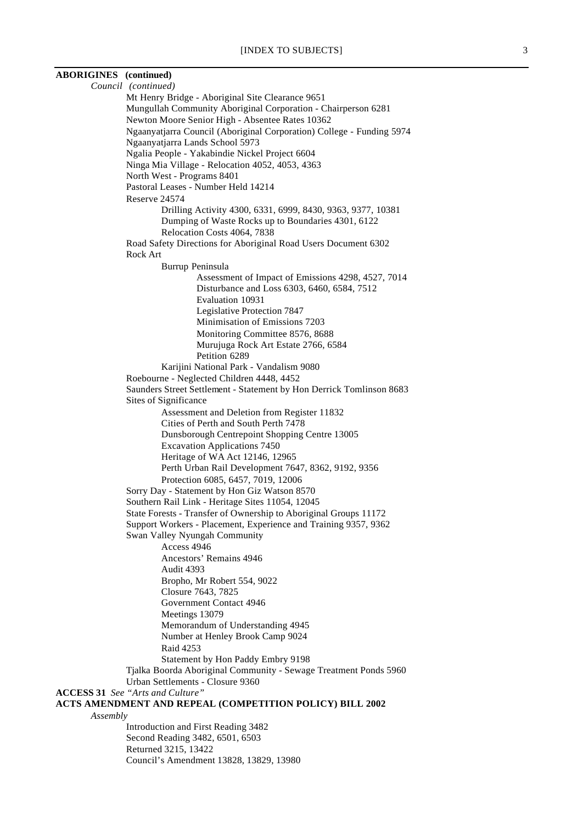| <b>ABORIGINES</b> (continued) |                                                                                                                          |
|-------------------------------|--------------------------------------------------------------------------------------------------------------------------|
|                               | Council (continued)                                                                                                      |
|                               | Mt Henry Bridge - Aboriginal Site Clearance 9651                                                                         |
|                               | Mungullah Community Aboriginal Corporation - Chairperson 6281                                                            |
|                               | Newton Moore Senior High - Absentee Rates 10362<br>Ngaanyatjarra Council (Aboriginal Corporation) College - Funding 5974 |
|                               | Ngaanyatjarra Lands School 5973                                                                                          |
|                               | Ngalia People - Yakabindie Nickel Project 6604                                                                           |
|                               | Ninga Mia Village - Relocation 4052, 4053, 4363                                                                          |
|                               | North West - Programs 8401                                                                                               |
|                               | Pastoral Leases - Number Held 14214                                                                                      |
|                               | Reserve 24574                                                                                                            |
|                               | Drilling Activity 4300, 6331, 6999, 8430, 9363, 9377, 10381<br>Dumping of Waste Rocks up to Boundaries 4301, 6122        |
|                               | Relocation Costs 4064, 7838                                                                                              |
|                               | Road Safety Directions for Aboriginal Road Users Document 6302                                                           |
|                               | Rock Art                                                                                                                 |
|                               | Burrup Peninsula                                                                                                         |
|                               | Assessment of Impact of Emissions 4298, 4527, 7014                                                                       |
|                               | Disturbance and Loss 6303, 6460, 6584, 7512                                                                              |
|                               | Evaluation 10931                                                                                                         |
|                               | Legislative Protection 7847<br>Minimisation of Emissions 7203                                                            |
|                               | Monitoring Committee 8576, 8688                                                                                          |
|                               | Murujuga Rock Art Estate 2766, 6584                                                                                      |
|                               | Petition 6289                                                                                                            |
|                               | Karijini National Park - Vandalism 9080                                                                                  |
|                               | Roebourne - Neglected Children 4448, 4452                                                                                |
|                               | Saunders Street Settlement - Statement by Hon Derrick Tomlinson 8683                                                     |
|                               | Sites of Significance                                                                                                    |
|                               | Assessment and Deletion from Register 11832                                                                              |
|                               | Cities of Perth and South Perth 7478                                                                                     |
|                               | Dunsborough Centrepoint Shopping Centre 13005<br><b>Excavation Applications 7450</b>                                     |
|                               | Heritage of WA Act 12146, 12965                                                                                          |
|                               | Perth Urban Rail Development 7647, 8362, 9192, 9356                                                                      |
|                               | Protection 6085, 6457, 7019, 12006                                                                                       |
|                               | Sorry Day - Statement by Hon Giz Watson 8570                                                                             |
|                               | Southern Rail Link - Heritage Sites 11054, 12045                                                                         |
|                               | State Forests - Transfer of Ownership to Aboriginal Groups 11172                                                         |
|                               | Support Workers - Placement, Experience and Training 9357, 9362                                                          |
|                               | Swan Valley Nyungah Community                                                                                            |
|                               | Access 4946<br>Ancestors' Remains 4946                                                                                   |
|                               | Audit 4393                                                                                                               |
|                               | Bropho, Mr Robert 554, 9022                                                                                              |
|                               | Closure 7643, 7825                                                                                                       |
|                               | Government Contact 4946                                                                                                  |
|                               | Meetings 13079                                                                                                           |
|                               | Memorandum of Understanding 4945                                                                                         |
|                               | Number at Henley Brook Camp 9024                                                                                         |
|                               | Raid 4253                                                                                                                |
|                               | Statement by Hon Paddy Embry 9198<br>Tjalka Boorda Aboriginal Community - Sewage Treatment Ponds 5960                    |
|                               | Urban Settlements - Closure 9360                                                                                         |
|                               | <b>ACCESS 31</b> See "Arts and Culture"                                                                                  |
|                               | ACTS AMENDMENT AND REPEAL (COMPETITION POLICY) BILL 2002                                                                 |
| Assembly                      |                                                                                                                          |
|                               | Introduction and First Reading 3482                                                                                      |
|                               | Second Reading 3482, 6501, 6503                                                                                          |
|                               | Returned 3215, 13422                                                                                                     |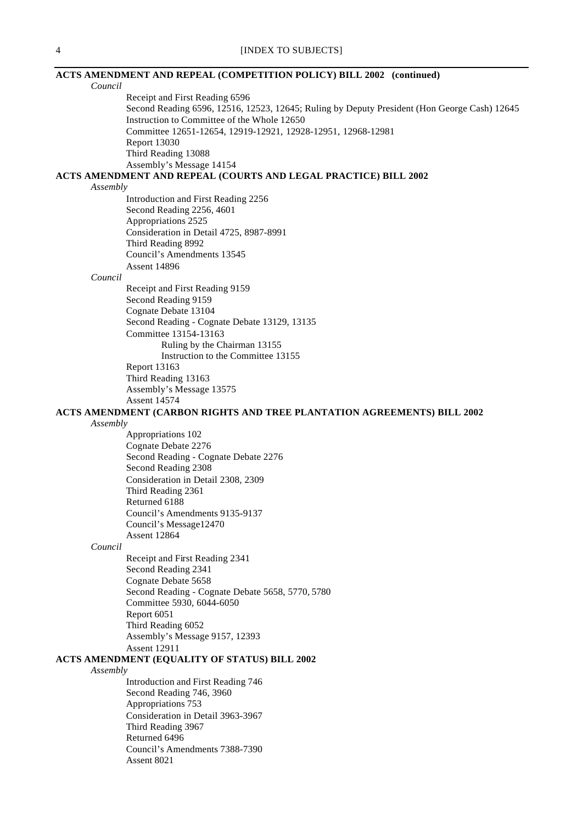|                           | <b>ACTS AMENDMENT AND REPEAL (COMPETITION POLICY) BILL 2002 (continued)</b>                  |
|---------------------------|----------------------------------------------------------------------------------------------|
| Council                   |                                                                                              |
|                           | Receipt and First Reading 6596                                                               |
|                           | Second Reading 6596, 12516, 12523, 12645; Ruling by Deputy President (Hon George Cash) 12645 |
|                           | Instruction to Committee of the Whole 12650                                                  |
|                           | Committee 12651-12654, 12919-12921, 12928-12951, 12968-12981                                 |
| <b>Report 13030</b>       |                                                                                              |
| Third Reading 13088       |                                                                                              |
|                           | Assembly's Message 14154                                                                     |
|                           | ACTS AMENDMENT AND REPEAL (COURTS AND LEGAL PRACTICE) BILL 2002                              |
| Assembly                  |                                                                                              |
|                           | Introduction and First Reading 2256                                                          |
| Second Reading 2256, 4601 |                                                                                              |
| Appropriations 2525       |                                                                                              |
|                           | Consideration in Detail 4725, 8987-8991                                                      |
| Third Reading 8992        |                                                                                              |
|                           | Council's Amendments 13545                                                                   |
| <b>Assent 14896</b>       |                                                                                              |
| Council                   |                                                                                              |
|                           | Receipt and First Reading 9159                                                               |
| Second Reading 9159       |                                                                                              |
| Cognate Debate 13104      |                                                                                              |
|                           | Second Reading - Cognate Debate 13129, 13135                                                 |
| Committee 13154-13163     |                                                                                              |
|                           | Ruling by the Chairman 13155                                                                 |
|                           | Instruction to the Committee 13155                                                           |
| Report 13163              |                                                                                              |
| Third Reading 13163       |                                                                                              |
|                           | Assembly's Message 13575                                                                     |
| <b>Assent 14574</b>       |                                                                                              |
|                           | ACTS AMENDMENT (CARBON RIGHTS AND TREE PLANTATION AGREEMENTS) BILL 2002                      |
| Assembly                  |                                                                                              |
| Appropriations 102        |                                                                                              |
| Cognate Debate 2276       |                                                                                              |
|                           | Second Reading - Cognate Debate 2276                                                         |
| Second Reading 2308       |                                                                                              |
|                           | Consideration in Detail 2308, 2309                                                           |
| Third Reading 2361        |                                                                                              |
| Returned 6188             |                                                                                              |
|                           | Council's Amendments 9135-9137                                                               |
| Council's Message12470    |                                                                                              |
| <b>Assent 12864</b>       |                                                                                              |
| Council                   |                                                                                              |
|                           | Receipt and First Reading 2341                                                               |
| Second Reading 2341       |                                                                                              |
| Cognate Debate 5658       |                                                                                              |
|                           | Second Reading - Cognate Debate 5658, 5770, 5780                                             |
|                           | Committee 5930, 6044-6050                                                                    |
| Report 6051               |                                                                                              |
| Third Reading 6052        |                                                                                              |
|                           | Assembly's Message 9157, 12393                                                               |
| <b>Assent 12911</b>       |                                                                                              |
|                           | <b>ACTS AMENDMENT (EQUALITY OF STATUS) BILL 2002</b>                                         |
| Assembly                  |                                                                                              |
|                           | Introduction and First Reading 746                                                           |
| Second Reading 746, 3960  |                                                                                              |
| Appropriations 753        |                                                                                              |
|                           | Consideration in Detail 3963-3967                                                            |
| Third Reading 3967        |                                                                                              |
| Returned 6496             |                                                                                              |
|                           | Council's Amendments 7388-7390                                                               |
| Assent 8021               |                                                                                              |
|                           |                                                                                              |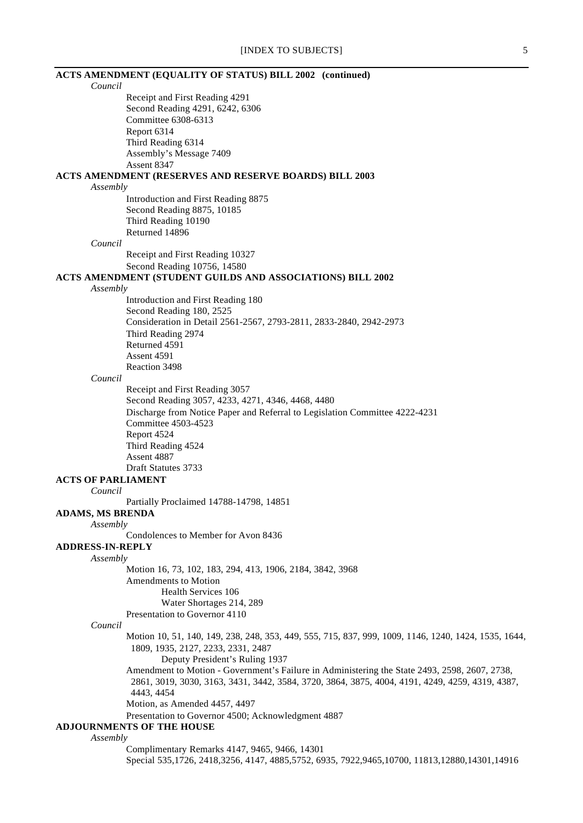| <b>ACTS AMENDMENT (EQUALITY OF STATUS) BILL 2002 (continued)</b>                                     |
|------------------------------------------------------------------------------------------------------|
| Council                                                                                              |
| Receipt and First Reading 4291                                                                       |
| Second Reading 4291, 6242, 6306                                                                      |
| Committee 6308-6313                                                                                  |
| Report 6314                                                                                          |
| Third Reading 6314                                                                                   |
| Assembly's Message 7409<br>Assent 8347                                                               |
| ACTS AMENDMENT (RESERVES AND RESERVE BOARDS) BILL 2003                                               |
| Assembly                                                                                             |
| Introduction and First Reading 8875                                                                  |
| Second Reading 8875, 10185                                                                           |
| Third Reading 10190                                                                                  |
| Returned 14896                                                                                       |
| Council                                                                                              |
| Receipt and First Reading 10327                                                                      |
| Second Reading 10756, 14580                                                                          |
| <b>ACTS AMENDMENT (STUDENT GUILDS AND ASSOCIATIONS) BILL 2002</b>                                    |
| Assembly                                                                                             |
| Introduction and First Reading 180                                                                   |
| Second Reading 180, 2525<br>Consideration in Detail 2561-2567, 2793-2811, 2833-2840, 2942-2973       |
| Third Reading 2974                                                                                   |
| Returned 4591                                                                                        |
| Assent 4591                                                                                          |
| Reaction 3498                                                                                        |
| Council                                                                                              |
| Receipt and First Reading 3057                                                                       |
| Second Reading 3057, 4233, 4271, 4346, 4468, 4480                                                    |
| Discharge from Notice Paper and Referral to Legislation Committee 4222-4231                          |
| Committee 4503-4523                                                                                  |
| Report 4524                                                                                          |
| Third Reading 4524<br>Assent 4887                                                                    |
| Draft Statutes 3733                                                                                  |
| <b>ACTS OF PARLIAMENT</b>                                                                            |
| Council                                                                                              |
| Partially Proclaimed 14788-14798, 14851                                                              |
| <b>ADAMS, MS BRENDA</b>                                                                              |
| Assembly                                                                                             |
| Condolences to Member for Avon 8436                                                                  |
| <b>ADDRESS-IN-REPLY</b>                                                                              |
| Assembly                                                                                             |
| Motion 16, 73, 102, 183, 294, 413, 1906, 2184, 3842, 3968<br>Amendments to Motion                    |
| Health Services 106                                                                                  |
| Water Shortages 214, 289                                                                             |
| Presentation to Governor 4110                                                                        |
| Council                                                                                              |
| Motion 10, 51, 140, 149, 238, 248, 353, 449, 555, 715, 837, 999, 1009, 1146, 1240, 1424, 1535, 1644, |
| 1809, 1935, 2127, 2233, 2331, 2487                                                                   |
| Deputy President's Ruling 1937                                                                       |
| Amendment to Motion - Government's Failure in Administering the State 2493, 2598, 2607, 2738,        |
| 2861, 3019, 3030, 3163, 3431, 3442, 3584, 3720, 3864, 3875, 4004, 4191, 4249, 4259, 4319, 4387,      |
| 4443, 4454                                                                                           |
| Motion, as Amended 4457, 4497                                                                        |
| Presentation to Governor 4500; Acknowledgment 4887<br><b>ADJOURNMENTS OF THE HOUSE</b>               |
| Assembly                                                                                             |
| Complimentary Remarks 4147, 9465, 9466, 14301                                                        |
| Special 535,1726, 2418,3256, 4147, 4885,5752, 6935, 7922,9465,10700, 11813,12880,14301,14916         |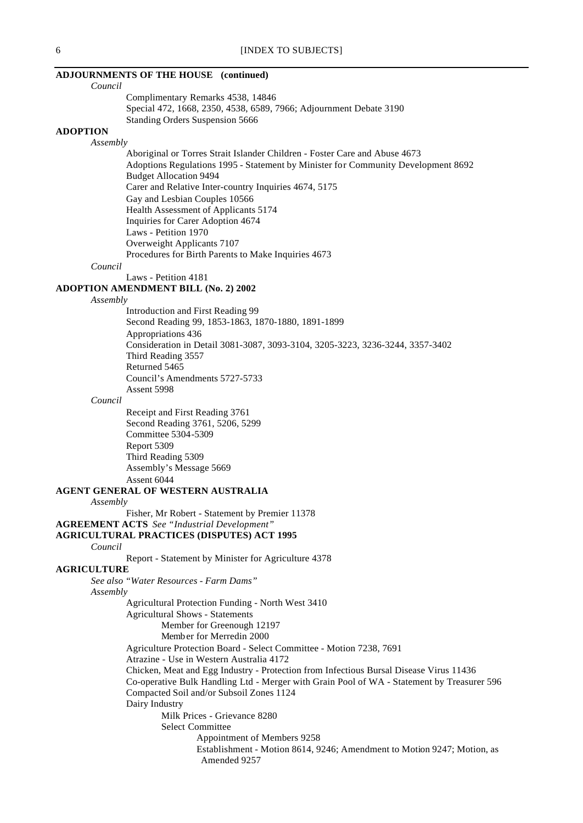## **ADJOURNMENTS OF THE HOUSE (continued)**

*Council*

Complimentary Remarks 4538, 14846 Special 472, 1668, 2350, 4538, 6589, 7966; Adjournment Debate 3190 Standing Orders Suspension 5666

### **ADOPTION**

### *Assembly*

Aboriginal or Torres Strait Islander Children - Foster Care and Abuse 4673 Adoptions Regulations 1995 - Statement by Minister for Community Development 8692 Budget Allocation 9494 Carer and Relative Inter-country Inquiries 4674, 5175 Gay and Lesbian Couples 10566 Health Assessment of Applicants 5174 Inquiries for Carer Adoption 4674 Laws - Petition 1970 Overweight Applicants 7107 Procedures for Birth Parents to Make Inquiries 4673

### *Council*

Laws - Petition 4181

## **ADOPTION AMENDMENT BILL (No. 2) 2002**

*Assembly*

Introduction and First Reading 99 Second Reading 99, 1853-1863, 1870-1880, 1891-1899 Appropriations 436 Consideration in Detail 3081-3087, 3093-3104, 3205-3223, 3236-3244, 3357-3402 Third Reading 3557 Returned 5465 Council's Amendments 5727-5733 Assent 5998

*Council*

Receipt and First Reading 3761 Second Reading 3761, 5206, 5299 Committee 5304-5309 Report 5309 Third Reading 5309 Assembly's Message 5669 Assent 6044

### **AGENT GENERAL OF WESTERN AUSTRALIA**

*Assembly*

Fisher, Mr Robert - Statement by Premier 11378 **AGREEMENT ACTS** *See "Industrial Development"*

## **AGRICULTURAL PRACTICES (DISPUTES) ACT 1995**

*Council*

Report - Statement by Minister for Agriculture 4378

# **AGRICULTURE**

*See also "Water Resources - Farm Dams" Assembly* Agricultural Protection Funding - North West 3410 Agricultural Shows - Statements Member for Greenough 12197 Member for Merredin 2000 Agriculture Protection Board - Select Committee - Motion 7238, 7691 Atrazine - Use in Western Australia 4172 Chicken, Meat and Egg Industry - Protection from Infectious Bursal Disease Virus 11436 Co-operative Bulk Handling Ltd - Merger with Grain Pool of WA - Statement by Treasurer 596 Compacted Soil and/or Subsoil Zones 1124 Dairy Industry Milk Prices - Grievance 8280 Select Committee Appointment of Members 9258 Establishment - Motion 8614, 9246; Amendment to Motion 9247; Motion, as Amended 9257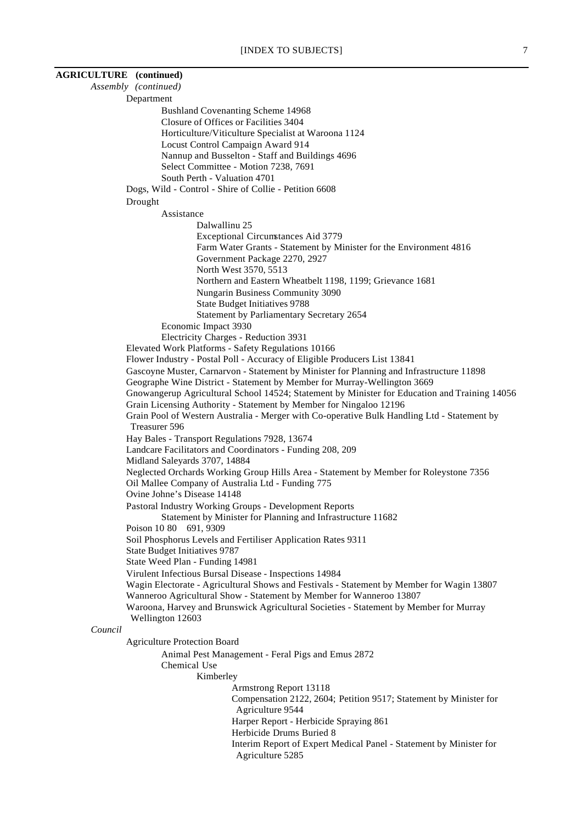| <b>AGRICULTURE</b> (continued) |                                                                                                                                                                           |
|--------------------------------|---------------------------------------------------------------------------------------------------------------------------------------------------------------------------|
|                                | Assembly (continued)                                                                                                                                                      |
|                                | Department                                                                                                                                                                |
|                                | <b>Bushland Covenanting Scheme 14968</b>                                                                                                                                  |
|                                | Closure of Offices or Facilities 3404                                                                                                                                     |
|                                | Horticulture/Viticulture Specialist at Waroona 1124                                                                                                                       |
|                                | Locust Control Campaign Award 914                                                                                                                                         |
|                                | Nannup and Busselton - Staff and Buildings 4696                                                                                                                           |
|                                | Select Committee - Motion 7238, 7691                                                                                                                                      |
|                                | South Perth - Valuation 4701                                                                                                                                              |
|                                | Dogs, Wild - Control - Shire of Collie - Petition 6608                                                                                                                    |
|                                | Drought                                                                                                                                                                   |
|                                | Assistance                                                                                                                                                                |
|                                | Dalwallinu 25                                                                                                                                                             |
|                                | <b>Exceptional Circumstances Aid 3779</b><br>Farm Water Grants - Statement by Minister for the Environment 4816                                                           |
|                                | Government Package 2270, 2927                                                                                                                                             |
|                                | North West 3570, 5513                                                                                                                                                     |
|                                | Northern and Eastern Wheatbelt 1198, 1199; Grievance 1681                                                                                                                 |
|                                | Nungarin Business Community 3090                                                                                                                                          |
|                                | <b>State Budget Initiatives 9788</b>                                                                                                                                      |
|                                | Statement by Parliamentary Secretary 2654                                                                                                                                 |
|                                | Economic Impact 3930                                                                                                                                                      |
|                                | Electricity Charges - Reduction 3931                                                                                                                                      |
|                                | Elevated Work Platforms - Safety Regulations 10166                                                                                                                        |
|                                | Flower Industry - Postal Poll - Accuracy of Eligible Producers List 13841                                                                                                 |
|                                | Gascoyne Muster, Carnarvon - Statement by Minister for Planning and Infrastructure 11898                                                                                  |
|                                | Geographe Wine District - Statement by Member for Murray-Wellington 3669<br>Gnowangerup Agricultural School 14524; Statement by Minister for Education and Training 14056 |
|                                | Grain Licensing Authority - Statement by Member for Ningaloo 12196                                                                                                        |
|                                | Grain Pool of Western Australia - Merger with Co-operative Bulk Handling Ltd - Statement by                                                                               |
|                                | Treasurer 596                                                                                                                                                             |
|                                | Hay Bales - Transport Regulations 7928, 13674                                                                                                                             |
|                                | Landcare Facilitators and Coordinators - Funding 208, 209                                                                                                                 |
|                                | Midland Saleyards 3707, 14884                                                                                                                                             |
|                                | Neglected Orchards Working Group Hills Area - Statement by Member for Roleystone 7356                                                                                     |
|                                | Oil Mallee Company of Australia Ltd - Funding 775                                                                                                                         |
|                                | Ovine Johne's Disease 14148                                                                                                                                               |
|                                | Pastoral Industry Working Groups - Development Reports                                                                                                                    |
|                                | Statement by Minister for Planning and Infrastructure 11682                                                                                                               |
|                                | Poison 10 80 691, 9309                                                                                                                                                    |
|                                | Soil Phosphorus Levels and Fertiliser Application Rates 9311<br><b>State Budget Initiatives 9787</b>                                                                      |
|                                | State Weed Plan - Funding 14981                                                                                                                                           |
|                                | Virulent Infectious Bursal Disease - Inspections 14984                                                                                                                    |
|                                | Wagin Electorate - Agricultural Shows and Festivals - Statement by Member for Wagin 13807                                                                                 |
|                                | Wanneroo Agricultural Show - Statement by Member for Wanneroo 13807                                                                                                       |
|                                | Waroona, Harvey and Brunswick Agricultural Societies - Statement by Member for Murray                                                                                     |
|                                | Wellington 12603                                                                                                                                                          |
| Council                        |                                                                                                                                                                           |
|                                | <b>Agriculture Protection Board</b>                                                                                                                                       |
|                                | Animal Pest Management - Feral Pigs and Emus 2872                                                                                                                         |
|                                | Chemical Use                                                                                                                                                              |
|                                | Kimberley                                                                                                                                                                 |
|                                | Armstrong Report 13118                                                                                                                                                    |
|                                | Compensation 2122, 2604; Petition 9517; Statement by Minister for                                                                                                         |
|                                | Agriculture 9544                                                                                                                                                          |
|                                | Harper Report - Herbicide Spraying 861<br>Herbicide Drums Buried 8                                                                                                        |
|                                | Interim Report of Expert Medical Panel - Statement by Minister for                                                                                                        |
|                                | Agriculture 5285                                                                                                                                                          |
|                                |                                                                                                                                                                           |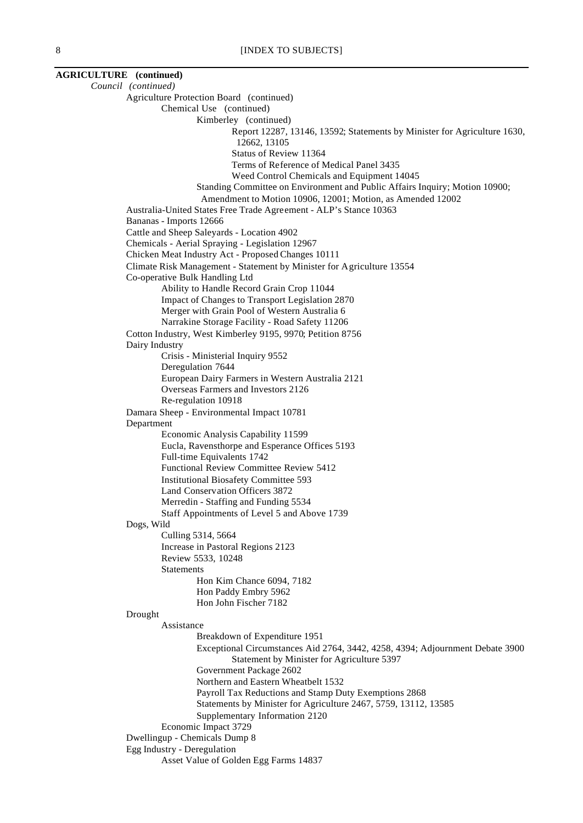**AGRICULTURE (continued)** *Council (continued)* Agriculture Protection Board (continued) Chemical Use (continued) Kimberley (continued) Report 12287, 13146, 13592; Statements by Minister for Agriculture 1630, 12662, 13105 Status of Review 11364 Terms of Reference of Medical Panel 3435 Weed Control Chemicals and Equipment 14045 Standing Committee on Environment and Public Affairs Inquiry; Motion 10900; Amendment to Motion 10906, 12001; Motion, as Amended 12002 Australia-United States Free Trade Agreement - ALP's Stance 10363 Bananas - Imports 12666 Cattle and Sheep Saleyards - Location 4902 Chemicals - Aerial Spraying - Legislation 12967 Chicken Meat Industry Act - Proposed Changes 10111 Climate Risk Management - Statement by Minister for Agriculture 13554 Co-operative Bulk Handling Ltd Ability to Handle Record Grain Crop 11044 Impact of Changes to Transport Legislation 2870 Merger with Grain Pool of Western Australia 6 Narrakine Storage Facility - Road Safety 11206 Cotton Industry, West Kimberley 9195, 9970; Petition 8756 Dairy Industry Crisis - Ministerial Inquiry 9552 Deregulation 7644 European Dairy Farmers in Western Australia 2121 Overseas Farmers and Investors 2126 Re-regulation 10918 Damara Sheep - Environmental Impact 10781 Department Economic Analysis Capability 11599 Eucla, Ravensthorpe and Esperance Offices 5193 Full-time Equivalents 1742 Functional Review Committee Review 5412 Institutional Biosafety Committee 593 Land Conservation Officers 3872 Merredin - Staffing and Funding 5534 Staff Appointments of Level 5 and Above 1739 Dogs, Wild Culling 5314, 5664 Increase in Pastoral Regions 2123 Review 5533, 10248 **Statements** Hon Kim Chance 6094, 7182 Hon Paddy Embry 5962 Hon John Fischer 7182 Drought Assistance Breakdown of Expenditure 1951 Exceptional Circumstances Aid 2764, 3442, 4258, 4394; Adjournment Debate 3900 Statement by Minister for Agriculture 5397 Government Package 2602 Northern and Eastern Wheatbelt 1532 Payroll Tax Reductions and Stamp Duty Exemptions 2868 Statements by Minister for Agriculture 2467, 5759, 13112, 13585 Supplementary Information 2120 Economic Impact 3729 Dwellingup - Chemicals Dump 8 Egg Industry - Deregulation Asset Value of Golden Egg Farms 14837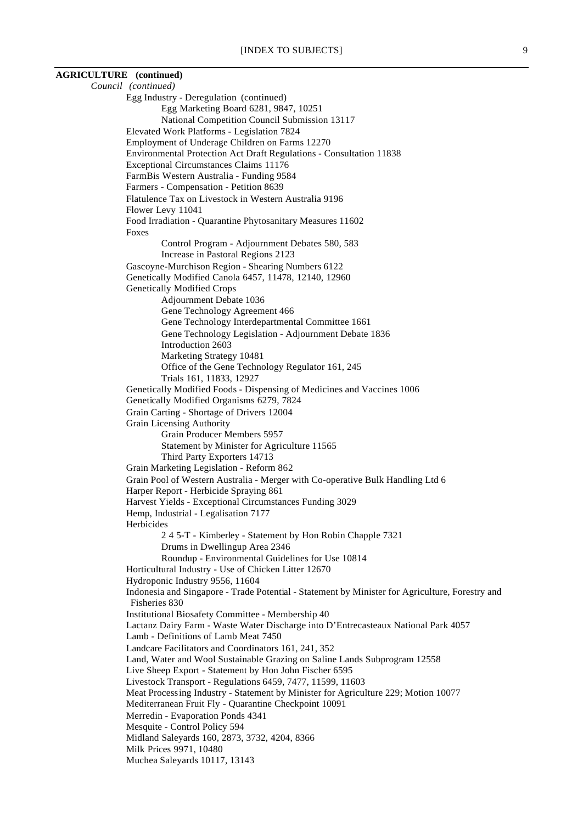# [INDEX TO SUBJECTS] 9 **AGRICULTURE (continued)** *Council (continued)* Egg Industry - Deregulation (continued) Egg Marketing Board 6281, 9847, 10251 National Competition Council Submission 13117 Elevated Work Platforms - Legislation 7824 Employment of Underage Children on Farms 12270 Environmental Protection Act Draft Regulations - Consultation 11838 Exceptional Circumstances Claims 11176 FarmBis Western Australia - Funding 9584 Farmers - Compensation - Petition 8639 Flatulence Tax on Livestock in Western Australia 9196 Flower Levy 11041 Food Irradiation - Quarantine Phytosanitary Measures 11602 Foxes Control Program - Adjournment Debates 580, 583 Increase in Pastoral Regions 2123 Gascoyne-Murchison Region - Shearing Numbers 6122 Genetically Modified Canola 6457, 11478, 12140, 12960 Genetically Modified Crops Adjournment Debate 1036 Gene Technology Agreement 466 Gene Technology Interdepartmental Committee 1661 Gene Technology Legislation - Adjournment Debate 1836 Introduction 2603 Marketing Strategy 10481 Office of the Gene Technology Regulator 161, 245 Trials 161, 11833, 12927 Genetically Modified Foods - Dispensing of Medicines and Vaccines 1006 Genetically Modified Organisms 6279, 7824 Grain Carting - Shortage of Drivers 12004 Grain Licensing Authority Grain Producer Members 5957 Statement by Minister for Agriculture 11565 Third Party Exporters 14713 Grain Marketing Legislation - Reform 862 Grain Pool of Western Australia - Merger with Co-operative Bulk Handling Ltd 6 Harper Report - Herbicide Spraying 861 Harvest Yields - Exceptional Circumstances Funding 3029 Hemp, Industrial - Legalisation 7177 Herbicides 2 4 5-T - Kimberley - Statement by Hon Robin Chapple 7321 Drums in Dwellingup Area 2346 Roundup - Environmental Guidelines for Use 10814 Horticultural Industry - Use of Chicken Litter 12670 Hydroponic Industry 9556, 11604 Indonesia and Singapore - Trade Potential - Statement by Minister for Agriculture, Forestry and Fisheries 830 Institutional Biosafety Committee - Membership 40 Lactanz Dairy Farm - Waste Water Discharge into D'Entrecasteaux National Park 4057 Lamb - Definitions of Lamb Meat 7450 Landcare Facilitators and Coordinators 161, 241, 352 Land, Water and Wool Sustainable Grazing on Saline Lands Subprogram 12558 Live Sheep Export - Statement by Hon John Fischer 6595 Livestock Transport - Regulations 6459, 7477, 11599, 11603 Meat Processing Industry - Statement by Minister for Agriculture 229; Motion 10077 Mediterranean Fruit Fly - Quarantine Checkpoint 10091

Merredin - Evaporation Ponds 4341

Mesquite - Control Policy 594

Midland Saleyards 160, 2873, 3732, 4204, 8366

Milk Prices 9971, 10480

Muchea Saleyards 10117, 13143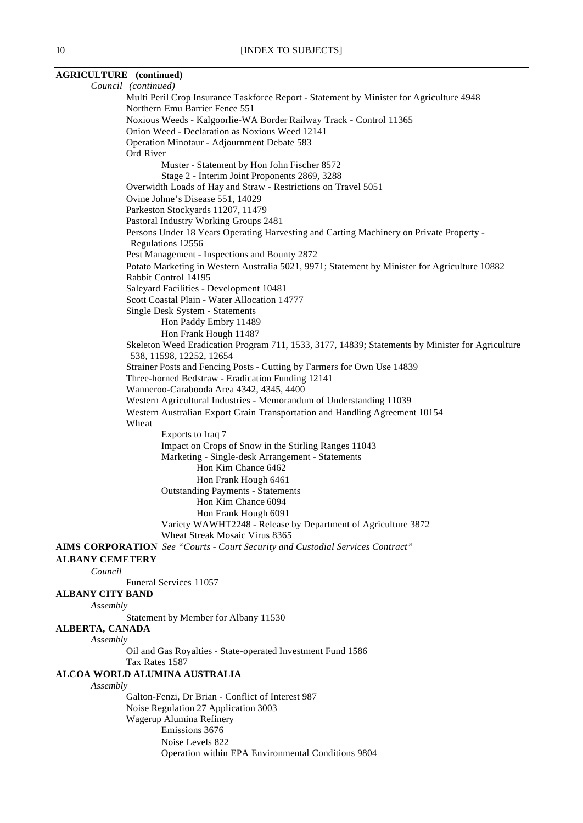# **AGRICULTURE (continued)**

*Council (continued)* Multi Peril Crop Insurance Taskforce Report - Statement by Minister for Agriculture 4948 Northern Emu Barrier Fence 551 Noxious Weeds - Kalgoorlie-WA Border Railway Track - Control 11365 Onion Weed - Declaration as Noxious Weed 12141 Operation Minotaur - Adjournment Debate 583 Ord River Muster - Statement by Hon John Fischer 8572 Stage 2 - Interim Joint Proponents 2869, 3288 Overwidth Loads of Hay and Straw - Restrictions on Travel 5051 Ovine Johne's Disease 551, 14029 Parkeston Stockyards 11207, 11479 Pastoral Industry Working Groups 2481 Persons Under 18 Years Operating Harvesting and Carting Machinery on Private Property - Regulations 12556 Pest Management - Inspections and Bounty 2872 Potato Marketing in Western Australia 5021, 9971; Statement by Minister for Agriculture 10882 Rabbit Control 14195 Saleyard Facilities - Development 10481 Scott Coastal Plain - Water Allocation 14777 Single Desk System - Statements Hon Paddy Embry 11489 Hon Frank Hough 11487 Skeleton Weed Eradication Program 711, 1533, 3177, 14839; Statements by Minister for Agriculture 538, 11598, 12252, 12654 Strainer Posts and Fencing Posts - Cutting by Farmers for Own Use 14839 Three-horned Bedstraw - Eradication Funding 12141 Wanneroo-Carabooda Area 4342, 4345, 4400 Western Agricultural Industries - Memorandum of Understanding 11039 Western Australian Export Grain Transportation and Handling Agreement 10154 Wheat Exports to Iraq 7 Impact on Crops of Snow in the Stirling Ranges 11043 Marketing - Single-desk Arrangement - Statements Hon Kim Chance 6462 Hon Frank Hough 6461 Outstanding Payments - Statements Hon Kim Chance 6094 Hon Frank Hough 6091 Variety WAWHT2248 - Release by Department of Agriculture 3872 Wheat Streak Mosaic Virus 8365 **AIMS CORPORATION** *See "Courts - Court Security and Custodial Services Contract"* **ALBANY CEMETERY** *Council* Funeral Services 11057 **ALBANY CITY BAND** *Assembly* Statement by Member for Albany 11530 **ALBERTA, CANADA** *Assembly* Oil and Gas Royalties - State-operated Investment Fund 1586 Tax Rates 1587 **ALCOA WORLD ALUMINA AUSTRALIA** *Assembly* Galton-Fenzi, Dr Brian - Conflict of Interest 987 Noise Regulation 27 Application 3003 Wagerup Alumina Refinery Emissions 3676 Noise Levels 822 Operation within EPA Environmental Conditions 9804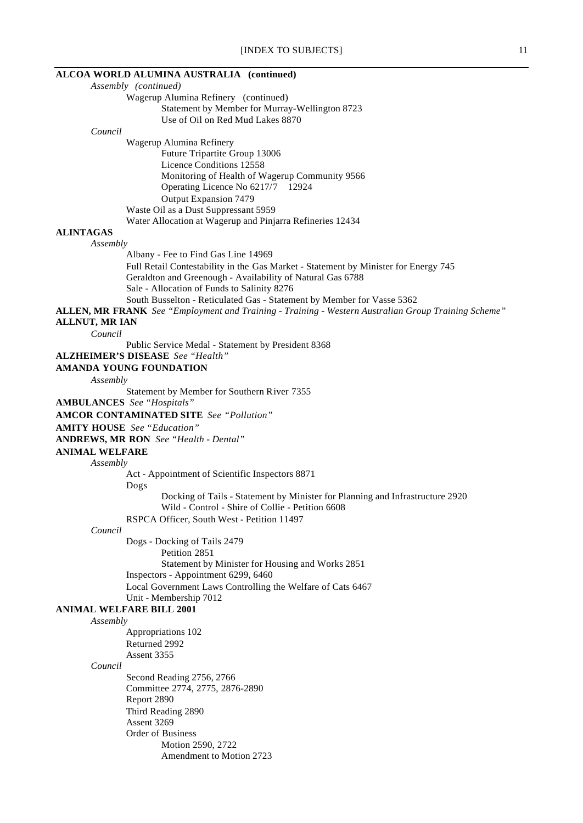## **ALCOA WORLD ALUMINA AUSTRALIA (continued)**

*Assembly (continued)* Wagerup Alumina Refinery (continued) Statement by Member for Murray-Wellington 8723 Use of Oil on Red Mud Lakes 8870

#### *Council*

Wagerup Alumina Refinery Future Tripartite Group 13006 Licence Conditions 12558 Monitoring of Health of Wagerup Community 9566 Operating Licence No 6217/7 12924 Output Expansion 7479 Waste Oil as a Dust Suppressant 5959

Water Allocation at Wagerup and Pinjarra Refineries 12434

### **ALINTAGAS**

### *Assembly*

Albany - Fee to Find Gas Line 14969 Full Retail Contestability in the Gas Market - Statement by Minister for Energy 745 Geraldton and Greenough - Availability of Natural Gas 6788 Sale - Allocation of Funds to Salinity 8276 South Busselton - Reticulated Gas - Statement by Member for Vasse 5362

**ALLEN, MR FRANK** *See "Employment and Training - Training - Western Australian Group Training Scheme"*

## **ALLNUT, MR IAN**

*Council*

Public Service Medal - Statement by President 8368

# **ALZHEIMER'S DISEASE** *See "Health"*

# **AMANDA YOUNG FOUNDATION**

*Assembly*

Statement by Member for Southern River 7355

**AMBULANCES** *See "Hospitals"*

**AMCOR CONTAMINATED SITE** *See "Pollution"*

**AMITY HOUSE** *See "Education"*

**ANDREWS, MR RON** *See "Health - Dental"*

**ANIMAL WELFARE**

### *Assembly*

Act - Appointment of Scientific Inspectors 8871

Dogs

Docking of Tails - Statement by Minister for Planning and Infrastructure 2920 Wild - Control - Shire of Collie - Petition 6608

RSPCA Officer, South West - Petition 11497

# *Council*

Dogs - Docking of Tails 2479

Petition 2851 Statement by Minister for Housing and Works 2851 Inspectors - Appointment 6299, 6460 Local Government Laws Controlling the Welfare of Cats 6467 Unit - Membership 7012

### **ANIMAL WELFARE BILL 2001**

### *Assembly*

Appropriations 102 Returned 2992 Assent 3355

### *Council*

Second Reading 2756, 2766 Committee 2774, 2775, 2876-2890 Report 2890 Third Reading 2890 Assent 3269 Order of Business Motion 2590, 2722 Amendment to Motion 2723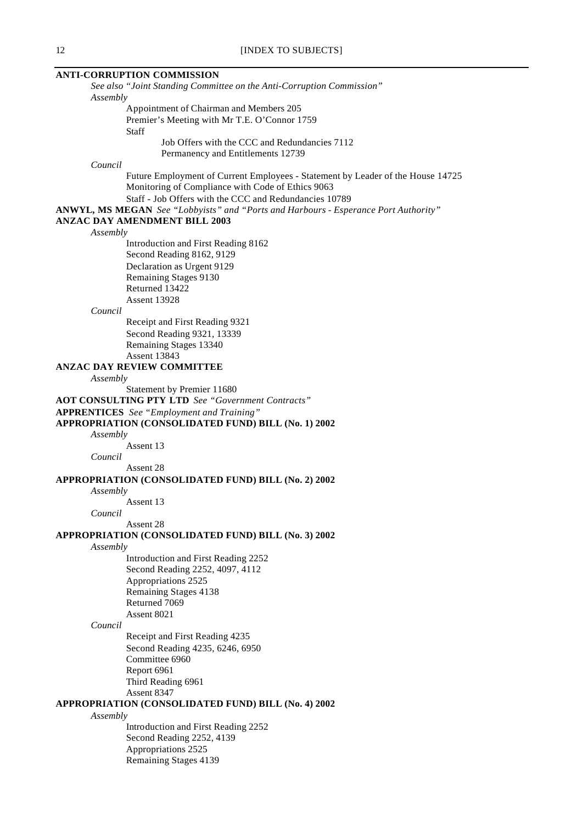# **ANTI-CORRUPTION COMMISSION**

*See also "Joint Standing Committee on the Anti-Corruption Commission" Assembly*

> Appointment of Chairman and Members 205 Premier's Meeting with Mr T.E. O'Connor 1759 Staff Job Offers with the CCC and Redundancies 7112

> > Permanency and Entitlements 12739

*Council*

Future Employment of Current Employees - Statement by Leader of the House 14725 Monitoring of Compliance with Code of Ethics 9063 Staff - Job Offers with the CCC and Redundancies 10789

**ANWYL, MS MEGAN** *See "Lobbyists" and "Ports and Harbours - Esperance Port Authority"*

## **ANZAC DAY AMENDMENT BILL 2003**

*Assembly*

Introduction and First Reading 8162 Second Reading 8162, 9129 Declaration as Urgent 9129 Remaining Stages 9130 Returned 13422 Assent 13928

## *Council*

Receipt and First Reading 9321 Second Reading 9321, 13339 Remaining Stages 13340 Assent 13843

### **ANZAC DAY REVIEW COMMITTEE**

*Assembly*

Statement by Premier 11680

**AOT CONSULTING PTY LTD** *See "Government Contracts"*

## **APPRENTICES** *See "Employment and Training"*

**APPROPRIATION (CONSOLIDATED FUND) BILL (No. 1) 2002**

*Assembly*

Assent 13

*Council*

Assent 28

### **APPROPRIATION (CONSOLIDATED FUND) BILL (No. 2) 2002**

#### *Assembly*

Assent 13

*Council*

Assent 28

## **APPROPRIATION (CONSOLIDATED FUND) BILL (No. 3) 2002**

*Assembly*

Introduction and First Reading 2252 Second Reading 2252, 4097, 4112 Appropriations 2525 Remaining Stages 4138 Returned 7069 Assent 8021

### *Council*

Receipt and First Reading 4235 Second Reading 4235, 6246, 6950 Committee 6960 Report 6961 Third Reading 6961 Assent 8347

# **APPROPRIATION (CONSOLIDATED FUND) BILL (No. 4) 2002**

*Assembly*

Introduction and First Reading 2252 Second Reading 2252, 4139 Appropriations 2525 Remaining Stages 4139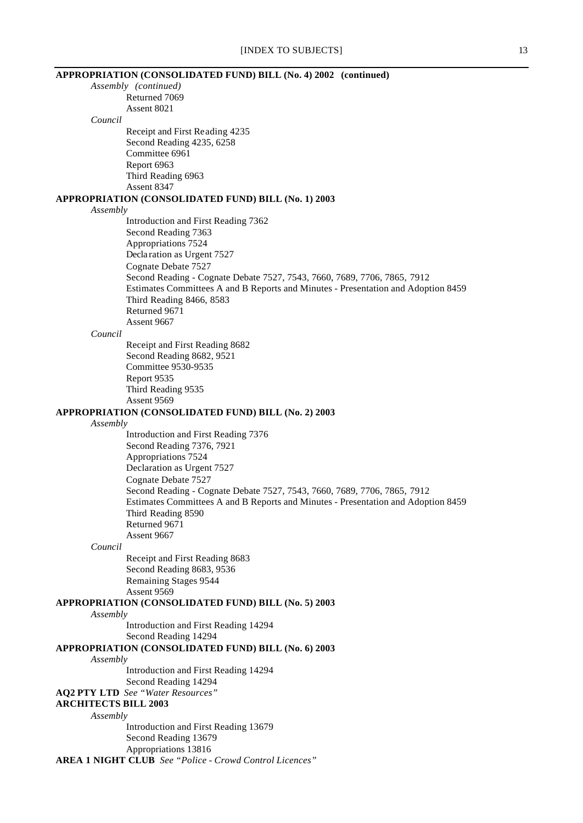| APPROPRIATION (CONSOLIDATED FUND) BILL (No. 4) 2002 (continued)                   |  |
|-----------------------------------------------------------------------------------|--|
| Assembly (continued)                                                              |  |
| Returned 7069                                                                     |  |
| Assent 8021                                                                       |  |
| Council                                                                           |  |
| Receipt and First Reading 4235                                                    |  |
| Second Reading 4235, 6258                                                         |  |
| Committee 6961                                                                    |  |
| Report 6963                                                                       |  |
| Third Reading 6963                                                                |  |
| Assent 8347                                                                       |  |
| APPROPRIATION (CONSOLIDATED FUND) BILL (No. 1) 2003                               |  |
| Assembly                                                                          |  |
| Introduction and First Reading 7362                                               |  |
| Second Reading 7363                                                               |  |
| Appropriations 7524                                                               |  |
| Declaration as Urgent 7527                                                        |  |
| Cognate Debate 7527                                                               |  |
| Second Reading - Cognate Debate 7527, 7543, 7660, 7689, 7706, 7865, 7912          |  |
| Estimates Committees A and B Reports and Minutes - Presentation and Adoption 8459 |  |
| Third Reading 8466, 8583                                                          |  |
| Returned 9671                                                                     |  |
| Assent 9667                                                                       |  |
| Council                                                                           |  |
| Receipt and First Reading 8682                                                    |  |
| Second Reading 8682, 9521                                                         |  |
| Committee 9530-9535                                                               |  |
| Report 9535                                                                       |  |
| Third Reading 9535                                                                |  |
| Assent 9569                                                                       |  |
| APPROPRIATION (CONSOLIDATED FUND) BILL (No. 2) 2003                               |  |
| Assembly                                                                          |  |
| Introduction and First Reading 7376                                               |  |
| Second Reading 7376, 7921                                                         |  |
| Appropriations 7524                                                               |  |
| Declaration as Urgent 7527                                                        |  |
| Cognate Debate 7527                                                               |  |
| Second Reading - Cognate Debate 7527, 7543, 7660, 7689, 7706, 7865, 7912          |  |
| Estimates Committees A and B Reports and Minutes - Presentation and Adoption 8459 |  |
| Third Reading 8590                                                                |  |
| Returned 9671                                                                     |  |
| Assent 9667                                                                       |  |
| Council                                                                           |  |
| Receipt and First Reading 8683                                                    |  |
| Second Reading 8683, 9536                                                         |  |
| Remaining Stages 9544                                                             |  |
| Assent 9569                                                                       |  |
| APPROPRIATION (CONSOLIDATED FUND) BILL (No. 5) 2003                               |  |
| Assembly                                                                          |  |
| Introduction and First Reading 14294                                              |  |
| Second Reading 14294                                                              |  |
| APPROPRIATION (CONSOLIDATED FUND) BILL (No. 6) 2003                               |  |
| Assembly                                                                          |  |
| Introduction and First Reading 14294                                              |  |
| Second Reading 14294                                                              |  |
| <b>AQ2 PTY LTD</b> See "Water Resources"                                          |  |
| <b>ARCHITECTS BILL 2003</b>                                                       |  |
| Assembly                                                                          |  |
| Introduction and First Reading 13679                                              |  |
| Second Reading 13679                                                              |  |
| Appropriations 13816                                                              |  |
| <b>AREA 1 NIGHT CLUB</b> See "Police - Crowd Control Licences"                    |  |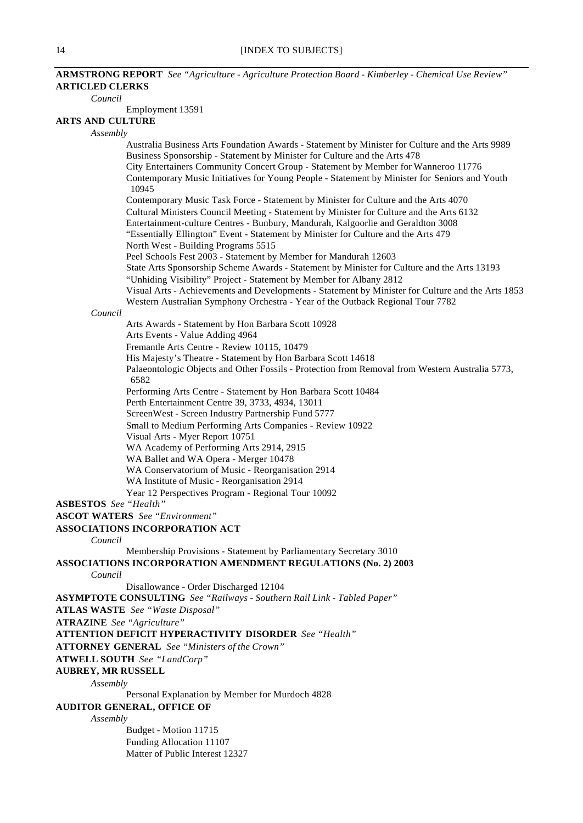## *Council*

Employment 13591

# **ARTS AND CULTURE**

*Assembly*

Australia Business Arts Foundation Awards - Statement by Minister for Culture and the Arts 9989 Business Sponsorship - Statement by Minister for Culture and the Arts 478 City Entertainers Community Concert Group - Statement by Member for Wanneroo 11776 Contemporary Music Initiatives for Young People - Statement by Minister for Seniors and Youth 10945 Contemporary Music Task Force - Statement by Minister for Culture and the Arts 4070 Cultural Ministers Council Meeting - Statement by Minister for Culture and the Arts 6132 Entertainment-culture Centres - Bunbury, Mandurah, Kalgoorlie and Geraldton 3008 "Essentially Ellington" Event - Statement by Minister for Culture and the Arts 479 North West - Building Programs 5515 Peel Schools Fest 2003 - Statement by Member for Mandurah 12603 State Arts Sponsorship Scheme Awards - Statement by Minister for Culture and the Arts 13193 "Unhiding Visibility" Project - Statement by Member for Albany 2812

Visual Arts - Achievements and Developments - Statement by Minister for Culture and the Arts 1853 Western Australian Symphony Orchestra - Year of the Outback Regional Tour 7782

## *Council*

Arts Awards - Statement by Hon Barbara Scott 10928 Arts Events - Value Adding 4964 Fremantle Arts Centre - Review 10115, 10479 His Majesty's Theatre - Statement by Hon Barbara Scott 14618 Palaeontologic Objects and Other Fossils - Protection from Removal from Western Australia 5773, 6582 Performing Arts Centre - Statement by Hon Barbara Scott 10484 Perth Entertainment Centre 39, 3733, 4934, 13011 ScreenWest - Screen Industry Partnership Fund 5777 Small to Medium Performing Arts Companies - Review 10922 Visual Arts - Myer Report 10751 WA Academy of Performing Arts 2914, 2915 WA Ballet and WA Opera - Merger 10478 WA Conservatorium of Music - Reorganisation 2914

WA Institute of Music - Reorganisation 2914

Year 12 Perspectives Program - Regional Tour 10092

**ASBESTOS** *See "Health"*

**ASCOT WATERS** *See "Environment"*

# **ASSOCIATIONS INCORPORATION ACT**

*Council*

Membership Provisions - Statement by Parliamentary Secretary 3010

### **ASSOCIATIONS INCORPORATION AMENDMENT REGULATIONS (No. 2) 2003** *Council*

Disallowance - Order Discharged 12104

**ASYMPTOTE CONSULTING** *See "Railways - Southern Rail Link - Tabled Paper"*

**ATLAS WASTE** *See "Waste Disposal"*

**ATRAZINE** *See "Agriculture"*

### **ATTENTION DEFICIT HYPERACTIVITY DISORDER** *See "Health"*

**ATTORNEY GENERAL** *See "Ministers of the Crown"*

**ATWELL SOUTH** *See "LandCorp"*

**AUBREY, MR RUSSELL**

*Assembly*

Personal Explanation by Member for Murdoch 4828

# **AUDITOR GENERAL, OFFICE OF**

*Assembly*

Budget - Motion 11715 Funding Allocation 11107 Matter of Public Interest 12327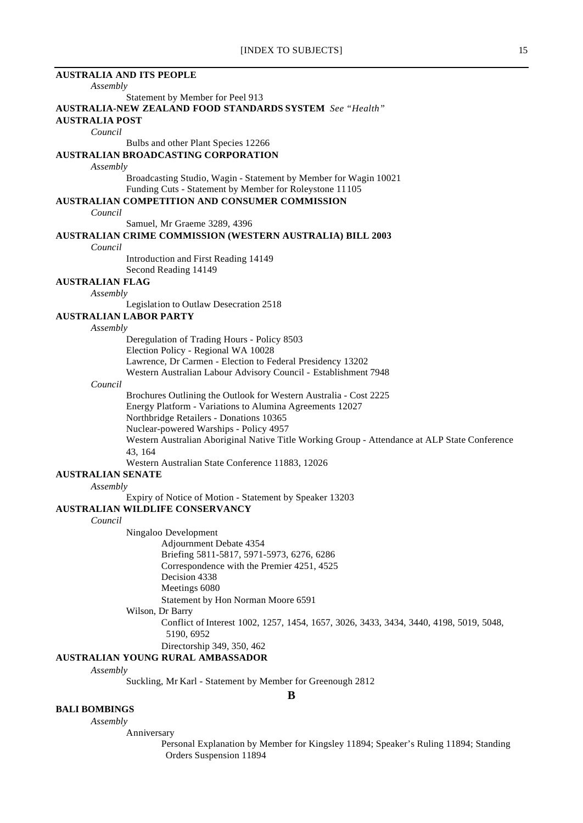# **AUSTRALIA AND ITS PEOPLE** *Assembly* Statement by Member for Peel 913 **AUSTRALIA-NEW ZEALAND FOOD STANDARDS SYSTEM** *See "Health"* **AUSTRALIA POST** *Council* Bulbs and other Plant Species 12266 **AUSTRALIAN BROADCASTING CORPORATION** *Assembly* Broadcasting Studio, Wagin - Statement by Member for Wagin 10021 Funding Cuts - Statement by Member for Roleystone 11105 **AUSTRALIAN COMPETITION AND CONSUMER COMMISSION** *Council* Samuel, Mr Graeme 3289, 4396 **AUSTRALIAN CRIME COMMISSION (WESTERN AUSTRALIA) BILL 2003** *Council* Introduction and First Reading 14149 Second Reading 14149 **AUSTRALIAN FLAG** *Assembly* Legislation to Outlaw Desecration 2518 **AUSTRALIAN LABOR PARTY** *Assembly* Deregulation of Trading Hours - Policy 8503 Election Policy - Regional WA 10028 Lawrence, Dr Carmen - Election to Federal Presidency 13202 Western Australian Labour Advisory Council - Establishment 7948 *Council* Brochures Outlining the Outlook for Western Australia - Cost 2225 Energy Platform - Variations to Alumina Agreements 12027 Northbridge Retailers - Donations 10365 Nuclear-powered Warships - Policy 4957 Western Australian Aboriginal Native Title Working Group - Attendance at ALP State Conference 43, 164 Western Australian State Conference 11883, 12026 **AUSTRALIAN SENATE** *Assembly* Expiry of Notice of Motion - Statement by Speaker 13203 **AUSTRALIAN WILDLIFE CONSERVANCY** *Council* Ningaloo Development Adjournment Debate 4354 Briefing 5811-5817, 5971-5973, 6276, 6286 Correspondence with the Premier 4251, 4525 Decision 4338 Meetings 6080 Statement by Hon Norman Moore 6591 Wilson, Dr Barry Conflict of Interest 1002, 1257, 1454, 1657, 3026, 3433, 3434, 3440, 4198, 5019, 5048, 5190, 6952 Directorship 349, 350, 462 **AUSTRALIAN YOUNG RURAL AMBASSADOR** *Assembly* Suckling, Mr Karl - Statement by Member for Greenough 2812

**B**

## **BALI BOMBINGS**

### *Assembly*

Anniversary

Personal Explanation by Member for Kingsley 11894; Speaker's Ruling 11894; Standing Orders Suspension 11894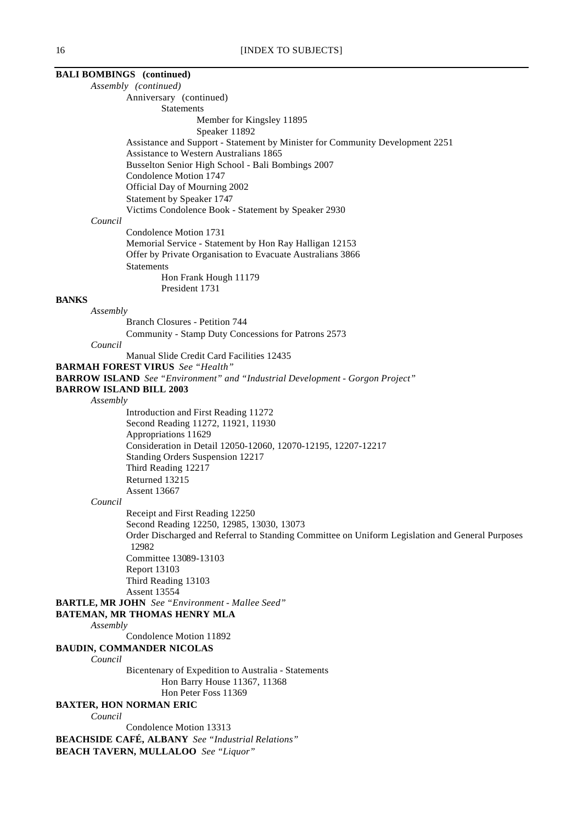# **BALI BOMBINGS (continued)**

*Assembly (continued)* Anniversary (continued) Statements Member for Kingsley 11895 Speaker 11892 Assistance and Support - Statement by Minister for Community Development 2251 Assistance to Western Australians 1865 Busselton Senior High School - Bali Bombings 2007 Condolence Motion 1747 Official Day of Mourning 2002 Statement by Speaker 1747 Victims Condolence Book - Statement by Speaker 2930 *Council* Condolence Motion 1731 Memorial Service - Statement by Hon Ray Halligan 12153 Offer by Private Organisation to Evacuate Australians 3866 **Statements** Hon Frank Hough 11179 President 1731 **BANKS** *Assembly* Branch Closures - Petition 744 Community - Stamp Duty Concessions for Patrons 2573 *Council* Manual Slide Credit Card Facilities 12435 **BARMAH FOREST VIRUS** *See "Health"* **BARROW ISLAND** *See "Environment" and "Industrial Development - Gorgon Project"* **BARROW ISLAND BILL 2003** *Assembly* Introduction and First Reading 11272 Second Reading 11272, 11921, 11930 Appropriations 11629 Consideration in Detail 12050-12060, 12070-12195, 12207-12217 Standing Orders Suspension 12217 Third Reading 12217 Returned 13215 Assent 13667 *Council* Receipt and First Reading 12250 Second Reading 12250, 12985, 13030, 13073 Order Discharged and Referral to Standing Committee on Uniform Legislation and General Purposes 12982 Committee 13089-13103 Report 13103 Third Reading 13103 Assent 13554 **BARTLE, MR JOHN** *See "Environment - Mallee Seed"* **BATEMAN, MR THOMAS HENRY MLA** *Assembly* Condolence Motion 11892 **BAUDIN, COMMANDER NICOLAS** *Council* Bicentenary of Expedition to Australia - Statements Hon Barry House 11367, 11368 Hon Peter Foss 11369 **BAXTER, HON NORMAN ERIC** *Council* Condolence Motion 13313 **BEACHSIDE CAFÉ, ALBANY** *See "Industrial Relations"* **BEACH TAVERN, MULLALOO** *See "Liquor"*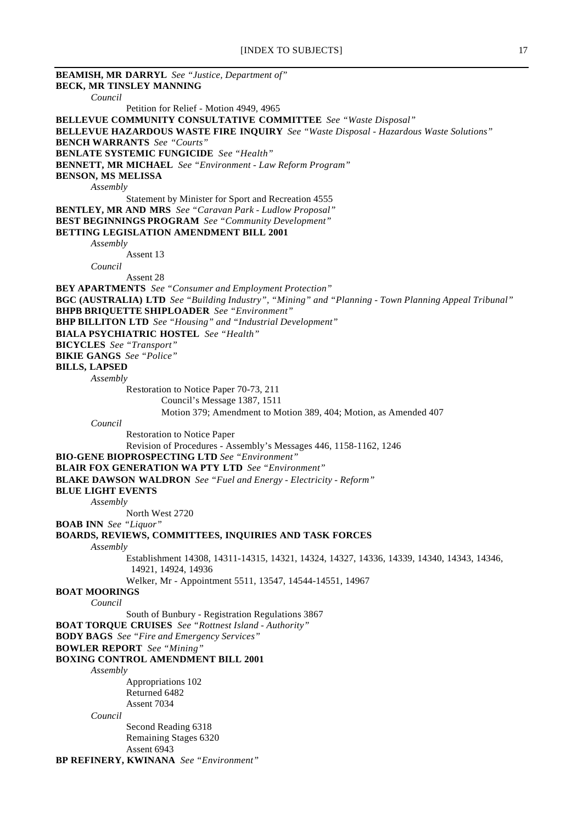**BEAMISH, MR DARRYL** *See "Justice, Department of"* **BECK, MR TINSLEY MANNING** *Council* Petition for Relief - Motion 4949, 4965 **BELLEVUE COMMUNITY CONSULTATIVE COMMITTEE** *See "Waste Disposal"* **BELLEVUE HAZARDOUS WASTE FIRE INQUIRY** *See "Waste Disposal - Hazardous Waste Solutions"* **BENCH WARRANTS** *See "Courts"* **BENLATE SYSTEMIC FUNGICIDE** *See "Health"* **BENNETT, MR MICHAEL** *See "Environment - Law Reform Program"* **BENSON, MS MELISSA** *Assembly* Statement by Minister for Sport and Recreation 4555 **BENTLEY, MR AND MRS** *See "Caravan Park - Ludlow Proposal"* **BEST BEGINNINGS PROGRAM** *See "Community Development"* **BETTING LEGISLATION AMENDMENT BILL 2001** *Assembly* Assent 13 *Council* Assent 28 **BEY APARTMENTS** *See "Consumer and Employment Protection"* **BGC (AUSTRALIA) LTD** *See "Building Industry", "Mining" and "Planning - Town Planning Appeal Tribunal"* **BHPB BRIQUETTE SHIPLOADER** *See "Environment"* **BHP BILLITON LTD** *See "Housing" and "Industrial Development"* **BIALA PSYCHIATRIC HOSTEL** *See "Health"* **BICYCLES** *See "Transport"* **BIKIE GANGS** *See "Police"* **BILLS, LAPSED** *Assembly* Restoration to Notice Paper 70-73, 211 Council's Message 1387, 1511 Motion 379; Amendment to Motion 389, 404; Motion, as Amended 407 *Council* Restoration to Notice Paper Revision of Procedures - Assembly's Messages 446, 1158-1162, 1246 **BIO-GENE BIOPROSPECTING LTD** *See "Environment"* **BLAIR FOX GENERATION WA PTY LTD** *See "Environment"* **BLAKE DAWSON WALDRON** *See "Fuel and Energy - Electricity - Reform"* **BLUE LIGHT EVENTS** *Assembly* North West 2720 **BOAB INN** *See "Liquor"* **BOARDS, REVIEWS, COMMITTEES, INQUIRIES AND TASK FORCES** *Assembly* Establishment 14308, 14311-14315, 14321, 14324, 14327, 14336, 14339, 14340, 14343, 14346, 14921, 14924, 14936 Welker, Mr - Appointment 5511, 13547, 14544-14551, 14967 **BOAT MOORINGS** *Council* South of Bunbury - Registration Regulations 3867 **BOAT TORQUE CRUISES** *See "Rottnest Island - Authority"* **BODY BAGS** *See "Fire and Emergency Services"* **BOWLER REPORT** *See "Mining"* **BOXING CONTROL AMENDMENT BILL 2001** *Assembly* Appropriations 102 Returned 6482 Assent 7034 *Council* Second Reading 6318 Remaining Stages 6320 Assent 6943 **BP REFINERY, KWINANA** *See "Environment"*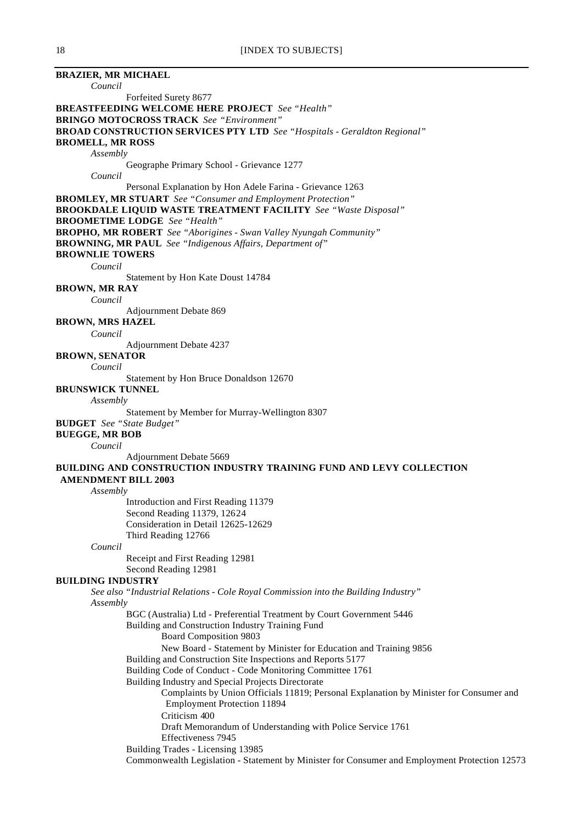**BRAZIER, MR MICHAEL** *Council* Forfeited Surety 8677 **BREASTFEEDING WELCOME HERE PROJECT** *See "Health"* **BRINGO MOTOCROSS TRACK** *See "Environment"* **BROAD CONSTRUCTION SERVICES PTY LTD** *See "Hospitals - Geraldton Regional"* **BROMELL, MR ROSS** *Assembly* Geographe Primary School - Grievance 1277 *Council* Personal Explanation by Hon Adele Farina - Grievance 1263 **BROMLEY, MR STUART** *See "Consumer and Employment Protection"* **BROOKDALE LIQUID WASTE TREATMENT FACILITY** *See "Waste Disposal"* **BROOMETIME LODGE** *See "Health"* **BROPHO, MR ROBERT** *See "Aborigines - Swan Valley Nyungah Community"* **BROWNING, MR PAUL** *See "Indigenous Affairs, Department of"* **BROWNLIE TOWERS** *Council* Statement by Hon Kate Doust 14784 **BROWN, MR RAY** *Council* Adjournment Debate 869 **BROWN, MRS HAZEL** *Council* Adjournment Debate 4237 **BROWN, SENATOR** *Council* Statement by Hon Bruce Donaldson 12670 **BRUNSWICK TUNNEL** *Assembly* Statement by Member for Murray-Wellington 8307 **BUDGET** *See "State Budget"* **BUEGGE, MR BOB** *Council* Adjournment Debate 5669 **BUILDING AND CONSTRUCTION INDUSTRY TRAINING FUND AND LEVY COLLECTION AMENDMENT BILL 2003** *Assembly* Introduction and First Reading 11379 Second Reading 11379, 12624 Consideration in Detail 12625-12629 Third Reading 12766 *Council* Receipt and First Reading 12981 Second Reading 12981 **BUILDING INDUSTRY** *See also "Industrial Relations - Cole Royal Commission into the Building Industry" Assembly* BGC (Australia) Ltd - Preferential Treatment by Court Government 5446 Building and Construction Industry Training Fund Board Composition 9803 New Board - Statement by Minister for Education and Training 9856 Building and Construction Site Inspections and Reports 5177 Building Code of Conduct - Code Monitoring Committee 1761 Building Industry and Special Projects Directorate Complaints by Union Officials 11819; Personal Explanation by Minister for Consumer and Employment Protection 11894 Criticism 400 Draft Memorandum of Understanding with Police Service 1761 Effectiveness 7945 Building Trades - Licensing 13985 Commonwealth Legislation - Statement by Minister for Consumer and Employment Protection 12573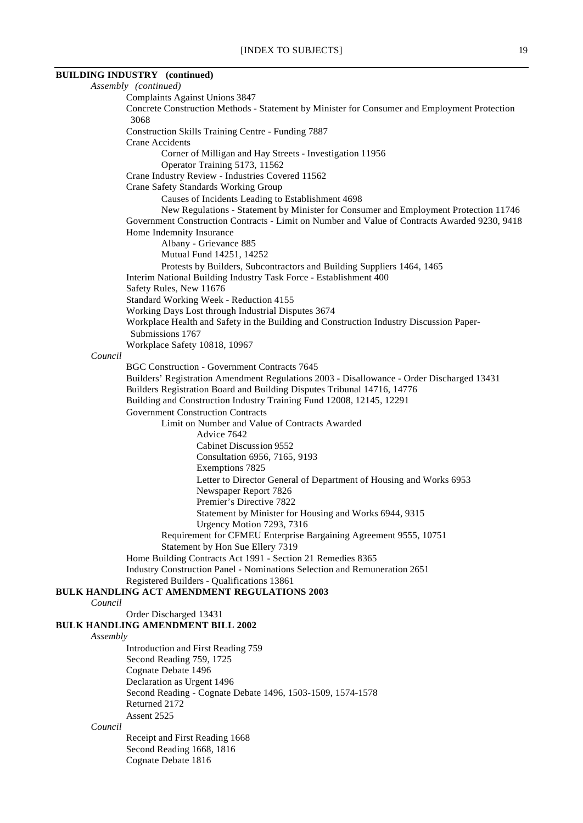# **BUILDING INDUSTRY (continued)**

|          | Assembly (continued)                                                                                                                      |
|----------|-------------------------------------------------------------------------------------------------------------------------------------------|
|          | Complaints Against Unions 3847                                                                                                            |
|          | Concrete Construction Methods - Statement by Minister for Consumer and Employment Protection<br>3068                                      |
|          | Construction Skills Training Centre - Funding 7887                                                                                        |
|          | <b>Crane Accidents</b>                                                                                                                    |
|          | Corner of Milligan and Hay Streets - Investigation 11956                                                                                  |
|          | Operator Training 5173, 11562                                                                                                             |
|          | Crane Industry Review - Industries Covered 11562                                                                                          |
|          | Crane Safety Standards Working Group                                                                                                      |
|          | Causes of Incidents Leading to Establishment 4698<br>New Regulations - Statement by Minister for Consumer and Employment Protection 11746 |
|          | Government Construction Contracts - Limit on Number and Value of Contracts Awarded 9230, 9418                                             |
|          | Home Indemnity Insurance<br>Albany - Grievance 885                                                                                        |
|          | Mutual Fund 14251, 14252                                                                                                                  |
|          | Protests by Builders, Subcontractors and Building Suppliers 1464, 1465                                                                    |
|          | Interim National Building Industry Task Force - Establishment 400<br>Safety Rules, New 11676                                              |
|          | Standard Working Week - Reduction 4155                                                                                                    |
|          | Working Days Lost through Industrial Disputes 3674                                                                                        |
|          | Workplace Health and Safety in the Building and Construction Industry Discussion Paper-<br>Submissions 1767                               |
|          | Workplace Safety 10818, 10967                                                                                                             |
| Council  | <b>BGC Construction - Government Contracts 7645</b>                                                                                       |
|          | Builders' Registration Amendment Regulations 2003 - Disallowance - Order Discharged 13431                                                 |
|          | Builders Registration Board and Building Disputes Tribunal 14716, 14776                                                                   |
|          | Building and Construction Industry Training Fund 12008, 12145, 12291                                                                      |
|          | <b>Government Construction Contracts</b>                                                                                                  |
|          | Limit on Number and Value of Contracts Awarded                                                                                            |
|          | Advice 7642                                                                                                                               |
|          | Cabinet Discussion 9552                                                                                                                   |
|          | Consultation 6956, 7165, 9193                                                                                                             |
|          | Exemptions 7825                                                                                                                           |
|          | Letter to Director General of Department of Housing and Works 6953                                                                        |
|          | Newspaper Report 7826                                                                                                                     |
|          | Premier's Directive 7822                                                                                                                  |
|          | Statement by Minister for Housing and Works 6944, 9315<br>Urgency Motion 7293, 7316                                                       |
|          | Requirement for CFMEU Enterprise Bargaining Agreement 9555, 10751                                                                         |
|          | Statement by Hon Sue Ellery 7319                                                                                                          |
|          | Home Building Contracts Act 1991 - Section 21 Remedies 8365                                                                               |
|          | Industry Construction Panel - Nominations Selection and Remuneration 2651                                                                 |
|          | Registered Builders - Qualifications 13861                                                                                                |
| Council  | <b>BULK HANDLING ACT AMENDMENT REGULATIONS 2003</b>                                                                                       |
|          | Order Discharged 13431                                                                                                                    |
|          | <b>BULK HANDLING AMENDMENT BILL 2002</b>                                                                                                  |
| Assembly |                                                                                                                                           |
|          | Introduction and First Reading 759                                                                                                        |
|          | Second Reading 759, 1725<br>Cognate Debate 1496                                                                                           |
|          | Declaration as Urgent 1496                                                                                                                |
|          | Second Reading - Cognate Debate 1496, 1503-1509, 1574-1578                                                                                |
|          | Returned 2172                                                                                                                             |
|          | Assent 2525                                                                                                                               |
| Council  |                                                                                                                                           |
|          | Receipt and First Reading 1668                                                                                                            |
|          | Second Reading 1668, 1816                                                                                                                 |
|          | Cognate Debate 1816                                                                                                                       |
|          |                                                                                                                                           |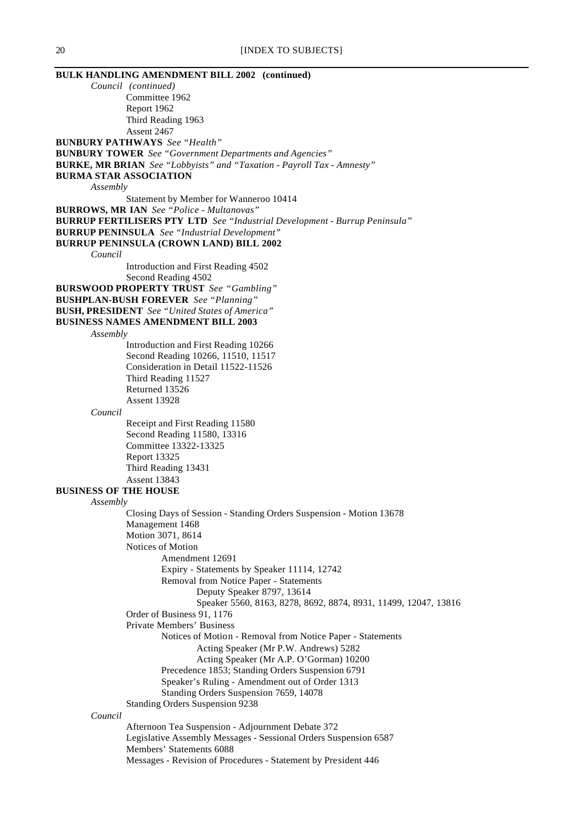**BULK HANDLING AMENDMENT BILL 2002 (continued)** *Council (continued)* Committee 1962 Report 1962 Third Reading 1963 Assent 2467 **BUNBURY PATHWAYS** *See "Health"* **BUNBURY TOWER** *See "Government Departments and Agencies"* **BURKE, MR BRIAN** *See "Lobbyists" and "Taxation - Payroll Tax - Amnesty"* **BURMA STAR ASSOCIATION** *Assembly* Statement by Member for Wanneroo 10414 **BURROWS, MR IAN** *See "Police - Multanovas"* **BURRUP FERTILISERS PTY LTD** *See "Industrial Development - Burrup Peninsula"* **BURRUP PENINSULA** *See "Industrial Development"* **BURRUP PENINSULA (CROWN LAND) BILL 2002** *Council* Introduction and First Reading 4502 Second Reading 4502 **BURSWOOD PROPERTY TRUST** *See "Gambling"* **BUSHPLAN-BUSH FOREVER** *See "Planning"* **BUSH, PRESIDENT** *See "United States of America"* **BUSINESS NAMES AMENDMENT BILL 2003** *Assembly* Introduction and First Reading 10266 Second Reading 10266, 11510, 11517 Consideration in Detail 11522-11526 Third Reading 11527 Returned 13526 Assent 13928 *Council* Receipt and First Reading 11580 Second Reading 11580, 13316 Committee 13322-13325 Report 13325 Third Reading 13431 Assent 13843 **BUSINESS OF THE HOUSE** *Assembly* Closing Days of Session - Standing Orders Suspension - Motion 13678 Management 1468 Motion 3071, 8614 Notices of Motion Amendment 12691 Expiry - Statements by Speaker 11114, 12742 Removal from Notice Paper - Statements Deputy Speaker 8797, 13614 Speaker 5560, 8163, 8278, 8692, 8874, 8931, 11499, 12047, 13816 Order of Business 91, 1176 Private Members' Business Notices of Motion - Removal from Notice Paper - Statements Acting Speaker (Mr P.W. Andrews) 5282 Acting Speaker (Mr A.P. O'Gorman) 10200 Precedence 1853; Standing Orders Suspension 6791 Speaker's Ruling - Amendment out of Order 1313 Standing Orders Suspension 7659, 14078 Standing Orders Suspension 9238 *Council* Afternoon Tea Suspension - Adjournment Debate 372 Legislative Assembly Messages - Sessional Orders Suspension 6587 Members' Statements 6088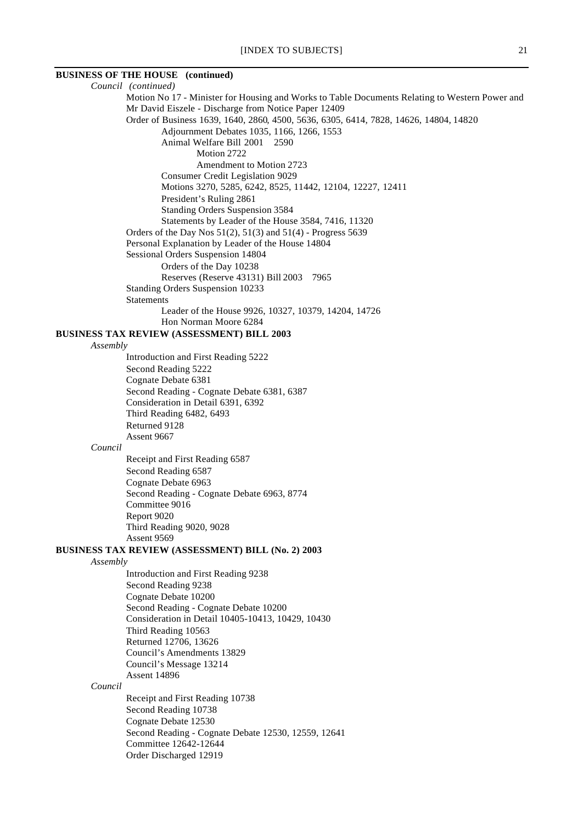# **BUSINESS OF THE HOUSE (continued)**

*Council (continued)* Motion No 17 - Minister for Housing and Works to Table Documents Relating to Western Power and Mr David Eiszele - Discharge from Notice Paper 12409 Order of Business 1639, 1640, 2860, 4500, 5636, 6305, 6414, 7828, 14626, 14804, 14820 Adjournment Debates 1035, 1166, 1266, 1553 Animal Welfare Bill 2001 2590 Motion 2722 Amendment to Motion 2723 Consumer Credit Legislation 9029 Motions 3270, 5285, 6242, 8525, 11442, 12104, 12227, 12411 President's Ruling 2861 Standing Orders Suspension 3584 Statements by Leader of the House 3584, 7416, 11320 Orders of the Day Nos 51(2), 51(3) and 51(4) - Progress 5639 Personal Explanation by Leader of the House 14804 Sessional Orders Suspension 14804 Orders of the Day 10238 Reserves (Reserve 43131) Bill 2003 7965 Standing Orders Suspension 10233 Statements Leader of the House 9926, 10327, 10379, 14204, 14726 Hon Norman Moore 6284 **BUSINESS TAX REVIEW (ASSESSMENT) BILL 2003** *Assembly* Introduction and First Reading 5222 Second Reading 5222 Cognate Debate 6381 Second Reading - Cognate Debate 6381, 6387 Consideration in Detail 6391, 6392 Third Reading 6482, 6493 Returned 9128 Assent 9667 *Council* Receipt and First Reading 6587 Second Reading 6587 Cognate Debate 6963 Second Reading - Cognate Debate 6963, 8774 Committee 9016 Report 9020 Third Reading 9020, 9028 Assent 9569 **BUSINESS TAX REVIEW (ASSESSMENT) BILL (No. 2) 2003** *Assembly* Introduction and First Reading 9238 Second Reading 9238 Cognate Debate 10200 Second Reading - Cognate Debate 10200 Consideration in Detail 10405-10413, 10429, 10430 Third Reading 10563 Returned 12706, 13626 Council's Amendments 13829 Council's Message 13214 Assent 14896 *Council* Receipt and First Reading 10738 Second Reading 10738 Cognate Debate 12530

Second Reading - Cognate Debate 12530, 12559, 12641 Committee 12642-12644 Order Discharged 12919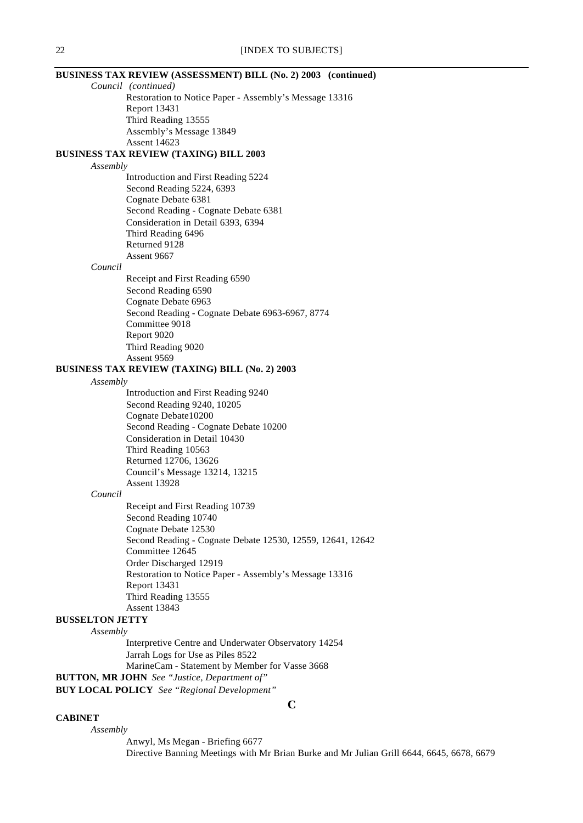## **BUSINESS TAX REVIEW (ASSESSMENT) BILL (No. 2) 2003 (continued)**

*Council (continued)* Restoration to Notice Paper - Assembly's Message 13316 Report 13431 Third Reading 13555 Assembly's Message 13849 Assent 14623

## **BUSINESS TAX REVIEW (TAXING) BILL 2003**

### *Assembly*

Introduction and First Reading 5224 Second Reading 5224, 6393 Cognate Debate 6381 Second Reading - Cognate Debate 6381 Consideration in Detail 6393, 6394 Third Reading 6496 Returned 9128 Assent 9667

### *Council*

Receipt and First Reading 6590 Second Reading 6590 Cognate Debate 6963 Second Reading - Cognate Debate 6963-6967, 8774 Committee 9018 Report 9020 Third Reading 9020 Assent 9569

### **BUSINESS TAX REVIEW (TAXING) BILL (No. 2) 2003**

### *Assembly*

Introduction and First Reading 9240 Second Reading 9240, 10205 Cognate Debate10200 Second Reading - Cognate Debate 10200 Consideration in Detail 10430 Third Reading 10563 Returned 12706, 13626 Council's Message 13214, 13215 Assent 13928

## *Council*

Receipt and First Reading 10739 Second Reading 10740 Cognate Debate 12530 Second Reading - Cognate Debate 12530, 12559, 12641, 12642 Committee 12645 Order Discharged 12919 Restoration to Notice Paper - Assembly's Message 13316 Report 13431 Third Reading 13555 Assent 13843

## **BUSSELTON JETTY**

#### *Assembly*

Interpretive Centre and Underwater Observatory 14254 Jarrah Logs for Use as Piles 8522 MarineCam - Statement by Member for Vasse 3668

# **BUTTON, MR JOHN** *See "Justice, Department of"*

**BUY LOCAL POLICY** *See "Regional Development"*

### **CABINET**

*Assembly* Anwyl, Ms Megan - Briefing 6677 Directive Banning Meetings with Mr Brian Burke and Mr Julian Grill 6644, 6645, 6678, 6679

**C**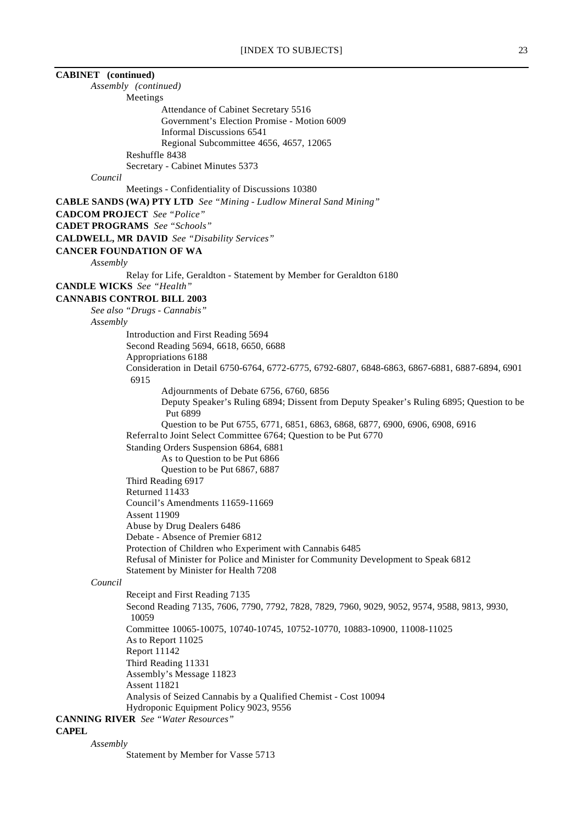| [INDEX TO SUBJECTS]                                                                                                                | 23 |
|------------------------------------------------------------------------------------------------------------------------------------|----|
| <b>CABINET</b> (continued)                                                                                                         |    |
| Assembly (continued)                                                                                                               |    |
| Meetings                                                                                                                           |    |
| Attendance of Cabinet Secretary 5516                                                                                               |    |
| Government's Election Promise - Motion 6009                                                                                        |    |
| Informal Discussions 6541                                                                                                          |    |
| Regional Subcommittee 4656, 4657, 12065                                                                                            |    |
| Reshuffle 8438                                                                                                                     |    |
| Secretary - Cabinet Minutes 5373                                                                                                   |    |
| Council                                                                                                                            |    |
| Meetings - Confidentiality of Discussions 10380                                                                                    |    |
| CABLE SANDS (WA) PTY LTD See "Mining - Ludlow Mineral Sand Mining"                                                                 |    |
| <b>CADCOM PROJECT</b> See "Police"                                                                                                 |    |
| <b>CADET PROGRAMS</b> See "Schools"                                                                                                |    |
| <b>CALDWELL, MR DAVID</b> See "Disability Services"                                                                                |    |
| <b>CANCER FOUNDATION OF WA</b>                                                                                                     |    |
|                                                                                                                                    |    |
| Assembly                                                                                                                           |    |
| Relay for Life, Geraldton - Statement by Member for Geraldton 6180<br><b>CANDLE WICKS</b> See "Health"                             |    |
|                                                                                                                                    |    |
| <b>CANNABIS CONTROL BILL 2003</b>                                                                                                  |    |
| See also "Drugs - Cannabis"                                                                                                        |    |
| Assembly                                                                                                                           |    |
| Introduction and First Reading 5694                                                                                                |    |
| Second Reading 5694, 6618, 6650, 6688                                                                                              |    |
| Appropriations 6188                                                                                                                |    |
| Consideration in Detail 6750-6764, 6772-6775, 6792-6807, 6848-6863, 6867-6881, 6887-6894, 6901                                     |    |
| 6915                                                                                                                               |    |
| Adjournments of Debate 6756, 6760, 6856<br>Deputy Speaker's Ruling 6894; Dissent from Deputy Speaker's Ruling 6895; Question to be |    |
| Put 6899                                                                                                                           |    |
| Question to be Put 6755, 6771, 6851, 6863, 6868, 6877, 6900, 6906, 6908, 6916                                                      |    |
| Referral to Joint Select Committee 6764; Question to be Put 6770                                                                   |    |
| Standing Orders Suspension 6864, 6881                                                                                              |    |
| As to Question to be Put 6866                                                                                                      |    |
| Question to be Put 6867, 6887                                                                                                      |    |
| Third Reading 6917                                                                                                                 |    |
| Returned 11433                                                                                                                     |    |
| Council's Amendments 11659-11669                                                                                                   |    |
| <b>Assent 11909</b>                                                                                                                |    |
| Abuse by Drug Dealers 6486                                                                                                         |    |
| Debate - Absence of Premier 6812                                                                                                   |    |
| Protection of Children who Experiment with Cannabis 6485                                                                           |    |
| Refusal of Minister for Police and Minister for Community Development to Speak 6812                                                |    |
| Statement by Minister for Health 7208                                                                                              |    |
| Council                                                                                                                            |    |
| Receipt and First Reading 7135                                                                                                     |    |
| Second Reading 7135, 7606, 7790, 7792, 7828, 7829, 7960, 9029, 9052, 9574, 9588, 9813, 9930,<br>10059                              |    |
| Committee 10065-10075, 10740-10745, 10752-10770, 10883-10900, 11008-11025<br>As to Report 11025                                    |    |
| <b>Report 11142</b>                                                                                                                |    |
| Third Reading 11331                                                                                                                |    |
| Assembly's Message 11823                                                                                                           |    |
| <b>Assent 11821</b>                                                                                                                |    |
| Analysis of Seized Cannabis by a Qualified Chemist - Cost 10094                                                                    |    |
| Hydroponic Equipment Policy 9023, 9556                                                                                             |    |
| <b>CANNING RIVER</b> See "Water Resources"                                                                                         |    |

**CAPEL**

*Assembly*

Statement by Member for Vasse 5713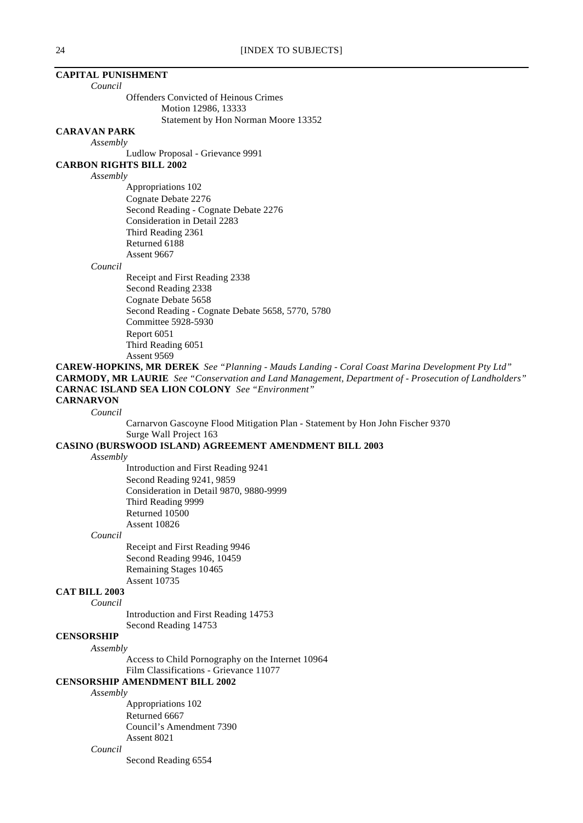# **CAPITAL PUNISHMENT**

*Council*

Offenders Convicted of Heinous Crimes Motion 12986, 13333

Statement by Hon Norman Moore 13352

### **CARAVAN PARK**

*Assembly*

Ludlow Proposal - Grievance 9991

**CARBON RIGHTS BILL 2002**

## *Assembly*

Appropriations 102 Cognate Debate 2276 Second Reading - Cognate Debate 2276 Consideration in Detail 2283 Third Reading 2361 Returned 6188 Assent 9667

*Council*

Receipt and First Reading 2338 Second Reading 2338 Cognate Debate 5658 Second Reading - Cognate Debate 5658, 5770, 5780 Committee 5928-5930 Report 6051 Third Reading 6051 Assent 9569

**CAREW-HOPKINS, MR DEREK** *See "Planning - Mauds Landing - Coral Coast Marina Development Pty Ltd"* **CARMODY, MR LAURIE** *See "Conservation and Land Management, Department of - Prosecution of Landholders"* **CARNAC ISLAND SEA LION COLONY** *See "Environment"* **CARNARVON**

*Council*

Carnarvon Gascoyne Flood Mitigation Plan - Statement by Hon John Fischer 9370 Surge Wall Project 163

# **CASINO (BURSWOOD ISLAND) AGREEMENT AMENDMENT BILL 2003**

*Assembly*

Introduction and First Reading 9241 Second Reading 9241, 9859 Consideration in Detail 9870, 9880-9999 Third Reading 9999 Returned 10500 Assent 10826

*Council*

Receipt and First Reading 9946 Second Reading 9946, 10459 Remaining Stages 10465 Assent 10735

### **CAT BILL 2003**

*Council*

Introduction and First Reading 14753 Second Reading 14753

# **CENSORSHIP**

*Assembly*

Access to Child Pornography on the Internet 10964 Film Classifications - Grievance 11077

**CENSORSHIP AMENDMENT BILL 2002**

*Assembly*

Appropriations 102 Returned 6667 Council's Amendment 7390 Assent 8021

### *Council*

Second Reading 6554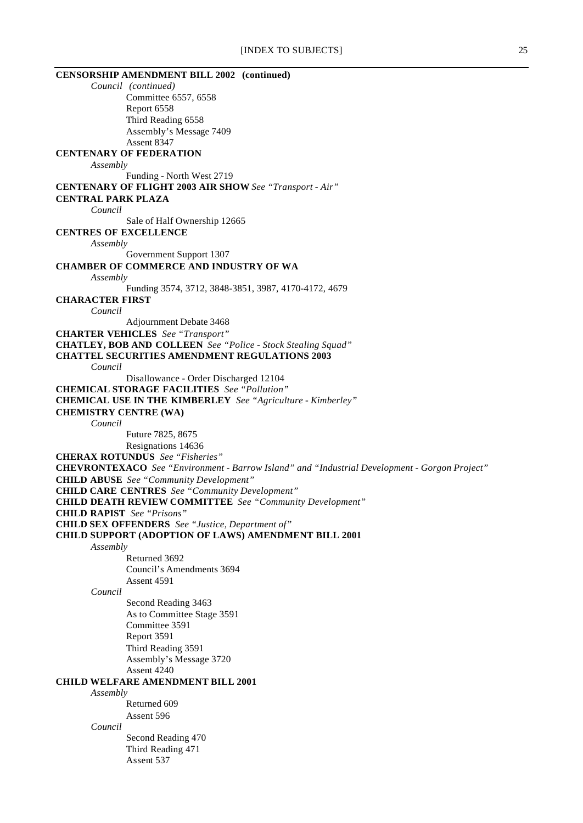| <b>CENSORSHIP AMENDMENT BILL 2002 (continued)</b>                                             |
|-----------------------------------------------------------------------------------------------|
| Council (continued)                                                                           |
| Committee 6557, 6558                                                                          |
| Report 6558                                                                                   |
| Third Reading 6558                                                                            |
| Assembly's Message 7409                                                                       |
| Assent 8347                                                                                   |
| <b>CENTENARY OF FEDERATION</b>                                                                |
| Assembly                                                                                      |
| Funding - North West 2719                                                                     |
| <b>CENTENARY OF FLIGHT 2003 AIR SHOW See "Transport - Air"</b>                                |
| <b>CENTRAL PARK PLAZA</b>                                                                     |
| Council                                                                                       |
| Sale of Half Ownership 12665                                                                  |
| <b>CENTRES OF EXCELLENCE</b>                                                                  |
| Assembly                                                                                      |
| Government Support 1307                                                                       |
| <b>CHAMBER OF COMMERCE AND INDUSTRY OF WA</b>                                                 |
| Assembly                                                                                      |
| Funding 3574, 3712, 3848-3851, 3987, 4170-4172, 4679                                          |
| <b>CHARACTER FIRST</b>                                                                        |
| Council                                                                                       |
| Adjournment Debate 3468                                                                       |
| <b>CHARTER VEHICLES</b> See "Transport"                                                       |
| <b>CHATLEY, BOB AND COLLEEN</b> See "Police - Stock Stealing Squad"                           |
| <b>CHATTEL SECURITIES AMENDMENT REGULATIONS 2003</b>                                          |
| Council                                                                                       |
| Disallowance - Order Discharged 12104                                                         |
| <b>CHEMICAL STORAGE FACILITIES</b> See "Pollution"                                            |
| <b>CHEMICAL USE IN THE KIMBERLEY</b> See "Agriculture - Kimberley"                            |
| <b>CHEMISTRY CENTRE (WA)</b>                                                                  |
| Council                                                                                       |
| Future 7825, 8675                                                                             |
| Resignations 14636                                                                            |
| <b>CHERAX ROTUNDUS</b> See "Fisheries"                                                        |
| CHEVRONTEXACO See "Environment - Barrow Island" and "Industrial Development - Gorgon Project" |
| <b>CHILD ABUSE</b> See "Community Development"                                                |
| <b>CHILD CARE CENTRES</b> See "Community Development"                                         |
| <b>CHILD DEATH REVIEW COMMITTEE</b> See "Community Development"                               |
| <b>CHILD RAPIST</b> See "Prisons"                                                             |
| <b>CHILD SEX OFFENDERS</b> See "Justice, Department of"                                       |
| <b>CHILD SUPPORT (ADOPTION OF LAWS) AMENDMENT BILL 2001</b>                                   |
| Assembly                                                                                      |
| Returned 3692                                                                                 |
| Council's Amendments 3694                                                                     |
| Assent 4591                                                                                   |
| Council                                                                                       |
| Second Reading 3463                                                                           |
| As to Committee Stage 3591                                                                    |
| Committee 3591                                                                                |
| Report 3591                                                                                   |
| Third Reading 3591                                                                            |
| Assembly's Message 3720                                                                       |
| Assent 4240                                                                                   |
| <b>CHILD WELFARE AMENDMENT BILL 2001</b>                                                      |
| Assembly                                                                                      |
| Returned 609                                                                                  |
| Assent 596                                                                                    |
| Council                                                                                       |
| Second Reading 470                                                                            |
| Third Reading 471                                                                             |
| Assent 537                                                                                    |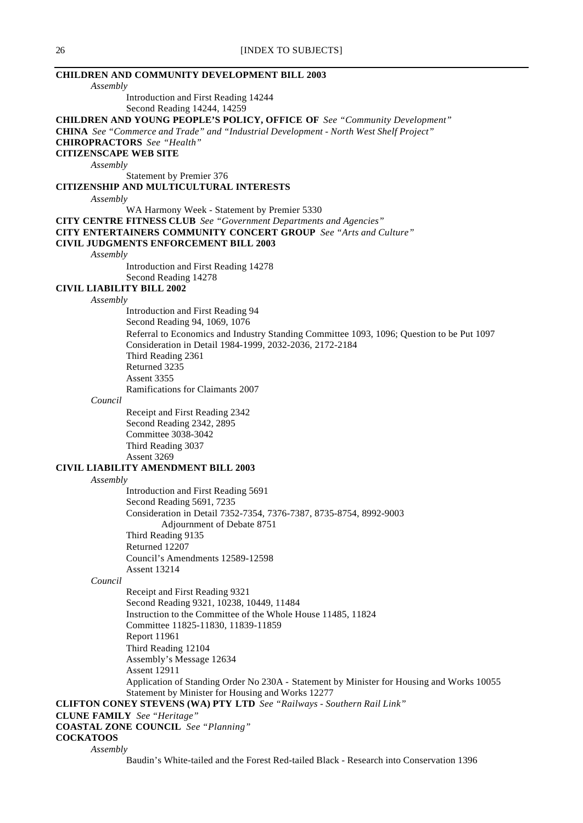| <b>CHILDREN AND COMMUNITY DEVELOPMENT BILL 2003</b><br>Assembly                                     |
|-----------------------------------------------------------------------------------------------------|
| Introduction and First Reading 14244                                                                |
| Second Reading 14244, 14259                                                                         |
| <b>CHILDREN AND YOUNG PEOPLE'S POLICY, OFFICE OF See "Community Development"</b>                    |
| CHINA See "Commerce and Trade" and "Industrial Development - North West Shelf Project"              |
| <b>CHIROPRACTORS</b> See "Health"                                                                   |
| <b>CITIZENSCAPE WEB SITE</b>                                                                        |
| Assembly                                                                                            |
| Statement by Premier 376<br>CITIZENSHIP AND MULTICULTURAL INTERESTS                                 |
| Assembly                                                                                            |
| WA Harmony Week - Statement by Premier 5330                                                         |
| <b>CITY CENTRE FITNESS CLUB</b> See "Government Departments and Agencies"                           |
| CITY ENTERTAINERS COMMUNITY CONCERT GROUP See "Arts and Culture"                                    |
| <b>CIVIL JUDGMENTS ENFORCEMENT BILL 2003</b>                                                        |
| Assembly                                                                                            |
| Introduction and First Reading 14278                                                                |
| Second Reading 14278<br><b>CIVIL LIABILITY BILL 2002</b>                                            |
| Assembly                                                                                            |
| Introduction and First Reading 94                                                                   |
| Second Reading 94, 1069, 1076                                                                       |
| Referral to Economics and Industry Standing Committee 1093, 1096; Question to be Put 1097           |
| Consideration in Detail 1984-1999, 2032-2036, 2172-2184                                             |
| Third Reading 2361                                                                                  |
| Returned 3235                                                                                       |
| Assent 3355<br>Ramifications for Claimants 2007                                                     |
| Council                                                                                             |
| Receipt and First Reading 2342                                                                      |
| Second Reading 2342, 2895                                                                           |
| <b>Committee 3038-3042</b>                                                                          |
| Third Reading 3037                                                                                  |
| Assent 3269                                                                                         |
| <b>CIVIL LIABILITY AMENDMENT BILL 2003</b>                                                          |
| Assembly<br>Introduction and First Reading 5691                                                     |
| Second Reading 5691, 7235                                                                           |
| Consideration in Detail 7352-7354, 7376-7387, 8735-8754, 8992-9003                                  |
| Adjournment of Debate 8751                                                                          |
| Third Reading 9135                                                                                  |
| Returned 12207                                                                                      |
| Council's Amendments 12589-12598                                                                    |
| <b>Assent 13214</b><br>Council                                                                      |
| Receipt and First Reading 9321                                                                      |
| Second Reading 9321, 10238, 10449, 11484                                                            |
| Instruction to the Committee of the Whole House 11485, 11824                                        |
| Committee 11825-11830, 11839-11859                                                                  |
| <b>Report 11961</b>                                                                                 |
| Third Reading 12104                                                                                 |
| Assembly's Message 12634<br><b>Assent 12911</b>                                                     |
| Application of Standing Order No 230A - Statement by Minister for Housing and Works 10055           |
| Statement by Minister for Housing and Works 12277                                                   |
| <b>CLIFTON CONEY STEVENS (WA) PTY LTD</b> See "Railways - Southern Rail Link"                       |
| <b>CLUNE FAMILY</b> See "Heritage"                                                                  |
| <b>COASTAL ZONE COUNCIL</b> See "Planning"                                                          |
| <b>COCKATOOS</b>                                                                                    |
| Assembly<br>Baudin's White-tailed and the Forest Red-tailed Black - Research into Conservation 1396 |
|                                                                                                     |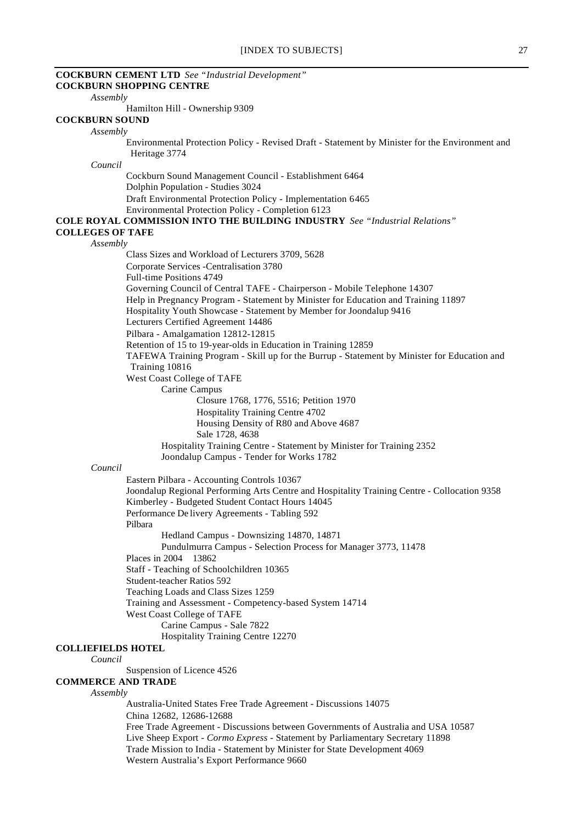|                                      | <b>COCKBURN CEMENT LTD</b> See "Industrial Development"<br><b>COCKBURN SHOPPING CENTRE</b>                                                       |
|--------------------------------------|--------------------------------------------------------------------------------------------------------------------------------------------------|
| Assembly                             |                                                                                                                                                  |
| <b>COCKBURN SOUND</b>                | Hamilton Hill - Ownership 9309                                                                                                                   |
| Assembly                             |                                                                                                                                                  |
|                                      | Environmental Protection Policy - Revised Draft - Statement by Minister for the Environment and<br>Heritage 3774                                 |
| Council                              |                                                                                                                                                  |
|                                      | Cockburn Sound Management Council - Establishment 6464<br>Dolphin Population - Studies 3024                                                      |
|                                      | Draft Environmental Protection Policy - Implementation 6465                                                                                      |
|                                      | Environmental Protection Policy - Completion 6123                                                                                                |
|                                      | <b>COLE ROYAL COMMISSION INTO THE BUILDING INDUSTRY</b> See "Industrial Relations"                                                               |
| <b>COLLEGES OF TAFE</b>              |                                                                                                                                                  |
| Assembly                             |                                                                                                                                                  |
|                                      | Class Sizes and Workload of Lecturers 3709, 5628                                                                                                 |
|                                      | Corporate Services -Centralisation 3780<br>Full-time Positions 4749                                                                              |
|                                      | Governing Council of Central TAFE - Chairperson - Mobile Telephone 14307                                                                         |
|                                      | Help in Pregnancy Program - Statement by Minister for Education and Training 11897                                                               |
|                                      | Hospitality Youth Showcase - Statement by Member for Joondalup 9416                                                                              |
|                                      | Lecturers Certified Agreement 14486                                                                                                              |
|                                      | Pilbara - Amalgamation 12812-12815                                                                                                               |
|                                      | Retention of 15 to 19-year-olds in Education in Training 12859                                                                                   |
|                                      | TAFEWA Training Program - Skill up for the Burrup - Statement by Minister for Education and                                                      |
|                                      | Training 10816                                                                                                                                   |
|                                      | West Coast College of TAFE                                                                                                                       |
|                                      | Carine Campus                                                                                                                                    |
|                                      | Closure 1768, 1776, 5516; Petition 1970                                                                                                          |
|                                      | Hospitality Training Centre 4702                                                                                                                 |
|                                      | Housing Density of R80 and Above 4687                                                                                                            |
|                                      | Sale 1728, 4638                                                                                                                                  |
|                                      | Hospitality Training Centre - Statement by Minister for Training 2352<br>Joondalup Campus - Tender for Works 1782                                |
| Council                              |                                                                                                                                                  |
|                                      | Eastern Pilbara - Accounting Controls 10367                                                                                                      |
|                                      | Joondalup Regional Performing Arts Centre and Hospitality Training Centre - Collocation 9358<br>Kimberley - Budgeted Student Contact Hours 14045 |
|                                      | Performance De livery Agreements - Tabling 592<br>Pilbara                                                                                        |
|                                      | Hedland Campus - Downsizing 14870, 14871                                                                                                         |
|                                      | Pundulmurra Campus - Selection Process for Manager 3773, 11478                                                                                   |
|                                      | Places in 2004<br>13862                                                                                                                          |
|                                      | Staff - Teaching of Schoolchildren 10365                                                                                                         |
|                                      | Student-teacher Ratios 592                                                                                                                       |
|                                      | Teaching Loads and Class Sizes 1259                                                                                                              |
|                                      | Training and Assessment - Competency-based System 14714                                                                                          |
|                                      | West Coast College of TAFE                                                                                                                       |
|                                      | Carine Campus - Sale 7822                                                                                                                        |
|                                      | Hospitality Training Centre 12270                                                                                                                |
| <b>COLLIEFIELDS HOTEL</b><br>Council |                                                                                                                                                  |
|                                      | Suspension of Licence 4526                                                                                                                       |
| <b>COMMERCE AND TRADE</b>            |                                                                                                                                                  |
| Assembly                             |                                                                                                                                                  |
|                                      | Australia-United States Free Trade Agreement - Discussions 14075                                                                                 |
|                                      | China 12682, 12686-12688                                                                                                                         |
|                                      | Free Trade Agreement - Discussions between Governments of Australia and USA 10587                                                                |
|                                      | Live Sheep Export - Cormo Express - Statement by Parliamentary Secretary 11898                                                                   |
|                                      | Trade Mission to India - Statement by Minister for State Development 4069<br>Western Australia's Export Performance 9660                         |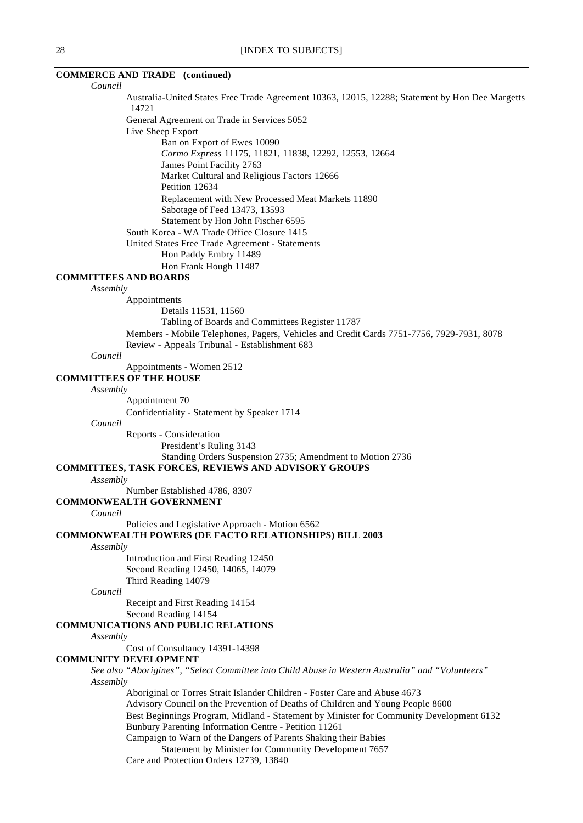## **COMMERCE AND TRADE (continued)**

### *Council*

Australia-United States Free Trade Agreement 10363, 12015, 12288; Statement by Hon Dee Margetts 14721

General Agreement on Trade in Services 5052

- Live Sheep Export
	- Ban on Export of Ewes 10090

*Cormo Express* 11175, 11821, 11838, 12292, 12553, 12664

James Point Facility 2763

Market Cultural and Religious Factors 12666

Petition 12634

Replacement with New Processed Meat Markets 11890

Sabotage of Feed 13473, 13593

Statement by Hon John Fischer 6595

South Korea - WA Trade Office Closure 1415

United States Free Trade Agreement - Statements Hon Paddy Embry 11489

Hon Frank Hough 11487

# **COMMITTEES AND BOARDS**

## *Assembly*

Appointments

Details 11531, 11560

Tabling of Boards and Committees Register 11787

Members - Mobile Telephones, Pagers, Vehicles and Credit Cards 7751-7756, 7929-7931, 8078 Review - Appeals Tribunal - Establishment 683

### *Council*

Appointments - Women 2512

### **COMMITTEES OF THE HOUSE**

*Assembly*

Appointment 70

Confidentiality - Statement by Speaker 1714

*Council*

Reports - Consideration President's Ruling 3143 Standing Orders Suspension 2735; Amendment to Motion 2736

# **COMMITTEES, TASK FORCES, REVIEWS AND ADVISORY GROUPS**

*Assembly*

Number Established 4786, 8307

### **COMMONWEALTH GOVERNMENT**

### *Council*

Policies and Legislative Approach - Motion 6562

# **COMMONWEALTH POWERS (DE FACTO RELATIONSHIPS) BILL 2003**

*Assembly*

Introduction and First Reading 12450 Second Reading 12450, 14065, 14079 Third Reading 14079

*Council*

Receipt and First Reading 14154 Second Reading 14154

### **COMMUNICATIONS AND PUBLIC RELATIONS**

*Assembly*

Cost of Consultancy 14391-14398

### **COMMUNITY DEVELOPMENT**

*See also "Aborigines", "Select Committee into Child Abuse in Western Australia" and "Volunteers" Assembly*

Aboriginal or Torres Strait Islander Children - Foster Care and Abuse 4673 Advisory Council on the Prevention of Deaths of Children and Young People 8600

Best Beginnings Program, Midland - Statement by Minister for Community Development 6132 Bunbury Parenting Information Centre - Petition 11261

Campaign to Warn of the Dangers of Parents Shaking their Babies

Statement by Minister for Community Development 7657

Care and Protection Orders 12739, 13840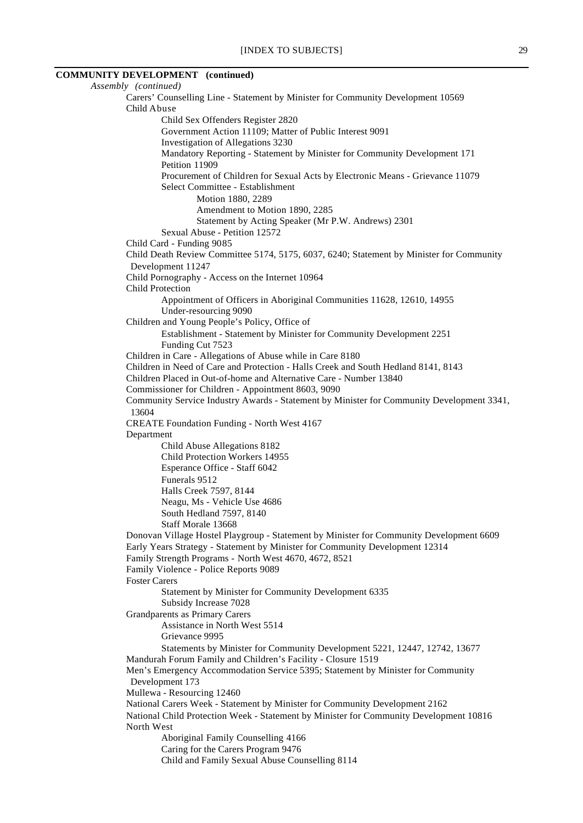# **COMMUNITY DEVELOPMENT (continued)**

*Assembly (continued)* Carers' Counselling Line - Statement by Minister for Community Development 10569 Child Abuse Child Sex Offenders Register 2820 Government Action 11109; Matter of Public Interest 9091 Investigation of Allegations 3230 Mandatory Reporting - Statement by Minister for Community Development 171 Petition 11909 Procurement of Children for Sexual Acts by Electronic Means - Grievance 11079 Select Committee - Establishment Motion 1880, 2289 Amendment to Motion 1890, 2285 Statement by Acting Speaker (Mr P.W. Andrews) 2301 Sexual Abuse - Petition 12572 Child Card - Funding 9085 Child Death Review Committee 5174, 5175, 6037, 6240; Statement by Minister for Community Development 11247 Child Pornography - Access on the Internet 10964 Child Protection Appointment of Officers in Aboriginal Communities 11628, 12610, 14955 Under-resourcing 9090 Children and Young People's Policy, Office of Establishment - Statement by Minister for Community Development 2251 Funding Cut 7523 Children in Care - Allegations of Abuse while in Care 8180 Children in Need of Care and Protection - Halls Creek and South Hedland 8141, 8143 Children Placed in Out-of-home and Alternative Care - Number 13840 Commissioner for Children - Appointment 8603, 9090 Community Service Industry Awards - Statement by Minister for Community Development 3341, 13604 CREATE Foundation Funding - North West 4167 Department Child Abuse Allegations 8182 Child Protection Workers 14955 Esperance Office - Staff 6042 Funerals 9512 Halls Creek 7597, 8144 Neagu, Ms - Vehicle Use 4686 South Hedland 7597, 8140 Staff Morale 13668 Donovan Village Hostel Playgroup - Statement by Minister for Community Development 6609 Early Years Strategy - Statement by Minister for Community Development 12314 Family Strength Programs - North West 4670, 4672, 8521 Family Violence - Police Reports 9089 Foster Carers Statement by Minister for Community Development 6335 Subsidy Increase 7028 Grandparents as Primary Carers Assistance in North West 5514 Grievance 9995 Statements by Minister for Community Development 5221, 12447, 12742, 13677 Mandurah Forum Family and Children's Facility - Closure 1519 Men's Emergency Accommodation Service 5395; Statement by Minister for Community Development 173 Mullewa - Resourcing 12460 National Carers Week - Statement by Minister for Community Development 2162 National Child Protection Week - Statement by Minister for Community Development 10816 North West Aboriginal Family Counselling 4166 Caring for the Carers Program 9476 Child and Family Sexual Abuse Counselling 8114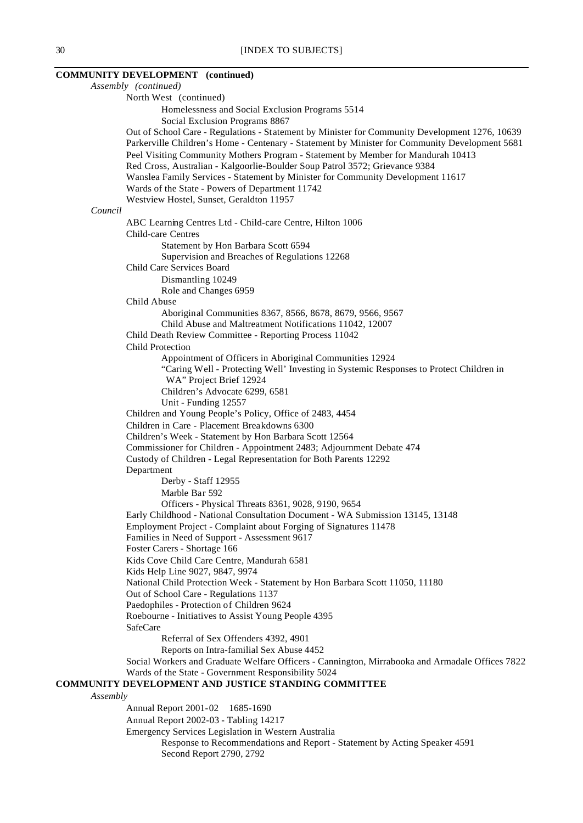# **COMMUNITY DEVELOPMENT (continued)**

|          | Assembly (continued)                                                                                                                                                                                                                                                                                                                                                                                                                                   |
|----------|--------------------------------------------------------------------------------------------------------------------------------------------------------------------------------------------------------------------------------------------------------------------------------------------------------------------------------------------------------------------------------------------------------------------------------------------------------|
|          | North West (continued)                                                                                                                                                                                                                                                                                                                                                                                                                                 |
|          | Homelessness and Social Exclusion Programs 5514                                                                                                                                                                                                                                                                                                                                                                                                        |
|          | Social Exclusion Programs 8867                                                                                                                                                                                                                                                                                                                                                                                                                         |
|          | Out of School Care - Regulations - Statement by Minister for Community Development 1276, 10639<br>Parkerville Children's Home - Centenary - Statement by Minister for Community Development 5681<br>Peel Visiting Community Mothers Program - Statement by Member for Mandurah 10413<br>Red Cross, Australian - Kalgoorlie-Boulder Soup Patrol 3572; Grievance 9384<br>Wanslea Family Services - Statement by Minister for Community Development 11617 |
|          | Wards of the State - Powers of Department 11742                                                                                                                                                                                                                                                                                                                                                                                                        |
|          | Westview Hostel, Sunset, Geraldton 11957                                                                                                                                                                                                                                                                                                                                                                                                               |
| Council  |                                                                                                                                                                                                                                                                                                                                                                                                                                                        |
|          | ABC Learning Centres Ltd - Child-care Centre, Hilton 1006                                                                                                                                                                                                                                                                                                                                                                                              |
|          | Child-care Centres                                                                                                                                                                                                                                                                                                                                                                                                                                     |
|          | Statement by Hon Barbara Scott 6594<br>Supervision and Breaches of Regulations 12268                                                                                                                                                                                                                                                                                                                                                                   |
|          | Child Care Services Board                                                                                                                                                                                                                                                                                                                                                                                                                              |
|          | Dismantling 10249                                                                                                                                                                                                                                                                                                                                                                                                                                      |
|          | Role and Changes 6959                                                                                                                                                                                                                                                                                                                                                                                                                                  |
|          | Child Abuse                                                                                                                                                                                                                                                                                                                                                                                                                                            |
|          | Aboriginal Communities 8367, 8566, 8678, 8679, 9566, 9567                                                                                                                                                                                                                                                                                                                                                                                              |
|          | Child Abuse and Maltreatment Notifications 11042, 12007                                                                                                                                                                                                                                                                                                                                                                                                |
|          | Child Death Review Committee - Reporting Process 11042                                                                                                                                                                                                                                                                                                                                                                                                 |
|          | <b>Child Protection</b>                                                                                                                                                                                                                                                                                                                                                                                                                                |
|          | Appointment of Officers in Aboriginal Communities 12924<br>"Caring Well - Protecting Well' Investing in Systemic Responses to Protect Children in<br>WA" Project Brief 12924                                                                                                                                                                                                                                                                           |
|          | Children's Advocate 6299, 6581                                                                                                                                                                                                                                                                                                                                                                                                                         |
|          | Unit - Funding 12557                                                                                                                                                                                                                                                                                                                                                                                                                                   |
|          | Children and Young People's Policy, Office of 2483, 4454                                                                                                                                                                                                                                                                                                                                                                                               |
|          | Children in Care - Placement Breakdowns 6300                                                                                                                                                                                                                                                                                                                                                                                                           |
|          | Children's Week - Statement by Hon Barbara Scott 12564                                                                                                                                                                                                                                                                                                                                                                                                 |
|          | Commissioner for Children - Appointment 2483; Adjournment Debate 474                                                                                                                                                                                                                                                                                                                                                                                   |
|          | Custody of Children - Legal Representation for Both Parents 12292                                                                                                                                                                                                                                                                                                                                                                                      |
|          | Department                                                                                                                                                                                                                                                                                                                                                                                                                                             |
|          | Derby - Staff 12955                                                                                                                                                                                                                                                                                                                                                                                                                                    |
|          | Marble Bar 592                                                                                                                                                                                                                                                                                                                                                                                                                                         |
|          | Officers - Physical Threats 8361, 9028, 9190, 9654                                                                                                                                                                                                                                                                                                                                                                                                     |
|          | Early Childhood - National Consultation Document - WA Submission 13145, 13148                                                                                                                                                                                                                                                                                                                                                                          |
|          | Employment Project - Complaint about Forging of Signatures 11478                                                                                                                                                                                                                                                                                                                                                                                       |
|          | Families in Need of Support - Assessment 9617<br>Foster Carers - Shortage 166                                                                                                                                                                                                                                                                                                                                                                          |
|          | Kids Cove Child Care Centre, Mandurah 6581                                                                                                                                                                                                                                                                                                                                                                                                             |
|          | Kids Help Line 9027, 9847, 9974                                                                                                                                                                                                                                                                                                                                                                                                                        |
|          | National Child Protection Week - Statement by Hon Barbara Scott 11050, 11180                                                                                                                                                                                                                                                                                                                                                                           |
|          | Out of School Care - Regulations 1137                                                                                                                                                                                                                                                                                                                                                                                                                  |
|          | Paedophiles - Protection of Children 9624<br>Roebourne - Initiatives to Assist Young People 4395                                                                                                                                                                                                                                                                                                                                                       |
|          | SafeCare                                                                                                                                                                                                                                                                                                                                                                                                                                               |
|          | Referral of Sex Offenders 4392, 4901                                                                                                                                                                                                                                                                                                                                                                                                                   |
|          | Reports on Intra-familial Sex Abuse 4452                                                                                                                                                                                                                                                                                                                                                                                                               |
|          | Social Workers and Graduate Welfare Officers - Cannington, Mirrabooka and Armadale Offices 7822                                                                                                                                                                                                                                                                                                                                                        |
|          | Wards of the State - Government Responsibility 5024                                                                                                                                                                                                                                                                                                                                                                                                    |
|          | COMMUNITY DEVELOPMENT AND JUSTICE STANDING COMMITTEE                                                                                                                                                                                                                                                                                                                                                                                                   |
| Assembly |                                                                                                                                                                                                                                                                                                                                                                                                                                                        |
|          | Annual Report 2001-02 1685-1690                                                                                                                                                                                                                                                                                                                                                                                                                        |
|          | Annual Report 2002-03 - Tabling 14217                                                                                                                                                                                                                                                                                                                                                                                                                  |
|          | Emergency Services Legislation in Western Australia                                                                                                                                                                                                                                                                                                                                                                                                    |
|          | Response to Recommendations and Report - Statement by Acting Speaker 4591                                                                                                                                                                                                                                                                                                                                                                              |
|          | Second Report 2790, 2792                                                                                                                                                                                                                                                                                                                                                                                                                               |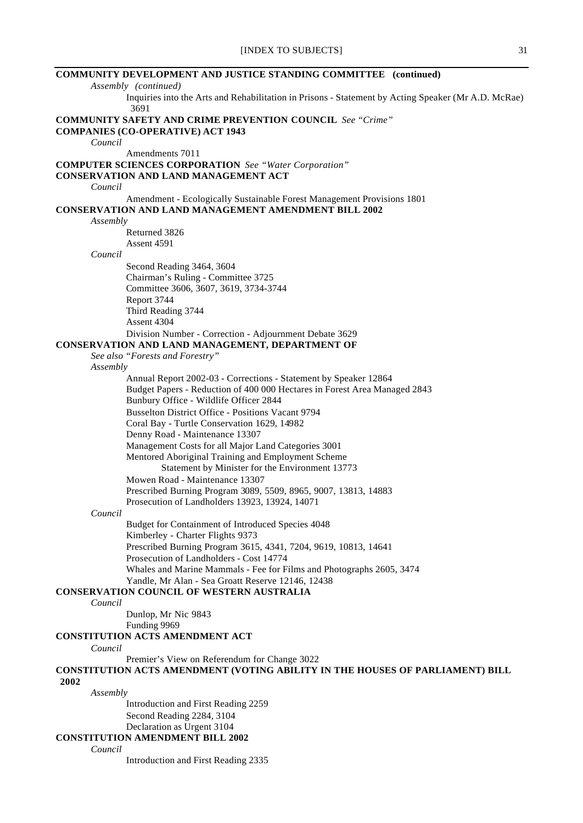| <b>COMMUNITY DEVELOPMENT AND JUSTICE STANDING COMMITTEE</b> (continued)                                     |
|-------------------------------------------------------------------------------------------------------------|
| Assembly (continued)                                                                                        |
| Inquiries into the Arts and Rehabilitation in Prisons - Statement by Acting Speaker (Mr A.D. McRae)<br>3691 |
| <b>COMMUNITY SAFETY AND CRIME PREVENTION COUNCIL</b> See "Crime"                                            |
| <b>COMPANIES (CO-OPERATIVE) ACT 1943</b>                                                                    |
| Council                                                                                                     |
| Amendments 7011                                                                                             |
| <b>COMPUTER SCIENCES CORPORATION</b> See "Water Corporation"                                                |
| <b>CONSERVATION AND LAND MANAGEMENT ACT</b>                                                                 |
| Council                                                                                                     |
| Amendment - Ecologically Sustainable Forest Management Provisions 1801                                      |
| <b>CONSERVATION AND LAND MANAGEMENT AMENDMENT BILL 2002</b>                                                 |
| Assembly                                                                                                    |
| Returned 3826                                                                                               |
| Assent 4591                                                                                                 |
| Council                                                                                                     |
| Second Reading 3464, 3604                                                                                   |
| Chairman's Ruling - Committee 3725                                                                          |
| Committee 3606, 3607, 3619, 3734-3744                                                                       |
| Report 3744                                                                                                 |
| Third Reading 3744                                                                                          |
| Assent 4304                                                                                                 |
| Division Number - Correction - Adjournment Debate 3629                                                      |
| CONSERVATION AND LAND MANAGEMENT, DEPARTMENT OF                                                             |
| See also "Forests and Forestry"                                                                             |
| Assembly                                                                                                    |
| Annual Report 2002-03 - Corrections - Statement by Speaker 12864                                            |
| Budget Papers - Reduction of 400 000 Hectares in Forest Area Managed 2843                                   |
| Bunbury Office - Wildlife Officer 2844                                                                      |
| <b>Busselton District Office - Positions Vacant 9794</b>                                                    |
| Coral Bay - Turtle Conservation 1629, 14982                                                                 |
| Denny Road - Maintenance 13307                                                                              |
| Management Costs for all Major Land Categories 3001                                                         |
| Mentored Aboriginal Training and Employment Scheme                                                          |
| Statement by Minister for the Environment 13773                                                             |
| Mowen Road - Maintenance 13307                                                                              |
| Prescribed Burning Program 3089, 5509, 8965, 9007, 13813, 14883                                             |
| Prosecution of Landholders 13923, 13924, 14071                                                              |
| Council                                                                                                     |
| Budget for Containment of Introduced Species 4048                                                           |
| Kimberley - Charter Flights 9373                                                                            |
| Prescribed Burning Program 3615, 4341, 7204, 9619, 10813, 14641                                             |
| Prosecution of Landholders - Cost 14774                                                                     |
| Whales and Marine Mammals - Fee for Films and Photographs 2605, 3474                                        |
| Yandle, Mr Alan - Sea Groatt Reserve 12146, 12438                                                           |
| <b>CONSERVATION COUNCIL OF WESTERN AUSTRALIA</b>                                                            |
| Council                                                                                                     |
| Dunlop, Mr Nic 9843                                                                                         |
| Funding 9969                                                                                                |
| CONSTITUTION ACTS AMENDMENT ACT                                                                             |
| Council                                                                                                     |
| Premier's View on Referendum for Change 3022                                                                |
| <b>CONSTITUTION ACTS AMENDMENT (VOTING ABILITY IN THE HOUSES OF PARLIAMENT) BILL</b>                        |
| 2002                                                                                                        |
| Assembly                                                                                                    |
| Introduction and First Reading 2259                                                                         |
| Second Reading 2284, 3104                                                                                   |
| Declaration as Urgent 3104                                                                                  |
| <b>CONSTITUTION AMENDMENT BILL 2002</b>                                                                     |
| Council                                                                                                     |
| Introduction and First Reading 2335                                                                         |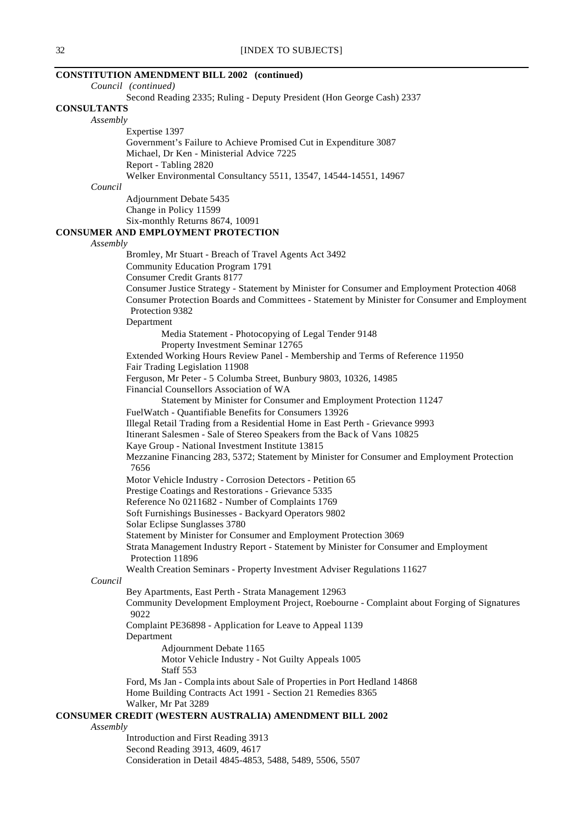### **CONSTITUTION AMENDMENT BILL 2002 (continued)**

|                    | Council (continued)                                                                                 |
|--------------------|-----------------------------------------------------------------------------------------------------|
|                    | Second Reading 2335; Ruling - Deputy President (Hon George Cash) 2337                               |
| <b>CONSULTANTS</b> |                                                                                                     |
| Assembly           |                                                                                                     |
|                    | Expertise 1397                                                                                      |
|                    | Government's Failure to Achieve Promised Cut in Expenditure 3087                                    |
|                    | Michael, Dr Ken - Ministerial Advice 7225                                                           |
|                    | Report - Tabling 2820                                                                               |
|                    | Welker Environmental Consultancy 5511, 13547, 14544-14551, 14967                                    |
| Council            |                                                                                                     |
|                    | Adjournment Debate 5435                                                                             |
|                    | Change in Policy 11599                                                                              |
|                    | Six-monthly Returns 8674, 10091                                                                     |
|                    | <b>CONSUMER AND EMPLOYMENT PROTECTION</b>                                                           |
| Assembly           |                                                                                                     |
|                    | Bromley, Mr Stuart - Breach of Travel Agents Act 3492                                               |
|                    | <b>Community Education Program 1791</b>                                                             |
|                    | Consumer Credit Grants 8177                                                                         |
|                    | Consumer Justice Strategy - Statement by Minister for Consumer and Employment Protection 4068       |
|                    | Consumer Protection Boards and Committees - Statement by Minister for Consumer and Employment       |
|                    | Protection 9382                                                                                     |
|                    | Department                                                                                          |
|                    | Media Statement - Photocopying of Legal Tender 9148                                                 |
|                    | Property Investment Seminar 12765                                                                   |
|                    | Extended Working Hours Review Panel - Membership and Terms of Reference 11950                       |
|                    | Fair Trading Legislation 11908                                                                      |
|                    | Ferguson, Mr Peter - 5 Columba Street, Bunbury 9803, 10326, 14985                                   |
|                    | Financial Counsellors Association of WA                                                             |
|                    | Statement by Minister for Consumer and Employment Protection 11247                                  |
|                    | FuelWatch - Quantifiable Benefits for Consumers 13926                                               |
|                    | Illegal Retail Trading from a Residential Home in East Perth - Grievance 9993                       |
|                    | Itinerant Salesmen - Sale of Stereo Speakers from the Back of Vans 10825                            |
|                    | Kaye Group - National Investment Institute 13815                                                    |
|                    | Mezzanine Financing 283, 5372; Statement by Minister for Consumer and Employment Protection<br>7656 |
|                    | Motor Vehicle Industry - Corrosion Detectors - Petition 65                                          |
|                    | Prestige Coatings and Restorations - Grievance 5335                                                 |
|                    | Reference No 0211682 - Number of Complaints 1769                                                    |
|                    | Soft Furnishings Businesses - Backyard Operators 9802                                               |
|                    | Solar Eclipse Sunglasses 3780                                                                       |
|                    | Statement by Minister for Consumer and Employment Protection 3069                                   |
|                    | Strata Management Industry Report - Statement by Minister for Consumer and Employment               |
|                    | Protection 11896                                                                                    |
|                    | Wealth Creation Seminars - Property Investment Adviser Regulations 11627                            |
| Council            |                                                                                                     |
|                    | Bey Apartments, East Perth - Strata Management 12963                                                |
|                    | Community Development Employment Project, Roebourne - Complaint about Forging of Signatures<br>9022 |
|                    | Complaint PE36898 - Application for Leave to Appeal 1139                                            |
|                    | Department                                                                                          |
|                    | Adjournment Debate 1165                                                                             |
|                    | Motor Vehicle Industry - Not Guilty Appeals 1005<br>Staff 553                                       |
|                    | Ford, Ms Jan - Complaints about Sale of Properties in Port Hedland 14868                            |
|                    | Home Building Contracts Act 1991 - Section 21 Remedies 8365                                         |
|                    | Walker, Mr Pat 3289                                                                                 |
|                    | <b>CONSUMER CREDIT (WESTERN AUSTRALIA) AMENDMENT BILL 2002</b>                                      |
| Assembly           |                                                                                                     |
|                    | Introduction and First Reading 3913                                                                 |
|                    | Second Reading 3913, 4609, 4617                                                                     |
|                    | Consideration in Detail 4845-4853, 5488, 5489, 5506, 5507                                           |
|                    |                                                                                                     |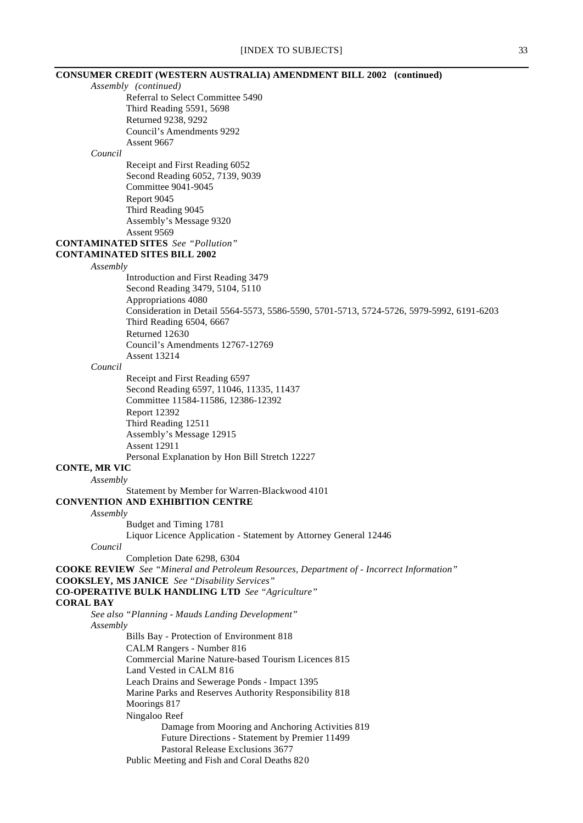|                                     | <b>CONSUMER CREDIT (WESTERN AUSTRALIA) AMENDMENT BILL 2002 (continued)</b>                |
|-------------------------------------|-------------------------------------------------------------------------------------------|
| Assembly (continued)                |                                                                                           |
|                                     | Referral to Select Committee 5490                                                         |
|                                     | Third Reading 5591, 5698                                                                  |
|                                     | Returned 9238, 9292                                                                       |
|                                     | Council's Amendments 9292                                                                 |
|                                     | Assent 9667                                                                               |
| Council                             |                                                                                           |
|                                     | Receipt and First Reading 6052<br>Second Reading 6052, 7139, 9039                         |
|                                     | Committee 9041-9045                                                                       |
|                                     | Report 9045                                                                               |
|                                     | Third Reading 9045                                                                        |
|                                     | Assembly's Message 9320                                                                   |
|                                     | Assent 9569                                                                               |
|                                     | <b>CONTAMINATED SITES</b> See "Pollution"                                                 |
| <b>CONTAMINATED SITES BILL 2002</b> |                                                                                           |
| Assembly                            |                                                                                           |
|                                     | Introduction and First Reading 3479                                                       |
|                                     | Second Reading 3479, 5104, 5110                                                           |
|                                     | Appropriations 4080                                                                       |
|                                     | Consideration in Detail 5564-5573, 5586-5590, 5701-5713, 5724-5726, 5979-5992, 6191-6203  |
|                                     | Third Reading 6504, 6667                                                                  |
|                                     | Returned 12630                                                                            |
|                                     | Council's Amendments 12767-12769                                                          |
|                                     | <b>Assent 13214</b>                                                                       |
| Council                             |                                                                                           |
|                                     | Receipt and First Reading 6597                                                            |
|                                     | Second Reading 6597, 11046, 11335, 11437                                                  |
|                                     | Committee 11584-11586, 12386-12392                                                        |
|                                     | <b>Report 12392</b>                                                                       |
|                                     | Third Reading 12511                                                                       |
|                                     | Assembly's Message 12915                                                                  |
|                                     | <b>Assent 12911</b><br>Personal Explanation by Hon Bill Stretch 12227                     |
| <b>CONTE, MR VIC</b>                |                                                                                           |
| Assembly                            |                                                                                           |
|                                     | Statement by Member for Warren-Blackwood 4101                                             |
|                                     | <b>CONVENTION AND EXHIBITION CENTRE</b>                                                   |
| Assembly                            |                                                                                           |
|                                     | Budget and Timing 1781                                                                    |
|                                     | Liquor Licence Application - Statement by Attorney General 12446                          |
| Council                             |                                                                                           |
|                                     | Completion Date 6298, 6304                                                                |
|                                     | COOKE REVIEW See "Mineral and Petroleum Resources, Department of - Incorrect Information" |
|                                     | <b>COOKSLEY, MS JANICE</b> See "Disability Services"                                      |
|                                     | <b>CO-OPERATIVE BULK HANDLING LTD</b> See "Agriculture"                                   |
| <b>CORAL BAY</b>                    |                                                                                           |
|                                     | See also "Planning - Mauds Landing Development"                                           |
| Assembly                            |                                                                                           |
|                                     | Bills Bay - Protection of Environment 818                                                 |
|                                     | CALM Rangers - Number 816                                                                 |
|                                     | Commercial Marine Nature-based Tourism Licences 815                                       |
|                                     | Land Vested in CALM 816                                                                   |
|                                     | Leach Drains and Sewerage Ponds - Impact 1395                                             |
|                                     | Marine Parks and Reserves Authority Responsibility 818                                    |
|                                     | Moorings 817                                                                              |
|                                     | Ningaloo Reef                                                                             |
|                                     | Damage from Mooring and Anchoring Activities 819                                          |
|                                     | Future Directions - Statement by Premier 11499<br>Pastoral Release Exclusions 3677        |
|                                     | Public Meeting and Fish and Coral Deaths 820                                              |
|                                     |                                                                                           |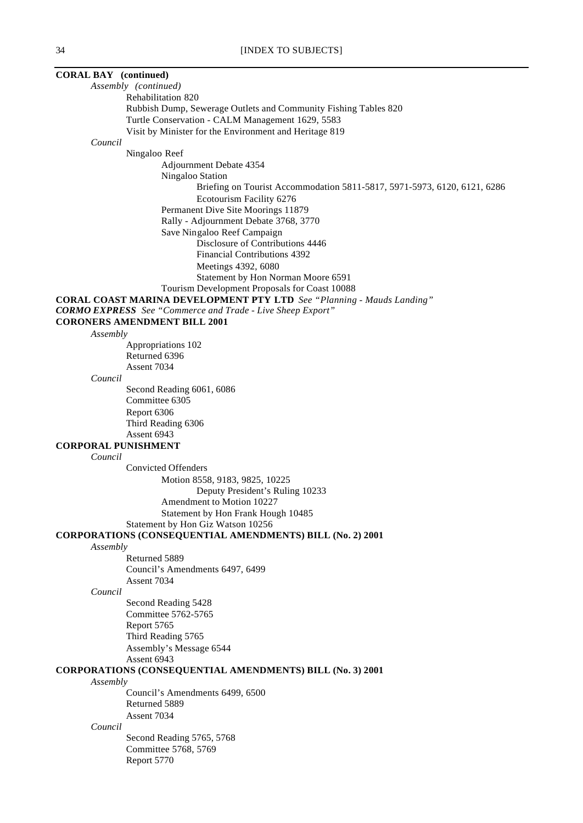| <b>CORAL BAY</b> (continued)                                                 |
|------------------------------------------------------------------------------|
| Assembly (continued)                                                         |
| Rehabilitation 820                                                           |
| Rubbish Dump, Sewerage Outlets and Community Fishing Tables 820              |
| Turtle Conservation - CALM Management 1629, 5583                             |
| Visit by Minister for the Environment and Heritage 819                       |
| Council                                                                      |
| Ningaloo Reef                                                                |
| Adjournment Debate 4354                                                      |
| Ningaloo Station                                                             |
| Briefing on Tourist Accommodation 5811-5817, 5971-5973, 6120, 6121, 6286     |
| Ecotourism Facility 6276                                                     |
| Permanent Dive Site Moorings 11879                                           |
| Rally - Adjournment Debate 3768, 3770                                        |
| Save Ningaloo Reef Campaign<br>Disclosure of Contributions 4446              |
| Financial Contributions 4392                                                 |
| Meetings 4392, 6080                                                          |
| Statement by Hon Norman Moore 6591                                           |
| Tourism Development Proposals for Coast 10088                                |
| <b>CORAL COAST MARINA DEVELOPMENT PTY LTD</b> See "Planning - Mauds Landing" |
| <b>CORMO EXPRESS</b> See "Commerce and Trade - Live Sheep Export"            |
| <b>CORONERS AMENDMENT BILL 2001</b>                                          |
| Assembly                                                                     |
| Appropriations 102                                                           |
| Returned 6396                                                                |
| Assent 7034                                                                  |
| Council                                                                      |
| Second Reading 6061, 6086                                                    |
| Committee 6305                                                               |
| Report 6306                                                                  |
| Third Reading 6306                                                           |
| Assent 6943                                                                  |
| <b>CORPORAL PUNISHMENT</b>                                                   |
| Council<br><b>Convicted Offenders</b>                                        |
| Motion 8558, 9183, 9825, 10225                                               |
| Deputy President's Ruling 10233                                              |
| Amendment to Motion 10227                                                    |
| Statement by Hon Frank Hough 10485                                           |
| Statement by Hon Giz Watson 10256                                            |
| <b>CORPORATIONS (CONSEQUENTIAL AMENDMENTS) BILL (No. 2) 2001</b>             |
| Assembly                                                                     |
| Returned 5889                                                                |
| Council's Amendments 6497, 6499                                              |
| Assent 7034                                                                  |
| Council                                                                      |
| Second Reading 5428                                                          |
| Committee 5762-5765                                                          |
| Report 5765                                                                  |
| Third Reading 5765                                                           |
| Assembly's Message 6544                                                      |
| Assent 6943                                                                  |
| <b>CORPORATIONS (CONSEQUENTIAL AMENDMENTS) BILL (No. 3) 2001</b>             |
| Assembly<br>Council's Amendments 6499, 6500                                  |
| Returned 5889                                                                |
| Assent 7034                                                                  |
| Council                                                                      |
| Second Reading 5765, 5768                                                    |
| Committee 5768, 5769                                                         |
| Report 5770                                                                  |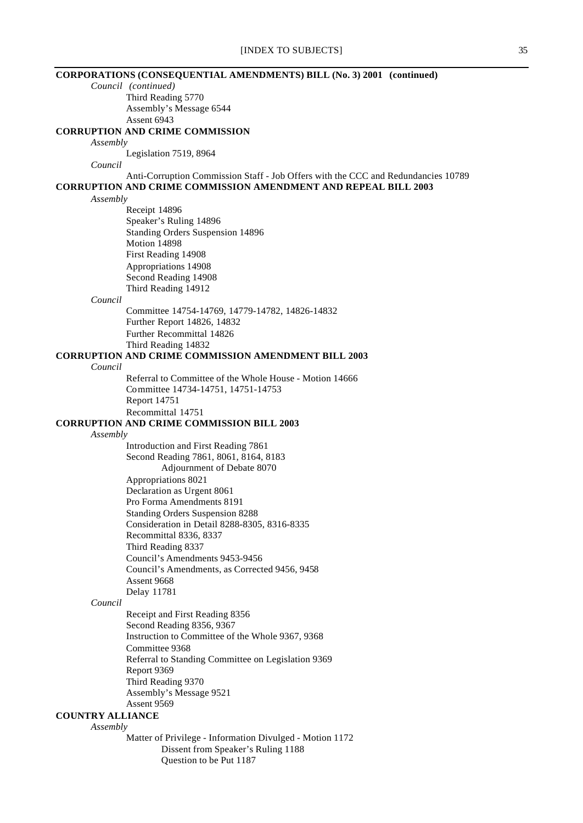|          | [INDEX TO SUBJECTS]                                                               | 35 |
|----------|-----------------------------------------------------------------------------------|----|
|          | CORPORATIONS (CONSEQUENTIAL AMENDMENTS) BILL (No. 3) 2001 (continued)             |    |
|          | Council (continued)                                                               |    |
|          | Third Reading 5770                                                                |    |
|          | Assembly's Message 6544                                                           |    |
|          | Assent 6943                                                                       |    |
|          | <b>CORRUPTION AND CRIME COMMISSION</b>                                            |    |
| Assembly |                                                                                   |    |
| Council  | Legislation 7519, 8964                                                            |    |
|          | Anti-Corruption Commission Staff - Job Offers with the CCC and Redundancies 10789 |    |
|          | <b>CORRUPTION AND CRIME COMMISSION AMENDMENT AND REPEAL BILL 2003</b>             |    |
| Assembly |                                                                                   |    |
|          | Receipt 14896                                                                     |    |
|          | Speaker's Ruling 14896                                                            |    |
|          | Standing Orders Suspension 14896                                                  |    |
|          | Motion 14898                                                                      |    |
|          | First Reading 14908                                                               |    |
|          | Appropriations 14908                                                              |    |
|          | Second Reading 14908                                                              |    |
|          | Third Reading 14912                                                               |    |
| Council  |                                                                                   |    |
|          | Committee 14754-14769, 14779-14782, 14826-14832                                   |    |
|          | Further Report 14826, 14832                                                       |    |
|          | Further Recommittal 14826                                                         |    |
|          | Third Reading 14832<br><b>CORRUPTION AND CRIME COMMISSION AMENDMENT BILL 2003</b> |    |
| Council  |                                                                                   |    |
|          | Referral to Committee of the Whole House - Motion 14666                           |    |
|          | Committee 14734-14751, 14751-14753                                                |    |
|          | Report 14751                                                                      |    |
|          | Recommittal 14751                                                                 |    |
|          | <b>CORRUPTION AND CRIME COMMISSION BILL 2003</b>                                  |    |
| Assembly |                                                                                   |    |
|          | Introduction and First Reading 7861                                               |    |
|          | Second Reading 7861, 8061, 8164, 8183                                             |    |
|          | Adjournment of Debate 8070                                                        |    |
|          | Appropriations 8021                                                               |    |
|          | Declaration as Urgent 8061                                                        |    |
|          | Pro Forma Amendments 8191                                                         |    |
|          | <b>Standing Orders Suspension 8288</b>                                            |    |
|          | Consideration in Detail 8288-8305, 8316-8335<br>Recommittal 8336, 8337            |    |
|          | Third Reading 8337                                                                |    |
|          | Council's Amendments 9453-9456                                                    |    |
|          | Council's Amendments, as Corrected 9456, 9458                                     |    |
|          | Assent 9668                                                                       |    |
|          | Delay 11781                                                                       |    |
| Council  |                                                                                   |    |
|          | Receipt and First Reading 8356                                                    |    |
|          | Second Reading 8356, 9367                                                         |    |
|          | Instruction to Committee of the Whole 9367, 9368                                  |    |
|          | Committee 9368                                                                    |    |
|          | Referral to Standing Committee on Legislation 9369                                |    |
|          | Report 9369                                                                       |    |
|          | Third Reading 9370                                                                |    |
|          | Assembly's Message 9521                                                           |    |
|          | Assent 9569                                                                       |    |

# **COUNTRY ALLIANCE**

### *Assembly*

Matter of Privilege - Information Divulged - Motion 1172 Dissent from Speaker's Ruling 1188 Dissent from Speaker's Ruling 1188<br>Question to be Put 1187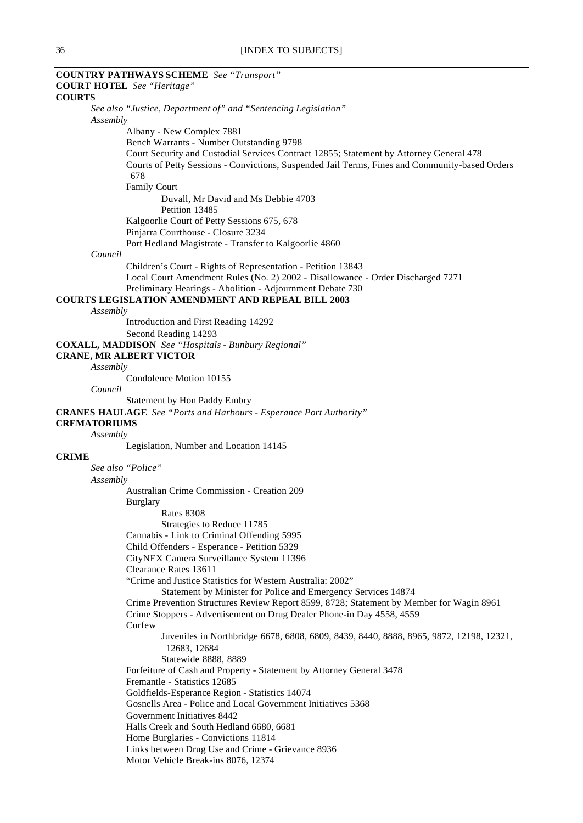## **COUNTRY PATHWAYS SCHEME** *See "Transport"* **COURT HOTEL** *See "Heritage"* **COURTS** *See also "Justice, Department of" and "Sentencing Legislation" Assembly* Albany - New Complex 7881 Bench Warrants - Number Outstanding 9798 Court Security and Custodial Services Contract 12855; Statement by Attorney General 478 Courts of Petty Sessions - Convictions, Suspended Jail Terms, Fines and Community-based Orders 678 Family Court Duvall, Mr David and Ms Debbie 4703 Petition 13485 Kalgoorlie Court of Petty Sessions 675, 678 Pinjarra Courthouse - Closure 3234 Port Hedland Magistrate - Transfer to Kalgoorlie 4860 *Council* Children's Court - Rights of Representation - Petition 13843 Local Court Amendment Rules (No. 2) 2002 - Disallowance - Order Discharged 7271 Preliminary Hearings - Abolition - Adjournment Debate 730 **COURTS LEGISLATION AMENDMENT AND REPEAL BILL 2003** *Assembly* Introduction and First Reading 14292 Second Reading 14293 **COXALL, MADDISON** *See "Hospitals - Bunbury Regional"* **CRANE, MR ALBERT VICTOR** *Assembly* Condolence Motion 10155 *Council* Statement by Hon Paddy Embry **CRANES HAULAGE** *See "Ports and Harbours - Esperance Port Authority"* **CREMATORIUMS** *Assembly* Legislation, Number and Location 14145 **CRIME** *See also "Police" Assembly* Australian Crime Commission - Creation 209 Burglary Rates 8308 Strategies to Reduce 11785 Cannabis - Link to Criminal Offending 5995 Child Offenders - Esperance - Petition 5329 CityNEX Camera Surveillance System 11396 Clearance Rates 13611 "Crime and Justice Statistics for Western Australia: 2002" Statement by Minister for Police and Emergency Services 14874 Crime Prevention Structures Review Report 8599, 8728; Statement by Member for Wagin 8961 Crime Stoppers - Advertisement on Drug Dealer Phone-in Day 4558, 4559 Curfew Juveniles in Northbridge 6678, 6808, 6809, 8439, 8440, 8888, 8965, 9872, 12198, 12321, 12683, 12684 Statewide 8888, 8889 Forfeiture of Cash and Property - Statement by Attorney General 3478 Fremantle - Statistics 12685 Goldfields-Esperance Region - Statistics 14074 Gosnells Area - Police and Local Government Initiatives 5368 Government Initiatives 8442 Halls Creek and South Hedland 6680, 6681 Home Burglaries - Convictions 11814 Links between Drug Use and Crime - Grievance 8936 Motor Vehicle Break-ins 8076, 12374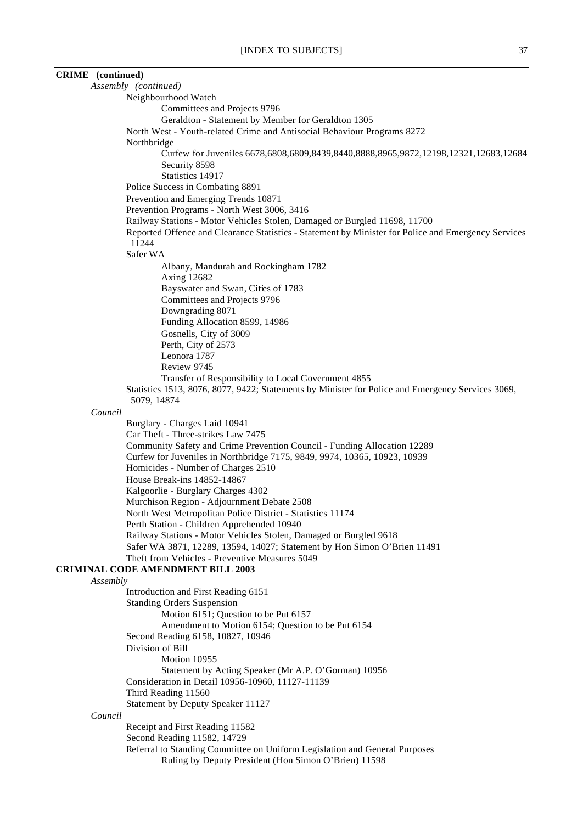# **CRIME (continued)**

|          | Assembly (continued)                                                                                |
|----------|-----------------------------------------------------------------------------------------------------|
|          | Neighbourhood Watch                                                                                 |
|          | Committees and Projects 9796                                                                        |
|          | Geraldton - Statement by Member for Geraldton 1305                                                  |
|          | North West - Youth-related Crime and Antisocial Behaviour Programs 8272                             |
|          | Northbridge                                                                                         |
|          | Curfew for Juveniles 6678,6808,6809,8439,8440,8888,8965,9872,12198,12321,12683,12684                |
|          | Security 8598                                                                                       |
|          | Statistics 14917                                                                                    |
|          | Police Success in Combating 8891                                                                    |
|          | Prevention and Emerging Trends 10871                                                                |
|          | Prevention Programs - North West 3006, 3416                                                         |
|          | Railway Stations - Motor Vehicles Stolen, Damaged or Burgled 11698, 11700                           |
|          | Reported Offence and Clearance Statistics - Statement by Minister for Police and Emergency Services |
|          | 11244                                                                                               |
|          | Safer WA                                                                                            |
|          | Albany, Mandurah and Rockingham 1782                                                                |
|          | <b>Axing 12682</b>                                                                                  |
|          | Bayswater and Swan, Cities of 1783                                                                  |
|          | Committees and Projects 9796                                                                        |
|          | Downgrading 8071                                                                                    |
|          | Funding Allocation 8599, 14986                                                                      |
|          | Gosnells, City of 3009                                                                              |
|          | Perth, City of 2573                                                                                 |
|          | Leonora 1787                                                                                        |
|          | Review 9745                                                                                         |
|          | Transfer of Responsibility to Local Government 4855                                                 |
|          | Statistics 1513, 8076, 8077, 9422; Statements by Minister for Police and Emergency Services 3069,   |
|          | 5079, 14874                                                                                         |
| Council  |                                                                                                     |
|          | Burglary - Charges Laid 10941                                                                       |
|          | Car Theft - Three-strikes Law 7475                                                                  |
|          | Community Safety and Crime Prevention Council - Funding Allocation 12289                            |
|          | Curfew for Juveniles in Northbridge 7175, 9849, 9974, 10365, 10923, 10939                           |
|          | Homicides - Number of Charges 2510                                                                  |
|          | House Break-ins 14852-14867                                                                         |
|          | Kalgoorlie - Burglary Charges 4302                                                                  |
|          | Murchison Region - Adjournment Debate 2508                                                          |
|          | North West Metropolitan Police District - Statistics 11174                                          |
|          | Perth Station - Children Apprehended 10940                                                          |
|          | Railway Stations - Motor Vehicles Stolen, Damaged or Burgled 9618                                   |
|          | Safer WA 3871, 12289, 13594, 14027; Statement by Hon Simon O'Brien 11491                            |
|          | Theft from Vehicles - Preventive Measures 5049                                                      |
|          | <b>CRIMINAL CODE AMENDMENT BILL 2003</b>                                                            |
| Assembly |                                                                                                     |
|          | Introduction and First Reading 6151                                                                 |
|          | <b>Standing Orders Suspension</b>                                                                   |
|          | Motion 6151; Question to be Put 6157                                                                |
|          | Amendment to Motion 6154; Question to be Put 6154                                                   |
|          | Second Reading 6158, 10827, 10946                                                                   |
|          | Division of Bill                                                                                    |
|          | Motion 10955                                                                                        |
|          | Statement by Acting Speaker (Mr A.P. O'Gorman) 10956                                                |
|          | Consideration in Detail 10956-10960, 11127-11139                                                    |
|          | Third Reading 11560                                                                                 |
|          | Statement by Deputy Speaker 11127                                                                   |
| Council  |                                                                                                     |
|          | Receipt and First Reading 11582                                                                     |
|          | Second Reading 11582, 14729                                                                         |
|          | Referral to Standing Committee on Uniform Legislation and General Purposes                          |
|          | Ruling by Deputy President (Hon Simon O'Brien) 11598                                                |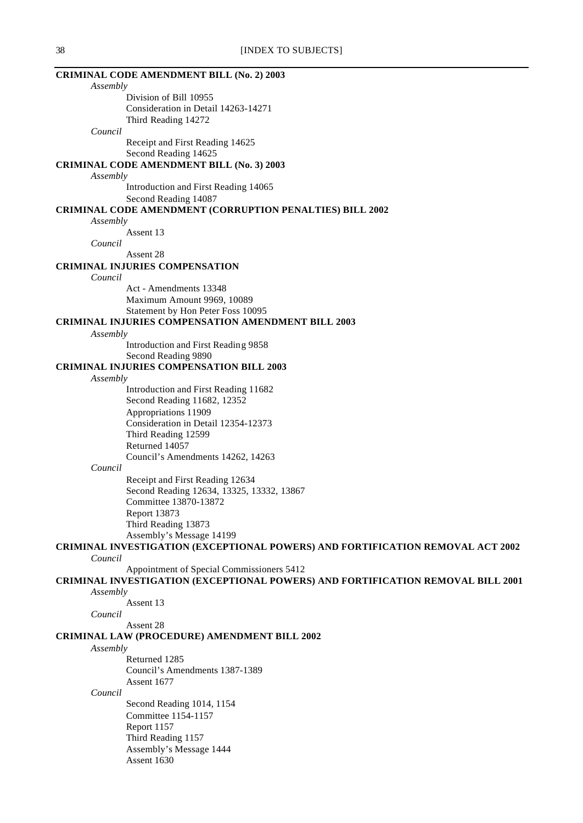| 38 | [INDEX TO SUBJECTS]                                                                    |
|----|----------------------------------------------------------------------------------------|
|    | <b>CRIMINAL CODE AMENDMENT BILL (No. 2) 2003</b>                                       |
|    | Assembly                                                                               |
|    | Division of Bill 10955<br>Consideration in Detail 14263-14271                          |
|    | Third Reading 14272                                                                    |
|    | Council                                                                                |
|    | Receipt and First Reading 14625                                                        |
|    | Second Reading 14625                                                                   |
|    | <b>CRIMINAL CODE AMENDMENT BILL (No. 3) 2003</b>                                       |
|    | Assembly                                                                               |
|    | Introduction and First Reading 14065                                                   |
|    | Second Reading 14087                                                                   |
|    | <b>CRIMINAL CODE AMENDMENT (CORRUPTION PENALTIES) BILL 2002</b>                        |
|    | Assembly                                                                               |
|    | Assent 13                                                                              |
|    | Council                                                                                |
|    | Assent 28                                                                              |
|    | <b>CRIMINAL INJURIES COMPENSATION</b>                                                  |
|    | Council                                                                                |
|    | Act - Amendments 13348                                                                 |
|    | Maximum Amount 9969, 10089                                                             |
|    | Statement by Hon Peter Foss 10095                                                      |
|    | <b>CRIMINAL INJURIES COMPENSATION AMENDMENT BILL 2003</b>                              |
|    | Assembly                                                                               |
|    | Introduction and First Reading 9858                                                    |
|    | Second Reading 9890                                                                    |
|    | <b>CRIMINAL INJURIES COMPENSATION BILL 2003</b>                                        |
|    | Assembly                                                                               |
|    | Introduction and First Reading 11682                                                   |
|    | Second Reading 11682, 12352                                                            |
|    | Appropriations 11909                                                                   |
|    | Consideration in Detail 12354-12373                                                    |
|    | Third Reading 12599                                                                    |
|    | Returned 14057                                                                         |
|    | Council's Amendments 14262, 14263<br>Council                                           |
|    |                                                                                        |
|    | Receipt and First Reading 12634<br>Second Reading 12634, 13325, 13332, 13867           |
|    | Committee 13870-13872                                                                  |
|    | Report 13873                                                                           |
|    | Third Reading 13873                                                                    |
|    | Assembly's Message 14199                                                               |
|    | <b>CRIMINAL INVESTIGATION (EXCEPTIONAL POWERS) AND FORTIFICATION REMOVAL ACT 2002</b>  |
|    | Council                                                                                |
|    | Appointment of Special Commissioners 5412                                              |
|    | <b>CRIMINAL INVESTIGATION (EXCEPTIONAL POWERS) AND FORTIFICATION REMOVAL BILL 2001</b> |
|    | Assembly                                                                               |
|    | Assent 13                                                                              |
|    | Council                                                                                |
|    | Assent 28                                                                              |
|    | CRIMINAL LAW (PROCEDURE) AMENDMENT BILL 2002                                           |
|    | Assembly                                                                               |
|    | Returned 1285                                                                          |
|    | Council's Amendments 1387-1389                                                         |
|    | Assent 1677                                                                            |
|    | Council                                                                                |
|    | Second Reading 1014, 1154                                                              |
|    | Committee 1154-1157                                                                    |
|    | Report 1157                                                                            |
|    | Third Reading 1157                                                                     |
|    | Assembly's Message 1444                                                                |

Assent 1630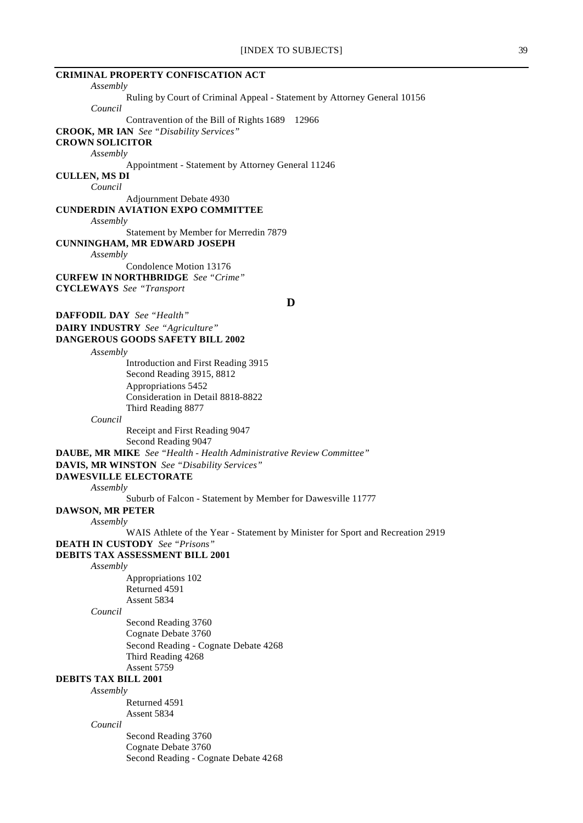| <b>CRIMINAL PROPERTY CONFISCATION ACT</b>                                      |
|--------------------------------------------------------------------------------|
| Assembly                                                                       |
| Ruling by Court of Criminal Appeal - Statement by Attorney General 10156       |
| Council                                                                        |
| Contravention of the Bill of Rights 1689<br>12966                              |
| <b>CROOK, MR IAN</b> See "Disability Services"                                 |
| <b>CROWN SOLICITOR</b>                                                         |
| Assembly                                                                       |
| Appointment - Statement by Attorney General 11246                              |
| <b>CULLEN, MS DI</b><br>Council                                                |
|                                                                                |
| Adjournment Debate 4930<br><b>CUNDERDIN AVIATION EXPO COMMITTEE</b>            |
| Assembly                                                                       |
| Statement by Member for Merredin 7879                                          |
| <b>CUNNINGHAM, MR EDWARD JOSEPH</b>                                            |
| Assembly                                                                       |
| Condolence Motion 13176                                                        |
| <b>CURFEW IN NORTHBRIDGE</b> See "Crime"                                       |
| <b>CYCLEWAYS</b> See "Transport                                                |
| D                                                                              |
|                                                                                |
| <b>DAFFODIL DAY</b> See "Health"                                               |
| <b>DAIRY INDUSTRY</b> See "Agriculture"                                        |
| DANGEROUS GOODS SAFETY BILL 2002                                               |
| Assembly                                                                       |
| Introduction and First Reading 3915                                            |
| Second Reading 3915, 8812                                                      |
| Appropriations 5452                                                            |
| Consideration in Detail 8818-8822                                              |
| Third Reading 8877                                                             |
| Council                                                                        |
| Receipt and First Reading 9047                                                 |
| Second Reading 9047                                                            |
| DAUBE, MR MIKE See "Health - Health Administrative Review Committee"           |
| <b>DAVIS, MR WINSTON</b> See "Disability Services"                             |
| <b>DAWESVILLE ELECTORATE</b>                                                   |
| Assembly<br>Suburb of Falcon - Statement by Member for Dawesville 11777        |
| <b>DAWSON, MR PETER</b>                                                        |
| Assembly                                                                       |
| WAIS Athlete of the Year - Statement by Minister for Sport and Recreation 2919 |
| <b>DEATH IN CUSTODY</b> See "Prisons"                                          |
| DEBITS TAX ASSESSMENT BILL 2001                                                |
| Assembly                                                                       |
| Appropriations 102                                                             |
| Returned 4591                                                                  |
| Assent 5834                                                                    |
| Council                                                                        |
| Second Reading 3760                                                            |
| Cognate Debate 3760                                                            |
| Second Reading - Cognate Debate 4268                                           |
| Third Reading 4268                                                             |
| Assent 5759                                                                    |
| <b>DEBITS TAX BILL 2001</b>                                                    |
| Assembly                                                                       |
| Returned 4591                                                                  |
| Assent 5834                                                                    |
| Council                                                                        |
| Second Reading 3760                                                            |

Cognate Debate 3760

Second Reading - Cognate Debate 4268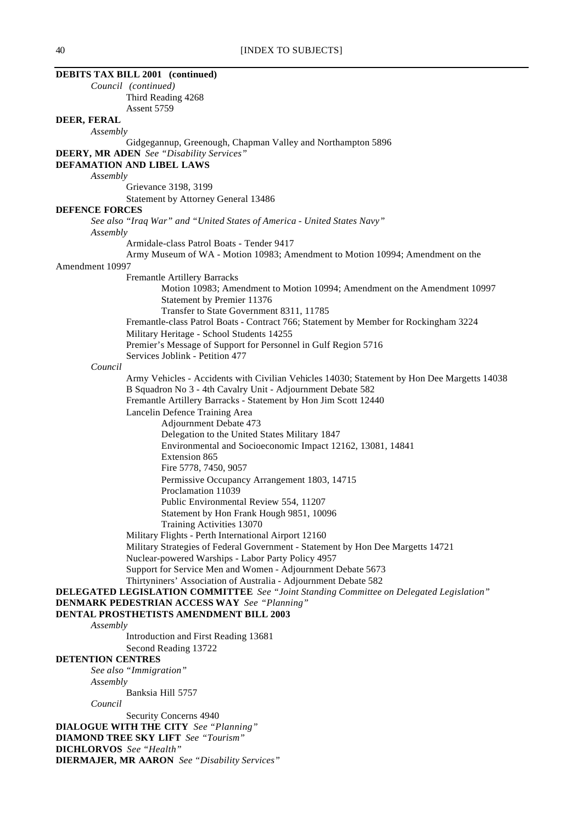| <b>DEBITS TAX BILL 2001</b> (continued)                                                     |
|---------------------------------------------------------------------------------------------|
| Council (continued)                                                                         |
| Third Reading 4268                                                                          |
| Assent 5759                                                                                 |
| DEER, FERAL                                                                                 |
| Assembly                                                                                    |
| Gidgegannup, Greenough, Chapman Valley and Northampton 5896                                 |
| <b>DEERY, MR ADEN</b> See "Disability Services"                                             |
| DEFAMATION AND LIBEL LAWS                                                                   |
| Assembly                                                                                    |
| Grievance 3198, 3199                                                                        |
| Statement by Attorney General 13486                                                         |
| <b>DEFENCE FORCES</b>                                                                       |
| See also "Iraq War" and "United States of America - United States Navy"                     |
| Assembly                                                                                    |
| Armidale-class Patrol Boats - Tender 9417                                                   |
| Army Museum of WA - Motion 10983; Amendment to Motion 10994; Amendment on the               |
| Amendment 10997<br><b>Fremantle Artillery Barracks</b>                                      |
| Motion 10983; Amendment to Motion 10994; Amendment on the Amendment 10997                   |
| Statement by Premier 11376                                                                  |
| Transfer to State Government 8311, 11785                                                    |
| Fremantle-class Patrol Boats - Contract 766; Statement by Member for Rockingham 3224        |
| Military Heritage - School Students 14255                                                   |
| Premier's Message of Support for Personnel in Gulf Region 5716                              |
| Services Joblink - Petition 477                                                             |
| Council                                                                                     |
| Army Vehicles - Accidents with Civilian Vehicles 14030; Statement by Hon Dee Margetts 14038 |
| B Squadron No 3 - 4th Cavalry Unit - Adjournment Debate 582                                 |
| Fremantle Artillery Barracks - Statement by Hon Jim Scott 12440                             |
| Lancelin Defence Training Area                                                              |
| Adjournment Debate 473                                                                      |
| Delegation to the United States Military 1847                                               |
| Environmental and Socioeconomic Impact 12162, 13081, 14841                                  |
| Extension 865                                                                               |
| Fire 5778, 7450, 9057                                                                       |
| Permissive Occupancy Arrangement 1803, 14715                                                |
| Proclamation 11039                                                                          |
| Public Environmental Review 554, 11207<br>Statement by Hon Frank Hough 9851, 10096          |
| Training Activities 13070                                                                   |
| Military Flights - Perth International Airport 12160                                        |
| Military Strategies of Federal Government - Statement by Hon Dee Margetts 14721             |
| Nuclear-powered Warships - Labor Party Policy 4957                                          |
| Support for Service Men and Women - Adjournment Debate 5673                                 |
| Thirtyniners' Association of Australia - Adjournment Debate 582                             |
| DELEGATED LEGISLATION COMMITTEE See "Joint Standing Committee on Delegated Legislation"     |
| <b>DENMARK PEDESTRIAN ACCESS WAY</b> See "Planning"                                         |
| DENTAL PROSTHETISTS AMENDMENT BILL 2003                                                     |
| Assembly                                                                                    |
| Introduction and First Reading 13681                                                        |
| Second Reading 13722                                                                        |
| <b>DETENTION CENTRES</b>                                                                    |
| See also "Immigration"                                                                      |
| Assembly<br>Banksia Hill 5757                                                               |
| Council                                                                                     |
| Security Concerns 4940                                                                      |
| <b>DIALOGUE WITH THE CITY</b> See "Planning"                                                |
| <b>DIAMOND TREE SKY LIFT</b> See "Tourism"                                                  |
| <b>DICHLORVOS</b> See "Health"                                                              |
| <b>DIERMAJER, MR AARON</b> See "Disability Services"                                        |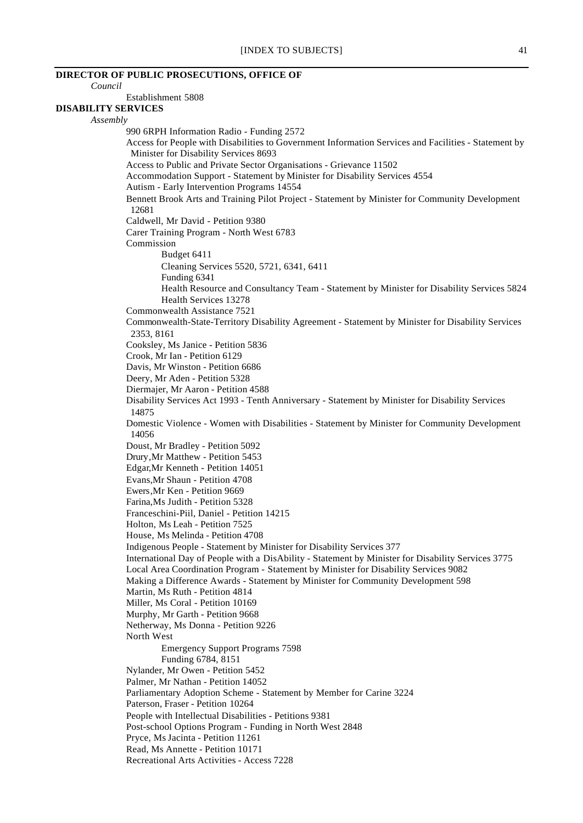| <b>DIRECTOR OF PUBLIC PROSECUTIONS, OFFICE OF</b>                      |                                                                                                                    |
|------------------------------------------------------------------------|--------------------------------------------------------------------------------------------------------------------|
| Council                                                                |                                                                                                                    |
| Establishment 5808<br><b>DISABILITY SERVICES</b>                       |                                                                                                                    |
|                                                                        |                                                                                                                    |
| Assembly                                                               | 990 6RPH Information Radio - Funding 2572                                                                          |
|                                                                        | Access for People with Disabilities to Government Information Services and Facilities - Statement by               |
| Minister for Disability Services 8693                                  |                                                                                                                    |
|                                                                        | Access to Public and Private Sector Organisations - Grievance 11502                                                |
|                                                                        | Accommodation Support - Statement by Minister for Disability Services 4554                                         |
|                                                                        | Autism - Early Intervention Programs 14554                                                                         |
|                                                                        | Bennett Brook Arts and Training Pilot Project - Statement by Minister for Community Development                    |
| 12681                                                                  |                                                                                                                    |
| Caldwell, Mr David - Petition 9380                                     |                                                                                                                    |
|                                                                        | Carer Training Program - North West 6783                                                                           |
| Commission                                                             |                                                                                                                    |
| Budget 6411                                                            |                                                                                                                    |
|                                                                        | Cleaning Services 5520, 5721, 6341, 6411                                                                           |
| Funding 6341                                                           |                                                                                                                    |
|                                                                        | Health Resource and Consultancy Team - Statement by Minister for Disability Services 5824<br>Health Services 13278 |
| Commonwealth Assistance 7521                                           |                                                                                                                    |
|                                                                        | Commonwealth-State-Territory Disability Agreement - Statement by Minister for Disability Services                  |
| 2353, 8161                                                             |                                                                                                                    |
| Cooksley, Ms Janice - Petition 5836                                    |                                                                                                                    |
| Crook, Mr Ian - Petition 6129                                          |                                                                                                                    |
| Davis, Mr Winston - Petition 6686                                      |                                                                                                                    |
| Deery, Mr Aden - Petition 5328                                         |                                                                                                                    |
| Diermajer, Mr Aaron - Petition 4588                                    |                                                                                                                    |
|                                                                        | Disability Services Act 1993 - Tenth Anniversary - Statement by Minister for Disability Services                   |
| 14875                                                                  |                                                                                                                    |
|                                                                        | Domestic Violence - Women with Disabilities - Statement by Minister for Community Development                      |
| 14056                                                                  |                                                                                                                    |
| Doust, Mr Bradley - Petition 5092<br>Drury, Mr Matthew - Petition 5453 |                                                                                                                    |
| Edgar, Mr Kenneth - Petition 14051                                     |                                                                                                                    |
| Evans, Mr Shaun - Petition 4708                                        |                                                                                                                    |
| Ewers, Mr Ken - Petition 9669                                          |                                                                                                                    |
| Farina, Ms Judith - Petition 5328                                      |                                                                                                                    |
|                                                                        | Franceschini-Piil, Daniel - Petition 14215                                                                         |
| Holton, Ms Leah - Petition 7525                                        |                                                                                                                    |
| House, Ms Melinda - Petition 4708                                      |                                                                                                                    |
|                                                                        | Indigenous People - Statement by Minister for Disability Services 377                                              |
|                                                                        | International Day of People with a DisAbility - Statement by Minister for Disability Services 3775                 |
|                                                                        | Local Area Coordination Program - Statement by Minister for Disability Services 9082                               |
|                                                                        | Making a Difference Awards - Statement by Minister for Community Development 598                                   |
| Martin, Ms Ruth - Petition 4814                                        |                                                                                                                    |
| Miller, Ms Coral - Petition 10169<br>Murphy, Mr Garth - Petition 9668  |                                                                                                                    |
| Netherway, Ms Donna - Petition 9226                                    |                                                                                                                    |
| North West                                                             |                                                                                                                    |
|                                                                        | <b>Emergency Support Programs 7598</b>                                                                             |
| Funding 6784, 8151                                                     |                                                                                                                    |
| Nylander, Mr Owen - Petition 5452                                      |                                                                                                                    |
| Palmer, Mr Nathan - Petition 14052                                     |                                                                                                                    |
|                                                                        | Parliamentary Adoption Scheme - Statement by Member for Carine 3224                                                |
| Paterson, Fraser - Petition 10264                                      |                                                                                                                    |
|                                                                        | People with Intellectual Disabilities - Petitions 9381                                                             |
|                                                                        | Post-school Options Program - Funding in North West 2848                                                           |
| Pryce, Ms Jacinta - Petition 11261                                     |                                                                                                                    |
| Read, Ms Annette - Petition 10171                                      |                                                                                                                    |
|                                                                        | Recreational Arts Activities - Access 7228                                                                         |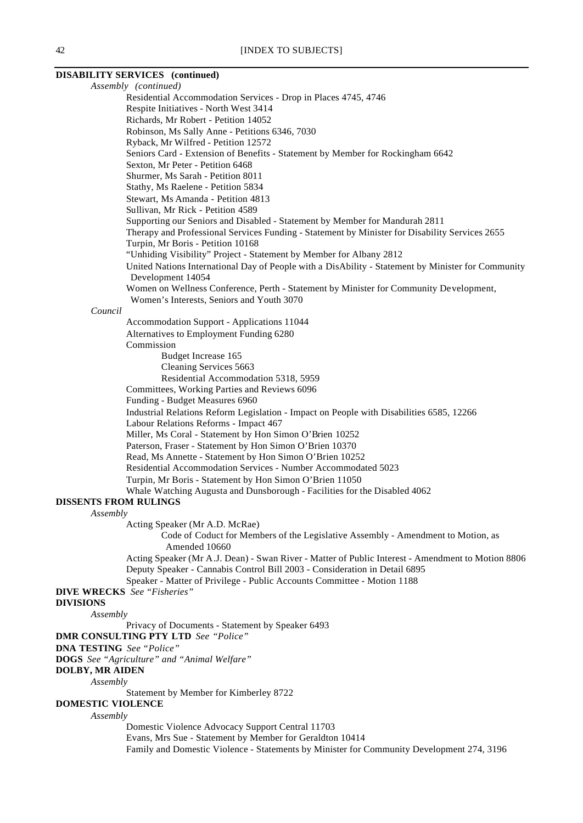#### **DISABILITY SERVICES (continued)**

*Assembly (continued)* Residential Accommodation Services - Drop in Places 4745, 4746 Respite Initiatives - North West 3414 Richards, Mr Robert - Petition 14052 Robinson, Ms Sally Anne - Petitions 6346, 7030 Ryback, Mr Wilfred - Petition 12572 Seniors Card - Extension of Benefits - Statement by Member for Rockingham 6642 Sexton, Mr Peter - Petition 6468 Shurmer, Ms Sarah - Petition 8011 Stathy, Ms Raelene - Petition 5834 Stewart, Ms Amanda - Petition 4813 Sullivan, Mr Rick - Petition 4589 Supporting our Seniors and Disabled - Statement by Member for Mandurah 2811 Therapy and Professional Services Funding - Statement by Minister for Disability Services 2655 Turpin, Mr Boris - Petition 10168 "Unhiding Visibility" Project - Statement by Member for Albany 2812 United Nations International Day of People with a DisAbility - Statement by Minister for Community Development 14054 Women on Wellness Conference, Perth - Statement by Minister for Community Development, Women's Interests, Seniors and Youth 3070 *Council* Accommodation Support - Applications 11044 Alternatives to Employment Funding 6280 Commission Budget Increase 165 Cleaning Services 5663 Residential Accommodation 5318, 5959 Committees, Working Parties and Reviews 6096 Funding - Budget Measures 6960 Industrial Relations Reform Legislation - Impact on People with Disabilities 6585, 12266 Labour Relations Reforms - Impact 467 Miller, Ms Coral - Statement by Hon Simon O'Brien 10252 Paterson, Fraser - Statement by Hon Simon O'Brien 10370 Read, Ms Annette - Statement by Hon Simon O'Brien 10252 Residential Accommodation Services - Number Accommodated 5023 Turpin, Mr Boris - Statement by Hon Simon O'Brien 11050 Whale Watching Augusta and Dunsborough - Facilities for the Disabled 4062 **DISSENTS FROM RULINGS** *Assembly* Acting Speaker (Mr A.D. McRae) Code of Coduct for Members of the Legislative Assembly - Amendment to Motion, as Amended 10660 Acting Speaker (Mr A.J. Dean) - Swan River - Matter of Public Interest - Amendment to Motion 8806 Deputy Speaker - Cannabis Control Bill 2003 - Consideration in Detail 6895 Speaker - Matter of Privilege - Public Accounts Committee - Motion 1188 **DIVE WRECKS** *See "Fisheries"* **DIVISIONS** *Assembly* Privacy of Documents - Statement by Speaker 6493 **DMR CONSULTING PTY LTD** *See "Police"* **DNA TESTING** *See "Police"* **DOGS** *See "Agriculture" and "Animal Welfare"* **DOLBY, MR AIDEN** *Assembly* Statement by Member for Kimberley 8722 **DOMESTIC VIOLENCE** *Assembly* Domestic Violence Advocacy Support Central 11703 Evans, Mrs Sue - Statement by Member for Geraldton 10414 Family and Domestic Violence - Statements by Minister for Community Development 274, 3196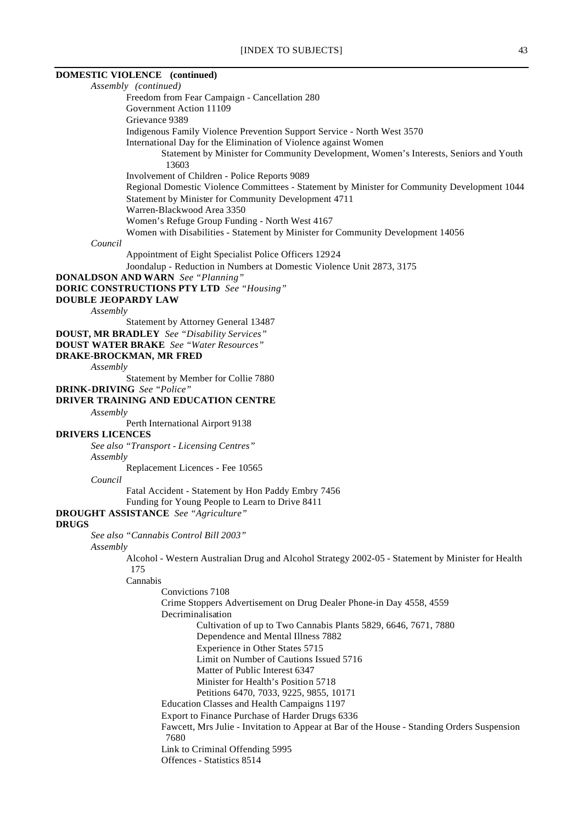## **DOMESTIC VIOLENCE (continued)**

*Assembly (continued)* Freedom from Fear Campaign - Cancellation 280 Government Action 11109 Grievance 9389 Indigenous Family Violence Prevention Support Service - North West 3570 International Day for the Elimination of Violence against Women Statement by Minister for Community Development, Women's Interests, Seniors and Youth 13603 Involvement of Children - Police Reports 9089 Regional Domestic Violence Committees - Statement by Minister for Community Development 1044 Statement by Minister for Community Development 4711 Warren-Blackwood Area 3350 Women's Refuge Group Funding - North West 4167 Women with Disabilities - Statement by Minister for Community Development 14056 *Council* Appointment of Eight Specialist Police Officers 12924 Joondalup - Reduction in Numbers at Domestic Violence Unit 2873, 3175 **DONALDSON AND WARN** *See "Planning"* **DORIC CONSTRUCTIONS PTY LTD** *See "Housing"* **DOUBLE JEOPARDY LAW** *Assembly* Statement by Attorney General 13487 **DOUST, MR BRADLEY** *See "Disability Services"* **DOUST WATER BRAKE** *See "Water Resources"* **DRAKE-BROCKMAN, MR FRED** *Assembly* Statement by Member for Collie 7880 **DRINK-DRIVING** *See "Police"* **DRIVER TRAINING AND EDUCATION CENTRE** *Assembly* Perth International Airport 9138 **DRIVERS LICENCES** *See also "Transport - Licensing Centres" Assembly* Replacement Licences - Fee 10565 *Council* Fatal Accident - Statement by Hon Paddy Embry 7456 Funding for Young People to Learn to Drive 8411 **DROUGHT ASSISTANCE** *See "Agriculture"* **DRUGS** *See also "Cannabis Control Bill 2003" Assembly* Alcohol - Western Australian Drug and Alcohol Strategy 2002-05 - Statement by Minister for Health 175 Cannabis Convictions 7108 Crime Stoppers Advertisement on Drug Dealer Phone-in Day 4558, 4559 Decriminalisation Cultivation of up to Two Cannabis Plants 5829, 6646, 7671, 7880 Dependence and Mental Illness 7882 Experience in Other States 5715 Limit on Number of Cautions Issued 5716 Matter of Public Interest 6347 Minister for Health's Position 5718 Petitions 6470, 7033, 9225, 9855, 10171 Education Classes and Health Campaigns 1197 Export to Finance Purchase of Harder Drugs 6336 Fawcett, Mrs Julie - Invitation to Appear at Bar of the House - Standing Orders Suspension 7680 Link to Criminal Offending 5995 Offences - Statistics 8514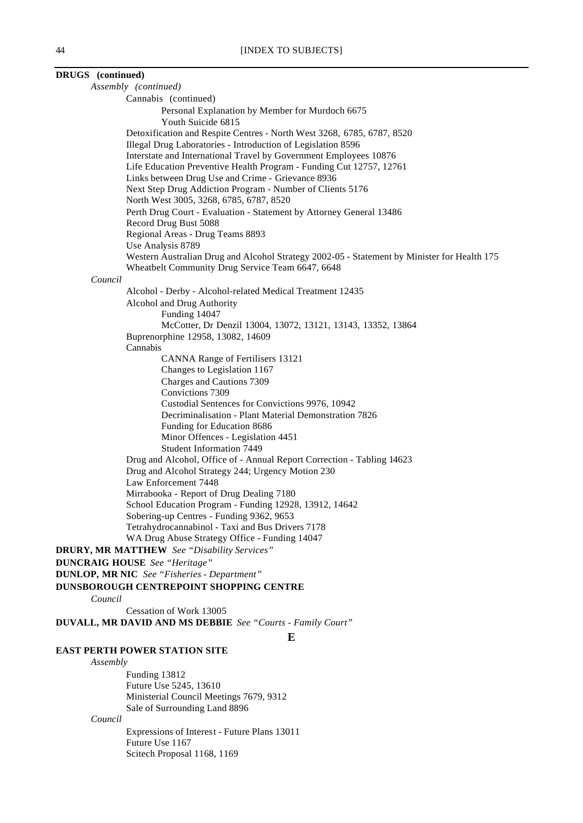| DRUGS (continued) |                                                                                                                          |
|-------------------|--------------------------------------------------------------------------------------------------------------------------|
|                   | Assembly (continued)                                                                                                     |
|                   | Cannabis (continued)                                                                                                     |
|                   | Personal Explanation by Member for Murdoch 6675<br>Youth Suicide 6815                                                    |
|                   | Detoxification and Respite Centres - North West 3268, 6785, 6787, 8520                                                   |
|                   | Illegal Drug Laboratories - Introduction of Legislation 8596                                                             |
|                   | Interstate and International Travel by Government Employees 10876                                                        |
|                   | Life Education Preventive Health Program - Funding Cut 12757, 12761<br>Links between Drug Use and Crime - Grievance 8936 |
|                   | Next Step Drug Addiction Program - Number of Clients 5176                                                                |
|                   | North West 3005, 3268, 6785, 6787, 8520                                                                                  |
|                   | Perth Drug Court - Evaluation - Statement by Attorney General 13486                                                      |
|                   | Record Drug Bust 5088                                                                                                    |
|                   | Regional Areas - Drug Teams 8893                                                                                         |
|                   | Use Analysis 8789<br>Western Australian Drug and Alcohol Strategy 2002-05 - Statement by Minister for Health 175         |
|                   | Wheatbelt Community Drug Service Team 6647, 6648                                                                         |
| Council           |                                                                                                                          |
|                   | Alcohol - Derby - Alcohol-related Medical Treatment 12435                                                                |
|                   | Alcohol and Drug Authority                                                                                               |
|                   | Funding 14047                                                                                                            |
|                   | McCotter, Dr Denzil 13004, 13072, 13121, 13143, 13352, 13864<br>Buprenorphine 12958, 13082, 14609                        |
|                   | Cannabis                                                                                                                 |
|                   | CANNA Range of Fertilisers 13121                                                                                         |
|                   | Changes to Legislation 1167                                                                                              |
|                   | Charges and Cautions 7309                                                                                                |
|                   | Convictions 7309                                                                                                         |
|                   | Custodial Sentences for Convictions 9976, 10942                                                                          |
|                   | Decriminalisation - Plant Material Demonstration 7826<br>Funding for Education 8686                                      |
|                   | Minor Offences - Legislation 4451                                                                                        |
|                   | <b>Student Information 7449</b>                                                                                          |
|                   | Drug and Alcohol, Office of - Annual Report Correction - Tabling 14623                                                   |
|                   | Drug and Alcohol Strategy 244; Urgency Motion 230                                                                        |
|                   | Law Enforcement 7448                                                                                                     |
|                   | Mirrabooka - Report of Drug Dealing 7180                                                                                 |
|                   | School Education Program - Funding 12928, 13912, 14642                                                                   |
|                   | Sobering-up Centres - Funding 9362, 9653<br>Tetrahydrocannabinol - Taxi and Bus Drivers 7178                             |
|                   | WA Drug Abuse Strategy Office - Funding 14047                                                                            |
|                   | <b>DRURY, MR MATTHEW</b> See "Disability Services"                                                                       |
|                   | <b>DUNCRAIG HOUSE</b> See "Heritage"                                                                                     |
|                   | <b>DUNLOP, MR NIC</b> See "Fisheries - Department"                                                                       |
|                   | DUNSBOROUGH CENTREPOINT SHOPPING CENTRE                                                                                  |
| Council           |                                                                                                                          |
|                   | Cessation of Work 13005                                                                                                  |
|                   | DUVALL, MR DAVID AND MS DEBBIE See "Courts - Family Court"                                                               |
|                   | E                                                                                                                        |
|                   | <b>EAST PERTH POWER STATION SITE</b>                                                                                     |
| Assembly          | Funding 13812                                                                                                            |
|                   | Future Use 5245, 13610                                                                                                   |
|                   | Ministerial Council Meetings 7679, 9312                                                                                  |
|                   | Sale of Surrounding Land 8896                                                                                            |
| Council           |                                                                                                                          |
|                   | Expressions of Interest - Future Plans 13011                                                                             |
|                   | Future Use 1167                                                                                                          |
|                   | Scitech Proposal 1168, 1169                                                                                              |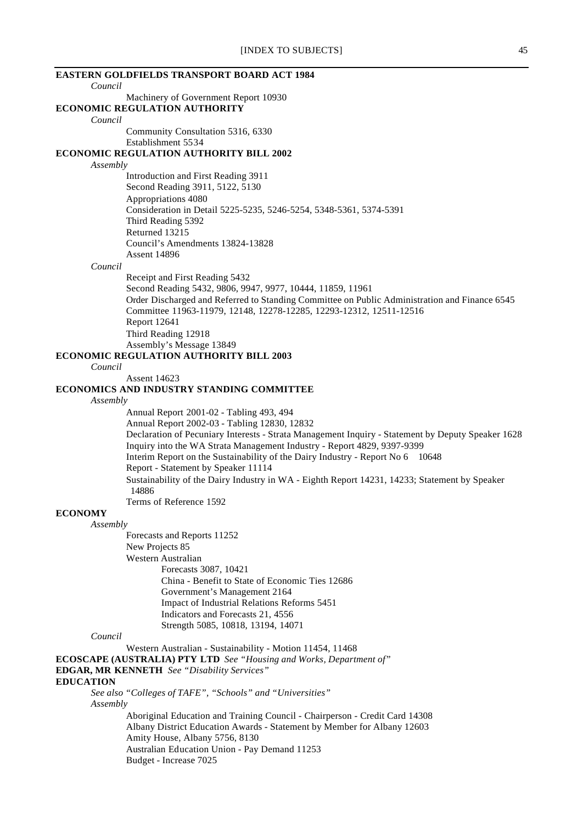| <b>EASTERN GOLDFIELDS TRANSPORT BOARD ACT 1984</b>                                                                                   |
|--------------------------------------------------------------------------------------------------------------------------------------|
| Council                                                                                                                              |
| Machinery of Government Report 10930                                                                                                 |
| <b>ECONOMIC REGULATION AUTHORITY</b><br>Council                                                                                      |
| Community Consultation 5316, 6330                                                                                                    |
| Establishment 5534                                                                                                                   |
| <b>ECONOMIC REGULATION AUTHORITY BILL 2002</b>                                                                                       |
| Assembly                                                                                                                             |
| Introduction and First Reading 3911<br>Second Reading 3911, 5122, 5130                                                               |
| Appropriations 4080                                                                                                                  |
| Consideration in Detail 5225-5235, 5246-5254, 5348-5361, 5374-5391                                                                   |
| Third Reading 5392                                                                                                                   |
| Returned 13215                                                                                                                       |
| Council's Amendments 13824-13828                                                                                                     |
| <b>Assent 14896</b><br>Council                                                                                                       |
| Receipt and First Reading 5432                                                                                                       |
| Second Reading 5432, 9806, 9947, 9977, 10444, 11859, 11961                                                                           |
| Order Discharged and Referred to Standing Committee on Public Administration and Finance 6545                                        |
| Committee 11963-11979, 12148, 12278-12285, 12293-12312, 12511-12516                                                                  |
| Report 12641                                                                                                                         |
| Third Reading 12918<br>Assembly's Message 13849                                                                                      |
| <b>ECONOMIC REGULATION AUTHORITY BILL 2003</b>                                                                                       |
| Council                                                                                                                              |
| <b>Assent 14623</b>                                                                                                                  |
| ECONOMICS AND INDUSTRY STANDING COMMITTEE                                                                                            |
| Assembly<br>Annual Report 2001-02 - Tabling 493, 494                                                                                 |
| Annual Report 2002-03 - Tabling 12830, 12832                                                                                         |
| Declaration of Pecuniary Interests - Strata Management Inquiry - Statement by Deputy Speaker 1628                                    |
| Inquiry into the WA Strata Management Industry - Report 4829, 9397-9399                                                              |
| Interim Report on the Sustainability of the Dairy Industry - Report No 6 10648                                                       |
| Report - Statement by Speaker 11114<br>Sustainability of the Dairy Industry in WA - Eighth Report 14231, 14233; Statement by Speaker |
| 14886                                                                                                                                |
| Terms of Reference 1592                                                                                                              |
| <b>ECONOMY</b>                                                                                                                       |
| Assembly                                                                                                                             |
| Forecasts and Reports 11252<br>New Projects 85                                                                                       |
| Western Australian                                                                                                                   |
| Forecasts 3087, 10421                                                                                                                |
| China - Benefit to State of Economic Ties 12686                                                                                      |
| Government's Management 2164                                                                                                         |
| Impact of Industrial Relations Reforms 5451                                                                                          |
| Indicators and Forecasts 21, 4556<br>Strength 5085, 10818, 13194, 14071                                                              |
| Council                                                                                                                              |
| Western Australian - Sustainability - Motion 11454, 11468                                                                            |
| <b>ECOSCAPE (AUSTRALIA) PTY LTD</b> See "Housing and Works, Department of"                                                           |
| <b>EDGAR, MR KENNETH</b> See "Disability Services"                                                                                   |
| <b>EDUCATION</b><br>See also "Colleges of TAFE", "Schools" and "Universities"                                                        |
| Assembly                                                                                                                             |
| Aboriginal Education and Training Council - Chairperson - Credit Card 14308                                                          |
| Albany District Education Awards - Statement by Member for Albany 12603                                                              |
| Amity House, Albany 5756, 8130                                                                                                       |
| Australian Education Union - Pay Demand 11253<br>Budget - Increase 7025                                                              |
|                                                                                                                                      |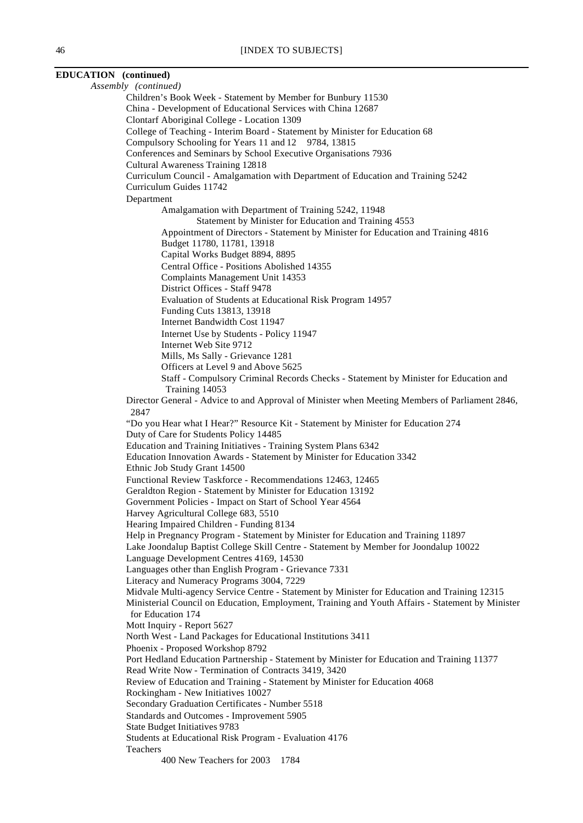| EDUCATION (continued) |                                                                                                                                                                                                  |
|-----------------------|--------------------------------------------------------------------------------------------------------------------------------------------------------------------------------------------------|
|                       | Assembly (continued)                                                                                                                                                                             |
|                       | Children's Book Week - Statement by Member for Bunbury 11530                                                                                                                                     |
|                       | China - Development of Educational Services with China 12687                                                                                                                                     |
|                       | Clontarf Aboriginal College - Location 1309                                                                                                                                                      |
|                       | College of Teaching - Interim Board - Statement by Minister for Education 68                                                                                                                     |
|                       | Compulsory Schooling for Years 11 and 12 9784, 13815                                                                                                                                             |
|                       | Conferences and Seminars by School Executive Organisations 7936                                                                                                                                  |
|                       | <b>Cultural Awareness Training 12818</b>                                                                                                                                                         |
|                       | Curriculum Council - Amalgamation with Department of Education and Training 5242                                                                                                                 |
|                       | Curriculum Guides 11742                                                                                                                                                                          |
|                       | Department                                                                                                                                                                                       |
|                       | Amalgamation with Department of Training 5242, 11948                                                                                                                                             |
|                       | Statement by Minister for Education and Training 4553                                                                                                                                            |
|                       | Appointment of Directors - Statement by Minister for Education and Training 4816<br>Budget 11780, 11781, 13918                                                                                   |
|                       | Capital Works Budget 8894, 8895                                                                                                                                                                  |
|                       | Central Office - Positions Abolished 14355                                                                                                                                                       |
|                       | Complaints Management Unit 14353                                                                                                                                                                 |
|                       | District Offices - Staff 9478                                                                                                                                                                    |
|                       | Evaluation of Students at Educational Risk Program 14957                                                                                                                                         |
|                       | Funding Cuts 13813, 13918                                                                                                                                                                        |
|                       | Internet Bandwidth Cost 11947                                                                                                                                                                    |
|                       | Internet Use by Students - Policy 11947                                                                                                                                                          |
|                       | Internet Web Site 9712                                                                                                                                                                           |
|                       | Mills, Ms Sally - Grievance 1281                                                                                                                                                                 |
|                       | Officers at Level 9 and Above 5625                                                                                                                                                               |
|                       | Staff - Compulsory Criminal Records Checks - Statement by Minister for Education and                                                                                                             |
|                       | Training 14053                                                                                                                                                                                   |
|                       | Director General - Advice to and Approval of Minister when Meeting Members of Parliament 2846,                                                                                                   |
|                       | 2847                                                                                                                                                                                             |
|                       | "Do you Hear what I Hear?" Resource Kit - Statement by Minister for Education 274<br>Duty of Care for Students Policy 14485                                                                      |
|                       | Education and Training Initiatives - Training System Plans 6342                                                                                                                                  |
|                       | Education Innovation Awards - Statement by Minister for Education 3342                                                                                                                           |
|                       | Ethnic Job Study Grant 14500                                                                                                                                                                     |
|                       | Functional Review Taskforce - Recommendations 12463, 12465                                                                                                                                       |
|                       | Geraldton Region - Statement by Minister for Education 13192                                                                                                                                     |
|                       | Government Policies - Impact on Start of School Year 4564                                                                                                                                        |
|                       | Harvey Agricultural College 683, 5510                                                                                                                                                            |
|                       | Hearing Impaired Children - Funding 8134                                                                                                                                                         |
|                       | Help in Pregnancy Program - Statement by Minister for Education and Training 11897                                                                                                               |
|                       | Lake Joondalup Baptist College Skill Centre - Statement by Member for Joondalup 10022                                                                                                            |
|                       | Language Development Centres 4169, 14530                                                                                                                                                         |
|                       | Languages other than English Program - Grievance 7331                                                                                                                                            |
|                       | Literacy and Numeracy Programs 3004, 7229                                                                                                                                                        |
|                       | Midvale Multi-agency Service Centre - Statement by Minister for Education and Training 12315<br>Ministerial Council on Education, Employment, Training and Youth Affairs - Statement by Minister |
|                       | for Education 174                                                                                                                                                                                |
|                       | Mott Inquiry - Report 5627                                                                                                                                                                       |
|                       | North West - Land Packages for Educational Institutions 3411                                                                                                                                     |
|                       | Phoenix - Proposed Workshop 8792                                                                                                                                                                 |
|                       | Port Hedland Education Partnership - Statement by Minister for Education and Training 11377                                                                                                      |
|                       | Read Write Now - Termination of Contracts 3419, 3420                                                                                                                                             |
|                       | Review of Education and Training - Statement by Minister for Education 4068                                                                                                                      |
|                       | Rockingham - New Initiatives 10027                                                                                                                                                               |
|                       | Secondary Graduation Certificates - Number 5518                                                                                                                                                  |
|                       | Standards and Outcomes - Improvement 5905                                                                                                                                                        |
|                       | State Budget Initiatives 9783                                                                                                                                                                    |
|                       | Students at Educational Risk Program - Evaluation 4176                                                                                                                                           |
|                       | Teachers                                                                                                                                                                                         |
|                       | 400 New Teachers for 2003<br>1784                                                                                                                                                                |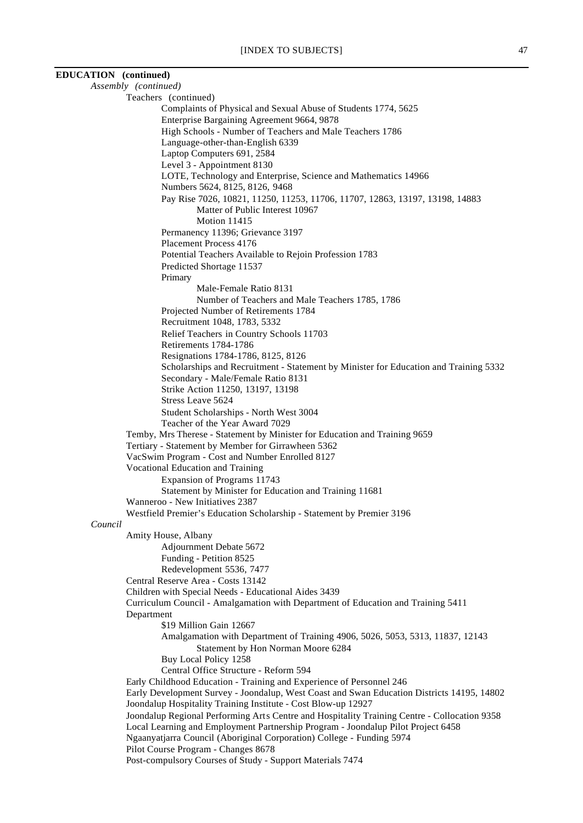| <b>EDUCATION</b> (continued) |                                                                                                                |
|------------------------------|----------------------------------------------------------------------------------------------------------------|
|                              | Assembly (continued)                                                                                           |
|                              | Teachers (continued)                                                                                           |
|                              | Complaints of Physical and Sexual Abuse of Students 1774, 5625                                                 |
|                              | Enterprise Bargaining Agreement 9664, 9878                                                                     |
|                              | High Schools - Number of Teachers and Male Teachers 1786                                                       |
|                              | Language-other-than-English 6339                                                                               |
|                              | Laptop Computers 691, 2584                                                                                     |
|                              | Level 3 - Appointment 8130                                                                                     |
|                              | LOTE, Technology and Enterprise, Science and Mathematics 14966                                                 |
|                              | Numbers 5624, 8125, 8126, 9468<br>Pay Rise 7026, 10821, 11250, 11253, 11706, 11707, 12863, 13197, 13198, 14883 |
|                              | Matter of Public Interest 10967                                                                                |
|                              | Motion 11415                                                                                                   |
|                              | Permanency 11396; Grievance 3197                                                                               |
|                              | Placement Process 4176                                                                                         |
|                              | Potential Teachers Available to Rejoin Profession 1783                                                         |
|                              | Predicted Shortage 11537                                                                                       |
|                              | Primary                                                                                                        |
|                              | Male-Female Ratio 8131                                                                                         |
|                              | Number of Teachers and Male Teachers 1785, 1786                                                                |
|                              | Projected Number of Retirements 1784                                                                           |
|                              | Recruitment 1048, 1783, 5332                                                                                   |
|                              | Relief Teachers in Country Schools 11703                                                                       |
|                              | Retirements 1784-1786                                                                                          |
|                              | Resignations 1784-1786, 8125, 8126                                                                             |
|                              | Scholarships and Recruitment - Statement by Minister for Education and Training 5332                           |
|                              | Secondary - Male/Female Ratio 8131                                                                             |
|                              | Strike Action 11250, 13197, 13198<br>Stress Leave 5624                                                         |
|                              | Student Scholarships - North West 3004                                                                         |
|                              | Teacher of the Year Award 7029                                                                                 |
|                              | Temby, Mrs Therese - Statement by Minister for Education and Training 9659                                     |
|                              | Tertiary - Statement by Member for Girrawheen 5362                                                             |
|                              | VacSwim Program - Cost and Number Enrolled 8127                                                                |
|                              | Vocational Education and Training                                                                              |
|                              | Expansion of Programs 11743                                                                                    |
|                              | Statement by Minister for Education and Training 11681                                                         |
|                              | Wanneroo - New Initiatives 2387                                                                                |
|                              | Westfield Premier's Education Scholarship - Statement by Premier 3196                                          |
| Council                      |                                                                                                                |
|                              | Amity House, Albany                                                                                            |
|                              | Adjournment Debate 5672                                                                                        |
|                              | Funding - Petition 8525                                                                                        |
|                              | Redevelopment 5536, 7477                                                                                       |
|                              | Central Reserve Area - Costs 13142                                                                             |
|                              | Children with Special Needs - Educational Aides 3439                                                           |
|                              | Curriculum Council - Amalgamation with Department of Education and Training 5411<br>Department                 |
|                              | \$19 Million Gain 12667                                                                                        |
|                              | Amalgamation with Department of Training 4906, 5026, 5053, 5313, 11837, 12143                                  |
|                              | Statement by Hon Norman Moore 6284                                                                             |
|                              | Buy Local Policy 1258                                                                                          |
|                              | Central Office Structure - Reform 594                                                                          |
|                              | Early Childhood Education - Training and Experience of Personnel 246                                           |
|                              | Early Development Survey - Joondalup, West Coast and Swan Education Districts 14195, 14802                     |
|                              | Joondalup Hospitality Training Institute - Cost Blow-up 12927                                                  |
|                              | Joondalup Regional Performing Arts Centre and Hospitality Training Centre - Collocation 9358                   |
|                              | Local Learning and Employment Partnership Program - Joondalup Pilot Project 6458                               |
|                              | Ngaanyatjarra Council (Aboriginal Corporation) College - Funding 5974                                          |
|                              | Pilot Course Program - Changes 8678                                                                            |
|                              | Post-compulsory Courses of Study - Support Materials 7474                                                      |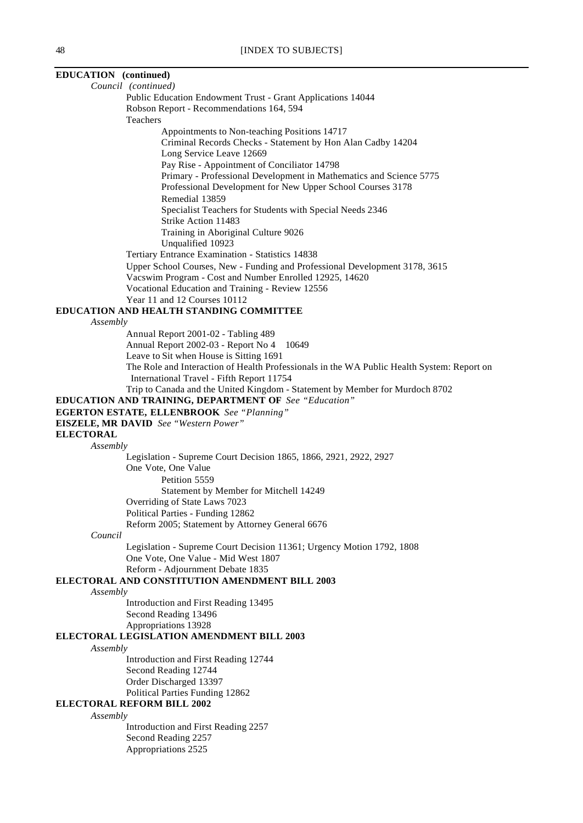| EDUCATION (continued)                                                                                       |
|-------------------------------------------------------------------------------------------------------------|
| Council (continued)                                                                                         |
| Public Education Endowment Trust - Grant Applications 14044                                                 |
| Robson Report - Recommendations 164, 594                                                                    |
| Teachers                                                                                                    |
| Appointments to Non-teaching Positions 14717<br>Criminal Records Checks - Statement by Hon Alan Cadby 14204 |
| Long Service Leave 12669                                                                                    |
| Pay Rise - Appointment of Conciliator 14798                                                                 |
| Primary - Professional Development in Mathematics and Science 5775                                          |
| Professional Development for New Upper School Courses 3178                                                  |
| Remedial 13859                                                                                              |
| Specialist Teachers for Students with Special Needs 2346                                                    |
| Strike Action 11483                                                                                         |
| Training in Aboriginal Culture 9026                                                                         |
| Unqualified 10923                                                                                           |
| Tertiary Entrance Examination - Statistics 14838                                                            |
| Upper School Courses, New - Funding and Professional Development 3178, 3615                                 |
| Vacswim Program - Cost and Number Enrolled 12925, 14620                                                     |
| Vocational Education and Training - Review 12556                                                            |
| Year 11 and 12 Courses 10112                                                                                |
| EDUCATION AND HEALTH STANDING COMMITTEE                                                                     |
| Assembly<br>Annual Report 2001-02 - Tabling 489                                                             |
| Annual Report 2002-03 - Report No 4<br>10649                                                                |
| Leave to Sit when House is Sitting 1691                                                                     |
| The Role and Interaction of Health Professionals in the WA Public Health System: Report on                  |
| International Travel - Fifth Report 11754                                                                   |
| Trip to Canada and the United Kingdom - Statement by Member for Murdoch 8702                                |
| <b>EDUCATION AND TRAINING, DEPARTMENT OF See "Education"</b>                                                |
| <b>EGERTON ESTATE, ELLENBROOK</b> See "Planning"                                                            |
| <b>EISZELE, MR DAVID</b> See "Western Power"                                                                |
| <b>ELECTORAL</b>                                                                                            |
| Assembly                                                                                                    |
| Legislation - Supreme Court Decision 1865, 1866, 2921, 2922, 2927<br>One Vote, One Value                    |
| Petition 5559                                                                                               |
| Statement by Member for Mitchell 14249                                                                      |
| Overriding of State Laws 7023                                                                               |
| Political Parties - Funding 12862                                                                           |
| Reform 2005; Statement by Attorney General 6676                                                             |
| Council                                                                                                     |
| Legislation - Supreme Court Decision 11361; Urgency Motion 1792, 1808                                       |
| One Vote, One Value - Mid West 1807                                                                         |
| Reform - Adjournment Debate 1835                                                                            |
| ELECTORAL AND CONSTITUTION AMENDMENT BILL 2003                                                              |
| Assembly                                                                                                    |
| Introduction and First Reading 13495                                                                        |
| Second Reading 13496                                                                                        |
| Appropriations 13928                                                                                        |
| <b>ELECTORAL LEGISLATION AMENDMENT BILL 2003</b>                                                            |
| Assembly<br>Introduction and First Reading 12744                                                            |
| Second Reading 12744                                                                                        |
| Order Discharged 13397                                                                                      |
| Political Parties Funding 12862                                                                             |
| <b>ELECTORAL REFORM BILL 2002</b>                                                                           |
| Assembly                                                                                                    |
| Introduction and First Reading 2257                                                                         |
| Second Reading 2257                                                                                         |
| Appropriations 2525                                                                                         |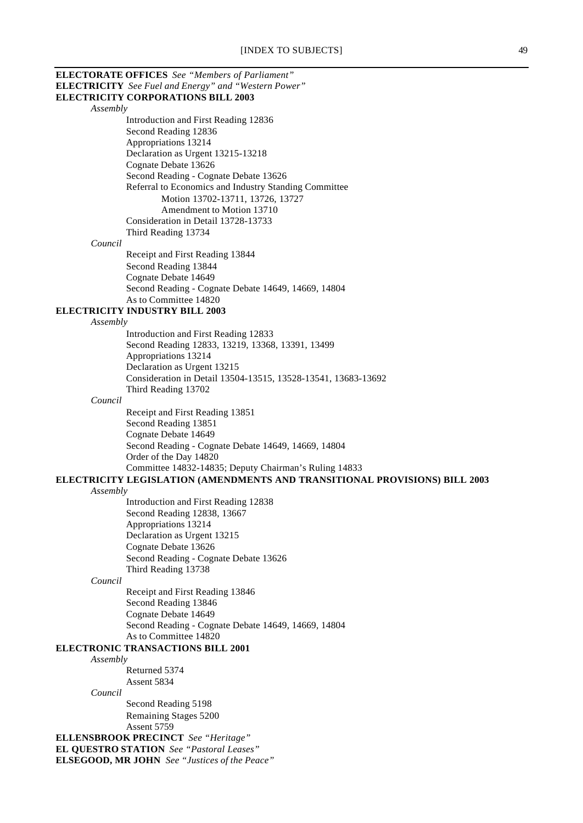| <b>ELECTRICITY</b> See Fuel and Energy" and "Western Power"                              |
|------------------------------------------------------------------------------------------|
| <b>ELECTRICITY CORPORATIONS BILL 2003</b>                                                |
| Assembly                                                                                 |
| Introduction and First Reading 12836                                                     |
| Second Reading 12836                                                                     |
| Appropriations 13214<br>Declaration as Urgent 13215-13218                                |
| Cognate Debate 13626                                                                     |
| Second Reading - Cognate Debate 13626                                                    |
| Referral to Economics and Industry Standing Committee                                    |
| Motion 13702-13711, 13726, 13727                                                         |
| Amendment to Motion 13710                                                                |
| Consideration in Detail 13728-13733                                                      |
| Third Reading 13734                                                                      |
| Council                                                                                  |
| Receipt and First Reading 13844                                                          |
| Second Reading 13844                                                                     |
| Cognate Debate 14649                                                                     |
| Second Reading - Cognate Debate 14649, 14669, 14804                                      |
| As to Committee 14820                                                                    |
| <b>ELECTRICITY INDUSTRY BILL 2003</b>                                                    |
| Assembly                                                                                 |
| Introduction and First Reading 12833<br>Second Reading 12833, 13219, 13368, 13391, 13499 |
| Appropriations 13214                                                                     |
| Declaration as Urgent 13215                                                              |
| Consideration in Detail 13504-13515, 13528-13541, 13683-13692                            |
| Third Reading 13702                                                                      |
| Council                                                                                  |
| Receipt and First Reading 13851                                                          |
| Second Reading 13851                                                                     |
| Cognate Debate 14649                                                                     |
| Second Reading - Cognate Debate 14649, 14669, 14804                                      |
| Order of the Day 14820                                                                   |
| Committee 14832-14835; Deputy Chairman's Ruling 14833                                    |
|                                                                                          |
| ELECTRICITY LEGISLATION (AMENDMENTS AND TRANSITIONAL PROVISIONS) BILL 2003               |
| Assembly                                                                                 |
| Introduction and First Reading 12838                                                     |
| Second Reading 12838, 13667                                                              |
| Appropriations 13214                                                                     |
| Declaration as Urgent 13215                                                              |
| Cognate Debate 13626                                                                     |
| Second Reading - Cognate Debate 13626                                                    |
| Third Reading 13738<br>Council                                                           |
| Receipt and First Reading 13846                                                          |
| Second Reading 13846                                                                     |
| Cognate Debate 14649                                                                     |
| Second Reading - Cognate Debate 14649, 14669, 14804                                      |
| As to Committee 14820                                                                    |
| ELECTRONIC TRANSACTIONS BILL 2001                                                        |
| Assembly                                                                                 |
| Returned 5374                                                                            |
| Assent 5834                                                                              |
| Council                                                                                  |
| Second Reading 5198                                                                      |
| Remaining Stages 5200<br>Assent 5759                                                     |
| <b>ELLENSBROOK PRECINCT</b> See "Heritage"                                               |
| <b>EL QUESTRO STATION</b> See "Pastoral Leases"                                          |
| <b>ELSEGOOD, MR JOHN</b> See "Justices of the Peace"                                     |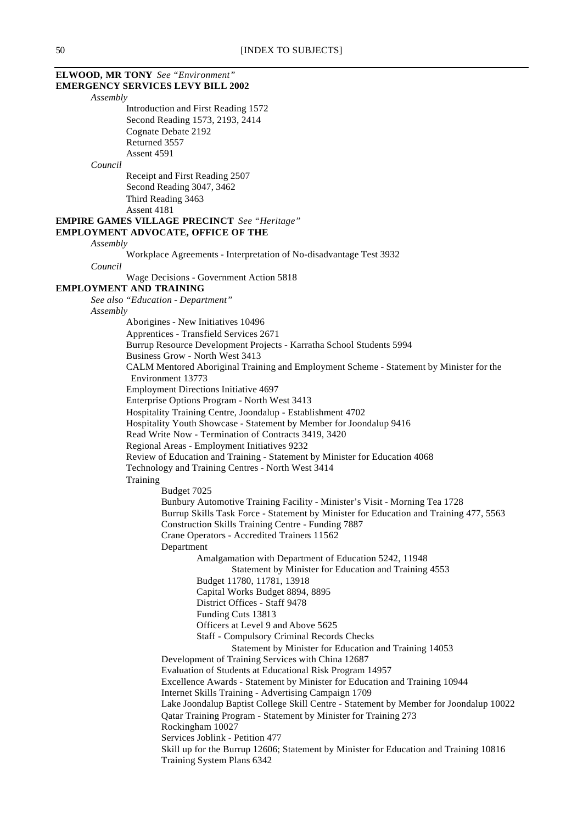# **ELWOOD, MR TONY** *See "Environment"*

**EMERGENCY SERVICES LEVY BILL 2002**

*Assembly*

Introduction and First Reading 1572 Second Reading 1573, 2193, 2414 Cognate Debate 2192 Returned 3557 Assent 4591

#### *Council*

Receipt and First Reading 2507 Second Reading 3047, 3462 Third Reading 3463 Assent 4181

#### **EMPIRE GAMES VILLAGE PRECINCT** *See "Heritage"*

#### **EMPLOYMENT ADVOCATE, OFFICE OF THE**

#### *Assembly*

Workplace Agreements - Interpretation of No-disadvantage Test 3932

*Council*

Wage Decisions - Government Action 5818

#### **EMPLOYMENT AND TRAINING**

*See also "Education - Department"*

#### *Assembly*

Aborigines - New Initiatives 10496 Apprentices - Transfield Services 2671 Burrup Resource Development Projects - Karratha School Students 5994 Business Grow - North West 3413 CALM Mentored Aboriginal Training and Employment Scheme - Statement by Minister for the Environment 13773 Employment Directions Initiative 4697 Enterprise Options Program - North West 3413 Hospitality Training Centre, Joondalup - Establishment 4702 Hospitality Youth Showcase - Statement by Member for Joondalup 9416 Read Write Now - Termination of Contracts 3419, 3420 Regional Areas - Employment Initiatives 9232 Review of Education and Training - Statement by Minister for Education 4068 Technology and Training Centres - North West 3414 **Training** Budget 7025 Bunbury Automotive Training Facility - Minister's Visit - Morning Tea 1728 Burrup Skills Task Force - Statement by Minister for Education and Training 477, 5563 Construction Skills Training Centre - Funding 7887 Crane Operators - Accredited Trainers 11562 Department Amalgamation with Department of Education 5242, 11948 Statement by Minister for Education and Training 4553 Budget 11780, 11781, 13918 Capital Works Budget 8894, 8895 District Offices - Staff 9478 Funding Cuts 13813 Officers at Level 9 and Above 5625 Staff - Compulsory Criminal Records Checks Statement by Minister for Education and Training 14053 Development of Training Services with China 12687 Evaluation of Students at Educational Risk Program 14957 Excellence Awards - Statement by Minister for Education and Training 10944 Internet Skills Training - Advertising Campaign 1709 Lake Joondalup Baptist College Skill Centre - Statement by Member for Joondalup 10022 Qatar Training Program - Statement by Minister for Training 273 Rockingham 10027 Services Joblink - Petition 477 Skill up for the Burrup 12606; Statement by Minister for Education and Training 10816 Training System Plans 6342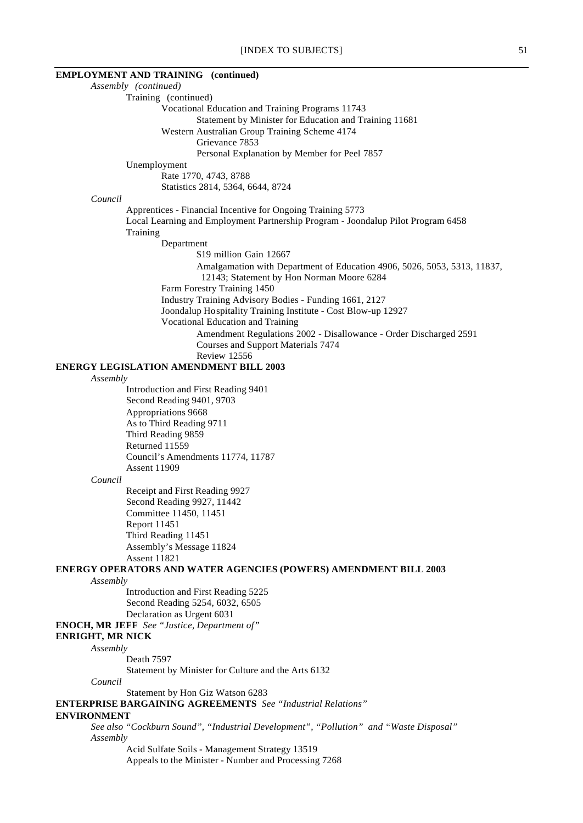|                         | <b>EMPLOYMENT AND TRAINING</b> (continued)                                                                                                                  |
|-------------------------|-------------------------------------------------------------------------------------------------------------------------------------------------------------|
|                         | Assembly (continued)                                                                                                                                        |
|                         | Training (continued)                                                                                                                                        |
|                         | Vocational Education and Training Programs 11743                                                                                                            |
|                         | Statement by Minister for Education and Training 11681                                                                                                      |
|                         | Western Australian Group Training Scheme 4174                                                                                                               |
|                         | Grievance 7853                                                                                                                                              |
|                         | Personal Explanation by Member for Peel 7857                                                                                                                |
|                         | Unemployment                                                                                                                                                |
|                         | Rate 1770, 4743, 8788                                                                                                                                       |
|                         | Statistics 2814, 5364, 6644, 8724                                                                                                                           |
| Council                 |                                                                                                                                                             |
|                         | Apprentices - Financial Incentive for Ongoing Training 5773<br>Local Learning and Employment Partnership Program - Joondalup Pilot Program 6458<br>Training |
|                         | Department                                                                                                                                                  |
|                         | \$19 million Gain 12667                                                                                                                                     |
|                         | Amalgamation with Department of Education 4906, 5026, 5053, 5313, 11837,                                                                                    |
|                         | 12143; Statement by Hon Norman Moore 6284<br>Farm Forestry Training 1450                                                                                    |
|                         | Industry Training Advisory Bodies - Funding 1661, 2127                                                                                                      |
|                         | Joondalup Hospitality Training Institute - Cost Blow-up 12927                                                                                               |
|                         | Vocational Education and Training                                                                                                                           |
|                         | Amendment Regulations 2002 - Disallowance - Order Discharged 2591                                                                                           |
|                         | <b>Courses and Support Materials 7474</b>                                                                                                                   |
|                         | Review 12556                                                                                                                                                |
|                         | <b>ENERGY LEGISLATION AMENDMENT BILL 2003</b>                                                                                                               |
| Assembly                |                                                                                                                                                             |
|                         | Introduction and First Reading 9401                                                                                                                         |
|                         | Second Reading 9401, 9703                                                                                                                                   |
|                         | Appropriations 9668                                                                                                                                         |
|                         | As to Third Reading 9711                                                                                                                                    |
|                         | Third Reading 9859                                                                                                                                          |
|                         | Returned 11559                                                                                                                                              |
|                         | Council's Amendments 11774, 11787                                                                                                                           |
|                         | <b>Assent 11909</b>                                                                                                                                         |
| Council                 |                                                                                                                                                             |
|                         | Receipt and First Reading 9927                                                                                                                              |
|                         | Second Reading 9927, 11442                                                                                                                                  |
|                         | Committee 11450, 11451                                                                                                                                      |
|                         | Report 11451                                                                                                                                                |
|                         | Third Reading 11451                                                                                                                                         |
|                         | Assembly's Message 11824                                                                                                                                    |
|                         | <b>Assent 11821</b>                                                                                                                                         |
|                         | ENERGY OPERATORS AND WATER AGENCIES (POWERS) AMENDMENT BILL 2003                                                                                            |
| Assembly                |                                                                                                                                                             |
|                         | Introduction and First Reading 5225                                                                                                                         |
|                         | Second Reading 5254, 6032, 6505                                                                                                                             |
|                         | Declaration as Urgent 6031                                                                                                                                  |
|                         | <b>ENOCH, MR JEFF</b> See "Justice, Department of"                                                                                                          |
| <b>ENRIGHT, MR NICK</b> |                                                                                                                                                             |
| Assembly                |                                                                                                                                                             |
|                         | Death 7597                                                                                                                                                  |
|                         | Statement by Minister for Culture and the Arts 6132                                                                                                         |
| Council                 |                                                                                                                                                             |
|                         | Statement by Hon Giz Watson 6283                                                                                                                            |
|                         | <b>ENTERPRISE BARGAINING AGREEMENTS</b> See "Industrial Relations"                                                                                          |
| <b>ENVIRONMENT</b>      |                                                                                                                                                             |
|                         | See also "Cockburn Sound", "Industrial Development", "Pollution" and "Waste Disposal"                                                                       |

*See also "Cockburn Sound", "Industrial Development", "Pollution" and "Waste Disposal" Assembly*

Acid Sulfate Soils - Management Strategy 13519 Appeals to the Minister - Number and Processing 7268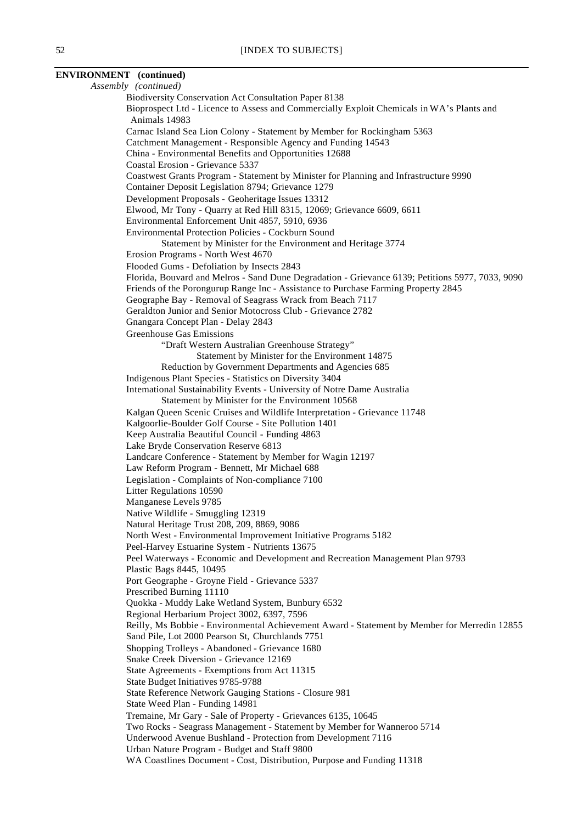**ENVIRONMENT (continued)** *Assembly (continued)* Biodiversity Conservation Act Consultation Paper 8138 Bioprospect Ltd - Licence to Assess and Commercially Exploit Chemicals in WA's Plants and Animals 14983 Carnac Island Sea Lion Colony - Statement by Member for Rockingham 5363 Catchment Management - Responsible Agency and Funding 14543 China - Environmental Benefits and Opportunities 12688 Coastal Erosion - Grievance 5337 Coastwest Grants Program - Statement by Minister for Planning and Infrastructure 9990 Container Deposit Legislation 8794; Grievance 1279 Development Proposals - Geoheritage Issues 13312 Elwood, Mr Tony - Quarry at Red Hill 8315, 12069; Grievance 6609, 6611 Environmental Enforcement Unit 4857, 5910, 6936 Environmental Protection Policies - Cockburn Sound Statement by Minister for the Environment and Heritage 3774 Erosion Programs - North West 4670 Flooded Gums - Defoliation by Insects 2843 Florida, Bouvard and Melros - Sand Dune Degradation - Grievance 6139; Petitions 5977, 7033, 9090 Friends of the Porongurup Range Inc - Assistance to Purchase Farming Property 2845 Geographe Bay - Removal of Seagrass Wrack from Beach 7117 Geraldton Junior and Senior Motocross Club - Grievance 2782 Gnangara Concept Plan - Delay 2843 Greenhouse Gas Emissions "Draft Western Australian Greenhouse Strategy" Statement by Minister for the Environment 14875 Reduction by Government Departments and Agencies 685 Indigenous Plant Species - Statistics on Diversity 3404 International Sustainability Events - University of Notre Dame Australia Statement by Minister for the Environment 10568 Kalgan Queen Scenic Cruises and Wildlife Interpretation - Grievance 11748 Kalgoorlie-Boulder Golf Course - Site Pollution 1401 Keep Australia Beautiful Council - Funding 4863 Lake Bryde Conservation Reserve 6813 Landcare Conference - Statement by Member for Wagin 12197 Law Reform Program - Bennett, Mr Michael 688 Legislation - Complaints of Non-compliance 7100 Litter Regulations 10590 Manganese Levels 9785 Native Wildlife - Smuggling 12319 Natural Heritage Trust 208, 209, 8869, 9086 North West - Environmental Improvement Initiative Programs 5182 Peel-Harvey Estuarine System - Nutrients 13675 Peel Waterways - Economic and Development and Recreation Management Plan 9793 Plastic Bags 8445, 10495 Port Geographe - Groyne Field - Grievance 5337 Prescribed Burning 11110 Quokka - Muddy Lake Wetland System, Bunbury 6532 Regional Herbarium Project 3002, 6397, 7596 Reilly, Ms Bobbie - Environmental Achievement Award - Statement by Member for Merredin 12855 Sand Pile, Lot 2000 Pearson St, Churchlands 7751 Shopping Trolleys - Abandoned - Grievance 1680 Snake Creek Diversion - Grievance 12169 State Agreements - Exemptions from Act 11315 State Budget Initiatives 9785-9788 State Reference Network Gauging Stations - Closure 981 State Weed Plan - Funding 14981 Tremaine, Mr Gary - Sale of Property - Grievances 6135, 10645 Two Rocks - Seagrass Management - Statement by Member for Wanneroo 5714 Underwood Avenue Bushland - Protection from Development 7116 Urban Nature Program - Budget and Staff 9800 WA Coastlines Document - Cost, Distribution, Purpose and Funding 11318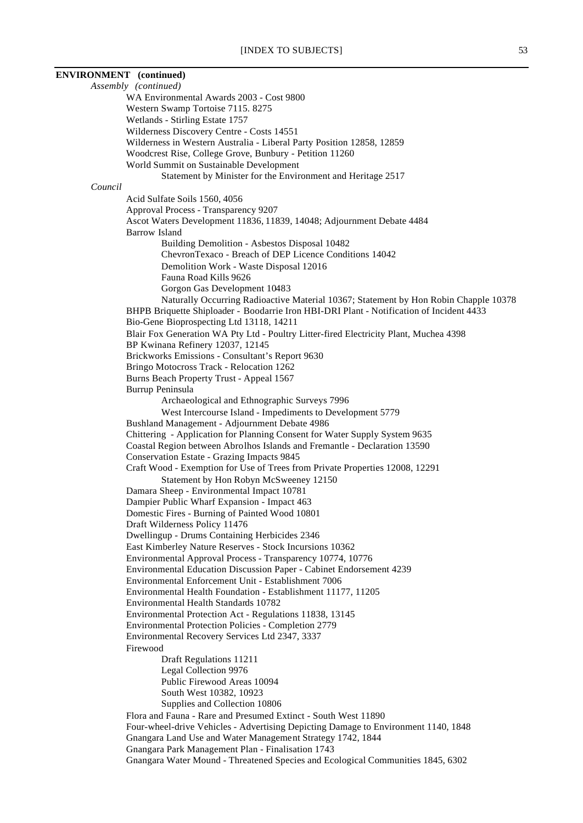**ENVIRONMENT (continued)** *Assembly (continued)* WA Environmental Awards 2003 - Cost 9800 Western Swamp Tortoise 7115. 8275 Wetlands - Stirling Estate 1757 Wilderness Discovery Centre - Costs 14551 Wilderness in Western Australia - Liberal Party Position 12858, 12859 Woodcrest Rise, College Grove, Bunbury - Petition 11260 World Summit on Sustainable Development Statement by Minister for the Environment and Heritage 2517 *Council* Acid Sulfate Soils 1560, 4056 Approval Process - Transparency 9207 Ascot Waters Development 11836, 11839, 14048; Adjournment Debate 4484 Barrow Island Building Demolition - Asbestos Disposal 10482 ChevronTexaco - Breach of DEP Licence Conditions 14042 Demolition Work - Waste Disposal 12016 Fauna Road Kills 9626 Gorgon Gas Development 10483 Naturally Occurring Radioactive Material 10367; Statement by Hon Robin Chapple 10378 BHPB Briquette Shiploader - Boodarrie Iron HBI-DRI Plant - Notification of Incident 4433 Bio-Gene Bioprospecting Ltd 13118, 14211 Blair Fox Generation WA Pty Ltd - Poultry Litter-fired Electricity Plant, Muchea 4398 BP Kwinana Refinery 12037, 12145 Brickworks Emissions - Consultant's Report 9630 Bringo Motocross Track - Relocation 1262 Burns Beach Property Trust - Appeal 1567 Burrup Peninsula Archaeological and Ethnographic Surveys 7996 West Intercourse Island - Impediments to Development 5779 Bushland Management - Adjournment Debate 4986 Chittering - Application for Planning Consent for Water Supply System 9635 Coastal Region between Abrolhos Islands and Fremantle - Declaration 13590 Conservation Estate - Grazing Impacts 9845 Craft Wood - Exemption for Use of Trees from Private Properties 12008, 12291 Statement by Hon Robyn McSweeney 12150 Damara Sheep - Environmental Impact 10781 Dampier Public Wharf Expansion - Impact 463 Domestic Fires - Burning of Painted Wood 10801 Draft Wilderness Policy 11476 Dwellingup - Drums Containing Herbicides 2346 East Kimberley Nature Reserves - Stock Incursions 10362 Environmental Approval Process - Transparency 10774, 10776 Environmental Education Discussion Paper - Cabinet Endorsement 4239 Environmental Enforcement Unit - Establishment 7006 Environmental Health Foundation - Establishment 11177, 11205 Environmental Health Standards 10782 Environmental Protection Act - Regulations 11838, 13145 Environmental Protection Policies - Completion 2779 Environmental Recovery Services Ltd 2347, 3337 Firewood Draft Regulations 11211 Legal Collection 9976 Public Firewood Areas 10094 South West 10382, 10923 Supplies and Collection 10806 Flora and Fauna - Rare and Presumed Extinct - South West 11890 Four-wheel-drive Vehicles - Advertising Depicting Damage to Environment 1140, 1848 Gnangara Land Use and Water Management Strategy 1742, 1844 Gnangara Park Management Plan - Finalisation 1743 Gnangara Water Mound - Threatened Species and Ecological Communities 1845, 6302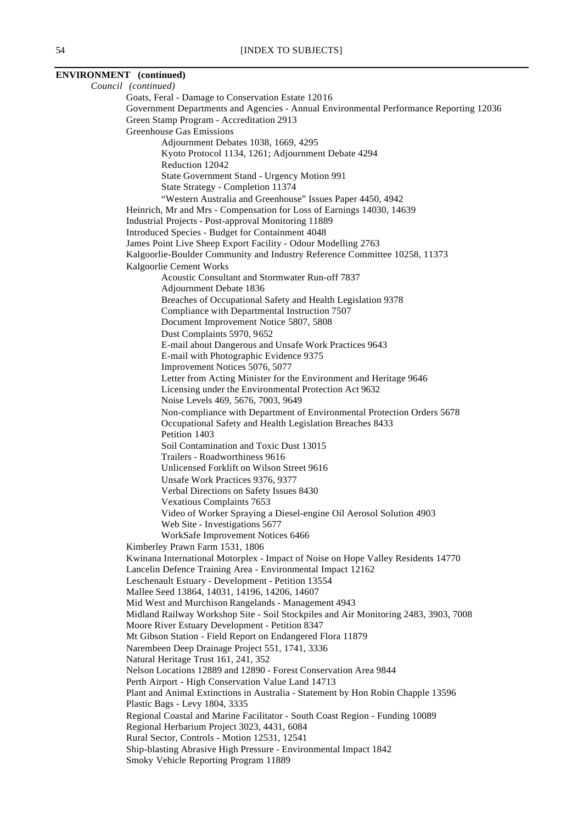#### **ENVIRONMENT (continued)** *Council (continued)* Goats, Feral - Damage to Conservation Estate 12016 Government Departments and Agencies - Annual Environmental Performance Reporting 12036 Green Stamp Program - Accreditation 2913 Greenhouse Gas Emissions Adjournment Debates 1038, 1669, 4295 Kyoto Protocol 1134, 1261; Adjournment Debate 4294 Reduction 12042 State Government Stand - Urgency Motion 991 State Strategy - Completion 11374 "Western Australia and Greenhouse" Issues Paper 4450, 4942 Heinrich, Mr and Mrs - Compensation for Loss of Earnings 14030, 14639 Industrial Projects - Post-approval Monitoring 11889 Introduced Species - Budget for Containment 4048 James Point Live Sheep Export Facility - Odour Modelling 2763 Kalgoorlie-Boulder Community and Industry Reference Committee 10258, 11373 Kalgoorlie Cement Works Acoustic Consultant and Stormwater Run-off 7837 Adjournment Debate 1836 Breaches of Occupational Safety and Health Legislation 9378 Compliance with Departmental Instruction 7507 Document Improvement Notice 5807, 5808 Dust Complaints 5970, 9652 E-mail about Dangerous and Unsafe Work Practices 9643 E-mail with Photographic Evidence 9375 Improvement Notices 5076, 5077 Letter from Acting Minister for the Environment and Heritage 9646 Licensing under the Environmental Protection Act 9632 Noise Levels 469, 5676, 7003, 9649 Non-compliance with Department of Environmental Protection Orders 5678 Occupational Safety and Health Legislation Breaches 8433 Petition 1403 Soil Contamination and Toxic Dust 13015 Trailers - Roadworthiness 9616 Unlicensed Forklift on Wilson Street 9616 Unsafe Work Practices 9376, 9377 Verbal Directions on Safety Issues 8430 Vexatious Complaints 7653 Video of Worker Spraying a Diesel-engine Oil Aerosol Solution 4903 Web Site - Investigations 5677 WorkSafe Improvement Notices 6466 Kimberley Prawn Farm 1531, 1806 Kwinana International Motorplex - Impact of Noise on Hope Valley Residents 14770 Lancelin Defence Training Area - Environmental Impact 12162 Leschenault Estuary - Development - Petition 13554 Mallee Seed 13864, 14031, 14196, 14206, 14607 Mid West and Murchison Rangelands - Management 4943 Midland Railway Workshop Site - Soil Stockpiles and Air Monitoring 2483, 3903, 7008 Moore River Estuary Development - Petition 8347 Mt Gibson Station - Field Report on Endangered Flora 11879 Narembeen Deep Drainage Project 551, 1741, 3336 Natural Heritage Trust 161, 241, 352 Nelson Locations 12889 and 12890 - Forest Conservation Area 9844 Perth Airport - High Conservation Value Land 14713 Plant and Animal Extinctions in Australia - Statement by Hon Robin Chapple 13596 Plastic Bags - Levy 1804, 3335 Regional Coastal and Marine Facilitator - South Coast Region - Funding 10089 Regional Herbarium Project 3023, 4431, 6084 Rural Sector, Controls - Motion 12531, 12541 Ship-blasting Abrasive High Pressure - Environmental Impact 1842 Smoky Vehicle Reporting Program 11889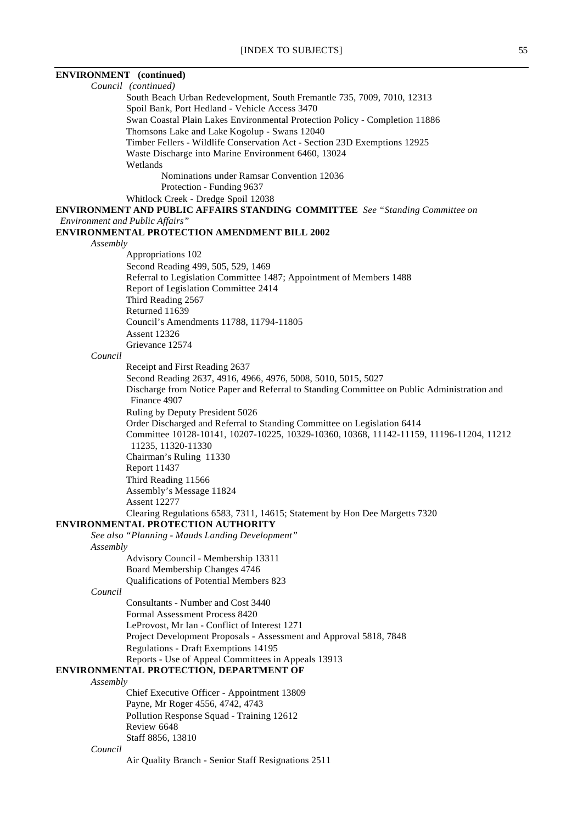| <b>ENVIRONMENT</b> (continued)                                                              |
|---------------------------------------------------------------------------------------------|
| Council (continued)                                                                         |
| South Beach Urban Redevelopment, South Fremantle 735, 7009, 7010, 12313                     |
| Spoil Bank, Port Hedland - Vehicle Access 3470                                              |
| Swan Coastal Plain Lakes Environmental Protection Policy - Completion 11886                 |
| Thomsons Lake and Lake Kogolup - Swans 12040                                                |
| Timber Fellers - Wildlife Conservation Act - Section 23D Exemptions 12925                   |
| Waste Discharge into Marine Environment 6460, 13024                                         |
| Wetlands                                                                                    |
| Nominations under Ramsar Convention 12036                                                   |
| Protection - Funding 9637                                                                   |
| Whitlock Creek - Dredge Spoil 12038                                                         |
| ENVIRONMENT AND PUBLIC AFFAIRS STANDING COMMITTEE See "Standing Committee on                |
| <b>Environment and Public Affairs</b> "                                                     |
| <b>ENVIRONMENTAL PROTECTION AMENDMENT BILL 2002</b>                                         |
| Assembly                                                                                    |
| Appropriations 102                                                                          |
| Second Reading 499, 505, 529, 1469                                                          |
| Referral to Legislation Committee 1487; Appointment of Members 1488                         |
| Report of Legislation Committee 2414                                                        |
| Third Reading 2567                                                                          |
| Returned 11639                                                                              |
| Council's Amendments 11788, 11794-11805<br><b>Assent 12326</b>                              |
|                                                                                             |
| Grievance 12574<br>Council                                                                  |
| Receipt and First Reading 2637                                                              |
| Second Reading 2637, 4916, 4966, 4976, 5008, 5010, 5015, 5027                               |
| Discharge from Notice Paper and Referral to Standing Committee on Public Administration and |
| Finance 4907                                                                                |
| Ruling by Deputy President 5026                                                             |
| Order Discharged and Referral to Standing Committee on Legislation 6414                     |
| Committee 10128-10141, 10207-10225, 10329-10360, 10368, 11142-11159, 11196-11204, 11212     |
| 11235, 11320-11330                                                                          |
| Chairman's Ruling 11330                                                                     |
| <b>Report 11437</b>                                                                         |
| Third Reading 11566                                                                         |
| Assembly's Message 11824                                                                    |
| <b>Assent 12277</b>                                                                         |
| Clearing Regulations 6583, 7311, 14615; Statement by Hon Dee Margetts 7320                  |
| ENVIRONMENTAL PROTECTION AUTHORITY                                                          |
| See also "Planning - Mauds Landing Development"                                             |
| Assembly                                                                                    |
| Advisory Council - Membership 13311                                                         |
| Board Membership Changes 4746                                                               |
| Qualifications of Potential Members 823                                                     |
| Council                                                                                     |
| Consultants - Number and Cost 3440                                                          |
| Formal Assessment Process 8420                                                              |
| LeProvost, Mr Ian - Conflict of Interest 1271                                               |
| Project Development Proposals - Assessment and Approval 5818, 7848                          |
| Regulations - Draft Exemptions 14195                                                        |
| Reports - Use of Appeal Committees in Appeals 13913                                         |
| ENVIRONMENTAL PROTECTION, DEPARTMENT OF                                                     |
| Assembly                                                                                    |
| Chief Executive Officer - Appointment 13809                                                 |
| Payne, Mr Roger 4556, 4742, 4743                                                            |
| Pollution Response Squad - Training 12612<br>Review 6648                                    |
| Staff 8856, 13810                                                                           |
| Council                                                                                     |
| Air Quality Branch - Senior Staff Resignations 2511                                         |
|                                                                                             |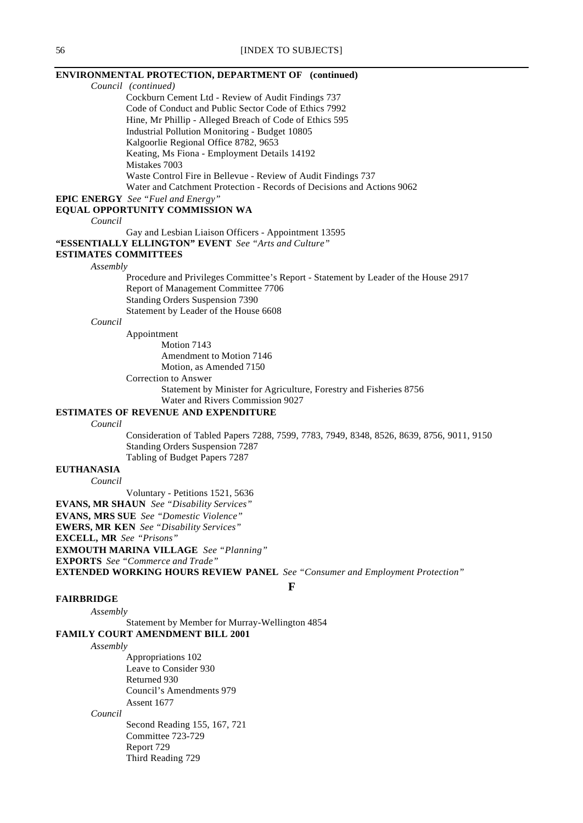## **ENVIRONMENTAL PROTECTION, DEPARTMENT OF (continued)** *Council (continued)* Cockburn Cement Ltd - Review of Audit Findings 737 Code of Conduct and Public Sector Code of Ethics 7992 Hine, Mr Phillip - Alleged Breach of Code of Ethics 595 Industrial Pollution Monitoring - Budget 10805 Kalgoorlie Regional Office 8782, 9653 Keating, Ms Fiona - Employment Details 14192 Mistakes 7003 Waste Control Fire in Bellevue - Review of Audit Findings 737 Water and Catchment Protection - Records of Decisions and Actions 9062 **EPIC ENERGY** *See "Fuel and Energy"* **EQUAL OPPORTUNITY COMMISSION WA** *Council* Gay and Lesbian Liaison Officers - Appointment 13595 **"ESSENTIALLY ELLINGTON" EVENT** *See "Arts and Culture"* **ESTIMATES COMMITTEES** *Assembly* Procedure and Privileges Committee's Report - Statement by Leader of the House 2917 Report of Management Committee 7706 Standing Orders Suspension 7390 Statement by Leader of the House 6608 *Council* Appointment Motion 7143 Amendment to Motion 7146 Motion, as Amended 7150 Correction to Answer Statement by Minister for Agriculture, Forestry and Fisheries 8756 Water and Rivers Commission 9027 **ESTIMATES OF REVENUE AND EXPENDITURE** *Council* Consideration of Tabled Papers 7288, 7599, 7783, 7949, 8348, 8526, 8639, 8756, 9011, 9150 Standing Orders Suspension 7287 Tabling of Budget Papers 7287 **EUTHANASIA** *Council* Voluntary - Petitions 1521, 5636 **EVANS, MR SHAUN** *See "Disability Services"* **EVANS, MRS SUE** *See "Domestic Violence"* **EWERS, MR KEN** *See "Disability Services"* **EXCELL, MR** *See "Prisons"* **EXMOUTH MARINA VILLAGE** *See "Planning"*

**EXPORTS** *See "Commerce and Trade"*

**EXTENDED WORKING HOURS REVIEW PANEL** *See "Consumer and Employment Protection"*

#### **F**

#### **FAIRBRIDGE**

*Assembly* Statement by Member for Murray-Wellington 4854 **FAMILY COURT AMENDMENT BILL 2001**

## *Assembly*

Appropriations 102 Leave to Consider 930 Returned 930 Council's Amendments 979 Assent 1677

*Council*

Second Reading 155, 167, 721 Committee 723-729 Report 729 Third Reading 729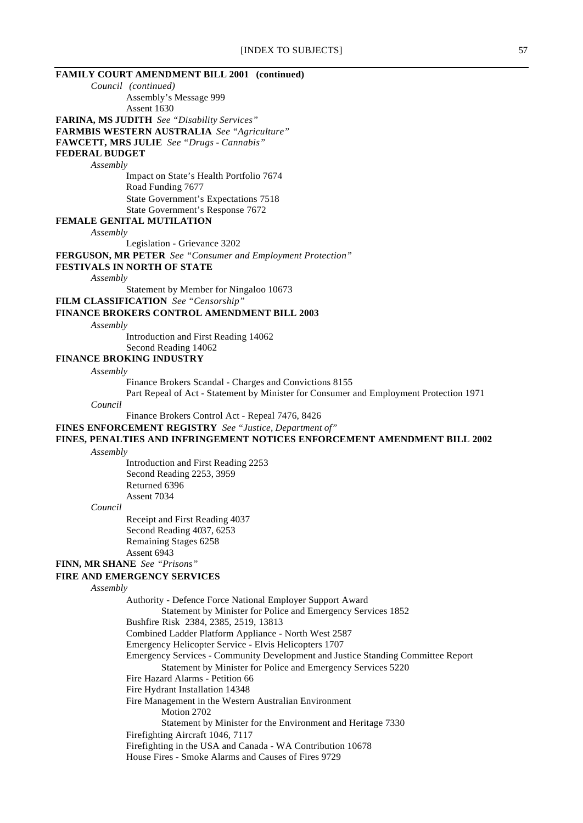|                                 | [INDEX TO SUBJECTS]                                                                                                                              | 57 |
|---------------------------------|--------------------------------------------------------------------------------------------------------------------------------------------------|----|
|                                 | <b>FAMILY COURT AMENDMENT BILL 2001 (continued)</b>                                                                                              |    |
| Council (continued)             |                                                                                                                                                  |    |
|                                 | Assembly's Message 999                                                                                                                           |    |
|                                 | Assent 1630                                                                                                                                      |    |
|                                 | <b>FARINA, MS JUDITH</b> See "Disability Services"                                                                                               |    |
|                                 | <b>FARMBIS WESTERN AUSTRALIA</b> See "Agriculture"                                                                                               |    |
|                                 | <b>FAWCETT, MRS JULIE</b> See "Drugs - Cannabis"                                                                                                 |    |
| <b>FEDERAL BUDGET</b>           |                                                                                                                                                  |    |
| Assembly                        |                                                                                                                                                  |    |
|                                 | Impact on State's Health Portfolio 7674<br>Road Funding 7677                                                                                     |    |
|                                 | State Government's Expectations 7518                                                                                                             |    |
|                                 | State Government's Response 7672                                                                                                                 |    |
|                                 | FEMALE GENITAL MUTILATION                                                                                                                        |    |
| Assembly                        |                                                                                                                                                  |    |
|                                 | Legislation - Grievance 3202                                                                                                                     |    |
|                                 | FERGUSON, MR PETER See "Consumer and Employment Protection"                                                                                      |    |
|                                 | <b>FESTIVALS IN NORTH OF STATE</b>                                                                                                               |    |
| Assembly                        |                                                                                                                                                  |    |
|                                 | Statement by Member for Ningaloo 10673                                                                                                           |    |
|                                 | <b>FILM CLASSIFICATION</b> See "Censorship"                                                                                                      |    |
|                                 | <b>FINANCE BROKERS CONTROL AMENDMENT BILL 2003</b>                                                                                               |    |
| Assembly                        |                                                                                                                                                  |    |
|                                 | Introduction and First Reading 14062                                                                                                             |    |
|                                 | Second Reading 14062                                                                                                                             |    |
| <b>FINANCE BROKING INDUSTRY</b> |                                                                                                                                                  |    |
| Assembly                        |                                                                                                                                                  |    |
|                                 | Finance Brokers Scandal - Charges and Convictions 8155<br>Part Repeal of Act - Statement by Minister for Consumer and Employment Protection 1971 |    |
| Council                         |                                                                                                                                                  |    |
|                                 | Finance Brokers Control Act - Repeal 7476, 8426                                                                                                  |    |
|                                 | <b>FINES ENFORCEMENT REGISTRY</b> See "Justice, Department of"                                                                                   |    |
|                                 | FINES, PENALTIES AND INFRINGEMENT NOTICES ENFORCEMENT AMENDMENT BILL 2002                                                                        |    |
| Assembly                        |                                                                                                                                                  |    |
|                                 | Introduction and First Reading 2253                                                                                                              |    |
|                                 | Second Reading 2253, 3959                                                                                                                        |    |
|                                 | Returned 6396                                                                                                                                    |    |
|                                 | Assent 7034                                                                                                                                      |    |
| Council                         |                                                                                                                                                  |    |
|                                 | Receipt and First Reading 4037                                                                                                                   |    |
|                                 | Second Reading 4037, 6253                                                                                                                        |    |
|                                 | Remaining Stages 6258                                                                                                                            |    |
|                                 | Assent 6943                                                                                                                                      |    |
| FINN, MR SHANE See "Prisons"    |                                                                                                                                                  |    |
|                                 | <b>FIRE AND EMERGENCY SERVICES</b>                                                                                                               |    |
| Assembly                        | Authority - Defence Force National Employer Support Award                                                                                        |    |
|                                 | Statement by Minister for Police and Emergency Services 1852                                                                                     |    |
|                                 | Bushfire Risk 2384, 2385, 2519, 13813                                                                                                            |    |
|                                 | Combined Ladder Platform Appliance - North West 2587                                                                                             |    |
|                                 | Emergency Helicopter Service - Elvis Helicopters 1707                                                                                            |    |
|                                 | Emergency Services - Community Development and Justice Standing Committee Report                                                                 |    |
|                                 | Statement by Minister for Police and Emergency Services 5220                                                                                     |    |
|                                 | Fire Hazard Alarms - Petition 66                                                                                                                 |    |
|                                 | Fire Hydrant Installation 14348                                                                                                                  |    |
|                                 | Fire Management in the Western Australian Environment                                                                                            |    |
|                                 | Motion 2702                                                                                                                                      |    |
|                                 | Statement by Minister for the Environment and Heritage 7330                                                                                      |    |
|                                 | Firefighting Aircraft 1046, 7117                                                                                                                 |    |
|                                 | Firefighting in the USA and Canada - WA Contribution 10678                                                                                       |    |
|                                 | House Fires - Smoke Alarms and Causes of Fires 9729                                                                                              |    |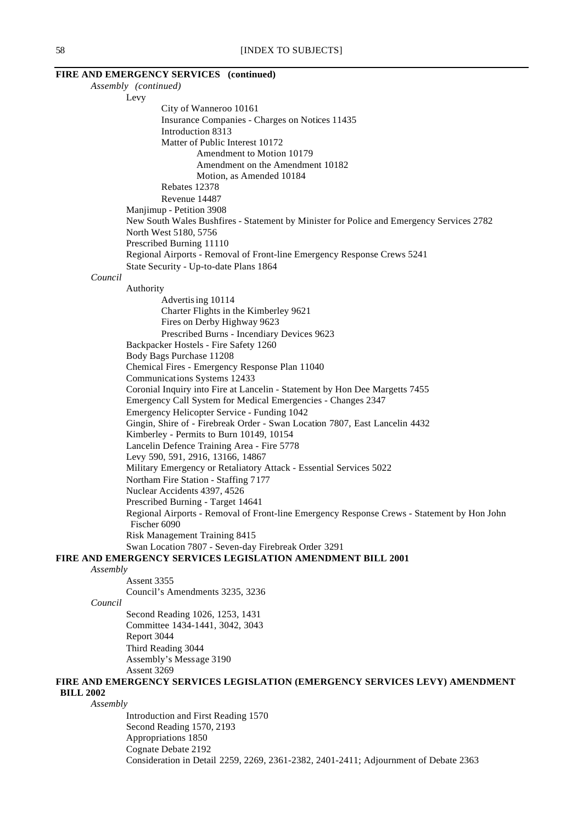|                  | FIRE AND EMERGENCY SERVICES (continued)<br>Assembly (continued)                                                            |
|------------------|----------------------------------------------------------------------------------------------------------------------------|
|                  | Levy                                                                                                                       |
|                  | City of Wanneroo 10161                                                                                                     |
|                  | Insurance Companies - Charges on Notices 11435                                                                             |
|                  | Introduction 8313                                                                                                          |
|                  | Matter of Public Interest 10172                                                                                            |
|                  | Amendment to Motion 10179                                                                                                  |
|                  | Amendment on the Amendment 10182                                                                                           |
|                  | Motion, as Amended 10184<br>Rebates 12378                                                                                  |
|                  | Revenue 14487                                                                                                              |
|                  | Manjimup - Petition 3908                                                                                                   |
|                  | New South Wales Bushfires - Statement by Minister for Police and Emergency Services 2782                                   |
|                  | North West 5180, 5756                                                                                                      |
|                  | Prescribed Burning 11110                                                                                                   |
|                  | Regional Airports - Removal of Front-line Emergency Response Crews 5241                                                    |
|                  | State Security - Up-to-date Plans 1864                                                                                     |
| Council          |                                                                                                                            |
|                  | Authority                                                                                                                  |
|                  | Advertising 10114                                                                                                          |
|                  | Charter Flights in the Kimberley 9621                                                                                      |
|                  | Fires on Derby Highway 9623                                                                                                |
|                  | Prescribed Burns - Incendiary Devices 9623                                                                                 |
|                  | Backpacker Hostels - Fire Safety 1260                                                                                      |
|                  | Body Bags Purchase 11208                                                                                                   |
|                  | Chemical Fires - Emergency Response Plan 11040                                                                             |
|                  | Communications Systems 12433                                                                                               |
|                  | Coronial Inquiry into Fire at Lancelin - Statement by Hon Dee Margetts 7455                                                |
|                  | Emergency Call System for Medical Emergencies - Changes 2347                                                               |
|                  | Emergency Helicopter Service - Funding 1042<br>Gingin, Shire of - Firebreak Order - Swan Location 7807, East Lancelin 4432 |
|                  | Kimberley - Permits to Burn 10149, 10154                                                                                   |
|                  | Lancelin Defence Training Area - Fire 5778                                                                                 |
|                  | Levy 590, 591, 2916, 13166, 14867                                                                                          |
|                  | Military Emergency or Retaliatory Attack - Essential Services 5022                                                         |
|                  | Northam Fire Station - Staffing 7177                                                                                       |
|                  | Nuclear Accidents 4397, 4526                                                                                               |
|                  | Prescribed Burning - Target 14641                                                                                          |
|                  | Regional Airports - Removal of Front-line Emergency Response Crews - Statement by Hon John                                 |
|                  | Fischer 6090                                                                                                               |
|                  | Risk Management Training 8415                                                                                              |
|                  | Swan Location 7807 - Seven-day Firebreak Order 3291                                                                        |
|                  | <b>FIRE AND EMERGENCY SERVICES LEGISLATION AMENDMENT BILL 2001</b>                                                         |
| Assembly         |                                                                                                                            |
|                  | Assent 3355                                                                                                                |
|                  | Council's Amendments 3235, 3236                                                                                            |
| Council          |                                                                                                                            |
|                  | Second Reading 1026, 1253, 1431                                                                                            |
|                  | Committee 1434-1441, 3042, 3043                                                                                            |
|                  | Report 3044                                                                                                                |
|                  | Third Reading 3044                                                                                                         |
|                  | Assembly's Message 3190<br>Assent 3269                                                                                     |
|                  | FIRE AND EMERGENCY SERVICES LEGISLATION (EMERGENCY SERVICES LEVY) AMENDMENT                                                |
| <b>BILL 2002</b> |                                                                                                                            |
| Assembly         |                                                                                                                            |
|                  | Introduction and First Reading 1570                                                                                        |
|                  | Second Reading 1570, 2193                                                                                                  |
|                  | Appropriations 1850                                                                                                        |
|                  | Cognate Debate 2192                                                                                                        |
|                  | Consideration in Detail 2259, 2269, 2361-2382, 2401-2411; Adjournment of Debate 2363                                       |
|                  |                                                                                                                            |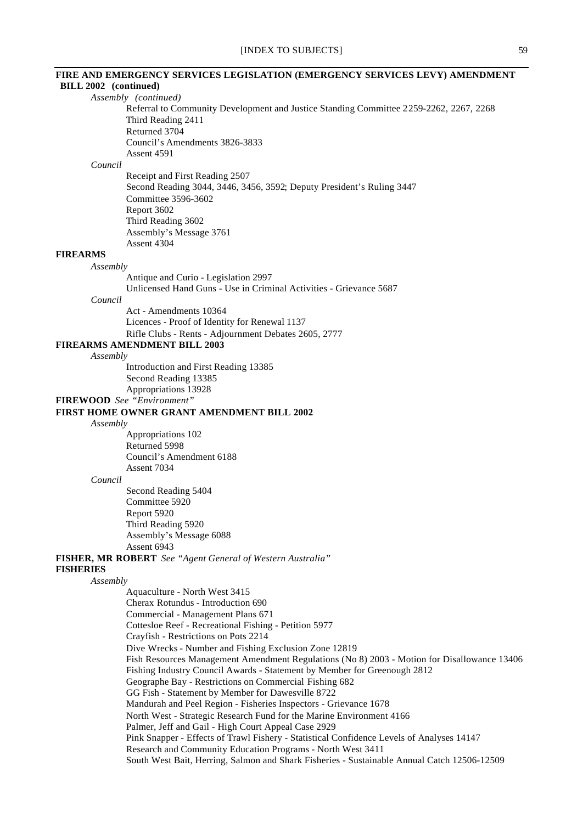# [INDEX TO SUBJECTS] 59 **FIRE AND EMERGENCY SERVICES LEGISLATION (EMERGENCY SERVICES LEVY) AMENDMENT BILL 2002 (continued)** *Assembly (continued)* Referral to Community Development and Justice Standing Committee 2259-2262, 2267, 2268 Third Reading 2411 Returned 3704 Council's Amendments 3826-3833 Assent 4591 *Council* Receipt and First Reading 2507 Second Reading 3044, 3446, 3456, 3592; Deputy President's Ruling 3447 Committee 3596-3602 Report 3602 Third Reading 3602 Assembly's Message 3761 Assent 4304 **FIREARMS** *Assembly* Antique and Curio - Legislation 2997 Unlicensed Hand Guns - Use in Criminal Activities - Grievance 5687 *Council* Act - Amendments 10364 Licences - Proof of Identity for Renewal 1137 Rifle Clubs - Rents - Adjournment Debates 2605, 2777 **FIREARMS AMENDMENT BILL 2003** *Assembly* Introduction and First Reading 13385 Second Reading 13385 Appropriations 13928 **FIREWOOD** *See "Environment"* **FIRST HOME OWNER GRANT AMENDMENT BILL 2002** *Assembly* Appropriations 102 Returned 5998 Council's Amendment 6188 Assent 7034 *Council* Second Reading 5404 Committee 5920 Report 5920 Third Reading 5920 Assembly's Message 6088 Assent 6943 **FISHER, MR ROBERT** *See "Agent General of Western Australia"* **FISHERIES** *Assembly* Aquaculture - North West 3415 Cherax Rotundus - Introduction 690 Commercial - Management Plans 671 Cottesloe Reef - Recreational Fishing - Petition 5977 Crayfish - Restrictions on Pots 2214 Dive Wrecks - Number and Fishing Exclusion Zone 12819 Fish Resources Management Amendment Regulations (No 8) 2003 - Motion for Disallowance 13406 Fishing Industry Council Awards - Statement by Member for Greenough 2812 Geographe Bay - Restrictions on Commercial Fishing 682 GG Fish - Statement by Member for Dawesville 8722 Mandurah and Peel Region - Fisheries Inspectors - Grievance 1678 North West - Strategic Research Fund for the Marine Environment 4166

Palmer, Jeff and Gail - High Court Appeal Case 2929

Pink Snapper - Effects of Trawl Fishery - Statistical Confidence Levels of Analyses 14147

Research and Community Education Programs - North West 3411

South West Bait, Herring, Salmon and Shark Fisheries - Sustainable Annual Catch 12506-12509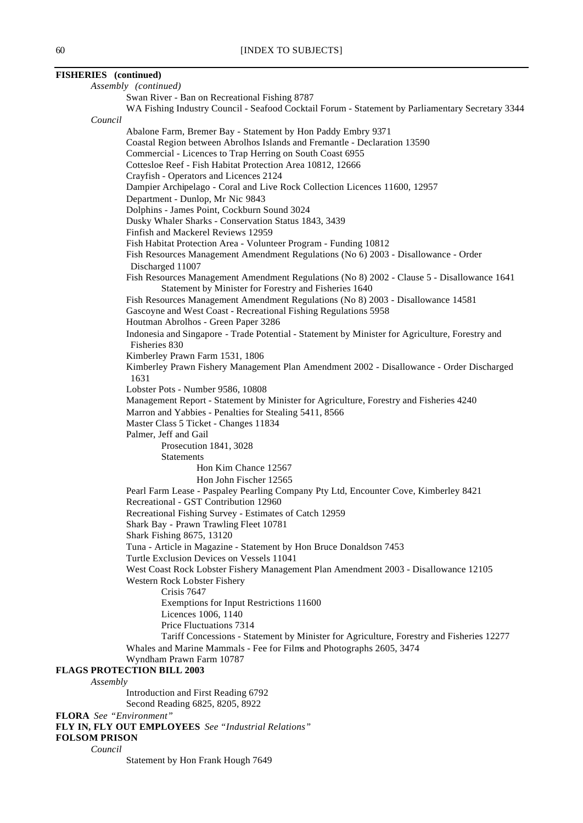| <b>FISHERIES</b> (continued)      |                                                                                                                                                     |
|-----------------------------------|-----------------------------------------------------------------------------------------------------------------------------------------------------|
| Assembly (continued)              |                                                                                                                                                     |
|                                   | Swan River - Ban on Recreational Fishing 8787                                                                                                       |
| Council                           | WA Fishing Industry Council - Seafood Cocktail Forum - Statement by Parliamentary Secretary 3344                                                    |
|                                   | Abalone Farm, Bremer Bay - Statement by Hon Paddy Embry 9371                                                                                        |
|                                   | Coastal Region between Abrolhos Islands and Fremantle - Declaration 13590                                                                           |
|                                   | Commercial - Licences to Trap Herring on South Coast 6955                                                                                           |
|                                   | Cottesloe Reef - Fish Habitat Protection Area 10812, 12666                                                                                          |
|                                   | Crayfish - Operators and Licences 2124                                                                                                              |
|                                   | Dampier Archipelago - Coral and Live Rock Collection Licences 11600, 12957                                                                          |
|                                   | Department - Dunlop, Mr Nic 9843                                                                                                                    |
|                                   | Dolphins - James Point, Cockburn Sound 3024                                                                                                         |
|                                   | Dusky Whaler Sharks - Conservation Status 1843, 3439                                                                                                |
|                                   | Finfish and Mackerel Reviews 12959                                                                                                                  |
|                                   | Fish Habitat Protection Area - Volunteer Program - Funding 10812                                                                                    |
|                                   | Fish Resources Management Amendment Regulations (No 6) 2003 - Disallowance - Order                                                                  |
|                                   | Discharged 11007                                                                                                                                    |
|                                   | Fish Resources Management Amendment Regulations (No 8) 2002 - Clause 5 - Disallowance 1641<br>Statement by Minister for Forestry and Fisheries 1640 |
|                                   | Fish Resources Management Amendment Regulations (No 8) 2003 - Disallowance 14581                                                                    |
|                                   | Gascoyne and West Coast - Recreational Fishing Regulations 5958                                                                                     |
|                                   | Houtman Abrolhos - Green Paper 3286                                                                                                                 |
|                                   | Indonesia and Singapore - Trade Potential - Statement by Minister for Agriculture, Forestry and<br>Fisheries 830                                    |
|                                   | Kimberley Prawn Farm 1531, 1806                                                                                                                     |
|                                   | Kimberley Prawn Fishery Management Plan Amendment 2002 - Disallowance - Order Discharged                                                            |
| 1631                              |                                                                                                                                                     |
|                                   | Lobster Pots - Number 9586, 10808                                                                                                                   |
|                                   | Management Report - Statement by Minister for Agriculture, Forestry and Fisheries 4240                                                              |
|                                   | Marron and Yabbies - Penalties for Stealing 5411, 8566                                                                                              |
|                                   | Master Class 5 Ticket - Changes 11834                                                                                                               |
|                                   | Palmer, Jeff and Gail                                                                                                                               |
|                                   | Prosecution 1841, 3028                                                                                                                              |
|                                   | <b>Statements</b><br>Hon Kim Chance 12567                                                                                                           |
|                                   |                                                                                                                                                     |
|                                   | Hon John Fischer 12565<br>Pearl Farm Lease - Paspaley Pearling Company Pty Ltd, Encounter Cove, Kimberley 8421                                      |
|                                   | Recreational - GST Contribution 12960                                                                                                               |
|                                   | Recreational Fishing Survey - Estimates of Catch 12959                                                                                              |
|                                   | Shark Bay - Prawn Trawling Fleet 10781                                                                                                              |
|                                   | Shark Fishing 8675, 13120                                                                                                                           |
|                                   | Tuna - Article in Magazine - Statement by Hon Bruce Donaldson 7453                                                                                  |
|                                   | Turtle Exclusion Devices on Vessels 11041                                                                                                           |
|                                   | West Coast Rock Lobster Fishery Management Plan Amendment 2003 - Disallowance 12105                                                                 |
|                                   | Western Rock Lobster Fishery                                                                                                                        |
|                                   | Crisis 7647                                                                                                                                         |
|                                   | Exemptions for Input Restrictions 11600                                                                                                             |
|                                   | Licences 1006, 1140                                                                                                                                 |
|                                   | Price Fluctuations 7314                                                                                                                             |
|                                   | Tariff Concessions - Statement by Minister for Agriculture, Forestry and Fisheries 12277                                                            |
|                                   | Whales and Marine Mammals - Fee for Films and Photographs 2605, 3474                                                                                |
|                                   | Wyndham Prawn Farm 10787                                                                                                                            |
| <b>FLAGS PROTECTION BILL 2003</b> |                                                                                                                                                     |
| Assembly                          |                                                                                                                                                     |
|                                   | Introduction and First Reading 6792                                                                                                                 |
|                                   | Second Reading 6825, 8205, 8922                                                                                                                     |
| <b>FLORA</b> See "Environment"    |                                                                                                                                                     |
|                                   |                                                                                                                                                     |

**FLY IN, FLY OUT EMPLOYEES** *See "Industrial Relations"*

# **FOLSOM PRISON**

*Council*

Statement by Hon Frank Hough 7649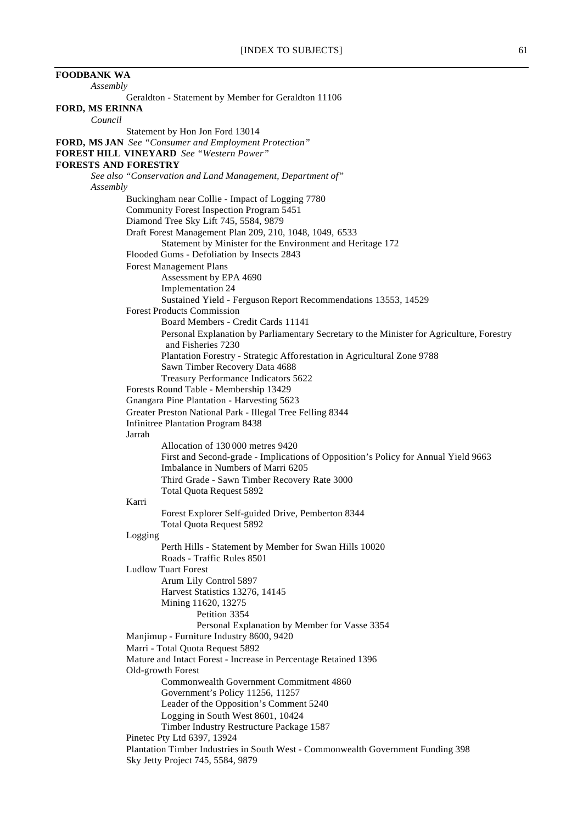**FOODBANK WA** *Assembly* Geraldton - Statement by Member for Geraldton 11106 **FORD, MS ERINNA** *Council* Statement by Hon Jon Ford 13014 **FORD, MS JAN** *See "Consumer and Employment Protection"* **FOREST HILL VINEYARD** *See "Western Power"* **FORESTS AND FORESTRY** *See also "Conservation and Land Management, Department of" Assembly* Buckingham near Collie - Impact of Logging 7780 Community Forest Inspection Program 5451 Diamond Tree Sky Lift 745, 5584, 9879 Draft Forest Management Plan 209, 210, 1048, 1049, 6533 Statement by Minister for the Environment and Heritage 172 Flooded Gums - Defoliation by Insects 2843 Forest Management Plans Assessment by EPA 4690 Implementation 24 Sustained Yield - Ferguson Report Recommendations 13553, 14529 Forest Products Commission Board Members - Credit Cards 11141 Personal Explanation by Parliamentary Secretary to the Minister for Agriculture, Forestry and Fisheries 7230 Plantation Forestry - Strategic Afforestation in Agricultural Zone 9788 Sawn Timber Recovery Data 4688 Treasury Performance Indicators 5622 Forests Round Table - Membership 13429 Gnangara Pine Plantation - Harvesting 5623 Greater Preston National Park - Illegal Tree Felling 8344 Infinitree Plantation Program 8438 Jarrah Allocation of 130 000 metres 9420 First and Second-grade - Implications of Opposition's Policy for Annual Yield 9663 Imbalance in Numbers of Marri 6205 Third Grade - Sawn Timber Recovery Rate 3000 Total Quota Request 5892 Karri Forest Explorer Self-guided Drive, Pemberton 8344 Total Quota Request 5892 Logging Perth Hills - Statement by Member for Swan Hills 10020 Roads - Traffic Rules 8501 Ludlow Tuart Forest Arum Lily Control 5897 Harvest Statistics 13276, 14145 Mining 11620, 13275 Petition 3354 Personal Explanation by Member for Vasse 3354 Manjimup - Furniture Industry 8600, 9420 Marri - Total Quota Request 5892 Mature and Intact Forest - Increase in Percentage Retained 1396 Old-growth Forest Commonwealth Government Commitment 4860 Government's Policy 11256, 11257 Leader of the Opposition's Comment 5240 Logging in South West 8601, 10424 Timber Industry Restructure Package 1587 Pinetec Pty Ltd 6397, 13924 Plantation Timber Industries in South West - Commonwealth Government Funding 398 Sky Jetty Project 745, 5584, 9879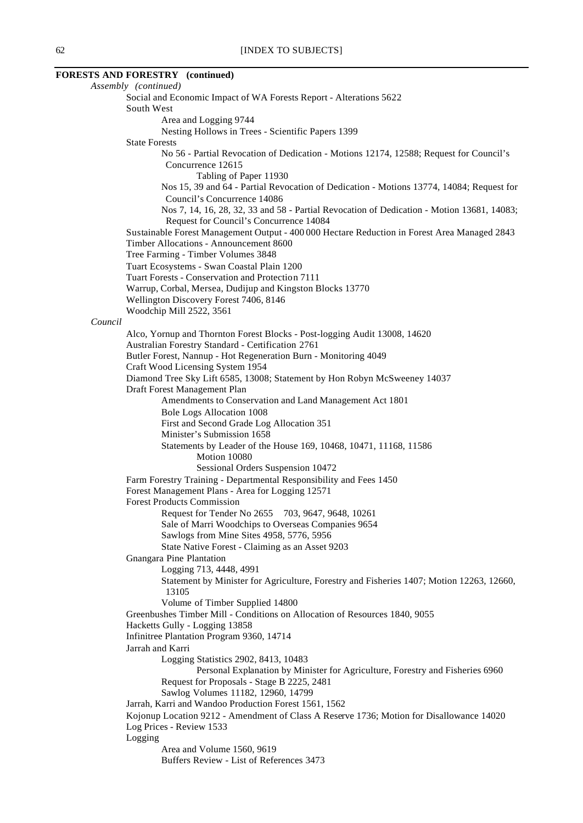# **FORESTS AND FORESTRY (continued)**

*Assembly (continued)* Social and Economic Impact of WA Forests Report - Alterations 5622 South West Area and Logging 9744 Nesting Hollows in Trees - Scientific Papers 1399 State Forests No 56 - Partial Revocation of Dedication - Motions 12174, 12588; Request for Council's Concurrence 12615 Tabling of Paper 11930 Nos 15, 39 and 64 - Partial Revocation of Dedication - Motions 13774, 14084; Request for Council's Concurrence 14086 Nos 7, 14, 16, 28, 32, 33 and 58 - Partial Revocation of Dedication - Motion 13681, 14083; Request for Council's Concurrence 14084 Sustainable Forest Management Output - 400 000 Hectare Reduction in Forest Area Managed 2843 Timber Allocations - Announcement 8600 Tree Farming - Timber Volumes 3848 Tuart Ecosystems - Swan Coastal Plain 1200 Tuart Forests - Conservation and Protection 7111 Warrup, Corbal, Mersea, Dudijup and Kingston Blocks 13770 Wellington Discovery Forest 7406, 8146 Woodchip Mill 2522, 3561 *Council* Alco, Yornup and Thornton Forest Blocks - Post-logging Audit 13008, 14620 Australian Forestry Standard - Certification 2761 Butler Forest, Nannup - Hot Regeneration Burn - Monitoring 4049 Craft Wood Licensing System 1954 Diamond Tree Sky Lift 6585, 13008; Statement by Hon Robyn McSweeney 14037 Draft Forest Management Plan Amendments to Conservation and Land Management Act 1801 Bole Logs Allocation 1008 First and Second Grade Log Allocation 351 Minister's Submission 1658 Statements by Leader of the House 169, 10468, 10471, 11168, 11586 Motion 10080 Sessional Orders Suspension 10472 Farm Forestry Training - Departmental Responsibility and Fees 1450 Forest Management Plans - Area for Logging 12571 Forest Products Commission Request for Tender No 2655 703, 9647, 9648, 10261 Sale of Marri Woodchips to Overseas Companies 9654 Sawlogs from Mine Sites 4958, 5776, 5956 State Native Forest - Claiming as an Asset 9203 Gnangara Pine Plantation Logging 713, 4448, 4991 Statement by Minister for Agriculture, Forestry and Fisheries 1407; Motion 12263, 12660, 13105 Volume of Timber Supplied 14800 Greenbushes Timber Mill - Conditions on Allocation of Resources 1840, 9055 Hacketts Gully - Logging 13858 Infinitree Plantation Program 9360, 14714 Jarrah and Karri Logging Statistics 2902, 8413, 10483 Personal Explanation by Minister for Agriculture, Forestry and Fisheries 6960 Request for Proposals - Stage B 2225, 2481 Sawlog Volumes 11182, 12960, 14799 Jarrah, Karri and Wandoo Production Forest 1561, 1562 Kojonup Location 9212 - Amendment of Class A Reserve 1736; Motion for Disallowance 14020 Log Prices - Review 1533 Logging Area and Volume 1560, 9619 Buffers Review - List of References 3473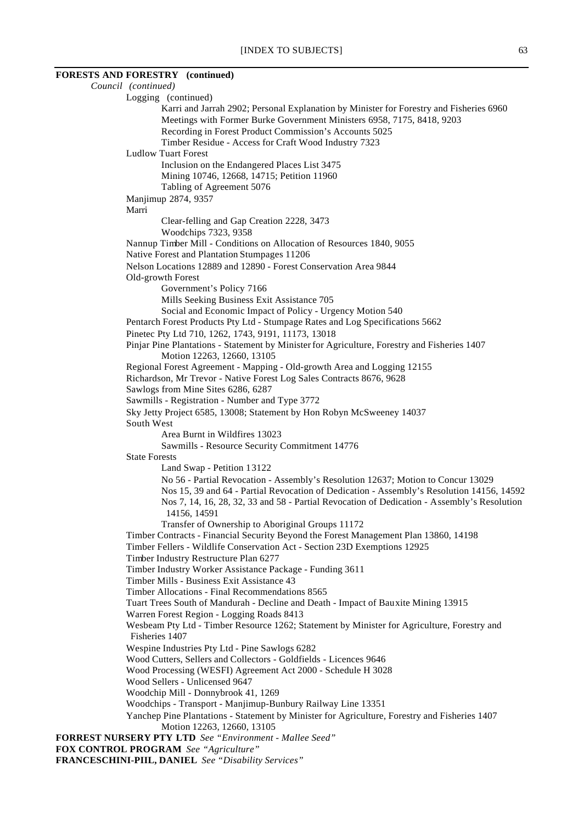# **FORESTS AND FORESTRY (continued)**

| Council (continued)                                                                           |
|-----------------------------------------------------------------------------------------------|
| Logging (continued)                                                                           |
| Karri and Jarrah 2902; Personal Explanation by Minister for Forestry and Fisheries 6960       |
| Meetings with Former Burke Government Ministers 6958, 7175, 8418, 9203                        |
| Recording in Forest Product Commission's Accounts 5025                                        |
| Timber Residue - Access for Craft Wood Industry 7323                                          |
| <b>Ludlow Tuart Forest</b>                                                                    |
| Inclusion on the Endangered Places List 3475                                                  |
| Mining 10746, 12668, 14715; Petition 11960                                                    |
| Tabling of Agreement 5076                                                                     |
| Manjimup 2874, 9357                                                                           |
| Marri                                                                                         |
| Clear-felling and Gap Creation 2228, 3473                                                     |
| Woodchips 7323, 9358                                                                          |
| Nannup Timber Mill - Conditions on Allocation of Resources 1840, 9055                         |
| Native Forest and Plantation Stumpages 11206                                                  |
| Nelson Locations 12889 and 12890 - Forest Conservation Area 9844                              |
| Old-growth Forest                                                                             |
| Government's Policy 7166                                                                      |
| Mills Seeking Business Exit Assistance 705                                                    |
| Social and Economic Impact of Policy - Urgency Motion 540                                     |
| Pentarch Forest Products Pty Ltd - Stumpage Rates and Log Specifications 5662                 |
| Pinetec Pty Ltd 710, 1262, 1743, 9191, 11173, 13018                                           |
| Pinjar Pine Plantations - Statement by Minister for Agriculture, Forestry and Fisheries 1407  |
|                                                                                               |
| Motion 12263, 12660, 13105                                                                    |
| Regional Forest Agreement - Mapping - Old-growth Area and Logging 12155                       |
| Richardson, Mr Trevor - Native Forest Log Sales Contracts 8676, 9628                          |
| Sawlogs from Mine Sites 6286, 6287                                                            |
| Sawmills - Registration - Number and Type 3772                                                |
| Sky Jetty Project 6585, 13008; Statement by Hon Robyn McSweeney 14037                         |
| South West                                                                                    |
| Area Burnt in Wildfires 13023                                                                 |
| Sawmills - Resource Security Commitment 14776                                                 |
| <b>State Forests</b>                                                                          |
| Land Swap - Petition 13122                                                                    |
| No 56 - Partial Revocation - Assembly's Resolution 12637; Motion to Concur 13029              |
| Nos 15, 39 and 64 - Partial Revocation of Dedication - Assembly's Resolution 14156, 14592     |
| Nos 7, 14, 16, 28, 32, 33 and 58 - Partial Revocation of Dedication - Assembly's Resolution   |
| 14156, 14591                                                                                  |
| Transfer of Ownership to Aboriginal Groups 11172                                              |
| Timber Contracts - Financial Security Beyond the Forest Management Plan 13860, 14198          |
| Timber Fellers - Wildlife Conservation Act - Section 23D Exemptions 12925                     |
| Timber Industry Restructure Plan 6277                                                         |
| Timber Industry Worker Assistance Package - Funding 3611                                      |
| Timber Mills - Business Exit Assistance 43                                                    |
| Timber Allocations - Final Recommendations 8565                                               |
| Tuart Trees South of Mandurah - Decline and Death - Impact of Bauxite Mining 13915            |
| Warren Forest Region - Logging Roads 8413                                                     |
| Wesbeam Pty Ltd - Timber Resource 1262; Statement by Minister for Agriculture, Forestry and   |
| Fisheries 1407                                                                                |
| Wespine Industries Pty Ltd - Pine Sawlogs 6282                                                |
| Wood Cutters, Sellers and Collectors - Goldfields - Licences 9646                             |
| Wood Processing (WESFI) Agreement Act 2000 - Schedule H 3028                                  |
| Wood Sellers - Unlicensed 9647                                                                |
| Woodchip Mill - Donnybrook 41, 1269                                                           |
| Woodchips - Transport - Manjimup-Bunbury Railway Line 13351                                   |
| Yanchep Pine Plantations - Statement by Minister for Agriculture, Forestry and Fisheries 1407 |
| Motion 12263, 12660, 13105                                                                    |
| <b>FORREST NURSERY PTY LTD</b> See "Environment - Mallee Seed"                                |
| FOX CONTROL PROGRAM See "Agriculture"                                                         |

**FRANCESCHINI-PIIL, DANIEL** *See "Disability Services"*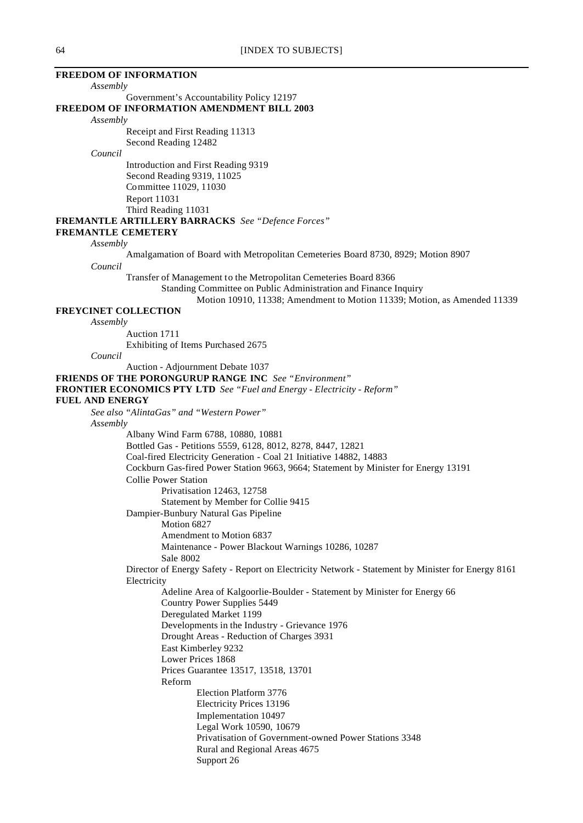#### **FREEDOM OF INFORMATION**

*Assembly*

Government's Accountability Policy 12197

#### **FREEDOM OF INFORMATION AMENDMENT BILL 2003**

*Assembly*

Receipt and First Reading 11313 Second Reading 12482

#### *Council*

Introduction and First Reading 9319 Second Reading 9319, 11025 Committee 11029, 11030 Report 11031 Third Reading 11031

# **FREMANTLE ARTILLERY BARRACKS** *See "Defence Forces"*

# **FREMANTLE CEMETERY**

*Assembly*

Amalgamation of Board with Metropolitan Cemeteries Board 8730, 8929; Motion 8907 *Council*

Transfer of Management to the Metropolitan Cemeteries Board 8366

Standing Committee on Public Administration and Finance Inquiry

### Motion 10910, 11338; Amendment to Motion 11339; Motion, as Amended 11339

# **FREYCINET COLLECTION**

*Assembly*

Auction 1711 Exhibiting of Items Purchased 2675

*Council*

Auction - Adjournment Debate 1037

**FRIENDS OF THE PORONGURUP RANGE INC** *See "Environment"*

**FRONTIER ECONOMICS PTY LTD** *See "Fuel and Energy - Electricity - Reform"*

#### **FUEL AND ENERGY**

*See also "AlintaGas" and "Western Power" Assembly*

> Albany Wind Farm 6788, 10880, 10881 Bottled Gas - Petitions 5559, 6128, 8012, 8278, 8447, 12821 Coal-fired Electricity Generation - Coal 21 Initiative 14882, 14883 Cockburn Gas-fired Power Station 9663, 9664; Statement by Minister for Energy 13191 Collie Power Station Privatisation 12463, 12758 Statement by Member for Collie 9415 Dampier-Bunbury Natural Gas Pipeline Motion 6827 Amendment to Motion 6837 Maintenance - Power Blackout Warnings 10286, 10287 Sale 8002 Director of Energy Safety - Report on Electricity Network - Statement by Minister for Energy 8161 Electricity Adeline Area of Kalgoorlie-Boulder - Statement by Minister for Energy 66 Country Power Supplies 5449 Deregulated Market 1199 Developments in the Industry - Grievance 1976 Drought Areas - Reduction of Charges 3931 East Kimberley 9232 Lower Prices 1868 Prices Guarantee 13517, 13518, 13701 Reform Election Platform 3776 Electricity Prices 13196 Implementation 10497 Legal Work 10590, 10679 Privatisation of Government-owned Power Stations 3348 Rural and Regional Areas 4675 Support 26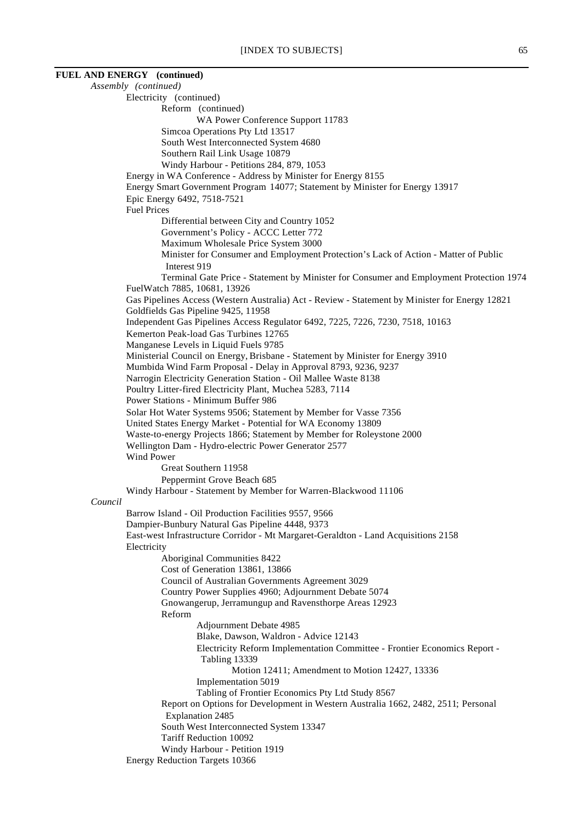**FUEL AND ENERGY (continued)** *Assembly (continued)* Electricity (continued) Reform (continued) WA Power Conference Support 11783 Simcoa Operations Pty Ltd 13517 South West Interconnected System 4680 Southern Rail Link Usage 10879 Windy Harbour - Petitions 284, 879, 1053 Energy in WA Conference - Address by Minister for Energy 8155 Energy Smart Government Program 14077; Statement by Minister for Energy 13917 Epic Energy 6492, 7518-7521 Fuel Prices Differential between City and Country 1052 Government's Policy - ACCC Letter 772 Maximum Wholesale Price System 3000 Minister for Consumer and Employment Protection's Lack of Action - Matter of Public Interest 919 Terminal Gate Price - Statement by Minister for Consumer and Employment Protection 1974 FuelWatch 7885, 10681, 13926 Gas Pipelines Access (Western Australia) Act - Review - Statement by Minister for Energy 12821 Goldfields Gas Pipeline 9425, 11958 Independent Gas Pipelines Access Regulator 6492, 7225, 7226, 7230, 7518, 10163 Kemerton Peak-load Gas Turbines 12765 Manganese Levels in Liquid Fuels 9785 Ministerial Council on Energy, Brisbane - Statement by Minister for Energy 3910 Mumbida Wind Farm Proposal - Delay in Approval 8793, 9236, 9237 Narrogin Electricity Generation Station - Oil Mallee Waste 8138 Poultry Litter-fired Electricity Plant, Muchea 5283, 7114 Power Stations - Minimum Buffer 986 Solar Hot Water Systems 9506; Statement by Member for Vasse 7356 United States Energy Market - Potential for WA Economy 13809 Waste-to-energy Projects 1866; Statement by Member for Roleystone 2000 Wellington Dam - Hydro-electric Power Generator 2577 Wind Power Great Southern 11958 Peppermint Grove Beach 685 Windy Harbour - Statement by Member for Warren-Blackwood 11106 *Council* Barrow Island - Oil Production Facilities 9557, 9566 Dampier-Bunbury Natural Gas Pipeline 4448, 9373 East-west Infrastructure Corridor - Mt Margaret-Geraldton - Land Acquisitions 2158 Electricity Aboriginal Communities 8422 Cost of Generation 13861, 13866 Council of Australian Governments Agreement 3029 Country Power Supplies 4960; Adjournment Debate 5074 Gnowangerup, Jerramungup and Ravensthorpe Areas 12923 Reform Adjournment Debate 4985 Blake, Dawson, Waldron - Advice 12143 Electricity Reform Implementation Committee - Frontier Economics Report - Tabling 13339 Motion 12411; Amendment to Motion 12427, 13336 Implementation 5019 Tabling of Frontier Economics Pty Ltd Study 8567 Report on Options for Development in Western Australia 1662, 2482, 2511; Personal Explanation 2485 South West Interconnected System 13347 Tariff Reduction 10092 Windy Harbour - Petition 1919 Energy Reduction Targets 10366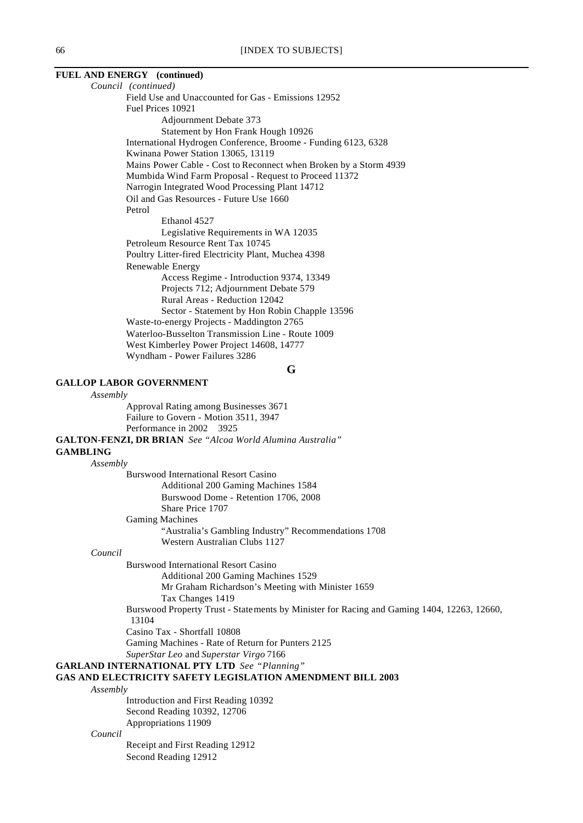# **FUEL AND ENERGY (continued)**

*Council (continued)* Field Use and Unaccounted for Gas - Emissions 12952 Fuel Prices 10921 Adjournment Debate 373 Statement by Hon Frank Hough 10926 International Hydrogen Conference, Broome - Funding 6123, 6328 Kwinana Power Station 13065, 13119 Mains Power Cable - Cost to Reconnect when Broken by a Storm 4939 Mumbida Wind Farm Proposal - Request to Proceed 11372 Narrogin Integrated Wood Processing Plant 14712 Oil and Gas Resources - Future Use 1660 Petrol Ethanol 4527 Legislative Requirements in WA 12035 Petroleum Resource Rent Tax 10745 Poultry Litter-fired Electricity Plant, Muchea 4398 Renewable Energy Access Regime - Introduction 9374, 13349 Projects 712; Adjournment Debate 579 Rural Areas - Reduction 12042 Sector - Statement by Hon Robin Chapple 13596 Waste-to-energy Projects - Maddington 2765 Waterloo-Busselton Transmission Line - Route 1009 West Kimberley Power Project 14608, 14777 Wyndham - Power Failures 3286

**G**

## **GALLOP LABOR GOVERNMENT**

*Assembly*

Approval Rating among Businesses 3671 Failure to Govern - Motion 3511, 3947 Performance in 2002 3925

**GALTON-FENZI, DR BRIAN** *See "Alcoa World Alumina Australia"*

#### **GAMBLING**

*Assembly* Burswood International Resort Casino Additional 200 Gaming Machines 1584 Burswood Dome - Retention 1706, 2008 Share Price 1707 Gaming Machines "Australia's Gambling Industry" Recommendations 1708 Western Australian Clubs 1127

## *Council*

Burswood International Resort Casino

Additional 200 Gaming Machines 1529 Mr Graham Richardson's Meeting with Minister 1659 Tax Changes 1419

Burswood Property Trust - Statements by Minister for Racing and Gaming 1404, 12263, 12660, 13104

Casino Tax - Shortfall 10808

Gaming Machines - Rate of Return for Punters 2125

*SuperStar Leo* and *Superstar Virgo* 7166

**GARLAND INTERNATIONAL PTY LTD** *See "Planning"*

#### **GAS AND ELECTRICITY SAFETY LEGISLATION AMENDMENT BILL 2003**

*Assembly*

Introduction and First Reading 10392 Second Reading 10392, 12706 Appropriations 11909

#### *Council*

Receipt and First Reading 12912 Second Reading 12912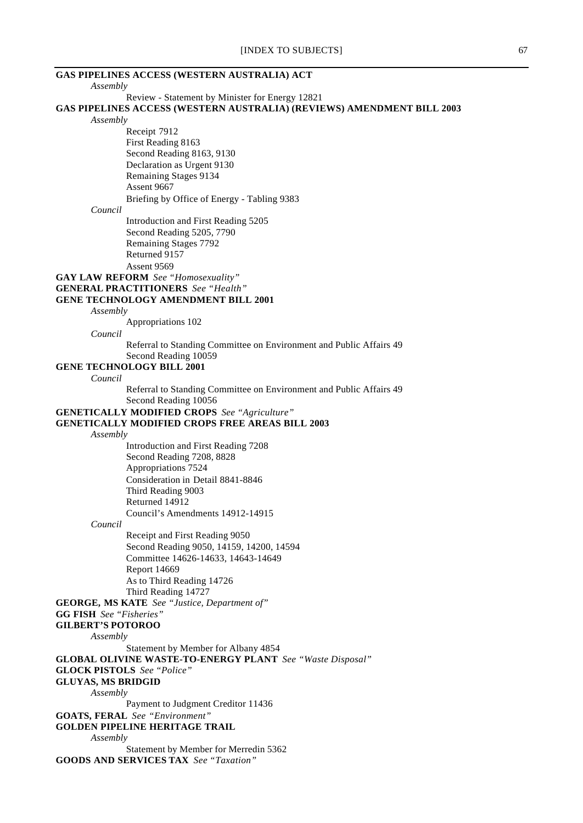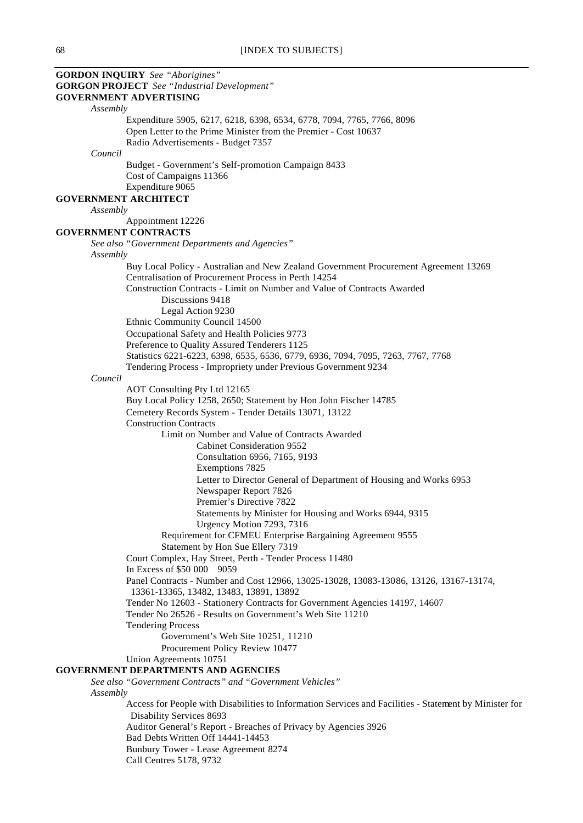|          | <b>GORDON INQUIRY</b> See "Aborigines"                                                                 |
|----------|--------------------------------------------------------------------------------------------------------|
|          | <b>GORGON PROJECT</b> See "Industrial Development"                                                     |
|          | <b>GOVERNMENT ADVERTISING</b>                                                                          |
| Assembly |                                                                                                        |
|          |                                                                                                        |
|          | Expenditure 5905, 6217, 6218, 6398, 6534, 6778, 7094, 7765, 7766, 8096                                 |
|          | Open Letter to the Prime Minister from the Premier - Cost 10637                                        |
|          | Radio Advertisements - Budget 7357                                                                     |
| Council  |                                                                                                        |
|          | Budget - Government's Self-promotion Campaign 8433                                                     |
|          | Cost of Campaigns 11366                                                                                |
|          | Expenditure 9065                                                                                       |
|          | <b>GOVERNMENT ARCHITECT</b>                                                                            |
|          |                                                                                                        |
| Assembly |                                                                                                        |
|          | Appointment 12226                                                                                      |
|          | <b>GOVERNMENT CONTRACTS</b>                                                                            |
|          | See also "Government Departments and Agencies"                                                         |
| Assembly |                                                                                                        |
|          | Buy Local Policy - Australian and New Zealand Government Procurement Agreement 13269                   |
|          | Centralisation of Procurement Process in Perth 14254                                                   |
|          | <b>Construction Contracts - Limit on Number and Value of Contracts Awarded</b>                         |
|          |                                                                                                        |
|          | Discussions 9418                                                                                       |
|          | Legal Action 9230                                                                                      |
|          | Ethnic Community Council 14500                                                                         |
|          | Occupational Safety and Health Policies 9773                                                           |
|          | Preference to Quality Assured Tenderers 1125                                                           |
|          | Statistics 6221-6223, 6398, 6535, 6536, 6779, 6936, 7094, 7095, 7263, 7767, 7768                       |
|          | Tendering Process - Impropriety under Previous Government 9234                                         |
|          |                                                                                                        |
| Council  |                                                                                                        |
|          | AOT Consulting Pty Ltd 12165                                                                           |
|          | Buy Local Policy 1258, 2650; Statement by Hon John Fischer 14785                                       |
|          | Cemetery Records System - Tender Details 13071, 13122                                                  |
|          | <b>Construction Contracts</b>                                                                          |
|          | Limit on Number and Value of Contracts Awarded                                                         |
|          | Cabinet Consideration 9552                                                                             |
|          | Consultation 6956, 7165, 9193                                                                          |
|          | Exemptions 7825                                                                                        |
|          |                                                                                                        |
|          | Letter to Director General of Department of Housing and Works 6953                                     |
|          | Newspaper Report 7826                                                                                  |
|          | Premier's Directive 7822                                                                               |
|          | Statements by Minister for Housing and Works 6944, 9315                                                |
|          | Urgency Motion 7293, 7316                                                                              |
|          | Requirement for CFMEU Enterprise Bargaining Agreement 9555                                             |
|          | Statement by Hon Sue Ellery 7319                                                                       |
|          | Court Complex, Hay Street, Perth - Tender Process 11480                                                |
|          | In Excess of \$50 000 9059                                                                             |
|          |                                                                                                        |
|          | Panel Contracts - Number and Cost 12966, 13025-13028, 13083-13086, 13126, 13167-13174,                 |
|          | 13361-13365, 13482, 13483, 13891, 13892                                                                |
|          | Tender No 12603 - Stationery Contracts for Government Agencies 14197, 14607                            |
|          | Tender No 26526 - Results on Government's Web Site 11210                                               |
|          | <b>Tendering Process</b>                                                                               |
|          | Government's Web Site 10251, 11210                                                                     |
|          | Procurement Policy Review 10477                                                                        |
|          | Union Agreements 10751                                                                                 |
|          | <b>GOVERNMENT DEPARTMENTS AND AGENCIES</b>                                                             |
|          | See also "Government Contracts" and "Government Vehicles"                                              |
|          |                                                                                                        |
| Assembly |                                                                                                        |
|          | Access for People with Disabilities to Information Services and Facilities - Statement by Minister for |
|          | Disability Services 8693                                                                               |
|          | Auditor General's Report - Breaches of Privacy by Agencies 3926                                        |
|          | Bad Debts Written Off 14441-14453                                                                      |
|          | Bunbury Tower - Lease Agreement 8274                                                                   |
|          | Call Centres 5178, 9732                                                                                |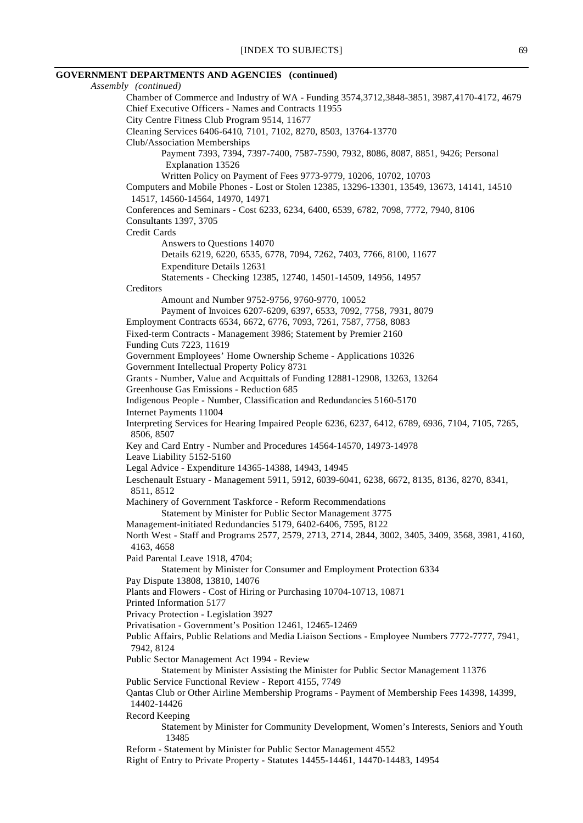#### **GOVERNMENT DEPARTMENTS AND AGENCIES (continued)**

*Assembly (continued)* Chamber of Commerce and Industry of WA - Funding 3574,3712,3848-3851, 3987,4170-4172, 4679 Chief Executive Officers - Names and Contracts 11955 City Centre Fitness Club Program 9514, 11677 Cleaning Services 6406-6410, 7101, 7102, 8270, 8503, 13764-13770 Club/Association Memberships Payment 7393, 7394, 7397-7400, 7587-7590, 7932, 8086, 8087, 8851, 9426; Personal Explanation 13526 Written Policy on Payment of Fees 9773-9779, 10206, 10702, 10703 Computers and Mobile Phones - Lost or Stolen 12385, 13296-13301, 13549, 13673, 14141, 14510 14517, 14560-14564, 14970, 14971 Conferences and Seminars - Cost 6233, 6234, 6400, 6539, 6782, 7098, 7772, 7940, 8106 Consultants 1397, 3705 Credit Cards Answers to Questions 14070 Details 6219, 6220, 6535, 6778, 7094, 7262, 7403, 7766, 8100, 11677 Expenditure Details 12631 Statements - Checking 12385, 12740, 14501-14509, 14956, 14957 **Creditors** Amount and Number 9752-9756, 9760-9770, 10052 Payment of Invoices 6207-6209, 6397, 6533, 7092, 7758, 7931, 8079 Employment Contracts 6534, 6672, 6776, 7093, 7261, 7587, 7758, 8083 Fixed-term Contracts - Management 3986; Statement by Premier 2160 Funding Cuts 7223, 11619 Government Employees' Home Ownership Scheme - Applications 10326 Government Intellectual Property Policy 8731 Grants - Number, Value and Acquittals of Funding 12881-12908, 13263, 13264 Greenhouse Gas Emissions - Reduction 685 Indigenous People - Number, Classification and Redundancies 5160-5170 Internet Payments 11004 Interpreting Services for Hearing Impaired People 6236, 6237, 6412, 6789, 6936, 7104, 7105, 7265, 8506, 8507 Key and Card Entry - Number and Procedures 14564-14570, 14973-14978 Leave Liability 5152-5160 Legal Advice - Expenditure 14365-14388, 14943, 14945 Leschenault Estuary - Management 5911, 5912, 6039-6041, 6238, 6672, 8135, 8136, 8270, 8341, 8511, 8512 Machinery of Government Taskforce - Reform Recommendations Statement by Minister for Public Sector Management 3775 Management-initiated Redundancies 5179, 6402-6406, 7595, 8122 North West - Staff and Programs 2577, 2579, 2713, 2714, 2844, 3002, 3405, 3409, 3568, 3981, 4160, 4163, 4658 Paid Parental Leave 1918, 4704; Statement by Minister for Consumer and Employment Protection 6334 Pay Dispute 13808, 13810, 14076 Plants and Flowers - Cost of Hiring or Purchasing 10704-10713, 10871 Printed Information 5177 Privacy Protection - Legislation 3927 Privatisation - Government's Position 12461, 12465-12469 Public Affairs, Public Relations and Media Liaison Sections - Employee Numbers 7772-7777, 7941, 7942, 8124 Public Sector Management Act 1994 - Review Statement by Minister Assisting the Minister for Public Sector Management 11376 Public Service Functional Review - Report 4155, 7749 Qantas Club or Other Airline Membership Programs - Payment of Membership Fees 14398, 14399, 14402-14426 Record Keeping Statement by Minister for Community Development, Women's Interests, Seniors and Youth 13485 Reform - Statement by Minister for Public Sector Management 4552 Right of Entry to Private Property - Statutes 14455-14461, 14470-14483, 14954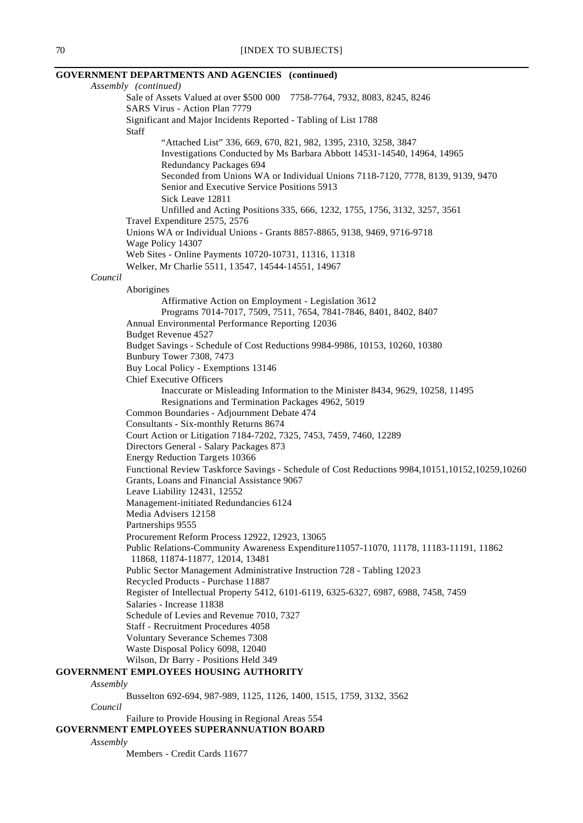#### **GOVERNMENT DEPARTMENTS AND AGENCIES (continued)** *Assembly (continued)* Sale of Assets Valued at over \$500 000 7758-7764, 7932, 8083, 8245, 8246 SARS Virus - Action Plan 7779 Significant and Major Incidents Reported - Tabling of List 1788 Staff "Attached List" 336, 669, 670, 821, 982, 1395, 2310, 3258, 3847 Investigations Conducted by Ms Barbara Abbott 14531-14540, 14964, 14965 Redundancy Packages 694 Seconded from Unions WA or Individual Unions 7118-7120, 7778, 8139, 9139, 9470 Senior and Executive Service Positions 5913 Sick Leave 12811 Unfilled and Acting Positions 335, 666, 1232, 1755, 1756, 3132, 3257, 3561 Travel Expenditure 2575, 2576 Unions WA or Individual Unions - Grants 8857-8865, 9138, 9469, 9716-9718 Wage Policy 14307 Web Sites - Online Payments 10720-10731, 11316, 11318 Welker, Mr Charlie 5511, 13547, 14544-14551, 14967 *Council* Aborigines Affirmative Action on Employment - Legislation 3612 Programs 7014-7017, 7509, 7511, 7654, 7841-7846, 8401, 8402, 8407 Annual Environmental Performance Reporting 12036 Budget Revenue 4527 Budget Savings - Schedule of Cost Reductions 9984-9986, 10153, 10260, 10380 Bunbury Tower 7308, 7473 Buy Local Policy - Exemptions 13146 Chief Executive Officers Inaccurate or Misleading Information to the Minister 8434, 9629, 10258, 11495 Resignations and Termination Packages 4962, 5019 Common Boundaries - Adjournment Debate 474 Consultants - Six-monthly Returns 8674 Court Action or Litigation 7184-7202, 7325, 7453, 7459, 7460, 12289 Directors General - Salary Packages 873 Energy Reduction Targets 10366 Functional Review Taskforce Savings - Schedule of Cost Reductions 9984,10151,10152,10259,10260 Grants, Loans and Financial Assistance 9067 Leave Liability 12431, 12552 Management-initiated Redundancies 6124 Media Advisers 12158 Partnerships 9555 Procurement Reform Process 12922, 12923, 13065 Public Relations-Community Awareness Expenditure11057-11070, 11178, 11183-11191, 11862 11868, 11874-11877, 12014, 13481 Public Sector Management Administrative Instruction 728 - Tabling 12023 Recycled Products - Purchase 11887 Register of Intellectual Property 5412, 6101-6119, 6325-6327, 6987, 6988, 7458, 7459 Salaries - Increase 11838 Schedule of Levies and Revenue 7010, 7327 Staff - Recruitment Procedures 4058 Voluntary Severance Schemes 7308 Waste Disposal Policy 6098, 12040 Wilson, Dr Barry - Positions Held 349 **GOVERNMENT EMPLOYEES HOUSING AUTHORITY** *Assembly* Busselton 692-694, 987-989, 1125, 1126, 1400, 1515, 1759, 3132, 3562 *Council*

Failure to Provide Housing in Regional Areas 554

# **GOVERNMENT EMPLOYEES SUPERANNUATION BOARD**

*Assembly*

Members - Credit Cards 11677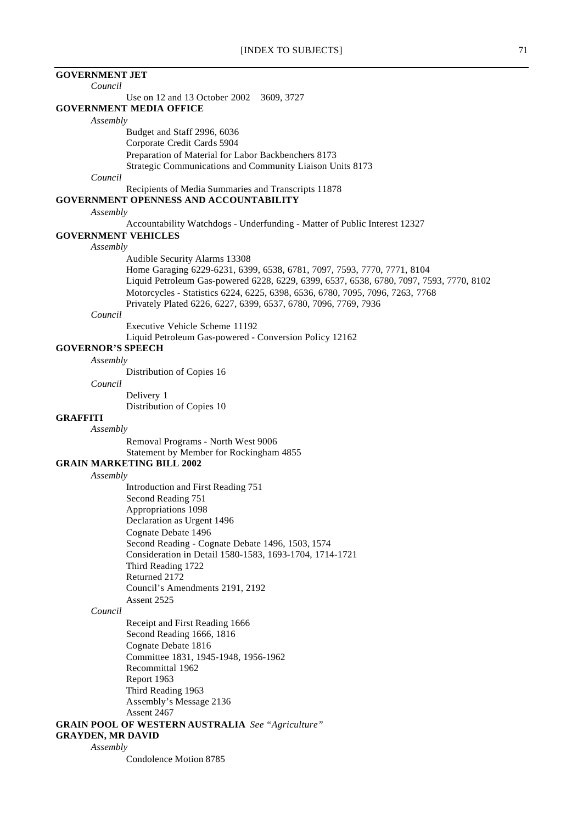**GOVERNMENT JET** *Council* Use on 12 and 13 October 2002 3609, 3727 **GOVERNMENT MEDIA OFFICE** *Assembly* Budget and Staff 2996, 6036 Corporate Credit Cards 5904 Preparation of Material for Labor Backbenchers 8173 Strategic Communications and Community Liaison Units 8173 *Council* Recipients of Media Summaries and Transcripts 11878 **GOVERNMENT OPENNESS AND ACCOUNTABILITY** *Assembly* Accountability Watchdogs - Underfunding - Matter of Public Interest 12327 **GOVERNMENT VEHICLES** *Assembly* Audible Security Alarms 13308 Home Garaging 6229-6231, 6399, 6538, 6781, 7097, 7593, 7770, 7771, 8104 Liquid Petroleum Gas-powered 6228, 6229, 6399, 6537, 6538, 6780, 7097, 7593, 7770, 8102 Motorcycles - Statistics 6224, 6225, 6398, 6536, 6780, 7095, 7096, 7263, 7768 Privately Plated 6226, 6227, 6399, 6537, 6780, 7096, 7769, 7936 *Council* Executive Vehicle Scheme 11192 Liquid Petroleum Gas-powered - Conversion Policy 12162 **GOVERNOR'S SPEECH** *Assembly* Distribution of Copies 16 *Council* Delivery 1 Distribution of Copies 10 **GRAFFITI** *Assembly* Removal Programs - North West 9006 Statement by Member for Rockingham 4855 **GRAIN MARKETING BILL 2002** *Assembly* Introduction and First Reading 751 Second Reading 751 Appropriations 1098 Declaration as Urgent 1496 Cognate Debate 1496 Second Reading - Cognate Debate 1496, 1503, 1574 Consideration in Detail 1580-1583, 1693-1704, 1714-1721 Third Reading 1722 Returned 2172 Council's Amendments 2191, 2192 Assent 2525 *Council* Receipt and First Reading 1666 Second Reading 1666, 1816 Cognate Debate 1816 Committee 1831, 1945-1948, 1956-1962 Recommittal 1962 Report 1963 Third Reading 1963 Assembly's Message 2136 Assent 2467 **GRAIN POOL OF WESTERN AUSTRALIA** *See "Agriculture"* **GRAYDEN, MR DAVID** *Assembly*

Condolence Motion 8785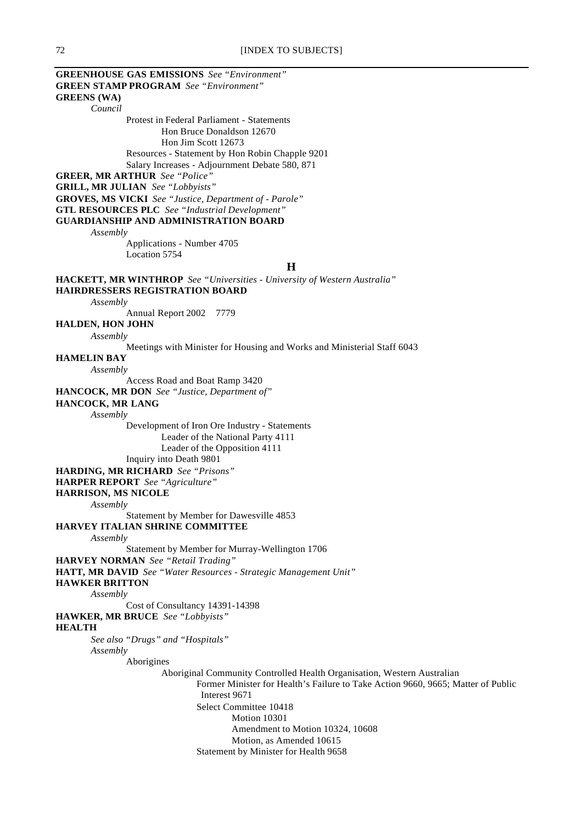**GREENHOUSE GAS EMISSIONS** *See "Environment"* **GREEN STAMP PROGRAM** *See "Environment"* **GREENS (WA)** *Council* Protest in Federal Parliament - Statements Hon Bruce Donaldson 12670 Hon Jim Scott 12673 Resources - Statement by Hon Robin Chapple 9201 Salary Increases - Adjournment Debate 580, 871 **GREER, MR ARTHUR** *See "Police"* **GRILL, MR JULIAN** *See "Lobbyists"* **GROVES, MS VICKI** *See "Justice, Department of - Parole"* **GTL RESOURCES PLC** *See "Industrial Development"* **GUARDIANSHIP AND ADMINISTRATION BOARD** *Assembly* Applications - Number 4705 Location 5754 **H HACKETT, MR WINTHROP** *See "Universities - University of Western Australia"* **HAIRDRESSERS REGISTRATION BOARD** *Assembly* Annual Report 2002 7779 **HALDEN, HON JOHN** *Assembly* Meetings with Minister for Housing and Works and Ministerial Staff 6043 **HAMELIN BAY** *Assembly* Access Road and Boat Ramp 3420 **HANCOCK, MR DON** *See "Justice, Department of"* **HANCOCK, MR LANG** *Assembly* Development of Iron Ore Industry - Statements Leader of the National Party 4111 Leader of the Opposition 4111 Inquiry into Death 9801 **HARDING, MR RICHARD** *See "Prisons"* **HARPER REPORT** *See "Agriculture"* **HARRISON, MS NICOLE** *Assembly* Statement by Member for Dawesville 4853 **HARVEY ITALIAN SHRINE COMMITTEE** *Assembly* Statement by Member for Murray-Wellington 1706 **HARVEY NORMAN** *See "Retail Trading"* **HATT, MR DAVID** *See "Water Resources - Strategic Management Unit"* **HAWKER BRITTON** *Assembly* Cost of Consultancy 14391-14398 **HAWKER, MR BRUCE** *See "Lobbyists"* **HEALTH** *See also "Drugs" and "Hospitals" Assembly* Aborigines Aboriginal Community Controlled Health Organisation, Western Australian Former Minister for Health's Failure to Take Action 9660, 9665; Matter of Public Interest 9671 Select Committee 10418 Motion 10301 Amendment to Motion 10324, 10608 Motion, as Amended 10615 Statement by Minister for Health 9658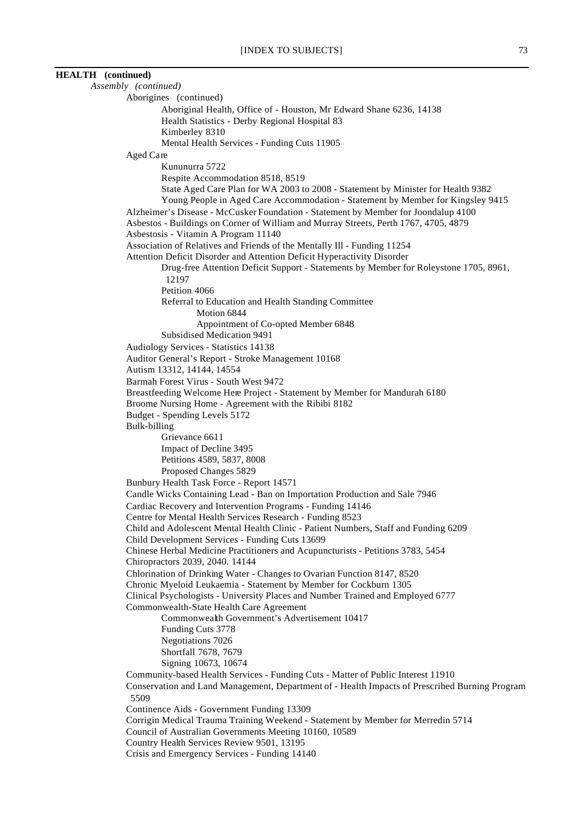# **HEALTH (continued)** *Assembly (continued)* Aborigines (continued) Aboriginal Health, Office of - Houston, Mr Edward Shane 6236, 14138 Health Statistics - Derby Regional Hospital 83 Kimberley 8310 Mental Health Services - Funding Cuts 11905 Aged Care Kununurra 5722 Respite Accommodation 8518, 8519 State Aged Care Plan for WA 2003 to 2008 - Statement by Minister for Health 9382 Young People in Aged Care Accommodation - Statement by Member for Kingsley 9415 Alzheimer's Disease - McCusker Foundation - Statement by Member for Joondalup 4100 Asbestos - Buildings on Corner of William and Murray Streets, Perth 1767, 4705, 4879 Asbestosis - Vitamin A Program 11140 Association of Relatives and Friends of the Mentally Ill - Funding 11254 Attention Deficit Disorder and Attention Deficit Hyperactivity Disorder Drug-free Attention Deficit Support - Statements by Member for Roleystone 1705, 8961, 12197 Petition 4066 Referral to Education and Health Standing Committee Motion 6844 Appointment of Co-opted Member 6848 Subsidised Medication 9491 Audiology Services - Statistics 14138 Auditor General's Report - Stroke Management 10168 Autism 13312, 14144, 14554 Barmah Forest Virus - South West 9472 Breastfeeding Welcome Here Project - Statement by Member for Mandurah 6180 Broome Nursing Home - Agreement with the Ribibi 8182 Budget - Spending Levels 5172 Bulk-billing Grievance 6611 Impact of Decline 3495 Petitions 4589, 5837, 8008 Proposed Changes 5829 Bunbury Health Task Force - Report 14571

Candle Wicks Containing Lead - Ban on Importation Production and Sale 7946 Cardiac Recovery and Intervention Programs - Funding 14146 Centre for Mental Health Services Research - Funding 8523 Child and Adolescent Mental Health Clinic - Patient Numbers, Staff and Funding 6209 Child Development Services - Funding Cuts 13699 Chinese Herbal Medicine Practitioners and Acupuncturists - Petitions 3783, 5454 Chiropractors 2039, 2040. 14144 Chlorination of Drinking Water - Changes to Ovarian Function 8147, 8520 Chronic Myeloid Leukaemia - Statement by Member for Cockburn 1305 Clinical Psychologists - University Places and Number Trained and Employed 6777 Commonwealth-State Health Care Agreement Commonwealth Government's Advertisement 10417 Funding Cuts 3778 Negotiations 7026 Shortfall 7678, 7679 Signing 10673, 10674 Community-based Health Services - Funding Cuts - Matter of Public Interest 11910 Conservation and Land Management, Department of - Health Impacts of Prescribed Burning Program 5509 Continence Aids - Government Funding 13309 Corrigin Medical Trauma Training Weekend - Statement by Member for Merredin 5714 Council of Australian Governments Meeting 10160, 10589 Country Health Services Review 9501, 13195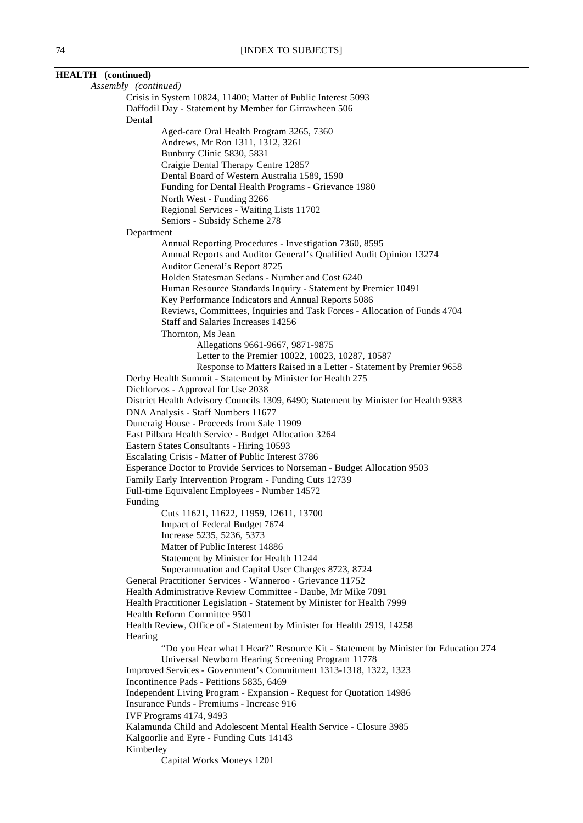| <b>HEALTH</b> (continued)                                                                                                               |  |
|-----------------------------------------------------------------------------------------------------------------------------------------|--|
| Assembly (continued)                                                                                                                    |  |
| Crisis in System 10824, 11400; Matter of Public Interest 5093                                                                           |  |
| Daffodil Day - Statement by Member for Girrawheen 506                                                                                   |  |
| Dental                                                                                                                                  |  |
| Aged-care Oral Health Program 3265, 7360                                                                                                |  |
| Andrews, Mr Ron 1311, 1312, 3261<br>Bunbury Clinic 5830, 5831                                                                           |  |
| Craigie Dental Therapy Centre 12857                                                                                                     |  |
| Dental Board of Western Australia 1589, 1590                                                                                            |  |
| Funding for Dental Health Programs - Grievance 1980                                                                                     |  |
| North West - Funding 3266                                                                                                               |  |
| Regional Services - Waiting Lists 11702                                                                                                 |  |
| Seniors - Subsidy Scheme 278                                                                                                            |  |
| Department                                                                                                                              |  |
| Annual Reporting Procedures - Investigation 7360, 8595                                                                                  |  |
| Annual Reports and Auditor General's Qualified Audit Opinion 13274                                                                      |  |
| Auditor General's Report 8725<br>Holden Statesman Sedans - Number and Cost 6240                                                         |  |
| Human Resource Standards Inquiry - Statement by Premier 10491                                                                           |  |
| Key Performance Indicators and Annual Reports 5086                                                                                      |  |
| Reviews, Committees, Inquiries and Task Forces - Allocation of Funds 4704                                                               |  |
| Staff and Salaries Increases 14256                                                                                                      |  |
| Thornton, Ms Jean                                                                                                                       |  |
| Allegations 9661-9667, 9871-9875                                                                                                        |  |
| Letter to the Premier 10022, 10023, 10287, 10587                                                                                        |  |
| Response to Matters Raised in a Letter - Statement by Premier 9658                                                                      |  |
| Derby Health Summit - Statement by Minister for Health 275<br>Dichlorvos - Approval for Use 2038                                        |  |
| District Health Advisory Councils 1309, 6490; Statement by Minister for Health 9383                                                     |  |
| DNA Analysis - Staff Numbers 11677                                                                                                      |  |
| Duncraig House - Proceeds from Sale 11909                                                                                               |  |
| East Pilbara Health Service - Budget Allocation 3264                                                                                    |  |
| Eastern States Consultants - Hiring 10593                                                                                               |  |
| Escalating Crisis - Matter of Public Interest 3786                                                                                      |  |
| Esperance Doctor to Provide Services to Norseman - Budget Allocation 9503                                                               |  |
| Family Early Intervention Program - Funding Cuts 12739<br>Full-time Equivalent Employees - Number 14572                                 |  |
| Funding                                                                                                                                 |  |
| Cuts 11621, 11622, 11959, 12611, 13700                                                                                                  |  |
| Impact of Federal Budget 7674                                                                                                           |  |
| Increase 5235, 5236, 5373                                                                                                               |  |
| Matter of Public Interest 14886                                                                                                         |  |
| Statement by Minister for Health 11244                                                                                                  |  |
| Superannuation and Capital User Charges 8723, 8724                                                                                      |  |
| General Practitioner Services - Wanneroo - Grievance 11752                                                                              |  |
| Health Administrative Review Committee - Daube, Mr Mike 7091<br>Health Practitioner Legislation - Statement by Minister for Health 7999 |  |
| Health Reform Committee 9501                                                                                                            |  |
| Health Review, Office of - Statement by Minister for Health 2919, 14258                                                                 |  |
| Hearing                                                                                                                                 |  |
| "Do you Hear what I Hear?" Resource Kit - Statement by Minister for Education 274                                                       |  |
| Universal Newborn Hearing Screening Program 11778                                                                                       |  |
| Improved Services - Government's Commitment 1313-1318, 1322, 1323                                                                       |  |
| Incontinence Pads - Petitions 5835, 6469                                                                                                |  |
| Independent Living Program - Expansion - Request for Quotation 14986                                                                    |  |
| Insurance Funds - Premiums - Increase 916<br>IVF Programs 4174, 9493                                                                    |  |
| Kalamunda Child and Adolescent Mental Health Service - Closure 3985                                                                     |  |
| Kalgoorlie and Eyre - Funding Cuts 14143                                                                                                |  |
| Kimberley                                                                                                                               |  |
| Capital Works Moneys 1201                                                                                                               |  |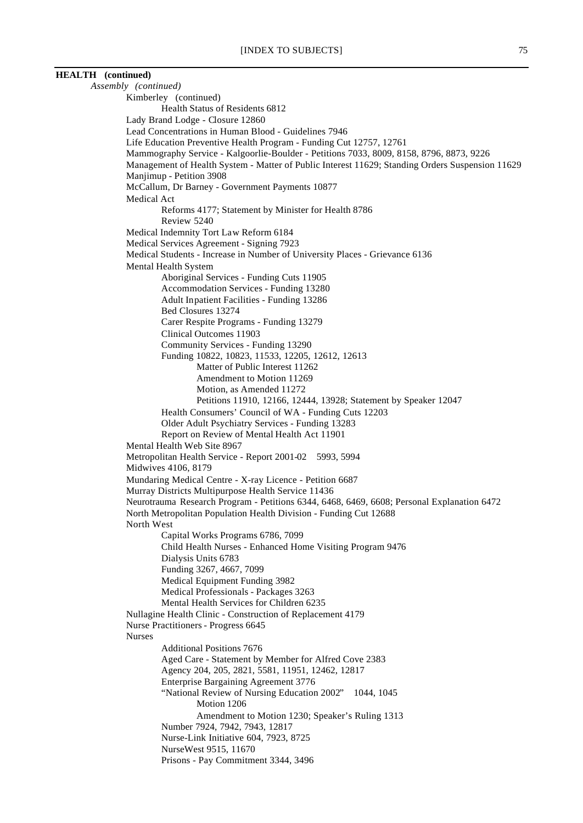# **HEALTH (continued)**

*Assembly (continued)* Kimberley (continued) Health Status of Residents 6812 Lady Brand Lodge - Closure 12860 Lead Concentrations in Human Blood - Guidelines 7946 Life Education Preventive Health Program - Funding Cut 12757, 12761 Mammography Service - Kalgoorlie-Boulder - Petitions 7033, 8009, 8158, 8796, 8873, 9226 Management of Health System - Matter of Public Interest 11629; Standing Orders Suspension 11629 Manjimup - Petition 3908 McCallum, Dr Barney - Government Payments 10877 Medical Act Reforms 4177; Statement by Minister for Health 8786 Review 5240 Medical Indemnity Tort Law Reform 6184 Medical Services Agreement - Signing 7923 Medical Students - Increase in Number of University Places - Grievance 6136 Mental Health System Aboriginal Services - Funding Cuts 11905 Accommodation Services - Funding 13280 Adult Inpatient Facilities - Funding 13286 Bed Closures 13274 Carer Respite Programs - Funding 13279 Clinical Outcomes 11903 Community Services - Funding 13290 Funding 10822, 10823, 11533, 12205, 12612, 12613 Matter of Public Interest 11262 Amendment to Motion 11269 Motion, as Amended 11272 Petitions 11910, 12166, 12444, 13928; Statement by Speaker 12047 Health Consumers' Council of WA - Funding Cuts 12203 Older Adult Psychiatry Services - Funding 13283 Report on Review of Mental Health Act 11901 Mental Health Web Site 8967 Metropolitan Health Service - Report 2001-02 5993, 5994 Midwives 4106, 8179 Mundaring Medical Centre - X-ray Licence - Petition 6687 Murray Districts Multipurpose Health Service 11436 Neurotrauma Research Program - Petitions 6344, 6468, 6469, 6608; Personal Explanation 6472 North Metropolitan Population Health Division - Funding Cut 12688 North West Capital Works Programs 6786, 7099 Child Health Nurses - Enhanced Home Visiting Program 9476 Dialysis Units 6783 Funding 3267, 4667, 7099 Medical Equipment Funding 3982 Medical Professionals - Packages 3263 Mental Health Services for Children 6235 Nullagine Health Clinic - Construction of Replacement 4179 Nurse Practitioners - Progress 6645 Nurses Additional Positions 7676 Aged Care - Statement by Member for Alfred Cove 2383 Agency 204, 205, 2821, 5581, 11951, 12462, 12817 Enterprise Bargaining Agreement 3776 "National Review of Nursing Education 2002" 1044, 1045 Motion 1206 Amendment to Motion 1230; Speaker's Ruling 1313 Number 7924, 7942, 7943, 12817 Nurse-Link Initiative 604, 7923, 8725 NurseWest 9515, 11670 Prisons - Pay Commitment 3344, 3496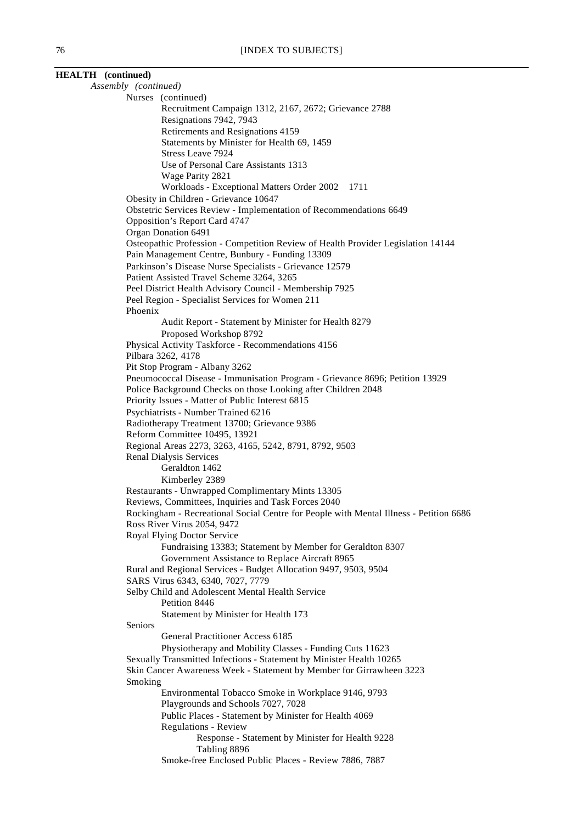| <b>HEALTH</b> (continued)   |                                                                                                      |
|-----------------------------|------------------------------------------------------------------------------------------------------|
| Assembly (continued)        |                                                                                                      |
| Nurses (continued)          |                                                                                                      |
|                             | Recruitment Campaign 1312, 2167, 2672; Grievance 2788<br>Resignations 7942, 7943                     |
|                             | Retirements and Resignations 4159                                                                    |
|                             | Statements by Minister for Health 69, 1459                                                           |
|                             | Stress Leave 7924                                                                                    |
|                             | Use of Personal Care Assistants 1313                                                                 |
|                             | Wage Parity 2821                                                                                     |
|                             | Workloads - Exceptional Matters Order 2002 1711                                                      |
|                             | Obesity in Children - Grievance 10647                                                                |
|                             | Obstetric Services Review - Implementation of Recommendations 6649                                   |
|                             | Opposition's Report Card 4747                                                                        |
| Organ Donation 6491         |                                                                                                      |
|                             | Osteopathic Profession - Competition Review of Health Provider Legislation 14144                     |
|                             | Pain Management Centre, Bunbury - Funding 13309                                                      |
|                             | Parkinson's Disease Nurse Specialists - Grievance 12579                                              |
|                             | Patient Assisted Travel Scheme 3264, 3265<br>Peel District Health Advisory Council - Membership 7925 |
|                             | Peel Region - Specialist Services for Women 211                                                      |
| Phoenix                     |                                                                                                      |
|                             | Audit Report - Statement by Minister for Health 8279                                                 |
|                             | Proposed Workshop 8792                                                                               |
|                             | Physical Activity Taskforce - Recommendations 4156                                                   |
| Pilbara 3262, 4178          |                                                                                                      |
|                             | Pit Stop Program - Albany 3262                                                                       |
|                             | Pneumococcal Disease - Immunisation Program - Grievance 8696; Petition 13929                         |
|                             | Police Background Checks on those Looking after Children 2048                                        |
|                             | Priority Issues - Matter of Public Interest 6815                                                     |
|                             | Psychiatrists - Number Trained 6216                                                                  |
|                             | Radiotherapy Treatment 13700; Grievance 9386                                                         |
|                             | Reform Committee 10495, 13921                                                                        |
|                             | Regional Areas 2273, 3263, 4165, 5242, 8791, 8792, 9503                                              |
| Renal Dialysis Services     | Geraldton 1462                                                                                       |
|                             | Kimberley 2389                                                                                       |
|                             | Restaurants - Unwrapped Complimentary Mints 13305                                                    |
|                             | Reviews, Committees, Inquiries and Task Forces 2040                                                  |
|                             | Rockingham - Recreational Social Centre for People with Mental Illness - Petition 6686               |
| Ross River Virus 2054, 9472 |                                                                                                      |
| Royal Flying Doctor Service |                                                                                                      |
|                             | Fundraising 13383; Statement by Member for Geraldton 8307                                            |
|                             | Government Assistance to Replace Aircraft 8965                                                       |
|                             | Rural and Regional Services - Budget Allocation 9497, 9503, 9504                                     |
|                             | SARS Virus 6343, 6340, 7027, 7779                                                                    |
|                             | Selby Child and Adolescent Mental Health Service                                                     |
|                             | Petition 8446                                                                                        |
|                             | Statement by Minister for Health 173                                                                 |
| Seniors                     | General Practitioner Access 6185                                                                     |
|                             | Physiotherapy and Mobility Classes - Funding Cuts 11623                                              |
|                             | Sexually Transmitted Infections - Statement by Minister Health 10265                                 |
|                             | Skin Cancer Awareness Week - Statement by Member for Girrawheen 3223                                 |
| Smoking                     |                                                                                                      |
|                             | Environmental Tobacco Smoke in Workplace 9146, 9793                                                  |
|                             | Playgrounds and Schools 7027, 7028                                                                   |
|                             | Public Places - Statement by Minister for Health 4069                                                |
|                             | Regulations - Review                                                                                 |
|                             | Response - Statement by Minister for Health 9228                                                     |
|                             | Tabling 8896                                                                                         |
|                             | Smoke-free Enclosed Public Places - Review 7886, 7887                                                |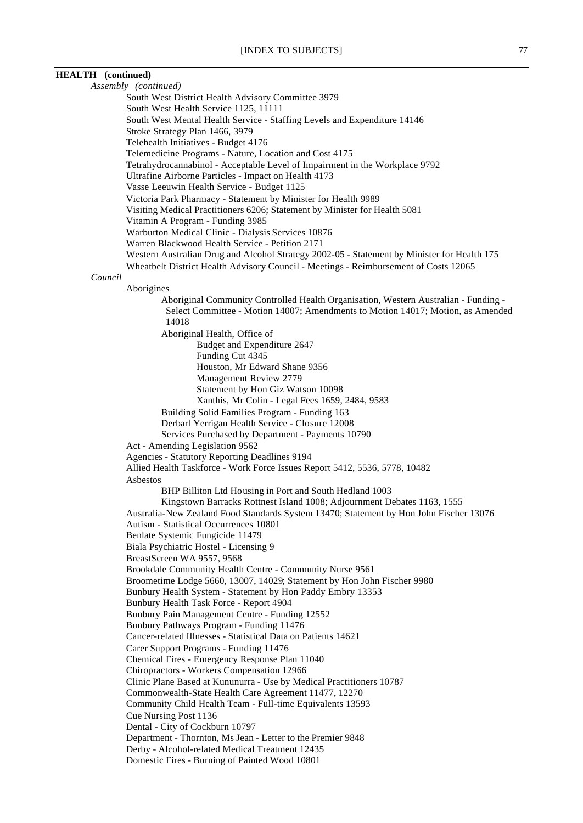# **HEALTH (continued)** *Assembly (continued)* South West District Health Advisory Committee 3979 South West Health Service 1125, 11111 South West Mental Health Service - Staffing Levels and Expenditure 14146 Stroke Strategy Plan 1466, 3979 Telehealth Initiatives - Budget 4176 Telemedicine Programs - Nature, Location and Cost 4175 Tetrahydrocannabinol - Acceptable Level of Impairment in the Workplace 9792 Ultrafine Airborne Particles - Impact on Health 4173 Vasse Leeuwin Health Service - Budget 1125 Victoria Park Pharmacy - Statement by Minister for Health 9989 Visiting Medical Practitioners 6206; Statement by Minister for Health 5081 Vitamin A Program - Funding 3985 Warburton Medical Clinic - Dialysis Services 10876 Warren Blackwood Health Service - Petition 2171 Western Australian Drug and Alcohol Strategy 2002-05 - Statement by Minister for Health 175 Wheatbelt District Health Advisory Council - Meetings - Reimbursement of Costs 12065 *Council* Aborigines Aboriginal Community Controlled Health Organisation, Western Australian - Funding - Select Committee - Motion 14007; Amendments to Motion 14017; Motion, as Amended 14018 Aboriginal Health, Office of Budget and Expenditure 2647 Funding Cut 4345 Houston, Mr Edward Shane 9356 Management Review 2779 Statement by Hon Giz Watson 10098 Xanthis, Mr Colin - Legal Fees 1659, 2484, 9583 Building Solid Families Program - Funding 163 Derbarl Yerrigan Health Service - Closure 12008 Services Purchased by Department - Payments 10790 Act - Amending Legislation 9562 Agencies - Statutory Reporting Deadlines 9194 Allied Health Taskforce - Work Force Issues Report 5412, 5536, 5778, 10482 Asbestos BHP Billiton Ltd Housing in Port and South Hedland 1003 Kingstown Barracks Rottnest Island 1008; Adjournment Debates 1163, 1555 Australia-New Zealand Food Standards System 13470; Statement by Hon John Fischer 13076 Autism - Statistical Occurrences 10801 Benlate Systemic Fungicide 11479 Biala Psychiatric Hostel - Licensing 9 BreastScreen WA 9557, 9568 Brookdale Community Health Centre - Community Nurse 9561 Broometime Lodge 5660, 13007, 14029; Statement by Hon John Fischer 9980 Bunbury Health System - Statement by Hon Paddy Embry 13353 Bunbury Health Task Force - Report 4904 Bunbury Pain Management Centre - Funding 12552 Bunbury Pathways Program - Funding 11476 Cancer-related Illnesses - Statistical Data on Patients 14621 Carer Support Programs - Funding 11476 Chemical Fires - Emergency Response Plan 11040 Chiropractors - Workers Compensation 12966 Clinic Plane Based at Kununurra - Use by Medical Practitioners 10787 Commonwealth-State Health Care Agreement 11477, 12270 Community Child Health Team - Full-time Equivalents 13593 Cue Nursing Post 1136 Dental - City of Cockburn 10797 Department - Thornton, Ms Jean - Letter to the Premier 9848 Derby - Alcohol-related Medical Treatment 12435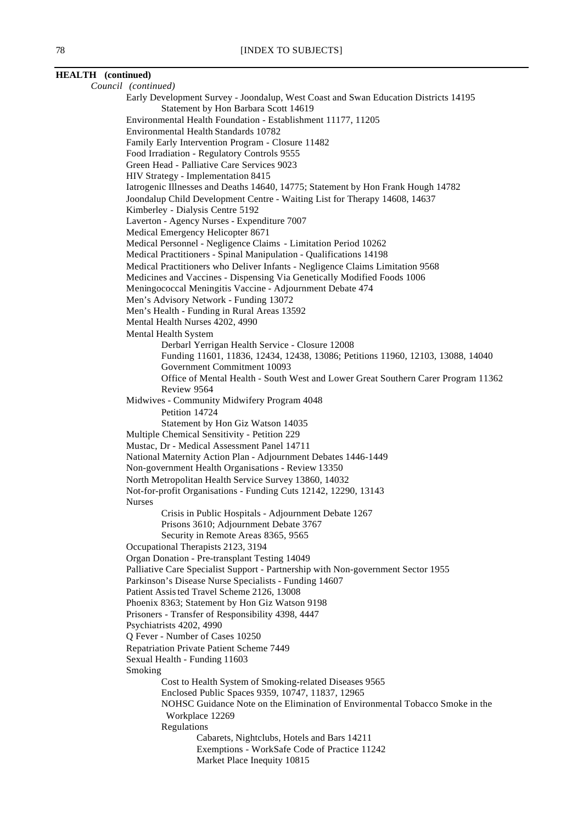# **HEALTH (continued)** *Council (continued)*

Early Development Survey - Joondalup, West Coast and Swan Education Districts 14195 Statement by Hon Barbara Scott 14619 Environmental Health Foundation - Establishment 11177, 11205 Environmental Health Standards 10782 Family Early Intervention Program - Closure 11482 Food Irradiation - Regulatory Controls 9555 Green Head - Palliative Care Services 9023 HIV Strategy - Implementation 8415 Iatrogenic Illnesses and Deaths 14640, 14775; Statement by Hon Frank Hough 14782 Joondalup Child Development Centre - Waiting List for Therapy 14608, 14637 Kimberley - Dialysis Centre 5192 Laverton - Agency Nurses - Expenditure 7007 Medical Emergency Helicopter 8671 Medical Personnel - Negligence Claims - Limitation Period 10262 Medical Practitioners - Spinal Manipulation - Qualifications 14198 Medical Practitioners who Deliver Infants - Negligence Claims Limitation 9568 Medicines and Vaccines - Dispensing Via Genetically Modified Foods 1006 Meningococcal Meningitis Vaccine - Adjournment Debate 474 Men's Advisory Network - Funding 13072 Men's Health - Funding in Rural Areas 13592 Mental Health Nurses 4202, 4990 Mental Health System Derbarl Yerrigan Health Service - Closure 12008 Funding 11601, 11836, 12434, 12438, 13086; Petitions 11960, 12103, 13088, 14040 Government Commitment 10093 Office of Mental Health - South West and Lower Great Southern Carer Program 11362 Review 9564 Midwives - Community Midwifery Program 4048 Petition 14724 Statement by Hon Giz Watson 14035 Multiple Chemical Sensitivity - Petition 229 Mustac, Dr - Medical Assessment Panel 14711 National Maternity Action Plan - Adjournment Debates 1446-1449 Non-government Health Organisations - Review 13350 North Metropolitan Health Service Survey 13860, 14032 Not-for-profit Organisations - Funding Cuts 12142, 12290, 13143 Nurses Crisis in Public Hospitals - Adjournment Debate 1267 Prisons 3610; Adjournment Debate 3767 Security in Remote Areas 8365, 9565 Occupational Therapists 2123, 3194 Organ Donation - Pre-transplant Testing 14049 Palliative Care Specialist Support - Partnership with Non-government Sector 1955 Parkinson's Disease Nurse Specialists - Funding 14607 Patient Assisted Travel Scheme 2126, 13008 Phoenix 8363; Statement by Hon Giz Watson 9198 Prisoners - Transfer of Responsibility 4398, 4447 Psychiatrists 4202, 4990 Q Fever - Number of Cases 10250 Repatriation Private Patient Scheme 7449 Sexual Health - Funding 11603 Smoking Cost to Health System of Smoking-related Diseases 9565 Enclosed Public Spaces 9359, 10747, 11837, 12965 NOHSC Guidance Note on the Elimination of Environmental Tobacco Smoke in the Workplace 12269 Regulations Cabarets, Nightclubs, Hotels and Bars 14211 Exemptions - WorkSafe Code of Practice 11242 Market Place Inequity 10815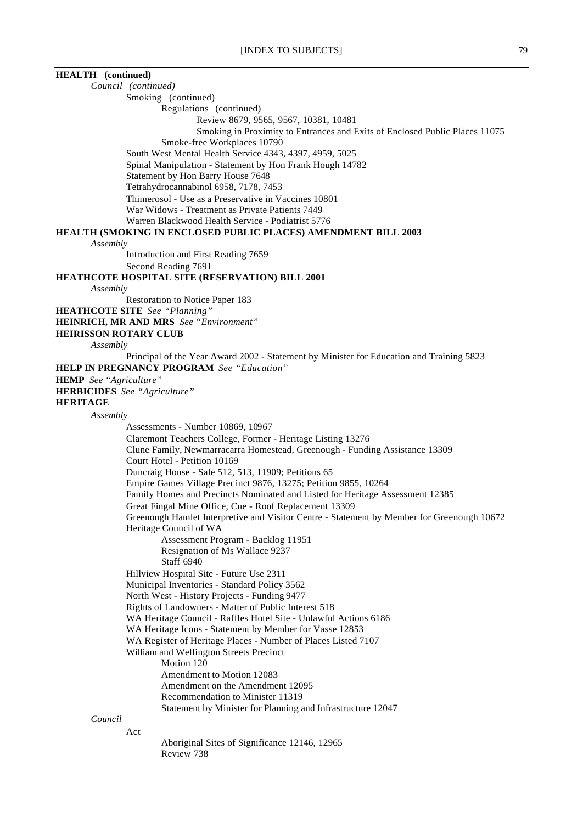| <b>HEALTH</b> (continued)    |                                                                                                                      |
|------------------------------|----------------------------------------------------------------------------------------------------------------------|
|                              | Council (continued)                                                                                                  |
|                              | Smoking (continued)                                                                                                  |
|                              | Regulations (continued)                                                                                              |
|                              | Review 8679, 9565, 9567, 10381, 10481                                                                                |
|                              | Smoking in Proximity to Entrances and Exits of Enclosed Public Places 11075                                          |
|                              | Smoke-free Workplaces 10790                                                                                          |
|                              | South West Mental Health Service 4343, 4397, 4959, 5025                                                              |
|                              | Spinal Manipulation - Statement by Hon Frank Hough 14782                                                             |
|                              | Statement by Hon Barry House 7648                                                                                    |
|                              | Tetrahydrocannabinol 6958, 7178, 7453                                                                                |
|                              | Thimerosol - Use as a Preservative in Vaccines 10801                                                                 |
|                              | War Widows - Treatment as Private Patients 7449<br>Warren Blackwood Health Service - Podiatrist 5776                 |
|                              | <b>HEALTH (SMOKING IN ENCLOSED PUBLIC PLACES) AMENDMENT BILL 2003</b>                                                |
| Assembly                     |                                                                                                                      |
|                              | Introduction and First Reading 7659                                                                                  |
|                              | Second Reading 7691                                                                                                  |
|                              | HEATHCOTE HOSPITAL SITE (RESERVATION) BILL 2001                                                                      |
| Assembly                     |                                                                                                                      |
|                              | Restoration to Notice Paper 183                                                                                      |
|                              | <b>HEATHCOTE SITE</b> See "Planning"                                                                                 |
|                              | <b>HEINRICH, MR AND MRS</b> See "Environment"                                                                        |
| <b>HEIRISSON ROTARY CLUB</b> |                                                                                                                      |
| Assembly                     |                                                                                                                      |
|                              | Principal of the Year Award 2002 - Statement by Minister for Education and Training 5823                             |
|                              | <b>HELP IN PREGNANCY PROGRAM</b> See "Education"                                                                     |
| HEMP See "Agriculture"       |                                                                                                                      |
|                              | <b>HERBICIDES</b> See "Agriculture"                                                                                  |
| <b>HERITAGE</b>              |                                                                                                                      |
| Assembly                     |                                                                                                                      |
|                              | Assessments - Number 10869, 10967                                                                                    |
|                              | Claremont Teachers College, Former - Heritage Listing 13276                                                          |
|                              | Clune Family, Newmarracarra Homestead, Greenough - Funding Assistance 13309                                          |
|                              | Court Hotel - Petition 10169                                                                                         |
|                              | Duncraig House - Sale 512, 513, 11909; Petitions 65                                                                  |
|                              | Empire Games Village Precinct 9876, 13275; Petition 9855, 10264                                                      |
|                              | Family Homes and Precincts Nominated and Listed for Heritage Assessment 12385                                        |
|                              | Great Fingal Mine Office, Cue - Roof Replacement 13309                                                               |
|                              | Greenough Hamlet Interpretive and Visitor Centre - Statement by Member for Greenough 10672<br>Heritage Council of WA |
|                              | Assessment Program - Backlog 11951                                                                                   |
|                              | Resignation of Ms Wallace 9237                                                                                       |
|                              | Staff 6940                                                                                                           |
|                              | Hillview Hospital Site - Future Use 2311                                                                             |
|                              | Municipal Inventories - Standard Policy 3562                                                                         |
|                              | North West - History Projects - Funding 9477                                                                         |
|                              | Rights of Landowners - Matter of Public Interest 518                                                                 |
|                              | WA Heritage Council - Raffles Hotel Site - Unlawful Actions 6186                                                     |
|                              | WA Heritage Icons - Statement by Member for Vasse 12853                                                              |
|                              | WA Register of Heritage Places - Number of Places Listed 7107                                                        |
|                              | William and Wellington Streets Precinct                                                                              |
|                              | Motion 120                                                                                                           |
|                              | Amendment to Motion 12083                                                                                            |
|                              | Amendment on the Amendment 12095                                                                                     |
|                              | Recommendation to Minister 11319                                                                                     |
|                              | Statement by Minister for Planning and Infrastructure 12047                                                          |
| Council                      |                                                                                                                      |
|                              | Act                                                                                                                  |
|                              | Aboriginal Sites of Significance 12146, 12965<br>Review 738                                                          |
|                              |                                                                                                                      |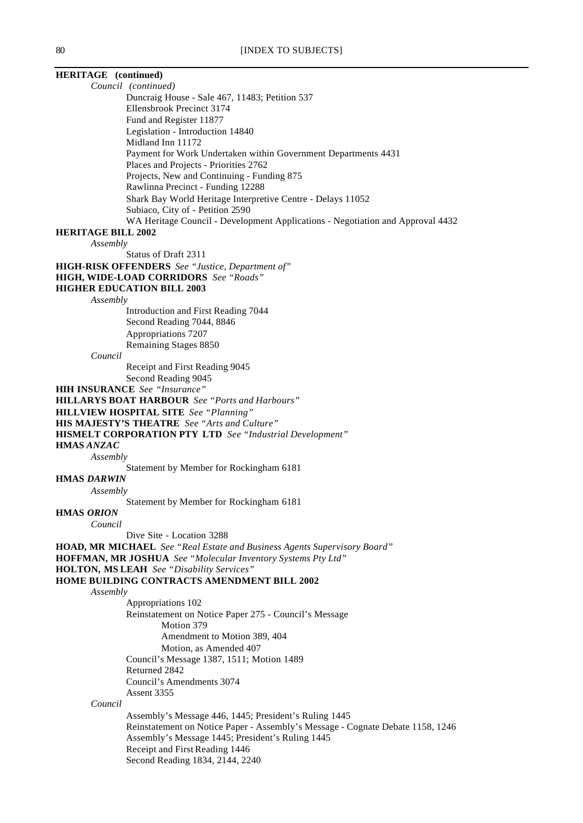# **HERITAGE (continued)**

*Council (continued)*

Duncraig House - Sale 467, 11483; Petition 537 Ellensbrook Precinct 3174 Fund and Register 11877 Legislation - Introduction 14840 Midland Inn 11172 Payment for Work Undertaken within Government Departments 4431 Places and Projects - Priorities 2762 Projects, New and Continuing - Funding 875 Rawlinna Precinct - Funding 12288 Shark Bay World Heritage Interpretive Centre - Delays 11052 Subiaco, City of - Petition 2590 WA Heritage Council - Development Applications - Negotiation and Approval 4432

#### **HERITAGE BILL 2002**

*Assembly*

Status of Draft 2311

**HIGH-RISK OFFENDERS** *See "Justice, Department of"*

# **HIGH, WIDE-LOAD CORRIDORS** *See "Roads"*

# **HIGHER EDUCATION BILL 2003**

*Assembly*

Introduction and First Reading 7044 Second Reading 7044, 8846 Appropriations 7207 Remaining Stages 8850

#### *Council*

Receipt and First Reading 9045

Second Reading 9045

**HIH INSURANCE** *See "Insurance"*

**HILLARYS BOAT HARBOUR** *See "Ports and Harbours"*

**HILLVIEW HOSPITAL SITE** *See "Planning"*

**HIS MAJESTY'S THEATRE** *See "Arts and Culture"*

**HISMELT CORPORATION PTY LTD** *See "Industrial Development"*

**HMAS** *ANZAC*

*Assembly*

Statement by Member for Rockingham 6181

# **HMAS** *DARWIN*

*Assembly*

Statement by Member for Rockingham 6181

**HMAS** *ORION*

*Council*

Dive Site - Location 3288

#### **HOAD, MR MICHAEL** *See "Real Estate and Business Agents Supervisory Board"*

**HOFFMAN, MR JOSHUA** *See "Molecular Inventory Systems Pty Ltd"*

**HOLTON, MS LEAH** *See "Disability Services"*

#### **HOME BUILDING CONTRACTS AMENDMENT BILL 2002**

*Assembly*

Appropriations 102 Reinstatement on Notice Paper 275 - Council's Message Motion 379 Amendment to Motion 389, 404 Motion, as Amended 407 Council's Message 1387, 1511; Motion 1489 Returned 2842 Council's Amendments 3074 Assent 3355

*Council*

Assembly's Message 446, 1445; President's Ruling 1445 Reinstatement on Notice Paper - Assembly's Message - Cognate Debate 1158, 1246 Assembly's Message 1445; President's Ruling 1445 Receipt and First Reading 1446 Second Reading 1834, 2144, 2240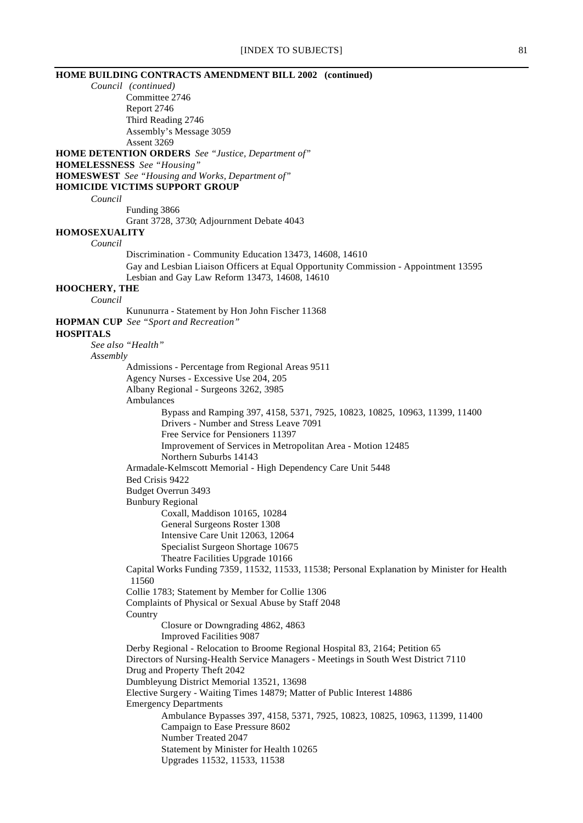# [INDEX TO SUBJECTS] 81

|                      | HOME BUILDING CONTRACTS AMENDMENT BILL 2002 (continued)                                      |
|----------------------|----------------------------------------------------------------------------------------------|
|                      | Council (continued)                                                                          |
|                      | Committee 2746                                                                               |
|                      | Report 2746                                                                                  |
|                      | Third Reading 2746                                                                           |
|                      | Assembly's Message 3059                                                                      |
|                      | Assent 3269                                                                                  |
|                      | <b>HOME DETENTION ORDERS</b> See "Justice, Department of"                                    |
|                      | <b>HOMELESSNESS</b> See "Housing"<br><b>HOMESWEST</b> See "Housing and Works, Department of" |
|                      | <b>HOMICIDE VICTIMS SUPPORT GROUP</b>                                                        |
| Council              |                                                                                              |
|                      | Funding 3866                                                                                 |
|                      | Grant 3728, 3730; Adjournment Debate 4043                                                    |
| <b>HOMOSEXUALITY</b> |                                                                                              |
| Council              |                                                                                              |
|                      | Discrimination - Community Education 13473, 14608, 14610                                     |
|                      | Gay and Lesbian Liaison Officers at Equal Opportunity Commission - Appointment 13595         |
|                      | Lesbian and Gay Law Reform 13473, 14608, 14610                                               |
| <b>HOOCHERY, THE</b> |                                                                                              |
| Council              |                                                                                              |
|                      | Kununurra - Statement by Hon John Fischer 11368                                              |
|                      | <b>HOPMAN CUP</b> See "Sport and Recreation"                                                 |
| <b>HOSPITALS</b>     | See also "Health"                                                                            |
|                      |                                                                                              |
| Assembly             | Admissions - Percentage from Regional Areas 9511                                             |
|                      | Agency Nurses - Excessive Use 204, 205                                                       |
|                      | Albany Regional - Surgeons 3262, 3985                                                        |
|                      | Ambulances                                                                                   |
|                      | Bypass and Ramping 397, 4158, 5371, 7925, 10823, 10825, 10963, 11399, 11400                  |
|                      | Drivers - Number and Stress Leave 7091                                                       |
|                      | Free Service for Pensioners 11397                                                            |
|                      | Improvement of Services in Metropolitan Area - Motion 12485                                  |
|                      | Northern Suburbs 14143                                                                       |
|                      | Armadale-Kelmscott Memorial - High Dependency Care Unit 5448                                 |
|                      | Bed Crisis 9422                                                                              |
|                      | Budget Overrun 3493                                                                          |
|                      | <b>Bunbury Regional</b>                                                                      |
|                      | Coxall, Maddison 10165, 10284<br>General Surgeons Roster 1308                                |
|                      | Intensive Care Unit 12063, 12064                                                             |
|                      | Specialist Surgeon Shortage 10675                                                            |
|                      | Theatre Facilities Upgrade 10166                                                             |
|                      | Capital Works Funding 7359, 11532, 11533, 11538; Personal Explanation by Minister for Health |
|                      | 11560                                                                                        |
|                      | Collie 1783; Statement by Member for Collie 1306                                             |
|                      | Complaints of Physical or Sexual Abuse by Staff 2048                                         |
|                      | Country                                                                                      |
|                      | Closure or Downgrading 4862, 4863                                                            |
|                      | <b>Improved Facilities 9087</b>                                                              |
|                      | Derby Regional - Relocation to Broome Regional Hospital 83, 2164; Petition 65                |
|                      | Directors of Nursing-Health Service Managers - Meetings in South West District 7110          |
|                      | Drug and Property Theft 2042<br>Dumbleyung District Memorial 13521, 13698                    |
|                      | Elective Surgery - Waiting Times 14879; Matter of Public Interest 14886                      |
|                      | <b>Emergency Departments</b>                                                                 |
|                      | Ambulance Bypasses 397, 4158, 5371, 7925, 10823, 10825, 10963, 11399, 11400                  |
|                      | Campaign to Ease Pressure 8602                                                               |
|                      | Number Treated 2047                                                                          |
|                      | Statement by Minister for Health 10265                                                       |
|                      | Upgrades 11532, 11533, 11538                                                                 |
|                      |                                                                                              |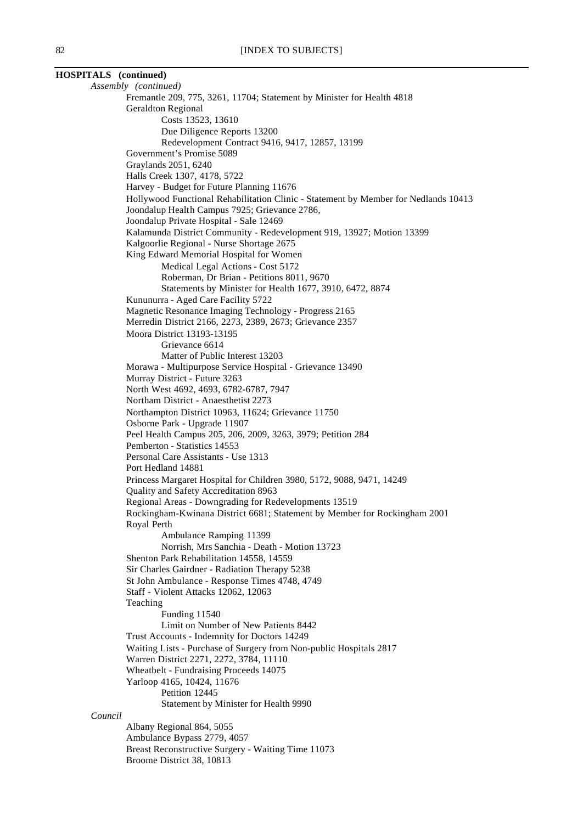# **HOSPITALS (continued)** *Assembly (continued)* Fremantle 209, 775, 3261, 11704; Statement by Minister for Health 4818 Geraldton Regional

Costs 13523, 13610 Due Diligence Reports 13200 Redevelopment Contract 9416, 9417, 12857, 13199 Government's Promise 5089 Graylands 2051, 6240 Halls Creek 1307, 4178, 5722 Harvey - Budget for Future Planning 11676 Hollywood Functional Rehabilitation Clinic - Statement by Member for Nedlands 10413 Joondalup Health Campus 7925; Grievance 2786, Joondalup Private Hospital - Sale 12469 Kalamunda District Community - Redevelopment 919, 13927; Motion 13399 Kalgoorlie Regional - Nurse Shortage 2675 King Edward Memorial Hospital for Women Medical Legal Actions - Cost 5172 Roberman, Dr Brian - Petitions 8011, 9670 Statements by Minister for Health 1677, 3910, 6472, 8874 Kununurra - Aged Care Facility 5722 Magnetic Resonance Imaging Technology - Progress 2165 Merredin District 2166, 2273, 2389, 2673; Grievance 2357 Moora District 13193-13195 Grievance 6614 Matter of Public Interest 13203 Morawa - Multipurpose Service Hospital - Grievance 13490 Murray District - Future 3263 North West 4692, 4693, 6782-6787, 7947 Northam District - Anaesthetist 2273 Northampton District 10963, 11624; Grievance 11750 Osborne Park - Upgrade 11907 Peel Health Campus 205, 206, 2009, 3263, 3979; Petition 284 Pemberton - Statistics 14553 Personal Care Assistants - Use 1313 Port Hedland 14881 Princess Margaret Hospital for Children 3980, 5172, 9088, 9471, 14249 Quality and Safety Accreditation 8963 Regional Areas - Downgrading for Redevelopments 13519 Rockingham-Kwinana District 6681; Statement by Member for Rockingham 2001 Royal Perth Ambulance Ramping 11399 Norrish, Mrs Sanchia - Death - Motion 13723 Shenton Park Rehabilitation 14558, 14559 Sir Charles Gairdner - Radiation Therapy 5238 St John Ambulance - Response Times 4748, 4749 Staff - Violent Attacks 12062, 12063 Teaching Funding 11540 Limit on Number of New Patients 8442 Trust Accounts - Indemnity for Doctors 14249 Waiting Lists - Purchase of Surgery from Non-public Hospitals 2817 Warren District 2271, 2272, 3784, 11110 Wheatbelt - Fundraising Proceeds 14075 Yarloop 4165, 10424, 11676 Petition 12445 Statement by Minister for Health 9990

#### Albany Regional 864, 5055 Ambulance Bypass 2779, 4057

*Council*

Breast Reconstructive Surgery - Waiting Time 11073 Broome District 38, 10813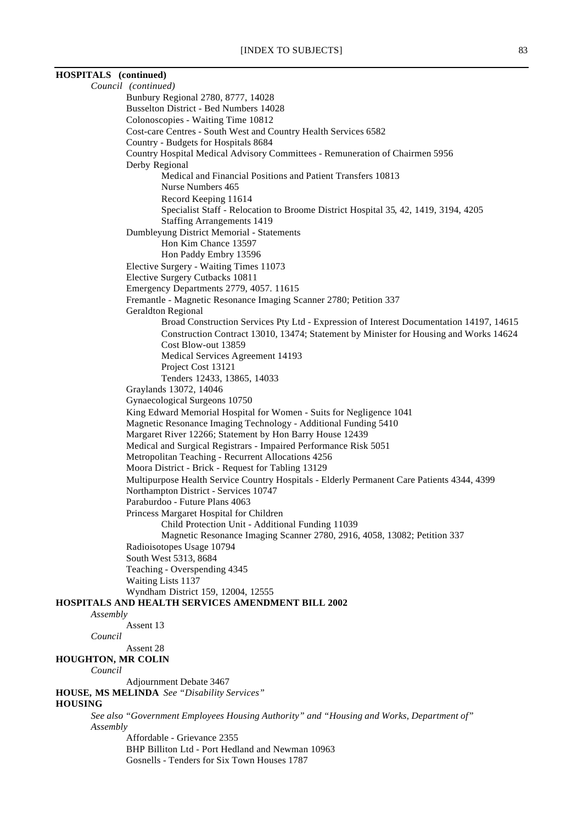# **HOSPITALS (continued)**

*Council (continued)* Bunbury Regional 2780, 8777, 14028 Busselton District - Bed Numbers 14028 Colonoscopies - Waiting Time 10812 Cost-care Centres - South West and Country Health Services 6582 Country - Budgets for Hospitals 8684 Country Hospital Medical Advisory Committees - Remuneration of Chairmen 5956 Derby Regional Medical and Financial Positions and Patient Transfers 10813 Nurse Numbers 465 Record Keeping 11614 Specialist Staff - Relocation to Broome District Hospital 35, 42, 1419, 3194, 4205 Staffing Arrangements 1419 Dumbleyung District Memorial - Statements Hon Kim Chance 13597 Hon Paddy Embry 13596 Elective Surgery - Waiting Times 11073 Elective Surgery Cutbacks 10811 Emergency Departments 2779, 4057. 11615 Fremantle - Magnetic Resonance Imaging Scanner 2780; Petition 337 Geraldton Regional Broad Construction Services Pty Ltd - Expression of Interest Documentation 14197, 14615 Construction Contract 13010, 13474; Statement by Minister for Housing and Works 14624 Cost Blow-out 13859 Medical Services Agreement 14193 Project Cost 13121 Tenders 12433, 13865, 14033 Graylands 13072, 14046 Gynaecological Surgeons 10750 King Edward Memorial Hospital for Women - Suits for Negligence 1041 Magnetic Resonance Imaging Technology - Additional Funding 5410 Margaret River 12266; Statement by Hon Barry House 12439 Medical and Surgical Registrars - Impaired Performance Risk 5051 Metropolitan Teaching - Recurrent Allocations 4256 Moora District - Brick - Request for Tabling 13129 Multipurpose Health Service Country Hospitals - Elderly Permanent Care Patients 4344, 4399 Northampton District - Services 10747 Paraburdoo - Future Plans 4063 Princess Margaret Hospital for Children Child Protection Unit - Additional Funding 11039 Magnetic Resonance Imaging Scanner 2780, 2916, 4058, 13082; Petition 337 Radioisotopes Usage 10794 South West 5313, 8684 Teaching - Overspending 4345 Waiting Lists 1137 Wyndham District 159, 12004, 12555 **HOSPITALS AND HEALTH SERVICES AMENDMENT BILL 2002** *Assembly* Assent 13 *Council* Assent 28 **HOUGHTON, MR COLIN** *Council* Adjournment Debate 3467 **HOUSE, MS MELINDA** *See "Disability Services"* **HOUSING** *See also "Government Employees Housing Authority" and "Housing and Works, Department of" Assembly* Affordable - Grievance 2355 BHP Billiton Ltd - Port Hedland and Newman 10963 Gosnells - Tenders for Six Town Houses 1787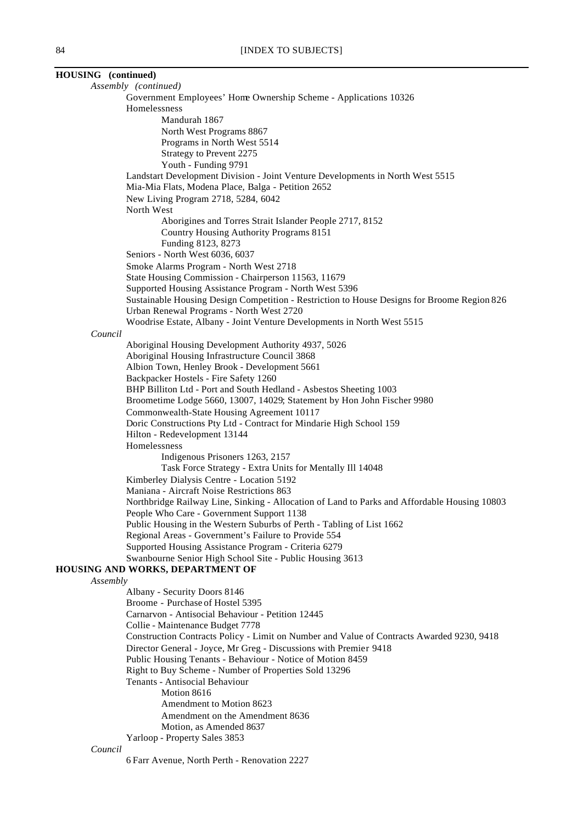| HOUSING (continued) |                                                                                                                                 |
|---------------------|---------------------------------------------------------------------------------------------------------------------------------|
|                     | Assembly (continued)                                                                                                            |
|                     | Government Employees' Home Ownership Scheme - Applications 10326                                                                |
|                     | Homelessness                                                                                                                    |
|                     | Mandurah 1867                                                                                                                   |
|                     | North West Programs 8867                                                                                                        |
|                     | Programs in North West 5514<br>Strategy to Prevent 2275                                                                         |
|                     | Youth - Funding 9791                                                                                                            |
|                     | Landstart Development Division - Joint Venture Developments in North West 5515                                                  |
|                     | Mia-Mia Flats, Modena Place, Balga - Petition 2652                                                                              |
|                     | New Living Program 2718, 5284, 6042                                                                                             |
|                     | North West                                                                                                                      |
|                     | Aborigines and Torres Strait Islander People 2717, 8152                                                                         |
|                     | Country Housing Authority Programs 8151                                                                                         |
|                     | Funding 8123, 8273                                                                                                              |
|                     | Seniors - North West 6036, 6037                                                                                                 |
|                     | Smoke Alarms Program - North West 2718                                                                                          |
|                     | State Housing Commission - Chairperson 11563, 11679<br>Supported Housing Assistance Program - North West 5396                   |
|                     | Sustainable Housing Design Competition - Restriction to House Designs for Broome Region 826                                     |
|                     | Urban Renewal Programs - North West 2720                                                                                        |
|                     | Woodrise Estate, Albany - Joint Venture Developments in North West 5515                                                         |
| Council             |                                                                                                                                 |
|                     | Aboriginal Housing Development Authority 4937, 5026                                                                             |
|                     | Aboriginal Housing Infrastructure Council 3868                                                                                  |
|                     | Albion Town, Henley Brook - Development 5661                                                                                    |
|                     | Backpacker Hostels - Fire Safety 1260                                                                                           |
|                     | BHP Billiton Ltd - Port and South Hedland - Asbestos Sheeting 1003                                                              |
|                     | Broometime Lodge 5660, 13007, 14029; Statement by Hon John Fischer 9980                                                         |
|                     | Commonwealth-State Housing Agreement 10117<br>Doric Constructions Pty Ltd - Contract for Mindarie High School 159               |
|                     | Hilton - Redevelopment 13144                                                                                                    |
|                     | Homelessness                                                                                                                    |
|                     | Indigenous Prisoners 1263, 2157                                                                                                 |
|                     | Task Force Strategy - Extra Units for Mentally Ill 14048                                                                        |
|                     | Kimberley Dialysis Centre - Location 5192                                                                                       |
|                     | Maniana - Aircraft Noise Restrictions 863                                                                                       |
|                     | Northbridge Railway Line, Sinking - Allocation of Land to Parks and Affordable Housing 10803                                    |
|                     | People Who Care - Government Support 1138                                                                                       |
|                     | Public Housing in the Western Suburbs of Perth - Tabling of List 1662                                                           |
|                     | Regional Areas - Government's Failure to Provide 554<br>Supported Housing Assistance Program - Criteria 6279                    |
|                     | Swanbourne Senior High School Site - Public Housing 3613                                                                        |
|                     | HOUSING AND WORKS, DEPARTMENT OF                                                                                                |
| Assembly            |                                                                                                                                 |
|                     | Albany - Security Doors 8146                                                                                                    |
|                     | Broome - Purchase of Hostel 5395                                                                                                |
|                     | Carnarvon - Antisocial Behaviour - Petition 12445                                                                               |
|                     | Collie - Maintenance Budget 7778                                                                                                |
|                     | Construction Contracts Policy - Limit on Number and Value of Contracts Awarded 9230, 9418                                       |
|                     | Director General - Joyce, Mr Greg - Discussions with Premier 9418<br>Public Housing Tenants - Behaviour - Notice of Motion 8459 |
|                     | Right to Buy Scheme - Number of Properties Sold 13296                                                                           |
|                     | Tenants - Antisocial Behaviour                                                                                                  |
|                     | Motion 8616                                                                                                                     |
|                     | Amendment to Motion 8623                                                                                                        |
|                     | Amendment on the Amendment 8636                                                                                                 |
|                     | Motion, as Amended 8637                                                                                                         |
|                     | Yarloop - Property Sales 3853                                                                                                   |

#### *Council*

6 Farr Avenue, North Perth - Renovation 2227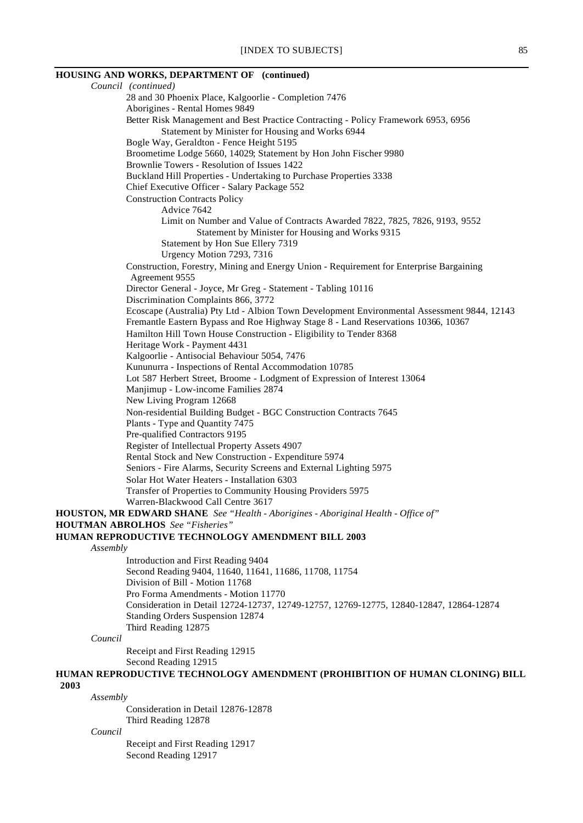# **HOUSING AND WORKS, DEPARTMENT OF (continued)**

*Council (continued)* 28 and 30 Phoenix Place, Kalgoorlie - Completion 7476 Aborigines - Rental Homes 9849 Better Risk Management and Best Practice Contracting - Policy Framework 6953, 6956 Statement by Minister for Housing and Works 6944 Bogle Way, Geraldton - Fence Height 5195 Broometime Lodge 5660, 14029; Statement by Hon John Fischer 9980 Brownlie Towers - Resolution of Issues 1422 Buckland Hill Properties - Undertaking to Purchase Properties 3338 Chief Executive Officer - Salary Package 552 Construction Contracts Policy Advice 7642 Limit on Number and Value of Contracts Awarded 7822, 7825, 7826, 9193, 9552 Statement by Minister for Housing and Works 9315 Statement by Hon Sue Ellery 7319 Urgency Motion 7293, 7316 Construction, Forestry, Mining and Energy Union - Requirement for Enterprise Bargaining Agreement 9555 Director General - Joyce, Mr Greg - Statement - Tabling 10116 Discrimination Complaints 866, 3772 Ecoscape (Australia) Pty Ltd - Albion Town Development Environmental Assessment 9844, 12143 Fremantle Eastern Bypass and Roe Highway Stage 8 - Land Reservations 10366, 10367 Hamilton Hill Town House Construction - Eligibility to Tender 8368 Heritage Work - Payment 4431 Kalgoorlie - Antisocial Behaviour 5054, 7476 Kununurra - Inspections of Rental Accommodation 10785 Lot 587 Herbert Street, Broome - Lodgment of Expression of Interest 13064 Manjimup - Low-income Families 2874 New Living Program 12668 Non-residential Building Budget - BGC Construction Contracts 7645 Plants - Type and Quantity 7475 Pre-qualified Contractors 9195 Register of Intellectual Property Assets 4907 Rental Stock and New Construction - Expenditure 5974 Seniors - Fire Alarms, Security Screens and External Lighting 5975 Solar Hot Water Heaters - Installation 6303 Transfer of Properties to Community Housing Providers 5975 Warren-Blackwood Call Centre 3617 **HOUSTON, MR EDWARD SHANE** *See "Health - Aborigines - Aboriginal Health - Office of"* **HOUTMAN ABROLHOS** *See "Fisheries"* **HUMAN REPRODUCTIVE TECHNOLOGY AMENDMENT BILL 2003** *Assembly* Introduction and First Reading 9404 Second Reading 9404, 11640, 11641, 11686, 11708, 11754 Division of Bill - Motion 11768 Pro Forma Amendments - Motion 11770 Consideration in Detail 12724-12737, 12749-12757, 12769-12775, 12840-12847, 12864-12874 Standing Orders Suspension 12874 Third Reading 12875 *Council* Receipt and First Reading 12915 Second Reading 12915 **HUMAN REPRODUCTIVE TECHNOLOGY AMENDMENT (PROHIBITION OF HUMAN CLONING) BILL 2003**

*Assembly*

Consideration in Detail 12876-12878 Third Reading 12878

*Council*

Receipt and First Reading 12917 Second Reading 12917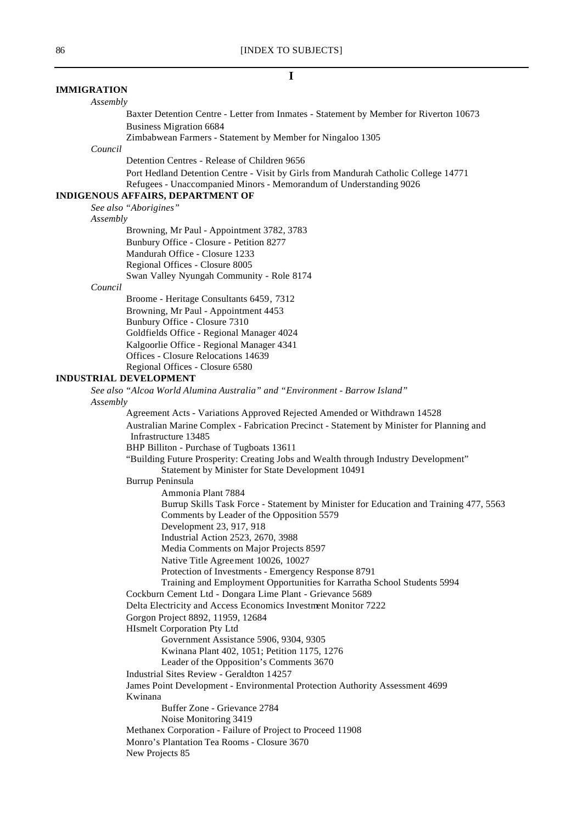#### **I**

# **IMMIGRATION**

# *Assembly*

Baxter Detention Centre - Letter from Inmates - Statement by Member for Riverton 10673 Business Migration 6684

Zimbabwean Farmers - Statement by Member for Ningaloo 1305

#### *Council*

Detention Centres - Release of Children 9656

Port Hedland Detention Centre - Visit by Girls from Mandurah Catholic College 14771 Refugees - Unaccompanied Minors - Memorandum of Understanding 9026

# **INDIGENOUS AFFAIRS, DEPARTMENT OF**

*See also "Aborigines"*

#### *Assembly*

Browning, Mr Paul - Appointment 3782, 3783 Bunbury Office - Closure - Petition 8277 Mandurah Office - Closure 1233 Regional Offices - Closure 8005 Swan Valley Nyungah Community - Role 8174

#### *Council*

Broome - Heritage Consultants 6459, 7312 Browning, Mr Paul - Appointment 4453 Bunbury Office - Closure 7310 Goldfields Office - Regional Manager 4024 Kalgoorlie Office - Regional Manager 4341 Offices - Closure Relocations 14639 Regional Offices - Closure 6580

#### **INDUSTRIAL DEVELOPMENT**

*See also "Alcoa World Alumina Australia" and "Environment - Barrow Island" Assembly*

Agreement Acts - Variations Approved Rejected Amended or Withdrawn 14528 Australian Marine Complex - Fabrication Precinct - Statement by Minister for Planning and Infrastructure 13485 BHP Billiton - Purchase of Tugboats 13611 "Building Future Prosperity: Creating Jobs and Wealth through Industry Development" Statement by Minister for State Development 10491 Burrup Peninsula Ammonia Plant 7884 Burrup Skills Task Force - Statement by Minister for Education and Training 477, 5563 Comments by Leader of the Opposition 5579 Development 23, 917, 918 Industrial Action 2523, 2670, 3988 Media Comments on Major Projects 8597 Native Title Agreement 10026, 10027 Protection of Investments - Emergency Response 8791 Training and Employment Opportunities for Karratha School Students 5994 Cockburn Cement Ltd - Dongara Lime Plant - Grievance 5689 Delta Electricity and Access Economics Investment Monitor 7222 Gorgon Project 8892, 11959, 12684 HIsmelt Corporation Pty Ltd Government Assistance 5906, 9304, 9305 Kwinana Plant 402, 1051; Petition 1175, 1276 Leader of the Opposition's Comments 3670 Industrial Sites Review - Geraldton 14257 James Point Development - Environmental Protection Authority Assessment 4699 Kwinana Buffer Zone - Grievance 2784 Noise Monitoring 3419 Methanex Corporation - Failure of Project to Proceed 11908 Monro's Plantation Tea Rooms - Closure 3670 New Projects 85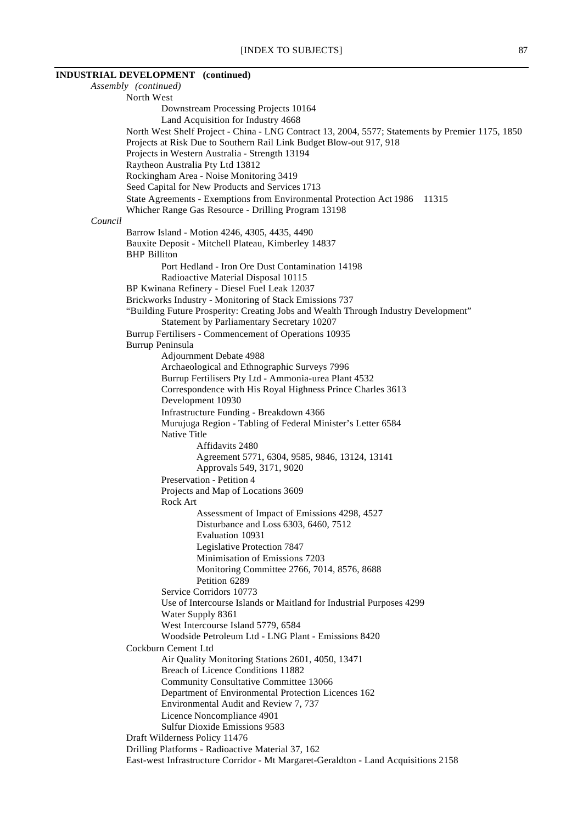# **INDUSTRIAL DEVELOPMENT (continued)**

*Assembly (continued)* North West Downstream Processing Projects 10164 Land Acquisition for Industry 4668 North West Shelf Project - China - LNG Contract 13, 2004, 5577; Statements by Premier 1175, 1850 Projects at Risk Due to Southern Rail Link Budget Blow-out 917, 918 Projects in Western Australia - Strength 13194 Raytheon Australia Pty Ltd 13812 Rockingham Area - Noise Monitoring 3419 Seed Capital for New Products and Services 1713 State Agreements - Exemptions from Environmental Protection Act 1986 11315 Whicher Range Gas Resource - Drilling Program 13198 *Council* Barrow Island - Motion 4246, 4305, 4435, 4490 Bauxite Deposit - Mitchell Plateau, Kimberley 14837 BHP Billiton Port Hedland - Iron Ore Dust Contamination 14198 Radioactive Material Disposal 10115 BP Kwinana Refinery - Diesel Fuel Leak 12037 Brickworks Industry - Monitoring of Stack Emissions 737 "Building Future Prosperity: Creating Jobs and Wealth Through Industry Development" Statement by Parliamentary Secretary 10207 Burrup Fertilisers - Commencement of Operations 10935 Burrup Peninsula Adjournment Debate 4988 Archaeological and Ethnographic Surveys 7996 Burrup Fertilisers Pty Ltd - Ammonia-urea Plant 4532 Correspondence with His Royal Highness Prince Charles 3613 Development 10930 Infrastructure Funding - Breakdown 4366 Murujuga Region - Tabling of Federal Minister's Letter 6584 Native Title Affidavits 2480 Agreement 5771, 6304, 9585, 9846, 13124, 13141 Approvals 549, 3171, 9020 Preservation - Petition 4 Projects and Map of Locations 3609 Rock Art Assessment of Impact of Emissions 4298, 4527 Disturbance and Loss 6303, 6460, 7512 Evaluation 10931 Legislative Protection 7847 Minimisation of Emissions 7203 Monitoring Committee 2766, 7014, 8576, 8688 Petition 6289 Service Corridors 10773 Use of Intercourse Islands or Maitland for Industrial Purposes 4299 Water Supply 8361 West Intercourse Island 5779, 6584 Woodside Petroleum Ltd - LNG Plant - Emissions 8420 Cockburn Cement Ltd Air Quality Monitoring Stations 2601, 4050, 13471 Breach of Licence Conditions 11882 Community Consultative Committee 13066 Department of Environmental Protection Licences 162 Environmental Audit and Review 7, 737 Licence Noncompliance 4901 Sulfur Dioxide Emissions 9583 Draft Wilderness Policy 11476 Drilling Platforms - Radioactive Material 37, 162 East-west Infrastructure Corridor - Mt Margaret-Geraldton - Land Acquisitions 2158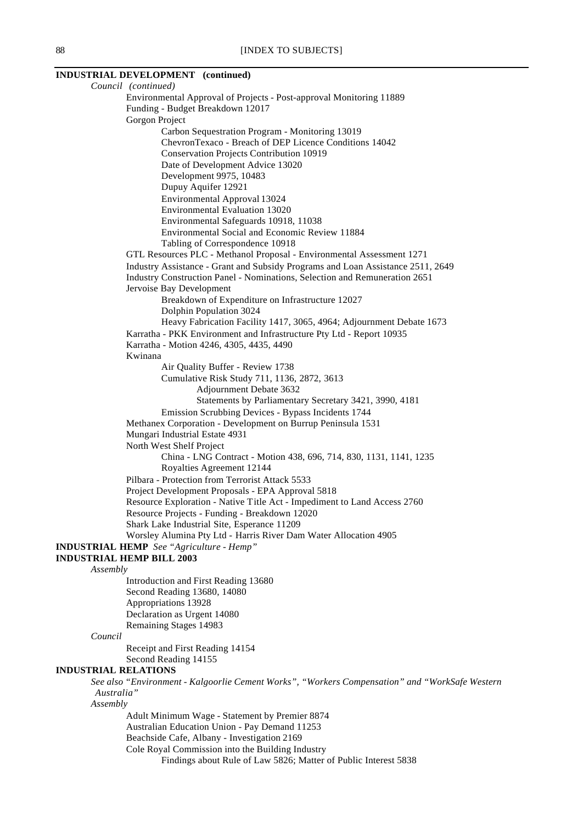# **INDUSTRIAL DEVELOPMENT (continued)**

*Council (continued)* Environmental Approval of Projects - Post-approval Monitoring 11889 Funding - Budget Breakdown 12017 Gorgon Project Carbon Sequestration Program - Monitoring 13019 ChevronTexaco - Breach of DEP Licence Conditions 14042 Conservation Projects Contribution 10919 Date of Development Advice 13020 Development 9975, 10483 Dupuy Aquifer 12921 Environmental Approval 13024 Environmental Evaluation 13020 Environmental Safeguards 10918, 11038 Environmental Social and Economic Review 11884 Tabling of Correspondence 10918 GTL Resources PLC - Methanol Proposal - Environmental Assessment 1271 Industry Assistance - Grant and Subsidy Programs and Loan Assistance 2511, 2649 Industry Construction Panel - Nominations, Selection and Remuneration 2651 Jervoise Bay Development Breakdown of Expenditure on Infrastructure 12027 Dolphin Population 3024 Heavy Fabrication Facility 1417, 3065, 4964; Adjournment Debate 1673 Karratha - PKK Environment and Infrastructure Pty Ltd - Report 10935 Karratha - Motion 4246, 4305, 4435, 4490 Kwinana Air Quality Buffer - Review 1738 Cumulative Risk Study 711, 1136, 2872, 3613 Adjournment Debate 3632 Statements by Parliamentary Secretary 3421, 3990, 4181 Emission Scrubbing Devices - Bypass Incidents 1744 Methanex Corporation - Development on Burrup Peninsula 1531 Mungari Industrial Estate 4931 North West Shelf Project China - LNG Contract - Motion 438, 696, 714, 830, 1131, 1141, 1235 Royalties Agreement 12144 Pilbara - Protection from Terrorist Attack 5533 Project Development Proposals - EPA Approval 5818 Resource Exploration - Native Title Act - Impediment to Land Access 2760 Resource Projects - Funding - Breakdown 12020 Shark Lake Industrial Site, Esperance 11209 Worsley Alumina Pty Ltd - Harris River Dam Water Allocation 4905 **INDUSTRIAL HEMP** *See "Agriculture - Hemp"* **INDUSTRIAL HEMP BILL 2003** *Assembly* Introduction and First Reading 13680 Second Reading 13680, 14080 Appropriations 13928 Declaration as Urgent 14080 Remaining Stages 14983 *Council* Receipt and First Reading 14154 Second Reading 14155 **INDUSTRIAL RELATIONS** *See also "Environment - Kalgoorlie Cement Works", "Workers Compensation" and "WorkSafe Western Australia" Assembly* Adult Minimum Wage - Statement by Premier 8874 Australian Education Union - Pay Demand 11253 Beachside Cafe, Albany - Investigation 2169 Cole Royal Commission into the Building Industry

Findings about Rule of Law 5826; Matter of Public Interest 5838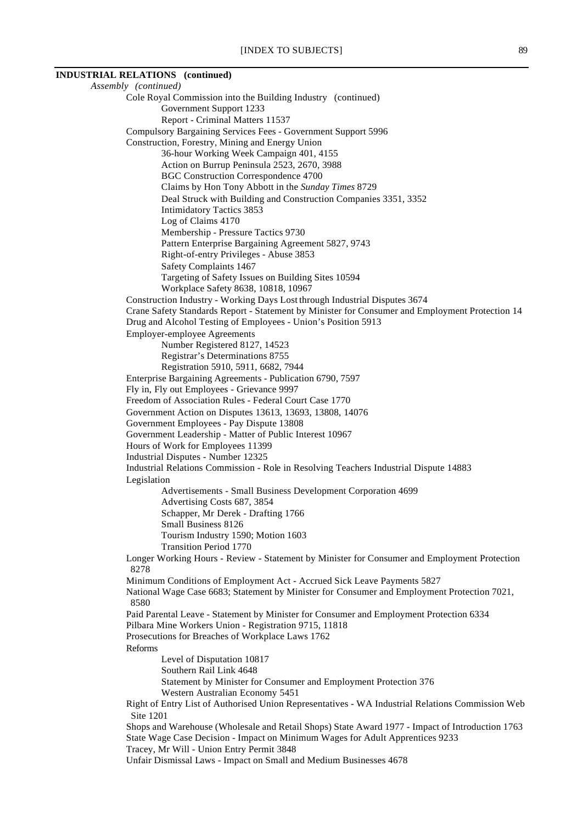# **INDUSTRIAL RELATIONS (continued)**

*Assembly (continued)* Cole Royal Commission into the Building Industry (continued) Government Support 1233 Report - Criminal Matters 11537 Compulsory Bargaining Services Fees - Government Support 5996 Construction, Forestry, Mining and Energy Union 36-hour Working Week Campaign 401, 4155 Action on Burrup Peninsula 2523, 2670, 3988 BGC Construction Correspondence 4700 Claims by Hon Tony Abbott in the *Sunday Times* 8729 Deal Struck with Building and Construction Companies 3351, 3352 Intimidatory Tactics 3853 Log of Claims 4170 Membership - Pressure Tactics 9730 Pattern Enterprise Bargaining Agreement 5827, 9743 Right-of-entry Privileges - Abuse 3853 Safety Complaints 1467 Targeting of Safety Issues on Building Sites 10594 Workplace Safety 8638, 10818, 10967 Construction Industry - Working Days Lost through Industrial Disputes 3674 Crane Safety Standards Report - Statement by Minister for Consumer and Employment Protection 14 Drug and Alcohol Testing of Employees - Union's Position 5913 Employer-employee Agreements Number Registered 8127, 14523 Registrar's Determinations 8755 Registration 5910, 5911, 6682, 7944 Enterprise Bargaining Agreements - Publication 6790, 7597 Fly in, Fly out Employees - Grievance 9997 Freedom of Association Rules - Federal Court Case 1770 Government Action on Disputes 13613, 13693, 13808, 14076 Government Employees - Pay Dispute 13808 Government Leadership - Matter of Public Interest 10967 Hours of Work for Employees 11399 Industrial Disputes - Number 12325 Industrial Relations Commission - Role in Resolving Teachers Industrial Dispute 14883 Legislation Advertisements - Small Business Development Corporation 4699 Advertising Costs 687, 3854 Schapper, Mr Derek - Drafting 1766 Small Business 8126 Tourism Industry 1590; Motion 1603 Transition Period 1770 Longer Working Hours - Review - Statement by Minister for Consumer and Employment Protection 8278 Minimum Conditions of Employment Act - Accrued Sick Leave Payments 5827 National Wage Case 6683; Statement by Minister for Consumer and Employment Protection 7021, 8580 Paid Parental Leave - Statement by Minister for Consumer and Employment Protection 6334 Pilbara Mine Workers Union - Registration 9715, 11818 Prosecutions for Breaches of Workplace Laws 1762 Reforms Level of Disputation 10817 Southern Rail Link 4648 Statement by Minister for Consumer and Employment Protection 376 Western Australian Economy 5451 Right of Entry List of Authorised Union Representatives - WA Industrial Relations Commission Web Site 1201 Shops and Warehouse (Wholesale and Retail Shops) State Award 1977 - Impact of Introduction 1763 State Wage Case Decision - Impact on Minimum Wages for Adult Apprentices 9233 Tracey, Mr Will - Union Entry Permit 3848 Unfair Dismissal Laws - Impact on Small and Medium Businesses 4678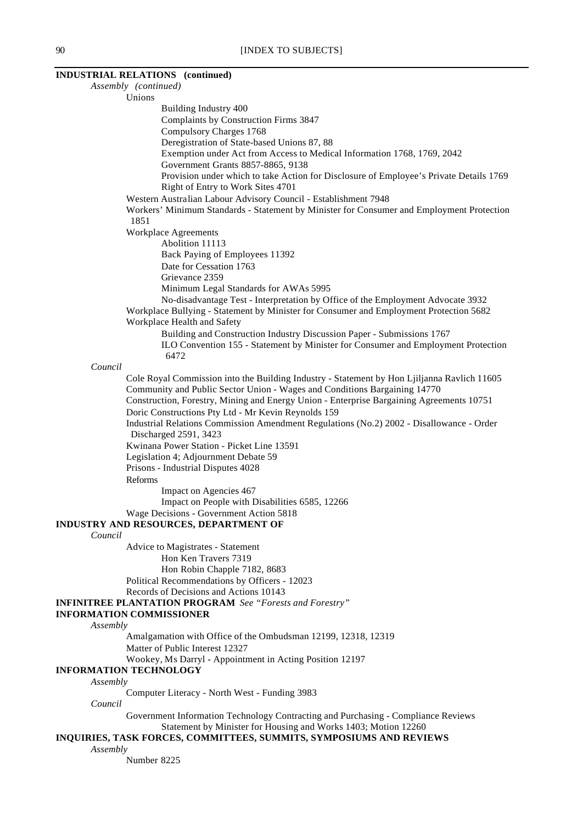#### **INDUSTRIAL RELATIONS (continued)**

*Assembly (continued)* Unions Building Industry 400 Complaints by Construction Firms 3847 Compulsory Charges 1768 Deregistration of State-based Unions 87, 88 Exemption under Act from Access to Medical Information 1768, 1769, 2042 Government Grants 8857-8865, 9138 Provision under which to take Action for Disclosure of Employee's Private Details 1769 Right of Entry to Work Sites 4701 Western Australian Labour Advisory Council - Establishment 7948 Workers' Minimum Standards - Statement by Minister for Consumer and Employment Protection 1851 Workplace Agreements Abolition 11113 Back Paying of Employees 11392 Date for Cessation 1763 Grievance 2359 Minimum Legal Standards for AWAs 5995 No-disadvantage Test - Interpretation by Office of the Employment Advocate 3932 Workplace Bullying - Statement by Minister for Consumer and Employment Protection 5682 Workplace Health and Safety Building and Construction Industry Discussion Paper - Submissions 1767 ILO Convention 155 - Statement by Minister for Consumer and Employment Protection 6472 *Council* Cole Royal Commission into the Building Industry - Statement by Hon Ljiljanna Ravlich 11605 Community and Public Sector Union - Wages and Conditions Bargaining 14770 Construction, Forestry, Mining and Energy Union - Enterprise Bargaining Agreements 10751 Doric Constructions Pty Ltd - Mr Kevin Reynolds 159 Industrial Relations Commission Amendment Regulations (No.2) 2002 - Disallowance - Order Discharged 2591, 3423 Kwinana Power Station - Picket Line 13591 Legislation 4; Adjournment Debate 59 Prisons - Industrial Disputes 4028 Reforms Impact on Agencies 467 Impact on People with Disabilities 6585, 12266 Wage Decisions - Government Action 5818 **INDUSTRY AND RESOURCES, DEPARTMENT OF** *Council* Advice to Magistrates - Statement Hon Ken Travers 7319 Hon Robin Chapple 7182, 8683 Political Recommendations by Officers - 12023 Records of Decisions and Actions 10143 **INFINITREE PLANTATION PROGRAM** *See "Forests and Forestry"* **INFORMATION COMMISSIONER** *Assembly* Amalgamation with Office of the Ombudsman 12199, 12318, 12319 Matter of Public Interest 12327 Wookey, Ms Darryl - Appointment in Acting Position 12197 **INFORMATION TECHNOLOGY** *Assembly* Computer Literacy - North West - Funding 3983 *Council* Government Information Technology Contracting and Purchasing - Compliance Reviews Statement by Minister for Housing and Works 1403; Motion 12260 **INQUIRIES, TASK FORCES, COMMITTEES, SUMMITS, SYMPOSIUMS AND REVIEWS** *Assembly* Number 8225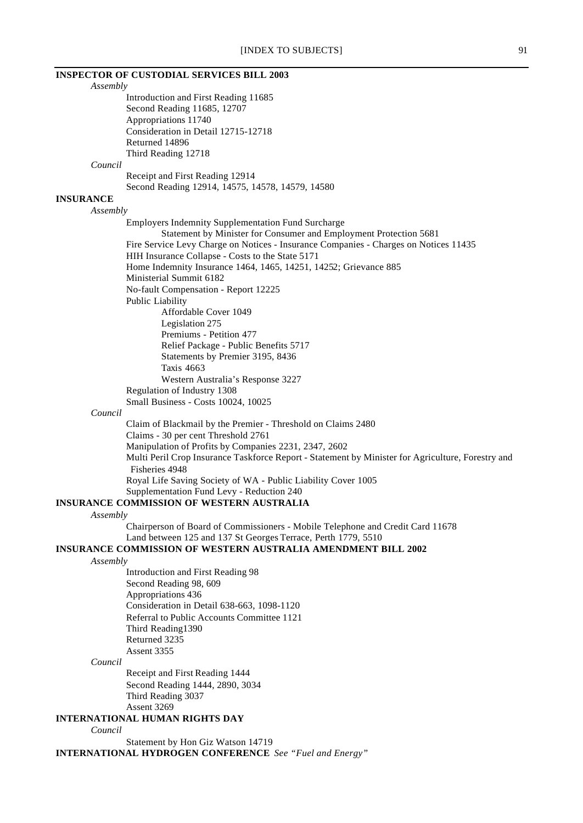# **INSPECTOR OF CUSTODIAL SERVICES BILL 2003**

*Assembly* Introduction and First Reading 11685 Second Reading 11685, 12707 Appropriations 11740 Consideration in Detail 12715-12718 Returned 14896 Third Reading 12718 *Council* Receipt and First Reading 12914 Second Reading 12914, 14575, 14578, 14579, 14580 **INSURANCE** *Assembly* Employers Indemnity Supplementation Fund Surcharge Statement by Minister for Consumer and Employment Protection 5681 Fire Service Levy Charge on Notices - Insurance Companies - Charges on Notices 11435 HIH Insurance Collapse - Costs to the State 5171 Home Indemnity Insurance 1464, 1465, 14251, 14252; Grievance 885 Ministerial Summit 6182 No-fault Compensation - Report 12225 Public Liability Affordable Cover 1049 Legislation 275 Premiums - Petition 477 Relief Package - Public Benefits 5717 Statements by Premier 3195, 8436 Taxis 4663 Western Australia's Response 3227 Regulation of Industry 1308 Small Business - Costs 10024, 10025 *Council* Claim of Blackmail by the Premier - Threshold on Claims 2480 Claims - 30 per cent Threshold 2761 Manipulation of Profits by Companies 2231, 2347, 2602 Multi Peril Crop Insurance Taskforce Report - Statement by Minister for Agriculture, Forestry and Fisheries 4948 Royal Life Saving Society of WA - Public Liability Cover 1005 Supplementation Fund Levy - Reduction 240 **INSURANCE COMMISSION OF WESTERN AUSTRALIA** *Assembly* Chairperson of Board of Commissioners - Mobile Telephone and Credit Card 11678 Land between 125 and 137 St Georges Terrace, Perth 1779, 5510 **INSURANCE COMMISSION OF WESTERN AUSTRALIA AMENDMENT BILL 2002** *Assembly* Introduction and First Reading 98 Second Reading 98, 609 Appropriations 436 Consideration in Detail 638-663, 1098-1120 Referral to Public Accounts Committee 1121 Third Reading1390 Returned 3235 Assent 3355 *Council* Receipt and First Reading 1444 Second Reading 1444, 2890, 3034 Third Reading 3037 Assent 3269 **INTERNATIONAL HUMAN RIGHTS DAY** *Council*

Statement by Hon Giz Watson 14719 **INTERNATIONAL HYDROGEN CONFERENCE** *See "Fuel and Energy"*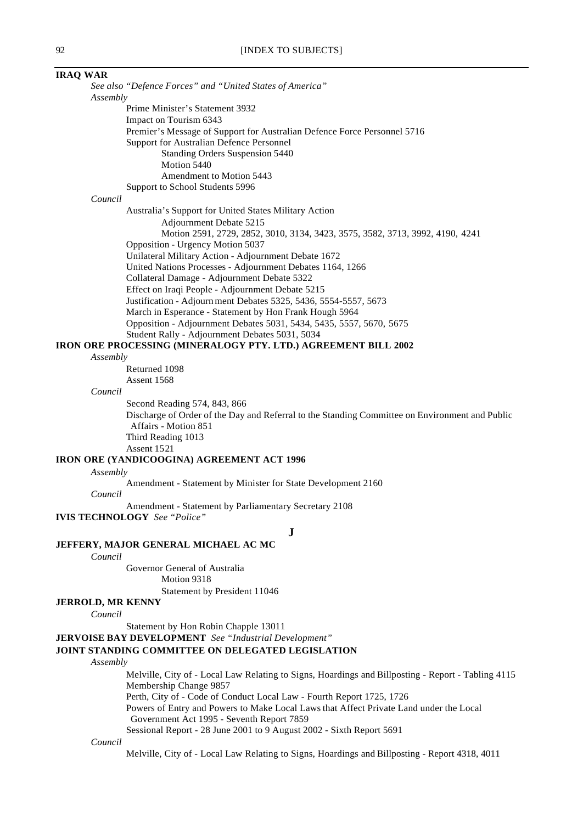#### **IRAQ WAR**

*See also "Defence Forces" and "United States of America" Assembly* Prime Minister's Statement 3932 Impact on Tourism 6343 Premier's Message of Support for Australian Defence Force Personnel 5716 Support for Australian Defence Personnel Standing Orders Suspension 5440 Motion 5440 Amendment to Motion 5443 Support to School Students 5996 *Council* Australia's Support for United States Military Action Adjournment Debate 5215 Motion 2591, 2729, 2852, 3010, 3134, 3423, 3575, 3582, 3713, 3992, 4190, 4241 Opposition - Urgency Motion 5037 Unilateral Military Action - Adjournment Debate 1672 United Nations Processes - Adjournment Debates 1164, 1266 Collateral Damage - Adjournment Debate 5322 Effect on Iraqi People - Adjournment Debate 5215 Justification - Adjourn ment Debates 5325, 5436, 5554-5557, 5673 March in Esperance - Statement by Hon Frank Hough 5964 Opposition - Adjournment Debates 5031, 5434, 5435, 5557, 5670, 5675 Student Rally - Adjournment Debates 5031, 5034 **IRON ORE PROCESSING (MINERALOGY PTY. LTD.) AGREEMENT BILL 2002** *Assembly* Returned 1098 Assent 1568 *Council* Second Reading 574, 843, 866 Discharge of Order of the Day and Referral to the Standing Committee on Environment and Public Affairs - Motion 851

Third Reading 1013

Assent 1521

#### **IRON ORE (YANDICOOGINA) AGREEMENT ACT 1996**

*Assembly*

Amendment - Statement by Minister for State Development 2160

*Council*

Amendment - Statement by Parliamentary Secretary 2108

**IVIS TECHNOLOGY** *See "Police"*

**J**

## **JEFFERY, MAJOR GENERAL MICHAEL AC MC**

*Council*

Governor General of Australia

Motion 9318 Statement by President 11046

**JERROLD, MR KENNY**

*Council*

Statement by Hon Robin Chapple 13011

**JERVOISE BAY DEVELOPMENT** *See "Industrial Development"*

#### **JOINT STANDING COMMITTEE ON DELEGATED LEGISLATION**

*Assembly*

Melville, City of - Local Law Relating to Signs, Hoardings and Billposting - Report - Tabling 4115 Membership Change 9857

Perth, City of - Code of Conduct Local Law - Fourth Report 1725, 1726

Powers of Entry and Powers to Make Local Laws that Affect Private Land under the Local Government Act 1995 - Seventh Report 7859

Sessional Report - 28 June 2001 to 9 August 2002 - Sixth Report 5691

*Council*

Melville, City of - Local Law Relating to Signs, Hoardings and Billposting - Report 4318, 4011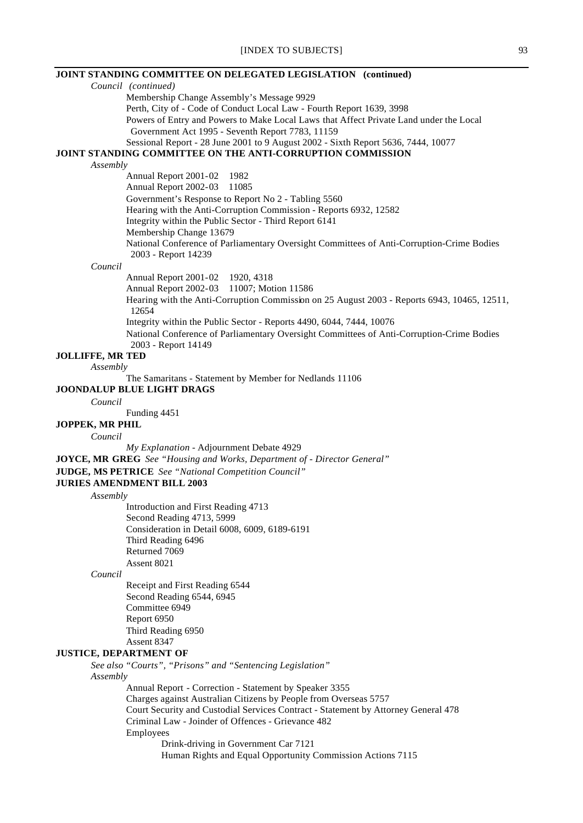**JOINT STANDING COMMITTEE ON DELEGATED LEGISLATION (continued)** *Council (continued)* Membership Change Assembly's Message 9929 Perth, City of - Code of Conduct Local Law - Fourth Report 1639, 3998 Powers of Entry and Powers to Make Local Laws that Affect Private Land under the Local Government Act 1995 - Seventh Report 7783, 11159 Sessional Report - 28 June 2001 to 9 August 2002 - Sixth Report 5636, 7444, 10077 **JOINT STANDING COMMITTEE ON THE ANTI-CORRUPTION COMMISSION** *Assembly* Annual Report 2001-02 1982 Annual Report 2002-03 11085 Government's Response to Report No 2 - Tabling 5560 Hearing with the Anti-Corruption Commission - Reports 6932, 12582 Integrity within the Public Sector - Third Report 6141 Membership Change 13679 National Conference of Parliamentary Oversight Committees of Anti-Corruption-Crime Bodies 2003 - Report 14239 *Council* Annual Report 2001-02 1920, 4318 Annual Report 2002-03 11007; Motion 11586 Hearing with the Anti-Corruption Commission on 25 August 2003 - Reports 6943, 10465, 12511, 12654 Integrity within the Public Sector - Reports 4490, 6044, 7444, 10076 National Conference of Parliamentary Oversight Committees of Anti-Corruption-Crime Bodies 2003 - Report 14149 **JOLLIFFE, MR TED** *Assembly* The Samaritans - Statement by Member for Nedlands 11106 **JOONDALUP BLUE LIGHT DRAGS** *Council* Funding 4451 **JOPPEK, MR PHIL** *Council My Explanation* - Adjournment Debate 4929 **JOYCE, MR GREG** *See "Housing and Works, Department of - Director General"* **JUDGE, MS PETRICE** *See "National Competition Council"* **JURIES AMENDMENT BILL 2003** *Assembly* Introduction and First Reading 4713 Second Reading 4713, 5999 Consideration in Detail 6008, 6009, 6189-6191 Third Reading 6496 Returned 7069 Assent 8021 *Council* Receipt and First Reading 6544 Second Reading 6544, 6945 Committee 6949 Report 6950 Third Reading 6950 Assent 8347 **JUSTICE, DEPARTMENT OF** *See also "Courts", "Prisons" and "Sentencing Legislation" Assembly* Annual Report - Correction - Statement by Speaker 3355 Charges against Australian Citizens by People from Overseas 5757 Court Security and Custodial Services Contract - Statement by Attorney General 478 Criminal Law - Joinder of Offences - Grievance 482 Employees Drink-driving in Government Car 7121 Human Rights and Equal Opportunity Commission Actions 7115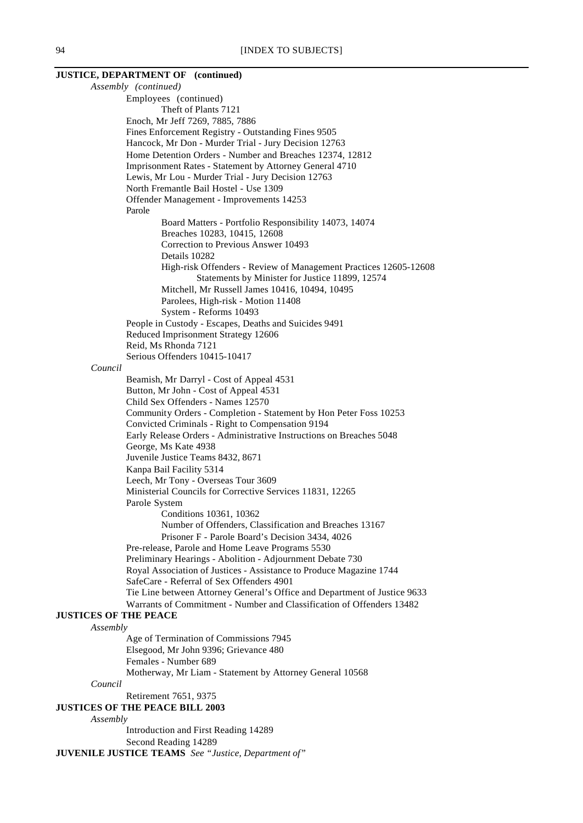#### **JUSTICE, DEPARTMENT OF (continued)** *Assembly (continued)*

Employees (continued) Theft of Plants 7121 Enoch, Mr Jeff 7269, 7885, 7886 Fines Enforcement Registry - Outstanding Fines 9505 Hancock, Mr Don - Murder Trial - Jury Decision 12763 Home Detention Orders - Number and Breaches 12374, 12812 Imprisonment Rates - Statement by Attorney General 4710 Lewis, Mr Lou - Murder Trial - Jury Decision 12763 North Fremantle Bail Hostel - Use 1309 Offender Management - Improvements 14253 Parole Board Matters - Portfolio Responsibility 14073, 14074 Breaches 10283, 10415, 12608 Correction to Previous Answer 10493 Details 10282 High-risk Offenders - Review of Management Practices 12605-12608 Statements by Minister for Justice 11899, 12574 Mitchell, Mr Russell James 10416, 10494, 10495 Parolees, High-risk - Motion 11408 System - Reforms 10493 People in Custody - Escapes, Deaths and Suicides 9491 Reduced Imprisonment Strategy 12606 Reid, Ms Rhonda 7121 Serious Offenders 10415-10417 *Council* Beamish, Mr Darryl - Cost of Appeal 4531 Button, Mr John - Cost of Appeal 4531 Child Sex Offenders - Names 12570 Community Orders - Completion - Statement by Hon Peter Foss 10253 Convicted Criminals - Right to Compensation 9194 Early Release Orders - Administrative Instructions on Breaches 5048 George, Ms Kate 4938 Juvenile Justice Teams 8432, 8671 Kanpa Bail Facility 5314 Leech, Mr Tony - Overseas Tour 3609 Ministerial Councils for Corrective Services 11831, 12265 Parole System Conditions 10361, 10362 Number of Offenders, Classification and Breaches 13167 Prisoner F - Parole Board's Decision 3434, 4026 Pre-release, Parole and Home Leave Programs 5530 Preliminary Hearings - Abolition - Adjournment Debate 730 Royal Association of Justices - Assistance to Produce Magazine 1744 SafeCare - Referral of Sex Offenders 4901 Tie Line between Attorney General's Office and Department of Justice 9633 Warrants of Commitment - Number and Classification of Offenders 13482 **JUSTICES OF THE PEACE** *Assembly* Age of Termination of Commissions 7945 Elsegood, Mr John 9396; Grievance 480 Females - Number 689 Motherway, Mr Liam - Statement by Attorney General 10568 *Council* Retirement 7651, 9375 **JUSTICES OF THE PEACE BILL 2003** *Assembly* Introduction and First Reading 14289 Second Reading 14289

**JUVENILE JUSTICE TEAMS** *See "Justice, Department of"*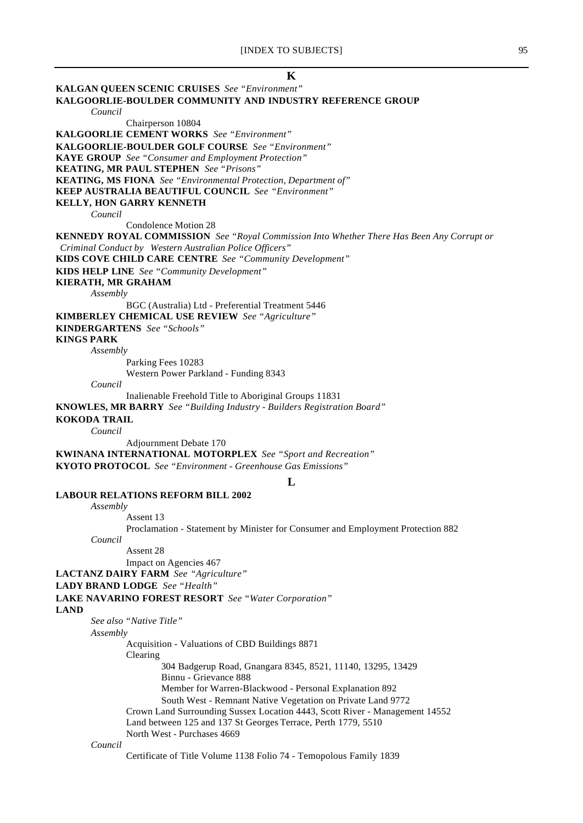# **K KALGAN QUEEN SCENIC CRUISES** *See "Environment"* **KALGOORLIE-BOULDER COMMUNITY AND INDUSTRY REFERENCE GROUP** *Council* Chairperson 10804 **KALGOORLIE CEMENT WORKS** *See "Environment"* **KALGOORLIE-BOULDER GOLF COURSE** *See "Environment"* **KAYE GROUP** *See "Consumer and Employment Protection"* **KEATING, MR PAUL STEPHEN** *See "Prisons"* **KEATING, MS FIONA** *See "Environmental Protection, Department of"* **KEEP AUSTRALIA BEAUTIFUL COUNCIL** *See "Environment"* **KELLY, HON GARRY KENNETH** *Council* Condolence Motion 28 **KENNEDY ROYAL COMMISSION** *See "Royal Commission Into Whether There Has Been Any Corrupt or Criminal Conduct by Western Australian Police Officers"* **KIDS COVE CHILD CARE CENTRE** *See "Community Development"* **KIDS HELP LINE** *See "Community Development"* **KIERATH, MR GRAHAM** *Assembly* BGC (Australia) Ltd - Preferential Treatment 5446 **KIMBERLEY CHEMICAL USE REVIEW** *See "Agriculture"* **KINDERGARTENS** *See "Schools"* **KINGS PARK** *Assembly* Parking Fees 10283 Western Power Parkland - Funding 8343 *Council* Inalienable Freehold Title to Aboriginal Groups 11831 **KNOWLES, MR BARRY** *See "Building Industry - Builders Registration Board"* **KOKODA TRAIL** *Council* Adjournment Debate 170 **KWINANA INTERNATIONAL MOTORPLEX** *See "Sport and Recreation"* **KYOTO PROTOCOL** *See "Environment - Greenhouse Gas Emissions"* **L LABOUR RELATIONS REFORM BILL 2002** *Assembly* Assent 13 Proclamation - Statement by Minister for Consumer and Employment Protection 882 *Council* Assent 28 Impact on Agencies 467 **LACTANZ DAIRY FARM** *See "Agriculture"* **LADY BRAND LODGE** *See "Health"* **LAKE NAVARINO FOREST RESORT** *See "Water Corporation"* **LAND** *See also "Native Title" Assembly* Acquisition - Valuations of CBD Buildings 8871 Clearing 304 Badgerup Road, Gnangara 8345, 8521, 11140, 13295, 13429 Binnu - Grievance 888 Member for Warren-Blackwood - Personal Explanation 892 South West - Remnant Native Vegetation on Private Land 9772 Crown Land Surrounding Sussex Location 4443, Scott River - Management 14552 Land between 125 and 137 St Georges Terrace, Perth 1779, 5510 North West - Purchases 4669 *Council* Certificate of Title Volume 1138 Folio 74 - Temopolous Family 1839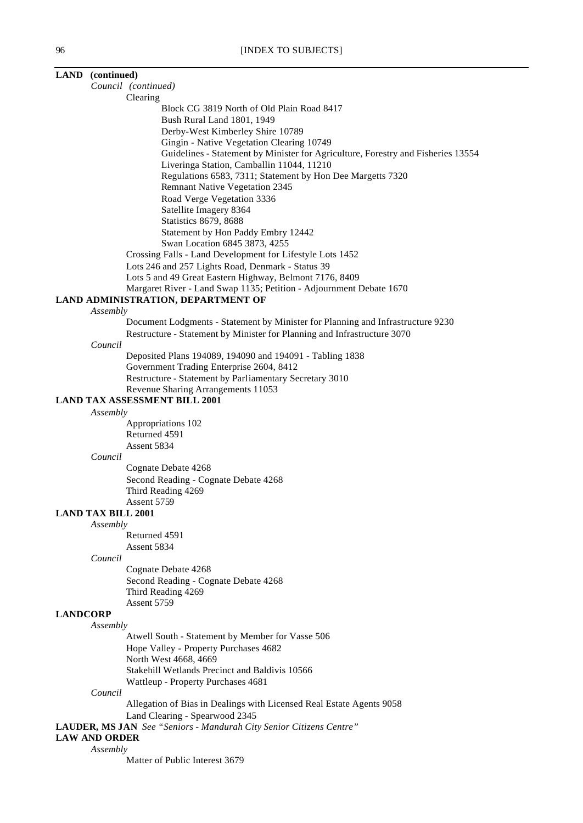|                 | LAND (continued)                                                                            |
|-----------------|---------------------------------------------------------------------------------------------|
|                 | Council (continued)                                                                         |
|                 | Clearing                                                                                    |
|                 | Block CG 3819 North of Old Plain Road 8417                                                  |
|                 | Bush Rural Land 1801, 1949                                                                  |
|                 | Derby-West Kimberley Shire 10789                                                            |
|                 | Gingin - Native Vegetation Clearing 10749                                                   |
|                 | Guidelines - Statement by Minister for Agriculture, Forestry and Fisheries 13554            |
|                 | Liveringa Station, Camballin 11044, 11210                                                   |
|                 | Regulations 6583, 7311; Statement by Hon Dee Margetts 7320                                  |
|                 | Remnant Native Vegetation 2345                                                              |
|                 | Road Verge Vegetation 3336                                                                  |
|                 | Satellite Imagery 8364                                                                      |
|                 | Statistics 8679, 8688                                                                       |
|                 | Statement by Hon Paddy Embry 12442                                                          |
|                 | Swan Location 6845 3873, 4255                                                               |
|                 | Crossing Falls - Land Development for Lifestyle Lots 1452                                   |
|                 | Lots 246 and 257 Lights Road, Denmark - Status 39                                           |
|                 | Lots 5 and 49 Great Eastern Highway, Belmont 7176, 8409                                     |
|                 | Margaret River - Land Swap 1135; Petition - Adjournment Debate 1670                         |
|                 | LAND ADMINISTRATION, DEPARTMENT OF                                                          |
|                 | Assembly<br>Document Lodgments - Statement by Minister for Planning and Infrastructure 9230 |
|                 | Restructure - Statement by Minister for Planning and Infrastructure 3070                    |
|                 | Council                                                                                     |
|                 | Deposited Plans 194089, 194090 and 194091 - Tabling 1838                                    |
|                 | Government Trading Enterprise 2604, 8412                                                    |
|                 | Restructure - Statement by Parliamentary Secretary 3010                                     |
|                 | Revenue Sharing Arrangements 11053                                                          |
|                 | <b>LAND TAX ASSESSMENT BILL 2001</b>                                                        |
|                 | Assembly                                                                                    |
|                 | Appropriations 102                                                                          |
|                 | Returned 4591                                                                               |
|                 | Assent 5834                                                                                 |
|                 | Council                                                                                     |
|                 | Cognate Debate 4268                                                                         |
|                 | Second Reading - Cognate Debate 4268                                                        |
|                 | Third Reading 4269                                                                          |
|                 | Assent 5759                                                                                 |
|                 | <b>LAND TAX BILL 2001</b>                                                                   |
|                 | Assembly                                                                                    |
|                 | Returned 4591                                                                               |
|                 | Assent 5834<br>Council                                                                      |
|                 | Cognate Debate 4268                                                                         |
|                 | Second Reading - Cognate Debate 4268                                                        |
|                 | Third Reading 4269                                                                          |
|                 | Assent 5759                                                                                 |
| <b>LANDCORP</b> |                                                                                             |
|                 | Assembly                                                                                    |
|                 | Atwell South - Statement by Member for Vasse 506                                            |
|                 | Hope Valley - Property Purchases 4682                                                       |
|                 | North West 4668, 4669                                                                       |
|                 | Stakehill Wetlands Precinct and Baldivis 10566                                              |
|                 | Wattleup - Property Purchases 4681                                                          |
|                 | Council                                                                                     |
|                 | Allegation of Bias in Dealings with Licensed Real Estate Agents 9058                        |
|                 | Land Clearing - Spearwood 2345                                                              |
|                 | LAUDER, MS JAN See "Seniors - Mandurah City Senior Citizens Centre"                         |

# **LAW AND ORDER** *Assembly*

Matter of Public Interest 3679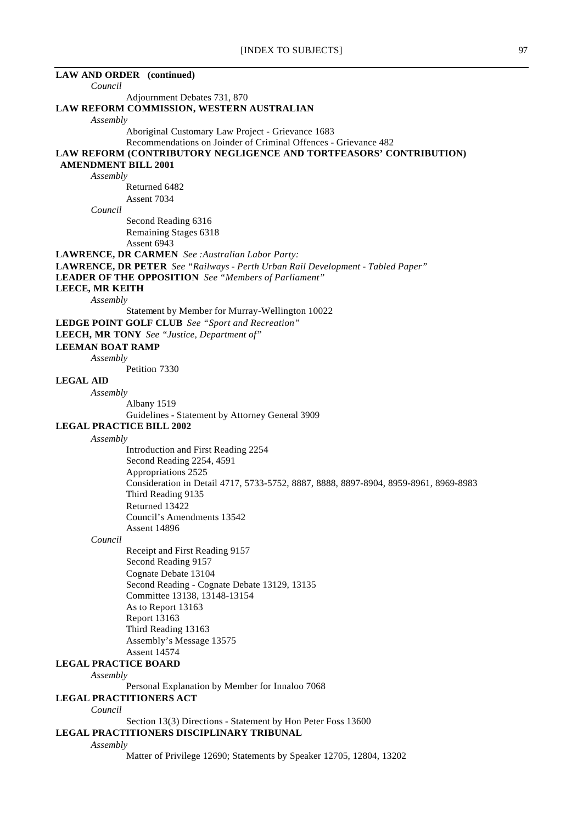| <b>LAW AND ORDER</b> (continued)                                                                                                               |
|------------------------------------------------------------------------------------------------------------------------------------------------|
| Council                                                                                                                                        |
| Adjournment Debates 731, 870                                                                                                                   |
| LAW REFORM COMMISSION, WESTERN AUSTRALIAN<br>Assembly                                                                                          |
| Aboriginal Customary Law Project - Grievance 1683                                                                                              |
| Recommendations on Joinder of Criminal Offences - Grievance 482                                                                                |
| LAW REFORM (CONTRIBUTORY NEGLIGENCE AND TORTFEASORS' CONTRIBUTION)                                                                             |
| <b>AMENDMENT BILL 2001</b>                                                                                                                     |
| Assembly                                                                                                                                       |
| Returned 6482                                                                                                                                  |
| Assent 7034                                                                                                                                    |
| Council                                                                                                                                        |
| Second Reading 6316                                                                                                                            |
| Remaining Stages 6318                                                                                                                          |
| Assent 6943                                                                                                                                    |
| LAWRENCE, DR CARMEN See: Australian Labor Party:                                                                                               |
| LAWRENCE, DR PETER See "Railways - Perth Urban Rail Development - Tabled Paper"<br><b>LEADER OF THE OPPOSITION</b> See "Members of Parliament" |
| LEECE, MR KEITH                                                                                                                                |
| Assembly                                                                                                                                       |
| Statement by Member for Murray-Wellington 10022                                                                                                |
| LEDGE POINT GOLF CLUB See "Sport and Recreation"                                                                                               |
| LEECH, MR TONY See "Justice, Department of"                                                                                                    |
| <b>LEEMAN BOAT RAMP</b>                                                                                                                        |
| Assembly                                                                                                                                       |
| Petition 7330                                                                                                                                  |
| <b>LEGAL AID</b>                                                                                                                               |
| Assembly                                                                                                                                       |
| Albany 1519                                                                                                                                    |
| Guidelines - Statement by Attorney General 3909                                                                                                |
| <b>LEGAL PRACTICE BILL 2002</b>                                                                                                                |
| Assembly                                                                                                                                       |
| Introduction and First Reading 2254                                                                                                            |
| Second Reading 2254, 4591                                                                                                                      |
| Appropriations 2525                                                                                                                            |
| Consideration in Detail 4717, 5733-5752, 8887, 8888, 8897-8904, 8959-8961, 8969-8983                                                           |
| Third Reading 9135                                                                                                                             |
| Returned 13422                                                                                                                                 |
| Council's Amendments 13542                                                                                                                     |
| <b>Assent 14896</b>                                                                                                                            |
| Council                                                                                                                                        |
| Receipt and First Reading 9157                                                                                                                 |
| Second Reading 9157                                                                                                                            |
| Cognate Debate 13104                                                                                                                           |
| Second Reading - Cognate Debate 13129, 13135                                                                                                   |
| Committee 13138, 13148-13154                                                                                                                   |
| As to Report 13163                                                                                                                             |
| Report 13163                                                                                                                                   |
| Third Reading 13163                                                                                                                            |
| Assembly's Message 13575                                                                                                                       |
| <b>Assent 14574</b>                                                                                                                            |
| <b>LEGAL PRACTICE BOARD</b>                                                                                                                    |
| Assembly                                                                                                                                       |
| Personal Explanation by Member for Innaloo 7068                                                                                                |
| <b>LEGAL PRACTITIONERS ACT</b>                                                                                                                 |
| Council                                                                                                                                        |
| Section 13(3) Directions - Statement by Hon Peter Foss 13600                                                                                   |
| LEGAL PRACTITIONERS DISCIPLINARY TRIBUNAL                                                                                                      |
| Assembly                                                                                                                                       |
| Matter of Privilege 12690; Statements by Speaker 12705, 12804, 13202                                                                           |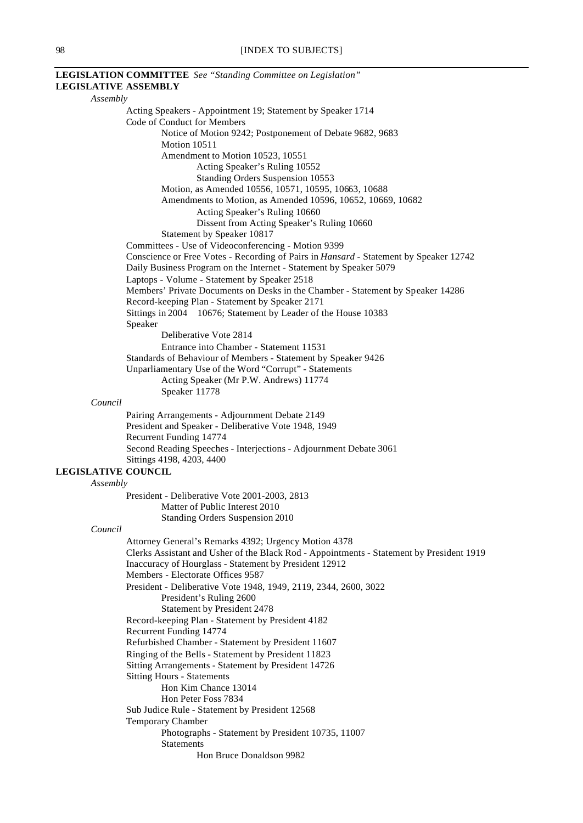|                             | LEGISLATION COMMITTEE See "Standing Committee on Legislation"                                  |
|-----------------------------|------------------------------------------------------------------------------------------------|
| <b>LEGISLATIVE ASSEMBLY</b> |                                                                                                |
| Assembly                    |                                                                                                |
|                             | Acting Speakers - Appointment 19; Statement by Speaker 1714                                    |
|                             | Code of Conduct for Members                                                                    |
|                             | Notice of Motion 9242; Postponement of Debate 9682, 9683                                       |
|                             | Motion 10511                                                                                   |
|                             | Amendment to Motion 10523, 10551                                                               |
|                             | Acting Speaker's Ruling 10552                                                                  |
|                             | Standing Orders Suspension 10553                                                               |
|                             | Motion, as Amended 10556, 10571, 10595, 10663, 10688                                           |
|                             | Amendments to Motion, as Amended 10596, 10652, 10669, 10682                                    |
|                             | Acting Speaker's Ruling 10660                                                                  |
|                             | Dissent from Acting Speaker's Ruling 10660                                                     |
|                             | Statement by Speaker 10817                                                                     |
|                             | Committees - Use of Videoconferencing - Motion 9399                                            |
|                             | Conscience or Free Votes - Recording of Pairs in Hansard - Statement by Speaker 12742          |
|                             | Daily Business Program on the Internet - Statement by Speaker 5079                             |
|                             | Laptops - Volume - Statement by Speaker 2518                                                   |
|                             | Members' Private Documents on Desks in the Chamber - Statement by Speaker 14286                |
|                             | Record-keeping Plan - Statement by Speaker 2171                                                |
|                             | Sittings in 2004 10676; Statement by Leader of the House 10383                                 |
|                             | Speaker                                                                                        |
|                             | Deliberative Vote 2814                                                                         |
|                             | Entrance into Chamber - Statement 11531                                                        |
|                             | Standards of Behaviour of Members - Statement by Speaker 9426                                  |
|                             | Unparliamentary Use of the Word "Corrupt" - Statements                                         |
|                             | Acting Speaker (Mr P.W. Andrews) 11774                                                         |
|                             | Speaker 11778                                                                                  |
| Council                     |                                                                                                |
|                             | Pairing Arrangements - Adjournment Debate 2149                                                 |
|                             | President and Speaker - Deliberative Vote 1948, 1949                                           |
|                             | Recurrent Funding 14774                                                                        |
|                             |                                                                                                |
|                             | Second Reading Speeches - Interjections - Adjournment Debate 3061<br>Sittings 4198, 4203, 4400 |
| <b>LEGISLATIVE COUNCIL</b>  |                                                                                                |
|                             |                                                                                                |
| Assembly                    |                                                                                                |
|                             | President - Deliberative Vote 2001-2003, 2813                                                  |
|                             | Matter of Public Interest 2010                                                                 |
|                             | Standing Orders Suspension 2010                                                                |
| Council                     |                                                                                                |
|                             | Attorney General's Remarks 4392; Urgency Motion 4378                                           |
|                             | Clerks Assistant and Usher of the Black Rod - Appointments - Statement by President 1919       |
|                             | Inaccuracy of Hourglass - Statement by President 12912                                         |
|                             | Members - Electorate Offices 9587                                                              |
|                             | President - Deliberative Vote 1948, 1949, 2119, 2344, 2600, 3022                               |
|                             | President's Ruling 2600                                                                        |
|                             | Statement by President 2478                                                                    |
|                             | Record-keeping Plan - Statement by President 4182                                              |
|                             | Recurrent Funding 14774                                                                        |
|                             | Refurbished Chamber - Statement by President 11607                                             |
|                             | Ringing of the Bells - Statement by President 11823                                            |
|                             | Sitting Arrangements - Statement by President 14726                                            |
|                             | <b>Sitting Hours - Statements</b>                                                              |
|                             | Hon Kim Chance 13014                                                                           |
|                             | Hon Peter Foss 7834                                                                            |
|                             | Sub Judice Rule - Statement by President 12568                                                 |
|                             | Temporary Chamber                                                                              |
|                             | Photographs - Statement by President 10735, 11007                                              |
|                             | <b>Statements</b>                                                                              |
|                             | Hon Bruce Donaldson 9982                                                                       |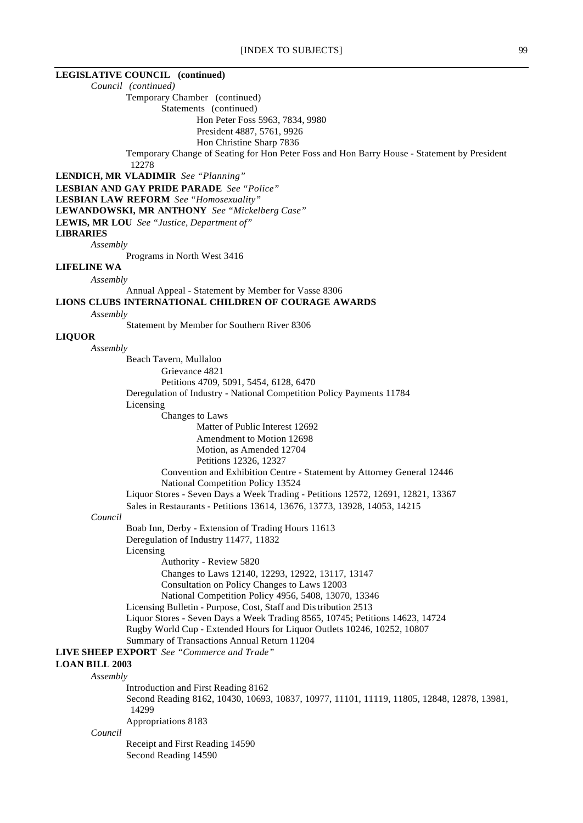# **LEGISLATIVE COUNCIL (continued)**

*Council (continued)*

Temporary Chamber (continued)

Statements (continued)

Hon Peter Foss 5963, 7834, 9980

President 4887, 5761, 9926 Hon Christine Sharp 7836

Temporary Change of Seating for Hon Peter Foss and Hon Barry House - Statement by President 12278

**LENDICH, MR VLADIMIR** *See "Planning"*

**LESBIAN AND GAY PRIDE PARADE** *See "Police"*

**LESBIAN LAW REFORM** *See "Homosexuality"*

**LEWANDOWSKI, MR ANTHONY** *See "Mickelberg Case"*

**LEWIS, MR LOU** *See "Justice, Department of"*

#### **LIBRARIES**

*Assembly*

Programs in North West 3416

# **LIFELINE WA**

*Assembly*

Annual Appeal - Statement by Member for Vasse 8306

#### **LIONS CLUBS INTERNATIONAL CHILDREN OF COURAGE AWARDS**

*Assembly*

Statement by Member for Southern River 8306

#### **LIQUOR**

*Assembly*

Beach Tavern, Mullaloo Grievance 4821 Petitions 4709, 5091, 5454, 6128, 6470 Deregulation of Industry - National Competition Policy Payments 11784 Licensing Changes to Laws Matter of Public Interest 12692 Amendment to Motion 12698 Motion, as Amended 12704 Petitions 12326, 12327 Convention and Exhibition Centre - Statement by Attorney General 12446 National Competition Policy 13524 Liquor Stores - Seven Days a Week Trading - Petitions 12572, 12691, 12821, 13367 Sales in Restaurants - Petitions 13614, 13676, 13773, 13928, 14053, 14215 *Council* Boab Inn, Derby - Extension of Trading Hours 11613 Deregulation of Industry 11477, 11832 Licensing Authority - Review 5820 Changes to Laws 12140, 12293, 12922, 13117, 13147 Consultation on Policy Changes to Laws 12003 National Competition Policy 4956, 5408, 13070, 13346 Licensing Bulletin - Purpose, Cost, Staff and Distribution 2513 Liquor Stores - Seven Days a Week Trading 8565, 10745; Petitions 14623, 14724 Rugby World Cup - Extended Hours for Liquor Outlets 10246, 10252, 10807 Summary of Transactions Annual Return 11204 **LIVE SHEEP EXPORT** *See "Commerce and Trade"* **LOAN BILL 2003** *Assembly* Introduction and First Reading 8162 Second Reading 8162, 10430, 10693, 10837, 10977, 11101, 11119, 11805, 12848, 12878, 13981, 14299 Appropriations 8183 *Council* Receipt and First Reading 14590 Second Reading 14590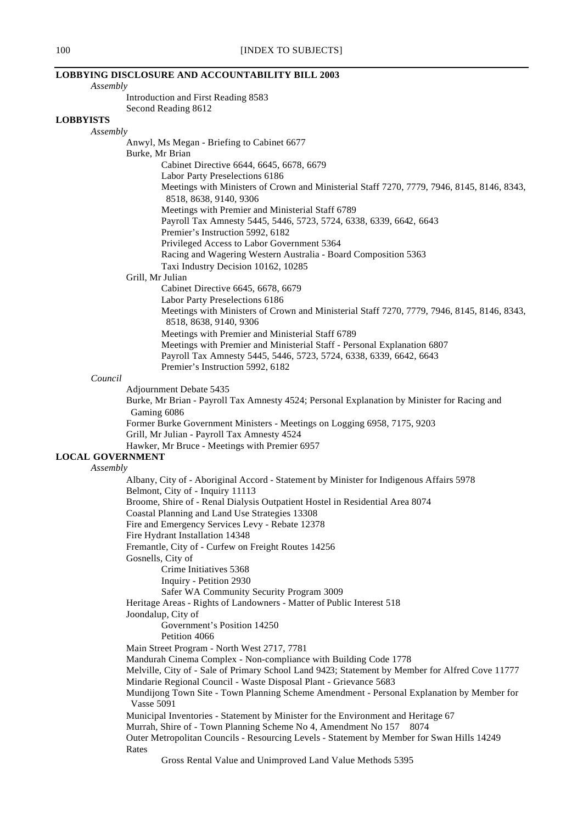# **LOBBYING DISCLOSURE AND ACCOUNTABILITY BILL 2003**

*Assembly*

Introduction and First Reading 8583 Second Reading 8612

#### **LOBBYISTS**

*Assembly*

Anwyl, Ms Megan - Briefing to Cabinet 6677 Burke, Mr Brian Cabinet Directive 6644, 6645, 6678, 6679 Labor Party Preselections 6186 Meetings with Ministers of Crown and Ministerial Staff 7270, 7779, 7946, 8145, 8146, 8343, 8518, 8638, 9140, 9306 Meetings with Premier and Ministerial Staff 6789 Payroll Tax Amnesty 5445, 5446, 5723, 5724, 6338, 6339, 6642, 6643 Premier's Instruction 5992, 6182 Privileged Access to Labor Government 5364 Racing and Wagering Western Australia - Board Composition 5363 Taxi Industry Decision 10162, 10285 Grill, Mr Julian Cabinet Directive 6645, 6678, 6679 Labor Party Preselections 6186

Meetings with Ministers of Crown and Ministerial Staff 7270, 7779, 7946, 8145, 8146, 8343, 8518, 8638, 9140, 9306 Meetings with Premier and Ministerial Staff 6789

Meetings with Premier and Ministerial Staff - Personal Explanation 6807 Payroll Tax Amnesty 5445, 5446, 5723, 5724, 6338, 6339, 6642, 6643

Premier's Instruction 5992, 6182

#### *Council*

Adjournment Debate 5435

Burke, Mr Brian - Payroll Tax Amnesty 4524; Personal Explanation by Minister for Racing and Gaming 6086 Former Burke Government Ministers - Meetings on Logging 6958, 7175, 9203 Grill, Mr Julian - Payroll Tax Amnesty 4524

Hawker, Mr Bruce - Meetings with Premier 6957

# **LOCAL GOVERNMENT**

# *Assembly*

Albany, City of - Aboriginal Accord - Statement by Minister for Indigenous Affairs 5978 Belmont, City of - Inquiry 11113 Broome, Shire of - Renal Dialysis Outpatient Hostel in Residential Area 8074 Coastal Planning and Land Use Strategies 13308 Fire and Emergency Services Levy - Rebate 12378 Fire Hydrant Installation 14348 Fremantle, City of - Curfew on Freight Routes 14256 Gosnells, City of Crime Initiatives 5368 Inquiry - Petition 2930 Safer WA Community Security Program 3009 Heritage Areas - Rights of Landowners - Matter of Public Interest 518 Joondalup, City of Government's Position 14250 Petition 4066 Main Street Program - North West 2717, 7781 Mandurah Cinema Complex - Non-compliance with Building Code 1778 Melville, City of - Sale of Primary School Land 9423; Statement by Member for Alfred Cove 11777 Mindarie Regional Council - Waste Disposal Plant - Grievance 5683 Mundijong Town Site - Town Planning Scheme Amendment - Personal Explanation by Member for Vasse 5091 Municipal Inventories - Statement by Minister for the Environment and Heritage 67 Murrah, Shire of - Town Planning Scheme No 4, Amendment No 157 8074 Outer Metropolitan Councils - Resourcing Levels - Statement by Member for Swan Hills 14249

Rates

Gross Rental Value and Unimproved Land Value Methods 5395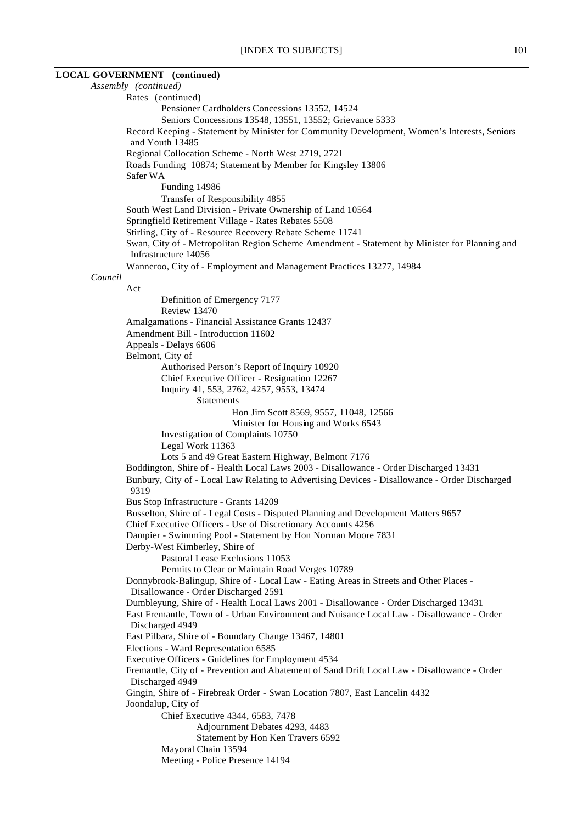#### **LOCAL GOVERNMENT (continued)**

*Assembly (continued)* Rates (continued) Pensioner Cardholders Concessions 13552, 14524 Seniors Concessions 13548, 13551, 13552; Grievance 5333 Record Keeping - Statement by Minister for Community Development, Women's Interests, Seniors and Youth 13485 Regional Collocation Scheme - North West 2719, 2721 Roads Funding 10874; Statement by Member for Kingsley 13806 Safer WA Funding 14986 Transfer of Responsibility 4855 South West Land Division - Private Ownership of Land 10564 Springfield Retirement Village - Rates Rebates 5508 Stirling, City of - Resource Recovery Rebate Scheme 11741 Swan, City of - Metropolitan Region Scheme Amendment - Statement by Minister for Planning and Infrastructure 14056 Wanneroo, City of - Employment and Management Practices 13277, 14984 *Council* Act Definition of Emergency 7177 Review 13470 Amalgamations - Financial Assistance Grants 12437 Amendment Bill - Introduction 11602 Appeals - Delays 6606 Belmont, City of Authorised Person's Report of Inquiry 10920 Chief Executive Officer - Resignation 12267 Inquiry 41, 553, 2762, 4257, 9553, 13474 Statements Hon Jim Scott 8569, 9557, 11048, 12566 Minister for Housing and Works 6543 Investigation of Complaints 10750 Legal Work 11363 Lots 5 and 49 Great Eastern Highway, Belmont 7176 Boddington, Shire of - Health Local Laws 2003 - Disallowance - Order Discharged 13431 Bunbury, City of - Local Law Relating to Advertising Devices - Disallowance - Order Discharged 9319 Bus Stop Infrastructure - Grants 14209 Busselton, Shire of - Legal Costs - Disputed Planning and Development Matters 9657 Chief Executive Officers - Use of Discretionary Accounts 4256 Dampier - Swimming Pool - Statement by Hon Norman Moore 7831 Derby-West Kimberley, Shire of Pastoral Lease Exclusions 11053 Permits to Clear or Maintain Road Verges 10789 Donnybrook-Balingup, Shire of - Local Law - Eating Areas in Streets and Other Places - Disallowance - Order Discharged 2591 Dumbleyung, Shire of - Health Local Laws 2001 - Disallowance - Order Discharged 13431 East Fremantle, Town of - Urban Environment and Nuisance Local Law - Disallowance - Order Discharged 4949 East Pilbara, Shire of - Boundary Change 13467, 14801 Elections - Ward Representation 6585 Executive Officers - Guidelines for Employment 4534 Fremantle, City of - Prevention and Abatement of Sand Drift Local Law - Disallowance - Order Discharged 4949 Gingin, Shire of - Firebreak Order - Swan Location 7807, East Lancelin 4432 Joondalup, City of Chief Executive 4344, 6583, 7478 Adjournment Debates 4293, 4483 Statement by Hon Ken Travers 6592 Mayoral Chain 13594 Meeting - Police Presence 14194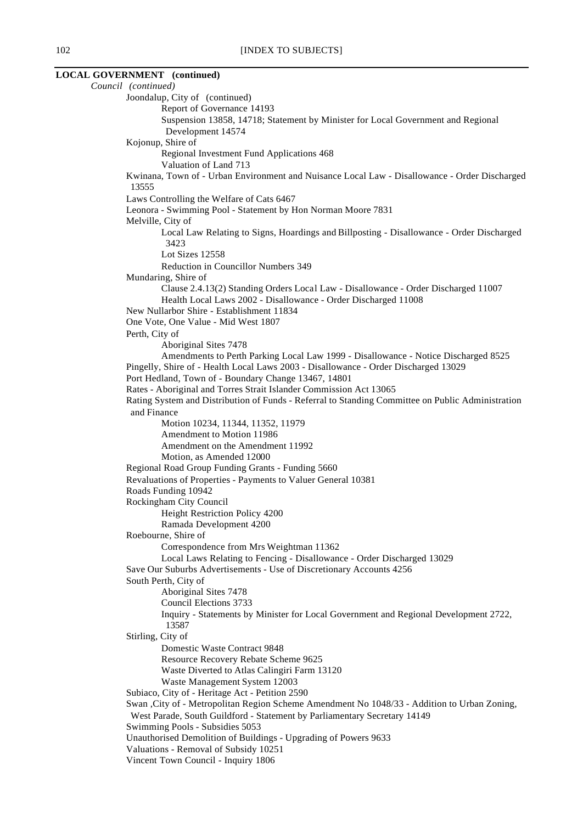| <b>LOCAL GOVERNMENT</b> (continued)                                                                                                                  |
|------------------------------------------------------------------------------------------------------------------------------------------------------|
| Council (continued)                                                                                                                                  |
| Joondalup, City of (continued)                                                                                                                       |
| Report of Governance 14193                                                                                                                           |
| Suspension 13858, 14718; Statement by Minister for Local Government and Regional                                                                     |
| Development 14574                                                                                                                                    |
| Kojonup, Shire of                                                                                                                                    |
| Regional Investment Fund Applications 468                                                                                                            |
| Valuation of Land 713                                                                                                                                |
| Kwinana, Town of - Urban Environment and Nuisance Local Law - Disallowance - Order Discharged<br>13555                                               |
| Laws Controlling the Welfare of Cats 6467                                                                                                            |
| Leonora - Swimming Pool - Statement by Hon Norman Moore 7831<br>Melville, City of                                                                    |
| Local Law Relating to Signs, Hoardings and Billposting - Disallowance - Order Discharged<br>3423                                                     |
| Lot Sizes 12558                                                                                                                                      |
| Reduction in Councillor Numbers 349                                                                                                                  |
| Mundaring, Shire of                                                                                                                                  |
| Clause 2.4.13(2) Standing Orders Local Law - Disallowance - Order Discharged 11007<br>Health Local Laws 2002 - Disallowance - Order Discharged 11008 |
| New Nullarbor Shire - Establishment 11834                                                                                                            |
| One Vote, One Value - Mid West 1807                                                                                                                  |
| Perth, City of                                                                                                                                       |
| Aboriginal Sites 7478                                                                                                                                |
| Amendments to Perth Parking Local Law 1999 - Disallowance - Notice Discharged 8525                                                                   |
| Pingelly, Shire of - Health Local Laws 2003 - Disallowance - Order Discharged 13029                                                                  |
| Port Hedland, Town of - Boundary Change 13467, 14801                                                                                                 |
| Rates - Aboriginal and Torres Strait Islander Commission Act 13065                                                                                   |
| Rating System and Distribution of Funds - Referral to Standing Committee on Public Administration<br>and Finance                                     |
| Motion 10234, 11344, 11352, 11979                                                                                                                    |
| Amendment to Motion 11986                                                                                                                            |
| Amendment on the Amendment 11992                                                                                                                     |
| Motion, as Amended 12000                                                                                                                             |
| Regional Road Group Funding Grants - Funding 5660                                                                                                    |
| Revaluations of Properties - Payments to Valuer General 10381                                                                                        |
| Roads Funding 10942                                                                                                                                  |
| Rockingham City Council                                                                                                                              |
| Height Restriction Policy 4200                                                                                                                       |
| Ramada Development 4200                                                                                                                              |
| Roebourne, Shire of                                                                                                                                  |
| Correspondence from Mrs Weightman 11362                                                                                                              |
| Local Laws Relating to Fencing - Disallowance - Order Discharged 13029                                                                               |
| Save Our Suburbs Advertisements - Use of Discretionary Accounts 4256                                                                                 |
| South Perth, City of                                                                                                                                 |
| Aboriginal Sites 7478                                                                                                                                |
| Council Elections 3733                                                                                                                               |
| Inquiry - Statements by Minister for Local Government and Regional Development 2722,<br>13587                                                        |
| Stirling, City of                                                                                                                                    |
| Domestic Waste Contract 9848                                                                                                                         |
| Resource Recovery Rebate Scheme 9625                                                                                                                 |
| Waste Diverted to Atlas Calingiri Farm 13120                                                                                                         |
| Waste Management System 12003                                                                                                                        |
| Subiaco, City of - Heritage Act - Petition 2590                                                                                                      |
| Swan , City of - Metropolitan Region Scheme Amendment No 1048/33 - Addition to Urban Zoning,                                                         |
| West Parade, South Guildford - Statement by Parliamentary Secretary 14149                                                                            |
| Swimming Pools - Subsidies 5053                                                                                                                      |
| Unauthorised Demolition of Buildings - Upgrading of Powers 9633                                                                                      |
| Valuations - Removal of Subsidy 10251                                                                                                                |
| Vincent Town Council - Inquiry 1806                                                                                                                  |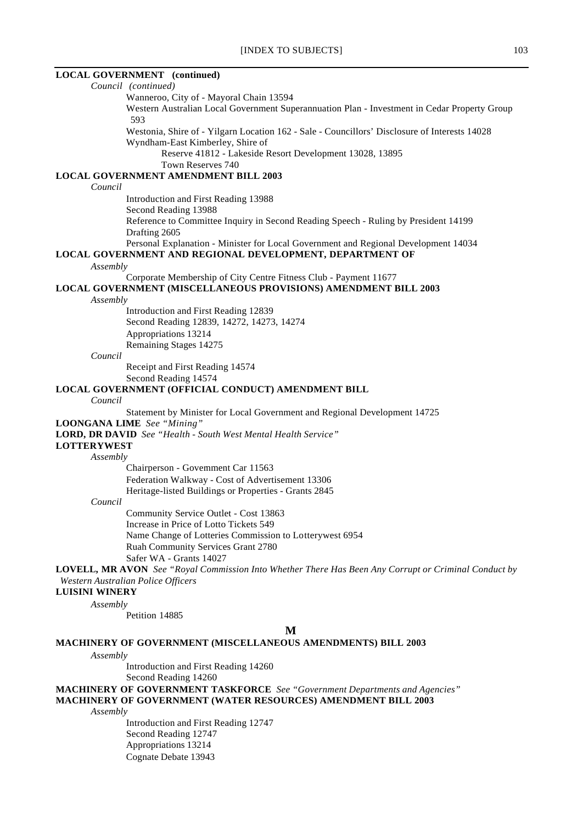#### **LOCAL GOVERNMENT (continued)**

*Council (continued)* Wanneroo, City of - Mayoral Chain 13594 Western Australian Local Government Superannuation Plan - Investment in Cedar Property Group 593 Westonia, Shire of - Yilgarn Location 162 - Sale - Councillors' Disclosure of Interests 14028 Wyndham-East Kimberley, Shire of Reserve 41812 - Lakeside Resort Development 13028, 13895 Town Reserves 740 **LOCAL GOVERNMENT AMENDMENT BILL 2003** *Council* Introduction and First Reading 13988 Second Reading 13988 Reference to Committee Inquiry in Second Reading Speech - Ruling by President 14199 Drafting 2605 Personal Explanation - Minister for Local Government and Regional Development 14034 **LOCAL GOVERNMENT AND REGIONAL DEVELOPMENT, DEPARTMENT OF** *Assembly* Corporate Membership of City Centre Fitness Club - Payment 11677 **LOCAL GOVERNMENT (MISCELLANEOUS PROVISIONS) AMENDMENT BILL 2003** *Assembly* Introduction and First Reading 12839 Second Reading 12839, 14272, 14273, 14274 Appropriations 13214 Remaining Stages 14275 *Council* Receipt and First Reading 14574 Second Reading 14574 **LOCAL GOVERNMENT (OFFICIAL CONDUCT) AMENDMENT BILL** *Council* Statement by Minister for Local Government and Regional Development 14725 **LOONGANA LIME** *See "Mining"* **LORD, DR DAVID** *See "Health - South West Mental Health Service"* **LOTTERYWEST** *Assembly* Chairperson - Government Car 11563 Federation Walkway - Cost of Advertisement 13306 Heritage-listed Buildings or Properties - Grants 2845 *Council* Community Service Outlet - Cost 13863 Increase in Price of Lotto Tickets 549 Name Change of Lotteries Commission to Lotterywest 6954 Ruah Community Services Grant 2780 Safer WA - Grants 14027 **LOVELL, MR AVON** *See "Royal Commission Into Whether There Has Been Any Corrupt or Criminal Conduct by Western Australian Police Officers* **LUISINI WINERY** *Assembly* Petition 14885 **M MACHINERY OF GOVERNMENT (MISCELLANEOUS AMENDMENTS) BILL 2003** *Assembly*

> Introduction and First Reading 14260 Second Reading 14260

**MACHINERY OF GOVERNMENT TASKFORCE** *See "Government Departments and Agencies"* **MACHINERY OF GOVERNMENT (WATER RESOURCES) AMENDMENT BILL 2003**

*Assembly*

Introduction and First Reading 12747 Second Reading 12747 Appropriations 13214 Cognate Debate 13943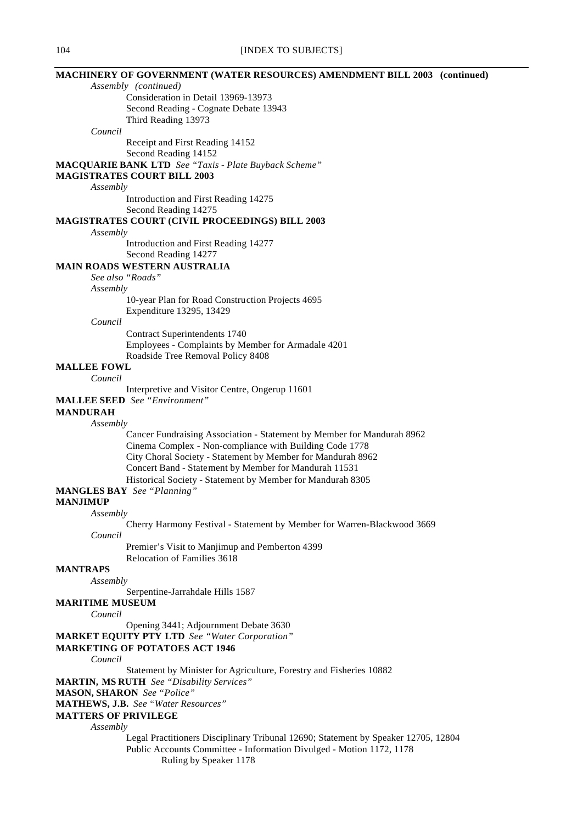# **MACHINERY OF GOVERNMENT (WATER RESOURCES) AMENDMENT BILL 2003 (continued)**

*Assembly (continued)* Consideration in Detail 13969-13973

Second Reading - Cognate Debate 13943

Third Reading 13973

*Council*

Receipt and First Reading 14152

Second Reading 14152

**MACQUARIE BANK LTD** *See "Taxis - Plate Buyback Scheme"*

# **MAGISTRATES COURT BILL 2003**

*Assembly*

Introduction and First Reading 14275

Second Reading 14275

# **MAGISTRATES COURT (CIVIL PROCEEDINGS) BILL 2003**

*Assembly*

Introduction and First Reading 14277 Second Reading 14277

### **MAIN ROADS WESTERN AUSTRALIA**

*See also "Roads"*

*Assembly*

10-year Plan for Road Construction Projects 4695 Expenditure 13295, 13429

*Council*

Contract Superintendents 1740 Employees - Complaints by Member for Armadale 4201 Roadside Tree Removal Policy 8408

# **MALLEE FOWL**

*Council*

Interpretive and Visitor Centre, Ongerup 11601

**MALLEE SEED** *See "Environment"*

# **MANDURAH**

*Assembly*

Cancer Fundraising Association - Statement by Member for Mandurah 8962 Cinema Complex - Non-compliance with Building Code 1778 City Choral Society - Statement by Member for Mandurah 8962 Concert Band - Statement by Member for Mandurah 11531 Historical Society - Statement by Member for Mandurah 8305

#### **MANGLES BAY** *See "Planning"*

**MANJIMUP**

*Assembly*

Cherry Harmony Festival - Statement by Member for Warren-Blackwood 3669 *Council*

Premier's Visit to Manjimup and Pemberton 4399 Relocation of Families 3618

# **MANTRAPS**

*Assembly*

Serpentine-Jarrahdale Hills 1587

**MARITIME MUSEUM**

#### *Council*

Opening 3441; Adjournment Debate 3630

**MARKET EQUITY PTY LTD** *See "Water Corporation"*

#### **MARKETING OF POTATOES ACT 1946**

*Council*

Statement by Minister for Agriculture, Forestry and Fisheries 10882

**MARTIN, MS RUTH** *See "Disability Services"*

#### **MASON, SHARON** *See "Police"*

#### **MATHEWS, J.B.** *See "Water Resources"*

**MATTERS OF PRIVILEGE**

*Assembly*

Legal Practitioners Disciplinary Tribunal 12690; Statement by Speaker 12705, 12804 Public Accounts Committee - Information Divulged - Motion 1172, 1178 Ruling by Speaker 1178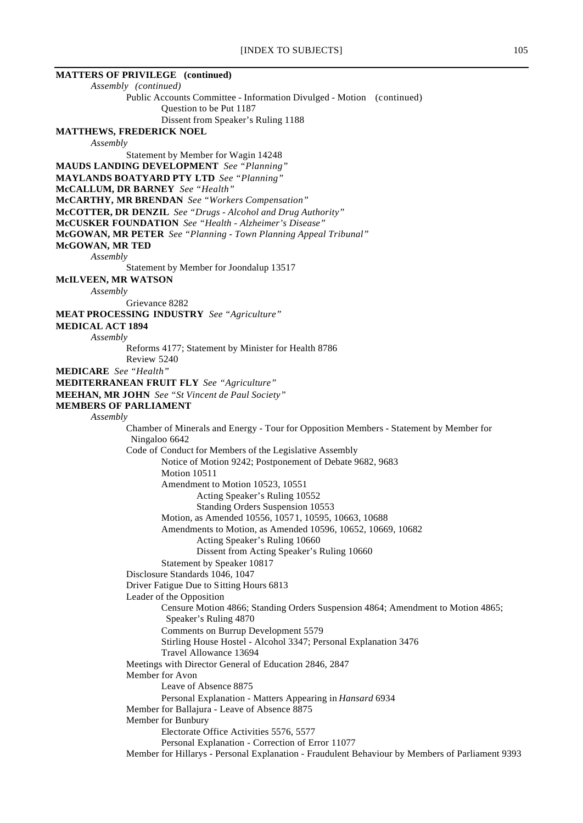| <b>MATTERS OF PRIVILEGE</b> (continued)                                                                  |
|----------------------------------------------------------------------------------------------------------|
| Assembly (continued)                                                                                     |
| Public Accounts Committee - Information Divulged - Motion (continued)                                    |
| Question to be Put 1187<br>Dissent from Speaker's Ruling 1188                                            |
| <b>MATTHEWS, FREDERICK NOEL</b>                                                                          |
| Assembly                                                                                                 |
| Statement by Member for Wagin 14248                                                                      |
| <b>MAUDS LANDING DEVELOPMENT</b> See "Planning"                                                          |
| <b>MAYLANDS BOATYARD PTY LTD</b> See "Planning"                                                          |
| McCALLUM, DR BARNEY See "Health"                                                                         |
| <b>McCARTHY, MR BRENDAN</b> See "Workers Compensation"                                                   |
| McCOTTER, DR DENZIL See "Drugs - Alcohol and Drug Authority"                                             |
| McCUSKER FOUNDATION See "Health - Alzheimer's Disease"                                                   |
| <b>McGOWAN, MR PETER</b> See "Planning - Town Planning Appeal Tribunal"<br>McGOWAN, MR TED               |
| Assembly                                                                                                 |
| Statement by Member for Joondalup 13517                                                                  |
| McILVEEN, MR WATSON                                                                                      |
| Assembly                                                                                                 |
| Grievance 8282                                                                                           |
| <b>MEAT PROCESSING INDUSTRY</b> See "Agriculture"                                                        |
| <b>MEDICAL ACT 1894</b>                                                                                  |
| Assembly<br>Reforms 4177; Statement by Minister for Health 8786                                          |
| Review 5240                                                                                              |
| <b>MEDICARE</b> See "Health"                                                                             |
| <b>MEDITERRANEAN FRUIT FLY</b> See "Agriculture"                                                         |
| <b>MEEHAN, MR JOHN</b> See "St Vincent de Paul Society"                                                  |
| <b>MEMBERS OF PARLIAMENT</b>                                                                             |
| Assembly                                                                                                 |
| Chamber of Minerals and Energy - Tour for Opposition Members - Statement by Member for                   |
| Ningaloo 6642<br>Code of Conduct for Members of the Legislative Assembly                                 |
| Notice of Motion 9242; Postponement of Debate 9682, 9683                                                 |
| Motion 10511                                                                                             |
| Amendment to Motion 10523, 10551                                                                         |
| Acting Speaker's Ruling 10552                                                                            |
| <b>Standing Orders Suspension 10553</b>                                                                  |
| Motion, as Amended 10556, 10571, 10595, 10663, 10688                                                     |
| Amendments to Motion, as Amended 10596, 10652, 10669, 10682<br>Acting Speaker's Ruling 10660             |
| Dissent from Acting Speaker's Ruling 10660                                                               |
| Statement by Speaker 10817                                                                               |
| Disclosure Standards 1046, 1047                                                                          |
| Driver Fatigue Due to Sitting Hours 6813                                                                 |
| Leader of the Opposition                                                                                 |
| Censure Motion 4866; Standing Orders Suspension 4864; Amendment to Motion 4865;<br>Speaker's Ruling 4870 |
| Comments on Burrup Development 5579                                                                      |
| Stirling House Hostel - Alcohol 3347; Personal Explanation 3476<br>Travel Allowance 13694                |
| Meetings with Director General of Education 2846, 2847                                                   |
| Member for Avon                                                                                          |
| Leave of Absence 8875                                                                                    |
| Personal Explanation - Matters Appearing in Hansard 6934                                                 |
| Member for Ballajura - Leave of Absence 8875                                                             |
| Member for Bunbury                                                                                       |
| Electorate Office Activities 5576, 5577<br>Personal Explanation - Correction of Error 11077              |
| Member for Hillarys - Personal Explanation - Fraudulent Behaviour by Members of Parliament 9393          |
|                                                                                                          |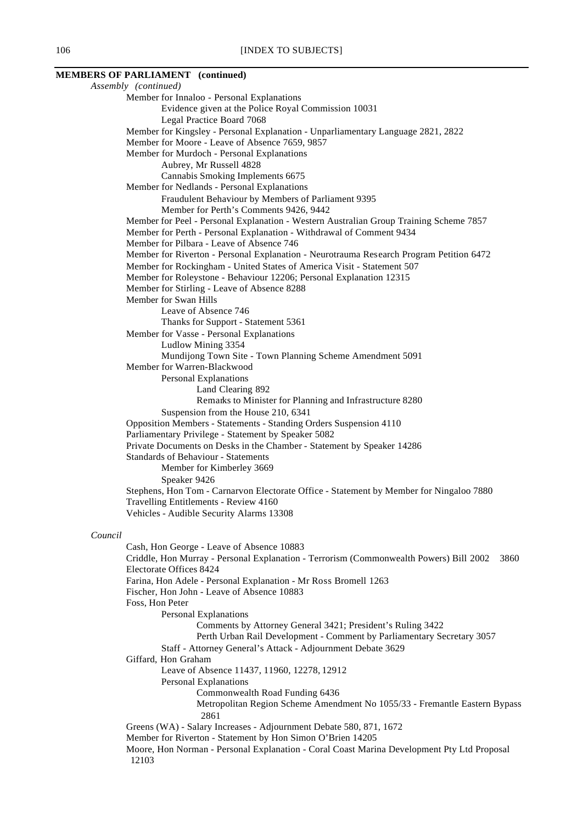# **MEMBERS OF PARLIAMENT (continued)**

*Assembly (continued)* Member for Innaloo - Personal Explanations Evidence given at the Police Royal Commission 10031 Legal Practice Board 7068 Member for Kingsley - Personal Explanation - Unparliamentary Language 2821, 2822 Member for Moore - Leave of Absence 7659, 9857 Member for Murdoch - Personal Explanations Aubrey, Mr Russell 4828 Cannabis Smoking Implements 6675 Member for Nedlands - Personal Explanations Fraudulent Behaviour by Members of Parliament 9395 Member for Perth's Comments 9426, 9442 Member for Peel - Personal Explanation - Western Australian Group Training Scheme 7857 Member for Perth - Personal Explanation - Withdrawal of Comment 9434 Member for Pilbara - Leave of Absence 746 Member for Riverton - Personal Explanation - Neurotrauma Research Program Petition 6472 Member for Rockingham - United States of America Visit - Statement 507 Member for Roleystone - Behaviour 12206; Personal Explanation 12315 Member for Stirling - Leave of Absence 8288 Member for Swan Hills Leave of Absence 746 Thanks for Support - Statement 5361 Member for Vasse - Personal Explanations Ludlow Mining 3354 Mundijong Town Site - Town Planning Scheme Amendment 5091 Member for Warren-Blackwood Personal Explanations Land Clearing 892 Remarks to Minister for Planning and Infrastructure 8280 Suspension from the House 210, 6341 Opposition Members - Statements - Standing Orders Suspension 4110 Parliamentary Privilege - Statement by Speaker 5082 Private Documents on Desks in the Chamber - Statement by Speaker 14286 Standards of Behaviour - Statements Member for Kimberley 3669 Speaker 9426 Stephens, Hon Tom - Carnarvon Electorate Office - Statement by Member for Ningaloo 7880 Travelling Entitlements - Review 4160 Vehicles - Audible Security Alarms 13308 *Council* Cash, Hon George - Leave of Absence 10883 Criddle, Hon Murray - Personal Explanation - Terrorism (Commonwealth Powers) Bill 2002 3860 Electorate Offices 8424 Farina, Hon Adele - Personal Explanation - Mr Ross Bromell 1263 Fischer, Hon John - Leave of Absence 10883 Foss, Hon Peter Personal Explanations Comments by Attorney General 3421; President's Ruling 3422 Perth Urban Rail Development - Comment by Parliamentary Secretary 3057 Staff - Attorney General's Attack - Adjournment Debate 3629 Giffard, Hon Graham Leave of Absence 11437, 11960, 12278, 12912 Personal Explanations Commonwealth Road Funding 6436 Metropolitan Region Scheme Amendment No 1055/33 - Fremantle Eastern Bypass 2861 Greens (WA) - Salary Increases - Adjournment Debate 580, 871, 1672 Member for Riverton - Statement by Hon Simon O'Brien 14205 Moore, Hon Norman - Personal Explanation - Coral Coast Marina Development Pty Ltd Proposal 12103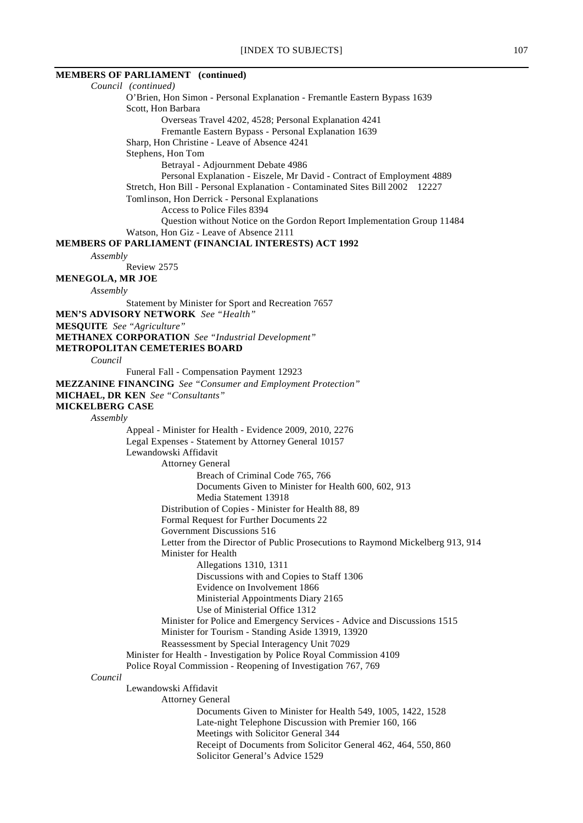# **MEMBERS OF PARLIAMENT (continued)**

*Council (continued)* O'Brien, Hon Simon - Personal Explanation - Fremantle Eastern Bypass 1639 Scott, Hon Barbara Overseas Travel 4202, 4528; Personal Explanation 4241 Fremantle Eastern Bypass - Personal Explanation 1639 Sharp, Hon Christine - Leave of Absence 4241 Stephens, Hon Tom Betrayal - Adjournment Debate 4986 Personal Explanation - Eiszele, Mr David - Contract of Employment 4889 Stretch, Hon Bill - Personal Explanation - Contaminated Sites Bill 2002 12227 Tomlinson, Hon Derrick - Personal Explanations Access to Police Files 8394 Question without Notice on the Gordon Report Implementation Group 11484 Watson, Hon Giz - Leave of Absence 2111 **MEMBERS OF PARLIAMENT (FINANCIAL INTERESTS) ACT 1992** *Assembly* Review 2575 **MENEGOLA, MR JOE** *Assembly* Statement by Minister for Sport and Recreation 7657 **MEN'S ADVISORY NETWORK** *See "Health"* **MESQUITE** *See "Agriculture"* **METHANEX CORPORATION** *See "Industrial Development"* **METROPOLITAN CEMETERIES BOARD** *Council* Funeral Fall - Compensation Payment 12923 **MEZZANINE FINANCING** *See "Consumer and Employment Protection"* **MICHAEL, DR KEN** *See "Consultants"* **MICKELBERG CASE** *Assembly* Appeal - Minister for Health - Evidence 2009, 2010, 2276 Legal Expenses - Statement by Attorney General 10157 Lewandowski Affidavit Attorney General Breach of Criminal Code 765, 766 Documents Given to Minister for Health 600, 602, 913 Media Statement 13918 Distribution of Copies - Minister for Health 88, 89 Formal Request for Further Documents 22 Government Discussions 516 Letter from the Director of Public Prosecutions to Raymond Mickelberg 913, 914 Minister for Health Allegations 1310, 1311 Discussions with and Copies to Staff 1306 Evidence on Involvement 1866 Ministerial Appointments Diary 2165 Use of Ministerial Office 1312 Minister for Police and Emergency Services - Advice and Discussions 1515 Minister for Tourism - Standing Aside 13919, 13920 Reassessment by Special Interagency Unit 7029 Minister for Health - Investigation by Police Royal Commission 4109 Police Royal Commission - Reopening of Investigation 767, 769 *Council* Lewandowski Affidavit Attorney General Documents Given to Minister for Health 549, 1005, 1422, 1528 Late-night Telephone Discussion with Premier 160, 166 Meetings with Solicitor General 344 Receipt of Documents from Solicitor General 462, 464, 550, 860 Solicitor General's Advice 1529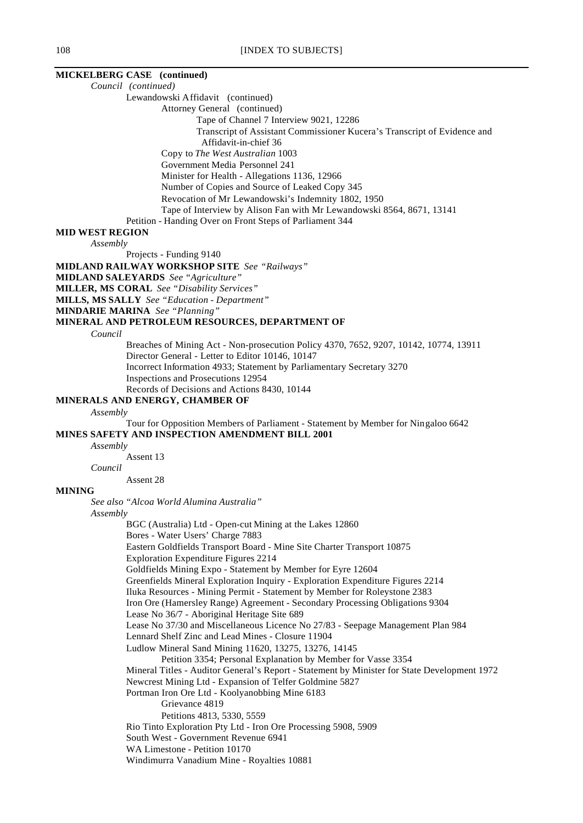# **MICKELBERG CASE (continued)**

*Council (continued)*

Lewandowski Affidavit (continued)

Attorney General (continued)

Tape of Channel 7 Interview 9021, 12286

Transcript of Assistant Commissioner Kucera's Transcript of Evidence and

Affidavit-in-chief 36

Copy to *The West Australian* 1003

Government Media Personnel 241

Minister for Health - Allegations 1136, 12966

Number of Copies and Source of Leaked Copy 345

Revocation of Mr Lewandowski's Indemnity 1802, 1950

Tape of Interview by Alison Fan with Mr Lewandowski 8564, 8671, 13141

Petition - Handing Over on Front Steps of Parliament 344

#### **MID WEST REGION**

*Assembly*

Projects - Funding 9140

**MIDLAND RAILWAY WORKSHOP SITE** *See "Railways"*

**MIDLAND SALEYARDS** *See "Agriculture"*

**MILLER, MS CORAL** *See "Disability Services"*

**MILLS, MS SALLY** *See "Education - Department"*

**MINDARIE MARINA** *See "Planning"*

#### **MINERAL AND PETROLEUM RESOURCES, DEPARTMENT OF**

*Council*

Breaches of Mining Act - Non-prosecution Policy 4370, 7652, 9207, 10142, 10774, 13911 Director General - Letter to Editor 10146, 10147 Incorrect Information 4933; Statement by Parliamentary Secretary 3270 Inspections and Prosecutions 12954 Records of Decisions and Actions 8430, 10144

# **MINERALS AND ENERGY, CHAMBER OF**

*Assembly*

Tour for Opposition Members of Parliament - Statement by Member for Ningaloo 6642 **MINES SAFETY AND INSPECTION AMENDMENT BILL 2001**

*Assembly*

Assent 13

*Council*

Assent 28

#### **MINING**

*See also "Alcoa World Alumina Australia"*

#### *Assembly*

BGC (Australia) Ltd - Open-cut Mining at the Lakes 12860 Bores - Water Users' Charge 7883 Eastern Goldfields Transport Board - Mine Site Charter Transport 10875 Exploration Expenditure Figures 2214 Goldfields Mining Expo - Statement by Member for Eyre 12604 Greenfields Mineral Exploration Inquiry - Exploration Expenditure Figures 2214 Iluka Resources - Mining Permit - Statement by Member for Roleystone 2383 Iron Ore (Hamersley Range) Agreement - Secondary Processing Obligations 9304 Lease No 36/7 - Aboriginal Heritage Site 689 Lease No 37/30 and Miscellaneous Licence No 27/83 - Seepage Management Plan 984 Lennard Shelf Zinc and Lead Mines - Closure 11904 Ludlow Mineral Sand Mining 11620, 13275, 13276, 14145 Petition 3354; Personal Explanation by Member for Vasse 3354 Mineral Titles - Auditor General's Report - Statement by Minister for State Development 1972 Newcrest Mining Ltd - Expansion of Telfer Goldmine 5827 Portman Iron Ore Ltd - Koolyanobbing Mine 6183 Grievance 4819 Petitions 4813, 5330, 5559 Rio Tinto Exploration Pty Ltd - Iron Ore Processing 5908, 5909 South West - Government Revenue 6941 WA Limestone - Petition 10170 Windimurra Vanadium Mine - Royalties 10881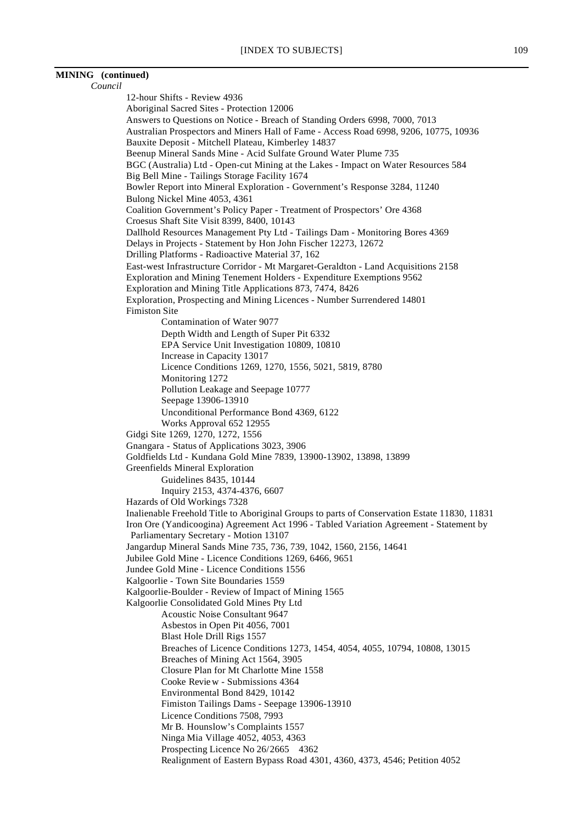# **MINING (continued)**

*Council* 12-hour Shifts - Review 4936 Aboriginal Sacred Sites - Protection 12006 Answers to Questions on Notice - Breach of Standing Orders 6998, 7000, 7013 Australian Prospectors and Miners Hall of Fame - Access Road 6998, 9206, 10775, 10936 Bauxite Deposit - Mitchell Plateau, Kimberley 14837 Beenup Mineral Sands Mine - Acid Sulfate Ground Water Plume 735 BGC (Australia) Ltd - Open-cut Mining at the Lakes - Impact on Water Resources 584 Big Bell Mine - Tailings Storage Facility 1674 Bowler Report into Mineral Exploration - Government's Response 3284, 11240 Bulong Nickel Mine 4053, 4361 Coalition Government's Policy Paper - Treatment of Prospectors' Ore 4368 Croesus Shaft Site Visit 8399, 8400, 10143 Dallhold Resources Management Pty Ltd - Tailings Dam - Monitoring Bores 4369 Delays in Projects - Statement by Hon John Fischer 12273, 12672 Drilling Platforms - Radioactive Material 37, 162 East-west Infrastructure Corridor - Mt Margaret-Geraldton - Land Acquisitions 2158 Exploration and Mining Tenement Holders - Expenditure Exemptions 9562 Exploration and Mining Title Applications 873, 7474, 8426 Exploration, Prospecting and Mining Licences - Number Surrendered 14801 Fimiston Site Contamination of Water 9077 Depth Width and Length of Super Pit 6332 EPA Service Unit Investigation 10809, 10810 Increase in Capacity 13017 Licence Conditions 1269, 1270, 1556, 5021, 5819, 8780 Monitoring 1272 Pollution Leakage and Seepage 10777 Seepage 13906-13910 Unconditional Performance Bond 4369, 6122 Works Approval 652 12955 Gidgi Site 1269, 1270, 1272, 1556 Gnangara - Status of Applications 3023, 3906 Goldfields Ltd - Kundana Gold Mine 7839, 13900-13902, 13898, 13899 Greenfields Mineral Exploration Guidelines 8435, 10144 Inquiry 2153, 4374-4376, 6607 Hazards of Old Workings 7328 Inalienable Freehold Title to Aboriginal Groups to parts of Conservation Estate 11830, 11831 Iron Ore (Yandicoogina) Agreement Act 1996 - Tabled Variation Agreement - Statement by Parliamentary Secretary - Motion 13107 Jangardup Mineral Sands Mine 735, 736, 739, 1042, 1560, 2156, 14641 Jubilee Gold Mine - Licence Conditions 1269, 6466, 9651 Jundee Gold Mine - Licence Conditions 1556 Kalgoorlie - Town Site Boundaries 1559 Kalgoorlie-Boulder - Review of Impact of Mining 1565 Kalgoorlie Consolidated Gold Mines Pty Ltd Acoustic Noise Consultant 9647 Asbestos in Open Pit 4056, 7001 Blast Hole Drill Rigs 1557 Breaches of Licence Conditions 1273, 1454, 4054, 4055, 10794, 10808, 13015 Breaches of Mining Act 1564, 3905 Closure Plan for Mt Charlotte Mine 1558 Cooke Review - Submissions 4364 Environmental Bond 8429, 10142 Fimiston Tailings Dams - Seepage 13906-13910 Licence Conditions 7508, 7993 Mr B. Hounslow's Complaints 1557 Ninga Mia Village 4052, 4053, 4363 Prospecting Licence No 26/2665 4362 Realignment of Eastern Bypass Road 4301, 4360, 4373, 4546; Petition 4052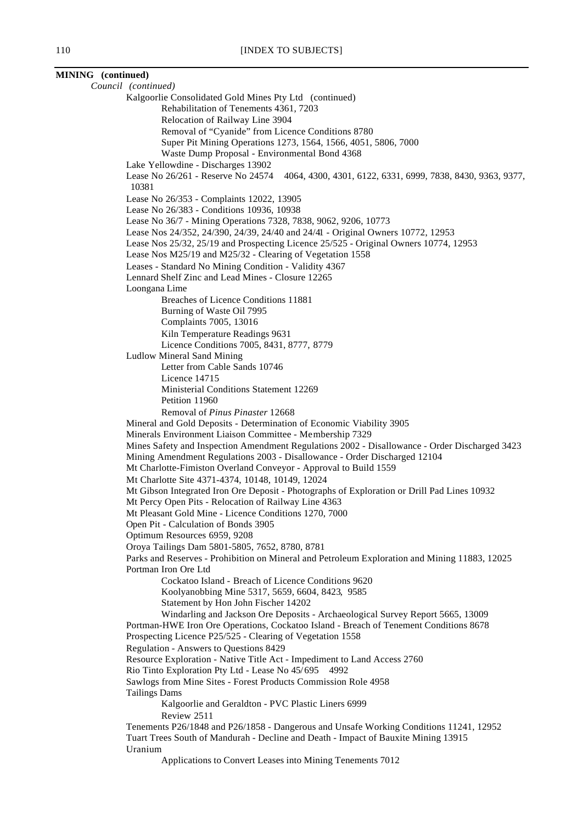**MINING (continued)** *Council (continued)* Kalgoorlie Consolidated Gold Mines Pty Ltd (continued) Rehabilitation of Tenements 4361, 7203 Relocation of Railway Line 3904 Removal of "Cyanide" from Licence Conditions 8780 Super Pit Mining Operations 1273, 1564, 1566, 4051, 5806, 7000 Waste Dump Proposal - Environmental Bond 4368 Lake Yellowdine - Discharges 13902 Lease No 26/261 - Reserve No 24574 4064, 4300, 4301, 6122, 6331, 6999, 7838, 8430, 9363, 9377, 10381 Lease No 26/353 - Complaints 12022, 13905 Lease No 26/383 - Conditions 10936, 10938 Lease No 36/7 - Mining Operations 7328, 7838, 9062, 9206, 10773 Lease Nos 24/352, 24/390, 24/39, 24/40 and 24/41 - Original Owners 10772, 12953 Lease Nos 25/32, 25/19 and Prospecting Licence 25/525 - Original Owners 10774, 12953 Lease Nos M25/19 and M25/32 - Clearing of Vegetation 1558 Leases - Standard No Mining Condition - Validity 4367 Lennard Shelf Zinc and Lead Mines - Closure 12265 Loongana Lime Breaches of Licence Conditions 11881 Burning of Waste Oil 7995 Complaints 7005, 13016 Kiln Temperature Readings 9631 Licence Conditions 7005, 8431, 8777, 8779 Ludlow Mineral Sand Mining Letter from Cable Sands 10746 Licence 14715 Ministerial Conditions Statement 12269 Petition 11960 Removal of *Pinus Pinaster* 12668 Mineral and Gold Deposits - Determination of Economic Viability 3905 Minerals Environment Liaison Committee - Membership 7329 Mines Safety and Inspection Amendment Regulations 2002 - Disallowance - Order Discharged 3423 Mining Amendment Regulations 2003 - Disallowance - Order Discharged 12104 Mt Charlotte-Fimiston Overland Conveyor - Approval to Build 1559 Mt Charlotte Site 4371-4374, 10148, 10149, 12024 Mt Gibson Integrated Iron Ore Deposit - Photographs of Exploration or Drill Pad Lines 10932 Mt Percy Open Pits - Relocation of Railway Line 4363 Mt Pleasant Gold Mine - Licence Conditions 1270, 7000 Open Pit - Calculation of Bonds 3905 Optimum Resources 6959, 9208 Oroya Tailings Dam 5801-5805, 7652, 8780, 8781 Parks and Reserves - Prohibition on Mineral and Petroleum Exploration and Mining 11883, 12025 Portman Iron Ore Ltd Cockatoo Island - Breach of Licence Conditions 9620 Koolyanobbing Mine 5317, 5659, 6604, 8423, 9585 Statement by Hon John Fischer 14202 Windarling and Jackson Ore Deposits - Archaeological Survey Report 5665, 13009 Portman-HWE Iron Ore Operations, Cockatoo Island - Breach of Tenement Conditions 8678 Prospecting Licence P25/525 - Clearing of Vegetation 1558 Regulation - Answers to Questions 8429 Resource Exploration - Native Title Act - Impediment to Land Access 2760 Rio Tinto Exploration Pty Ltd - Lease No 45/695 4992 Sawlogs from Mine Sites - Forest Products Commission Role 4958 Tailings Dams Kalgoorlie and Geraldton - PVC Plastic Liners 6999 Review 2511 Tenements P26/1848 and P26/1858 - Dangerous and Unsafe Working Conditions 11241, 12952 Tuart Trees South of Mandurah - Decline and Death - Impact of Bauxite Mining 13915 Uranium Applications to Convert Leases into Mining Tenements 7012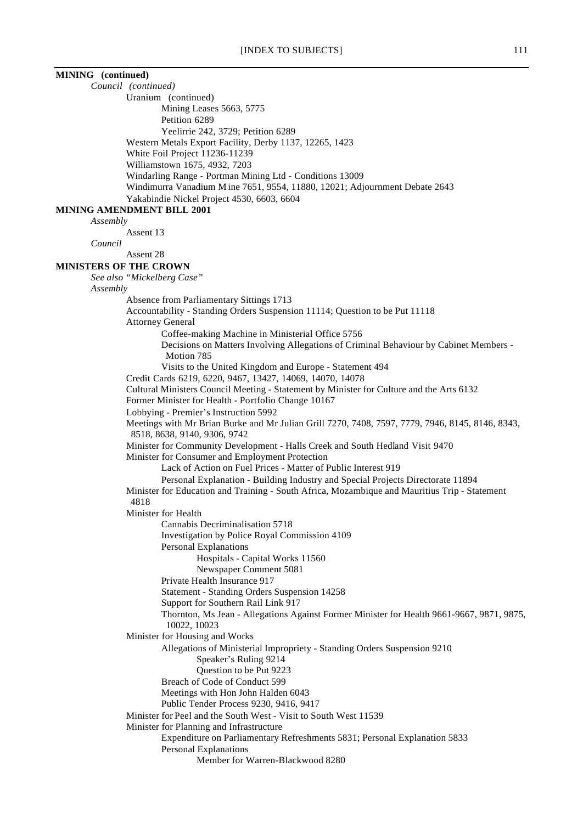| MINING (continued)                                                                                                               |
|----------------------------------------------------------------------------------------------------------------------------------|
| Council (continued)                                                                                                              |
| Uranium (continued)                                                                                                              |
| Mining Leases 5663, 5775                                                                                                         |
| Petition 6289                                                                                                                    |
| Yeelirrie 242, 3729; Petition 6289                                                                                               |
| Western Metals Export Facility, Derby 1137, 12265, 1423                                                                          |
| White Foil Project 11236-11239<br>Williamstown 1675, 4932, 7203                                                                  |
| Windarling Range - Portman Mining Ltd - Conditions 13009                                                                         |
| Windimurra Vanadium Mine 7651, 9554, 11880, 12021; Adjournment Debate 2643                                                       |
| Yakabindie Nickel Project 4530, 6603, 6604                                                                                       |
| <b>MINING AMENDMENT BILL 2001</b>                                                                                                |
| Assembly                                                                                                                         |
| Assent 13                                                                                                                        |
| Council                                                                                                                          |
| Assent 28                                                                                                                        |
| <b>MINISTERS OF THE CROWN</b>                                                                                                    |
| See also "Mickelberg Case"                                                                                                       |
| Assembly                                                                                                                         |
| Absence from Parliamentary Sittings 1713<br>Accountability - Standing Orders Suspension 11114; Question to be Put 11118          |
| <b>Attorney General</b>                                                                                                          |
| Coffee-making Machine in Ministerial Office 5756                                                                                 |
| Decisions on Matters Involving Allegations of Criminal Behaviour by Cabinet Members -                                            |
| Motion 785                                                                                                                       |
| Visits to the United Kingdom and Europe - Statement 494                                                                          |
| Credit Cards 6219, 6220, 9467, 13427, 14069, 14070, 14078                                                                        |
| Cultural Ministers Council Meeting - Statement by Minister for Culture and the Arts 6132                                         |
| Former Minister for Health - Portfolio Change 10167                                                                              |
| Lobbying - Premier's Instruction 5992                                                                                            |
| Meetings with Mr Brian Burke and Mr Julian Grill 7270, 7408, 7597, 7779, 7946, 8145, 8146, 8343,<br>8518, 8638, 9140, 9306, 9742 |
| Minister for Community Development - Halls Creek and South Hedland Visit 9470                                                    |
| Minister for Consumer and Employment Protection                                                                                  |
| Lack of Action on Fuel Prices - Matter of Public Interest 919                                                                    |
| Personal Explanation - Building Industry and Special Projects Directorate 11894                                                  |
| Minister for Education and Training - South Africa, Mozambique and Mauritius Trip - Statement                                    |
| 4818                                                                                                                             |
| Minister for Health                                                                                                              |
| Cannabis Decriminalisation 5718                                                                                                  |
| Investigation by Police Royal Commission 4109                                                                                    |
| <b>Personal Explanations</b><br>Hospitals - Capital Works 11560                                                                  |
| Newspaper Comment 5081                                                                                                           |
| Private Health Insurance 917                                                                                                     |
| Statement - Standing Orders Suspension 14258                                                                                     |
| Support for Southern Rail Link 917                                                                                               |
| Thornton, Ms Jean - Allegations Against Former Minister for Health 9661-9667, 9871, 9875,                                        |
| 10022, 10023                                                                                                                     |
| Minister for Housing and Works<br>Allegations of Ministerial Impropriety - Standing Orders Suspension 9210                       |
| Speaker's Ruling 9214                                                                                                            |
| Question to be Put 9223                                                                                                          |
| Breach of Code of Conduct 599                                                                                                    |
| Meetings with Hon John Halden 6043                                                                                               |
| Public Tender Process 9230, 9416, 9417                                                                                           |
| Minister for Peel and the South West - Visit to South West 11539                                                                 |
| Minister for Planning and Infrastructure                                                                                         |
| Expenditure on Parliamentary Refreshments 5831; Personal Explanation 5833                                                        |
| Personal Explanations                                                                                                            |
| Member for Warren-Blackwood 8280                                                                                                 |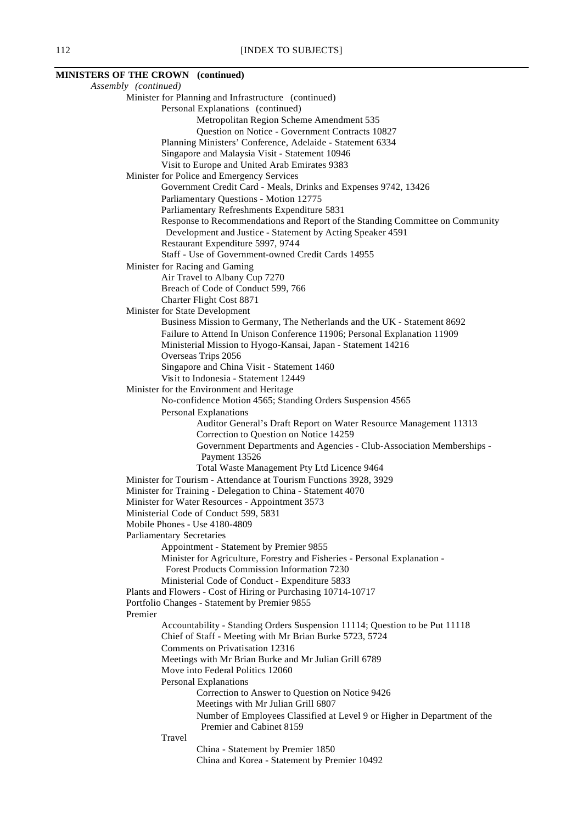# **MINISTERS OF THE CROWN (continued)**

*Assembly (continued)* Minister for Planning and Infrastructure (continued) Personal Explanations (continued) Metropolitan Region Scheme Amendment 535 Question on Notice - Government Contracts 10827 Planning Ministers' Conference, Adelaide - Statement 6334 Singapore and Malaysia Visit - Statement 10946 Visit to Europe and United Arab Emirates 9383 Minister for Police and Emergency Services Government Credit Card - Meals, Drinks and Expenses 9742, 13426 Parliamentary Questions - Motion 12775 Parliamentary Refreshments Expenditure 5831 Response to Recommendations and Report of the Standing Committee on Community Development and Justice - Statement by Acting Speaker 4591 Restaurant Expenditure 5997, 9744 Staff - Use of Government-owned Credit Cards 14955 Minister for Racing and Gaming Air Travel to Albany Cup 7270 Breach of Code of Conduct 599, 766 Charter Flight Cost 8871 Minister for State Development Business Mission to Germany, The Netherlands and the UK - Statement 8692 Failure to Attend In Unison Conference 11906; Personal Explanation 11909 Ministerial Mission to Hyogo-Kansai, Japan - Statement 14216 Overseas Trips 2056 Singapore and China Visit - Statement 1460 Visit to Indonesia - Statement 12449 Minister for the Environment and Heritage No-confidence Motion 4565; Standing Orders Suspension 4565 Personal Explanations Auditor General's Draft Report on Water Resource Management 11313 Correction to Question on Notice 14259 Government Departments and Agencies - Club-Association Memberships - Payment 13526 Total Waste Management Pty Ltd Licence 9464 Minister for Tourism - Attendance at Tourism Functions 3928, 3929 Minister for Training - Delegation to China - Statement 4070 Minister for Water Resources - Appointment 3573 Ministerial Code of Conduct 599, 5831 Mobile Phones - Use 4180-4809 Parliamentary Secretaries Appointment - Statement by Premier 9855 Minister for Agriculture, Forestry and Fisheries - Personal Explanation - Forest Products Commission Information 7230 Ministerial Code of Conduct - Expenditure 5833 Plants and Flowers - Cost of Hiring or Purchasing 10714-10717 Portfolio Changes - Statement by Premier 9855 Premier Accountability - Standing Orders Suspension 11114; Question to be Put 11118 Chief of Staff - Meeting with Mr Brian Burke 5723, 5724 Comments on Privatisation 12316 Meetings with Mr Brian Burke and Mr Julian Grill 6789 Move into Federal Politics 12060 Personal Explanations Correction to Answer to Question on Notice 9426 Meetings with Mr Julian Grill 6807 Number of Employees Classified at Level 9 or Higher in Department of the Premier and Cabinet 8159 Travel China - Statement by Premier 1850 China and Korea - Statement by Premier 10492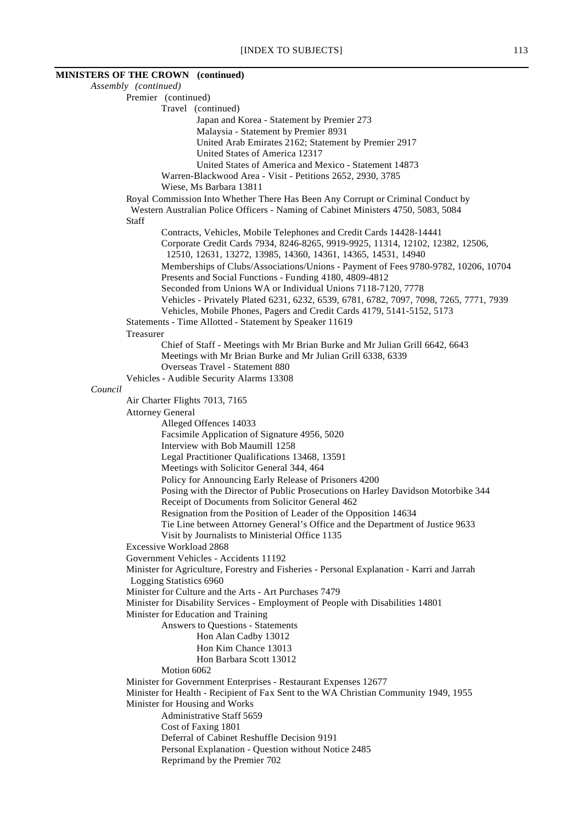# **MINISTERS OF THE CROWN (continued)**

*Assembly (continued)* Premier (continued) Travel (continued) Japan and Korea - Statement by Premier 273 Malaysia - Statement by Premier 8931 United Arab Emirates 2162; Statement by Premier 2917 United States of America 12317 United States of America and Mexico - Statement 14873 Warren-Blackwood Area - Visit - Petitions 2652, 2930, 3785 Wiese, Ms Barbara 13811 Royal Commission Into Whether There Has Been Any Corrupt or Criminal Conduct by Western Australian Police Officers - Naming of Cabinet Ministers 4750, 5083, 5084 Staff Contracts, Vehicles, Mobile Telephones and Credit Cards 14428-14441 Corporate Credit Cards 7934, 8246-8265, 9919-9925, 11314, 12102, 12382, 12506, 12510, 12631, 13272, 13985, 14360, 14361, 14365, 14531, 14940 Memberships of Clubs/Associations/Unions - Payment of Fees 9780-9782, 10206, 10704 Presents and Social Functions - Funding 4180, 4809-4812 Seconded from Unions WA or Individual Unions 7118-7120, 7778 Vehicles - Privately Plated 6231, 6232, 6539, 6781, 6782, 7097, 7098, 7265, 7771, 7939 Vehicles, Mobile Phones, Pagers and Credit Cards 4179, 5141-5152, 5173 Statements - Time Allotted - Statement by Speaker 11619 Treasurer Chief of Staff - Meetings with Mr Brian Burke and Mr Julian Grill 6642, 6643 Meetings with Mr Brian Burke and Mr Julian Grill 6338, 6339 Overseas Travel - Statement 880 Vehicles - Audible Security Alarms 13308 *Council* Air Charter Flights 7013, 7165 Attorney General Alleged Offences 14033 Facsimile Application of Signature 4956, 5020 Interview with Bob Maumill 1258 Legal Practitioner Qualifications 13468, 13591 Meetings with Solicitor General 344, 464 Policy for Announcing Early Release of Prisoners 4200 Posing with the Director of Public Prosecutions on Harley Davidson Motorbike 344 Receipt of Documents from Solicitor General 462 Resignation from the Position of Leader of the Opposition 14634 Tie Line between Attorney General's Office and the Department of Justice 9633 Visit by Journalists to Ministerial Office 1135 Excessive Workload 2868 Government Vehicles - Accidents 11192 Minister for Agriculture, Forestry and Fisheries - Personal Explanation - Karri and Jarrah Logging Statistics 6960 Minister for Culture and the Arts - Art Purchases 7479 Minister for Disability Services - Employment of People with Disabilities 14801 Minister for Education and Training Answers to Questions - Statements Hon Alan Cadby 13012 Hon Kim Chance 13013 Hon Barbara Scott 13012 Motion 6062 Minister for Government Enterprises - Restaurant Expenses 12677 Minister for Health - Recipient of Fax Sent to the WA Christian Community 1949, 1955 Minister for Housing and Works Administrative Staff 5659 Cost of Faxing 1801 Deferral of Cabinet Reshuffle Decision 9191 Personal Explanation - Question without Notice 2485 Reprimand by the Premier 702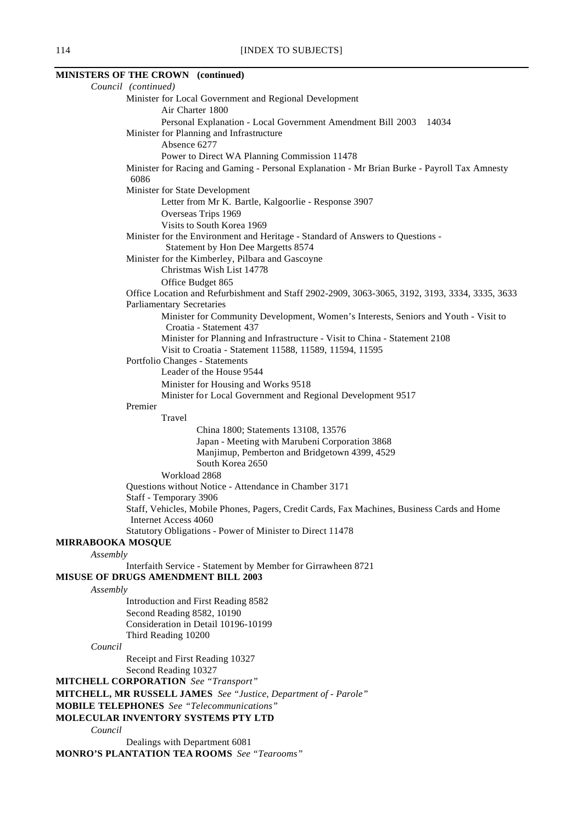# **MINISTERS OF THE CROWN (continued)**

|                          | Council (continued)                                                                            |
|--------------------------|------------------------------------------------------------------------------------------------|
|                          | Minister for Local Government and Regional Development                                         |
|                          | Air Charter 1800                                                                               |
|                          | Personal Explanation - Local Government Amendment Bill 2003 14034                              |
|                          | Minister for Planning and Infrastructure                                                       |
|                          | Absence 6277                                                                                   |
|                          | Power to Direct WA Planning Commission 11478                                                   |
|                          | Minister for Racing and Gaming - Personal Explanation - Mr Brian Burke - Payroll Tax Amnesty   |
|                          | 6086                                                                                           |
|                          | Minister for State Development                                                                 |
|                          | Letter from Mr K. Bartle, Kalgoorlie - Response 3907                                           |
|                          | Overseas Trips 1969                                                                            |
|                          | Visits to South Korea 1969                                                                     |
|                          | Minister for the Environment and Heritage - Standard of Answers to Questions -                 |
|                          | Statement by Hon Dee Margetts 8574                                                             |
|                          | Minister for the Kimberley, Pilbara and Gascoyne                                               |
|                          | Christmas Wish List 14778                                                                      |
|                          |                                                                                                |
|                          | Office Budget 865                                                                              |
|                          | Office Location and Refurbishment and Staff 2902-2909, 3063-3065, 3192, 3193, 3334, 3335, 3633 |
|                          | <b>Parliamentary Secretaries</b>                                                               |
|                          | Minister for Community Development, Women's Interests, Seniors and Youth - Visit to            |
|                          | Croatia - Statement 437                                                                        |
|                          | Minister for Planning and Infrastructure - Visit to China - Statement 2108                     |
|                          | Visit to Croatia - Statement 11588, 11589, 11594, 11595                                        |
|                          | Portfolio Changes - Statements                                                                 |
|                          | Leader of the House 9544                                                                       |
|                          | Minister for Housing and Works 9518                                                            |
|                          | Minister for Local Government and Regional Development 9517                                    |
|                          | Premier                                                                                        |
|                          | Travel                                                                                         |
|                          | China 1800; Statements 13108, 13576                                                            |
|                          | Japan - Meeting with Marubeni Corporation 3868                                                 |
|                          | Manjimup, Pemberton and Bridgetown 4399, 4529                                                  |
|                          | South Korea 2650                                                                               |
|                          | Workload 2868                                                                                  |
|                          | Questions without Notice - Attendance in Chamber 3171                                          |
|                          | Staff - Temporary 3906                                                                         |
|                          | Staff, Vehicles, Mobile Phones, Pagers, Credit Cards, Fax Machines, Business Cards and Home    |
|                          | Internet Access 4060                                                                           |
|                          | Statutory Obligations - Power of Minister to Direct 11478                                      |
| <b>MIRRABOOKA MOSQUE</b> |                                                                                                |
| Assembly                 |                                                                                                |
|                          | Interfaith Service - Statement by Member for Girrawheen 8721                                   |
|                          | MISUSE OF DRUGS AMENDMENT BILL 2003                                                            |
| Assembly                 |                                                                                                |
|                          | Introduction and First Reading 8582                                                            |
|                          | Second Reading 8582, 10190                                                                     |
|                          | Consideration in Detail 10196-10199                                                            |
|                          | Third Reading 10200                                                                            |
| Council                  |                                                                                                |
|                          | Receipt and First Reading 10327                                                                |
|                          | Second Reading 10327                                                                           |
|                          | <b>MITCHELL CORPORATION</b> See "Transport"                                                    |
|                          | MITCHELL, MR RUSSELL JAMES See "Justice, Department of - Parole"                               |
|                          | <b>MOBILE TELEPHONES</b> See "Telecommunications"                                              |
|                          | MOLECULAR INVENTORY SYSTEMS PTY LTD                                                            |
| Council                  |                                                                                                |
|                          | Dealings with Department 6081                                                                  |
|                          | <b>MONRO'S PLANTATION TEA ROOMS</b> See "Tearooms"                                             |
|                          |                                                                                                |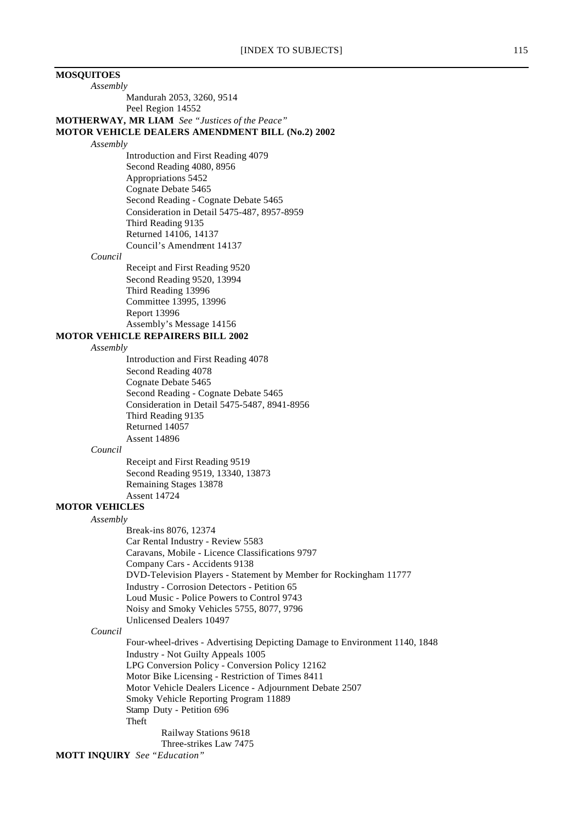# **MOSQUITOES** *Assembly* Mandurah 2053, 3260, 9514 Peel Region 14552 **MOTHERWAY, MR LIAM** *See "Justices of the Peace"* **MOTOR VEHICLE DEALERS AMENDMENT BILL (No.2) 2002** *Assembly* Introduction and First Reading 4079 Second Reading 4080, 8956 Appropriations 5452 Cognate Debate 5465 Second Reading - Cognate Debate 5465 Consideration in Detail 5475-487, 8957-8959 Third Reading 9135 Returned 14106, 14137 Council's Amendment 14137 *Council* Receipt and First Reading 9520 Second Reading 9520, 13994 Third Reading 13996 Committee 13995, 13996 Report 13996 Assembly's Message 14156 **MOTOR VEHICLE REPAIRERS BILL 2002** *Assembly* Introduction and First Reading 4078 Second Reading 4078 Cognate Debate 5465 Second Reading - Cognate Debate 5465 Consideration in Detail 5475-5487, 8941-8956 Third Reading 9135 Returned 14057 Assent 14896 *Council* Receipt and First Reading 9519 Second Reading 9519, 13340, 13873 Remaining Stages 13878 Assent 14724 **MOTOR VEHICLES** *Assembly* Break-ins 8076, 12374 Car Rental Industry - Review 5583 Caravans, Mobile - Licence Classifications 9797 Company Cars - Accidents 9138 DVD-Television Players - Statement by Member for Rockingham 11777 Industry - Corrosion Detectors - Petition 65 Loud Music - Police Powers to Control 9743 Noisy and Smoky Vehicles 5755, 8077, 9796 Unlicensed Dealers 10497 *Council* Four-wheel-drives - Advertising Depicting Damage to Environment 1140, 1848 Industry - Not Guilty Appeals 1005 LPG Conversion Policy - Conversion Policy 12162 Motor Bike Licensing - Restriction of Times 8411 Motor Vehicle Dealers Licence - Adjournment Debate 2507 Smoky Vehicle Reporting Program 11889 Stamp Duty - Petition 696 Theft Railway Stations 9618 Three-strikes Law 7475 **MOTT INQUIRY** *See "Education"*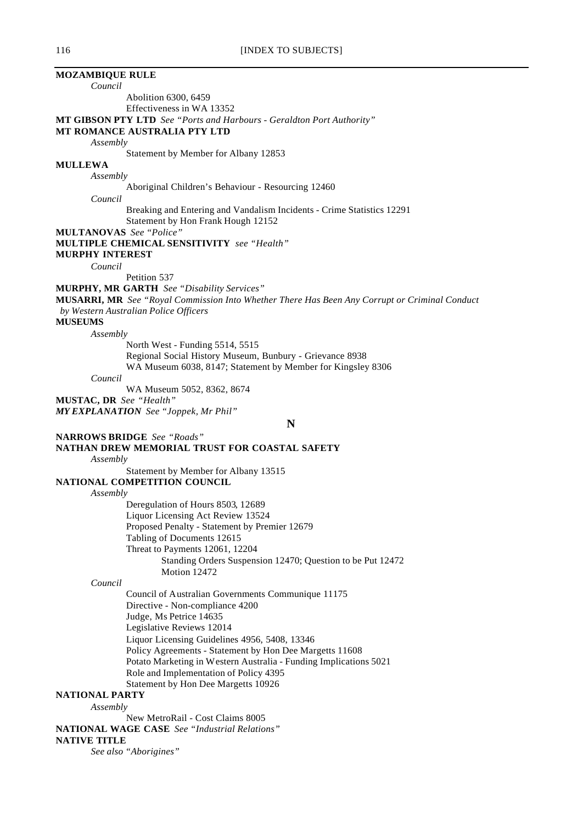# **MOZAMBIQUE RULE**

*Council*

Abolition 6300, 6459 Effectiveness in WA 13352

**MT GIBSON PTY LTD** *See "Ports and Harbours - Geraldton Port Authority"*

# **MT ROMANCE AUSTRALIA PTY LTD**

*Assembly*

Statement by Member for Albany 12853

#### **MULLEWA**

*Assembly*

Aboriginal Children's Behaviour - Resourcing 12460

*Council*

Breaking and Entering and Vandalism Incidents - Crime Statistics 12291 Statement by Hon Frank Hough 12152

**MULTANOVAS** *See "Police"*

**MULTIPLE CHEMICAL SENSITIVITY** *see "Health"*

**MURPHY INTEREST**

*Council*

Petition 537

**MURPHY, MR GARTH** *See "Disability Services"*

**MUSARRI, MR** *See "Royal Commission Into Whether There Has Been Any Corrupt or Criminal Conduct by Western Australian Police Officers*

**MUSEUMS**

*Assembly*

North West - Funding 5514, 5515 Regional Social History Museum, Bunbury - Grievance 8938 WA Museum 6038, 8147; Statement by Member for Kingsley 8306

*Council*

WA Museum 5052, 8362, 8674

**MUSTAC, DR** *See "Health"*

*MY EXPLANATION See "Joppek, Mr Phil"*

**N**

**NARROWS BRIDGE** *See "Roads"*

**NATHAN DREW MEMORIAL TRUST FOR COASTAL SAFETY**

*Assembly*

Statement by Member for Albany 13515

# **NATIONAL COMPETITION COUNCIL**

*Assembly*

Deregulation of Hours 8503, 12689 Liquor Licensing Act Review 13524 Proposed Penalty - Statement by Premier 12679 Tabling of Documents 12615 Threat to Payments 12061, 12204 Standing Orders Suspension 12470; Question to be Put 12472 Motion 12472

*Council*

Council of Australian Governments Communique 11175 Directive - Non-compliance 4200 Judge, Ms Petrice 14635 Legislative Reviews 12014 Liquor Licensing Guidelines 4956, 5408, 13346 Policy Agreements - Statement by Hon Dee Margetts 11608 Potato Marketing in Western Australia - Funding Implications 5021 Role and Implementation of Policy 4395 Statement by Hon Dee Margetts 10926

# **NATIONAL PARTY**

*Assembly*

New MetroRail - Cost Claims 8005 **NATIONAL WAGE CASE** *See "Industrial Relations"*

# **NATIVE TITLE**

*See also "Aborigines"*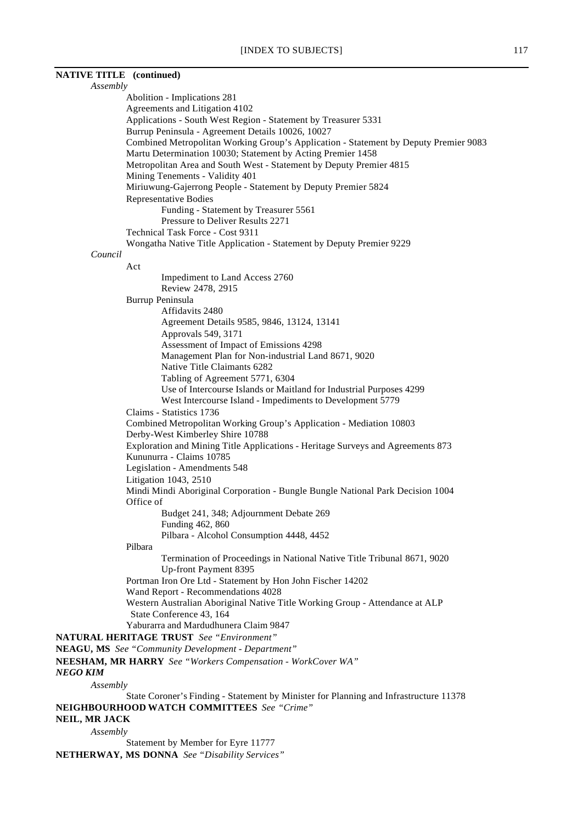| <b>NATIVE TITLE</b> (continued) |                                                                                                                     |
|---------------------------------|---------------------------------------------------------------------------------------------------------------------|
| Assembly                        |                                                                                                                     |
|                                 | Abolition - Implications 281                                                                                        |
|                                 | Agreements and Litigation 4102                                                                                      |
|                                 | Applications - South West Region - Statement by Treasurer 5331<br>Burrup Peninsula - Agreement Details 10026, 10027 |
|                                 | Combined Metropolitan Working Group's Application - Statement by Deputy Premier 9083                                |
|                                 | Martu Determination 10030; Statement by Acting Premier 1458                                                         |
|                                 | Metropolitan Area and South West - Statement by Deputy Premier 4815                                                 |
|                                 | Mining Tenements - Validity 401                                                                                     |
|                                 | Miriuwung-Gajerrong People - Statement by Deputy Premier 5824                                                       |
|                                 | <b>Representative Bodies</b>                                                                                        |
|                                 | Funding - Statement by Treasurer 5561                                                                               |
|                                 | Pressure to Deliver Results 2271                                                                                    |
|                                 | Technical Task Force - Cost 9311                                                                                    |
|                                 | Wongatha Native Title Application - Statement by Deputy Premier 9229                                                |
| Council                         |                                                                                                                     |
| Act                             | Impediment to Land Access 2760                                                                                      |
|                                 | Review 2478, 2915                                                                                                   |
|                                 | Burrup Peninsula                                                                                                    |
|                                 | Affidavits 2480                                                                                                     |
|                                 | Agreement Details 9585, 9846, 13124, 13141                                                                          |
|                                 | Approvals 549, 3171                                                                                                 |
|                                 | Assessment of Impact of Emissions 4298                                                                              |
|                                 | Management Plan for Non-industrial Land 8671, 9020                                                                  |
|                                 | Native Title Claimants 6282                                                                                         |
|                                 | Tabling of Agreement 5771, 6304                                                                                     |
|                                 | Use of Intercourse Islands or Maitland for Industrial Purposes 4299                                                 |
|                                 | West Intercourse Island - Impediments to Development 5779                                                           |
|                                 | Claims - Statistics 1736<br>Combined Metropolitan Working Group's Application - Mediation 10803                     |
|                                 | Derby-West Kimberley Shire 10788                                                                                    |
|                                 | Exploration and Mining Title Applications - Heritage Surveys and Agreements 873                                     |
|                                 | Kununurra - Claims 10785                                                                                            |
|                                 | Legislation - Amendments 548                                                                                        |
|                                 | Litigation 1043, 2510                                                                                               |
|                                 | Mindi Mindi Aboriginal Corporation - Bungle Bungle National Park Decision 1004                                      |
| Office of                       |                                                                                                                     |
|                                 | Budget 241, 348; Adjournment Debate 269                                                                             |
|                                 | Funding 462, 860                                                                                                    |
|                                 | Pilbara - Alcohol Consumption 4448, 4452                                                                            |
| Pilbara                         |                                                                                                                     |
|                                 | Termination of Proceedings in National Native Title Tribunal 8671, 9020<br>Up-front Payment 8395                    |
|                                 | Portman Iron Ore Ltd - Statement by Hon John Fischer 14202                                                          |
|                                 | Wand Report - Recommendations 4028                                                                                  |
|                                 | Western Australian Aboriginal Native Title Working Group - Attendance at ALP                                        |
|                                 | State Conference 43, 164                                                                                            |
|                                 | Yaburarra and Mardudhunera Claim 9847                                                                               |
|                                 | <b>NATURAL HERITAGE TRUST</b> See "Environment"                                                                     |
|                                 | NEAGU, MS See "Community Development - Department"                                                                  |
| <b>NEGO KIM</b>                 | NEESHAM, MR HARRY See "Workers Compensation - WorkCover WA"                                                         |
| Assembly                        |                                                                                                                     |
|                                 | State Coroner's Finding - Statement by Minister for Planning and Infrastructure 11378                               |
|                                 | NEIGHBOURHOOD WATCH COMMITTEES See "Crime"                                                                          |
| NEIL, MR JACK                   |                                                                                                                     |
| Assembly                        |                                                                                                                     |
|                                 | Statement by Member for Eyre 11777                                                                                  |

**NETHERWAY, MS DONNA** *See "Disability Services"*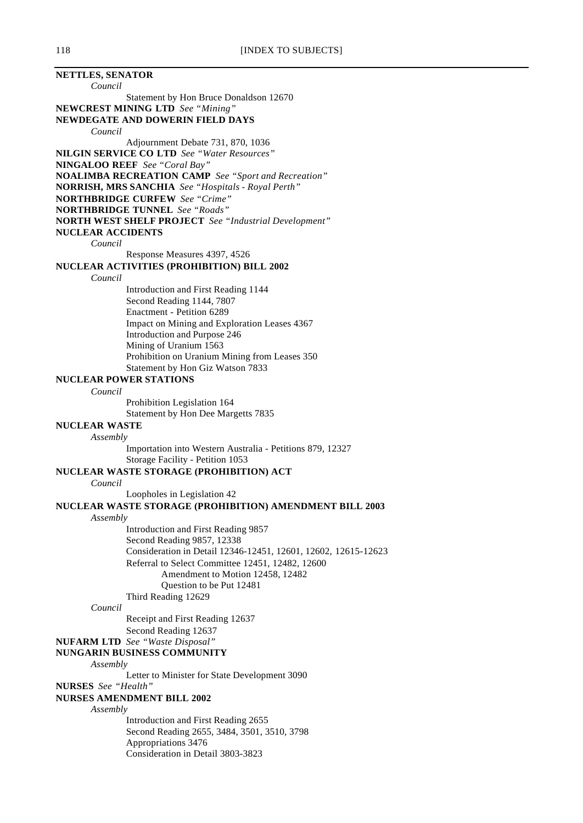**NETTLES, SENATOR** *Council* Statement by Hon Bruce Donaldson 12670 **NEWCREST MINING LTD** *See "Mining"* **NEWDEGATE AND DOWERIN FIELD DAYS** *Council* Adjournment Debate 731, 870, 1036 **NILGIN SERVICE CO LTD** *See "Water Resources"* **NINGALOO REEF** *See "Coral Bay"* **NOALIMBA RECREATION CAMP** *See "Sport and Recreation"* **NORRISH, MRS SANCHIA** *See "Hospitals - Royal Perth"* **NORTHBRIDGE CURFEW** *See "Crime"* **NORTHBRIDGE TUNNEL** *See "Roads"* **NORTH WEST SHELF PROJECT** *See "Industrial Development"* **NUCLEAR ACCIDENTS** *Council* Response Measures 4397, 4526 **NUCLEAR ACTIVITIES (PROHIBITION) BILL 2002** *Council* Introduction and First Reading 1144 Second Reading 1144, 7807 Enactment - Petition 6289 Impact on Mining and Exploration Leases 4367 Introduction and Purpose 246 Mining of Uranium 1563 Prohibition on Uranium Mining from Leases 350 Statement by Hon Giz Watson 7833 **NUCLEAR POWER STATIONS** *Council* Prohibition Legislation 164 Statement by Hon Dee Margetts 7835 **NUCLEAR WASTE** *Assembly* Importation into Western Australia - Petitions 879, 12327 Storage Facility - Petition 1053 **NUCLEAR WASTE STORAGE (PROHIBITION) ACT** *Council* Loopholes in Legislation 42 **NUCLEAR WASTE STORAGE (PROHIBITION) AMENDMENT BILL 2003** *Assembly* Introduction and First Reading 9857 Second Reading 9857, 12338 Consideration in Detail 12346-12451, 12601, 12602, 12615-12623 Referral to Select Committee 12451, 12482, 12600 Amendment to Motion 12458, 12482 Question to be Put 12481 Third Reading 12629 *Council* Receipt and First Reading 12637 Second Reading 12637 **NUFARM LTD** *See "Waste Disposal"* **NUNGARIN BUSINESS COMMUNITY** *Assembly* Letter to Minister for State Development 3090 **NURSES** *See "Health"* **NURSES AMENDMENT BILL 2002** *Assembly* Introduction and First Reading 2655 Second Reading 2655, 3484, 3501, 3510, 3798 Appropriations 3476 Consideration in Detail 3803-3823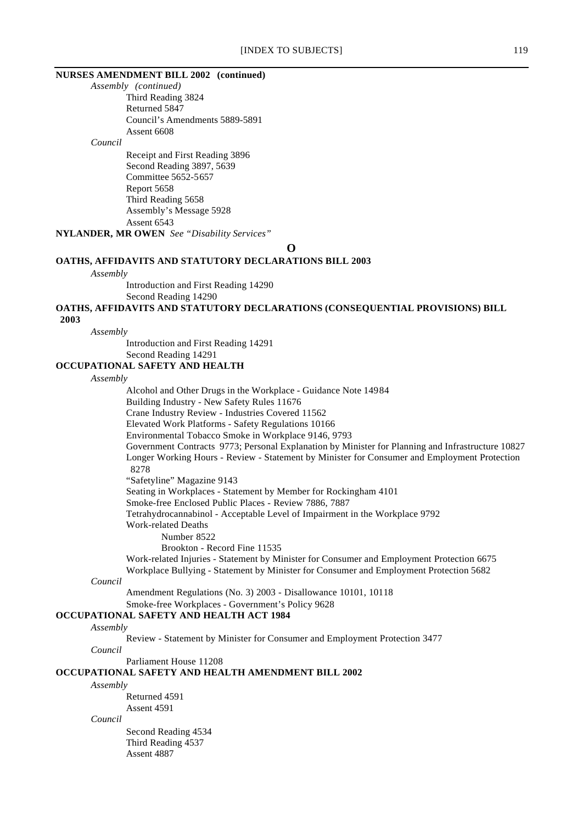# **NURSES AMENDMENT BILL 2002 (continued)**

*Assembly (continued)* Third Reading 3824 Returned 5847 Council's Amendments 5889-5891 Assent 6608

*Council*

Receipt and First Reading 3896 Second Reading 3897, 5639 Committee 5652-5657 Report 5658 Third Reading 5658 Assembly's Message 5928 Assent 6543 **NYLANDER, MR OWEN** *See "Disability Services"*

**O**

### **OATHS, AFFIDAVITS AND STATUTORY DECLARATIONS BILL 2003**

#### *Assembly*

Introduction and First Reading 14290

Second Reading 14290

**OATHS, AFFIDAVITS AND STATUTORY DECLARATIONS (CONSEQUENTIAL PROVISIONS) BILL**

 **2003**

*Assembly*

Introduction and First Reading 14291 Second Reading 14291

#### **OCCUPATIONAL SAFETY AND HEALTH**

#### *Assembly*

Alcohol and Other Drugs in the Workplace - Guidance Note 14984 Building Industry - New Safety Rules 11676 Crane Industry Review - Industries Covered 11562 Elevated Work Platforms - Safety Regulations 10166 Environmental Tobacco Smoke in Workplace 9146, 9793 Government Contracts 9773; Personal Explanation by Minister for Planning and Infrastructure 10827 Longer Working Hours - Review - Statement by Minister for Consumer and Employment Protection 8278 "Safetyline" Magazine 9143 Seating in Workplaces - Statement by Member for Rockingham 4101 Smoke-free Enclosed Public Places - Review 7886, 7887 Tetrahydrocannabinol - Acceptable Level of Impairment in the Workplace 9792 Work-related Deaths Number 8522 Brookton - Record Fine 11535

Work-related Injuries - Statement by Minister for Consumer and Employment Protection 6675 Workplace Bullying - Statement by Minister for Consumer and Employment Protection 5682

#### *Council*

Amendment Regulations (No. 3) 2003 - Disallowance 10101, 10118

Smoke-free Workplaces - Government's Policy 9628

# **OCCUPATIONAL SAFETY AND HEALTH ACT 1984**

#### *Assembly*

Review - Statement by Minister for Consumer and Employment Protection 3477

*Council*

Parliament House 11208

# **OCCUPATIONAL SAFETY AND HEALTH AMENDMENT BILL 2002**

#### *Assembly*

Returned 4591 Assent 4591

#### *Council*

Second Reading 4534 Third Reading 4537 Assent 4887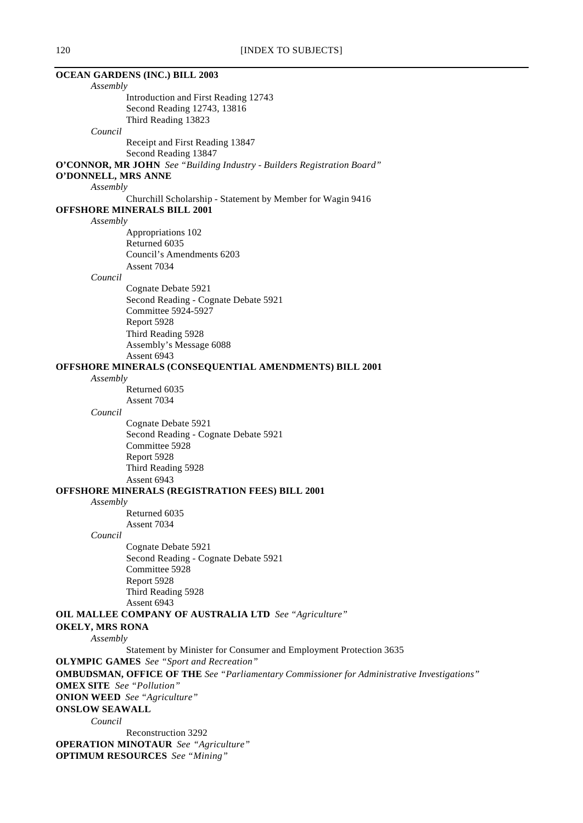| <b>OCEAN GARDENS (INC.) BILL 2003</b>                                                              |  |
|----------------------------------------------------------------------------------------------------|--|
| Assembly                                                                                           |  |
| Introduction and First Reading 12743                                                               |  |
| Second Reading 12743, 13816                                                                        |  |
| Third Reading 13823                                                                                |  |
| Council                                                                                            |  |
| Receipt and First Reading 13847                                                                    |  |
| Second Reading 13847                                                                               |  |
| O'CONNOR, MR JOHN See "Building Industry - Builders Registration Board"                            |  |
| O'DONNELL, MRS ANNE                                                                                |  |
| Assembly                                                                                           |  |
| Churchill Scholarship - Statement by Member for Wagin 9416                                         |  |
| <b>OFFSHORE MINERALS BILL 2001</b>                                                                 |  |
| Assembly                                                                                           |  |
| Appropriations 102                                                                                 |  |
| Returned 6035                                                                                      |  |
| Council's Amendments 6203                                                                          |  |
| Assent 7034                                                                                        |  |
| Council<br>Cognate Debate 5921                                                                     |  |
|                                                                                                    |  |
| Second Reading - Cognate Debate 5921<br>Committee 5924-5927                                        |  |
| Report 5928                                                                                        |  |
| Third Reading 5928                                                                                 |  |
| Assembly's Message 6088                                                                            |  |
| Assent 6943                                                                                        |  |
| OFFSHORE MINERALS (CONSEQUENTIAL AMENDMENTS) BILL 2001                                             |  |
| Assembly                                                                                           |  |
| Returned 6035                                                                                      |  |
| Assent 7034                                                                                        |  |
| Council                                                                                            |  |
| Cognate Debate 5921                                                                                |  |
| Second Reading - Cognate Debate 5921                                                               |  |
| Committee 5928                                                                                     |  |
| Report 5928                                                                                        |  |
| Third Reading 5928                                                                                 |  |
| Assent 6943                                                                                        |  |
| <b>OFFSHORE MINERALS (REGISTRATION FEES) BILL 2001</b>                                             |  |
| Assembly                                                                                           |  |
| Returned 6035                                                                                      |  |
| Assent 7034                                                                                        |  |
| Council                                                                                            |  |
| Cognate Debate 5921                                                                                |  |
| Second Reading - Cognate Debate 5921                                                               |  |
| Committee 5928                                                                                     |  |
| Report 5928                                                                                        |  |
| Third Reading 5928                                                                                 |  |
| Assent 6943                                                                                        |  |
| <b>OIL MALLEE COMPANY OF AUSTRALIA LTD</b> See "Agriculture"                                       |  |
| <b>OKELY, MRS RONA</b>                                                                             |  |
| Assembly                                                                                           |  |
| Statement by Minister for Consumer and Employment Protection 3635                                  |  |
| <b>OLYMPIC GAMES</b> See "Sport and Recreation"                                                    |  |
| <b>OMBUDSMAN, OFFICE OF THE</b> See "Parliamentary Commissioner for Administrative Investigations" |  |
| <b>OMEX SITE</b> See "Pollution"                                                                   |  |
| <b>ONION WEED</b> See "Agriculture"                                                                |  |
| <b>ONSLOW SEAWALL</b>                                                                              |  |
| Council                                                                                            |  |
| Reconstruction 3292                                                                                |  |
| <b>OPERATION MINOTAUR</b> See "Agriculture"                                                        |  |
| <b>OPTIMUM RESOURCES</b> See "Mining"                                                              |  |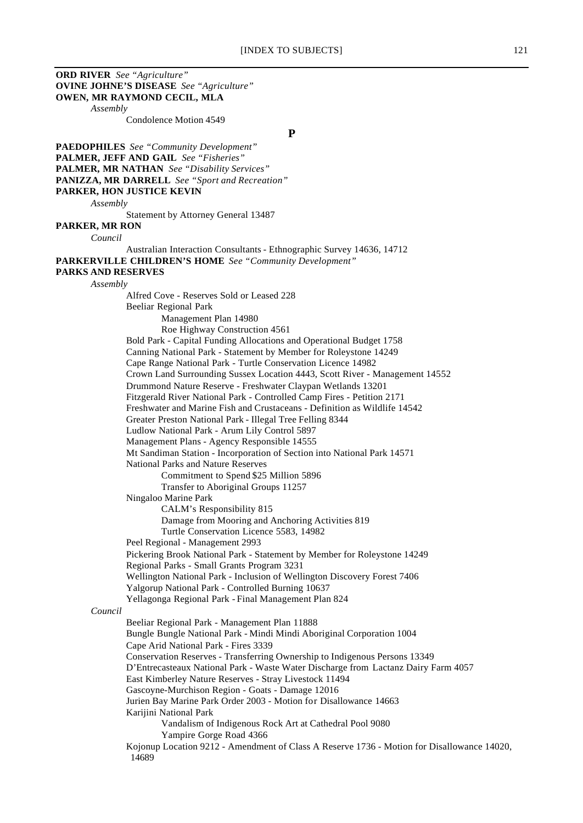**ORD RIVER** *See "Agriculture"* **OVINE JOHNE'S DISEASE** *See "Agriculture"* **OWEN, MR RAYMOND CECIL, MLA** *Assembly* Condolence Motion 4549 **P PAEDOPHILES** *See "Community Development"* **PALMER, JEFF AND GAIL** *See "Fisheries"* **PALMER, MR NATHAN** *See "Disability Services"* **PANIZZA, MR DARRELL** *See "Sport and Recreation"* **PARKER, HON JUSTICE KEVIN** *Assembly* Statement by Attorney General 13487 **PARKER, MR RON** *Council* Australian Interaction Consultants - Ethnographic Survey 14636, 14712 **PARKERVILLE CHILDREN'S HOME** *See "Community Development"* **PARKS AND RESERVES** *Assembly* Alfred Cove - Reserves Sold or Leased 228 Beeliar Regional Park Management Plan 14980 Roe Highway Construction 4561 Bold Park - Capital Funding Allocations and Operational Budget 1758 Canning National Park - Statement by Member for Roleystone 14249 Cape Range National Park - Turtle Conservation Licence 14982 Crown Land Surrounding Sussex Location 4443, Scott River - Management 14552 Drummond Nature Reserve - Freshwater Claypan Wetlands 13201 Fitzgerald River National Park - Controlled Camp Fires - Petition 2171 Freshwater and Marine Fish and Crustaceans - Definition as Wildlife 14542 Greater Preston National Park - Illegal Tree Felling 8344 Ludlow National Park - Arum Lily Control 5897 Management Plans - Agency Responsible 14555 Mt Sandiman Station - Incorporation of Section into National Park 14571 National Parks and Nature Reserves Commitment to Spend \$25 Million 5896 Transfer to Aboriginal Groups 11257 Ningaloo Marine Park CALM's Responsibility 815 Damage from Mooring and Anchoring Activities 819 Turtle Conservation Licence 5583, 14982 Peel Regional - Management 2993 Pickering Brook National Park - Statement by Member for Roleystone 14249 Regional Parks - Small Grants Program 3231 Wellington National Park - Inclusion of Wellington Discovery Forest 7406 Yalgorup National Park - Controlled Burning 10637 Yellagonga Regional Park - Final Management Plan 824 *Council* Beeliar Regional Park - Management Plan 11888 Bungle Bungle National Park - Mindi Mindi Aboriginal Corporation 1004 Cape Arid National Park - Fires 3339 Conservation Reserves - Transferring Ownership to Indigenous Persons 13349 D'Entrecasteaux National Park - Waste Water Discharge from Lactanz Dairy Farm 4057 East Kimberley Nature Reserves - Stray Livestock 11494 Gascoyne-Murchison Region - Goats - Damage 12016 Jurien Bay Marine Park Order 2003 - Motion for Disallowance 14663 Karijini National Park Vandalism of Indigenous Rock Art at Cathedral Pool 9080 Yampire Gorge Road 4366 Kojonup Location 9212 - Amendment of Class A Reserve 1736 - Motion for Disallowance 14020, 14689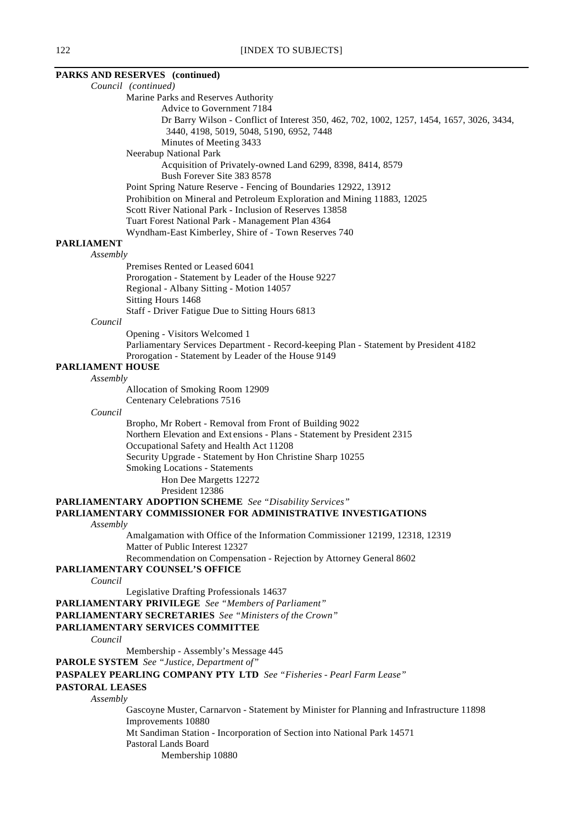**PARKS AND RESERVES (continued)** *Council (continued)* Marine Parks and Reserves Authority Advice to Government 7184 Dr Barry Wilson - Conflict of Interest 350, 462, 702, 1002, 1257, 1454, 1657, 3026, 3434, 3440, 4198, 5019, 5048, 5190, 6952, 7448 Minutes of Meeting 3433 Neerabup National Park Acquisition of Privately-owned Land 6299, 8398, 8414, 8579 Bush Forever Site 383 8578 Point Spring Nature Reserve - Fencing of Boundaries 12922, 13912 Prohibition on Mineral and Petroleum Exploration and Mining 11883, 12025 Scott River National Park - Inclusion of Reserves 13858 Tuart Forest National Park - Management Plan 4364 Wyndham-East Kimberley, Shire of - Town Reserves 740 **PARLIAMENT** *Assembly* Premises Rented or Leased 6041 Prorogation - Statement by Leader of the House 9227 Regional - Albany Sitting - Motion 14057 Sitting Hours 1468 Staff - Driver Fatigue Due to Sitting Hours 6813 *Council* Opening - Visitors Welcomed 1 Parliamentary Services Department - Record-keeping Plan - Statement by President 4182 Prorogation - Statement by Leader of the House 9149 **PARLIAMENT HOUSE** *Assembly* Allocation of Smoking Room 12909 Centenary Celebrations 7516 *Council* Bropho, Mr Robert - Removal from Front of Building 9022 Northern Elevation and Ext ensions - Plans - Statement by President 2315 Occupational Safety and Health Act 11208 Security Upgrade - Statement by Hon Christine Sharp 10255 Smoking Locations - Statements Hon Dee Margetts 12272 President 12386 **PARLIAMENTARY ADOPTION SCHEME** *See "Disability Services"* **PARLIAMENTARY COMMISSIONER FOR ADMINISTRATIVE INVESTIGATIONS** *Assembly* Amalgamation with Office of the Information Commissioner 12199, 12318, 12319 Matter of Public Interest 12327 Recommendation on Compensation - Rejection by Attorney General 8602 **PARLIAMENTARY COUNSEL'S OFFICE** *Council* Legislative Drafting Professionals 14637 **PARLIAMENTARY PRIVILEGE** *See "Members of Parliament"* **PARLIAMENTARY SECRETARIES** *See "Ministers of the Crown"* **PARLIAMENTARY SERVICES COMMITTEE** *Council* Membership - Assembly's Message 445 **PAROLE SYSTEM** *See "Justice, Department of"* **PASPALEY PEARLING COMPANY PTY LTD** *See "Fisheries - Pearl Farm Lease"* **PASTORAL LEASES** *Assembly* Gascoyne Muster, Carnarvon - Statement by Minister for Planning and Infrastructure 11898 Improvements 10880

Mt Sandiman Station - Incorporation of Section into National Park 14571

- Pastoral Lands Board
	- Membership 10880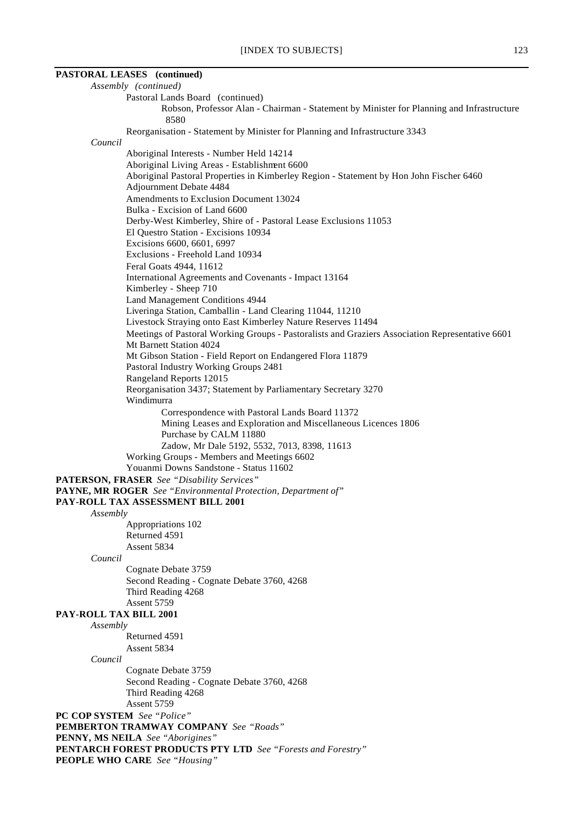| $1.12$ $1.10$ $0.00$ $0.00$ $1.0$                                                                                          |  |
|----------------------------------------------------------------------------------------------------------------------------|--|
| <b>PASTORAL LEASES</b> (continued)                                                                                         |  |
| Assembly (continued)                                                                                                       |  |
| Pastoral Lands Board (continued)                                                                                           |  |
| Robson, Professor Alan - Chairman - Statement by Minister for Planning and Infrastructure                                  |  |
| 8580                                                                                                                       |  |
| Reorganisation - Statement by Minister for Planning and Infrastructure 3343                                                |  |
| Council                                                                                                                    |  |
| Aboriginal Interests - Number Held 14214<br>Aboriginal Living Areas - Establishment 6600                                   |  |
| Aboriginal Pastoral Properties in Kimberley Region - Statement by Hon John Fischer 6460                                    |  |
| Adjournment Debate 4484                                                                                                    |  |
| Amendments to Exclusion Document 13024                                                                                     |  |
| Bulka - Excision of Land 6600                                                                                              |  |
| Derby-West Kimberley, Shire of - Pastoral Lease Exclusions 11053                                                           |  |
| El Questro Station - Excisions 10934                                                                                       |  |
| Excisions 6600, 6601, 6997<br>Exclusions - Freehold Land 10934                                                             |  |
| Feral Goats 4944, 11612                                                                                                    |  |
| International Agreements and Covenants - Impact 13164                                                                      |  |
| Kimberley - Sheep 710                                                                                                      |  |
| Land Management Conditions 4944                                                                                            |  |
| Liveringa Station, Camballin - Land Clearing 11044, 11210                                                                  |  |
| Livestock Straying onto East Kimberley Nature Reserves 11494                                                               |  |
| Meetings of Pastoral Working Groups - Pastoralists and Graziers Association Representative 6601<br>Mt Barnett Station 4024 |  |
| Mt Gibson Station - Field Report on Endangered Flora 11879                                                                 |  |
| Pastoral Industry Working Groups 2481                                                                                      |  |
| Rangeland Reports 12015                                                                                                    |  |
| Reorganisation 3437; Statement by Parliamentary Secretary 3270                                                             |  |
| Windimurra                                                                                                                 |  |
| Correspondence with Pastoral Lands Board 11372                                                                             |  |
| Mining Leases and Exploration and Miscellaneous Licences 1806<br>Purchase by CALM 11880                                    |  |
| Zadow, Mr Dale 5192, 5532, 7013, 8398, 11613                                                                               |  |
| Working Groups - Members and Meetings 6602                                                                                 |  |
| Youanmi Downs Sandstone - Status 11602                                                                                     |  |
| PATERSON, FRASER See "Disability Services"                                                                                 |  |
| PAYNE, MR ROGER See "Environmental Protection, Department of"                                                              |  |
| PAY-ROLL TAX ASSESSMENT BILL 2001                                                                                          |  |
| Assembly<br>Appropriations 102                                                                                             |  |
| Returned 4591                                                                                                              |  |
| Assent 5834                                                                                                                |  |
| Council                                                                                                                    |  |
| Cognate Debate 3759                                                                                                        |  |
| Second Reading - Cognate Debate 3760, 4268                                                                                 |  |
| Third Reading 4268<br>Assent 5759                                                                                          |  |
| PAY-ROLL TAX BILL 2001                                                                                                     |  |
| Assembly                                                                                                                   |  |
| Returned 4591                                                                                                              |  |
| Assent 5834                                                                                                                |  |
| Council                                                                                                                    |  |
| Cognate Debate 3759                                                                                                        |  |
| Second Reading - Cognate Debate 3760, 4268                                                                                 |  |
| Third Reading 4268<br>Assent 5759                                                                                          |  |
| PC COP SYSTEM See "Police"                                                                                                 |  |
| PEMBERTON TRAMWAY COMPANY See "Roads"                                                                                      |  |
| <b>PENNY, MS NEILA</b> See "Aborigines"                                                                                    |  |
| PENTARCH FOREST PRODUCTS PTY LTD See "Forests and Forestry"                                                                |  |
| <b>PEOPLE WHO CARE</b> See "Housing"                                                                                       |  |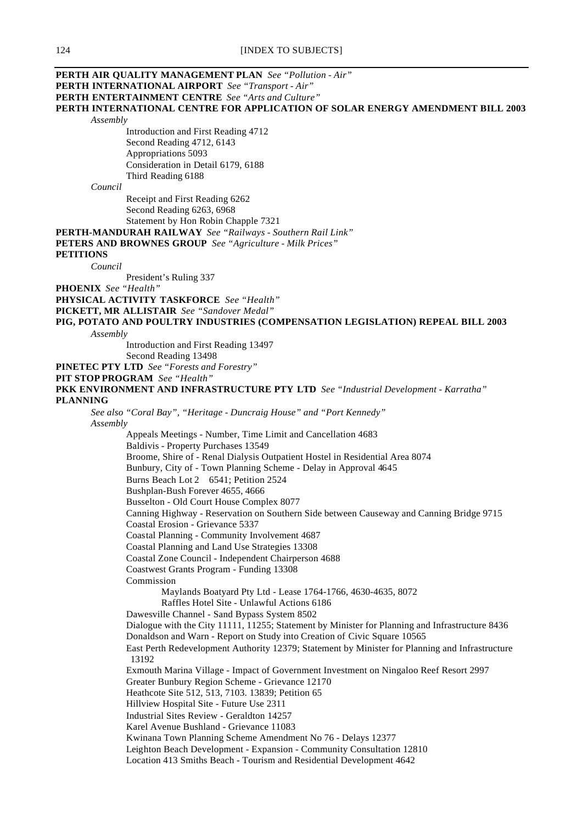| PERTH AIR QUALITY MANAGEMENT PLAN See "Pollution - Air"                                                                                         |  |
|-------------------------------------------------------------------------------------------------------------------------------------------------|--|
| <b>PERTH INTERNATIONAL AIRPORT</b> See "Transport - Air"                                                                                        |  |
| <b>PERTH ENTERTAINMENT CENTRE</b> See "Arts and Culture"                                                                                        |  |
| PERTH INTERNATIONAL CENTRE FOR APPLICATION OF SOLAR ENERGY AMENDMENT BILL 2003                                                                  |  |
| Assembly                                                                                                                                        |  |
| Introduction and First Reading 4712                                                                                                             |  |
| Second Reading 4712, 6143                                                                                                                       |  |
| Appropriations 5093                                                                                                                             |  |
| Consideration in Detail 6179, 6188<br>Third Reading 6188                                                                                        |  |
| Council                                                                                                                                         |  |
| Receipt and First Reading 6262                                                                                                                  |  |
| Second Reading 6263, 6968                                                                                                                       |  |
| Statement by Hon Robin Chapple 7321                                                                                                             |  |
| PERTH-MANDURAH RAILWAY See "Railways - Southern Rail Link"                                                                                      |  |
| <b>PETERS AND BROWNES GROUP</b> See "Agriculture - Milk Prices"                                                                                 |  |
| <b>PETITIONS</b>                                                                                                                                |  |
| Council                                                                                                                                         |  |
| President's Ruling 337                                                                                                                          |  |
| <b>PHOENIX</b> See "Health"                                                                                                                     |  |
| <b>PHYSICAL ACTIVITY TASKFORCE</b> See "Health"                                                                                                 |  |
| PICKETT, MR ALLISTAIR See "Sandover Medal"                                                                                                      |  |
| PIG, POTATO AND POULTRY INDUSTRIES (COMPENSATION LEGISLATION) REPEAL BILL 2003                                                                  |  |
| Assembly                                                                                                                                        |  |
| Introduction and First Reading 13497                                                                                                            |  |
| Second Reading 13498                                                                                                                            |  |
| PINETEC PTY LTD See "Forests and Forestry"                                                                                                      |  |
| <b>PIT STOP PROGRAM</b> See "Health"                                                                                                            |  |
| PKK ENVIRONMENT AND INFRASTRUCTURE PTY LTD See "Industrial Development - Karratha"<br><b>PLANNING</b>                                           |  |
| See also "Coral Bay", "Heritage - Duncraig House" and "Port Kennedy"                                                                            |  |
| Assembly                                                                                                                                        |  |
| Appeals Meetings - Number, Time Limit and Cancellation 4683                                                                                     |  |
| Baldivis - Property Purchases 13549                                                                                                             |  |
| Broome, Shire of - Renal Dialysis Outpatient Hostel in Residential Area 8074                                                                    |  |
| Bunbury, City of - Town Planning Scheme - Delay in Approval 4645                                                                                |  |
| Burns Beach Lot 2 6541; Petition 2524                                                                                                           |  |
| Bushplan-Bush Forever 4655, 4666                                                                                                                |  |
| Busselton - Old Court House Complex 8077                                                                                                        |  |
| Canning Highway - Reservation on Southern Side between Causeway and Canning Bridge 9715                                                         |  |
| Coastal Erosion - Grievance 5337                                                                                                                |  |
| Coastal Planning - Community Involvement 4687                                                                                                   |  |
| Coastal Planning and Land Use Strategies 13308                                                                                                  |  |
| Coastal Zone Council - Independent Chairperson 4688                                                                                             |  |
| Coastwest Grants Program - Funding 13308                                                                                                        |  |
| Commission                                                                                                                                      |  |
| Maylands Boatyard Pty Ltd - Lease 1764-1766, 4630-4635, 8072                                                                                    |  |
| Raffles Hotel Site - Unlawful Actions 6186                                                                                                      |  |
| Dawesville Channel - Sand Bypass System 8502<br>Dialogue with the City 11111, 11255; Statement by Minister for Planning and Infrastructure 8436 |  |
| Donaldson and Warn - Report on Study into Creation of Civic Square 10565                                                                        |  |
| East Perth Redevelopment Authority 12379; Statement by Minister for Planning and Infrastructure                                                 |  |
| 13192                                                                                                                                           |  |
| Exmouth Marina Village - Impact of Government Investment on Ningaloo Reef Resort 2997                                                           |  |
| Greater Bunbury Region Scheme - Grievance 12170                                                                                                 |  |
| Heathcote Site 512, 513, 7103. 13839; Petition 65                                                                                               |  |
| Hillview Hospital Site - Future Use 2311                                                                                                        |  |
| Industrial Sites Review - Geraldton 14257                                                                                                       |  |
| Karel Avenue Bushland - Grievance 11083                                                                                                         |  |
| Kwinana Town Planning Scheme Amendment No 76 - Delays 12377                                                                                     |  |
| Leighton Beach Development - Expansion - Community Consultation 12810                                                                           |  |
| Location 413 Smiths Beach - Tourism and Residential Development 4642                                                                            |  |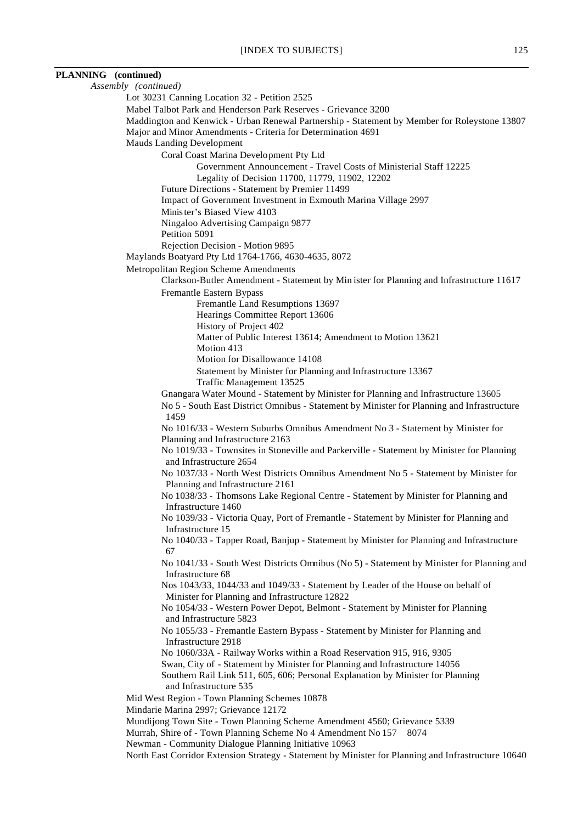| PLANNING (continued) |                                                                                                                                  |
|----------------------|----------------------------------------------------------------------------------------------------------------------------------|
|                      | Assembly (continued)                                                                                                             |
|                      | Lot 30231 Canning Location 32 - Petition 2525                                                                                    |
|                      | Mabel Talbot Park and Henderson Park Reserves - Grievance 3200                                                                   |
|                      | Maddington and Kenwick - Urban Renewal Partnership - Statement by Member for Roleystone 13807                                    |
|                      | Major and Minor Amendments - Criteria for Determination 4691                                                                     |
|                      | <b>Mauds Landing Development</b>                                                                                                 |
|                      | Coral Coast Marina Development Pty Ltd<br>Government Announcement - Travel Costs of Ministerial Staff 12225                      |
|                      | Legality of Decision 11700, 11779, 11902, 12202                                                                                  |
|                      | Future Directions - Statement by Premier 11499                                                                                   |
|                      | Impact of Government Investment in Exmouth Marina Village 2997                                                                   |
|                      | Minister's Biased View 4103                                                                                                      |
|                      | Ningaloo Advertising Campaign 9877                                                                                               |
|                      | Petition 5091                                                                                                                    |
|                      | Rejection Decision - Motion 9895                                                                                                 |
|                      | Maylands Boatyard Pty Ltd 1764-1766, 4630-4635, 8072                                                                             |
|                      | Metropolitan Region Scheme Amendments                                                                                            |
|                      | Clarkson-Butler Amendment - Statement by Min ister for Planning and Infrastructure 11617                                         |
|                      | Fremantle Eastern Bypass                                                                                                         |
|                      | Fremantle Land Resumptions 13697<br>Hearings Committee Report 13606                                                              |
|                      | History of Project 402                                                                                                           |
|                      | Matter of Public Interest 13614; Amendment to Motion 13621                                                                       |
|                      | Motion 413                                                                                                                       |
|                      | Motion for Disallowance 14108                                                                                                    |
|                      | Statement by Minister for Planning and Infrastructure 13367                                                                      |
|                      | Traffic Management 13525                                                                                                         |
|                      | Gnangara Water Mound - Statement by Minister for Planning and Infrastructure 13605                                               |
|                      | No 5 - South East District Omnibus - Statement by Minister for Planning and Infrastructure<br>1459                               |
|                      | No 1016/33 - Western Suburbs Omnibus Amendment No 3 - Statement by Minister for<br>Planning and Infrastructure 2163              |
|                      | No 1019/33 - Townsites in Stoneville and Parkerville - Statement by Minister for Planning<br>and Infrastructure 2654             |
|                      | No 1037/33 - North West Districts Omnibus Amendment No 5 - Statement by Minister for<br>Planning and Infrastructure 2161         |
|                      | No 1038/33 - Thomsons Lake Regional Centre - Statement by Minister for Planning and<br>Infrastructure 1460                       |
|                      | No 1039/33 - Victoria Quay, Port of Fremantle - Statement by Minister for Planning and<br>Infrastructure 15                      |
|                      | No 1040/33 - Tapper Road, Banjup - Statement by Minister for Planning and Infrastructure<br>67                                   |
|                      | No 1041/33 - South West Districts Omnibus (No 5) - Statement by Minister for Planning and<br>Infrastructure 68                   |
|                      | Nos 1043/33, 1044/33 and 1049/33 - Statement by Leader of the House on behalf of                                                 |
|                      | Minister for Planning and Infrastructure 12822<br>No 1054/33 - Western Power Depot, Belmont - Statement by Minister for Planning |
|                      | and Infrastructure 5823                                                                                                          |
|                      | No 1055/33 - Fremantle Eastern Bypass - Statement by Minister for Planning and<br>Infrastructure 2918                            |
|                      | No 1060/33A - Railway Works within a Road Reservation 915, 916, 9305                                                             |
|                      | Swan, City of - Statement by Minister for Planning and Infrastructure 14056                                                      |
|                      | Southern Rail Link 511, 605, 606; Personal Explanation by Minister for Planning                                                  |
|                      | and Infrastructure 535                                                                                                           |
|                      | Mid West Region - Town Planning Schemes 10878                                                                                    |
|                      | Mindarie Marina 2997; Grievance 12172                                                                                            |
|                      | Mundijong Town Site - Town Planning Scheme Amendment 4560; Grievance 5339                                                        |
|                      | Murrah, Shire of - Town Planning Scheme No 4 Amendment No 157<br>8074                                                            |
|                      | Newman - Community Dialogue Planning Initiative 10963                                                                            |
|                      | North East Corridor Extension Strategy - Statement by Minister for Planning and Infrastructure 10640                             |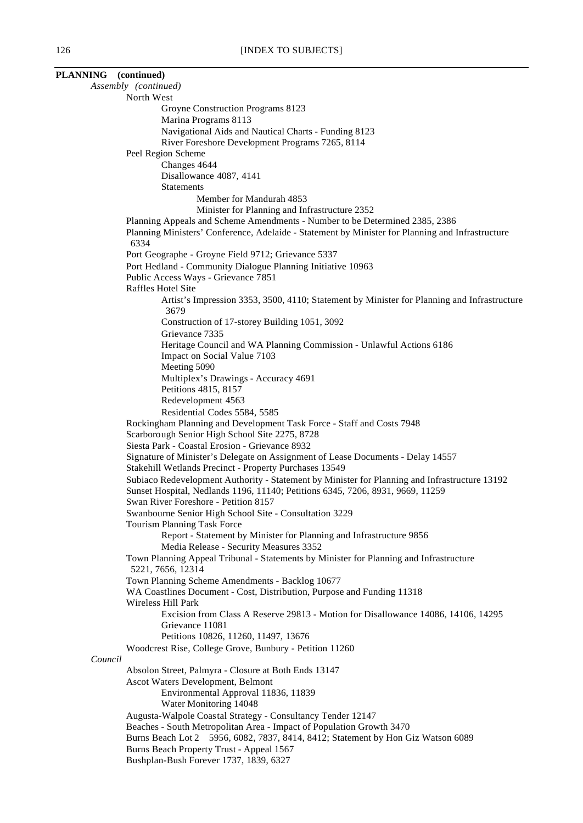| PLANNING (continued)              |                                                                                                                                           |
|-----------------------------------|-------------------------------------------------------------------------------------------------------------------------------------------|
| Assembly (continued)              |                                                                                                                                           |
|                                   | North West                                                                                                                                |
| Groyne Construction Programs 8123 |                                                                                                                                           |
|                                   | Marina Programs 8113<br>Navigational Aids and Nautical Charts - Funding 8123                                                              |
|                                   | River Foreshore Development Programs 7265, 8114                                                                                           |
|                                   | Peel Region Scheme                                                                                                                        |
|                                   | Changes 4644                                                                                                                              |
|                                   | Disallowance 4087, 4141                                                                                                                   |
|                                   | <b>Statements</b>                                                                                                                         |
|                                   | Member for Mandurah 4853                                                                                                                  |
|                                   | Minister for Planning and Infrastructure 2352<br>Planning Appeals and Scheme Amendments - Number to be Determined 2385, 2386              |
|                                   | Planning Ministers' Conference, Adelaide - Statement by Minister for Planning and Infrastructure                                          |
|                                   | 6334                                                                                                                                      |
|                                   | Port Geographe - Groyne Field 9712; Grievance 5337                                                                                        |
|                                   | Port Hedland - Community Dialogue Planning Initiative 10963                                                                               |
|                                   | Public Access Ways - Grievance 7851                                                                                                       |
|                                   | Raffles Hotel Site                                                                                                                        |
|                                   | Artist's Impression 3353, 3500, 4110; Statement by Minister for Planning and Infrastructure<br>3679                                       |
|                                   | Construction of 17-storey Building 1051, 3092                                                                                             |
|                                   | Grievance 7335                                                                                                                            |
|                                   | Heritage Council and WA Planning Commission - Unlawful Actions 6186                                                                       |
|                                   | Impact on Social Value 7103                                                                                                               |
|                                   | Meeting 5090                                                                                                                              |
|                                   | Multiplex's Drawings - Accuracy 4691<br>Petitions 4815, 8157                                                                              |
|                                   | Redevelopment 4563                                                                                                                        |
|                                   | Residential Codes 5584, 5585                                                                                                              |
|                                   | Rockingham Planning and Development Task Force - Staff and Costs 7948                                                                     |
|                                   | Scarborough Senior High School Site 2275, 8728                                                                                            |
|                                   | Siesta Park - Coastal Erosion - Grievance 8932                                                                                            |
|                                   | Signature of Minister's Delegate on Assignment of Lease Documents - Delay 14557<br>Stakehill Wetlands Precinct - Property Purchases 13549 |
|                                   | Subiaco Redevelopment Authority - Statement by Minister for Planning and Infrastructure 13192                                             |
|                                   | Sunset Hospital, Nedlands 1196, 11140; Petitions 6345, 7206, 8931, 9669, 11259                                                            |
|                                   | Swan River Foreshore - Petition 8157                                                                                                      |
|                                   | Swanbourne Senior High School Site - Consultation 3229                                                                                    |
|                                   | Tourism Planning Task Force                                                                                                               |
|                                   | Report - Statement by Minister for Planning and Infrastructure 9856<br>Media Release - Security Measures 3352                             |
|                                   | Town Planning Appeal Tribunal - Statements by Minister for Planning and Infrastructure                                                    |
|                                   | 5221, 7656, 12314                                                                                                                         |
|                                   | Town Planning Scheme Amendments - Backlog 10677                                                                                           |
|                                   | WA Coastlines Document - Cost, Distribution, Purpose and Funding 11318                                                                    |
|                                   | Wireless Hill Park                                                                                                                        |
|                                   | Excision from Class A Reserve 29813 - Motion for Disallowance 14086, 14106, 14295<br>Grievance 11081                                      |
|                                   | Petitions 10826, 11260, 11497, 13676                                                                                                      |
|                                   | Woodcrest Rise, College Grove, Bunbury - Petition 11260                                                                                   |
| Council                           |                                                                                                                                           |
|                                   | Absolon Street, Palmyra - Closure at Both Ends 13147                                                                                      |
|                                   | Ascot Waters Development, Belmont                                                                                                         |
|                                   | Environmental Approval 11836, 11839                                                                                                       |
|                                   | Water Monitoring 14048<br>Augusta-Walpole Coastal Strategy - Consultancy Tender 12147                                                     |
|                                   | Beaches - South Metropolitan Area - Impact of Population Growth 3470                                                                      |
|                                   | Burns Beach Lot 2 5956, 6082, 7837, 8414, 8412; Statement by Hon Giz Watson 6089                                                          |
|                                   | Burns Beach Property Trust - Appeal 1567                                                                                                  |
|                                   | Bushplan-Bush Forever 1737, 1839, 6327                                                                                                    |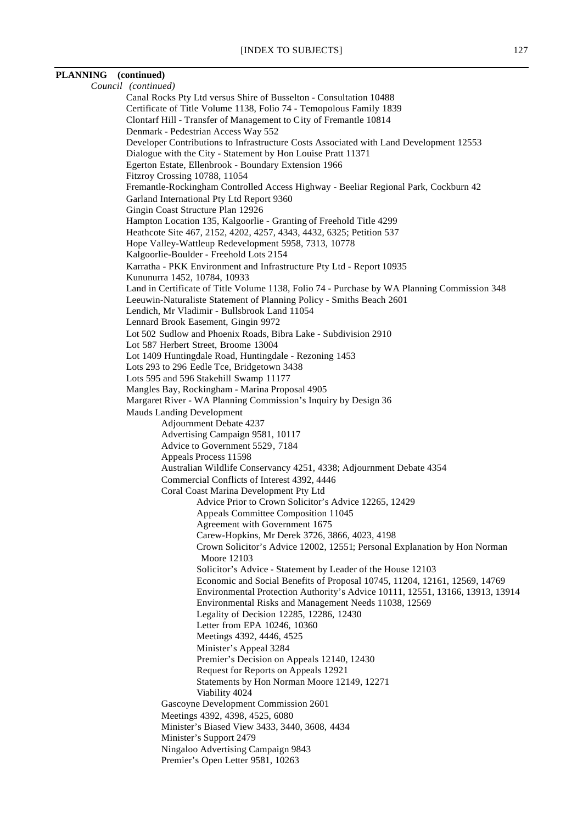# **PLANNING (continued)**

```
Council (continued)
Canal Rocks Pty Ltd versus Shire of Busselton - Consultation 10488
Certificate of Title Volume 1138, Folio 74 - Temopolous Family 1839
Clontarf Hill - Transfer of Management to City of Fremantle 10814
Denmark - Pedestrian Access Way 552
Developer Contributions to Infrastructure Costs Associated with Land Development 12553
Dialogue with the City - Statement by Hon Louise Pratt 11371
Egerton Estate, Ellenbrook - Boundary Extension 1966
Fitzroy Crossing 10788, 11054
Fremantle-Rockingham Controlled Access Highway - Beeliar Regional Park, Cockburn 42
Garland International Pty Ltd Report 9360
Gingin Coast Structure Plan 12926
Hampton Location 135, Kalgoorlie - Granting of Freehold Title 4299
Heathcote Site 467, 2152, 4202, 4257, 4343, 4432, 6325; Petition 537
Hope Valley-Wattleup Redevelopment 5958, 7313, 10778
Kalgoorlie-Boulder - Freehold Lots 2154
Karratha - PKK Environment and Infrastructure Pty Ltd - Report 10935
Kununurra 1452, 10784, 10933
Land in Certificate of Title Volume 1138, Folio 74 - Purchase by WA Planning Commission 348
Leeuwin-Naturaliste Statement of Planning Policy - Smiths Beach 2601
Lendich, Mr Vladimir - Bullsbrook Land 11054
Lennard Brook Easement, Gingin 9972
Lot 502 Sudlow and Phoenix Roads, Bibra Lake - Subdivision 2910
Lot 587 Herbert Street, Broome 13004
Lot 1409 Huntingdale Road, Huntingdale - Rezoning 1453
Lots 293 to 296 Eedle Tce, Bridgetown 3438
Lots 595 and 596 Stakehill Swamp 11177
Mangles Bay, Rockingham - Marina Proposal 4905
Margaret River - WA Planning Commission's Inquiry by Design 36
Mauds Landing Development
        Adjournment Debate 4237
        Advertising Campaign 9581, 10117
        Advice to Government 5529, 7184
        Appeals Process 11598
        Australian Wildlife Conservancy 4251, 4338; Adjournment Debate 4354
        Commercial Conflicts of Interest 4392, 4446
        Coral Coast Marina Development Pty Ltd
                 Advice Prior to Crown Solicitor's Advice 12265, 12429
                 Appeals Committee Composition 11045
                 Agreement with Government 1675
                 Carew-Hopkins, Mr Derek 3726, 3866, 4023, 4198
                 Crown Solicitor's Advice 12002, 12551; Personal Explanation by Hon Norman
                   Moore 12103
                 Solicitor's Advice - Statement by Leader of the House 12103
                 Economic and Social Benefits of Proposal 10745, 11204, 12161, 12569, 14769
                 Environmental Protection Authority's Advice 10111, 12551, 13166, 13913, 13914
                 Environmental Risks and Management Needs 11038, 12569
                 Legality of Decision 12285, 12286, 12430
                 Letter from EPA 10246, 10360
                 Meetings 4392, 4446, 4525
                 Minister's Appeal 3284
                 Premier's Decision on Appeals 12140, 12430
                 Request for Reports on Appeals 12921
                 Statements by Hon Norman Moore 12149, 12271
                 Viability 4024
        Gascoyne Development Commission 2601
        Meetings 4392, 4398, 4525, 6080
        Minister's Biased View 3433, 3440, 3608, 4434
        Minister's Support 2479
        Ningaloo Advertising Campaign 9843
        Premier's Open Letter 9581, 10263
```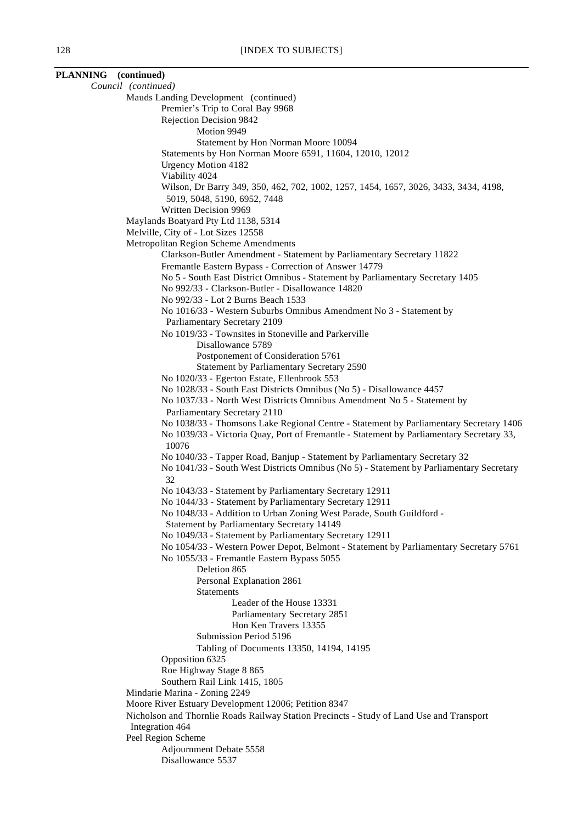|  | Council (continued)                                                                           |
|--|-----------------------------------------------------------------------------------------------|
|  | Mauds Landing Development (continued)                                                         |
|  | Premier's Trip to Coral Bay 9968                                                              |
|  | Rejection Decision 9842                                                                       |
|  | Motion 9949                                                                                   |
|  | Statement by Hon Norman Moore 10094                                                           |
|  | Statements by Hon Norman Moore 6591, 11604, 12010, 12012                                      |
|  | <b>Urgency Motion 4182</b>                                                                    |
|  | Viability 4024                                                                                |
|  | Wilson, Dr Barry 349, 350, 462, 702, 1002, 1257, 1454, 1657, 3026, 3433, 3434, 4198,          |
|  | 5019, 5048, 5190, 6952, 7448                                                                  |
|  | Written Decision 9969                                                                         |
|  | Maylands Boatyard Pty Ltd 1138, 5314                                                          |
|  | Melville, City of - Lot Sizes 12558                                                           |
|  | Metropolitan Region Scheme Amendments                                                         |
|  | Clarkson-Butler Amendment - Statement by Parliamentary Secretary 11822                        |
|  | Fremantle Eastern Bypass - Correction of Answer 14779                                         |
|  | No 5 - South East District Omnibus - Statement by Parliamentary Secretary 1405                |
|  | No 992/33 - Clarkson-Butler - Disallowance 14820                                              |
|  | No 992/33 - Lot 2 Burns Beach 1533                                                            |
|  | No 1016/33 - Western Suburbs Omnibus Amendment No 3 - Statement by                            |
|  | Parliamentary Secretary 2109                                                                  |
|  | No 1019/33 - Townsites in Stoneville and Parkerville<br>Disallowance 5789                     |
|  | Postponement of Consideration 5761                                                            |
|  | Statement by Parliamentary Secretary 2590                                                     |
|  | No 1020/33 - Egerton Estate, Ellenbrook 553                                                   |
|  | No 1028/33 - South East Districts Omnibus (No 5) - Disallowance 4457                          |
|  | No 1037/33 - North West Districts Omnibus Amendment No 5 - Statement by                       |
|  | Parliamentary Secretary 2110                                                                  |
|  | No 1038/33 - Thomsons Lake Regional Centre - Statement by Parliamentary Secretary 1406        |
|  | No 1039/33 - Victoria Quay, Port of Fremantle - Statement by Parliamentary Secretary 33,      |
|  | 10076                                                                                         |
|  | No 1040/33 - Tapper Road, Banjup - Statement by Parliamentary Secretary 32                    |
|  | No 1041/33 - South West Districts Omnibus (No 5) - Statement by Parliamentary Secretary<br>32 |
|  | No 1043/33 - Statement by Parliamentary Secretary 12911                                       |
|  | No 1044/33 - Statement by Parliamentary Secretary 12911                                       |
|  | No 1048/33 - Addition to Urban Zoning West Parade, South Guildford -                          |
|  | Statement by Parliamentary Secretary 14149                                                    |
|  | No 1049/33 - Statement by Parliamentary Secretary 12911                                       |
|  | No 1054/33 - Western Power Depot, Belmont - Statement by Parliamentary Secretary 5761         |
|  | No 1055/33 - Fremantle Eastern Bypass 5055                                                    |
|  | Deletion 865                                                                                  |
|  | Personal Explanation 2861                                                                     |
|  | <b>Statements</b><br>Leader of the House 13331                                                |
|  |                                                                                               |
|  | Parliamentary Secretary 2851<br>Hon Ken Travers 13355                                         |
|  | Submission Period 5196                                                                        |
|  | Tabling of Documents 13350, 14194, 14195                                                      |
|  | Opposition 6325                                                                               |
|  | Roe Highway Stage 8 865                                                                       |
|  | Southern Rail Link 1415, 1805                                                                 |
|  | Mindarie Marina - Zoning 2249                                                                 |
|  | Moore River Estuary Development 12006; Petition 8347                                          |
|  | Nicholson and Thornlie Roads Railway Station Precincts - Study of Land Use and Transport      |
|  | Integration 464                                                                               |
|  | Peel Region Scheme                                                                            |
|  | Adjournment Debate 5558                                                                       |
|  | Disallowance 5537                                                                             |

**PLANNING (continued)**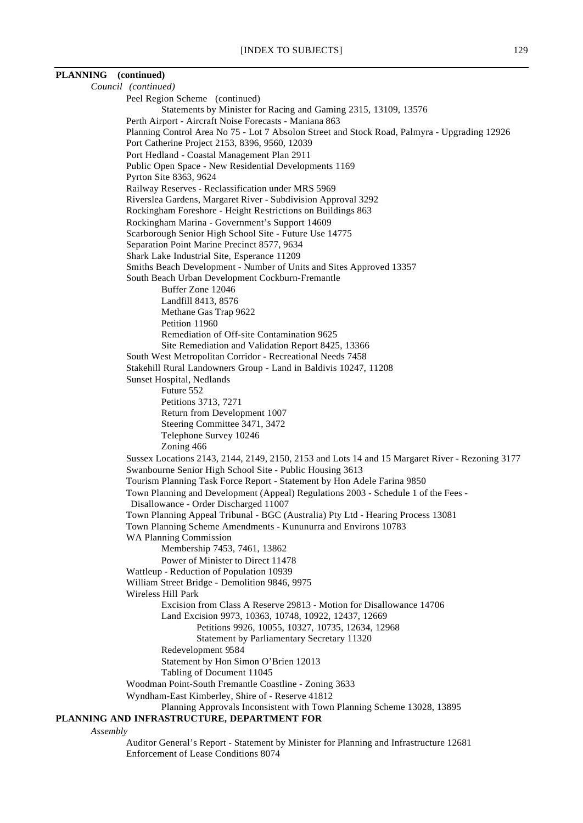# *Council (continued)* Peel Region Scheme (continued) Statements by Minister for Racing and Gaming 2315, 13109, 13576 Perth Airport - Aircraft Noise Forecasts - Maniana 863 Planning Control Area No 75 - Lot 7 Absolon Street and Stock Road, Palmyra - Upgrading 12926 Port Catherine Project 2153, 8396, 9560, 12039 Port Hedland - Coastal Management Plan 2911 Public Open Space - New Residential Developments 1169 Pyrton Site 8363, 9624 Railway Reserves - Reclassification under MRS 5969 Riverslea Gardens, Margaret River - Subdivision Approval 3292 Rockingham Foreshore - Height Restrictions on Buildings 863 Rockingham Marina - Government's Support 14609 Scarborough Senior High School Site - Future Use 14775 Separation Point Marine Precinct 8577, 9634 Shark Lake Industrial Site, Esperance 11209 Smiths Beach Development - Number of Units and Sites Approved 13357 South Beach Urban Development Cockburn-Fremantle Buffer Zone 12046 Landfill 8413, 8576 Methane Gas Trap 9622 Petition 11960 Remediation of Off-site Contamination 9625 Site Remediation and Validation Report 8425, 13366 South West Metropolitan Corridor - Recreational Needs 7458 Stakehill Rural Landowners Group - Land in Baldivis 10247, 11208 Sunset Hospital, Nedlands Future 552 Petitions 3713, 7271 Return from Development 1007

**PLANNING (continued)**

Steering Committee 3471, 3472 Telephone Survey 10246 Zoning 466 Sussex Locations 2143, 2144, 2149, 2150, 2153 and Lots 14 and 15 Margaret River - Rezoning 3177 Swanbourne Senior High School Site - Public Housing 3613 Tourism Planning Task Force Report - Statement by Hon Adele Farina 9850 Town Planning and Development (Appeal) Regulations 2003 - Schedule 1 of the Fees - Disallowance - Order Discharged 11007 Town Planning Appeal Tribunal - BGC (Australia) Pty Ltd - Hearing Process 13081 Town Planning Scheme Amendments - Kununurra and Environs 10783 WA Planning Commission Membership 7453, 7461, 13862 Power of Minister to Direct 11478 Wattleup - Reduction of Population 10939 William Street Bridge - Demolition 9846, 9975 Wireless Hill Park Excision from Class A Reserve 29813 - Motion for Disallowance 14706 Land Excision 9973, 10363, 10748, 10922, 12437, 12669 Petitions 9926, 10055, 10327, 10735, 12634, 12968 Statement by Parliamentary Secretary 11320 Redevelopment 9584 Statement by Hon Simon O'Brien 12013 Tabling of Document 11045 Woodman Point-South Fremantle Coastline - Zoning 3633 Wyndham-East Kimberley, Shire of - Reserve 41812 Planning Approvals Inconsistent with Town Planning Scheme 13028, 13895

# **PLANNING AND INFRASTRUCTURE, DEPARTMENT FOR**

*Assembly*

Auditor General's Report - Statement by Minister for Planning and Infrastructure 12681 Enforcement of Lease Conditions 8074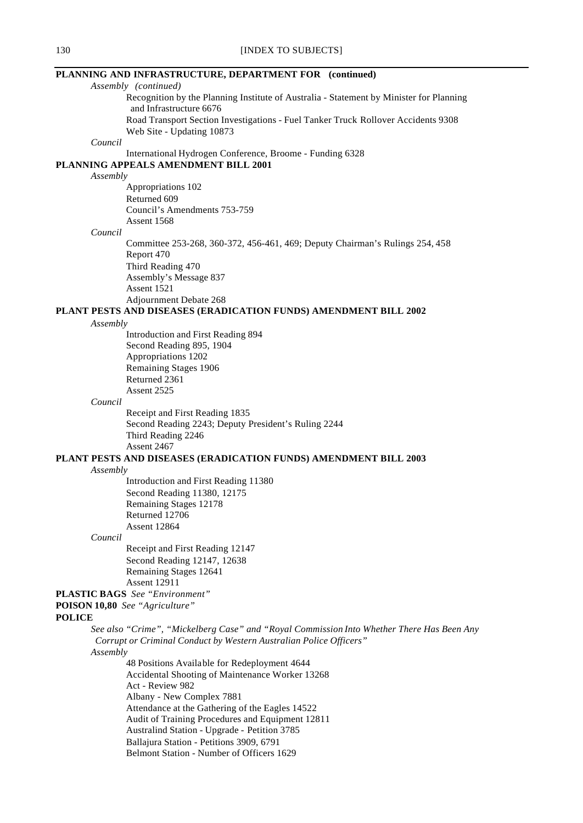# **PLANNING AND INFRASTRUCTURE, DEPARTMENT FOR (continued)**

*Assembly (continued)* Recognition by the Planning Institute of Australia - Statement by Minister for Planning and Infrastructure 6676 Road Transport Section Investigations - Fuel Tanker Truck Rollover Accidents 9308 Web Site - Updating 10873 *Council* International Hydrogen Conference, Broome - Funding 6328 **PLANNING APPEALS AMENDMENT BILL 2001** *Assembly* Appropriations 102 Returned 609 Council's Amendments 753-759 Assent 1568 *Council* Committee 253-268, 360-372, 456-461, 469; Deputy Chairman's Rulings 254, 458 Report 470 Third Reading 470 Assembly's Message 837 Assent 1521 Adjournment Debate 268 **PLANT PESTS AND DISEASES (ERADICATION FUNDS) AMENDMENT BILL 2002** *Assembly* Introduction and First Reading 894 Second Reading 895, 1904 Appropriations 1202 Remaining Stages 1906 Returned 2361 Assent 2525 *Council* Receipt and First Reading 1835 Second Reading 2243; Deputy President's Ruling 2244 Third Reading 2246 Assent 2467 **PLANT PESTS AND DISEASES (ERADICATION FUNDS) AMENDMENT BILL 2003** *Assembly* Introduction and First Reading 11380 Second Reading 11380, 12175 Remaining Stages 12178 Returned 12706 Assent 12864 *Council* Receipt and First Reading 12147 Second Reading 12147, 12638 Remaining Stages 12641 Assent 12911 **PLASTIC BAGS** *See "Environment"* **POISON 10,80** *See "Agriculture"* **POLICE** *See also "Crime", "Mickelberg Case" and "Royal Commission Into Whether There Has Been Any Corrupt or Criminal Conduct by Western Australian Police Officers" Assembly* 48 Positions Available for Redeployment 4644 Accidental Shooting of Maintenance Worker 13268 Act - Review 982 Albany - New Complex 7881 Attendance at the Gathering of the Eagles 14522 Audit of Training Procedures and Equipment 12811 Australind Station - Upgrade - Petition 3785 Ballajura Station - Petitions 3909, 6791 Belmont Station - Number of Officers 1629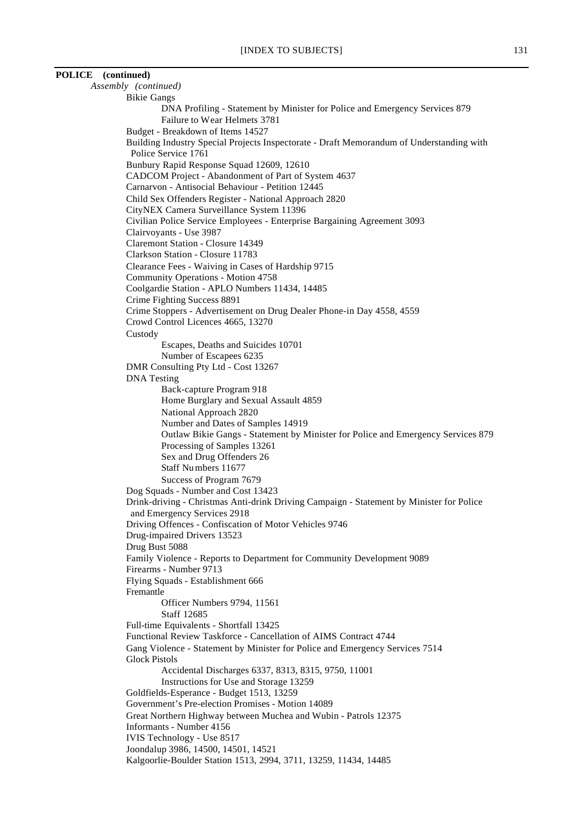# **POLICE (continued)**

*Assembly (continued)* Bikie Gangs DNA Profiling - Statement by Minister for Police and Emergency Services 879 Failure to Wear Helmets 3781 Budget - Breakdown of Items 14527 Building Industry Special Projects Inspectorate - Draft Memorandum of Understanding with Police Service 1761 Bunbury Rapid Response Squad 12609, 12610 CADCOM Project - Abandonment of Part of System 4637 Carnarvon - Antisocial Behaviour - Petition 12445 Child Sex Offenders Register - National Approach 2820 CityNEX Camera Surveillance System 11396 Civilian Police Service Employees - Enterprise Bargaining Agreement 3093 Clairvoyants - Use 3987 Claremont Station - Closure 14349 Clarkson Station - Closure 11783 Clearance Fees - Waiving in Cases of Hardship 9715 Community Operations - Motion 4758 Coolgardie Station - APLO Numbers 11434, 14485 Crime Fighting Success 8891 Crime Stoppers - Advertisement on Drug Dealer Phone-in Day 4558, 4559 Crowd Control Licences 4665, 13270 Custody Escapes, Deaths and Suicides 10701 Number of Escapees 6235 DMR Consulting Pty Ltd - Cost 13267 DNA Testing Back-capture Program 918 Home Burglary and Sexual Assault 4859 National Approach 2820 Number and Dates of Samples 14919 Outlaw Bikie Gangs - Statement by Minister for Police and Emergency Services 879 Processing of Samples 13261 Sex and Drug Offenders 26 Staff Numbers 11677 Success of Program 7679 Dog Squads - Number and Cost 13423 Drink-driving - Christmas Anti-drink Driving Campaign - Statement by Minister for Police and Emergency Services 2918 Driving Offences - Confiscation of Motor Vehicles 9746 Drug-impaired Drivers 13523 Drug Bust 5088 Family Violence - Reports to Department for Community Development 9089 Firearms - Number 9713 Flying Squads - Establishment 666 Fremantle Officer Numbers 9794, 11561 Staff 12685 Full-time Equivalents - Shortfall 13425 Functional Review Taskforce - Cancellation of AIMS Contract 4744 Gang Violence - Statement by Minister for Police and Emergency Services 7514 Glock Pistols Accidental Discharges 6337, 8313, 8315, 9750, 11001 Instructions for Use and Storage 13259 Goldfields-Esperance - Budget 1513, 13259 Government's Pre-election Promises - Motion 14089 Great Northern Highway between Muchea and Wubin - Patrols 12375 Informants - Number 4156 IVIS Technology - Use 8517 Joondalup 3986, 14500, 14501, 14521 Kalgoorlie-Boulder Station 1513, 2994, 3711, 13259, 11434, 14485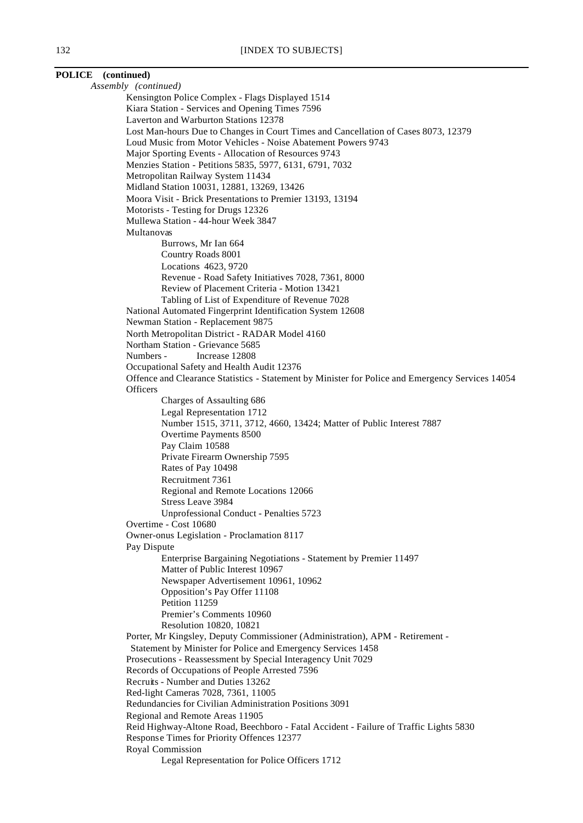# **POLICE (continued)** *Assembly (continued)* Kensington Police Complex - Flags Displayed 1514 Kiara Station - Services and Opening Times 7596 Laverton and Warburton Stations 12378

Lost Man-hours Due to Changes in Court Times and Cancellation of Cases 8073, 12379 Loud Music from Motor Vehicles - Noise Abatement Powers 9743 Major Sporting Events - Allocation of Resources 9743 Menzies Station - Petitions 5835, 5977, 6131, 6791, 7032 Metropolitan Railway System 11434 Midland Station 10031, 12881, 13269, 13426 Moora Visit - Brick Presentations to Premier 13193, 13194 Motorists - Testing for Drugs 12326 Mullewa Station - 44-hour Week 3847 Multanovas Burrows, Mr Ian 664 Country Roads 8001 Locations 4623, 9720 Revenue - Road Safety Initiatives 7028, 7361, 8000 Review of Placement Criteria - Motion 13421 Tabling of List of Expenditure of Revenue 7028 National Automated Fingerprint Identification System 12608 Newman Station - Replacement 9875 North Metropolitan District - RADAR Model 4160 Northam Station - Grievance 5685 Numbers - Increase 12808 Occupational Safety and Health Audit 12376 Offence and Clearance Statistics - Statement by Minister for Police and Emergency Services 14054 **Officers** Charges of Assaulting 686 Legal Representation 1712 Number 1515, 3711, 3712, 4660, 13424; Matter of Public Interest 7887 Overtime Payments 8500 Pay Claim 10588 Private Firearm Ownership 7595 Rates of Pay 10498 Recruitment 7361 Regional and Remote Locations 12066 Stress Leave 3984 Unprofessional Conduct - Penalties 5723 Overtime - Cost 10680 Owner-onus Legislation - Proclamation 8117 Pay Dispute Enterprise Bargaining Negotiations - Statement by Premier 11497 Matter of Public Interest 10967 Newspaper Advertisement 10961, 10962 Opposition's Pay Offer 11108 Petition 11259 Premier's Comments 10960 Resolution 10820, 10821 Porter, Mr Kingsley, Deputy Commissioner (Administration), APM - Retirement - Statement by Minister for Police and Emergency Services 1458 Prosecutions - Reassessment by Special Interagency Unit 7029 Records of Occupations of People Arrested 7596 Recruits - Number and Duties 13262 Red-light Cameras 7028, 7361, 11005 Redundancies for Civilian Administration Positions 3091 Regional and Remote Areas 11905 Reid Highway-Altone Road, Beechboro - Fatal Accident - Failure of Traffic Lights 5830 Response Times for Priority Offences 12377 Royal Commission

Legal Representation for Police Officers 1712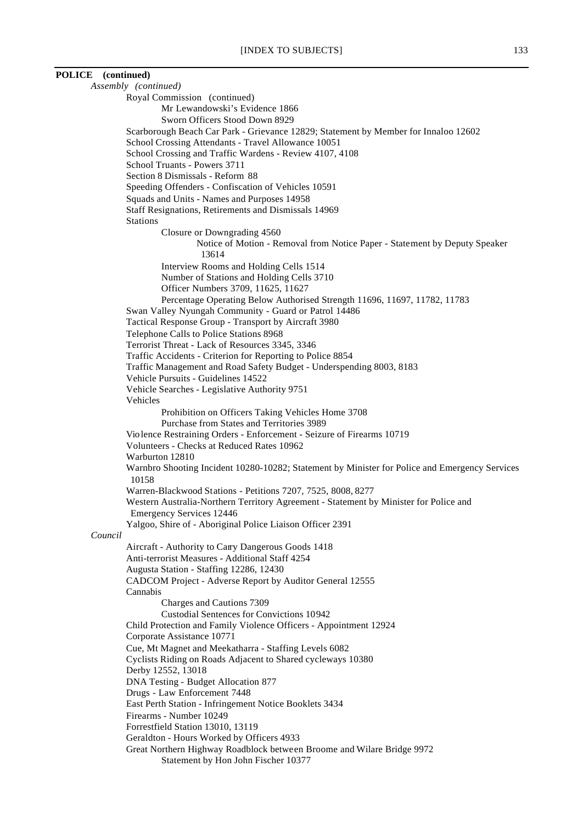# **POLICE (continued)**

*Assembly (continued)* Royal Commission (continued) Mr Lewandowski's Evidence 1866 Sworn Officers Stood Down 8929 Scarborough Beach Car Park - Grievance 12829; Statement by Member for Innaloo 12602 School Crossing Attendants - Travel Allowance 10051 School Crossing and Traffic Wardens - Review 4107, 4108 School Truants - Powers 3711 Section 8 Dismissals - Reform 88 Speeding Offenders - Confiscation of Vehicles 10591 Squads and Units - Names and Purposes 14958 Staff Resignations, Retirements and Dismissals 14969 Stations Closure or Downgrading 4560 Notice of Motion - Removal from Notice Paper - Statement by Deputy Speaker 13614 Interview Rooms and Holding Cells 1514 Number of Stations and Holding Cells 3710 Officer Numbers 3709, 11625, 11627 Percentage Operating Below Authorised Strength 11696, 11697, 11782, 11783 Swan Valley Nyungah Community - Guard or Patrol 14486 Tactical Response Group - Transport by Aircraft 3980 Telephone Calls to Police Stations 8968 Terrorist Threat - Lack of Resources 3345, 3346 Traffic Accidents - Criterion for Reporting to Police 8854 Traffic Management and Road Safety Budget - Underspending 8003, 8183 Vehicle Pursuits - Guidelines 14522 Vehicle Searches - Legislative Authority 9751 Vehicles Prohibition on Officers Taking Vehicles Home 3708 Purchase from States and Territories 3989 Violence Restraining Orders - Enforcement - Seizure of Firearms 10719 Volunteers - Checks at Reduced Rates 10962 Warburton 12810 Warnbro Shooting Incident 10280-10282; Statement by Minister for Police and Emergency Services 10158 Warren-Blackwood Stations - Petitions 7207, 7525, 8008, 8277 Western Australia-Northern Territory Agreement - Statement by Minister for Police and Emergency Services 12446 Yalgoo, Shire of - Aboriginal Police Liaison Officer 2391 *Council* Aircraft - Authority to Carry Dangerous Goods 1418 Anti-terrorist Measures - Additional Staff 4254 Augusta Station - Staffing 12286, 12430 CADCOM Project - Adverse Report by Auditor General 12555 Cannabis Charges and Cautions 7309 Custodial Sentences for Convictions 10942 Child Protection and Family Violence Officers - Appointment 12924 Corporate Assistance 10771 Cue, Mt Magnet and Meekatharra - Staffing Levels 6082 Cyclists Riding on Roads Adjacent to Shared cycleways 10380 Derby 12552, 13018 DNA Testing - Budget Allocation 877 Drugs - Law Enforcement 7448 East Perth Station - Infringement Notice Booklets 3434 Firearms - Number 10249 Forrestfield Station 13010, 13119 Geraldton - Hours Worked by Officers 4933 Great Northern Highway Roadblock between Broome and Wilare Bridge 9972 Statement by Hon John Fischer 10377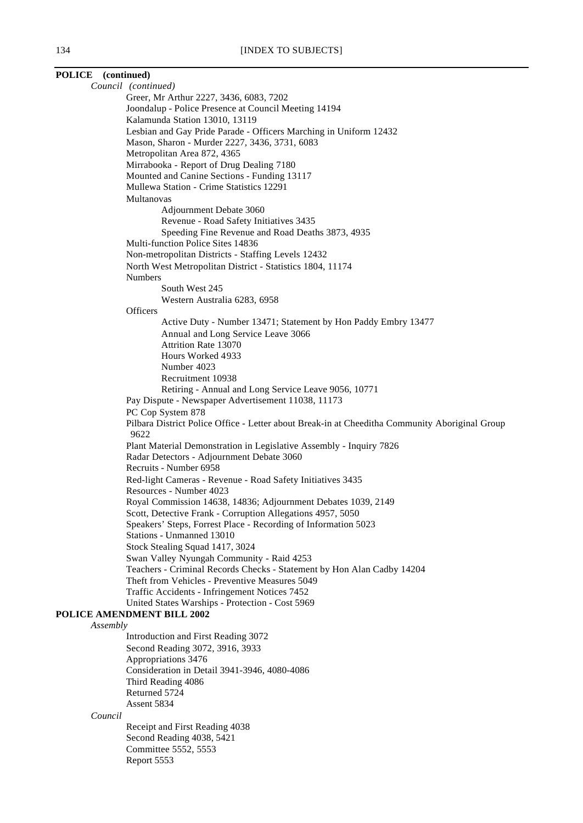# *Council (continued)* Greer, Mr Arthur 2227, 3436, 6083, 7202 Joondalup - Police Presence at Council Meeting 14194 Kalamunda Station 13010, 13119 Multanovas

**POLICE (continued)**

Lesbian and Gay Pride Parade - Officers Marching in Uniform 12432 Mason, Sharon - Murder 2227, 3436, 3731, 6083 Metropolitan Area 872, 4365 Mirrabooka - Report of Drug Dealing 7180 Mounted and Canine Sections - Funding 13117 Mullewa Station - Crime Statistics 12291 Adjournment Debate 3060 Revenue - Road Safety Initiatives 3435 Speeding Fine Revenue and Road Deaths 3873, 4935 Multi-function Police Sites 14836 Non-metropolitan Districts - Staffing Levels 12432 North West Metropolitan District - Statistics 1804, 11174 Numbers South West 245 Western Australia 6283, 6958 **Officers** Active Duty - Number 13471; Statement by Hon Paddy Embry 13477 Annual and Long Service Leave 3066 Attrition Rate 13070 Hours Worked 4933 Number 4023 Recruitment 10938 Retiring - Annual and Long Service Leave 9056, 10771 Pay Dispute - Newspaper Advertisement 11038, 11173 PC Cop System 878 Pilbara District Police Office - Letter about Break-in at Cheeditha Community Aboriginal Group 9622 Plant Material Demonstration in Legislative Assembly - Inquiry 7826 Radar Detectors - Adjournment Debate 3060 Recruits - Number 6958 Red-light Cameras - Revenue - Road Safety Initiatives 3435 Resources - Number 4023 Royal Commission 14638, 14836; Adjournment Debates 1039, 2149 Scott, Detective Frank - Corruption Allegations 4957, 5050 Speakers' Steps, Forrest Place - Recording of Information 5023 Stations - Unmanned 13010 Stock Stealing Squad 1417, 3024 Swan Valley Nyungah Community - Raid 4253 Teachers - Criminal Records Checks - Statement by Hon Alan Cadby 14204 Theft from Vehicles - Preventive Measures 5049 Traffic Accidents - Infringement Notices 7452 United States Warships - Protection - Cost 5969 **POLICE AMENDMENT BILL 2002** *Assembly* Introduction and First Reading 3072 Second Reading 3072, 3916, 3933 Appropriations 3476 Consideration in Detail 3941-3946, 4080-4086 Third Reading 4086 Returned 5724 Assent 5834

*Council*

Receipt and First Reading 4038 Second Reading 4038, 5421 Committee 5552, 5553 Report 5553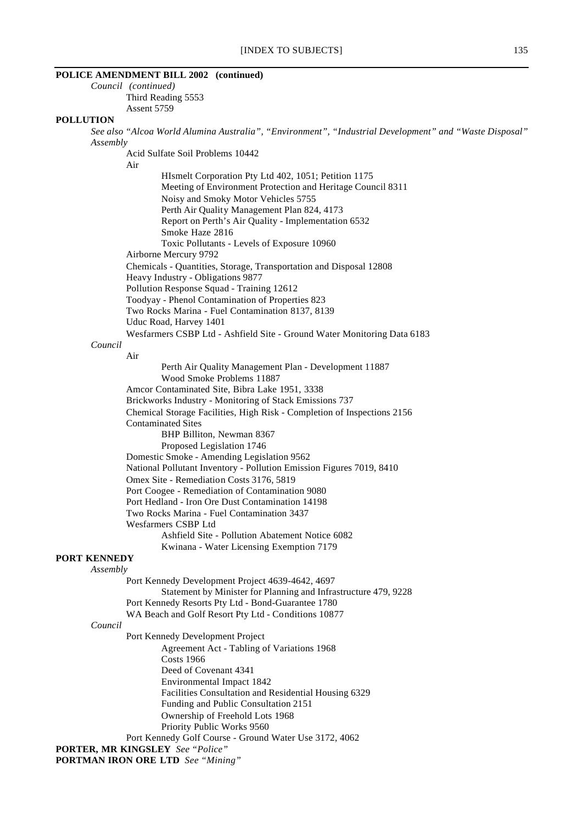# **POLICE AMENDMENT BILL 2002 (continued)**

*Council (continued)* Third Reading 5553 Assent 5759

#### **POLLUTION**

*See also "Alcoa World Alumina Australia", "Environment", "Industrial Development" and "Waste Disposal" Assembly*

Acid Sulfate Soil Problems 10442

Air

HIsmelt Corporation Pty Ltd 402, 1051; Petition 1175 Meeting of Environment Protection and Heritage Council 8311 Noisy and Smoky Motor Vehicles 5755 Perth Air Quality Management Plan 824, 4173 Report on Perth's Air Quality - Implementation 6532 Smoke Haze 2816 Toxic Pollutants - Levels of Exposure 10960 Airborne Mercury 9792 Chemicals - Quantities, Storage, Transportation and Disposal 12808 Heavy Industry - Obligations 9877 Pollution Response Squad - Training 12612 Toodyay - Phenol Contamination of Properties 823 Two Rocks Marina - Fuel Contamination 8137, 8139

Uduc Road, Harvey 1401

Wesfarmers CSBP Ltd - Ashfield Site - Ground Water Monitoring Data 6183

# *Council*

Air Perth Air Quality Management Plan - Development 11887 Wood Smoke Problems 11887 Amcor Contaminated Site, Bibra Lake 1951, 3338 Brickworks Industry - Monitoring of Stack Emissions 737 Chemical Storage Facilities, High Risk - Completion of Inspections 2156 Contaminated Sites BHP Billiton, Newman 8367 Proposed Legislation 1746 Domestic Smoke - Amending Legislation 9562 National Pollutant Inventory - Pollution Emission Figures 7019, 8410 Omex Site - Remediation Costs 3176, 5819 Port Coogee - Remediation of Contamination 9080 Port Hedland - Iron Ore Dust Contamination 14198 Two Rocks Marina - Fuel Contamination 3437 Wesfarmers CSBP Ltd Ashfield Site - Pollution Abatement Notice 6082 Kwinana - Water Licensing Exemption 7179

# **PORT KENNEDY**

*Assembly*

Port Kennedy Development Project 4639-4642, 4697 Statement by Minister for Planning and Infrastructure 479, 9228 Port Kennedy Resorts Pty Ltd - Bond-Guarantee 1780 WA Beach and Golf Resort Pty Ltd - Conditions 10877

#### *Council*

Port Kennedy Development Project Agreement Act - Tabling of Variations 1968 Costs 1966 Deed of Covenant 4341 Environmental Impact 1842 Facilities Consultation and Residential Housing 6329 Funding and Public Consultation 2151 Ownership of Freehold Lots 1968 Priority Public Works 9560 Port Kennedy Golf Course - Ground Water Use 3172, 4062

**PORTER, MR KINGSLEY** *See "Police"* **PORTMAN IRON ORE LTD** *See "Mining"*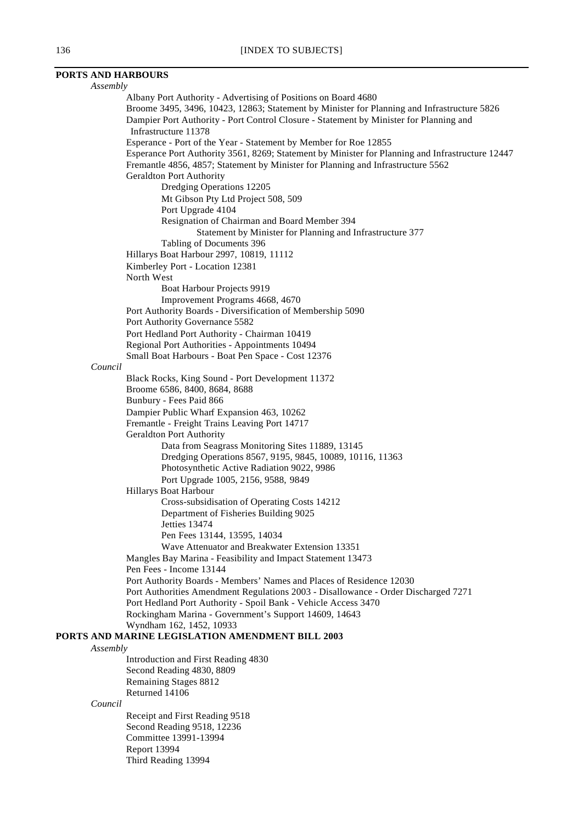# **PORTS AND HARBOURS**

| Assembly |                                                                                                  |  |
|----------|--------------------------------------------------------------------------------------------------|--|
|          | Albany Port Authority - Advertising of Positions on Board 4680                                   |  |
|          | Broome 3495, 3496, 10423, 12863; Statement by Minister for Planning and Infrastructure 5826      |  |
|          | Dampier Port Authority - Port Control Closure - Statement by Minister for Planning and           |  |
|          | Infrastructure 11378                                                                             |  |
|          | Esperance - Port of the Year - Statement by Member for Roe 12855                                 |  |
|          | Esperance Port Authority 3561, 8269; Statement by Minister for Planning and Infrastructure 12447 |  |
|          | Fremantle 4856, 4857; Statement by Minister for Planning and Infrastructure 5562                 |  |
|          | Geraldton Port Authority                                                                         |  |
|          | Dredging Operations 12205                                                                        |  |
|          | Mt Gibson Pty Ltd Project 508, 509                                                               |  |
|          | Port Upgrade 4104                                                                                |  |
|          | Resignation of Chairman and Board Member 394                                                     |  |
|          | Statement by Minister for Planning and Infrastructure 377                                        |  |
|          | Tabling of Documents 396                                                                         |  |
|          | Hillarys Boat Harbour 2997, 10819, 11112                                                         |  |
|          |                                                                                                  |  |
|          | Kimberley Port - Location 12381<br>North West                                                    |  |
|          |                                                                                                  |  |
|          | Boat Harbour Projects 9919                                                                       |  |
|          | Improvement Programs 4668, 4670                                                                  |  |
|          | Port Authority Boards - Diversification of Membership 5090                                       |  |
|          | Port Authority Governance 5582                                                                   |  |
|          | Port Hedland Port Authority - Chairman 10419                                                     |  |
|          | Regional Port Authorities - Appointments 10494                                                   |  |
|          | Small Boat Harbours - Boat Pen Space - Cost 12376                                                |  |
| Council  |                                                                                                  |  |
|          | Black Rocks, King Sound - Port Development 11372                                                 |  |
|          | Broome 6586, 8400, 8684, 8688                                                                    |  |
|          | Bunbury - Fees Paid 866                                                                          |  |
|          | Dampier Public Wharf Expansion 463, 10262                                                        |  |
|          | Fremantle - Freight Trains Leaving Port 14717                                                    |  |
|          | <b>Geraldton Port Authority</b>                                                                  |  |
|          | Data from Seagrass Monitoring Sites 11889, 13145                                                 |  |
|          | Dredging Operations 8567, 9195, 9845, 10089, 10116, 11363                                        |  |
|          | Photosynthetic Active Radiation 9022, 9986                                                       |  |
|          | Port Upgrade 1005, 2156, 9588, 9849                                                              |  |
|          | Hillarys Boat Harbour                                                                            |  |
|          | Cross-subsidisation of Operating Costs 14212                                                     |  |
|          | Department of Fisheries Building 9025                                                            |  |
|          | Jetties 13474                                                                                    |  |
|          | Pen Fees 13144, 13595, 14034                                                                     |  |
|          | Wave Attenuator and Breakwater Extension 13351                                                   |  |
|          | Mangles Bay Marina - Feasibility and Impact Statement 13473                                      |  |
|          | Pen Fees - Income 13144                                                                          |  |
|          | Port Authority Boards - Members' Names and Places of Residence 12030                             |  |
|          | Port Authorities Amendment Regulations 2003 - Disallowance - Order Discharged 7271               |  |
|          | Port Hedland Port Authority - Spoil Bank - Vehicle Access 3470                                   |  |
|          | Rockingham Marina - Government's Support 14609, 14643                                            |  |
|          | Wyndham 162, 1452, 10933                                                                         |  |
|          | PORTS AND MARINE LEGISLATION AMENDMENT BILL 2003                                                 |  |
| Assembly |                                                                                                  |  |
|          | Introduction and First Reading 4830                                                              |  |
|          | Second Reading 4830, 8809                                                                        |  |
|          | Remaining Stages 8812                                                                            |  |
|          | Returned 14106                                                                                   |  |
| Council  |                                                                                                  |  |
|          | Receipt and First Reading 9518                                                                   |  |
|          | Second Reading 9518, 12236                                                                       |  |
|          | Committee 13991-13994                                                                            |  |
|          | Report 13994                                                                                     |  |
|          | Third Reading 13994                                                                              |  |
|          |                                                                                                  |  |
|          |                                                                                                  |  |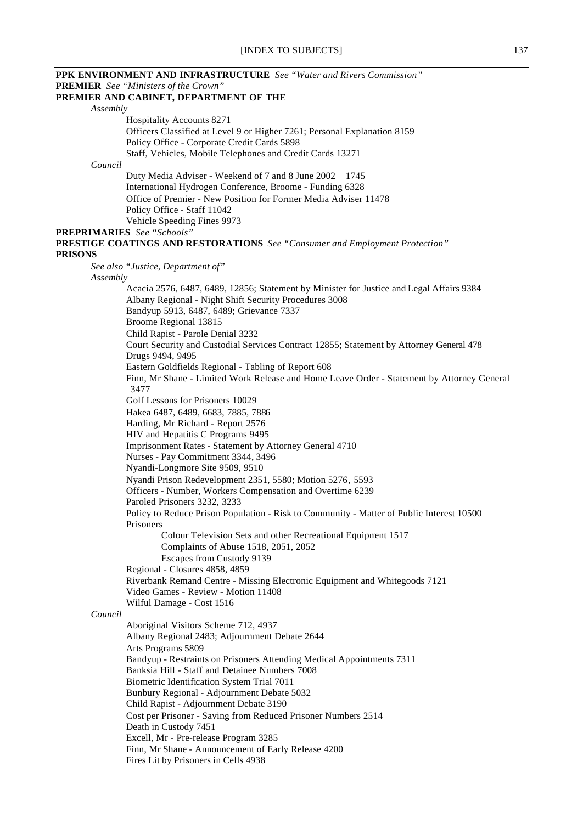# [INDEX TO SUBJECTS] 137

**PPK ENVIRONMENT AND INFRASTRUCTURE** *See "Water and Rivers Commission"* **PREMIER** *See "Ministers of the Crown"* **PREMIER AND CABINET, DEPARTMENT OF THE** *Assembly* Hospitality Accounts 8271 Officers Classified at Level 9 or Higher 7261; Personal Explanation 8159 Policy Office - Corporate Credit Cards 5898 Staff, Vehicles, Mobile Telephones and Credit Cards 13271 *Council* Duty Media Adviser - Weekend of 7 and 8 June 2002 1745 International Hydrogen Conference, Broome - Funding 6328 Office of Premier - New Position for Former Media Adviser 11478 Policy Office - Staff 11042 Vehicle Speeding Fines 9973 **PREPRIMARIES** *See "Schools"* **PRESTIGE COATINGS AND RESTORATIONS** *See "Consumer and Employment Protection"* **PRISONS** *See also "Justice, Department of" Assembly* Acacia 2576, 6487, 6489, 12856; Statement by Minister for Justice and Legal Affairs 9384 Albany Regional - Night Shift Security Procedures 3008 Bandyup 5913, 6487, 6489; Grievance 7337 Broome Regional 13815 Child Rapist - Parole Denial 3232 Court Security and Custodial Services Contract 12855; Statement by Attorney General 478 Drugs 9494, 9495 Eastern Goldfields Regional - Tabling of Report 608 Finn, Mr Shane - Limited Work Release and Home Leave Order - Statement by Attorney General 3477 Golf Lessons for Prisoners 10029 Hakea 6487, 6489, 6683, 7885, 7886 Harding, Mr Richard - Report 2576 HIV and Hepatitis C Programs 9495 Imprisonment Rates - Statement by Attorney General 4710 Nurses - Pay Commitment 3344, 3496 Nyandi-Longmore Site 9509, 9510 Nyandi Prison Redevelopment 2351, 5580; Motion 5276, 5593 Officers - Number, Workers Compensation and Overtime 6239 Paroled Prisoners 3232, 3233 Policy to Reduce Prison Population - Risk to Community - Matter of Public Interest 10500 Prisoners Colour Television Sets and other Recreational Equipment 1517 Complaints of Abuse 1518, 2051, 2052 Escapes from Custody 9139 Regional - Closures 4858, 4859 Riverbank Remand Centre - Missing Electronic Equipment and Whitegoods 7121 Video Games - Review - Motion 11408 Wilful Damage - Cost 1516 *Council* Aboriginal Visitors Scheme 712, 4937 Albany Regional 2483; Adjournment Debate 2644 Arts Programs 5809 Bandyup - Restraints on Prisoners Attending Medical Appointments 7311 Banksia Hill - Staff and Detainee Numbers 7008 Biometric Identification System Trial 7011 Bunbury Regional - Adjournment Debate 5032 Child Rapist - Adjournment Debate 3190 Cost per Prisoner - Saving from Reduced Prisoner Numbers 2514 Death in Custody 7451 Excell, Mr - Pre-release Program 3285 Finn, Mr Shane - Announcement of Early Release 4200 Fires Lit by Prisoners in Cells 4938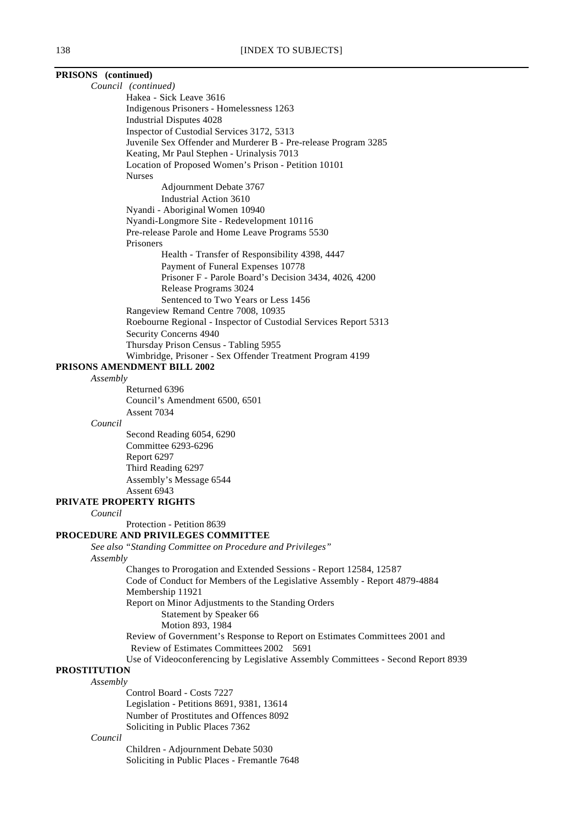| PRISONS (continued)                                                               |
|-----------------------------------------------------------------------------------|
| Council (continued)                                                               |
| Hakea - Sick Leave 3616                                                           |
| Indigenous Prisoners - Homelessness 1263                                          |
| <b>Industrial Disputes 4028</b>                                                   |
| Inspector of Custodial Services 3172, 5313                                        |
| Juvenile Sex Offender and Murderer B - Pre-release Program 3285                   |
| Keating, Mr Paul Stephen - Urinalysis 7013                                        |
| Location of Proposed Women's Prison - Petition 10101                              |
| <b>Nurses</b>                                                                     |
| Adjournment Debate 3767                                                           |
| Industrial Action 3610                                                            |
| Nyandi - Aboriginal Women 10940                                                   |
| Nyandi-Longmore Site - Redevelopment 10116                                        |
| Pre-release Parole and Home Leave Programs 5530                                   |
| Prisoners                                                                         |
| Health - Transfer of Responsibility 4398, 4447                                    |
| Payment of Funeral Expenses 10778                                                 |
| Prisoner F - Parole Board's Decision 3434, 4026, 4200                             |
| Release Programs 3024                                                             |
| Sentenced to Two Years or Less 1456                                               |
| Rangeview Remand Centre 7008, 10935                                               |
| Roebourne Regional - Inspector of Custodial Services Report 5313                  |
| Security Concerns 4940                                                            |
| Thursday Prison Census - Tabling 5955                                             |
| Wimbridge, Prisoner - Sex Offender Treatment Program 4199                         |
| PRISONS AMENDMENT BILL 2002                                                       |
| Assembly                                                                          |
| Returned 6396                                                                     |
| Council's Amendment 6500, 6501                                                    |
| Assent 7034                                                                       |
| Council                                                                           |
| Second Reading 6054, 6290<br>$Ccommitian$ $\epsilon$ 002 $\epsilon$ 00 $\epsilon$ |

Committee 6293-6296 Report 6297 Third Reading 6297 Assembly's Message 6544 Assent 6943

#### **PRIVATE PROPERTY RIGHTS**

*Council*

Protection - Petition 8639

#### **PROCEDURE AND PRIVILEGES COMMITTEE**

*See also "Standing Committee on Procedure and Privileges" Assembly*

> Changes to Prorogation and Extended Sessions - Report 12584, 12587 Code of Conduct for Members of the Legislative Assembly - Report 4879-4884 Membership 11921 Report on Minor Adjustments to the Standing Orders Statement by Speaker 66 Motion 893, 1984 Review of Government's Response to Report on Estimates Committees 2001 and Review of Estimates Committees 2002 5691 Use of Videoconferencing by Legislative Assembly Committees - Second Report 8939

# **PROSTITUTION**

*Assembly*

Control Board - Costs 7227 Legislation - Petitions 8691, 9381, 13614 Number of Prostitutes and Offences 8092 Soliciting in Public Places 7362

#### *Council*

Children - Adjournment Debate 5030 Soliciting in Public Places - Fremantle 7648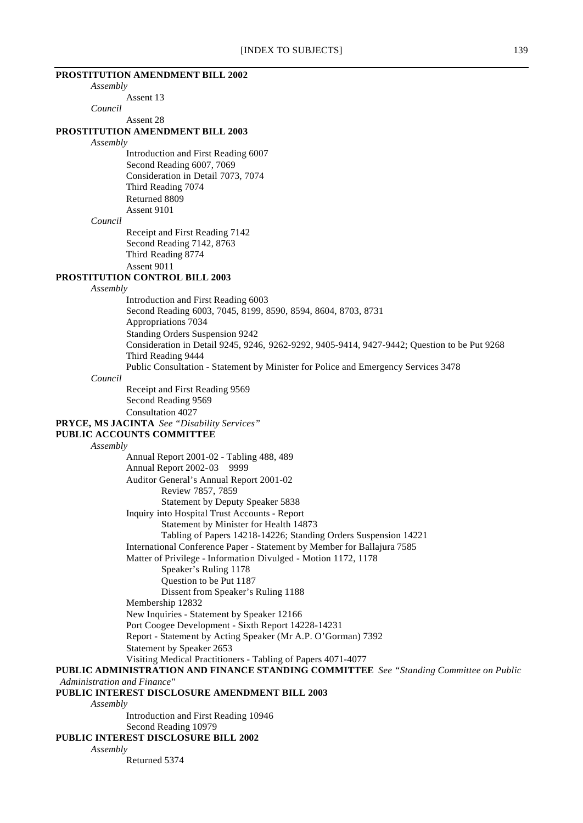# [INDEX TO SUBJECTS] 139 **PROSTITUTION AMENDMENT BILL 2002** *Assembly* Assent 13 *Council* Assent 28 **PROSTITUTION AMENDMENT BILL 2003** *Assembly* Introduction and First Reading 6007 Second Reading 6007, 7069 Consideration in Detail 7073, 7074 Third Reading 7074 Returned 8809 Assent 9101 *Council* Receipt and First Reading 7142 Second Reading 7142, 8763 Third Reading 8774 Assent 9011 **PROSTITUTION CONTROL BILL 2003** *Assembly* Introduction and First Reading 6003 Second Reading 6003, 7045, 8199, 8590, 8594, 8604, 8703, 8731 Appropriations 7034 Standing Orders Suspension 9242 Consideration in Detail 9245, 9246, 9262-9292, 9405-9414, 9427-9442; Question to be Put 9268 Third Reading 9444 Public Consultation - Statement by Minister for Police and Emergency Services 3478 *Council* Receipt and First Reading 9569 Second Reading 9569 Consultation 4027 **PRYCE, MS JACINTA** *See "Disability Services"* **PUBLIC ACCOUNTS COMMITTEE** *Assembly* Annual Report 2001-02 - Tabling 488, 489 Annual Report 2002-03 9999 Auditor General's Annual Report 2001-02 Review 7857, 7859 Statement by Deputy Speaker 5838 Inquiry into Hospital Trust Accounts - Report Statement by Minister for Health 14873 Tabling of Papers 14218-14226; Standing Orders Suspension 14221

International Conference Paper - Statement by Member for Ballajura 7585

Matter of Privilege - Information Divulged - Motion 1172, 1178

Speaker's Ruling 1178

Question to be Put 1187

Dissent from Speaker's Ruling 1188

Membership 12832

New Inquiries - Statement by Speaker 12166

Port Coogee Development - Sixth Report 14228-14231 Report - Statement by Acting Speaker (Mr A.P. O'Gorman) 7392

Statement by Speaker 2653

Visiting Medical Practitioners - Tabling of Papers 4071-4077

**PUBLIC ADMINISTRATION AND FINANCE STANDING COMMITTEE** *See "Standing Committee on Public Administration and Finance"*

**PUBLIC INTEREST DISCLOSURE AMENDMENT BILL 2003**

*Assembly*

Introduction and First Reading 10946 Second Reading 10979 **PUBLIC INTEREST DISCLOSURE BILL 2002**

*Assembly*

Returned 5374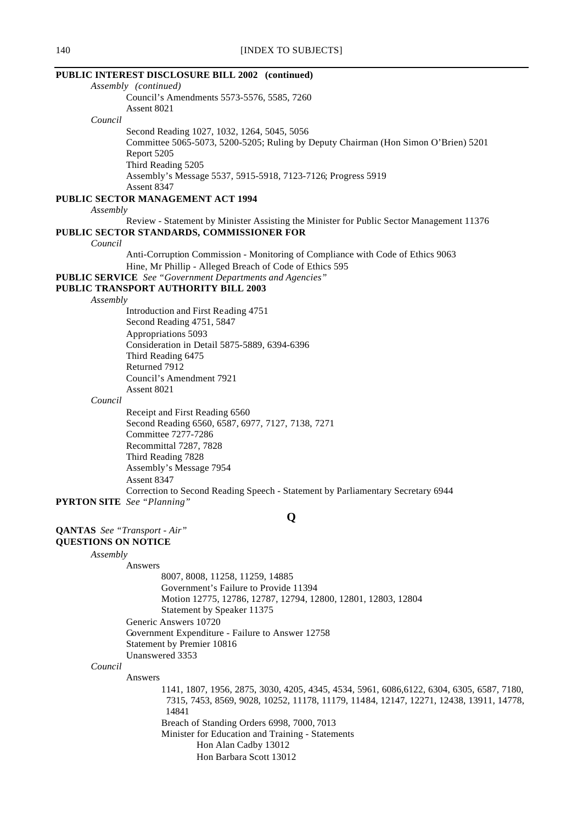# 140 **[INDEX TO SUBJECTS] PUBLIC INTEREST DISCLOSURE BILL 2002 (continued)** *Assembly (continued)* Council's Amendments 5573-5576, 5585, 7260 Assent 8021 *Council* Second Reading 1027, 1032, 1264, 5045, 5056 Committee 5065-5073, 5200-5205; Ruling by Deputy Chairman (Hon Simon O'Brien) 5201 Report 5205 Third Reading 5205 Assembly's Message 5537, 5915-5918, 7123-7126; Progress 5919 Assent 8347 **PUBLIC SECTOR MANAGEMENT ACT 1994** *Assembly* Review - Statement by Minister Assisting the Minister for Public Sector Management 11376 **PUBLIC SECTOR STANDARDS, COMMISSIONER FOR** *Council* Anti-Corruption Commission - Monitoring of Compliance with Code of Ethics 9063 Hine, Mr Phillip - Alleged Breach of Code of Ethics 595 **PUBLIC SERVICE** *See "Government Departments and Agencies"* **PUBLIC TRANSPORT AUTHORITY BILL 2003** *Assembly* Introduction and First Reading 4751 Second Reading 4751, 5847 Appropriations 5093 Consideration in Detail 5875-5889, 6394-6396 Third Reading 6475 Returned 7912 Council's Amendment 7921 Assent 8021 *Council* Receipt and First Reading 6560 Second Reading 6560, 6587, 6977, 7127, 7138, 7271 Committee 7277-7286 Recommittal 7287, 7828 Third Reading 7828 Assembly's Message 7954 Assent 8347 Correction to Second Reading Speech - Statement by Parliamentary Secretary 6944 **PYRTON SITE** *See "Planning"* **Q QANTAS** *See "Transport - Air"* **QUESTIONS ON NOTICE** *Assembly* Answers 8007, 8008, 11258, 11259, 14885

Government's Failure to Provide 11394

Breach of Standing Orders 6998, 7000, 7013 Minister for Education and Training - Statements Hon Alan Cadby 13012 Hon Barbara Scott 13012

Statement by Speaker 11375

Government Expenditure - Failure to Answer 12758

Generic Answers 10720

Unanswered 3353

Answers

*Council*

Statement by Premier 10816

14841

Motion 12775, 12786, 12787, 12794, 12800, 12801, 12803, 12804

1141, 1807, 1956, 2875, 3030, 4205, 4345, 4534, 5961, 6086,6122, 6304, 6305, 6587, 7180, 7315, 7453, 8569, 9028, 10252, 11178, 11179, 11484, 12147, 12271, 12438, 13911, 14778,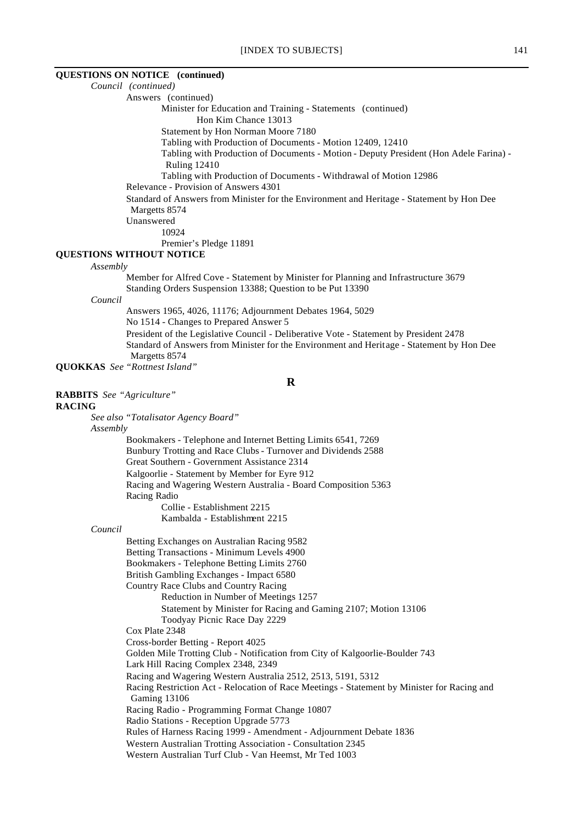#### **QUESTIONS ON NOTICE (continued)**

*Council (continued)*

Answers (continued)

Minister for Education and Training - Statements (continued)

Hon Kim Chance 13013

Statement by Hon Norman Moore 7180

Tabling with Production of Documents - Motion 12409, 12410

Tabling with Production of Documents - Motion - Deputy President (Hon Adele Farina) - Ruling 12410

Tabling with Production of Documents - Withdrawal of Motion 12986

Relevance - Provision of Answers 4301

Standard of Answers from Minister for the Environment and Heritage - Statement by Hon Dee Margetts 8574

Unanswered

10924

Premier's Pledge 11891

#### **QUESTIONS WITHOUT NOTICE**

*Assembly*

Member for Alfred Cove - Statement by Minister for Planning and Infrastructure 3679 Standing Orders Suspension 13388; Question to be Put 13390

*Council*

Answers 1965, 4026, 11176; Adjournment Debates 1964, 5029 No 1514 - Changes to Prepared Answer 5 President of the Legislative Council - Deliberative Vote - Statement by President 2478 Standard of Answers from Minister for the Environment and Heritage - Statement by Hon Dee Margetts 8574

**QUOKKAS** *See "Rottnest Island"*

**R**

**RABBITS** *See "Agriculture"*

#### **RACING**

*See also "Totalisator Agency Board"*

#### *Assembly*

Bookmakers - Telephone and Internet Betting Limits 6541, 7269 Bunbury Trotting and Race Clubs - Turnover and Dividends 2588 Great Southern - Government Assistance 2314 Kalgoorlie - Statement by Member for Eyre 912 Racing and Wagering Western Australia - Board Composition 5363 Racing Radio Collie - Establishment 2215 Kambalda - Establishment 2215

### *Council*

Betting Exchanges on Australian Racing 9582 Betting Transactions - Minimum Levels 4900 Bookmakers - Telephone Betting Limits 2760 British Gambling Exchanges - Impact 6580 Country Race Clubs and Country Racing Reduction in Number of Meetings 1257 Statement by Minister for Racing and Gaming 2107; Motion 13106 Toodyay Picnic Race Day 2229 Cox Plate 2348 Cross-border Betting - Report 4025 Golden Mile Trotting Club - Notification from City of Kalgoorlie-Boulder 743 Lark Hill Racing Complex 2348, 2349 Racing and Wagering Western Australia 2512, 2513, 5191, 5312 Racing Restriction Act - Relocation of Race Meetings - Statement by Minister for Racing and Gaming 13106 Racing Radio - Programming Format Change 10807 Radio Stations - Reception Upgrade 5773 Rules of Harness Racing 1999 - Amendment - Adjournment Debate 1836 Western Australian Trotting Association - Consultation 2345 Western Australian Turf Club - Van Heemst, Mr Ted 1003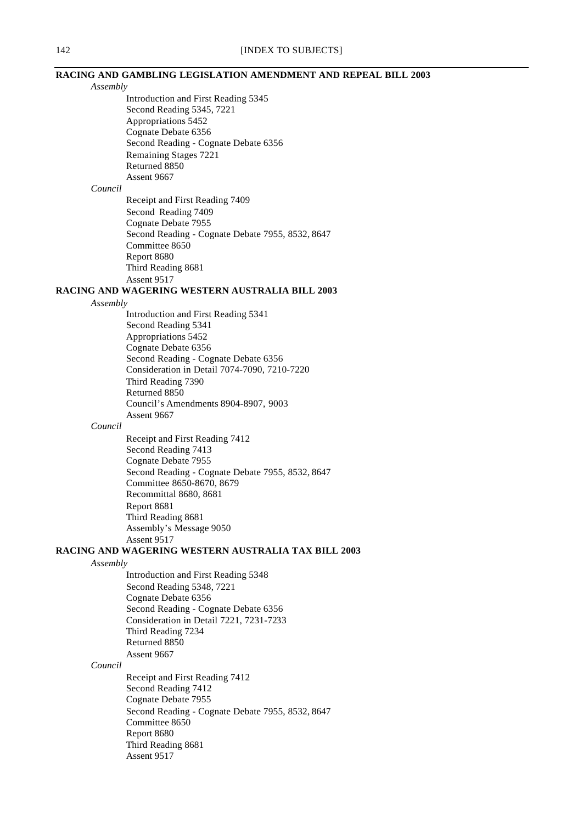# **RACING AND GAMBLING LEGISLATION AMENDMENT AND REPEAL BILL 2003**

| Assembly |                                                             |
|----------|-------------------------------------------------------------|
|          | Introduction and First Reading 5345                         |
|          | Second Reading 5345, 7221                                   |
|          | Appropriations 5452                                         |
|          | Cognate Debate 6356                                         |
|          | Second Reading - Cognate Debate 6356                        |
|          | Remaining Stages 7221                                       |
|          | Returned 8850                                               |
| Council  | Assent 9667                                                 |
|          | Receipt and First Reading 7409                              |
|          | Second Reading 7409                                         |
|          | Cognate Debate 7955                                         |
|          | Second Reading - Cognate Debate 7955, 8532, 8647            |
|          | Committee 8650                                              |
|          | Report 8680                                                 |
|          | Third Reading 8681                                          |
|          | Assent 9517                                                 |
|          | RACING AND WAGERING WESTERN AUSTRALIA BILL 2003             |
| Assembly |                                                             |
|          | Introduction and First Reading 5341                         |
|          | Second Reading 5341                                         |
|          | Appropriations 5452                                         |
|          | Cognate Debate 6356<br>Second Reading - Cognate Debate 6356 |
|          | Consideration in Detail 7074-7090, 7210-7220                |
|          | Third Reading 7390                                          |
|          | Returned 8850                                               |
|          | Council's Amendments 8904-8907, 9003                        |
|          | Assent 9667                                                 |
| Council  |                                                             |
|          | Receipt and First Reading 7412                              |
|          | Second Reading 7413                                         |
|          | Cognate Debate 7955                                         |
|          | Second Reading - Cognate Debate 7955, 8532, 8647            |
|          | Committee 8650-8670, 8679                                   |
|          | Recommittal 8680, 8681                                      |
|          | Report 8681<br>Third Reading 8681                           |
|          | Assembly's Message 9050                                     |
|          | Assent 9517                                                 |
|          | RACING AND WAGERING WESTERN AUSTRALIA TAX BILL 2003         |
| Assembly |                                                             |
|          | Introduction and First Reading 5348                         |
|          | Second Reading 5348, 7221                                   |
|          | Cognate Debate 6356                                         |
|          | Second Reading - Cognate Debate 6356                        |
|          | Consideration in Detail 7221, 7231-7233                     |
|          | Third Reading 7234                                          |
|          | Returned 8850                                               |
| Council  | Assent 9667                                                 |
|          |                                                             |
|          | Receipt and First Reading 7412                              |

Second Reading 7412 Cognate Debate 7955 Second Reading - Cognate Debate 7955, 8532, 8647 Committee 8650 Report 8680 Third Reading 8681 Assent 9517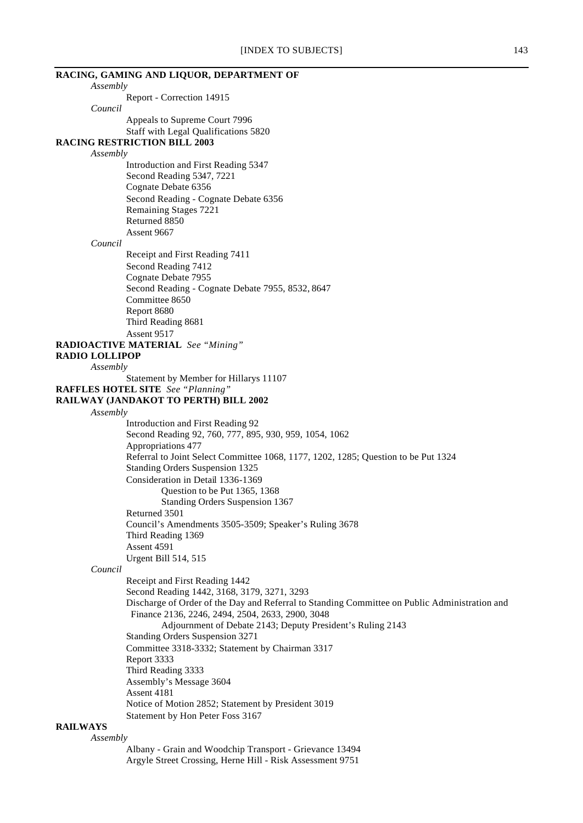|                       | RACING, GAMING AND LIQUOR, DEPARTMENT OF                                                      |
|-----------------------|-----------------------------------------------------------------------------------------------|
| Assembly              |                                                                                               |
|                       | Report - Correction 14915                                                                     |
| Council               |                                                                                               |
|                       | Appeals to Supreme Court 7996                                                                 |
|                       | Staff with Legal Qualifications 5820                                                          |
|                       | <b>RACING RESTRICTION BILL 2003</b>                                                           |
| Assembly              |                                                                                               |
|                       | Introduction and First Reading 5347                                                           |
|                       | Second Reading 5347, 7221                                                                     |
|                       | Cognate Debate 6356                                                                           |
|                       | Second Reading - Cognate Debate 6356                                                          |
|                       | Remaining Stages 7221                                                                         |
|                       | Returned 8850                                                                                 |
|                       | Assent 9667                                                                                   |
| Council               |                                                                                               |
|                       | Receipt and First Reading 7411                                                                |
|                       | Second Reading 7412                                                                           |
|                       | Cognate Debate 7955                                                                           |
|                       | Second Reading - Cognate Debate 7955, 8532, 8647                                              |
|                       | Committee 8650                                                                                |
|                       | Report 8680                                                                                   |
|                       | Third Reading 8681                                                                            |
|                       | Assent 9517                                                                                   |
|                       | RADIOACTIVE MATERIAL See "Mining"                                                             |
| <b>RADIO LOLLIPOP</b> |                                                                                               |
| Assembly              |                                                                                               |
|                       | Statement by Member for Hillarys 11107                                                        |
|                       | <b>RAFFLES HOTEL SITE</b> See "Planning"                                                      |
|                       | RAILWAY (JANDAKOT TO PERTH) BILL 2002                                                         |
| Assembly              |                                                                                               |
|                       | Introduction and First Reading 92                                                             |
|                       | Second Reading 92, 760, 777, 895, 930, 959, 1054, 1062                                        |
|                       | Appropriations 477                                                                            |
|                       | Referral to Joint Select Committee 1068, 1177, 1202, 1285; Question to be Put 1324            |
|                       | <b>Standing Orders Suspension 1325</b>                                                        |
|                       | Consideration in Detail 1336-1369                                                             |
|                       | Question to be Put 1365, 1368                                                                 |
|                       | Standing Orders Suspension 1367                                                               |
|                       | Returned 3501                                                                                 |
|                       | Council's Amendments 3505-3509; Speaker's Ruling 3678                                         |
|                       | Third Reading 1369                                                                            |
|                       | Assent 4591                                                                                   |
| Council               | <b>Urgent Bill 514, 515</b>                                                                   |
|                       |                                                                                               |
|                       | Receipt and First Reading 1442                                                                |
|                       | Second Reading 1442, 3168, 3179, 3271, 3293                                                   |
|                       | Discharge of Order of the Day and Referral to Standing Committee on Public Administration and |
|                       | Finance 2136, 2246, 2494, 2504, 2633, 2900, 3048                                              |
|                       | Adjournment of Debate 2143; Deputy President's Ruling 2143                                    |
|                       | Standing Orders Suspension 3271                                                               |
|                       | Committee 3318-3332; Statement by Chairman 3317                                               |
|                       | Report 3333                                                                                   |
|                       | Third Reading 3333                                                                            |
|                       | Assembly's Message 3604                                                                       |
|                       | Assent 4181                                                                                   |
|                       | Notice of Motion 2852; Statement by President 3019                                            |
| <b>RAILWAYS</b>       | Statement by Hon Peter Foss 3167                                                              |
| Assembly              |                                                                                               |
|                       | Albany - Grain and Woodchip Transport - Grievance 13494                                       |
|                       |                                                                                               |

Argyle Street Crossing, Herne Hill - Risk Assessment 9751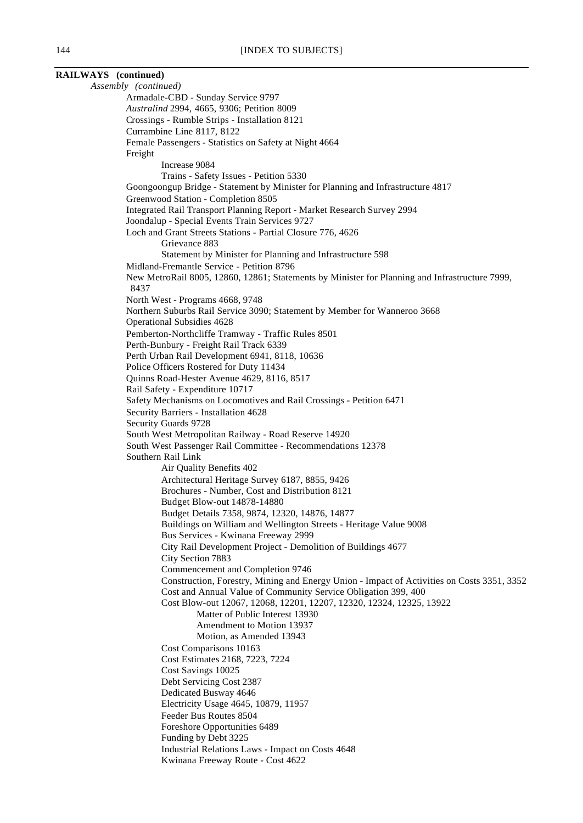| RAILWAYS (continued) |                                                                                                                                             |
|----------------------|---------------------------------------------------------------------------------------------------------------------------------------------|
| Assembly (continued) |                                                                                                                                             |
|                      | Armadale-CBD - Sunday Service 9797                                                                                                          |
|                      | Australind 2994, 4665, 9306; Petition 8009                                                                                                  |
|                      | Crossings - Rumble Strips - Installation 8121                                                                                               |
|                      | Currambine Line 8117, 8122                                                                                                                  |
| Freight              | Female Passengers - Statistics on Safety at Night 4664                                                                                      |
|                      | Increase 9084                                                                                                                               |
|                      | Trains - Safety Issues - Petition 5330                                                                                                      |
|                      | Goongoongup Bridge - Statement by Minister for Planning and Infrastructure 4817                                                             |
|                      | Greenwood Station - Completion 8505                                                                                                         |
|                      | Integrated Rail Transport Planning Report - Market Research Survey 2994                                                                     |
|                      | Joondalup - Special Events Train Services 9727                                                                                              |
|                      | Loch and Grant Streets Stations - Partial Closure 776, 4626                                                                                 |
|                      | Grievance 883                                                                                                                               |
|                      | Statement by Minister for Planning and Infrastructure 598                                                                                   |
|                      | Midland-Fremantle Service - Petition 8796<br>New MetroRail 8005, 12860, 12861; Statements by Minister for Planning and Infrastructure 7999, |
| 8437                 |                                                                                                                                             |
|                      | North West - Programs 4668, 9748                                                                                                            |
|                      | Northern Suburbs Rail Service 3090; Statement by Member for Wanneroo 3668                                                                   |
|                      | <b>Operational Subsidies 4628</b>                                                                                                           |
|                      | Pemberton-Northcliffe Tramway - Traffic Rules 8501                                                                                          |
|                      | Perth-Bunbury - Freight Rail Track 6339<br>Perth Urban Rail Development 6941, 8118, 10636                                                   |
|                      | Police Officers Rostered for Duty 11434                                                                                                     |
|                      | Quinns Road-Hester Avenue 4629, 8116, 8517                                                                                                  |
|                      | Rail Safety - Expenditure 10717                                                                                                             |
|                      | Safety Mechanisms on Locomotives and Rail Crossings - Petition 6471                                                                         |
|                      | Security Barriers - Installation 4628                                                                                                       |
| Security Guards 9728 |                                                                                                                                             |
|                      | South West Metropolitan Railway - Road Reserve 14920                                                                                        |
|                      | South West Passenger Rail Committee - Recommendations 12378                                                                                 |
| Southern Rail Link   | Air Quality Benefits 402                                                                                                                    |
|                      | Architectural Heritage Survey 6187, 8855, 9426                                                                                              |
|                      | Brochures - Number, Cost and Distribution 8121                                                                                              |
|                      | Budget Blow-out 14878-14880                                                                                                                 |
|                      | Budget Details 7358, 9874, 12320, 14876, 14877                                                                                              |
|                      | Buildings on William and Wellington Streets - Heritage Value 9008                                                                           |
|                      | Bus Services - Kwinana Freeway 2999                                                                                                         |
|                      | City Rail Development Project - Demolition of Buildings 4677<br>City Section 7883                                                           |
|                      | Commencement and Completion 9746                                                                                                            |
|                      | Construction, Forestry, Mining and Energy Union - Impact of Activities on Costs 3351, 3352                                                  |
|                      | Cost and Annual Value of Community Service Obligation 399, 400                                                                              |
|                      | Cost Blow-out 12067, 12068, 12201, 12207, 12320, 12324, 12325, 13922                                                                        |
|                      | Matter of Public Interest 13930                                                                                                             |
|                      | Amendment to Motion 13937                                                                                                                   |
|                      | Motion, as Amended 13943                                                                                                                    |
|                      | Cost Comparisons 10163<br>Cost Estimates 2168, 7223, 7224                                                                                   |
|                      | Cost Savings 10025                                                                                                                          |
|                      | Debt Servicing Cost 2387                                                                                                                    |
|                      | Dedicated Busway 4646                                                                                                                       |
|                      | Electricity Usage 4645, 10879, 11957                                                                                                        |
|                      | Feeder Bus Routes 8504                                                                                                                      |
|                      | Foreshore Opportunities 6489                                                                                                                |
|                      | Funding by Debt 3225                                                                                                                        |
|                      | Industrial Relations Laws - Impact on Costs 4648                                                                                            |
|                      | Kwinana Freeway Route - Cost 4622                                                                                                           |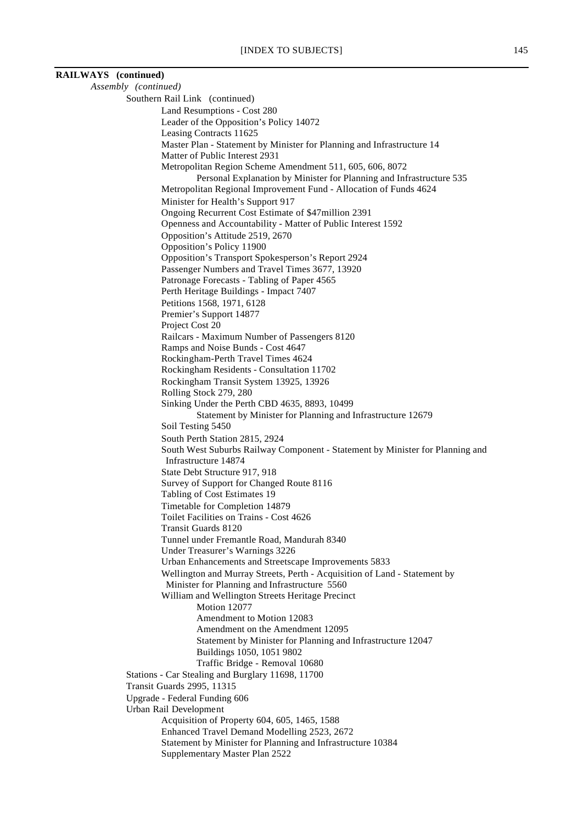| RAILWAYS (continued) |                                                                                                                                   |
|----------------------|-----------------------------------------------------------------------------------------------------------------------------------|
| Assembly (continued) |                                                                                                                                   |
|                      | Southern Rail Link (continued)                                                                                                    |
|                      | Land Resumptions - Cost 280                                                                                                       |
|                      | Leader of the Opposition's Policy 14072                                                                                           |
|                      | Leasing Contracts 11625                                                                                                           |
|                      | Master Plan - Statement by Minister for Planning and Infrastructure 14<br>Matter of Public Interest 2931                          |
|                      | Metropolitan Region Scheme Amendment 511, 605, 606, 8072                                                                          |
|                      | Personal Explanation by Minister for Planning and Infrastructure 535                                                              |
|                      | Metropolitan Regional Improvement Fund - Allocation of Funds 4624                                                                 |
|                      | Minister for Health's Support 917                                                                                                 |
|                      | Ongoing Recurrent Cost Estimate of \$47million 2391                                                                               |
|                      | Openness and Accountability - Matter of Public Interest 1592                                                                      |
|                      | Opposition's Attitude 2519, 2670                                                                                                  |
|                      | Opposition's Policy 11900                                                                                                         |
|                      | Opposition's Transport Spokesperson's Report 2924                                                                                 |
|                      | Passenger Numbers and Travel Times 3677, 13920<br>Patronage Forecasts - Tabling of Paper 4565                                     |
|                      | Perth Heritage Buildings - Impact 7407                                                                                            |
|                      | Petitions 1568, 1971, 6128                                                                                                        |
|                      | Premier's Support 14877                                                                                                           |
|                      | Project Cost 20                                                                                                                   |
|                      | Railcars - Maximum Number of Passengers 8120                                                                                      |
|                      | Ramps and Noise Bunds - Cost 4647                                                                                                 |
|                      | Rockingham-Perth Travel Times 4624                                                                                                |
|                      | Rockingham Residents - Consultation 11702<br>Rockingham Transit System 13925, 13926                                               |
|                      | Rolling Stock 279, 280                                                                                                            |
|                      | Sinking Under the Perth CBD 4635, 8893, 10499                                                                                     |
|                      | Statement by Minister for Planning and Infrastructure 12679                                                                       |
|                      | Soil Testing 5450                                                                                                                 |
|                      | South Perth Station 2815, 2924                                                                                                    |
|                      | South West Suburbs Railway Component - Statement by Minister for Planning and                                                     |
|                      | Infrastructure 14874                                                                                                              |
|                      | State Debt Structure 917, 918<br>Survey of Support for Changed Route 8116                                                         |
|                      | Tabling of Cost Estimates 19                                                                                                      |
|                      | Timetable for Completion 14879                                                                                                    |
|                      | Toilet Facilities on Trains - Cost 4626                                                                                           |
|                      | <b>Transit Guards 8120</b>                                                                                                        |
|                      | Tunnel under Fremantle Road, Mandurah 8340                                                                                        |
|                      | Under Treasurer's Warnings 3226                                                                                                   |
|                      | Urban Enhancements and Streetscape Improvements 5833<br>Wellington and Murray Streets, Perth - Acquisition of Land - Statement by |
|                      | Minister for Planning and Infrastructure 5560                                                                                     |
|                      | William and Wellington Streets Heritage Precinct                                                                                  |
|                      | Motion 12077                                                                                                                      |
|                      | Amendment to Motion 12083                                                                                                         |
|                      | Amendment on the Amendment 12095                                                                                                  |
|                      | Statement by Minister for Planning and Infrastructure 12047                                                                       |
|                      | Buildings 1050, 1051 9802<br>Traffic Bridge - Removal 10680                                                                       |
|                      | Stations - Car Stealing and Burglary 11698, 11700                                                                                 |
|                      | <b>Transit Guards 2995, 11315</b>                                                                                                 |
|                      | Upgrade - Federal Funding 606                                                                                                     |
|                      | Urban Rail Development                                                                                                            |
|                      | Acquisition of Property 604, 605, 1465, 1588                                                                                      |
|                      | Enhanced Travel Demand Modelling 2523, 2672                                                                                       |
|                      | Statement by Minister for Planning and Infrastructure 10384                                                                       |
|                      | Supplementary Master Plan 2522                                                                                                    |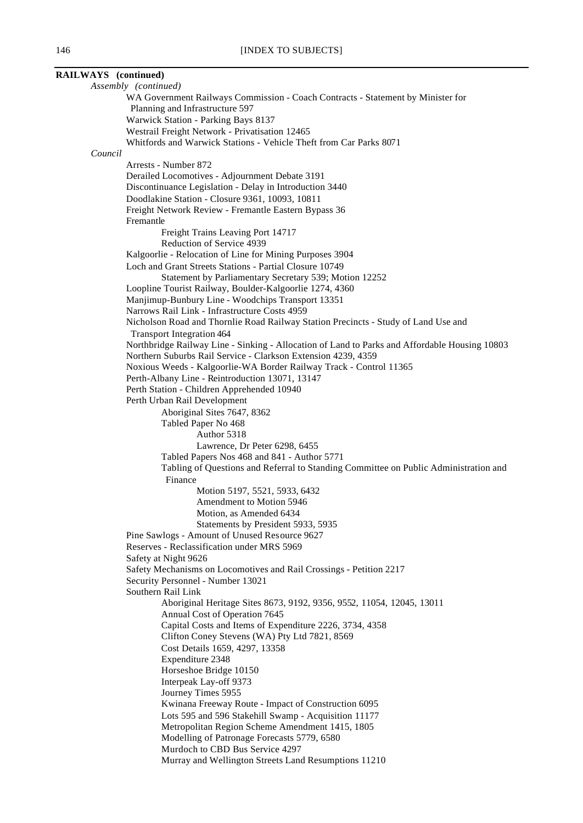| RAILWAYS (continued)                                                                                                                                           |
|----------------------------------------------------------------------------------------------------------------------------------------------------------------|
| Assembly (continued)                                                                                                                                           |
| WA Government Railways Commission - Coach Contracts - Statement by Minister for                                                                                |
| Planning and Infrastructure 597                                                                                                                                |
| Warwick Station - Parking Bays 8137                                                                                                                            |
| Westrail Freight Network - Privatisation 12465                                                                                                                 |
| Whitfords and Warwick Stations - Vehicle Theft from Car Parks 8071                                                                                             |
| Council                                                                                                                                                        |
| Arrests - Number 872<br>Derailed Locomotives - Adjournment Debate 3191                                                                                         |
| Discontinuance Legislation - Delay in Introduction 3440                                                                                                        |
| Doodlakine Station - Closure 9361, 10093, 10811                                                                                                                |
| Freight Network Review - Fremantle Eastern Bypass 36                                                                                                           |
| Fremantle                                                                                                                                                      |
| Freight Trains Leaving Port 14717                                                                                                                              |
| Reduction of Service 4939                                                                                                                                      |
| Kalgoorlie - Relocation of Line for Mining Purposes 3904                                                                                                       |
| Loch and Grant Streets Stations - Partial Closure 10749                                                                                                        |
| Statement by Parliamentary Secretary 539; Motion 12252                                                                                                         |
| Loopline Tourist Railway, Boulder-Kalgoorlie 1274, 4360                                                                                                        |
| Manjimup-Bunbury Line - Woodchips Transport 13351                                                                                                              |
| Narrows Rail Link - Infrastructure Costs 4959                                                                                                                  |
| Nicholson Road and Thornlie Road Railway Station Precincts - Study of Land Use and                                                                             |
| <b>Transport Integration 464</b>                                                                                                                               |
| Northbridge Railway Line - Sinking - Allocation of Land to Parks and Affordable Housing 10803<br>Northern Suburbs Rail Service - Clarkson Extension 4239, 4359 |
| Noxious Weeds - Kalgoorlie-WA Border Railway Track - Control 11365                                                                                             |
| Perth-Albany Line - Reintroduction 13071, 13147                                                                                                                |
| Perth Station - Children Apprehended 10940                                                                                                                     |
| Perth Urban Rail Development                                                                                                                                   |
| Aboriginal Sites 7647, 8362                                                                                                                                    |
| Tabled Paper No 468                                                                                                                                            |
| Author 5318                                                                                                                                                    |
| Lawrence, Dr Peter 6298, 6455                                                                                                                                  |
| Tabled Papers Nos 468 and 841 - Author 5771                                                                                                                    |
| Tabling of Questions and Referral to Standing Committee on Public Administration and                                                                           |
| Finance                                                                                                                                                        |
| Motion 5197, 5521, 5933, 6432<br>Amendment to Motion 5946                                                                                                      |
| Motion, as Amended 6434                                                                                                                                        |
| Statements by President 5933, 5935                                                                                                                             |
| Pine Sawlogs - Amount of Unused Resource 9627                                                                                                                  |
| Reserves - Reclassification under MRS 5969                                                                                                                     |
| Safety at Night 9626                                                                                                                                           |
| Safety Mechanisms on Locomotives and Rail Crossings - Petition 2217                                                                                            |
| Security Personnel - Number 13021                                                                                                                              |
| Southern Rail Link                                                                                                                                             |
| Aboriginal Heritage Sites 8673, 9192, 9356, 9552, 11054, 12045, 13011                                                                                          |
| Annual Cost of Operation 7645                                                                                                                                  |
| Capital Costs and Items of Expenditure 2226, 3734, 4358                                                                                                        |
| Clifton Coney Stevens (WA) Pty Ltd 7821, 8569                                                                                                                  |
| Cost Details 1659, 4297, 13358<br>Expenditure 2348                                                                                                             |
| Horseshoe Bridge 10150                                                                                                                                         |
| Interpeak Lay-off 9373                                                                                                                                         |
| Journey Times 5955                                                                                                                                             |
| Kwinana Freeway Route - Impact of Construction 6095                                                                                                            |
| Lots 595 and 596 Stakehill Swamp - Acquisition 11177                                                                                                           |
| Metropolitan Region Scheme Amendment 1415, 1805                                                                                                                |
| Modelling of Patronage Forecasts 5779, 6580                                                                                                                    |
| Murdoch to CBD Bus Service 4297                                                                                                                                |
| Murray and Wellington Streets Land Resumptions 11210                                                                                                           |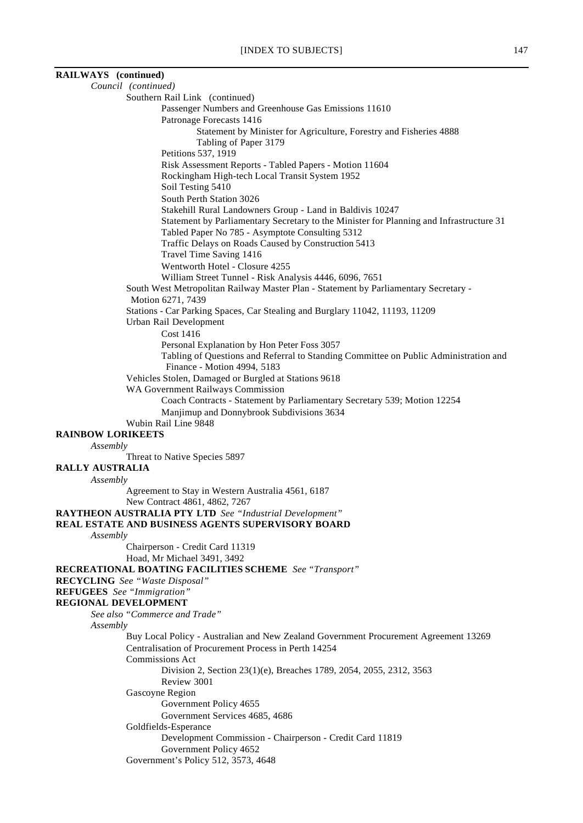| RAILWAYS (continued)                                                                                                                                 |
|------------------------------------------------------------------------------------------------------------------------------------------------------|
| Council (continued)                                                                                                                                  |
| Southern Rail Link (continued)                                                                                                                       |
| Passenger Numbers and Greenhouse Gas Emissions 11610<br>Patronage Forecasts 1416                                                                     |
| Statement by Minister for Agriculture, Forestry and Fisheries 4888                                                                                   |
| Tabling of Paper 3179                                                                                                                                |
| Petitions 537, 1919                                                                                                                                  |
| Risk Assessment Reports - Tabled Papers - Motion 11604                                                                                               |
| Rockingham High-tech Local Transit System 1952                                                                                                       |
| Soil Testing 5410                                                                                                                                    |
| South Perth Station 3026                                                                                                                             |
| Stakehill Rural Landowners Group - Land in Baldivis 10247<br>Statement by Parliamentary Secretary to the Minister for Planning and Infrastructure 31 |
| Tabled Paper No 785 - Asymptote Consulting 5312                                                                                                      |
| Traffic Delays on Roads Caused by Construction 5413                                                                                                  |
| Travel Time Saving 1416                                                                                                                              |
| Wentworth Hotel - Closure 4255                                                                                                                       |
| William Street Tunnel - Risk Analysis 4446, 6096, 7651                                                                                               |
| South West Metropolitan Railway Master Plan - Statement by Parliamentary Secretary -                                                                 |
| Motion 6271, 7439<br>Stations - Car Parking Spaces, Car Stealing and Burglary 11042, 11193, 11209                                                    |
| Urban Rail Development                                                                                                                               |
| Cost 1416                                                                                                                                            |
| Personal Explanation by Hon Peter Foss 3057                                                                                                          |
| Tabling of Questions and Referral to Standing Committee on Public Administration and                                                                 |
| Finance - Motion 4994, 5183                                                                                                                          |
| Vehicles Stolen, Damaged or Burgled at Stations 9618<br>WA Government Railways Commission                                                            |
| Coach Contracts - Statement by Parliamentary Secretary 539; Motion 12254                                                                             |
| Manjimup and Donnybrook Subdivisions 3634                                                                                                            |
| Wubin Rail Line 9848                                                                                                                                 |
| <b>RAINBOW LORIKEETS</b>                                                                                                                             |
| Assembly                                                                                                                                             |
| Threat to Native Species 5897<br><b>RALLY AUSTRALIA</b>                                                                                              |
| Assembly                                                                                                                                             |
| Agreement to Stay in Western Australia 4561, 6187                                                                                                    |
| New Contract 4861, 4862, 7267                                                                                                                        |
| <b>RAYTHEON AUSTRALIA PTY LTD</b> See "Industrial Development"                                                                                       |
| REAL ESTATE AND BUSINESS AGENTS SUPERVISORY BOARD                                                                                                    |
| Assembly<br>Chairperson - Credit Card 11319                                                                                                          |
| Hoad, Mr Michael 3491, 3492                                                                                                                          |
| RECREATIONAL BOATING FACILITIES SCHEME See "Transport"                                                                                               |
| <b>RECYCLING</b> See "Waste Disposal"                                                                                                                |
| <b>REFUGEES</b> See "Immigration"                                                                                                                    |
| REGIONAL DEVELOPMENT                                                                                                                                 |
| See also "Commerce and Trade"<br>Assembly                                                                                                            |
| Buy Local Policy - Australian and New Zealand Government Procurement Agreement 13269                                                                 |
| Centralisation of Procurement Process in Perth 14254                                                                                                 |
| <b>Commissions Act</b>                                                                                                                               |
| Division 2, Section 23(1)(e), Breaches 1789, 2054, 2055, 2312, 3563                                                                                  |
| Review 3001                                                                                                                                          |
| Gascoyne Region                                                                                                                                      |
| Government Policy 4655<br>Government Services 4685, 4686                                                                                             |
| Goldfields-Esperance                                                                                                                                 |
| Development Commission - Chairperson - Credit Card 11819                                                                                             |
| Government Policy 4652                                                                                                                               |
| Government's Policy 512, 3573, 4648                                                                                                                  |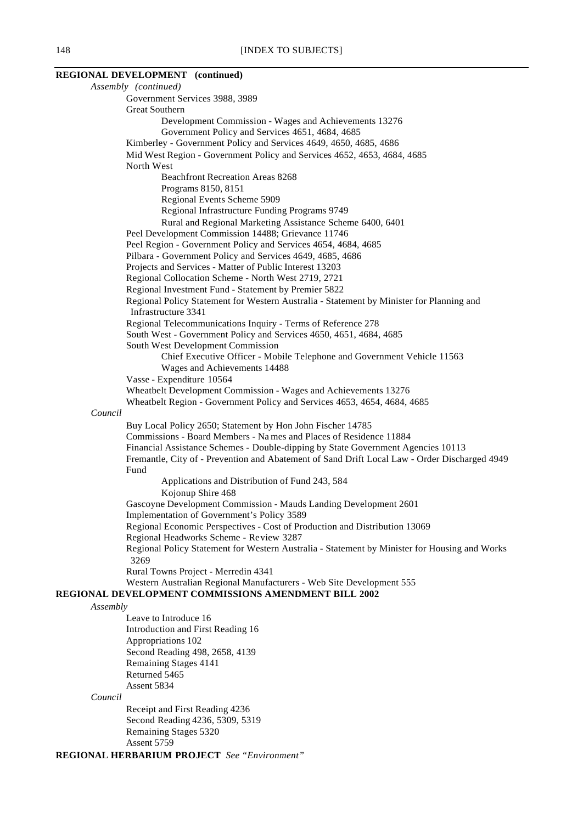### **REGIONAL DEVELOPMENT (continued)**

*Assembly (continued)* Government Services 3988, 3989 Great Southern Development Commission - Wages and Achievements 13276 Government Policy and Services 4651, 4684, 4685 Kimberley - Government Policy and Services 4649, 4650, 4685, 4686 Mid West Region - Government Policy and Services 4652, 4653, 4684, 4685 North West Beachfront Recreation Areas 8268 Programs 8150, 8151 Regional Events Scheme 5909 Regional Infrastructure Funding Programs 9749 Rural and Regional Marketing Assistance Scheme 6400, 6401 Peel Development Commission 14488; Grievance 11746 Peel Region - Government Policy and Services 4654, 4684, 4685 Pilbara - Government Policy and Services 4649, 4685, 4686 Projects and Services - Matter of Public Interest 13203 Regional Collocation Scheme - North West 2719, 2721 Regional Investment Fund - Statement by Premier 5822 Regional Policy Statement for Western Australia - Statement by Minister for Planning and Infrastructure 3341 Regional Telecommunications Inquiry - Terms of Reference 278 South West - Government Policy and Services 4650, 4651, 4684, 4685 South West Development Commission Chief Executive Officer - Mobile Telephone and Government Vehicle 11563 Wages and Achievements 14488 Vasse - Expenditure 10564 Wheatbelt Development Commission - Wages and Achievements 13276 Wheatbelt Region - Government Policy and Services 4653, 4654, 4684, 4685 *Council* Buy Local Policy 2650; Statement by Hon John Fischer 14785 Commissions - Board Members - Na mes and Places of Residence 11884 Financial Assistance Schemes - Double-dipping by State Government Agencies 10113 Fremantle, City of - Prevention and Abatement of Sand Drift Local Law - Order Discharged 4949 Fund Applications and Distribution of Fund 243, 584 Kojonup Shire 468 Gascoyne Development Commission - Mauds Landing Development 2601 Implementation of Government's Policy 3589 Regional Economic Perspectives - Cost of Production and Distribution 13069 Regional Headworks Scheme - Review 3287 Regional Policy Statement for Western Australia - Statement by Minister for Housing and Works 3269 Rural Towns Project - Merredin 4341 Western Australian Regional Manufacturers - Web Site Development 555 **REGIONAL DEVELOPMENT COMMISSIONS AMENDMENT BILL 2002** *Assembly* Leave to Introduce 16 Introduction and First Reading 16 Appropriations 102 Second Reading 498, 2658, 4139 Remaining Stages 4141 Returned 5465 Assent 5834 *Council*

Receipt and First Reading 4236 Second Reading 4236, 5309, 5319 Remaining Stages 5320 Assent 5759

**REGIONAL HERBARIUM PROJECT** *See "Environment"*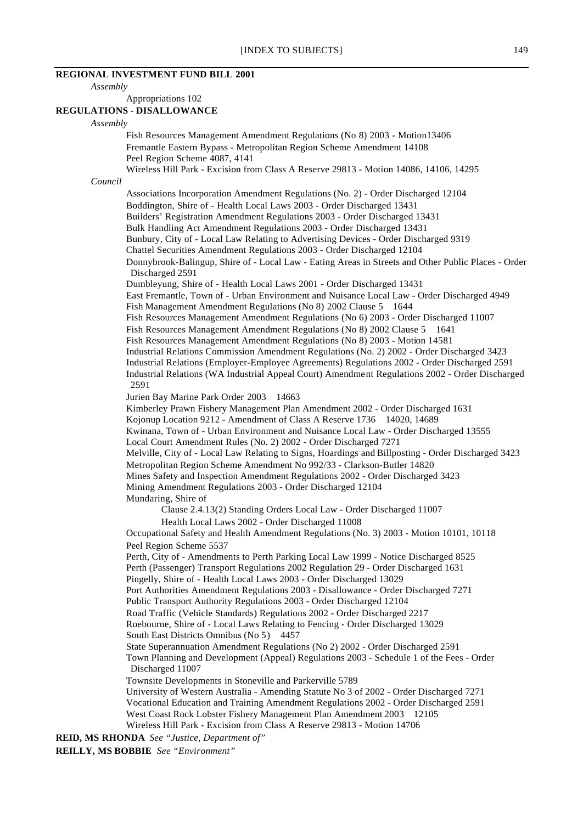# **REGIONAL INVESTMENT FUND BILL 2001**

*Assembly*

Appropriations 102

### **REGULATIONS - DISALLOWANCE**

### *Assembly*

*Council*

Fish Resources Management Amendment Regulations (No 8) 2003 - Motion13406 Fremantle Eastern Bypass - Metropolitan Region Scheme Amendment 14108 Peel Region Scheme 4087, 4141 Wireless Hill Park - Excision from Class A Reserve 29813 - Motion 14086, 14106, 14295 Associations Incorporation Amendment Regulations (No. 2) - Order Discharged 12104 Boddington, Shire of - Health Local Laws 2003 - Order Discharged 13431 Builders' Registration Amendment Regulations 2003 - Order Discharged 13431 Bulk Handling Act Amendment Regulations 2003 - Order Discharged 13431 Bunbury, City of - Local Law Relating to Advertising Devices - Order Discharged 9319 Chattel Securities Amendment Regulations 2003 - Order Discharged 12104 Donnybrook-Balingup, Shire of - Local Law - Eating Areas in Streets and Other Public Places - Order Discharged 2591 Dumbleyung, Shire of - Health Local Laws 2001 - Order Discharged 13431 East Fremantle, Town of - Urban Environment and Nuisance Local Law - Order Discharged 4949 Fish Management Amendment Regulations (No 8) 2002 Clause 5 1644 Fish Resources Management Amendment Regulations (No 6) 2003 - Order Discharged 11007 Fish Resources Management Amendment Regulations (No 8) 2002 Clause 5 1641 Fish Resources Management Amendment Regulations (No 8) 2003 - Motion 14581 Industrial Relations Commission Amendment Regulations (No. 2) 2002 - Order Discharged 3423 Industrial Relations (Employer-Employee Agreements) Regulations 2002 - Order Discharged 2591 Industrial Relations (WA Industrial Appeal Court) Amendment Regulations 2002 - Order Discharged 2591 Jurien Bay Marine Park Order 2003 14663 Kimberley Prawn Fishery Management Plan Amendment 2002 - Order Discharged 1631 Kojonup Location 9212 - Amendment of Class A Reserve 1736 14020, 14689 Kwinana, Town of - Urban Environment and Nuisance Local Law - Order Discharged 13555 Local Court Amendment Rules (No. 2) 2002 - Order Discharged 7271 Melville, City of - Local Law Relating to Signs, Hoardings and Billposting - Order Discharged 3423 Metropolitan Region Scheme Amendment No 992/33 - Clarkson-Butler 14820 Mines Safety and Inspection Amendment Regulations 2002 - Order Discharged 3423 Mining Amendment Regulations 2003 - Order Discharged 12104 Mundaring, Shire of Clause 2.4.13(2) Standing Orders Local Law - Order Discharged 11007 Health Local Laws 2002 - Order Discharged 11008 Occupational Safety and Health Amendment Regulations (No. 3) 2003 - Motion 10101, 10118 Peel Region Scheme 5537 Perth, City of - Amendments to Perth Parking Local Law 1999 - Notice Discharged 8525 Perth (Passenger) Transport Regulations 2002 Regulation 29 - Order Discharged 1631 Pingelly, Shire of - Health Local Laws 2003 - Order Discharged 13029 Port Authorities Amendment Regulations 2003 - Disallowance - Order Discharged 7271 Public Transport Authority Regulations 2003 - Order Discharged 12104 Road Traffic (Vehicle Standards) Regulations 2002 - Order Discharged 2217 Roebourne, Shire of - Local Laws Relating to Fencing - Order Discharged 13029 South East Districts Omnibus (No 5) 4457 State Superannuation Amendment Regulations (No 2) 2002 - Order Discharged 2591 Town Planning and Development (Appeal) Regulations 2003 - Schedule 1 of the Fees - Order Discharged 11007 Townsite Developments in Stoneville and Parkerville 5789 University of Western Australia - Amending Statute No 3 of 2002 - Order Discharged 7271 Vocational Education and Training Amendment Regulations 2002 - Order Discharged 2591 West Coast Rock Lobster Fishery Management Plan Amendment 2003 12105 Wireless Hill Park - Excision from Class A Reserve 29813 - Motion 14706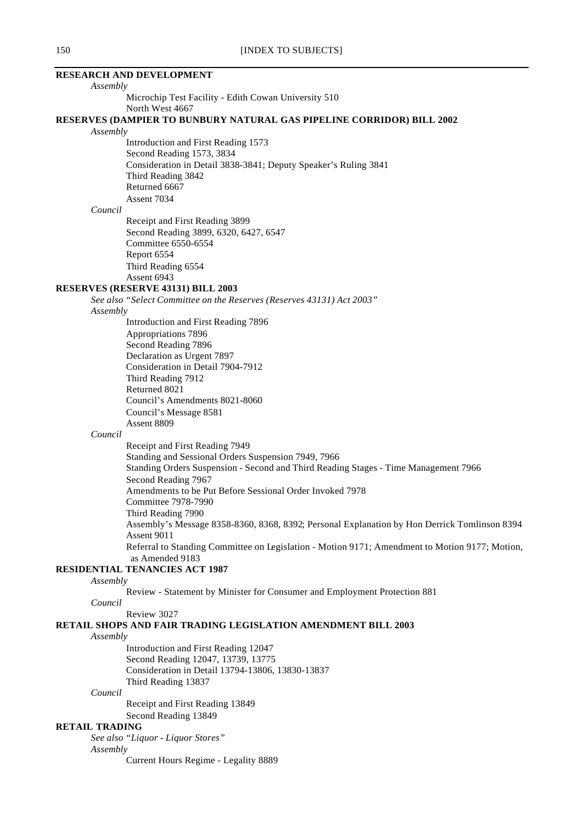# **RESEARCH AND DEVELOPMENT** *Assembly* Microchip Test Facility - Edith Cowan University 510 North West 4667 **RESERVES (DAMPIER TO BUNBURY NATURAL GAS PIPELINE CORRIDOR) BILL 2002** *Assembly* Introduction and First Reading 1573 Second Reading 1573, 3834 Consideration in Detail 3838-3841; Deputy Speaker's Ruling 3841 Third Reading 3842 Returned 6667 Assent 7034 *Council* Receipt and First Reading 3899 Second Reading 3899, 6320, 6427, 6547 Committee 6550-6554 Report 6554 Third Reading 6554 Assent 6943 **RESERVES (RESERVE 43131) BILL 2003** *See also "Select Committee on the Reserves (Reserves 43131) Act 2003" Assembly* Introduction and First Reading 7896 Appropriations 7896 Second Reading 7896 Declaration as Urgent 7897 Consideration in Detail 7904-7912 Third Reading 7912 Returned 8021 Council's Amendments 8021-8060 Council's Message 8581 Assent 8809 *Council* Receipt and First Reading 7949 Standing and Sessional Orders Suspension 7949, 7966 Standing Orders Suspension - Second and Third Reading Stages - Time Management 7966 Second Reading 7967 Amendments to be Put Before Sessional Order Invoked 7978 Committee 7978-7990 Third Reading 7990 Assembly's Message 8358-8360, 8368, 8392; Personal Explanation by Hon Derrick Tomlinson 8394 Assent 9011 Referral to Standing Committee on Legislation - Motion 9171; Amendment to Motion 9177; Motion, as Amended 9183 **RESIDENTIAL TENANCIES ACT 1987** *Assembly* Review - Statement by Minister for Consumer and Employment Protection 881 *Council* Review 3027 **RETAIL SHOPS AND FAIR TRADING LEGISLATION AMENDMENT BILL 2003** *Assembly* Introduction and First Reading 12047 Second Reading 12047, 13739, 13775 Consideration in Detail 13794-13806, 13830-13837 Third Reading 13837 *Council* Receipt and First Reading 13849 Second Reading 13849 **RETAIL TRADING** *See also "Liquor - Liquor Stores" Assembly*

Current Hours Regime - Legality 8889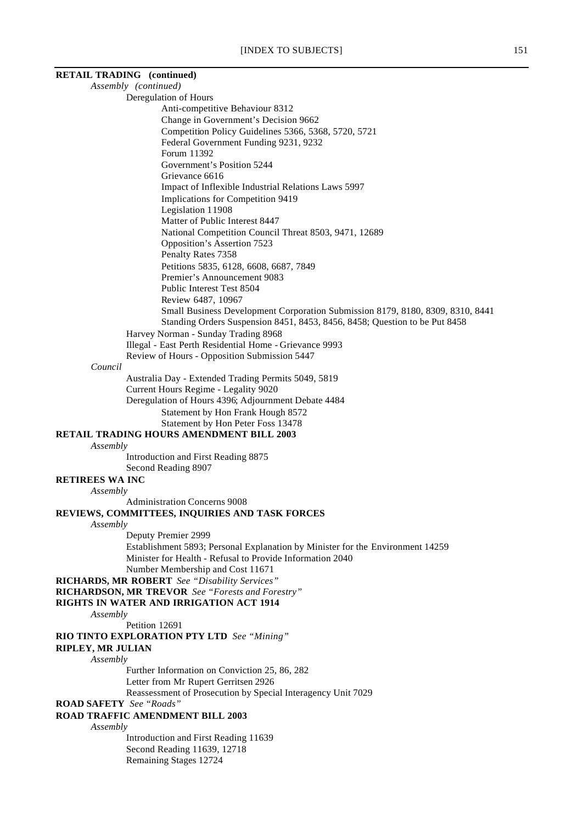# **RETAIL TRADING (continued)**

*Assembly (continued)* Deregulation of Hours

Anti-competitive Behaviour 8312

- Change in Government's Decision 9662
- Competition Policy Guidelines 5366, 5368, 5720, 5721

Federal Government Funding 9231, 9232

Forum 11392

Government's Position 5244 Grievance 6616

Impact of Inflexible Industrial Relations Laws 5997

Implications for Competition 9419

Legislation 11908

Matter of Public Interest 8447 National Competition Council Threat 8503, 9471, 12689

Opposition's Assertion 7523

Penalty Rates 7358

Petitions 5835, 6128, 6608, 6687, 7849

Premier's Announcement 9083

Public Interest Test 8504

Review 6487, 10967

Small Business Development Corporation Submission 8179, 8180, 8309, 8310, 8441 Standing Orders Suspension 8451, 8453, 8456, 8458; Question to be Put 8458

Harvey Norman - Sunday Trading 8968

Illegal - East Perth Residential Home - Grievance 9993

Review of Hours - Opposition Submission 5447

### *Council*

Australia Day - Extended Trading Permits 5049, 5819 Current Hours Regime - Legality 9020 Deregulation of Hours 4396; Adjournment Debate 4484 Statement by Hon Frank Hough 8572 Statement by Hon Peter Foss 13478

# **RETAIL TRADING HOURS AMENDMENT BILL 2003**

*Assembly*

Introduction and First Reading 8875 Second Reading 8907

### **RETIREES WA INC**

*Assembly*

Administration Concerns 9008

# **REVIEWS, COMMITTEES, INQUIRIES AND TASK FORCES**

*Assembly*

Deputy Premier 2999

Establishment 5893; Personal Explanation by Minister for the Environment 14259 Minister for Health - Refusal to Provide Information 2040 Number Membership and Cost 11671

**RICHARDS, MR ROBERT** *See "Disability Services"*

**RICHARDSON, MR TREVOR** *See "Forests and Forestry"*

### **RIGHTS IN WATER AND IRRIGATION ACT 1914**

*Assembly*

Petition 12691

**RIO TINTO EXPLORATION PTY LTD** *See "Mining"*

**RIPLEY, MR JULIAN**

### *Assembly*

Further Information on Conviction 25, 86, 282

Letter from Mr Rupert Gerritsen 2926

Reassessment of Prosecution by Special Interagency Unit 7029

**ROAD SAFETY** *See "Roads"*

### **ROAD TRAFFIC AMENDMENT BILL 2003**

*Assembly*

Introduction and First Reading 11639 Second Reading 11639, 12718 Remaining Stages 12724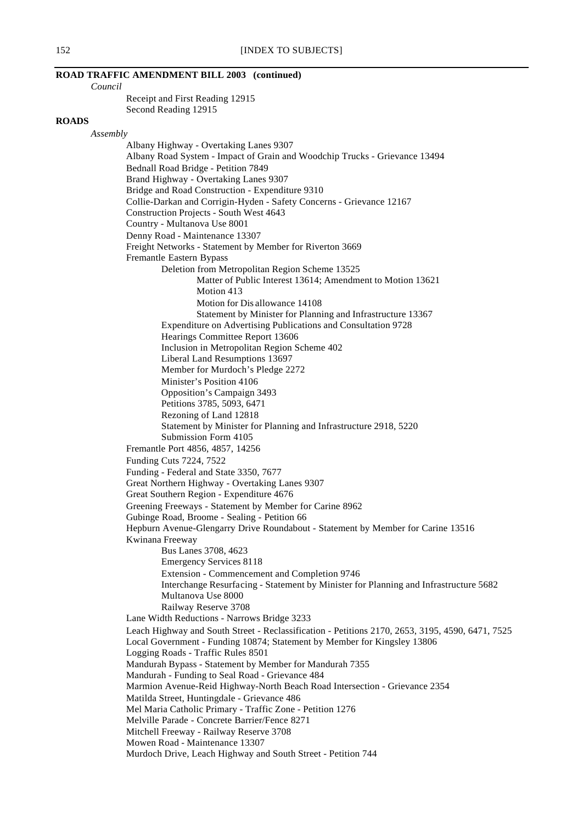# **ROAD TRAFFIC AMENDMENT BILL 2003 (continued)**

*Council*

Receipt and First Reading 12915 Second Reading 12915

### **ROADS**

*Assembly*

Albany Highway - Overtaking Lanes 9307 Albany Road System - Impact of Grain and Woodchip Trucks - Grievance 13494 Bednall Road Bridge - Petition 7849 Brand Highway - Overtaking Lanes 9307 Bridge and Road Construction - Expenditure 9310 Collie-Darkan and Corrigin-Hyden - Safety Concerns - Grievance 12167 Construction Projects - South West 4643 Country - Multanova Use 8001 Denny Road - Maintenance 13307 Freight Networks - Statement by Member for Riverton 3669 Fremantle Eastern Bypass Deletion from Metropolitan Region Scheme 13525 Matter of Public Interest 13614; Amendment to Motion 13621 Motion 413 Motion for Dis allowance 14108 Statement by Minister for Planning and Infrastructure 13367 Expenditure on Advertising Publications and Consultation 9728 Hearings Committee Report 13606 Inclusion in Metropolitan Region Scheme 402 Liberal Land Resumptions 13697 Member for Murdoch's Pledge 2272 Minister's Position 4106 Opposition's Campaign 3493 Petitions 3785, 5093, 6471 Rezoning of Land 12818 Statement by Minister for Planning and Infrastructure 2918, 5220 Submission Form 4105 Fremantle Port 4856, 4857, 14256 Funding Cuts 7224, 7522 Funding - Federal and State 3350, 7677 Great Northern Highway - Overtaking Lanes 9307 Great Southern Region - Expenditure 4676 Greening Freeways - Statement by Member for Carine 8962 Gubinge Road, Broome - Sealing - Petition 66 Hepburn Avenue-Glengarry Drive Roundabout - Statement by Member for Carine 13516 Kwinana Freeway Bus Lanes 3708, 4623 Emergency Services 8118 Extension - Commencement and Completion 9746 Interchange Resurfacing - Statement by Minister for Planning and Infrastructure 5682 Multanova Use 8000 Railway Reserve 3708 Lane Width Reductions - Narrows Bridge 3233 Leach Highway and South Street - Reclassification - Petitions 2170, 2653, 3195, 4590, 6471, 7525 Local Government - Funding 10874; Statement by Member for Kingsley 13806 Logging Roads - Traffic Rules 8501 Mandurah Bypass - Statement by Member for Mandurah 7355 Mandurah - Funding to Seal Road - Grievance 484 Marmion Avenue-Reid Highway-North Beach Road Intersection - Grievance 2354 Matilda Street, Huntingdale - Grievance 486 Mel Maria Catholic Primary - Traffic Zone - Petition 1276 Melville Parade - Concrete Barrier/Fence 8271 Mitchell Freeway - Railway Reserve 3708 Mowen Road - Maintenance 13307 Murdoch Drive, Leach Highway and South Street - Petition 744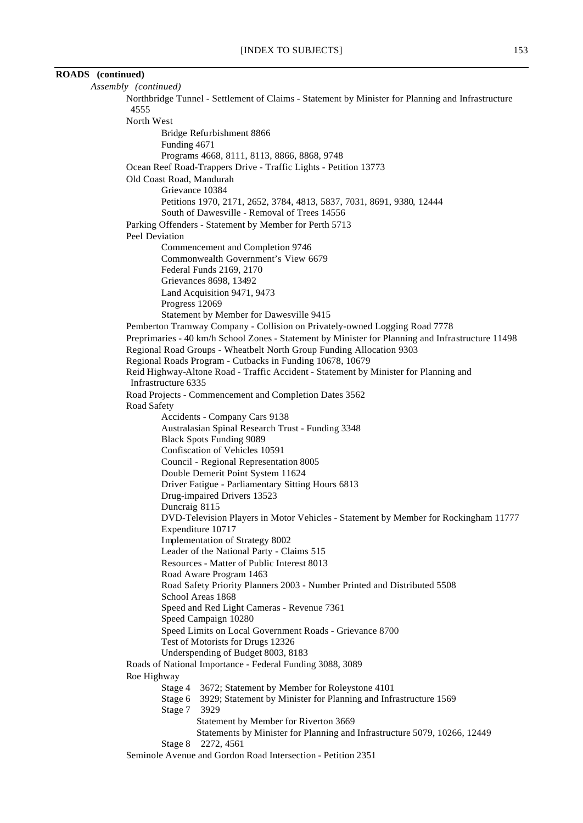# **ROADS (continued)**

| Assembly (continued)                                                                                      |
|-----------------------------------------------------------------------------------------------------------|
| Northbridge Tunnel - Settlement of Claims - Statement by Minister for Planning and Infrastructure<br>4555 |
| North West                                                                                                |
| Bridge Refurbishment 8866                                                                                 |
| Funding 4671                                                                                              |
| Programs 4668, 8111, 8113, 8866, 8868, 9748                                                               |
| Ocean Reef Road-Trappers Drive - Traffic Lights - Petition 13773                                          |
| Old Coast Road, Mandurah                                                                                  |
| Grievance 10384                                                                                           |
| Petitions 1970, 2171, 2652, 3784, 4813, 5837, 7031, 8691, 9380, 12444                                     |
| South of Dawesville - Removal of Trees 14556                                                              |
| Parking Offenders - Statement by Member for Perth 5713                                                    |
| Peel Deviation                                                                                            |
| Commencement and Completion 9746                                                                          |
| Commonwealth Government's View 6679                                                                       |
| Federal Funds 2169, 2170                                                                                  |
| Grievances 8698, 13492                                                                                    |
| Land Acquisition 9471, 9473                                                                               |
| Progress 12069                                                                                            |
| Statement by Member for Dawesville 9415                                                                   |
| Pemberton Tramway Company - Collision on Privately-owned Logging Road 7778                                |
| Preprimaries - 40 km/h School Zones - Statement by Minister for Planning and Infrastructure 11498         |
| Regional Road Groups - Wheatbelt North Group Funding Allocation 9303                                      |
| Regional Roads Program - Cutbacks in Funding 10678, 10679                                                 |
| Reid Highway-Altone Road - Traffic Accident - Statement by Minister for Planning and                      |
| Infrastructure 6335                                                                                       |
| Road Projects - Commencement and Completion Dates 3562                                                    |
| Road Safety<br>Accidents - Company Cars 9138                                                              |
| Australasian Spinal Research Trust - Funding 3348                                                         |
| <b>Black Spots Funding 9089</b>                                                                           |
| Confiscation of Vehicles 10591                                                                            |
| Council - Regional Representation 8005                                                                    |
| Double Demerit Point System 11624                                                                         |
| Driver Fatigue - Parliamentary Sitting Hours 6813                                                         |
| Drug-impaired Drivers 13523                                                                               |
| Duncraig 8115                                                                                             |
| DVD-Television Players in Motor Vehicles - Statement by Member for Rockingham 11777                       |
| Expenditure 10717                                                                                         |
| Implementation of Strategy 8002                                                                           |
| Leader of the National Party - Claims 515                                                                 |
| Resources - Matter of Public Interest 8013                                                                |
| Road Aware Program 1463                                                                                   |
| Road Safety Priority Planners 2003 - Number Printed and Distributed 5508                                  |
| School Areas 1868                                                                                         |
| Speed and Red Light Cameras - Revenue 7361                                                                |
| Speed Campaign 10280                                                                                      |
| Speed Limits on Local Government Roads - Grievance 8700                                                   |
| Test of Motorists for Drugs 12326                                                                         |
| Underspending of Budget 8003, 8183<br>Roads of National Importance - Federal Funding 3088, 3089           |
| Roe Highway                                                                                               |
| Stage 4 3672; Statement by Member for Roleystone 4101                                                     |
| Stage 6 3929; Statement by Minister for Planning and Infrastructure 1569                                  |
| Stage 7 3929                                                                                              |
| Statement by Member for Riverton 3669                                                                     |
| Statements by Minister for Planning and Infrastructure 5079, 10266, 12449                                 |
| 2272, 4561<br>Stage 8                                                                                     |
| Seminole Avenue and Gordon Road Intersection - Petition 2351                                              |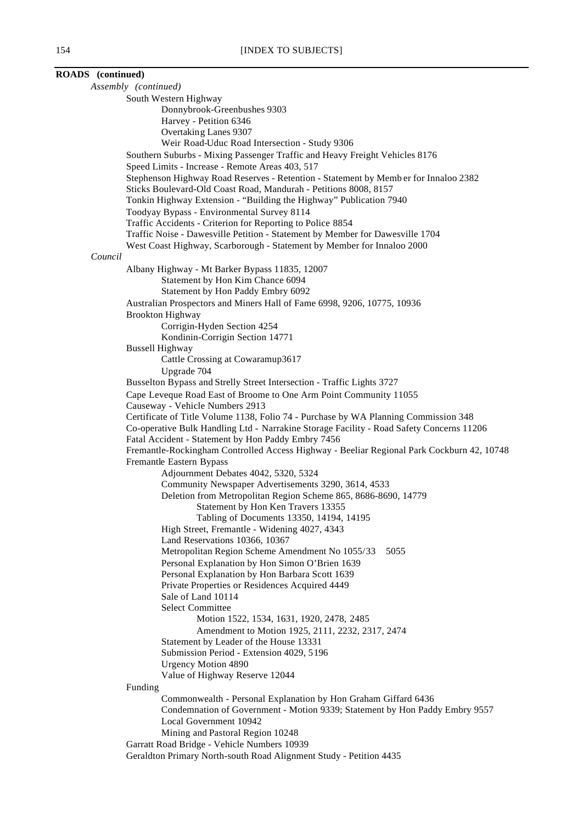**ROADS (continued)** *Assembly (continued)* South Western Highway Donnybrook-Greenbushes 9303 Harvey - Petition 6346 Overtaking Lanes 9307 Weir Road-Uduc Road Intersection - Study 9306 Southern Suburbs - Mixing Passenger Traffic and Heavy Freight Vehicles 8176 Speed Limits - Increase - Remote Areas 403, 517 Stephenson Highway Road Reserves - Retention - Statement by Memb er for Innaloo 2382 Sticks Boulevard-Old Coast Road, Mandurah - Petitions 8008, 8157 Tonkin Highway Extension - "Building the Highway" Publication 7940 Toodyay Bypass - Environmental Survey 8114 Traffic Accidents - Criterion for Reporting to Police 8854 Traffic Noise - Dawesville Petition - Statement by Member for Dawesville 1704 West Coast Highway, Scarborough - Statement by Member for Innaloo 2000 *Council* Albany Highway - Mt Barker Bypass 11835, 12007 Statement by Hon Kim Chance 6094 Statement by Hon Paddy Embry 6092 Australian Prospectors and Miners Hall of Fame 6998, 9206, 10775, 10936 Brookton Highway Corrigin-Hyden Section 4254 Kondinin-Corrigin Section 14771 Bussell Highway Cattle Crossing at Cowaramup3617 Upgrade 704 Busselton Bypass and Strelly Street Intersection - Traffic Lights 3727 Cape Leveque Road East of Broome to One Arm Point Community 11055 Causeway - Vehicle Numbers 2913 Certificate of Title Volume 1138, Folio 74 - Purchase by WA Planning Commission 348 Co-operative Bulk Handling Ltd - Narrakine Storage Facility - Road Safety Concerns 11206 Fatal Accident - Statement by Hon Paddy Embry 7456 Fremantle-Rockingham Controlled Access Highway - Beeliar Regional Park Cockburn 42, 10748 Fremantle Eastern Bypass Adjournment Debates 4042, 5320, 5324 Community Newspaper Advertisements 3290, 3614, 4533 Deletion from Metropolitan Region Scheme 865, 8686-8690, 14779 Statement by Hon Ken Travers 13355 Tabling of Documents 13350, 14194, 14195 High Street, Fremantle - Widening 4027, 4343 Land Reservations 10366, 10367 Metropolitan Region Scheme Amendment No 1055/33 5055 Personal Explanation by Hon Simon O'Brien 1639 Personal Explanation by Hon Barbara Scott 1639 Private Properties or Residences Acquired 4449 Sale of Land 10114 Select Committee Motion 1522, 1534, 1631, 1920, 2478, 2485 Amendment to Motion 1925, 2111, 2232, 2317, 2474 Statement by Leader of the House 13331 Submission Period - Extension 4029, 5196 Urgency Motion 4890 Value of Highway Reserve 12044 Funding Commonwealth - Personal Explanation by Hon Graham Giffard 6436 Condemnation of Government - Motion 9339; Statement by Hon Paddy Embry 9557 Local Government 10942 Mining and Pastoral Region 10248 Garratt Road Bridge - Vehicle Numbers 10939 Geraldton Primary North-south Road Alignment Study - Petition 4435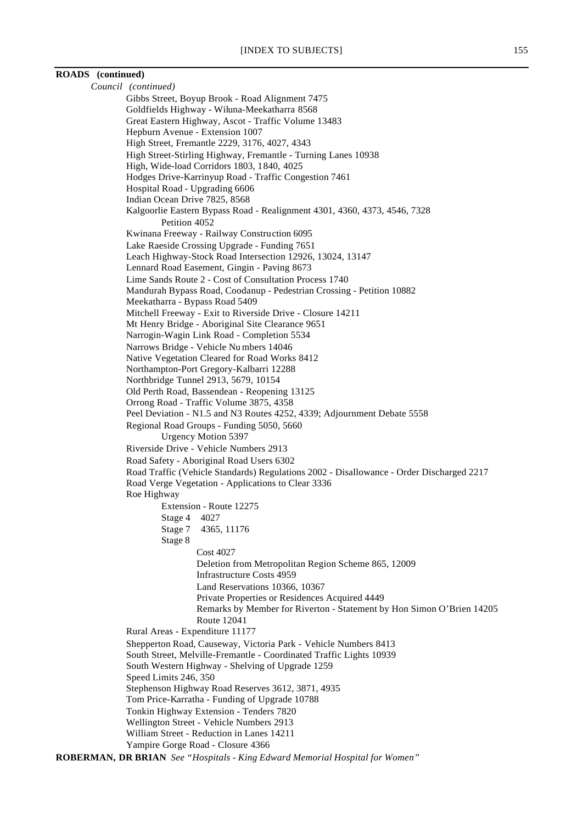# **ROADS (continued)**

| Council (continued)                                                                                                |
|--------------------------------------------------------------------------------------------------------------------|
| Gibbs Street, Boyup Brook - Road Alignment 7475                                                                    |
| Goldfields Highway - Wiluna-Meekatharra 8568                                                                       |
| Great Eastern Highway, Ascot - Traffic Volume 13483                                                                |
| Hepburn Avenue - Extension 1007                                                                                    |
| High Street, Fremantle 2229, 3176, 4027, 4343<br>High Street-Stirling Highway, Fremantle - Turning Lanes 10938     |
| High, Wide-load Corridors 1803, 1840, 4025                                                                         |
| Hodges Drive-Karrinyup Road - Traffic Congestion 7461                                                              |
| Hospital Road - Upgrading 6606                                                                                     |
| Indian Ocean Drive 7825, 8568                                                                                      |
| Kalgoorlie Eastern Bypass Road - Realignment 4301, 4360, 4373, 4546, 7328                                          |
| Petition 4052                                                                                                      |
| Kwinana Freeway - Railway Construction 6095                                                                        |
| Lake Raeside Crossing Upgrade - Funding 7651                                                                       |
| Leach Highway-Stock Road Intersection 12926, 13024, 13147                                                          |
| Lennard Road Easement, Gingin - Paving 8673                                                                        |
| Lime Sands Route 2 - Cost of Consultation Process 1740                                                             |
| Mandurah Bypass Road, Coodanup - Pedestrian Crossing - Petition 10882<br>Meekatharra - Bypass Road 5409            |
| Mitchell Freeway - Exit to Riverside Drive - Closure 14211                                                         |
| Mt Henry Bridge - Aboriginal Site Clearance 9651                                                                   |
| Narrogin-Wagin Link Road - Completion 5534                                                                         |
| Narrows Bridge - Vehicle Numbers 14046                                                                             |
| Native Vegetation Cleared for Road Works 8412                                                                      |
| Northampton-Port Gregory-Kalbarri 12288                                                                            |
| Northbridge Tunnel 2913, 5679, 10154                                                                               |
| Old Perth Road, Bassendean - Reopening 13125                                                                       |
| Orrong Road - Traffic Volume 3875, 4358<br>Peel Deviation - N1.5 and N3 Routes 4252, 4339; Adjournment Debate 5558 |
| Regional Road Groups - Funding 5050, 5660                                                                          |
| <b>Urgency Motion 5397</b>                                                                                         |
| Riverside Drive - Vehicle Numbers 2913                                                                             |
| Road Safety - Aboriginal Road Users 6302                                                                           |
| Road Traffic (Vehicle Standards) Regulations 2002 - Disallowance - Order Discharged 2217                           |
| Road Verge Vegetation - Applications to Clear 3336                                                                 |
| Roe Highway                                                                                                        |
| Extension - Route 12275                                                                                            |
| Stage 4 4027                                                                                                       |
| 4365, 11176<br>Stage 7                                                                                             |
| Stage 8                                                                                                            |
| <b>Cost 4027</b>                                                                                                   |
| Deletion from Metropolitan Region Scheme 865, 12009<br><b>Infrastructure Costs 4959</b>                            |
| Land Reservations 10366, 10367                                                                                     |
| Private Properties or Residences Acquired 4449                                                                     |
| Remarks by Member for Riverton - Statement by Hon Simon O'Brien 14205                                              |
| <b>Route 12041</b>                                                                                                 |
| Rural Areas - Expenditure 11177                                                                                    |
| Shepperton Road, Causeway, Victoria Park - Vehicle Numbers 8413                                                    |
| South Street, Melville-Fremantle - Coordinated Traffic Lights 10939                                                |
| South Western Highway - Shelving of Upgrade 1259                                                                   |
| Speed Limits 246, 350                                                                                              |
| Stephenson Highway Road Reserves 3612, 3871, 4935                                                                  |
| Tom Price-Karratha - Funding of Upgrade 10788                                                                      |
| Tonkin Highway Extension - Tenders 7820<br>Wellington Street - Vehicle Numbers 2913                                |
| William Street - Reduction in Lanes 14211                                                                          |
| Yampire Gorge Road - Closure 4366                                                                                  |
| ROBERMAN, DR BRIAN See "Hospitals - King Edward Memorial Hospital for Women"                                       |
|                                                                                                                    |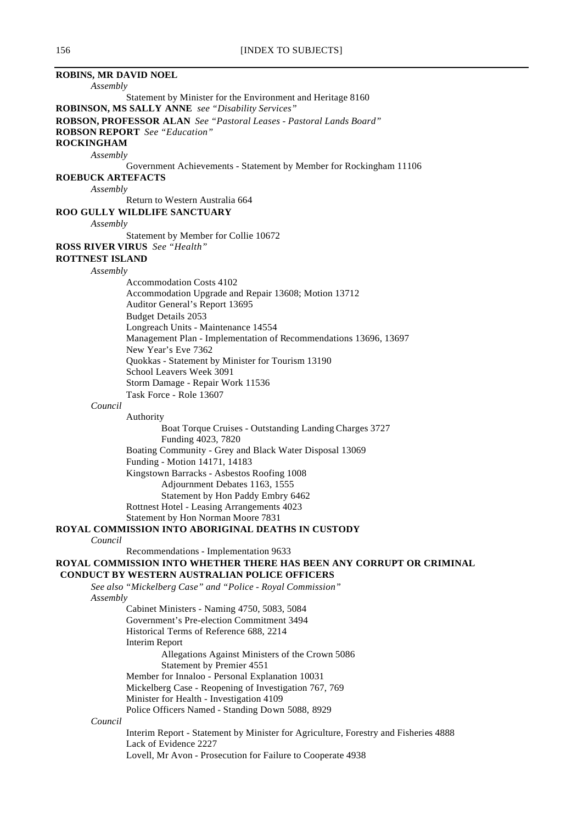| <b>ROBINS, MR DAVID NOEL</b> |                                                                                     |
|------------------------------|-------------------------------------------------------------------------------------|
| Assembly                     |                                                                                     |
|                              | Statement by Minister for the Environment and Heritage 8160                         |
|                              | <b>ROBINSON, MS SALLY ANNE</b> see "Disability Services"                            |
|                              | ROBSON, PROFESSOR ALAN See "Pastoral Leases - Pastoral Lands Board"                 |
|                              | <b>ROBSON REPORT</b> See "Education"                                                |
| <b>ROCKINGHAM</b>            |                                                                                     |
| Assembly                     |                                                                                     |
|                              | Government Achievements - Statement by Member for Rockingham 11106                  |
| ROEBUCK ARTEFACTS            |                                                                                     |
| Assembly                     |                                                                                     |
|                              | Return to Western Australia 664                                                     |
|                              | <b>ROO GULLY WILDLIFE SANCTUARY</b>                                                 |
| Assembly                     |                                                                                     |
|                              | Statement by Member for Collie 10672                                                |
|                              | <b>ROSS RIVER VIRUS</b> See "Health"                                                |
| <b>ROTTNEST ISLAND</b>       |                                                                                     |
| Assembly                     |                                                                                     |
|                              | <b>Accommodation Costs 4102</b>                                                     |
|                              | Accommodation Upgrade and Repair 13608; Motion 13712                                |
|                              | Auditor General's Report 13695                                                      |
|                              | <b>Budget Details 2053</b>                                                          |
|                              | Longreach Units - Maintenance 14554                                                 |
|                              | Management Plan - Implementation of Recommendations 13696, 13697                    |
|                              | New Year's Eve 7362                                                                 |
|                              | Quokkas - Statement by Minister for Tourism 13190                                   |
|                              | School Leavers Week 3091                                                            |
|                              | Storm Damage - Repair Work 11536                                                    |
|                              | Task Force - Role 13607                                                             |
| Council                      |                                                                                     |
|                              | Authority                                                                           |
|                              | Boat Torque Cruises - Outstanding Landing Charges 3727                              |
|                              | Funding 4023, 7820                                                                  |
|                              | Boating Community - Grey and Black Water Disposal 13069                             |
|                              | Funding - Motion 14171, 14183                                                       |
|                              | Kingstown Barracks - Asbestos Roofing 1008                                          |
|                              | Adjournment Debates 1163, 1555                                                      |
|                              | Statement by Hon Paddy Embry 6462                                                   |
|                              | Rottnest Hotel - Leasing Arrangements 4023                                          |
|                              | Statement by Hon Norman Moore 7831                                                  |
|                              | ROYAL COMMISSION INTO ABORIGINAL DEATHS IN CUSTODY                                  |
| Council                      |                                                                                     |
|                              | Recommendations - Implementation 9633                                               |
|                              | ROYAL COMMISSION INTO WHETHER THERE HAS BEEN ANY CORRUPT OR CRIMINAL                |
|                              | <b>CONDUCT BY WESTERN AUSTRALIAN POLICE OFFICERS</b>                                |
|                              | See also "Mickelberg Case" and "Police - Royal Commission"                          |
| Assembly                     |                                                                                     |
|                              | Cabinet Ministers - Naming 4750, 5083, 5084                                         |
|                              | Government's Pre-election Commitment 3494                                           |
|                              | Historical Terms of Reference 688, 2214                                             |
|                              | <b>Interim Report</b>                                                               |
|                              | Allegations Against Ministers of the Crown 5086                                     |
|                              | Statement by Premier 4551<br>Member for Innaloo - Personal Explanation 10031        |
|                              | Mickelberg Case - Reopening of Investigation 767, 769                               |
|                              | Minister for Health - Investigation 4109                                            |
|                              | Police Officers Named - Standing Down 5088, 8929                                    |
| Council                      |                                                                                     |
|                              | Interim Report - Statement by Minister for Agriculture, Forestry and Fisheries 4888 |
|                              | Lack of Evidence 2227                                                               |
|                              | Lovell, Mr Avon - Prosecution for Failure to Cooperate 4938                         |
|                              |                                                                                     |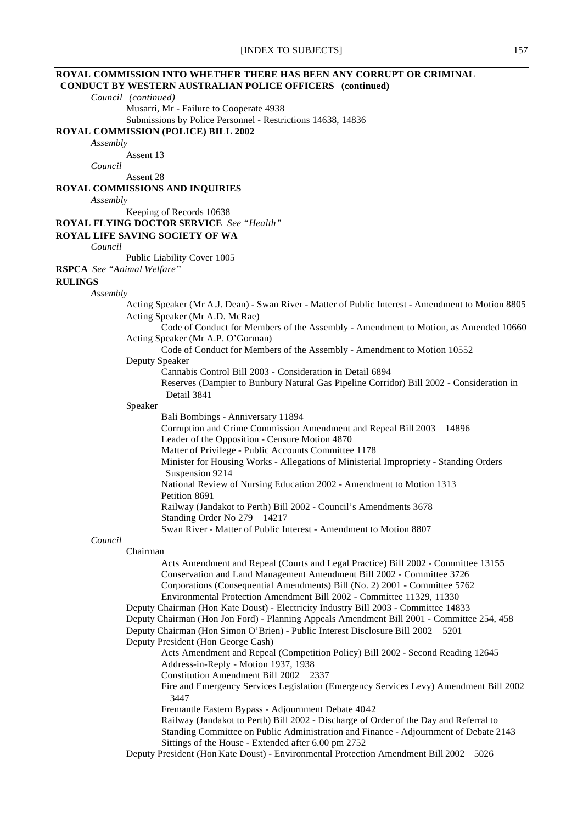# **ROYAL COMMISSION INTO WHETHER THERE HAS BEEN ANY CORRUPT OR CRIMINAL**

 **CONDUCT BY WESTERN AUSTRALIAN POLICE OFFICERS (continued)**

*Council (continued)*

Musarri, Mr - Failure to Cooperate 4938

Submissions by Police Personnel - Restrictions 14638, 14836

### **ROYAL COMMISSION (POLICE) BILL 2002**

*Assembly*

Assent 13

*Council*

Assent 28

### **ROYAL COMMISSIONS AND INQUIRIES**

*Assembly*

Keeping of Records 10638

### **ROYAL FLYING DOCTOR SERVICE** *See "Health"*

### **ROYAL LIFE SAVING SOCIETY OF WA**

*Council*

Public Liability Cover 1005

**RSPCA** *See "Animal Welfare"*

#### **RULINGS**

### *Assembly*

- Acting Speaker (Mr A.J. Dean) Swan River Matter of Public Interest Amendment to Motion 8805 Acting Speaker (Mr A.D. McRae)
	- Code of Conduct for Members of the Assembly Amendment to Motion, as Amended 10660 Acting Speaker (Mr A.P. O'Gorman)
		- Code of Conduct for Members of the Assembly Amendment to Motion 10552

### Deputy Speaker

Cannabis Control Bill 2003 - Consideration in Detail 6894

Reserves (Dampier to Bunbury Natural Gas Pipeline Corridor) Bill 2002 - Consideration in Detail 3841

#### Speaker

Bali Bombings - Anniversary 11894

Corruption and Crime Commission Amendment and Repeal Bill 2003 14896 Leader of the Opposition - Censure Motion 4870 Matter of Privilege - Public Accounts Committee 1178 Minister for Housing Works - Allegations of Ministerial Impropriety - Standing Orders Suspension 9214 National Review of Nursing Education 2002 - Amendment to Motion 1313 Petition 8691 Railway (Jandakot to Perth) Bill 2002 - Council's Amendments 3678 Standing Order No 279 14217 Swan River - Matter of Public Interest - Amendment to Motion 8807

### *Council*

Chairman Acts Amendment and Repeal (Courts and Legal Practice) Bill 2002 - Committee 13155 Conservation and Land Management Amendment Bill 2002 - Committee 3726 Corporations (Consequential Amendments) Bill (No. 2) 2001 - Committee 5762

- Environmental Protection Amendment Bill 2002 Committee 11329, 11330
- Deputy Chairman (Hon Kate Doust) Electricity Industry Bill 2003 Committee 14833
- Deputy Chairman (Hon Jon Ford) Planning Appeals Amendment Bill 2001 Committee 254, 458
- Deputy Chairman (Hon Simon O'Brien) Public Interest Disclosure Bill 2002 5201 Deputy President (Hon George Cash)
	- Acts Amendment and Repeal (Competition Policy) Bill 2002 Second Reading 12645 Address-in-Reply - Motion 1937, 1938
	- Constitution Amendment Bill 2002 2337
	- Fire and Emergency Services Legislation (Emergency Services Levy) Amendment Bill 2002 3447
	- Fremantle Eastern Bypass Adjournment Debate 4042

Railway (Jandakot to Perth) Bill 2002 - Discharge of Order of the Day and Referral to Standing Committee on Public Administration and Finance - Adjournment of Debate 2143 Sittings of the House - Extended after 6.00 pm 2752

Deputy President (Hon Kate Doust) - Environmental Protection Amendment Bill 2002 5026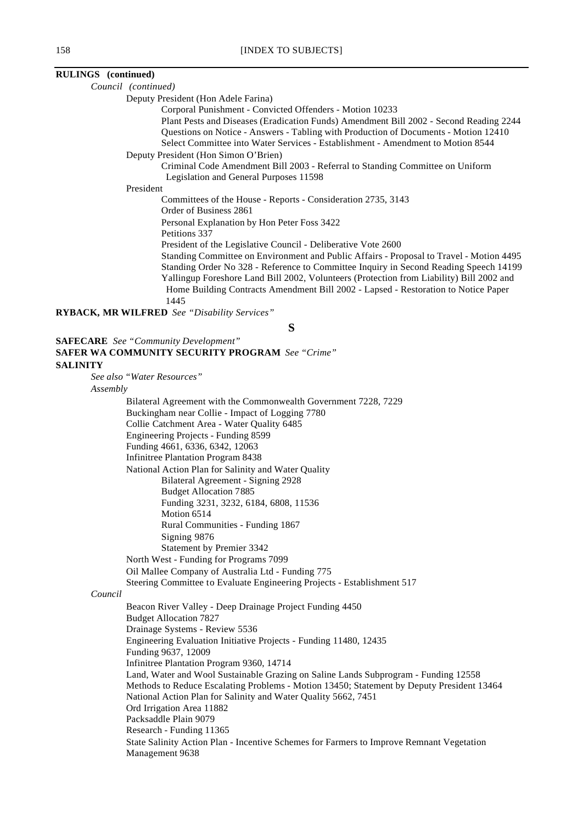# **RULINGS (continued)**

*Council (continued)*

Deputy President (Hon Adele Farina)

Corporal Punishment - Convicted Offenders - Motion 10233

Plant Pests and Diseases (Eradication Funds) Amendment Bill 2002 - Second Reading 2244 Questions on Notice - Answers - Tabling with Production of Documents - Motion 12410 Select Committee into Water Services - Establishment - Amendment to Motion 8544

Deputy President (Hon Simon O'Brien)

Criminal Code Amendment Bill 2003 - Referral to Standing Committee on Uniform Legislation and General Purposes 11598

President

Committees of the House - Reports - Consideration 2735, 3143

Order of Business 2861

Personal Explanation by Hon Peter Foss 3422

Petitions 337

President of the Legislative Council - Deliberative Vote 2600

Standing Committee on Environment and Public Affairs - Proposal to Travel - Motion 4495 Standing Order No 328 - Reference to Committee Inquiry in Second Reading Speech 14199 Yallingup Foreshore Land Bill 2002, Volunteers (Protection from Liability) Bill 2002 and Home Building Contracts Amendment Bill 2002 - Lapsed - Restoration to Notice Paper 1445

**RYBACK, MR WILFRED** *See "Disability Services"*

**S**

|                 | <b>SAFECARE</b> See "Community Development"                                                                 |
|-----------------|-------------------------------------------------------------------------------------------------------------|
|                 | <b>SAFER WA COMMUNITY SECURITY PROGRAM See "Crime"</b>                                                      |
| <b>SALINITY</b> |                                                                                                             |
|                 | See also "Water Resources"                                                                                  |
| Assembly        |                                                                                                             |
|                 | Bilateral Agreement with the Commonwealth Government 7228, 7229                                             |
|                 | Buckingham near Collie - Impact of Logging 7780                                                             |
|                 | Collie Catchment Area - Water Quality 6485                                                                  |
|                 | Engineering Projects - Funding 8599                                                                         |
|                 | Funding 4661, 6336, 6342, 12063                                                                             |
|                 | <b>Infinitree Plantation Program 8438</b>                                                                   |
|                 | National Action Plan for Salinity and Water Quality                                                         |
|                 | Bilateral Agreement - Signing 2928                                                                          |
|                 | <b>Budget Allocation 7885</b>                                                                               |
|                 | Funding 3231, 3232, 6184, 6808, 11536                                                                       |
|                 | Motion 6514                                                                                                 |
|                 | Rural Communities - Funding 1867                                                                            |
|                 | Signing 9876                                                                                                |
|                 | Statement by Premier 3342                                                                                   |
|                 | North West - Funding for Programs 7099                                                                      |
|                 | Oil Mallee Company of Australia Ltd - Funding 775                                                           |
|                 | Steering Committee to Evaluate Engineering Projects - Establishment 517                                     |
| Council         |                                                                                                             |
|                 | Beacon River Valley - Deep Drainage Project Funding 4450                                                    |
|                 | <b>Budget Allocation 7827</b>                                                                               |
|                 | Drainage Systems - Review 5536                                                                              |
|                 | Engineering Evaluation Initiative Projects - Funding 11480, 12435<br>Funding 9637, 12009                    |
|                 | Infinitree Plantation Program 9360, 14714                                                                   |
|                 | Land, Water and Wool Sustainable Grazing on Saline Lands Subprogram - Funding 12558                         |
|                 | Methods to Reduce Escalating Problems - Motion 13450; Statement by Deputy President 13464                   |
|                 | National Action Plan for Salinity and Water Quality 5662, 7451                                              |
|                 | Ord Irrigation Area 11882                                                                                   |
|                 | Packsaddle Plain 9079                                                                                       |
|                 | Research - Funding 11365                                                                                    |
|                 | State Salinity Action Plan - Incentive Schemes for Farmers to Improve Remnant Vegetation<br>Management 9638 |
|                 |                                                                                                             |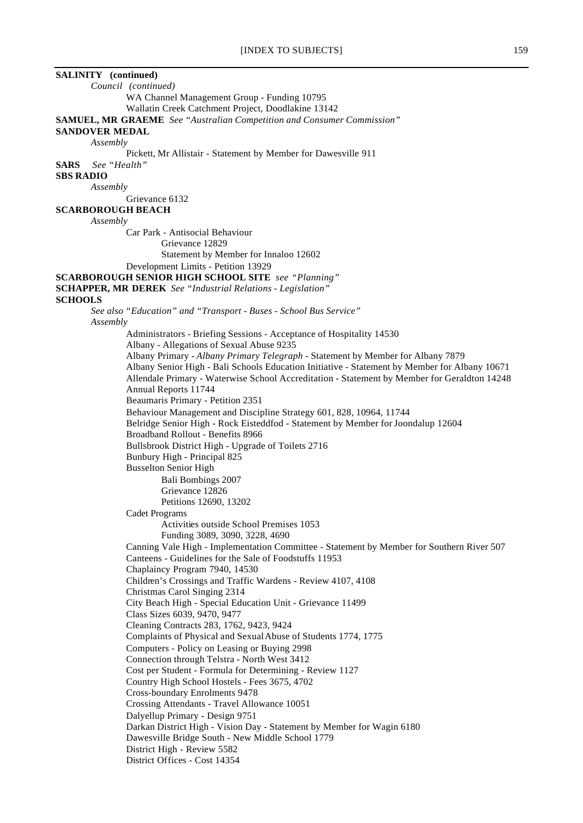| <b>SALINITY</b> (continued)                                                                               |  |
|-----------------------------------------------------------------------------------------------------------|--|
| Council (continued)                                                                                       |  |
| WA Channel Management Group - Funding 10795                                                               |  |
| Wallatin Creek Catchment Project, Doodlakine 13142                                                        |  |
| <b>SAMUEL, MR GRAEME</b> See "Australian Competition and Consumer Commission"                             |  |
| <b>SANDOVER MEDAL</b>                                                                                     |  |
| Assembly                                                                                                  |  |
| Pickett, Mr Allistair - Statement by Member for Dawesville 911                                            |  |
| See "Health"<br><b>SARS</b>                                                                               |  |
| <b>SBS RADIO</b>                                                                                          |  |
| Assembly                                                                                                  |  |
| Grievance 6132<br><b>SCARBOROUGH BEACH</b>                                                                |  |
| Assembly                                                                                                  |  |
| Car Park - Antisocial Behaviour                                                                           |  |
| Grievance 12829                                                                                           |  |
| Statement by Member for Innaloo 12602                                                                     |  |
| Development Limits - Petition 13929                                                                       |  |
| <b>SCARBOROUGH SENIOR HIGH SCHOOL SITE</b> see "Planning"                                                 |  |
| <b>SCHAPPER, MR DEREK</b> See "Industrial Relations - Legislation"                                        |  |
| <b>SCHOOLS</b>                                                                                            |  |
| See also "Education" and "Transport - Buses - School Bus Service"<br>Assembly                             |  |
| Administrators - Briefing Sessions - Acceptance of Hospitality 14530                                      |  |
| Albany - Allegations of Sexual Abuse 9235                                                                 |  |
| Albany Primary - Albany Primary Telegraph - Statement by Member for Albany 7879                           |  |
| Albany Senior High - Bali Schools Education Initiative - Statement by Member for Albany 10671             |  |
| Allendale Primary - Waterwise School Accreditation - Statement by Member for Geraldton 14248              |  |
| Annual Reports 11744                                                                                      |  |
| Beaumaris Primary - Petition 2351                                                                         |  |
| Behaviour Management and Discipline Strategy 601, 828, 10964, 11744                                       |  |
| Belridge Senior High - Rock Eisteddfod - Statement by Member for Joondalup 12604                          |  |
| Broadband Rollout - Benefits 8966                                                                         |  |
| Bullsbrook District High - Upgrade of Toilets 2716                                                        |  |
| Bunbury High - Principal 825                                                                              |  |
| <b>Busselton Senior High</b><br>Bali Bombings 2007                                                        |  |
| Grievance 12826                                                                                           |  |
| Petitions 12690, 13202                                                                                    |  |
| <b>Cadet Programs</b>                                                                                     |  |
| Activities outside School Premises 1053                                                                   |  |
| Funding 3089, 3090, 3228, 4690                                                                            |  |
| Canning Vale High - Implementation Committee - Statement by Member for Southern River 507                 |  |
| Canteens - Guidelines for the Sale of Foodstuffs 11953                                                    |  |
| Chaplaincy Program 7940, 14530                                                                            |  |
| Children's Crossings and Traffic Wardens - Review 4107, 4108                                              |  |
| Christmas Carol Singing 2314                                                                              |  |
| City Beach High - Special Education Unit - Grievance 11499                                                |  |
| Class Sizes 6039, 9470, 9477                                                                              |  |
| Cleaning Contracts 283, 1762, 9423, 9424                                                                  |  |
| Complaints of Physical and Sexual Abuse of Students 1774, 1775                                            |  |
| Computers - Policy on Leasing or Buying 2998                                                              |  |
| Connection through Telstra - North West 3412                                                              |  |
| Cost per Student - Formula for Determining - Review 1127<br>Country High School Hostels - Fees 3675, 4702 |  |
| Cross-boundary Enrolments 9478                                                                            |  |
| Crossing Attendants - Travel Allowance 10051                                                              |  |
| Dalyellup Primary - Design 9751                                                                           |  |
| Darkan District High - Vision Day - Statement by Member for Wagin 6180                                    |  |
| Dawesville Bridge South - New Middle School 1779                                                          |  |
| District High - Review 5582                                                                               |  |
| District Offices - Cost 14354                                                                             |  |
|                                                                                                           |  |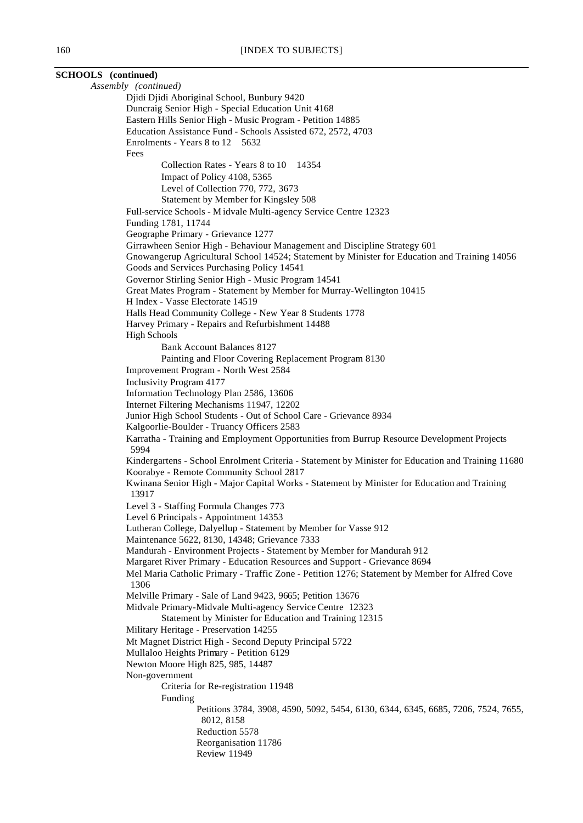| <b>SCHOOLS</b> (continued)                                                                                                                    |
|-----------------------------------------------------------------------------------------------------------------------------------------------|
| Assembly (continued)                                                                                                                          |
| Djidi Djidi Aboriginal School, Bunbury 9420                                                                                                   |
| Duncraig Senior High - Special Education Unit 4168                                                                                            |
| Eastern Hills Senior High - Music Program - Petition 14885                                                                                    |
| Education Assistance Fund - Schools Assisted 672, 2572, 4703                                                                                  |
| Enrolments - Years 8 to 12 5632                                                                                                               |
| Fees<br>Collection Rates - Years 8 to 10 14354                                                                                                |
| Impact of Policy 4108, 5365                                                                                                                   |
| Level of Collection 770, 772, 3673                                                                                                            |
| Statement by Member for Kingsley 508                                                                                                          |
| Full-service Schools - Midvale Multi-agency Service Centre 12323                                                                              |
| Funding 1781, 11744                                                                                                                           |
| Geographe Primary - Grievance 1277                                                                                                            |
| Girrawheen Senior High - Behaviour Management and Discipline Strategy 601                                                                     |
| Gnowangerup Agricultural School 14524; Statement by Minister for Education and Training 14056<br>Goods and Services Purchasing Policy 14541   |
| Governor Stirling Senior High - Music Program 14541                                                                                           |
| Great Mates Program - Statement by Member for Murray-Wellington 10415                                                                         |
| H Index - Vasse Electorate 14519                                                                                                              |
| Halls Head Community College - New Year 8 Students 1778                                                                                       |
| Harvey Primary - Repairs and Refurbishment 14488                                                                                              |
| <b>High Schools</b><br><b>Bank Account Balances 8127</b>                                                                                      |
| Painting and Floor Covering Replacement Program 8130                                                                                          |
| Improvement Program - North West 2584                                                                                                         |
| Inclusivity Program 4177                                                                                                                      |
| Information Technology Plan 2586, 13606                                                                                                       |
| Internet Filtering Mechanisms 11947, 12202                                                                                                    |
| Junior High School Students - Out of School Care - Grievance 8934<br>Kalgoorlie-Boulder - Truancy Officers 2583                               |
| Karratha - Training and Employment Opportunities from Burrup Resource Development Projects<br>5994                                            |
| Kindergartens - School Enrolment Criteria - Statement by Minister for Education and Training 11680<br>Koorabye - Remote Community School 2817 |
| Kwinana Senior High - Major Capital Works - Statement by Minister for Education and Training<br>13917                                         |
| Level 3 - Staffing Formula Changes 773                                                                                                        |
| Level 6 Principals - Appointment 14353                                                                                                        |
| Lutheran College, Dalyellup - Statement by Member for Vasse 912<br>Maintenance 5622, 8130, 14348; Grievance 7333                              |
| Mandurah - Environment Projects - Statement by Member for Mandurah 912                                                                        |
| Margaret River Primary - Education Resources and Support - Grievance 8694                                                                     |
| Mel Maria Catholic Primary - Traffic Zone - Petition 1276; Statement by Member for Alfred Cove<br>1306                                        |
| Melville Primary - Sale of Land 9423, 9665; Petition 13676                                                                                    |
| Midvale Primary-Midvale Multi-agency Service Centre 12323                                                                                     |
| Statement by Minister for Education and Training 12315                                                                                        |
| Military Heritage - Preservation 14255                                                                                                        |
| Mt Magnet District High - Second Deputy Principal 5722                                                                                        |
| Mullaloo Heights Primary - Petition 6129<br>Newton Moore High 825, 985, 14487                                                                 |
| Non-government                                                                                                                                |
| Criteria for Re-registration 11948                                                                                                            |
| Funding                                                                                                                                       |
| Petitions 3784, 3908, 4590, 5092, 5454, 6130, 6344, 6345, 6685, 7206, 7524, 7655,<br>8012, 8158                                               |
| Reduction 5578                                                                                                                                |
| Reorganisation 11786<br><b>Review 11949</b>                                                                                                   |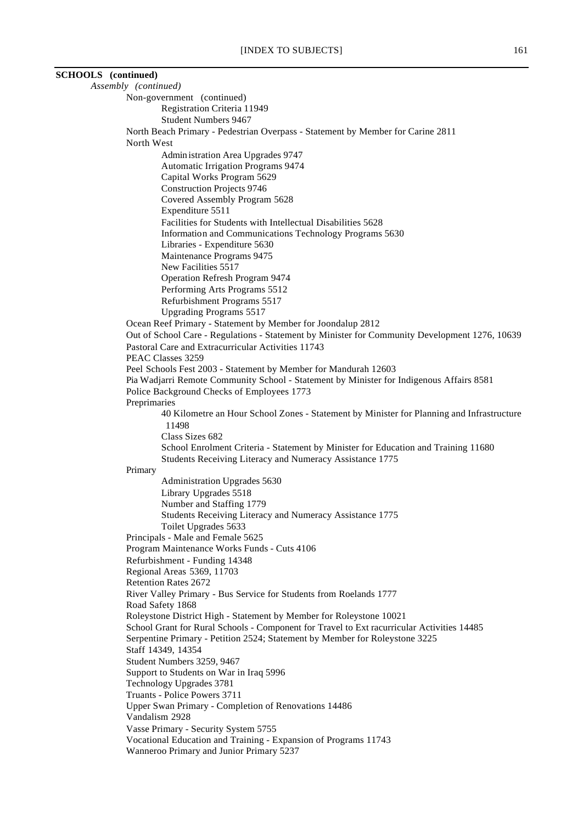| <b>SCHOOLS</b> (continued) |                                                                                                                                                                           |
|----------------------------|---------------------------------------------------------------------------------------------------------------------------------------------------------------------------|
|                            | Assembly (continued)                                                                                                                                                      |
|                            | Non-government (continued)                                                                                                                                                |
|                            | Registration Criteria 11949                                                                                                                                               |
|                            | <b>Student Numbers 9467</b>                                                                                                                                               |
|                            | North Beach Primary - Pedestrian Overpass - Statement by Member for Carine 2811                                                                                           |
|                            | North West                                                                                                                                                                |
|                            | Admin istration Area Upgrades 9747                                                                                                                                        |
|                            | <b>Automatic Irrigation Programs 9474</b>                                                                                                                                 |
|                            | Capital Works Program 5629                                                                                                                                                |
|                            | <b>Construction Projects 9746</b>                                                                                                                                         |
|                            | Covered Assembly Program 5628                                                                                                                                             |
|                            | Expenditure 5511                                                                                                                                                          |
|                            | Facilities for Students with Intellectual Disabilities 5628<br>Information and Communications Technology Programs 5630                                                    |
|                            | Libraries - Expenditure 5630                                                                                                                                              |
|                            | Maintenance Programs 9475                                                                                                                                                 |
|                            | New Facilities 5517                                                                                                                                                       |
|                            | Operation Refresh Program 9474                                                                                                                                            |
|                            | Performing Arts Programs 5512                                                                                                                                             |
|                            | Refurbishment Programs 5517                                                                                                                                               |
|                            | <b>Upgrading Programs 5517</b>                                                                                                                                            |
|                            | Ocean Reef Primary - Statement by Member for Joondalup 2812                                                                                                               |
|                            | Out of School Care - Regulations - Statement by Minister for Community Development 1276, 10639                                                                            |
|                            | Pastoral Care and Extracurricular Activities 11743                                                                                                                        |
|                            | PEAC Classes 3259                                                                                                                                                         |
|                            | Peel Schools Fest 2003 - Statement by Member for Mandurah 12603                                                                                                           |
|                            | Pia Wadjarri Remote Community School - Statement by Minister for Indigenous Affairs 8581                                                                                  |
|                            | Police Background Checks of Employees 1773                                                                                                                                |
|                            | Preprimaries                                                                                                                                                              |
|                            | 40 Kilometre an Hour School Zones - Statement by Minister for Planning and Infrastructure                                                                                 |
|                            | 11498                                                                                                                                                                     |
|                            | Class Sizes 682<br>School Enrolment Criteria - Statement by Minister for Education and Training 11680                                                                     |
|                            | Students Receiving Literacy and Numeracy Assistance 1775                                                                                                                  |
|                            | Primary                                                                                                                                                                   |
|                            | Administration Upgrades 5630                                                                                                                                              |
|                            | Library Upgrades 5518                                                                                                                                                     |
|                            | Number and Staffing 1779                                                                                                                                                  |
|                            | Students Receiving Literacy and Numeracy Assistance 1775                                                                                                                  |
|                            | Toilet Upgrades 5633                                                                                                                                                      |
|                            | Principals - Male and Female 5625                                                                                                                                         |
|                            | Program Maintenance Works Funds - Cuts 4106                                                                                                                               |
|                            | Refurbishment - Funding 14348                                                                                                                                             |
|                            | Regional Areas 5369, 11703                                                                                                                                                |
|                            | <b>Retention Rates 2672</b>                                                                                                                                               |
|                            | River Valley Primary - Bus Service for Students from Roelands 1777                                                                                                        |
|                            | Road Safety 1868                                                                                                                                                          |
|                            | Roleystone District High - Statement by Member for Roleystone 10021                                                                                                       |
|                            | School Grant for Rural Schools - Component for Travel to Ext racurricular Activities 14485<br>Serpentine Primary - Petition 2524; Statement by Member for Roleystone 3225 |
|                            | Staff 14349, 14354                                                                                                                                                        |
|                            | Student Numbers 3259, 9467                                                                                                                                                |
|                            | Support to Students on War in Iraq 5996                                                                                                                                   |
|                            | Technology Upgrades 3781                                                                                                                                                  |
|                            | Truants - Police Powers 3711                                                                                                                                              |
|                            | Upper Swan Primary - Completion of Renovations 14486                                                                                                                      |
|                            | Vandalism 2928                                                                                                                                                            |
|                            | Vasse Primary - Security System 5755                                                                                                                                      |
|                            | Vocational Education and Training - Expansion of Programs 11743                                                                                                           |
|                            | Wanneroo Primary and Junior Primary 5237                                                                                                                                  |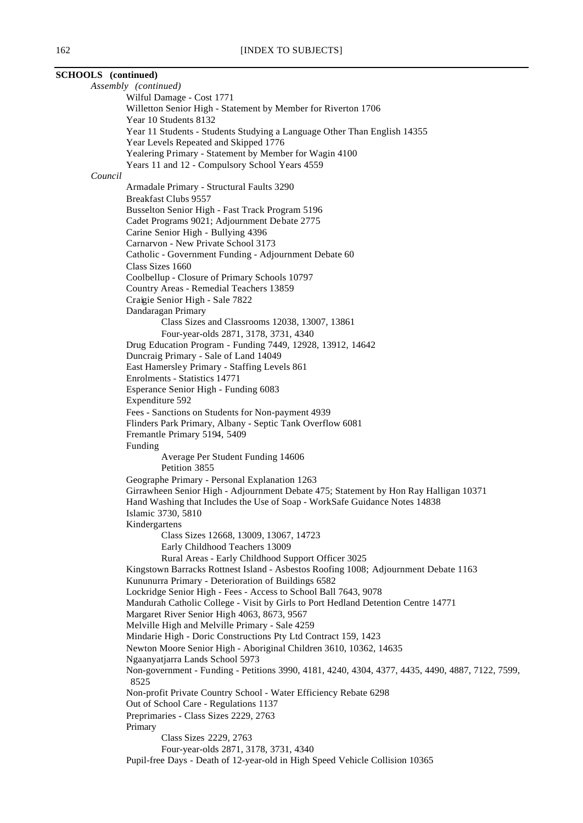| <b>SCHOOLS</b> (continued) |                                                                                                                       |
|----------------------------|-----------------------------------------------------------------------------------------------------------------------|
|                            | Assembly (continued)                                                                                                  |
|                            | Wilful Damage - Cost 1771                                                                                             |
|                            | Willetton Senior High - Statement by Member for Riverton 1706                                                         |
|                            | Year 10 Students 8132                                                                                                 |
|                            | Year 11 Students - Students Studying a Language Other Than English 14355                                              |
|                            | Year Levels Repeated and Skipped 1776                                                                                 |
|                            | Yealering Primary - Statement by Member for Wagin 4100                                                                |
|                            | Years 11 and 12 - Compulsory School Years 4559                                                                        |
| Council                    |                                                                                                                       |
|                            | Armadale Primary - Structural Faults 3290                                                                             |
|                            | <b>Breakfast Clubs 9557</b>                                                                                           |
|                            | Busselton Senior High - Fast Track Program 5196                                                                       |
|                            | Cadet Programs 9021; Adjournment Debate 2775                                                                          |
|                            | Carine Senior High - Bullying 4396                                                                                    |
|                            | Carnarvon - New Private School 3173                                                                                   |
|                            | Catholic - Government Funding - Adjournment Debate 60                                                                 |
|                            | Class Sizes 1660                                                                                                      |
|                            | Coolbellup - Closure of Primary Schools 10797                                                                         |
|                            | Country Areas - Remedial Teachers 13859                                                                               |
|                            | Craigie Senior High - Sale 7822                                                                                       |
|                            | Dandaragan Primary                                                                                                    |
|                            | Class Sizes and Classrooms 12038, 13007, 13861                                                                        |
|                            | Four-year-olds 2871, 3178, 3731, 4340<br>Drug Education Program - Funding 7449, 12928, 13912, 14642                   |
|                            | Duncraig Primary - Sale of Land 14049                                                                                 |
|                            | East Hamersley Primary - Staffing Levels 861                                                                          |
|                            | Enrolments - Statistics 14771                                                                                         |
|                            | Esperance Senior High - Funding 6083                                                                                  |
|                            | Expenditure 592                                                                                                       |
|                            | Fees - Sanctions on Students for Non-payment 4939                                                                     |
|                            | Flinders Park Primary, Albany - Septic Tank Overflow 6081                                                             |
|                            | Fremantle Primary 5194, 5409                                                                                          |
|                            | Funding                                                                                                               |
|                            | Average Per Student Funding 14606                                                                                     |
|                            | Petition 3855                                                                                                         |
|                            | Geographe Primary - Personal Explanation 1263                                                                         |
|                            | Girrawheen Senior High - Adjournment Debate 475; Statement by Hon Ray Halligan 10371                                  |
|                            | Hand Washing that Includes the Use of Soap - WorkSafe Guidance Notes 14838                                            |
|                            | Islamic 3730, 5810                                                                                                    |
|                            | Kindergartens                                                                                                         |
|                            | Class Sizes 12668, 13009, 13067, 14723                                                                                |
|                            | Early Childhood Teachers 13009<br>Rural Areas - Early Childhood Support Officer 3025                                  |
|                            | Kingstown Barracks Rottnest Island - Asbestos Roofing 1008; Adjournment Debate 1163                                   |
|                            | Kununurra Primary - Deterioration of Buildings 6582                                                                   |
|                            | Lockridge Senior High - Fees - Access to School Ball 7643, 9078                                                       |
|                            | Mandurah Catholic College - Visit by Girls to Port Hedland Detention Centre 14771                                     |
|                            | Margaret River Senior High 4063, 8673, 9567                                                                           |
|                            | Melville High and Melville Primary - Sale 4259                                                                        |
|                            | Mindarie High - Doric Constructions Pty Ltd Contract 159, 1423                                                        |
|                            | Newton Moore Senior High - Aboriginal Children 3610, 10362, 14635                                                     |
|                            | Ngaanyatjarra Lands School 5973                                                                                       |
|                            | Non-government - Funding - Petitions 3990, 4181, 4240, 4304, 4377, 4435, 4490, 4887, 7122, 7599,                      |
|                            | 8525                                                                                                                  |
|                            | Non-profit Private Country School - Water Efficiency Rebate 6298                                                      |
|                            | Out of School Care - Regulations 1137                                                                                 |
|                            | Preprimaries - Class Sizes 2229, 2763                                                                                 |
|                            | Primary                                                                                                               |
|                            | Class Sizes 2229, 2763                                                                                                |
|                            | Four-year-olds 2871, 3178, 3731, 4340<br>Pupil-free Days - Death of 12-year-old in High Speed Vehicle Collision 10365 |
|                            |                                                                                                                       |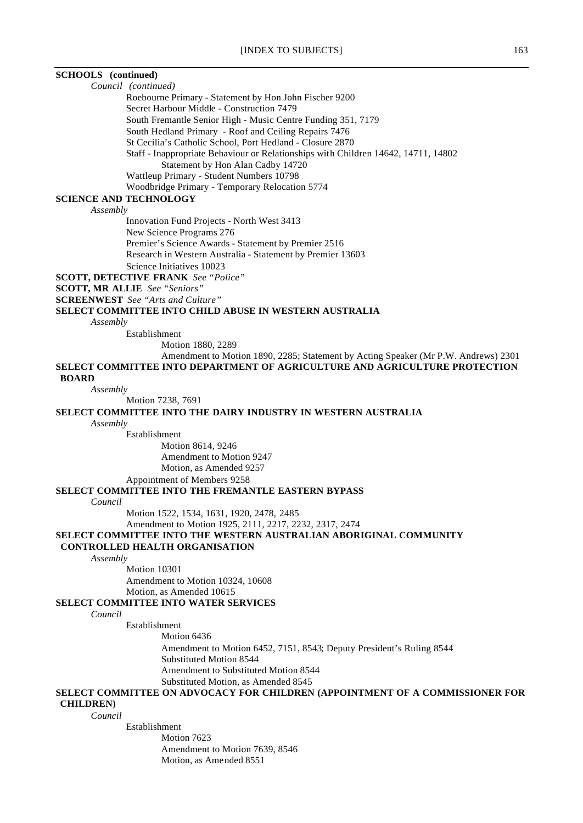# **SCHOOLS (continued)**

*Council (continued)*

Roebourne Primary - Statement by Hon John Fischer 9200

Secret Harbour Middle - Construction 7479

South Fremantle Senior High - Music Centre Funding 351, 7179

South Hedland Primary - Roof and Ceiling Repairs 7476

St Cecilia's Catholic School, Port Hedland - Closure 2870

Staff - Inappropriate Behaviour or Relationships with Children 14642, 14711, 14802

Statement by Hon Alan Cadby 14720

Wattleup Primary - Student Numbers 10798

Woodbridge Primary - Temporary Relocation 5774

# **SCIENCE AND TECHNOLOGY**

*Assembly*

Innovation Fund Projects - North West 3413 New Science Programs 276 Premier's Science Awards - Statement by Premier 2516 Research in Western Australia - Statement by Premier 13603

Science Initiatives 10023

**SCOTT, DETECTIVE FRANK** *See "Police"*

**SCOTT, MR ALLIE** *See "Seniors"*

**SCREENWEST** *See "Arts and Culture"*

## **SELECT COMMITTEE INTO CHILD ABUSE IN WESTERN AUSTRALIA**

*Assembly*

Establishment

Motion 1880, 2289

Amendment to Motion 1890, 2285; Statement by Acting Speaker (Mr P.W. Andrews) 2301 **SELECT COMMITTEE INTO DEPARTMENT OF AGRICULTURE AND AGRICULTURE PROTECTION**

 **BOARD**

#### *Assembly*

Motion 7238, 7691

### **SELECT COMMITTEE INTO THE DAIRY INDUSTRY IN WESTERN AUSTRALIA**

*Assembly*

Establishment

Motion 8614, 9246 Amendment to Motion 9247 Motion, as Amended 9257

Appointment of Members 9258

### **SELECT COMMITTEE INTO THE FREMANTLE EASTERN BYPASS**

*Council*

Motion 1522, 1534, 1631, 1920, 2478, 2485

Amendment to Motion 1925, 2111, 2217, 2232, 2317, 2474

# **SELECT COMMITTEE INTO THE WESTERN AUSTRALIAN ABORIGINAL COMMUNITY**

# **CONTROLLED HEALTH ORGANISATION**

*Assembly*

Motion 10301

Amendment to Motion 10324, 10608 Motion, as Amended 10615

# **SELECT COMMITTEE INTO WATER SERVICES**

*Council*

Establishment

Motion 6436 Amendment to Motion 6452, 7151, 8543; Deputy President's Ruling 8544 Substituted Motion 8544 Amendment to Substituted Motion 8544 Substituted Motion, as Amended 8545

### **SELECT COMMITTEE ON ADVOCACY FOR CHILDREN (APPOINTMENT OF A COMMISSIONER FOR CHILDREN)**

*Council*

Establishment

Motion 7623 Amendment to Motion 7639, 8546 Motion, as Amended 8551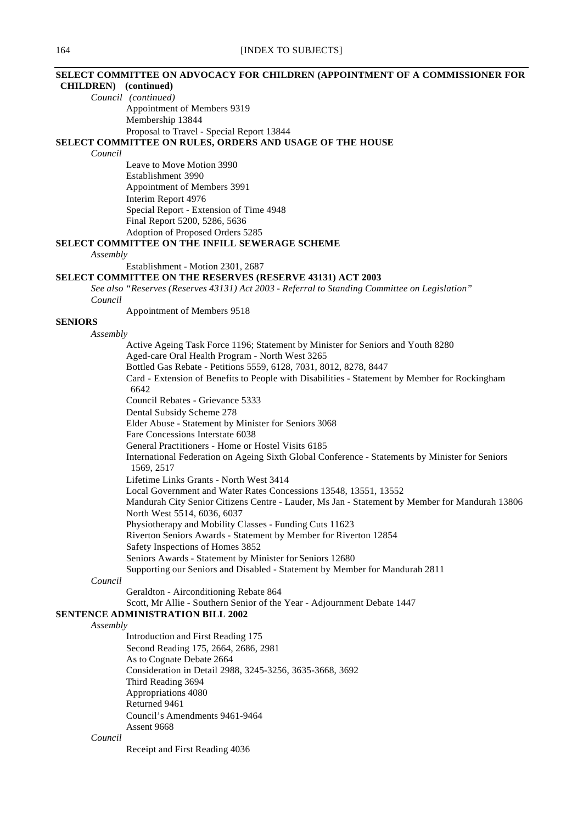# **SELECT COMMITTEE ON ADVOCACY FOR CHILDREN (APPOINTMENT OF A COMMISSIONER FOR**

# **CHILDREN) (continued)**

*Council (continued)* Appointment of Members 9319 Membership 13844 Proposal to Travel - Special Report 13844

### **SELECT COMMITTEE ON RULES, ORDERS AND USAGE OF THE HOUSE**

*Council*

Leave to Move Motion 3990 Establishment 3990 Appointment of Members 3991 Interim Report 4976 Special Report - Extension of Time 4948 Final Report 5200, 5286, 5636 Adoption of Proposed Orders 5285

# **SELECT COMMITTEE ON THE INFILL SEWERAGE SCHEME**

*Assembly*

Establishment - Motion 2301, 2687

# **SELECT COMMITTEE ON THE RESERVES (RESERVE 43131) ACT 2003**

*See also "Reserves (Reserves 43131) Act 2003 - Referral to Standing Committee on Legislation" Council*

Appointment of Members 9518

# **SENIORS**

### *Assembly*

Active Ageing Task Force 1196; Statement by Minister for Seniors and Youth 8280 Aged-care Oral Health Program - North West 3265 Bottled Gas Rebate - Petitions 5559, 6128, 7031, 8012, 8278, 8447 Card - Extension of Benefits to People with Disabilities - Statement by Member for Rockingham 6642 Council Rebates - Grievance 5333 Dental Subsidy Scheme 278 Elder Abuse - Statement by Minister for Seniors 3068 Fare Concessions Interstate 6038 General Practitioners - Home or Hostel Visits 6185 International Federation on Ageing Sixth Global Conference - Statements by Minister for Seniors 1569, 2517 Lifetime Links Grants - North West 3414 Local Government and Water Rates Concessions 13548, 13551, 13552 Mandurah City Senior Citizens Centre - Lauder, Ms Jan - Statement by Member for Mandurah 13806 North West 5514, 6036, 6037 Physiotherapy and Mobility Classes - Funding Cuts 11623 Riverton Seniors Awards - Statement by Member for Riverton 12854 Safety Inspections of Homes 3852 Seniors Awards - Statement by Minister for Seniors 12680 Supporting our Seniors and Disabled - Statement by Member for Mandurah 2811

# *Council*

Geraldton - Airconditioning Rebate 864

Scott, Mr Allie - Southern Senior of the Year - Adjournment Debate 1447

### **SENTENCE ADMINISTRATION BILL 2002**

### *Assembly*

Introduction and First Reading 175 Second Reading 175, 2664, 2686, 2981 As to Cognate Debate 2664 Consideration in Detail 2988, 3245-3256, 3635-3668, 3692 Third Reading 3694 Appropriations 4080 Returned 9461 Council's Amendments 9461-9464 Assent 9668

### *Council*

Receipt and First Reading 4036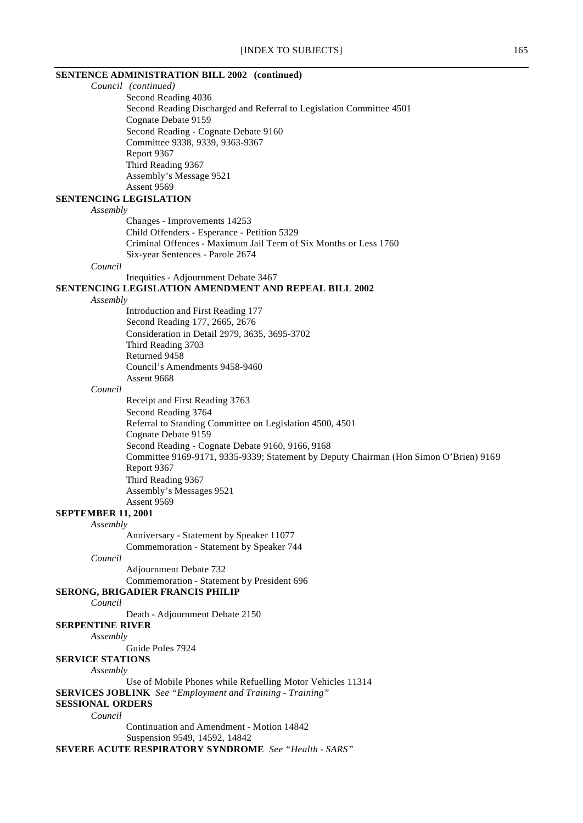# **SENTENCE ADMINISTRATION BILL 2002 (continued)**

*Council (continued)* Second Reading 4036 Second Reading Discharged and Referral to Legislation Committee 4501 Cognate Debate 9159 Second Reading - Cognate Debate 9160 Committee 9338, 9339, 9363-9367 Report 9367 Third Reading 9367 Assembly's Message 9521 Assent 9569 **SENTENCING LEGISLATION** *Assembly* Changes - Improvements 14253 Child Offenders - Esperance - Petition 5329 Criminal Offences - Maximum Jail Term of Six Months or Less 1760 Six-year Sentences - Parole 2674 *Council* Inequities - Adjournment Debate 3467 **SENTENCING LEGISLATION AMENDMENT AND REPEAL BILL 2002** *Assembly* Introduction and First Reading 177 Second Reading 177, 2665, 2676 Consideration in Detail 2979, 3635, 3695-3702 Third Reading 3703 Returned 9458 Council's Amendments 9458-9460 Assent 9668 *Council* Receipt and First Reading 3763 Second Reading 3764 Referral to Standing Committee on Legislation 4500, 4501 Cognate Debate 9159 Second Reading - Cognate Debate 9160, 9166, 9168 Committee 9169-9171, 9335-9339; Statement by Deputy Chairman (Hon Simon O'Brien) 9169 Report 9367 Third Reading 9367 Assembly's Messages 9521 Assent 9569 **SEPTEMBER 11, 2001** *Assembly* Anniversary - Statement by Speaker 11077 Commemoration - Statement by Speaker 744 *Council* Adjournment Debate 732 Commemoration - Statement by President 696 **SERONG, BRIGADIER FRANCIS PHILIP** *Council* Death - Adjournment Debate 2150 **SERPENTINE RIVER** *Assembly* Guide Poles 7924 **SERVICE STATIONS** *Assembly* Use of Mobile Phones while Refuelling Motor Vehicles 11314 **SERVICES JOBLINK** *See "Employment and Training - Training"* **SESSIONAL ORDERS** *Council* Continuation and Amendment - Motion 14842 Suspension 9549, 14592, 14842 **SEVERE ACUTE RESPIRATORY SYNDROME** *See "Health - SARS"*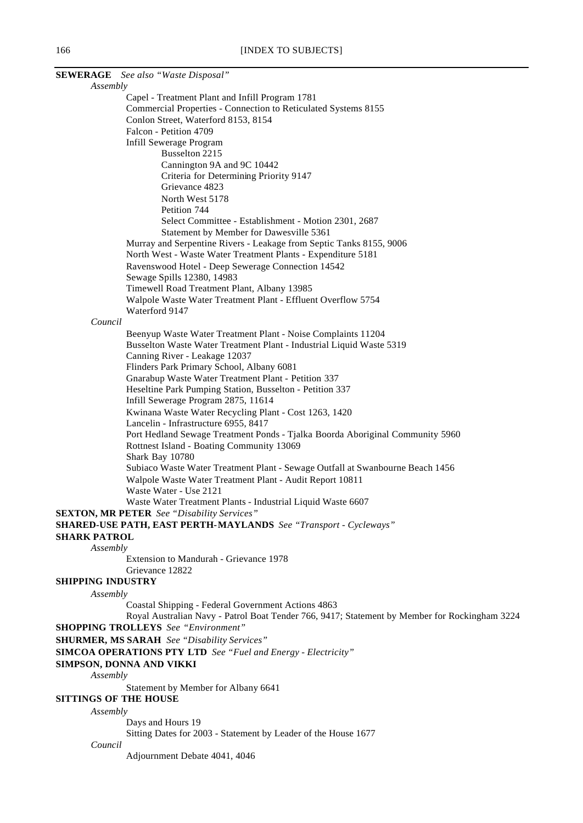|                              | <b>SEWERAGE</b> See also "Waste Disposal"                                                        |
|------------------------------|--------------------------------------------------------------------------------------------------|
| Assembly                     |                                                                                                  |
|                              | Capel - Treatment Plant and Infill Program 1781                                                  |
|                              | Commercial Properties - Connection to Reticulated Systems 8155                                   |
|                              | Conlon Street, Waterford 8153, 8154                                                              |
|                              | Falcon - Petition 4709                                                                           |
|                              | Infill Sewerage Program                                                                          |
|                              | Busselton 2215                                                                                   |
|                              | Cannington 9A and 9C 10442                                                                       |
|                              | Criteria for Determining Priority 9147                                                           |
|                              | Grievance 4823                                                                                   |
|                              | North West 5178                                                                                  |
|                              | Petition 744                                                                                     |
|                              | Select Committee - Establishment - Motion 2301, 2687                                             |
|                              | Statement by Member for Dawesville 5361                                                          |
|                              | Murray and Serpentine Rivers - Leakage from Septic Tanks 8155, 9006                              |
|                              | North West - Waste Water Treatment Plants - Expenditure 5181                                     |
|                              | Ravenswood Hotel - Deep Sewerage Connection 14542                                                |
|                              | Sewage Spills 12380, 14983                                                                       |
|                              | Timewell Road Treatment Plant, Albany 13985                                                      |
|                              | Walpole Waste Water Treatment Plant - Effluent Overflow 5754                                     |
|                              | Waterford 9147                                                                                   |
| Council                      |                                                                                                  |
|                              | Beenyup Waste Water Treatment Plant - Noise Complaints 11204                                     |
|                              | Busselton Waste Water Treatment Plant - Industrial Liquid Waste 5319                             |
|                              | Canning River - Leakage 12037                                                                    |
|                              | Flinders Park Primary School, Albany 6081<br>Gnarabup Waste Water Treatment Plant - Petition 337 |
|                              | Heseltine Park Pumping Station, Busselton - Petition 337                                         |
|                              | Infill Sewerage Program 2875, 11614                                                              |
|                              | Kwinana Waste Water Recycling Plant - Cost 1263, 1420                                            |
|                              | Lancelin - Infrastructure 6955, 8417                                                             |
|                              | Port Hedland Sewage Treatment Ponds - Tjalka Boorda Aboriginal Community 5960                    |
|                              | Rottnest Island - Boating Community 13069                                                        |
|                              | Shark Bay 10780                                                                                  |
|                              | Subiaco Waste Water Treatment Plant - Sewage Outfall at Swanbourne Beach 1456                    |
|                              | Walpole Waste Water Treatment Plant - Audit Report 10811                                         |
|                              | Waste Water - Use 2121                                                                           |
|                              | Waste Water Treatment Plants - Industrial Liquid Waste 6607                                      |
|                              | <b>SEXTON, MR PETER</b> See "Disability Services"                                                |
|                              | SHARED-USE PATH, EAST PERTH-MAYLANDS See "Transport - Cycleways"                                 |
| <b>SHARK PATROL</b>          |                                                                                                  |
| Assembly                     |                                                                                                  |
|                              | Extension to Mandurah - Grievance 1978                                                           |
|                              | Grievance 12822                                                                                  |
| <b>SHIPPING INDUSTRY</b>     |                                                                                                  |
| Assembly                     |                                                                                                  |
|                              | Coastal Shipping - Federal Government Actions 4863                                               |
|                              | Royal Australian Navy - Patrol Boat Tender 766, 9417; Statement by Member for Rockingham 3224    |
|                              | <b>SHOPPING TROLLEYS</b> See "Environment"                                                       |
|                              | <b>SHURMER, MS SARAH</b> See "Disability Services"                                               |
|                              | <b>SIMCOA OPERATIONS PTY LTD</b> See "Fuel and Energy - Electricity"                             |
|                              | SIMPSON, DONNA AND VIKKI                                                                         |
| Assembly                     |                                                                                                  |
|                              | Statement by Member for Albany 6641                                                              |
| <b>SITTINGS OF THE HOUSE</b> |                                                                                                  |
| Assembly                     |                                                                                                  |
|                              | Days and Hours 19                                                                                |
|                              | Sitting Dates for 2003 - Statement by Leader of the House 1677                                   |
| Council                      |                                                                                                  |
|                              | Adjournment Debate 4041, 4046                                                                    |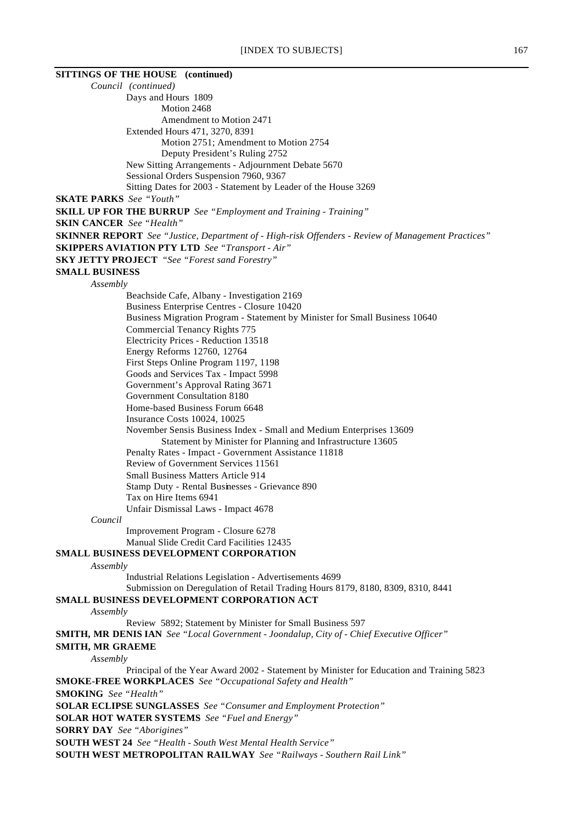# **SITTINGS OF THE HOUSE (continued)** *Council (continued)* Days and Hours 1809 Motion 2468 Amendment to Motion 2471 Extended Hours 471, 3270, 8391 Motion 2751; Amendment to Motion 2754 Deputy President's Ruling 2752 New Sitting Arrangements - Adjournment Debate 5670 Sessional Orders Suspension 7960, 9367 Sitting Dates for 2003 - Statement by Leader of the House 3269 **SKATE PARKS** *See "Youth"* **SKILL UP FOR THE BURRUP** *See "Employment and Training - Training"* **SKIN CANCER** *See "Health"* **SKINNER REPORT** *See "Justice, Department of - High-risk Offenders - Review of Management Practices"* **SKIPPERS AVIATION PTY LTD** *See "Transport - Air"* **SKY JETTY PROJECT** *"See "Forest sand Forestry"* **SMALL BUSINESS** *Assembly* Beachside Cafe, Albany - Investigation 2169 Business Enterprise Centres - Closure 10420 Business Migration Program - Statement by Minister for Small Business 10640 Commercial Tenancy Rights 775 Electricity Prices - Reduction 13518 Energy Reforms 12760, 12764 First Steps Online Program 1197, 1198 Goods and Services Tax - Impact 5998 Government's Approval Rating 3671 Government Consultation 8180 Home-based Business Forum 6648 Insurance Costs 10024, 10025 November Sensis Business Index - Small and Medium Enterprises 13609 Statement by Minister for Planning and Infrastructure 13605 Penalty Rates - Impact - Government Assistance 11818 Review of Government Services 11561 Small Business Matters Article 914 Stamp Duty - Rental Businesses - Grievance 890 Tax on Hire Items 6941 Unfair Dismissal Laws - Impact 4678 *Council* Improvement Program - Closure 6278 Manual Slide Credit Card Facilities 12435 **SMALL BUSINESS DEVELOPMENT CORPORATION** *Assembly* Industrial Relations Legislation - Advertisements 4699 Submission on Deregulation of Retail Trading Hours 8179, 8180, 8309, 8310, 8441 **SMALL BUSINESS DEVELOPMENT CORPORATION ACT** *Assembly* Review 5892; Statement by Minister for Small Business 597 **SMITH, MR DENIS IAN** *See "Local Government - Joondalup, City of - Chief Executive Officer"* **SMITH, MR GRAEME** *Assembly* Principal of the Year Award 2002 - Statement by Minister for Education and Training 5823 **SMOKE-FREE WORKPLACES** *See "Occupational Safety and Health"* **SMOKING** *See "Health"* **SOLAR ECLIPSE SUNGLASSES** *See "Consumer and Employment Protection"* **SOLAR HOT WATER SYSTEMS** *See "Fuel and Energy"* **SORRY DAY** *See "Aborigines"* **SOUTH WEST 24** *See "Health - South West Mental Health Service"* **SOUTH WEST METROPOLITAN RAILWAY** *See "Railways - Southern Rail Link"*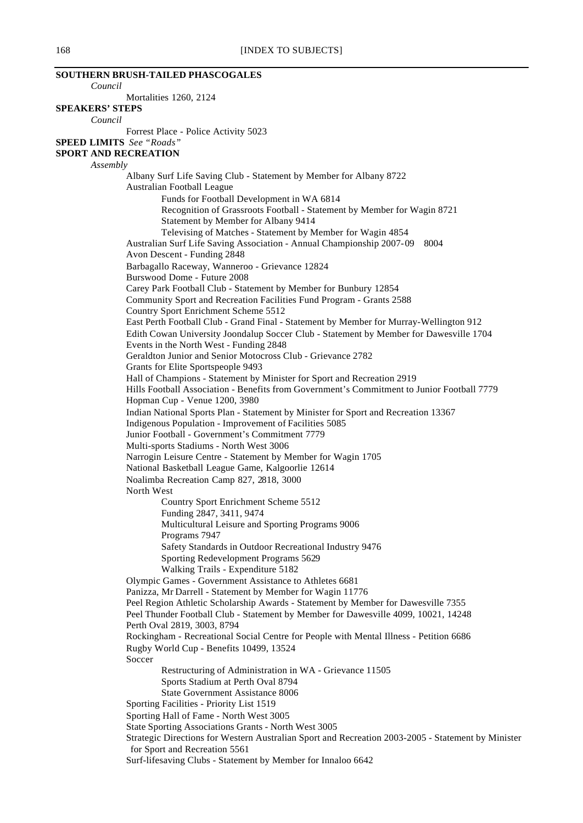**SOUTHERN BRUSH-TAILED PHASCOGALES** *Council* Mortalities 1260, 2124 **SPEAKERS' STEPS** *Council* Forrest Place - Police Activity 5023 **SPEED LIMITS** *See "Roads"* **SPORT AND RECREATION** *Assembly* Albany Surf Life Saving Club - Statement by Member for Albany 8722 Australian Football League Funds for Football Development in WA 6814 Recognition of Grassroots Football - Statement by Member for Wagin 8721 Statement by Member for Albany 9414 Televising of Matches - Statement by Member for Wagin 4854 Australian Surf Life Saving Association - Annual Championship 2007-09 8004 Avon Descent - Funding 2848 Barbagallo Raceway, Wanneroo - Grievance 12824 Burswood Dome - Future 2008 Carey Park Football Club - Statement by Member for Bunbury 12854 Community Sport and Recreation Facilities Fund Program - Grants 2588 Country Sport Enrichment Scheme 5512 East Perth Football Club - Grand Final - Statement by Member for Murray-Wellington 912 Edith Cowan University Joondalup Soccer Club - Statement by Member for Dawesville 1704 Events in the North West - Funding 2848 Geraldton Junior and Senior Motocross Club - Grievance 2782 Grants for Elite Sportspeople 9493 Hall of Champions - Statement by Minister for Sport and Recreation 2919 Hills Football Association - Benefits from Government's Commitment to Junior Football 7779 Hopman Cup - Venue 1200, 3980 Indian National Sports Plan - Statement by Minister for Sport and Recreation 13367 Indigenous Population - Improvement of Facilities 5085 Junior Football - Government's Commitment 7779 Multi-sports Stadiums - North West 3006 Narrogin Leisure Centre - Statement by Member for Wagin 1705 National Basketball League Game, Kalgoorlie 12614 Noalimba Recreation Camp 827, 2818, 3000 North West Country Sport Enrichment Scheme 5512 Funding 2847, 3411, 9474 Multicultural Leisure and Sporting Programs 9006 Programs 7947 Safety Standards in Outdoor Recreational Industry 9476 Sporting Redevelopment Programs 5629 Walking Trails - Expenditure 5182 Olympic Games - Government Assistance to Athletes 6681 Panizza, Mr Darrell - Statement by Member for Wagin 11776 Peel Region Athletic Scholarship Awards - Statement by Member for Dawesville 7355 Peel Thunder Football Club - Statement by Member for Dawesville 4099, 10021, 14248 Perth Oval 2819, 3003, 8794 Rockingham - Recreational Social Centre for People with Mental Illness - Petition 6686 Rugby World Cup - Benefits 10499, 13524 **Soccer** Restructuring of Administration in WA - Grievance 11505 Sports Stadium at Perth Oval 8794 State Government Assistance 8006 Sporting Facilities - Priority List 1519 Sporting Hall of Fame - North West 3005 State Sporting Associations Grants - North West 3005 Strategic Directions for Western Australian Sport and Recreation 2003-2005 - Statement by Minister for Sport and Recreation 5561 Surf-lifesaving Clubs - Statement by Member for Innaloo 6642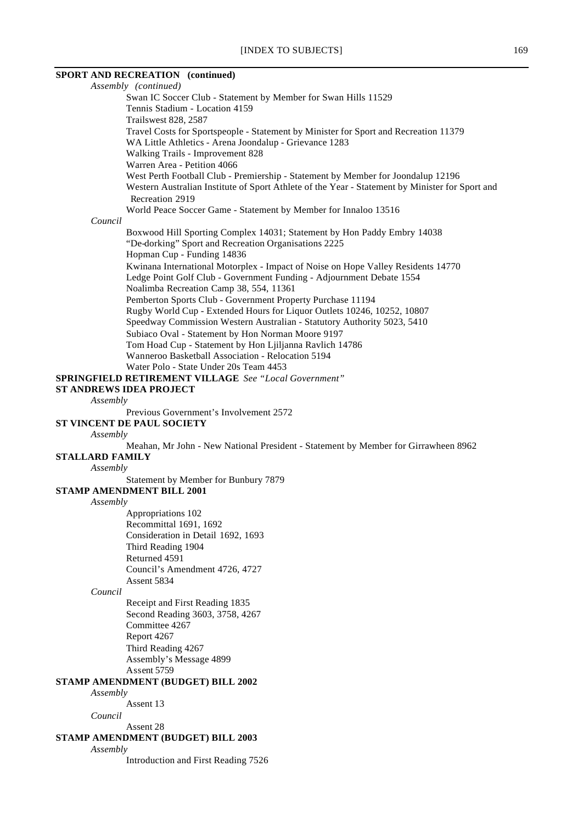# **SPORT AND RECREATION (continued)**

*Assembly (continued)* Swan IC Soccer Club - Statement by Member for Swan Hills 11529 Tennis Stadium - Location 4159 Trailswest 828, 2587 Travel Costs for Sportspeople - Statement by Minister for Sport and Recreation 11379 WA Little Athletics - Arena Joondalup - Grievance 1283 Walking Trails - Improvement 828 Warren Area - Petition 4066 West Perth Football Club - Premiership - Statement by Member for Joondalup 12196 Western Australian Institute of Sport Athlete of the Year - Statement by Minister for Sport and Recreation 2919 World Peace Soccer Game - Statement by Member for Innaloo 13516 *Council* Boxwood Hill Sporting Complex 14031; Statement by Hon Paddy Embry 14038 "De-dorking" Sport and Recreation Organisations 2225 Hopman Cup - Funding 14836 Kwinana International Motorplex - Impact of Noise on Hope Valley Residents 14770 Ledge Point Golf Club - Government Funding - Adjournment Debate 1554 Noalimba Recreation Camp 38, 554, 11361 Pemberton Sports Club - Government Property Purchase 11194 Rugby World Cup - Extended Hours for Liquor Outlets 10246, 10252, 10807 Speedway Commission Western Australian - Statutory Authority 5023, 5410 Subiaco Oval - Statement by Hon Norman Moore 9197 Tom Hoad Cup - Statement by Hon Ljiljanna Ravlich 14786 Wanneroo Basketball Association - Relocation 5194 Water Polo - State Under 20s Team 4453 **SPRINGFIELD RETIREMENT VILLAGE** *See "Local Government"* **ST ANDREWS IDEA PROJECT** *Assembly* Previous Government's Involvement 2572 **ST VINCENT DE PAUL SOCIETY** *Assembly* Meahan, Mr John - New National President - Statement by Member for Girrawheen 8962 **STALLARD FAMILY** *Assembly* Statement by Member for Bunbury 7879 **STAMP AMENDMENT BILL 2001** *Assembly* Appropriations 102 Recommittal 1691, 1692 Consideration in Detail 1692, 1693 Third Reading 1904 Returned 4591 Council's Amendment 4726, 4727 Assent 5834 *Council* Receipt and First Reading 1835 Second Reading 3603, 3758, 4267 Committee 4267 Report 4267 Third Reading 4267 Assembly's Message 4899 Assent 5759 **STAMP AMENDMENT (BUDGET) BILL 2002** *Assembly* Assent 13 *Council* Assent 28 **STAMP AMENDMENT (BUDGET) BILL 2003** *Assembly* Introduction and First Reading 7526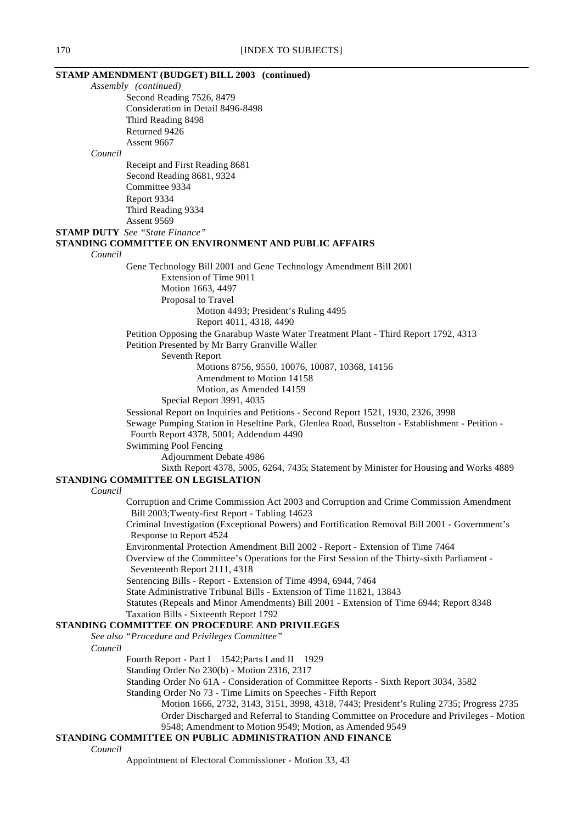### **STAMP AMENDMENT (BUDGET) BILL 2003 (continued)** *Assembly (continued)*

Second Reading 7526, 8479 Consideration in Detail 8496-8498 Third Reading 8498 Returned 9426 Assent 9667 *Council* Receipt and First Reading 8681 Second Reading 8681, 9324 Committee 9334 Report 9334 Third Reading 9334 Assent 9569 **STAMP DUTY** *See "State Finance"* **STANDING COMMITTEE ON ENVIRONMENT AND PUBLIC AFFAIRS** *Council* Gene Technology Bill 2001 and Gene Technology Amendment Bill 2001 Extension of Time 9011 Motion 1663, 4497 Proposal to Travel Motion 4493; President's Ruling 4495 Report 4011, 4318, 4490 Petition Opposing the Gnarabup Waste Water Treatment Plant - Third Report 1792, 4313 Petition Presented by Mr Barry Granville Waller Seventh Report Motions 8756, 9550, 10076, 10087, 10368, 14156 Amendment to Motion 14158 Motion, as Amended 14159 Special Report 3991, 4035 Sessional Report on Inquiries and Petitions - Second Report 1521, 1930, 2326, 3998 Sewage Pumping Station in Heseltine Park, Glenlea Road, Busselton - Establishment - Petition - Fourth Report 4378, 5001; Addendum 4490 Swimming Pool Fencing Adjournment Debate 4986 Sixth Report 4378, 5005, 6264, 7435; Statement by Minister for Housing and Works 4889 **STANDING COMMITTEE ON LEGISLATION** *Council* Corruption and Crime Commission Act 2003 and Corruption and Crime Commission Amendment Bill 2003;Twenty-first Report - Tabling 14623 Criminal Investigation (Exceptional Powers) and Fortification Removal Bill 2001 - Government's Response to Report 4524 Environmental Protection Amendment Bill 2002 - Report - Extension of Time 7464 Overview of the Committee's Operations for the First Session of the Thirty-sixth Parliament - Seventeenth Report 2111, 4318 Sentencing Bills - Report - Extension of Time 4994, 6944, 7464 State Administrative Tribunal Bills - Extension of Time 11821, 13843 Statutes (Repeals and Minor Amendments) Bill 2001 - Extension of Time 6944; Report 8348 Taxation Bills - Sixteenth Report 1792 **STANDING COMMITTEE ON PROCEDURE AND PRIVILEGES** *See also "Procedure and Privileges Committee" Council* Fourth Report - Part I 1542; Parts I and II 1929 Standing Order No 230(b) - Motion 2316, 2317 Standing Order No 61A - Consideration of Committee Reports - Sixth Report 3034, 3582 Standing Order No 73 - Time Limits on Speeches - Fifth Report Motion 1666, 2732, 3143, 3151, 3998, 4318, 7443; President's Ruling 2735; Progress 2735 Order Discharged and Referral to Standing Committee on Procedure and Privileges - Motion 9548; Amendment to Motion 9549; Motion, as Amended 9549

### **STANDING COMMITTEE ON PUBLIC ADMINISTRATION AND FINANCE**

*Council*

Appointment of Electoral Commissioner - Motion 33, 43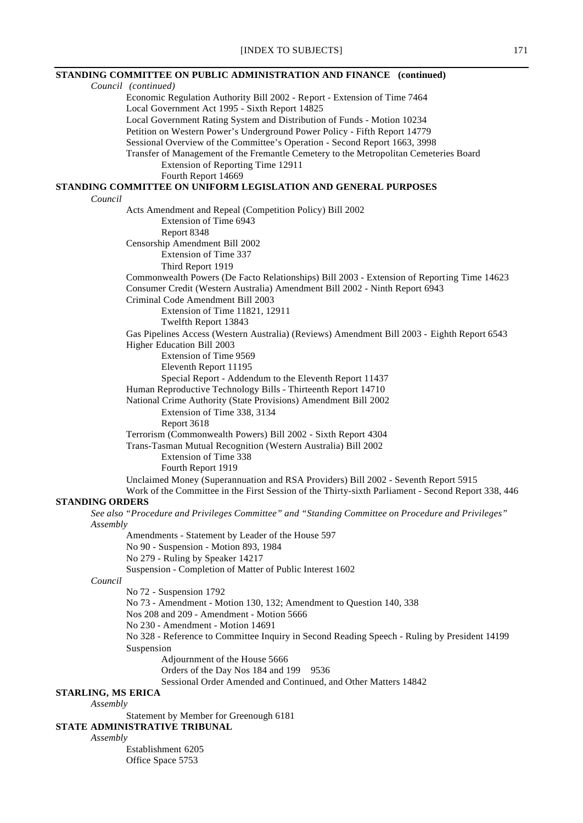|                           | STANDING COMMITTEE ON PUBLIC ADMINISTRATION AND FINANCE (continued)                                 |
|---------------------------|-----------------------------------------------------------------------------------------------------|
| Council (continued)       |                                                                                                     |
|                           | Economic Regulation Authority Bill 2002 - Report - Extension of Time 7464                           |
|                           | Local Government Act 1995 - Sixth Report 14825                                                      |
|                           | Local Government Rating System and Distribution of Funds - Motion 10234                             |
|                           | Petition on Western Power's Underground Power Policy - Fifth Report 14779                           |
|                           | Sessional Overview of the Committee's Operation - Second Report 1663, 3998                          |
|                           | Transfer of Management of the Fremantle Cemetery to the Metropolitan Cemeteries Board               |
|                           | Extension of Reporting Time 12911                                                                   |
|                           | Fourth Report 14669                                                                                 |
|                           | STANDING COMMITTEE ON UNIFORM LEGISLATION AND GENERAL PURPOSES                                      |
| Council                   |                                                                                                     |
|                           | Acts Amendment and Repeal (Competition Policy) Bill 2002                                            |
|                           | Extension of Time 6943                                                                              |
|                           | Report 8348                                                                                         |
|                           | Censorship Amendment Bill 2002<br>Extension of Time 337                                             |
|                           |                                                                                                     |
|                           | Third Report 1919                                                                                   |
|                           | Commonwealth Powers (De Facto Relationships) Bill 2003 - Extension of Reporting Time 14623          |
|                           | Consumer Credit (Western Australia) Amendment Bill 2002 - Ninth Report 6943                         |
|                           | Criminal Code Amendment Bill 2003                                                                   |
|                           | Extension of Time 11821, 12911                                                                      |
|                           | Twelfth Report 13843                                                                                |
|                           | Gas Pipelines Access (Western Australia) (Reviews) Amendment Bill 2003 - Eighth Report 6543         |
|                           | Higher Education Bill 2003<br>Extension of Time 9569                                                |
|                           | Eleventh Report 11195                                                                               |
|                           | Special Report - Addendum to the Eleventh Report 11437                                              |
|                           | Human Reproductive Technology Bills - Thirteenth Report 14710                                       |
|                           | National Crime Authority (State Provisions) Amendment Bill 2002                                     |
|                           |                                                                                                     |
|                           | Extension of Time 338, 3134<br>Report 3618                                                          |
|                           | Terrorism (Commonwealth Powers) Bill 2002 - Sixth Report 4304                                       |
|                           | Trans-Tasman Mutual Recognition (Western Australia) Bill 2002                                       |
|                           | Extension of Time 338                                                                               |
|                           | Fourth Report 1919                                                                                  |
|                           | Unclaimed Money (Superannuation and RSA Providers) Bill 2002 - Seventh Report 5915                  |
|                           | Work of the Committee in the First Session of the Thirty-sixth Parliament - Second Report 338, 446  |
| <b>STANDING ORDERS</b>    |                                                                                                     |
|                           | "See also "Procedure and Privileges Committee" and "Standing Committee on Procedure and Privileges" |
| Assembly                  |                                                                                                     |
|                           | Amendments - Statement by Leader of the House 597                                                   |
|                           | No 90 - Suspension - Motion 893, 1984                                                               |
|                           | No 279 - Ruling by Speaker 14217                                                                    |
|                           | Suspension - Completion of Matter of Public Interest 1602                                           |
| Council                   |                                                                                                     |
|                           | No 72 - Suspension 1792                                                                             |
|                           | No 73 - Amendment - Motion 130, 132; Amendment to Question 140, 338                                 |
|                           | Nos 208 and 209 - Amendment - Motion 5666                                                           |
|                           | No 230 - Amendment - Motion 14691                                                                   |
|                           | No 328 - Reference to Committee Inquiry in Second Reading Speech - Ruling by President 14199        |
|                           | Suspension                                                                                          |
|                           | Adjournment of the House 5666                                                                       |
|                           | Orders of the Day Nos 184 and 199<br>9536                                                           |
|                           | Sessional Order Amended and Continued, and Other Matters 14842                                      |
| <b>STARLING, MS ERICA</b> |                                                                                                     |
| Assembly                  |                                                                                                     |
|                           | Statement by Member for Greenough 6181                                                              |
|                           | STATE ADMINISTRATIVE TRIBUNAL                                                                       |
| Assembly                  |                                                                                                     |
|                           |                                                                                                     |

Establishment 6205 Office Space 5753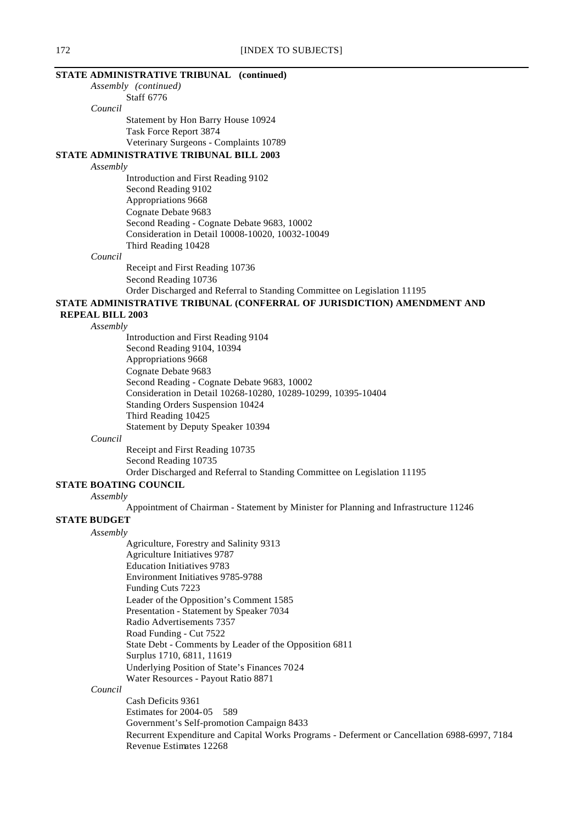# **STATE ADMINISTRATIVE TRIBUNAL (continued)**

*Assembly (continued)*

Staff 6776 *Council*

Statement by Hon Barry House 10924 Task Force Report 3874 Veterinary Surgeons - Complaints 10789

**STATE ADMINISTRATIVE TRIBUNAL BILL 2003**

### *Assembly*

Introduction and First Reading 9102 Second Reading 9102 Appropriations 9668 Cognate Debate 9683 Second Reading - Cognate Debate 9683, 10002 Consideration in Detail 10008-10020, 10032-10049 Third Reading 10428

### *Council*

Receipt and First Reading 10736 Second Reading 10736 Order Discharged and Referral to Standing Committee on Legislation 11195

# **STATE ADMINISTRATIVE TRIBUNAL (CONFERRAL OF JURISDICTION) AMENDMENT AND**

 **REPEAL BILL 2003** *Assembly*

Introduction and First Reading 9104 Second Reading 9104, 10394 Appropriations 9668 Cognate Debate 9683 Second Reading - Cognate Debate 9683, 10002 Consideration in Detail 10268-10280, 10289-10299, 10395-10404 Standing Orders Suspension 10424 Third Reading 10425 Statement by Deputy Speaker 10394

*Council*

Receipt and First Reading 10735 Second Reading 10735 Order Discharged and Referral to Standing Committee on Legislation 11195

# **STATE BOATING COUNCIL**

*Assembly*

Appointment of Chairman - Statement by Minister for Planning and Infrastructure 11246

# **STATE BUDGET**

*Assembly* Agriculture, Forestry and Salinity 9313 Agriculture Initiatives 9787 Education Initiatives 9783 Environment Initiatives 9785-9788 Funding Cuts 7223 Leader of the Opposition's Comment 1585 Presentation - Statement by Speaker 7034 Radio Advertisements 7357 Road Funding - Cut 7522 State Debt - Comments by Leader of the Opposition 6811 Surplus 1710, 6811, 11619 Underlying Position of State's Finances 7024 Water Resources - Payout Ratio 8871

# *Council*

Cash Deficits 9361 Estimates for 2004-05 589 Government's Self-promotion Campaign 8433 Recurrent Expenditure and Capital Works Programs - Deferment or Cancellation 6988-6997, 7184 Revenue Estimates 12268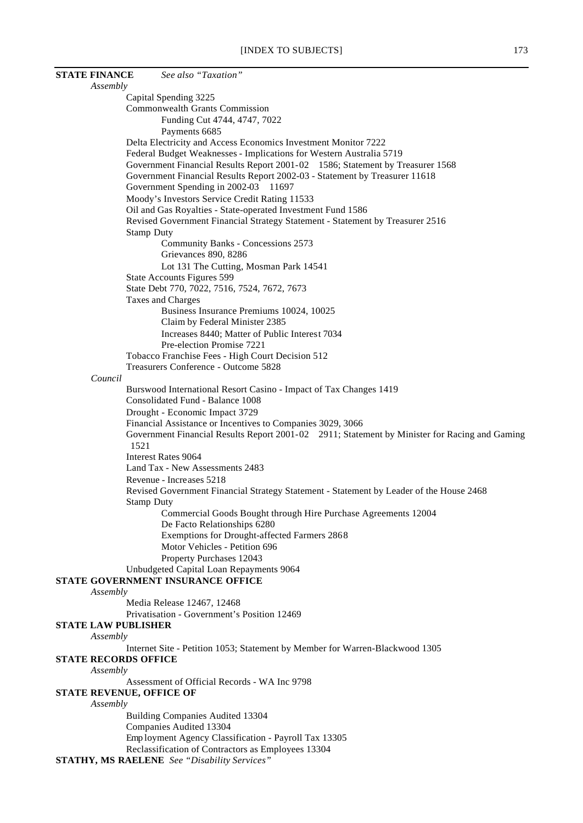| <b>STATE FINANCE</b>                   | See also "Taxation"                                                                           |
|----------------------------------------|-----------------------------------------------------------------------------------------------|
| Assembly                               |                                                                                               |
|                                        | Capital Spending 3225                                                                         |
|                                        | <b>Commonwealth Grants Commission</b>                                                         |
|                                        | Funding Cut 4744, 4747, 7022                                                                  |
|                                        | Payments 6685                                                                                 |
|                                        | Delta Electricity and Access Economics Investment Monitor 7222                                |
|                                        | Federal Budget Weaknesses - Implications for Western Australia 5719                           |
|                                        | Government Financial Results Report 2001-02 1586; Statement by Treasurer 1568                 |
|                                        | Government Financial Results Report 2002-03 - Statement by Treasurer 11618                    |
|                                        | Government Spending in 2002-03 11697                                                          |
|                                        | Moody's Investors Service Credit Rating 11533                                                 |
|                                        | Oil and Gas Royalties - State-operated Investment Fund 1586                                   |
|                                        | Revised Government Financial Strategy Statement - Statement by Treasurer 2516                 |
|                                        | <b>Stamp Duty</b>                                                                             |
|                                        | Community Banks - Concessions 2573                                                            |
|                                        | Grievances 890, 8286                                                                          |
|                                        | Lot 131 The Cutting, Mosman Park 14541                                                        |
|                                        | State Accounts Figures 599                                                                    |
|                                        | State Debt 770, 7022, 7516, 7524, 7672, 7673                                                  |
|                                        | Taxes and Charges                                                                             |
|                                        | Business Insurance Premiums 10024, 10025                                                      |
|                                        | Claim by Federal Minister 2385                                                                |
|                                        | Increases 8440; Matter of Public Interest 7034<br>Pre-election Promise 7221                   |
|                                        | Tobacco Franchise Fees - High Court Decision 512                                              |
|                                        | Treasurers Conference - Outcome 5828                                                          |
| Council                                |                                                                                               |
|                                        | Burswood International Resort Casino - Impact of Tax Changes 1419                             |
|                                        | Consolidated Fund - Balance 1008                                                              |
|                                        | Drought - Economic Impact 3729                                                                |
|                                        | Financial Assistance or Incentives to Companies 3029, 3066                                    |
|                                        | Government Financial Results Report 2001-02 2911; Statement by Minister for Racing and Gaming |
| 1521                                   |                                                                                               |
|                                        | <b>Interest Rates 9064</b>                                                                    |
|                                        | Land Tax - New Assessments 2483                                                               |
|                                        | Revenue - Increases 5218                                                                      |
|                                        | Revised Government Financial Strategy Statement - Statement by Leader of the House 2468       |
|                                        | <b>Stamp Duty</b>                                                                             |
|                                        | Commercial Goods Bought through Hire Purchase Agreements 12004                                |
|                                        | De Facto Relationships 6280                                                                   |
|                                        | Exemptions for Drought-affected Farmers 2868                                                  |
|                                        | Motor Vehicles - Petition 696                                                                 |
|                                        | Property Purchases 12043                                                                      |
|                                        | Unbudgeted Capital Loan Repayments 9064                                                       |
|                                        | STATE GOVERNMENT INSURANCE OFFICE                                                             |
| Assembly                               |                                                                                               |
|                                        | Media Release 12467, 12468                                                                    |
|                                        | Privatisation - Government's Position 12469                                                   |
| <b>STATE LAW PUBLISHER</b><br>Assembly |                                                                                               |
|                                        | Internet Site - Petition 1053; Statement by Member for Warren-Blackwood 1305                  |
| <b>STATE RECORDS OFFICE</b>            |                                                                                               |
| Assembly                               |                                                                                               |
|                                        | Assessment of Official Records - WA Inc 9798                                                  |
| <b>STATE REVENUE, OFFICE OF</b>        |                                                                                               |
| Assembly                               |                                                                                               |
|                                        | Building Companies Audited 13304                                                              |
|                                        | Companies Audited 13304                                                                       |
|                                        | Employment Agency Classification - Payroll Tax 13305                                          |
|                                        | Reclassification of Contractors as Employees 13304                                            |
|                                        | <b>STATHY, MS RAELENE</b> See "Disability Services"                                           |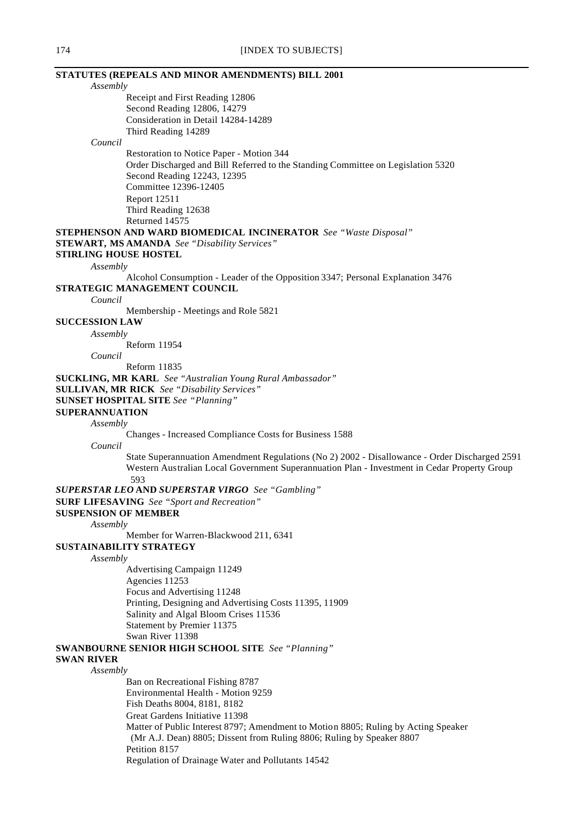| STATUTES (REPEALS AND MINOR AMENDMENTS) BILL 2001                                             |
|-----------------------------------------------------------------------------------------------|
| Assembly                                                                                      |
| Receipt and First Reading 12806                                                               |
| Second Reading 12806, 14279                                                                   |
| Consideration in Detail 14284-14289                                                           |
| Third Reading 14289                                                                           |
| Council                                                                                       |
| Restoration to Notice Paper - Motion 344                                                      |
| Order Discharged and Bill Referred to the Standing Committee on Legislation 5320              |
| Second Reading 12243, 12395                                                                   |
| Committee 12396-12405                                                                         |
| Report 12511                                                                                  |
| Third Reading 12638                                                                           |
| Returned 14575                                                                                |
| <b>STEPHENSON AND WARD BIOMEDICAL INCINERATOR</b> See "Waste Disposal"                        |
| <b>STEWART, MS AMANDA</b> See "Disability Services"                                           |
| <b>STIRLING HOUSE HOSTEL</b>                                                                  |
| Assembly                                                                                      |
| Alcohol Consumption - Leader of the Opposition 3347; Personal Explanation 3476                |
| STRATEGIC MANAGEMENT COUNCIL                                                                  |
| Council                                                                                       |
| Membership - Meetings and Role 5821                                                           |
| <b>SUCCESSION LAW</b>                                                                         |
|                                                                                               |
| Assembly                                                                                      |
| Reform 11954                                                                                  |
| Council                                                                                       |
| Reform 11835                                                                                  |
| <b>SUCKLING, MR KARL</b> See "Australian Young Rural Ambassador"                              |
| <b>SULLIVAN, MR RICK</b> See "Disability Services"                                            |
| <b>SUNSET HOSPITAL SITE</b> See "Planning"                                                    |
| <b>SUPERANNUATION</b>                                                                         |
| Assembly                                                                                      |
| Changes - Increased Compliance Costs for Business 1588                                        |
| Council                                                                                       |
| State Superannuation Amendment Regulations (No 2) 2002 - Disallowance - Order Discharged 2591 |
| Western Australian Local Government Superannuation Plan - Investment in Cedar Property Group  |
| 593                                                                                           |
| <b>SUPERSTAR LEO AND SUPERSTAR VIRGO</b> See "Gambling"                                       |
| <b>SURF LIFESAVING</b> See "Sport and Recreation"                                             |
| <b>SUSPENSION OF MEMBER</b>                                                                   |
| Assembly                                                                                      |
| Member for Warren-Blackwood 211, 6341                                                         |
| SUSTAINABILITY STRATEGY                                                                       |
| Assembly                                                                                      |
| <b>Advertising Campaign 11249</b>                                                             |
| Agencies 11253                                                                                |
| Focus and Advertising 11248                                                                   |
| Printing, Designing and Advertising Costs 11395, 11909                                        |
| Salinity and Algal Bloom Crises 11536                                                         |
| Statement by Premier 11375                                                                    |
| Swan River 11398                                                                              |
| <b>SWANBOURNE SENIOR HIGH SCHOOL SITE</b> See "Planning"                                      |
| <b>SWAN RIVER</b>                                                                             |
| Assembly                                                                                      |
| Ban on Recreational Fishing 8787                                                              |
| Environmental Health - Motion 9259                                                            |
| Fish Deaths 8004, 8181, 8182                                                                  |
| Great Gardens Initiative 11398                                                                |
| Matter of Public Interest 8797; Amendment to Motion 8805; Ruling by Acting Speaker            |
| (Mr A.J. Dean) 8805; Dissent from Ruling 8806; Ruling by Speaker 8807                         |
| Petition 8157                                                                                 |
| Regulation of Drainage Water and Pollutants 14542                                             |
|                                                                                               |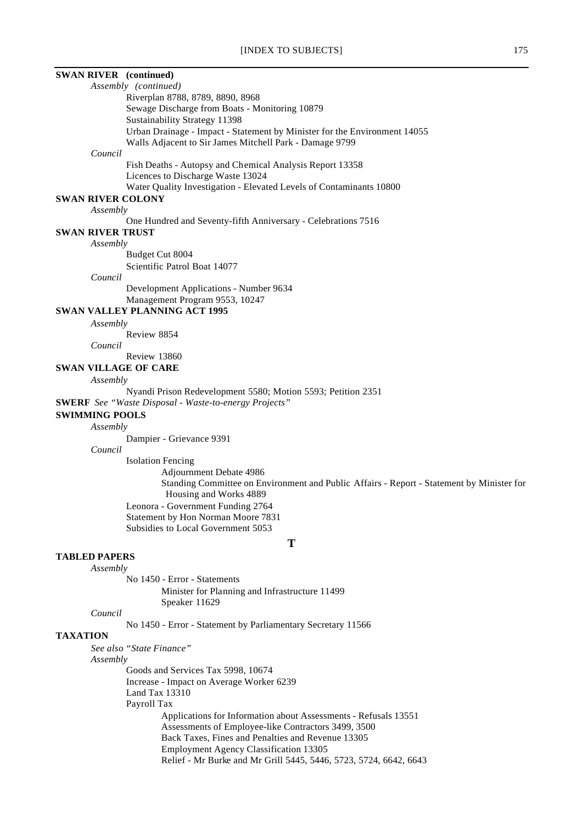| <b>SWAN RIVER</b> (continued)                                                                                                        |
|--------------------------------------------------------------------------------------------------------------------------------------|
| Assembly (continued)                                                                                                                 |
| Riverplan 8788, 8789, 8890, 8968                                                                                                     |
| Sewage Discharge from Boats - Monitoring 10879                                                                                       |
| Sustainability Strategy 11398                                                                                                        |
| Urban Drainage - Impact - Statement by Minister for the Environment 14055<br>Walls Adjacent to Sir James Mitchell Park - Damage 9799 |
| Council                                                                                                                              |
| Fish Deaths - Autopsy and Chemical Analysis Report 13358                                                                             |
| Licences to Discharge Waste 13024                                                                                                    |
| Water Quality Investigation - Elevated Levels of Contaminants 10800                                                                  |
| <b>SWAN RIVER COLONY</b>                                                                                                             |
| Assembly                                                                                                                             |
| One Hundred and Seventy-fifth Anniversary - Celebrations 7516                                                                        |
| <b>SWAN RIVER TRUST</b><br>Assembly                                                                                                  |
| Budget Cut 8004                                                                                                                      |
| Scientific Patrol Boat 14077                                                                                                         |
| Council                                                                                                                              |
| Development Applications - Number 9634                                                                                               |
| Management Program 9553, 10247                                                                                                       |
| <b>SWAN VALLEY PLANNING ACT 1995</b>                                                                                                 |
| Assembly                                                                                                                             |
| Review 8854                                                                                                                          |
| Council                                                                                                                              |
| Review 13860<br><b>SWAN VILLAGE OF CARE</b>                                                                                          |
| Assembly                                                                                                                             |
| Nyandi Prison Redevelopment 5580; Motion 5593; Petition 2351                                                                         |
| <b>SWERF</b> See "Waste Disposal - Waste-to-energy Projects"                                                                         |
| <b>SWIMMING POOLS</b>                                                                                                                |
| Assembly                                                                                                                             |
| Dampier - Grievance 9391                                                                                                             |
| Council                                                                                                                              |
| <b>Isolation Fencing</b>                                                                                                             |
| Adjournment Debate 4986                                                                                                              |
| Standing Committee on Environment and Public Affairs - Report - Statement by Minister for                                            |
| Housing and Works 4889                                                                                                               |
| Leonora - Government Funding 2764                                                                                                    |
| Statement by Hon Norman Moore 7831<br>Subsidies to Local Government 5053                                                             |
|                                                                                                                                      |
| T                                                                                                                                    |
| <b>TABLED PAPERS</b>                                                                                                                 |
| Assembly                                                                                                                             |
| No 1450 - Error - Statements                                                                                                         |
| Minister for Planning and Infrastructure 11499<br>Speaker 11629                                                                      |
| Council                                                                                                                              |
| No 1450 - Error - Statement by Parliamentary Secretary 11566                                                                         |
| <b>TAXATION</b>                                                                                                                      |
| See also "State Finance"                                                                                                             |
| Assembly                                                                                                                             |
| Goods and Services Tax 5998, 10674                                                                                                   |
| Increase - Impact on Average Worker 6239                                                                                             |
| Land Tax $13310$                                                                                                                     |
| Payroll Tax                                                                                                                          |
| Applications for Information about Assessments - Refusals 13551                                                                      |
| Assessments of Employee-like Contractors 3499, 3500                                                                                  |
| Back Taxes, Fines and Penalties and Revenue 13305                                                                                    |
| <b>Employment Agency Classification 13305</b><br>Relief - Mr Burke and Mr Grill 5445, 5446, 5723, 5724, 6642, 6643                   |
|                                                                                                                                      |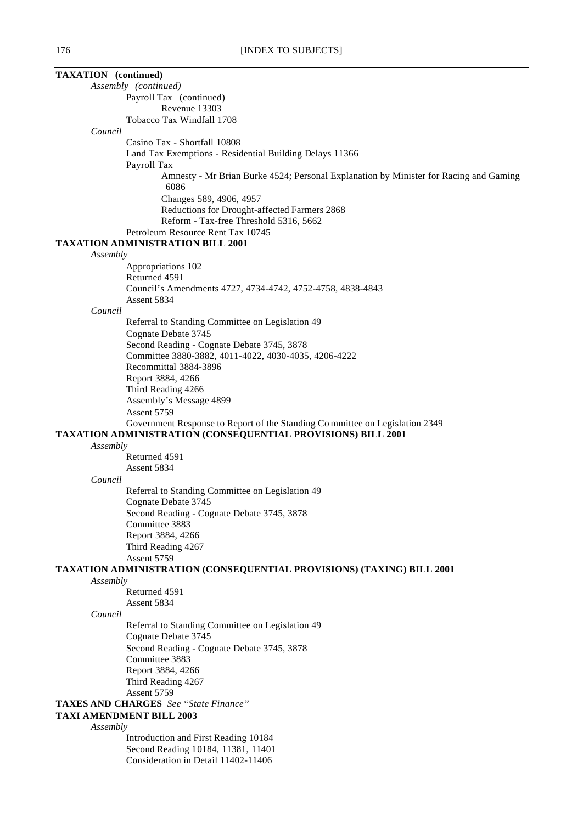| <b>TAXATION</b> (continued)                                                                                                                        |  |  |
|----------------------------------------------------------------------------------------------------------------------------------------------------|--|--|
| Assembly (continued)                                                                                                                               |  |  |
| Payroll Tax (continued)                                                                                                                            |  |  |
| Revenue 13303                                                                                                                                      |  |  |
| Tobacco Tax Windfall 1708                                                                                                                          |  |  |
| Council                                                                                                                                            |  |  |
| Casino Tax - Shortfall 10808                                                                                                                       |  |  |
| Land Tax Exemptions - Residential Building Delays 11366                                                                                            |  |  |
| Payroll Tax<br>Amnesty - Mr Brian Burke 4524; Personal Explanation by Minister for Racing and Gaming                                               |  |  |
| 6086                                                                                                                                               |  |  |
| Changes 589, 4906, 4957                                                                                                                            |  |  |
| Reductions for Drought-affected Farmers 2868                                                                                                       |  |  |
| Reform - Tax-free Threshold 5316, 5662                                                                                                             |  |  |
| Petroleum Resource Rent Tax 10745                                                                                                                  |  |  |
| <b>TAXATION ADMINISTRATION BILL 2001</b>                                                                                                           |  |  |
| Assembly                                                                                                                                           |  |  |
| Appropriations 102<br>Returned 4591                                                                                                                |  |  |
| Council's Amendments 4727, 4734-4742, 4752-4758, 4838-4843                                                                                         |  |  |
| Assent 5834                                                                                                                                        |  |  |
| Council                                                                                                                                            |  |  |
| Referral to Standing Committee on Legislation 49                                                                                                   |  |  |
| Cognate Debate 3745                                                                                                                                |  |  |
| Second Reading - Cognate Debate 3745, 3878                                                                                                         |  |  |
| Committee 3880-3882, 4011-4022, 4030-4035, 4206-4222                                                                                               |  |  |
| Recommittal 3884-3896                                                                                                                              |  |  |
| Report 3884, 4266                                                                                                                                  |  |  |
| Third Reading 4266                                                                                                                                 |  |  |
| Assembly's Message 4899                                                                                                                            |  |  |
| Assent 5759                                                                                                                                        |  |  |
| Government Response to Report of the Standing Committee on Legislation 2349<br><b>TAXATION ADMINISTRATION (CONSEQUENTIAL PROVISIONS) BILL 2001</b> |  |  |
| Assembly                                                                                                                                           |  |  |
| Returned 4591                                                                                                                                      |  |  |
| Assent 5834                                                                                                                                        |  |  |
| Council                                                                                                                                            |  |  |
| Referral to Standing Committee on Legislation 49                                                                                                   |  |  |
| Cognate Debate 3745                                                                                                                                |  |  |
| Second Reading - Cognate Debate 3745, 3878                                                                                                         |  |  |
| Committee 3883                                                                                                                                     |  |  |
| Report 3884, 4266                                                                                                                                  |  |  |
| Third Reading 4267                                                                                                                                 |  |  |
| Assent 5759                                                                                                                                        |  |  |
| <b>TAXATION ADMINISTRATION (CONSEQUENTIAL PROVISIONS) (TAXING) BILL 2001</b>                                                                       |  |  |
| Assembly<br>Returned 4591                                                                                                                          |  |  |
| Assent 5834                                                                                                                                        |  |  |
| Council                                                                                                                                            |  |  |
| Referral to Standing Committee on Legislation 49                                                                                                   |  |  |
| Cognate Debate 3745                                                                                                                                |  |  |
| Second Reading - Cognate Debate 3745, 3878                                                                                                         |  |  |
| Committee 3883                                                                                                                                     |  |  |
| Report 3884, 4266                                                                                                                                  |  |  |
| Third Reading 4267                                                                                                                                 |  |  |
| Assent 5759                                                                                                                                        |  |  |
| <b>TAXES AND CHARGES</b> See "State Finance"                                                                                                       |  |  |
| <b>TAXI AMENDMENT BILL 2003</b>                                                                                                                    |  |  |

*Assembly*

Introduction and First Reading 10184 Second Reading 10184, 11381, 11401 Consideration in Detail 11402-11406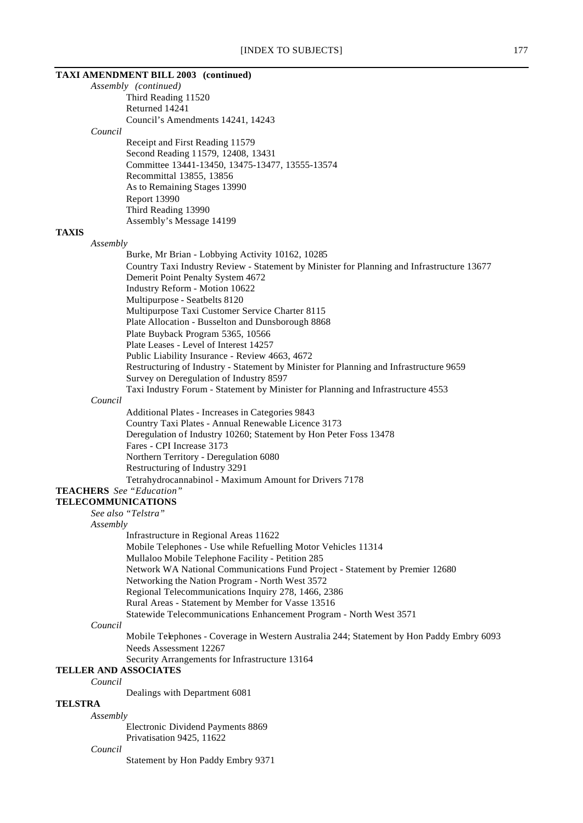### **TAXI AMENDMENT BILL 2003 (continued)**

*Assembly (continued)* Third Reading 11520 Returned 14241 Council's Amendments 14241, 14243 *Council*

Receipt and First Reading 11579 Second Reading 11579, 12408, 13431 Committee 13441-13450, 13475-13477, 13555-13574 Recommittal 13855, 13856 As to Remaining Stages 13990 Report 13990 Third Reading 13990 Assembly's Message 14199

### **TAXIS**

#### *Assembly*

Burke, Mr Brian - Lobbying Activity 10162, 10285 Country Taxi Industry Review - Statement by Minister for Planning and Infrastructure 13677 Demerit Point Penalty System 4672 Industry Reform - Motion 10622 Multipurpose - Seatbelts 8120 Multipurpose Taxi Customer Service Charter 8115 Plate Allocation - Busselton and Dunsborough 8868 Plate Buyback Program 5365, 10566 Plate Leases - Level of Interest 14257 Public Liability Insurance - Review 4663, 4672 Restructuring of Industry - Statement by Minister for Planning and Infrastructure 9659 Survey on Deregulation of Industry 8597 Taxi Industry Forum - Statement by Minister for Planning and Infrastructure 4553

## *Council*

Additional Plates - Increases in Categories 9843 Country Taxi Plates - Annual Renewable Licence 3173 Deregulation of Industry 10260; Statement by Hon Peter Foss 13478 Fares - CPI Increase 3173 Northern Territory - Deregulation 6080 Restructuring of Industry 3291 Tetrahydrocannabinol - Maximum Amount for Drivers 7178

# **TEACHERS** *See "Education"*

**TELECOMMUNICATIONS**

*See also "Telstra"*

*Assembly*

- Infrastructure in Regional Areas 11622
- Mobile Telephones Use while Refuelling Motor Vehicles 11314
- Mullaloo Mobile Telephone Facility Petition 285
- Network WA National Communications Fund Project Statement by Premier 12680
- Networking the Nation Program North West 3572
- Regional Telecommunications Inquiry 278, 1466, 2386
- Rural Areas Statement by Member for Vasse 13516
- Statewide Telecommunications Enhancement Program North West 3571

### *Council*

Mobile Telephones - Coverage in Western Australia 244; Statement by Hon Paddy Embry 6093 Needs Assessment 12267

Security Arrangements for Infrastructure 13164

# **TELLER AND ASSOCIATES**

*Council*

Dealings with Department 6081

# **TELSTRA**

*Assembly* Electronic Dividend Payments 8869

Privatisation 9425, 11622

### *Council*

Statement by Hon Paddy Embry 9371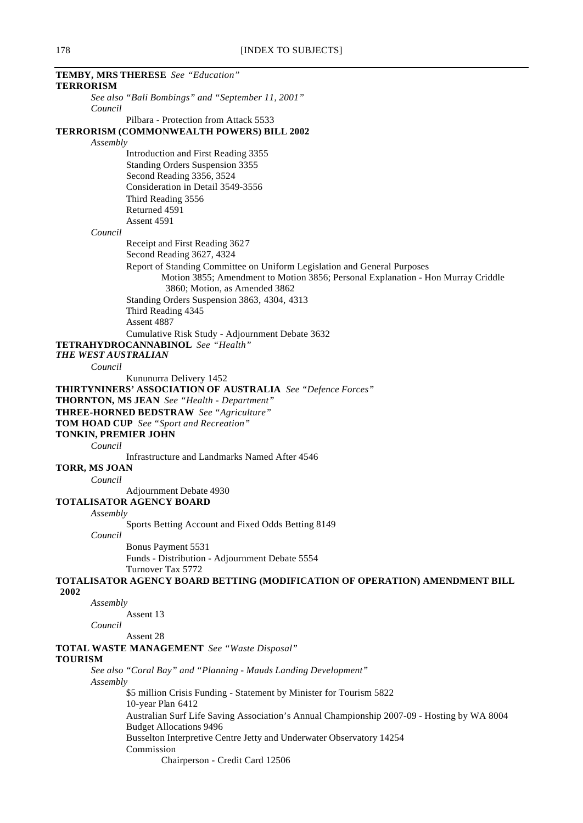| TEMBY, MRS THERESE See "Education"                                                         |
|--------------------------------------------------------------------------------------------|
| <b>TERRORISM</b>                                                                           |
| See also "Bali Bombings" and "September 11, 2001"                                          |
| Council                                                                                    |
| Pilbara - Protection from Attack 5533                                                      |
| TERRORISM (COMMONWEALTH POWERS) BILL 2002                                                  |
| Assembly                                                                                   |
|                                                                                            |
| Introduction and First Reading 3355                                                        |
| Standing Orders Suspension 3355                                                            |
| Second Reading 3356, 3524                                                                  |
| Consideration in Detail 3549-3556                                                          |
| Third Reading 3556                                                                         |
| Returned 4591                                                                              |
| Assent 4591                                                                                |
| Council                                                                                    |
|                                                                                            |
| Receipt and First Reading 3627<br>Second Reading 3627, 4324                                |
| Report of Standing Committee on Uniform Legislation and General Purposes                   |
| Motion 3855; Amendment to Motion 3856; Personal Explanation - Hon Murray Criddle           |
|                                                                                            |
| 3860; Motion, as Amended 3862                                                              |
| Standing Orders Suspension 3863, 4304, 4313                                                |
| Third Reading 4345                                                                         |
| Assent 4887                                                                                |
| Cumulative Risk Study - Adjournment Debate 3632                                            |
| <b>TETRAHYDROCANNABINOL</b> See "Health"                                                   |
| THE WEST AUSTRALIAN                                                                        |
| Council                                                                                    |
|                                                                                            |
| Kununurra Delivery 1452                                                                    |
| THIRTYNINERS' ASSOCIATION OF AUSTRALIA See "Defence Forces"                                |
| <b>THORNTON, MS JEAN</b> See "Health - Department"                                         |
| <b>THREE-HORNED BEDSTRAW</b> See "Agriculture"                                             |
| <b>TOM HOAD CUP</b> See "Sport and Recreation"                                             |
| TONKIN, PREMIER JOHN                                                                       |
| Council                                                                                    |
| Infrastructure and Landmarks Named After 4546                                              |
| TORR, MS JOAN                                                                              |
|                                                                                            |
| Council                                                                                    |
| Adjournment Debate 4930                                                                    |
| TOTALISATOR AGENCY BOARD                                                                   |
| Assembly                                                                                   |
| Sports Betting Account and Fixed Odds Betting 8149                                         |
| Council                                                                                    |
| Bonus Payment 5531                                                                         |
| Funds - Distribution - Adjournment Debate 5554                                             |
|                                                                                            |
| Turnover Tax 5772                                                                          |
| TOTALISATOR AGENCY BOARD BETTING (MODIFICATION OF OPERATION) AMENDMENT BILL                |
| 2002                                                                                       |
| Assembly                                                                                   |
| Assent 13                                                                                  |
| Council                                                                                    |
| Assent 28                                                                                  |
| <b>TOTAL WASTE MANAGEMENT</b> See "Waste Disposal"                                         |
| <b>TOURISM</b>                                                                             |
| See also "Coral Bay" and "Planning - Mauds Landing Development"                            |
|                                                                                            |
| Assembly                                                                                   |
| \$5 million Crisis Funding - Statement by Minister for Tourism 5822                        |
| 10-year Plan 6412                                                                          |
| Australian Surf Life Saving Association's Annual Championship 2007-09 - Hosting by WA 8004 |
| <b>Budget Allocations 9496</b>                                                             |
| Busselton Interpretive Centre Jetty and Underwater Observatory 14254                       |
| Commission                                                                                 |
| Chairperson - Credit Card 12506                                                            |
|                                                                                            |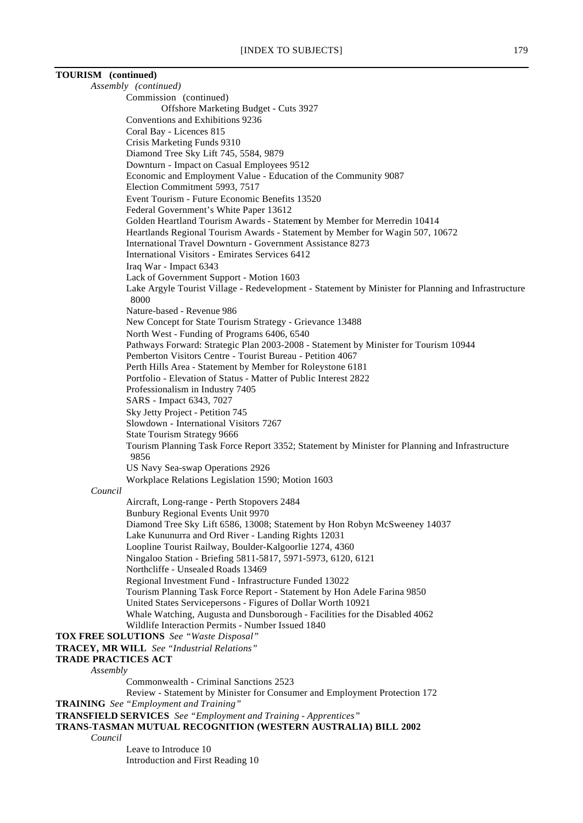# **TOURISM (continued)**

*Assembly (continued)* Commission (continued) Offshore Marketing Budget - Cuts 3927 Conventions and Exhibitions 9236 Coral Bay - Licences 815 Crisis Marketing Funds 9310 Diamond Tree Sky Lift 745, 5584, 9879 Downturn - Impact on Casual Employees 9512 Economic and Employment Value - Education of the Community 9087 Election Commitment 5993, 7517 Event Tourism - Future Economic Benefits 13520 Federal Government's White Paper 13612 Golden Heartland Tourism Awards - Statement by Member for Merredin 10414 Heartlands Regional Tourism Awards - Statement by Member for Wagin 507, 10672 International Travel Downturn - Government Assistance 8273 International Visitors - Emirates Services 6412 Iraq War - Impact 6343 Lack of Government Support - Motion 1603 Lake Argyle Tourist Village - Redevelopment - Statement by Minister for Planning and Infrastructure 8000 Nature-based - Revenue 986 New Concept for State Tourism Strategy - Grievance 13488 North West - Funding of Programs 6406, 6540 Pathways Forward: Strategic Plan 2003-2008 - Statement by Minister for Tourism 10944 Pemberton Visitors Centre - Tourist Bureau - Petition 4067 Perth Hills Area - Statement by Member for Roleystone 6181 Portfolio - Elevation of Status - Matter of Public Interest 2822 Professionalism in Industry 7405 SARS - Impact 6343, 7027 Sky Jetty Project - Petition 745 Slowdown - International Visitors 7267 State Tourism Strategy 9666 Tourism Planning Task Force Report 3352; Statement by Minister for Planning and Infrastructure 9856 US Navy Sea-swap Operations 2926 Workplace Relations Legislation 1590; Motion 1603 *Council* Aircraft, Long-range - Perth Stopovers 2484 Bunbury Regional Events Unit 9970 Diamond Tree Sky Lift 6586, 13008; Statement by Hon Robyn McSweeney 14037 Lake Kununurra and Ord River - Landing Rights 12031 Loopline Tourist Railway, Boulder-Kalgoorlie 1274, 4360 Ningaloo Station - Briefing 5811-5817, 5971-5973, 6120, 6121 Northcliffe - Unsealed Roads 13469 Regional Investment Fund - Infrastructure Funded 13022 Tourism Planning Task Force Report - Statement by Hon Adele Farina 9850 United States Servicepersons - Figures of Dollar Worth 10921 Whale Watching, Augusta and Dunsborough - Facilities for the Disabled 4062 Wildlife Interaction Permits - Number Issued 1840 **TOX FREE SOLUTIONS** *See "Waste Disposal"* **TRACEY, MR WILL** *See "Industrial Relations"* **TRADE PRACTICES ACT** *Assembly* Commonwealth - Criminal Sanctions 2523 Review - Statement by Minister for Consumer and Employment Protection 172 **TRAINING** *See "Employment and Training"* **TRANSFIELD SERVICES** *See "Employment and Training - Apprentices"* **TRANS-TASMAN MUTUAL RECOGNITION (WESTERN AUSTRALIA) BILL 2002**

*Council*

Leave to Introduce 10 Introduction and First Reading 10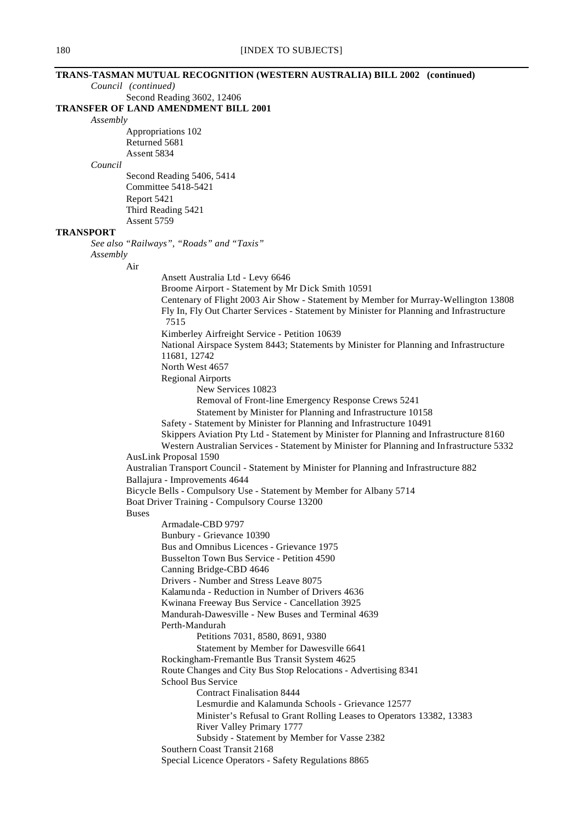# **TRANS-TASMAN MUTUAL RECOGNITION (WESTERN AUSTRALIA) BILL 2002 (continued)** *Council (continued)* Second Reading 3602, 12406 **TRANSFER OF LAND AMENDMENT BILL 2001** *Assembly* Appropriations 102 Returned 5681 Assent 5834 *Council* Second Reading 5406, 5414 Committee 5418-5421 Report 5421 Third Reading 5421 Assent 5759 **TRANSPORT** *See also "Railways", "Roads" and "Taxis" Assembly* Air Ansett Australia Ltd - Levy 6646 Broome Airport - Statement by Mr Dick Smith 10591 Centenary of Flight 2003 Air Show - Statement by Member for Murray-Wellington 13808 Fly In, Fly Out Charter Services - Statement by Minister for Planning and Infrastructure 7515 Kimberley Airfreight Service - Petition 10639 National Airspace System 8443; Statements by Minister for Planning and Infrastructure 11681, 12742 North West 4657 Regional Airports New Services 10823 Removal of Front-line Emergency Response Crews 5241 Statement by Minister for Planning and Infrastructure 10158 Safety - Statement by Minister for Planning and Infrastructure 10491 Skippers Aviation Pty Ltd - Statement by Minister for Planning and Infrastructure 8160 Western Australian Services - Statement by Minister for Planning and Infrastructure 5332 AusLink Proposal 1590 Australian Transport Council - Statement by Minister for Planning and Infrastructure 882 Ballajura - Improvements 4644 Bicycle Bells - Compulsory Use - Statement by Member for Albany 5714 Boat Driver Training - Compulsory Course 13200 Buses Armadale-CBD 9797 Bunbury - Grievance 10390 Bus and Omnibus Licences - Grievance 1975 Busselton Town Bus Service - Petition 4590 Canning Bridge-CBD 4646 Drivers - Number and Stress Leave 8075 Kalamu nda - Reduction in Number of Drivers 4636 Kwinana Freeway Bus Service - Cancellation 3925 Mandurah-Dawesville - New Buses and Terminal 4639 Perth-Mandurah Petitions 7031, 8580, 8691, 9380 Statement by Member for Dawesville 6641 Rockingham-Fremantle Bus Transit System 4625 Route Changes and City Bus Stop Relocations - Advertising 8341 School Bus Service Contract Finalisation 8444 Lesmurdie and Kalamunda Schools - Grievance 12577 Minister's Refusal to Grant Rolling Leases to Operators 13382, 13383 River Valley Primary 1777 Subsidy - Statement by Member for Vasse 2382

Southern Coast Transit 2168

Special Licence Operators - Safety Regulations 8865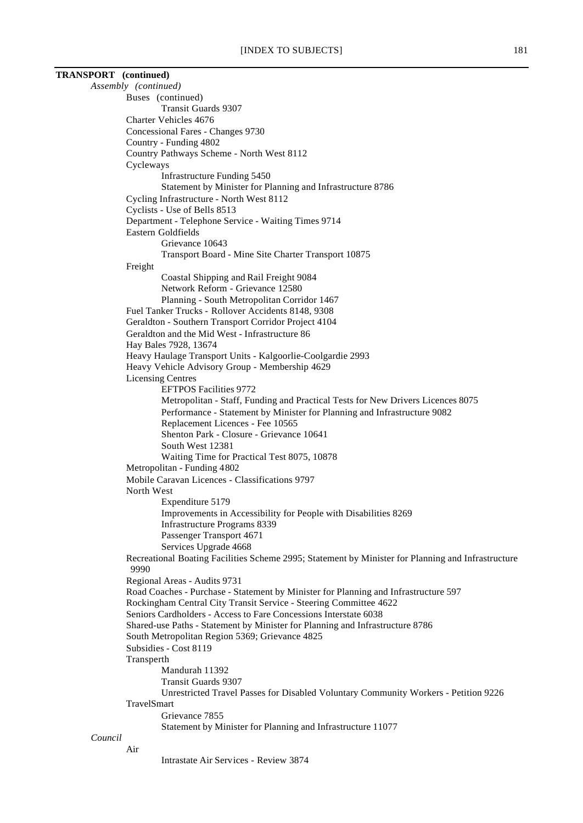| <b>TRANSPORT</b> (continued) |                                                                                                              |
|------------------------------|--------------------------------------------------------------------------------------------------------------|
|                              | Assembly (continued)                                                                                         |
|                              | Buses (continued)                                                                                            |
|                              | <b>Transit Guards 9307</b>                                                                                   |
|                              | Charter Vehicles 4676                                                                                        |
|                              | Concessional Fares - Changes 9730                                                                            |
|                              | Country - Funding 4802                                                                                       |
|                              | Country Pathways Scheme - North West 8112                                                                    |
|                              | Cycleways                                                                                                    |
|                              | Infrastructure Funding 5450<br>Statement by Minister for Planning and Infrastructure 8786                    |
|                              | Cycling Infrastructure - North West 8112                                                                     |
|                              | Cyclists - Use of Bells 8513                                                                                 |
|                              | Department - Telephone Service - Waiting Times 9714                                                          |
|                              | Eastern Goldfields                                                                                           |
|                              | Grievance 10643                                                                                              |
|                              | Transport Board - Mine Site Charter Transport 10875                                                          |
|                              | Freight                                                                                                      |
|                              | Coastal Shipping and Rail Freight 9084                                                                       |
|                              | Network Reform - Grievance 12580                                                                             |
|                              | Planning - South Metropolitan Corridor 1467                                                                  |
|                              | Fuel Tanker Trucks - Rollover Accidents 8148, 9308                                                           |
|                              | Geraldton - Southern Transport Corridor Project 4104                                                         |
|                              | Geraldton and the Mid West - Infrastructure 86                                                               |
|                              | Hay Bales 7928, 13674                                                                                        |
|                              | Heavy Haulage Transport Units - Kalgoorlie-Coolgardie 2993<br>Heavy Vehicle Advisory Group - Membership 4629 |
|                              | <b>Licensing Centres</b>                                                                                     |
|                              | <b>EFTPOS Facilities 9772</b>                                                                                |
|                              | Metropolitan - Staff, Funding and Practical Tests for New Drivers Licences 8075                              |
|                              | Performance - Statement by Minister for Planning and Infrastructure 9082                                     |
|                              | Replacement Licences - Fee 10565                                                                             |
|                              | Shenton Park - Closure - Grievance 10641                                                                     |
|                              | South West 12381                                                                                             |
|                              | Waiting Time for Practical Test 8075, 10878                                                                  |
|                              | Metropolitan - Funding 4802                                                                                  |
|                              | Mobile Caravan Licences - Classifications 9797                                                               |
|                              | North West                                                                                                   |
|                              | Expenditure 5179                                                                                             |
|                              | Improvements in Accessibility for People with Disabilities 8269                                              |
|                              | Infrastructure Programs 8339<br>Passenger Transport 4671                                                     |
|                              | Services Upgrade 4668                                                                                        |
|                              | Recreational Boating Facilities Scheme 2995; Statement by Minister for Planning and Infrastructure           |
|                              | 9990                                                                                                         |
|                              | Regional Areas - Audits 9731                                                                                 |
|                              | Road Coaches - Purchase - Statement by Minister for Planning and Infrastructure 597                          |
|                              | Rockingham Central City Transit Service - Steering Committee 4622                                            |
|                              | Seniors Cardholders - Access to Fare Concessions Interstate 6038                                             |
|                              | Shared-use Paths - Statement by Minister for Planning and Infrastructure 8786                                |
|                              | South Metropolitan Region 5369; Grievance 4825                                                               |
|                              | Subsidies - Cost 8119                                                                                        |
|                              | Transperth                                                                                                   |
|                              | Mandurah 11392                                                                                               |
|                              | <b>Transit Guards 9307</b>                                                                                   |
|                              | Unrestricted Travel Passes for Disabled Voluntary Community Workers - Petition 9226<br>TravelSmart           |
|                              | Grievance 7855                                                                                               |
|                              | Statement by Minister for Planning and Infrastructure 11077                                                  |
| Council                      |                                                                                                              |
|                              | Air                                                                                                          |
|                              |                                                                                                              |

Intrastate Air Services - Review 3874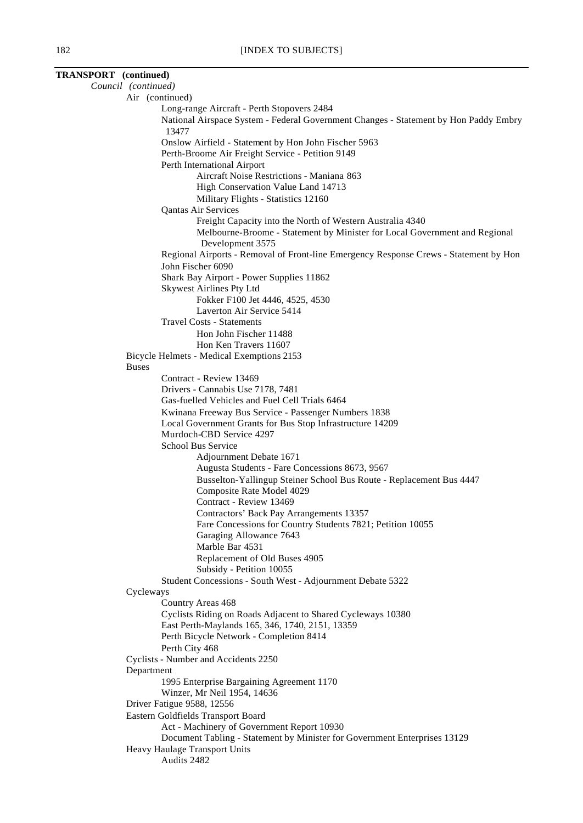| TRANSPORT (continued) |                                                                                               |
|-----------------------|-----------------------------------------------------------------------------------------------|
|                       | Council (continued)                                                                           |
|                       | Air (continued)                                                                               |
|                       | Long-range Aircraft - Perth Stopovers 2484                                                    |
|                       | National Airspace System - Federal Government Changes - Statement by Hon Paddy Embry<br>13477 |
|                       | Onslow Airfield - Statement by Hon John Fischer 5963                                          |
|                       | Perth-Broome Air Freight Service - Petition 9149                                              |
|                       | Perth International Airport                                                                   |
|                       | Aircraft Noise Restrictions - Maniana 863                                                     |
|                       | High Conservation Value Land 14713                                                            |
|                       | Military Flights - Statistics 12160                                                           |
|                       | Qantas Air Services                                                                           |
|                       | Freight Capacity into the North of Western Australia 4340                                     |
|                       | Melbourne-Broome - Statement by Minister for Local Government and Regional                    |
|                       | Development 3575                                                                              |
|                       | Regional Airports - Removal of Front-line Emergency Response Crews - Statement by Hon         |
|                       | John Fischer 6090                                                                             |
|                       | Shark Bay Airport - Power Supplies 11862                                                      |
|                       | <b>Skywest Airlines Pty Ltd</b>                                                               |
|                       | Fokker F100 Jet 4446, 4525, 4530                                                              |
|                       | Laverton Air Service 5414                                                                     |
|                       | <b>Travel Costs - Statements</b>                                                              |
|                       | Hon John Fischer 11488                                                                        |
|                       | Hon Ken Travers 11607                                                                         |
|                       | Bicycle Helmets - Medical Exemptions 2153                                                     |
|                       | <b>Buses</b>                                                                                  |
|                       | Contract - Review 13469                                                                       |
|                       | Drivers - Cannabis Use 7178, 7481<br>Gas-fuelled Vehicles and Fuel Cell Trials 6464           |
|                       | Kwinana Freeway Bus Service - Passenger Numbers 1838                                          |
|                       | Local Government Grants for Bus Stop Infrastructure 14209                                     |
|                       | Murdoch-CBD Service 4297                                                                      |
|                       | School Bus Service                                                                            |
|                       | Adjournment Debate 1671                                                                       |
|                       | Augusta Students - Fare Concessions 8673, 9567                                                |
|                       | Busselton-Yallingup Steiner School Bus Route - Replacement Bus 4447                           |
|                       | Composite Rate Model 4029                                                                     |
|                       | Contract - Review 13469                                                                       |
|                       | Contractors' Back Pay Arrangements 13357                                                      |
|                       | Fare Concessions for Country Students 7821; Petition 10055                                    |
|                       | Garaging Allowance 7643                                                                       |
|                       | Marble Bar 4531                                                                               |
|                       | Replacement of Old Buses 4905                                                                 |
|                       | Subsidy - Petition 10055                                                                      |
|                       | Student Concessions - South West - Adjournment Debate 5322                                    |
|                       | Cycleways                                                                                     |
|                       | Country Areas 468                                                                             |
|                       | Cyclists Riding on Roads Adjacent to Shared Cycleways 10380                                   |
|                       | East Perth-Maylands 165, 346, 1740, 2151, 13359                                               |
|                       | Perth Bicycle Network - Completion 8414                                                       |
|                       | Perth City 468                                                                                |
|                       | Cyclists - Number and Accidents 2250                                                          |
|                       | Department                                                                                    |
|                       | 1995 Enterprise Bargaining Agreement 1170<br>Winzer, Mr Neil 1954, 14636                      |
|                       | Driver Fatigue 9588, 12556                                                                    |
|                       | Eastern Goldfields Transport Board                                                            |
|                       | Act - Machinery of Government Report 10930                                                    |
|                       | Document Tabling - Statement by Minister for Government Enterprises 13129                     |
|                       | Heavy Haulage Transport Units                                                                 |
|                       | Audits 2482                                                                                   |
|                       |                                                                                               |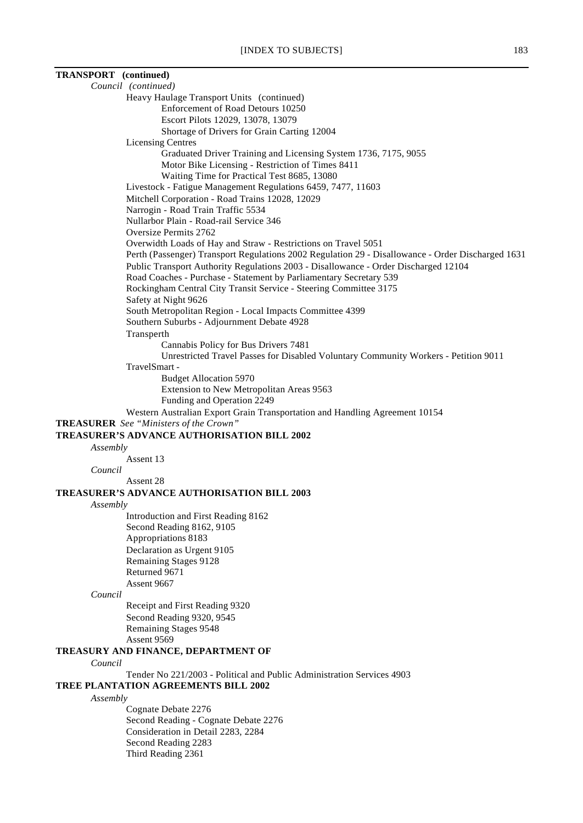| TRANSPORT (continued) |                                                                                                   |
|-----------------------|---------------------------------------------------------------------------------------------------|
|                       | Council (continued)                                                                               |
|                       | Heavy Haulage Transport Units (continued)                                                         |
|                       | Enforcement of Road Detours 10250                                                                 |
|                       | Escort Pilots 12029, 13078, 13079                                                                 |
|                       | Shortage of Drivers for Grain Carting 12004                                                       |
|                       | <b>Licensing Centres</b>                                                                          |
|                       | Graduated Driver Training and Licensing System 1736, 7175, 9055                                   |
|                       | Motor Bike Licensing - Restriction of Times 8411                                                  |
|                       | Waiting Time for Practical Test 8685, 13080                                                       |
|                       | Livestock - Fatigue Management Regulations 6459, 7477, 11603                                      |
|                       | Mitchell Corporation - Road Trains 12028, 12029                                                   |
|                       | Narrogin - Road Train Traffic 5534                                                                |
|                       | Nullarbor Plain - Road-rail Service 346                                                           |
|                       | Oversize Permits 2762                                                                             |
|                       | Overwidth Loads of Hay and Straw - Restrictions on Travel 5051                                    |
|                       | Perth (Passenger) Transport Regulations 2002 Regulation 29 - Disallowance - Order Discharged 1631 |
|                       | Public Transport Authority Regulations 2003 - Disallowance - Order Discharged 12104               |
|                       | Road Coaches - Purchase - Statement by Parliamentary Secretary 539                                |
|                       | Rockingham Central City Transit Service - Steering Committee 3175                                 |
|                       |                                                                                                   |
|                       | Safety at Night 9626                                                                              |
|                       | South Metropolitan Region - Local Impacts Committee 4399                                          |
|                       | Southern Suburbs - Adjournment Debate 4928                                                        |
|                       | Transperth                                                                                        |
|                       | Cannabis Policy for Bus Drivers 7481                                                              |
|                       | Unrestricted Travel Passes for Disabled Voluntary Community Workers - Petition 9011               |
|                       | TravelSmart -                                                                                     |
|                       | <b>Budget Allocation 5970</b>                                                                     |
|                       | Extension to New Metropolitan Areas 9563                                                          |
|                       | Funding and Operation 2249                                                                        |
|                       | Western Australian Export Grain Transportation and Handling Agreement 10154                       |
|                       | <b>TREASURER</b> See "Ministers of the Crown"                                                     |
|                       | TREASURER'S ADVANCE AUTHORISATION BILL 2002                                                       |
| Assembly              |                                                                                                   |
|                       | Assent 13                                                                                         |
| Council               |                                                                                                   |
|                       | Assent 28                                                                                         |
|                       | <b>TREASURER'S ADVANCE AUTHORISATION BILL 2003</b>                                                |
| Assembly              |                                                                                                   |
|                       | Introduction and First Reading 8162                                                               |
|                       | Second Reading 8162, 9105                                                                         |
|                       | Appropriations 8183                                                                               |
|                       | Declaration as Urgent 9105                                                                        |
|                       | Remaining Stages 9128                                                                             |
|                       | Returned 9671                                                                                     |
|                       | Assent 9667                                                                                       |
| Council               |                                                                                                   |
|                       | Receipt and First Reading 9320                                                                    |
|                       | Second Reading 9320, 9545                                                                         |
|                       | Remaining Stages 9548                                                                             |
|                       | Assent 9569                                                                                       |
|                       | TREASURY AND FINANCE, DEPARTMENT OF                                                               |
| Council               |                                                                                                   |
|                       | Tender No 221/2003 - Political and Public Administration Services 4903                            |
|                       | <b>TREE PLANTATION AGREEMENTS BILL 2002</b>                                                       |
|                       |                                                                                                   |
| Assembly              |                                                                                                   |
|                       | Cognate Debate 2276                                                                               |
|                       | Second Reading - Cognate Debate 2276                                                              |
|                       | Consideration in Detail 2283, 2284                                                                |
|                       | Second Reading 2283                                                                               |

Third Reading 2361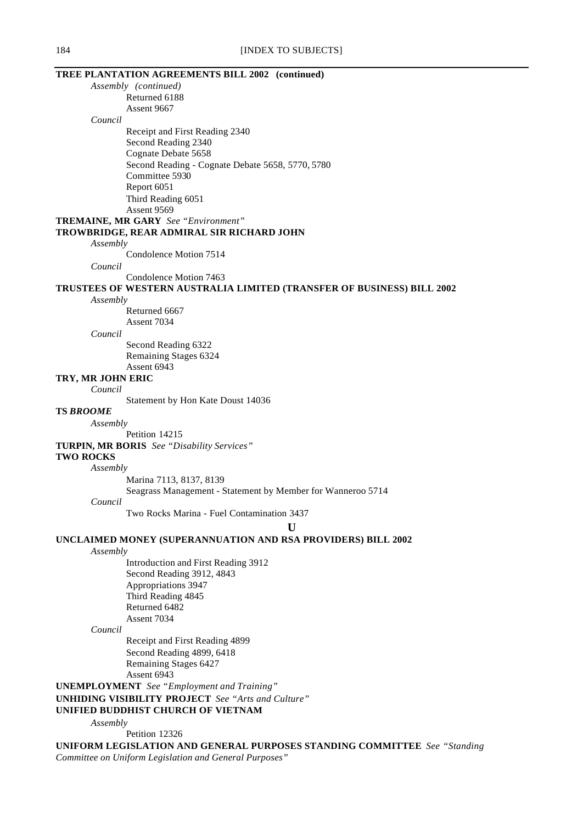|                      | TREE PLANTATION AGREEMENTS BILL 2002 (continued)                          |
|----------------------|---------------------------------------------------------------------------|
| Assembly (continued) |                                                                           |
|                      | Returned 6188                                                             |
|                      | Assent 9667                                                               |
| Council              |                                                                           |
|                      | Receipt and First Reading 2340                                            |
|                      | Second Reading 2340                                                       |
|                      | Cognate Debate 5658                                                       |
|                      | Second Reading - Cognate Debate 5658, 5770, 5780                          |
|                      | Committee 5930                                                            |
|                      | Report 6051                                                               |
|                      | Third Reading 6051                                                        |
|                      | Assent 9569                                                               |
|                      | <b>TREMAINE, MR GARY</b> See "Environment"                                |
|                      | TROWBRIDGE, REAR ADMIRAL SIR RICHARD JOHN                                 |
| Assembly             |                                                                           |
|                      | Condolence Motion 7514                                                    |
| Council              |                                                                           |
|                      | Condolence Motion 7463                                                    |
|                      | TRUSTEES OF WESTERN AUSTRALIA LIMITED (TRANSFER OF BUSINESS) BILL 2002    |
| Assembly             |                                                                           |
|                      | Returned 6667                                                             |
|                      | Assent 7034                                                               |
| Council              |                                                                           |
|                      | Second Reading 6322                                                       |
|                      | Remaining Stages 6324                                                     |
|                      | Assent 6943                                                               |
| TRY, MR JOHN ERIC    |                                                                           |
| Council              |                                                                           |
| <b>TS BROOME</b>     | Statement by Hon Kate Doust 14036                                         |
|                      |                                                                           |
| Assembly             | Petition 14215                                                            |
|                      | <b>TURPIN, MR BORIS</b> See "Disability Services"                         |
| <b>TWO ROCKS</b>     |                                                                           |
| Assembly             |                                                                           |
|                      | Marina 7113, 8137, 8139                                                   |
|                      | Seagrass Management - Statement by Member for Wanneroo 5714               |
| Council              |                                                                           |
|                      | Two Rocks Marina - Fuel Contamination 3437                                |
|                      | U                                                                         |
|                      |                                                                           |
|                      | UNCLAIMED MONEY (SUPERANNUATION AND RSA PROVIDERS) BILL 2002              |
| Assembly             |                                                                           |
|                      | Introduction and First Reading 3912<br>Second Reading 3912, 4843          |
|                      | Appropriations 3947                                                       |
|                      | Third Reading 4845                                                        |
|                      | Returned 6482                                                             |
|                      | Assent 7034                                                               |
| Council              |                                                                           |
|                      | Receipt and First Reading 4899                                            |
|                      | Second Reading 4899, 6418                                                 |
|                      | Remaining Stages 6427                                                     |
|                      | Assent 6943                                                               |
|                      | <b>UNEMPLOYMENT</b> See "Employment and Training"                         |
|                      | <b>UNHIDING VISIBILITY PROJECT</b> See "Arts and Culture"                 |
|                      | UNIFIED BUDDHIST CHURCH OF VIETNAM                                        |
| Assembly             |                                                                           |
|                      | Petition 12326                                                            |
|                      | UNIFORM LEGISLATION AND GENERAL PURPOSES STANDING COMMITTEE See "Standing |
|                      |                                                                           |

*Committee on Uniform Legislation and General Purposes"*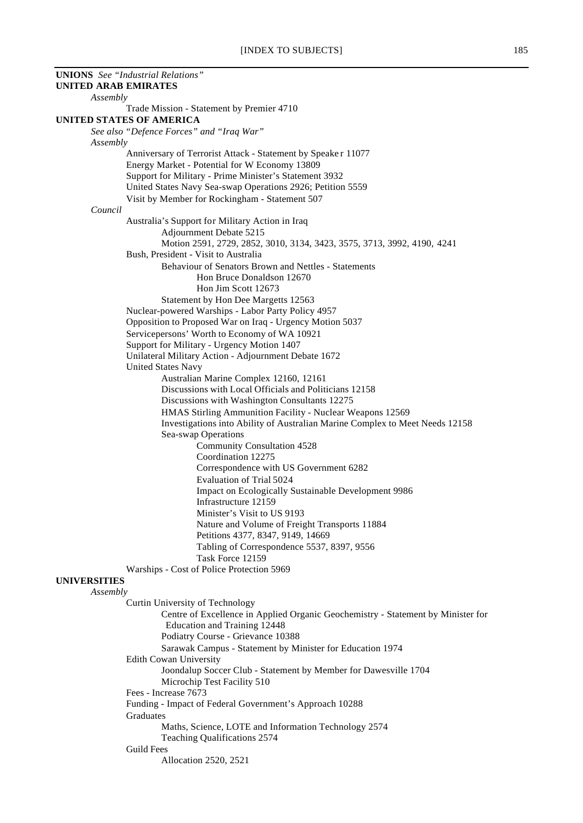| <b>UNIONS</b> See "Industrial Relations"                                                                |  |
|---------------------------------------------------------------------------------------------------------|--|
| <b>UNITED ARAB EMIRATES</b>                                                                             |  |
| Assembly                                                                                                |  |
| Trade Mission - Statement by Premier 4710<br><b>UNITED STATES OF AMERICA</b>                            |  |
| See also "Defence Forces" and "Iraq War"                                                                |  |
| Assembly                                                                                                |  |
| Anniversary of Terrorist Attack - Statement by Speaker 11077                                            |  |
| Energy Market - Potential for W Economy 13809                                                           |  |
| Support for Military - Prime Minister's Statement 3932                                                  |  |
| United States Navy Sea-swap Operations 2926; Petition 5559                                              |  |
| Visit by Member for Rockingham - Statement 507                                                          |  |
| Council                                                                                                 |  |
| Australia's Support for Military Action in Iraq                                                         |  |
| Adjournment Debate 5215                                                                                 |  |
| Motion 2591, 2729, 2852, 3010, 3134, 3423, 3575, 3713, 3992, 4190, 4241                                 |  |
| Bush, President - Visit to Australia<br>Behaviour of Senators Brown and Nettles - Statements            |  |
| Hon Bruce Donaldson 12670                                                                               |  |
| Hon Jim Scott 12673                                                                                     |  |
| Statement by Hon Dee Margetts 12563                                                                     |  |
| Nuclear-powered Warships - Labor Party Policy 4957                                                      |  |
| Opposition to Proposed War on Iraq - Urgency Motion 5037                                                |  |
| Servicepersons' Worth to Economy of WA 10921                                                            |  |
| Support for Military - Urgency Motion 1407                                                              |  |
| Unilateral Military Action - Adjournment Debate 1672                                                    |  |
| <b>United States Navy</b>                                                                               |  |
| Australian Marine Complex 12160, 12161                                                                  |  |
| Discussions with Local Officials and Politicians 12158<br>Discussions with Washington Consultants 12275 |  |
| HMAS Stirling Ammunition Facility - Nuclear Weapons 12569                                               |  |
| Investigations into Ability of Australian Marine Complex to Meet Needs 12158                            |  |
| Sea-swap Operations                                                                                     |  |
| <b>Community Consultation 4528</b>                                                                      |  |
| Coordination 12275                                                                                      |  |
| Correspondence with US Government 6282                                                                  |  |
| <b>Evaluation of Trial 5024</b>                                                                         |  |
| Impact on Ecologically Sustainable Development 9986                                                     |  |
| Infrastructure 12159                                                                                    |  |
| Minister's Visit to US 9193                                                                             |  |
| Nature and Volume of Freight Transports 11884<br>Petitions 4377, 8347, 9149, 14669                      |  |
| Tabling of Correspondence 5537, 8397, 9556                                                              |  |
| Task Force 12159                                                                                        |  |
| Warships - Cost of Police Protection 5969                                                               |  |
| <b>UNIVERSITIES</b>                                                                                     |  |
| Assembly                                                                                                |  |
| Curtin University of Technology                                                                         |  |
| Centre of Excellence in Applied Organic Geochemistry - Statement by Minister for                        |  |
| Education and Training 12448                                                                            |  |
| Podiatry Course - Grievance 10388                                                                       |  |
| Sarawak Campus - Statement by Minister for Education 1974<br><b>Edith Cowan University</b>              |  |
| Joondalup Soccer Club - Statement by Member for Dawesville 1704                                         |  |
| Microchip Test Facility 510                                                                             |  |
| Fees - Increase 7673                                                                                    |  |
| Funding - Impact of Federal Government's Approach 10288                                                 |  |
| Graduates                                                                                               |  |
| Maths, Science, LOTE and Information Technology 2574                                                    |  |
| Teaching Qualifications 2574                                                                            |  |
| <b>Guild Fees</b>                                                                                       |  |
| Allocation 2520, 2521                                                                                   |  |
|                                                                                                         |  |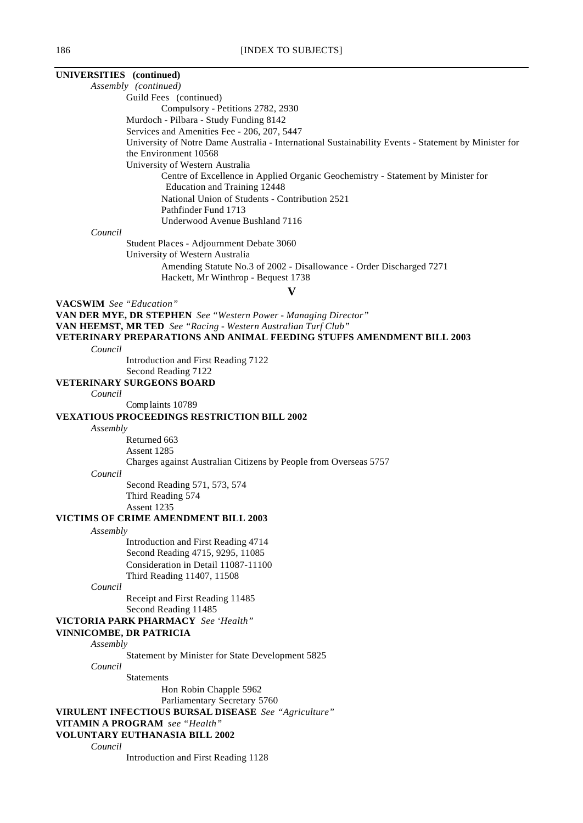**UNIVERSITIES (continued)** *Assembly (continued)* Guild Fees (continued) Compulsory - Petitions 2782, 2930 Murdoch - Pilbara - Study Funding 8142 Services and Amenities Fee - 206, 207, 5447 University of Notre Dame Australia - International Sustainability Events - Statement by Minister for the Environment 10568 University of Western Australia Centre of Excellence in Applied Organic Geochemistry - Statement by Minister for Education and Training 12448 National Union of Students - Contribution 2521 Pathfinder Fund 1713 Underwood Avenue Bushland 7116 *Council* Student Places - Adjournment Debate 3060 University of Western Australia Amending Statute No.3 of 2002 - Disallowance - Order Discharged 7271 Hackett, Mr Winthrop - Bequest 1738 **V VACSWIM** *See "Education"* **VAN DER MYE, DR STEPHEN** *See "Western Power - Managing Director"* **VAN HEEMST, MR TED** *See "Racing - Western Australian Turf Club"* **VETERINARY PREPARATIONS AND ANIMAL FEEDING STUFFS AMENDMENT BILL 2003** *Council* Introduction and First Reading 7122 Second Reading 7122 **VETERINARY SURGEONS BOARD** *Council* Complaints 10789 **VEXATIOUS PROCEEDINGS RESTRICTION BILL 2002** *Assembly* Returned 663 Assent 1285 Charges against Australian Citizens by People from Overseas 5757 *Council* Second Reading 571, 573, 574 Third Reading 574 Assent 1235 **VICTIMS OF CRIME AMENDMENT BILL 2003** *Assembly* Introduction and First Reading 4714 Second Reading 4715, 9295, 11085 Consideration in Detail 11087-11100 Third Reading 11407, 11508 *Council* Receipt and First Reading 11485 Second Reading 11485 **VICTORIA PARK PHARMACY** *See 'Health"* **VINNICOMBE, DR PATRICIA**

*Assembly*

Statement by Minister for State Development 5825

*Council*

Statements

Hon Robin Chapple 5962

Parliamentary Secretary 5760

**VIRULENT INFECTIOUS BURSAL DISEASE** *See "Agriculture"*

**VITAMIN A PROGRAM** *see "Health"*

# **VOLUNTARY EUTHANASIA BILL 2002**

*Council*

Introduction and First Reading 1128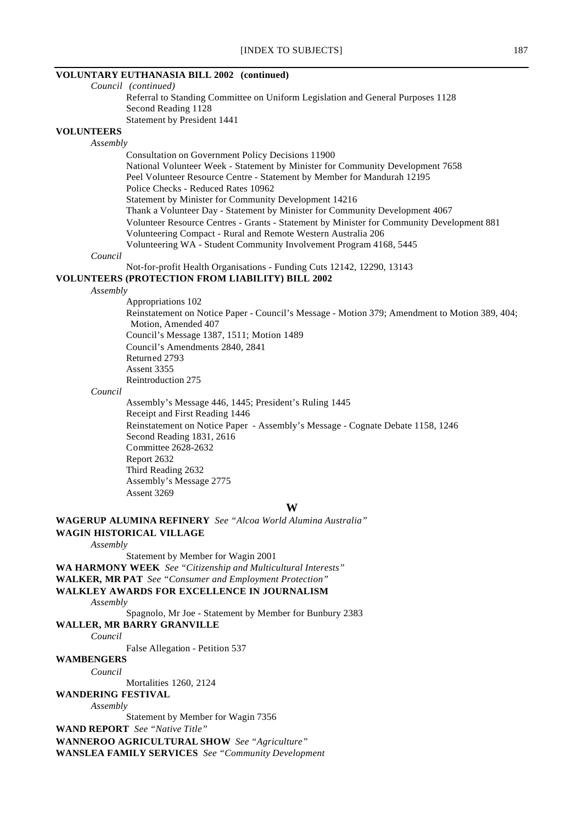## **VOLUNTARY EUTHANASIA BILL 2002 (continued)**

*Council (continued)* Referral to Standing Committee on Uniform Legislation and General Purposes 1128 Second Reading 1128 Statement by President 1441

#### **VOLUNTEERS**

*Assembly*

Consultation on Government Policy Decisions 11900 National Volunteer Week - Statement by Minister for Community Development 7658 Peel Volunteer Resource Centre - Statement by Member for Mandurah 12195 Police Checks - Reduced Rates 10962 Statement by Minister for Community Development 14216 Thank a Volunteer Day - Statement by Minister for Community Development 4067 Volunteer Resource Centres - Grants - Statement by Minister for Community Development 881 Volunteering Compact - Rural and Remote Western Australia 206 Volunteering WA - Student Community Involvement Program 4168, 5445

#### *Council*

Not-for-profit Health Organisations - Funding Cuts 12142, 12290, 13143

#### **VOLUNTEERS (PROTECTION FROM LIABILITY) BILL 2002**

#### *Assembly*

Appropriations 102

Reinstatement on Notice Paper - Council's Message - Motion 379; Amendment to Motion 389, 404; Motion, Amended 407 Council's Message 1387, 1511; Motion 1489 Council's Amendments 2840, 2841 Returned 2793 Assent 3355 Reintroduction 275

#### *Council*

Assembly's Message 446, 1445; President's Ruling 1445 Receipt and First Reading 1446 Reinstatement on Notice Paper - Assembly's Message - Cognate Debate 1158, 1246 Second Reading 1831, 2616 Committee 2628-2632 Report 2632 Third Reading 2632 Assembly's Message 2775 Assent 3269

**W**

**WAGERUP ALUMINA REFINERY** *See "Alcoa World Alumina Australia"* **WAGIN HISTORICAL VILLAGE**

*Assembly*

Statement by Member for Wagin 2001

**WA HARMONY WEEK** *See "Citizenship and Multicultural Interests"*

**WALKER, MR PAT** *See "Consumer and Employment Protection"*

# **WALKLEY AWARDS FOR EXCELLENCE IN JOURNALISM**

*Assembly*

Spagnolo, Mr Joe - Statement by Member for Bunbury 2383

# **WALLER, MR BARRY GRANVILLE**

*Council*

False Allegation - Petition 537

# **WAMBENGERS**

*Council*

Mortalities 1260, 2124

#### **WANDERING FESTIVAL**

*Assembly*

Statement by Member for Wagin 7356

**WAND REPORT** *See "Native Title"*

**WANNEROO AGRICULTURAL SHOW** *See "Agriculture"*

**WANSLEA FAMILY SERVICES** *See "Community Development*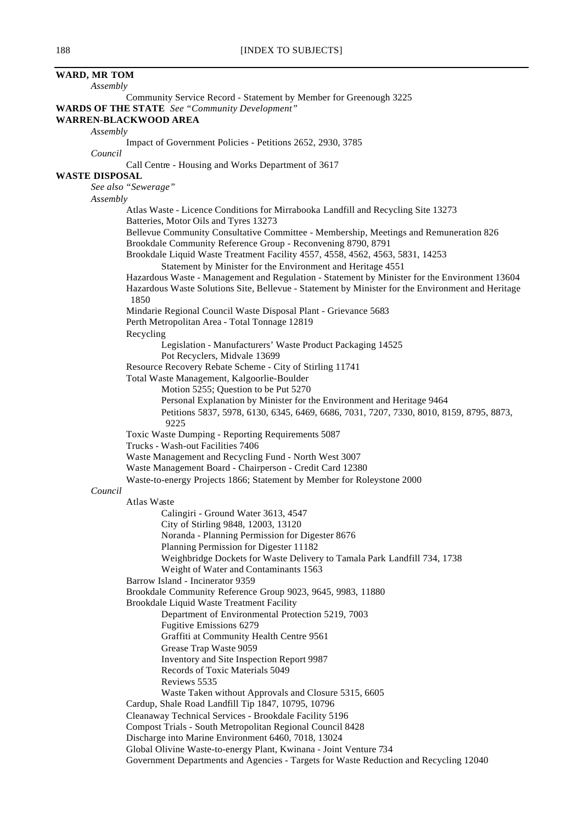| WARD, MR TOM          |                                                                                                                                               |
|-----------------------|-----------------------------------------------------------------------------------------------------------------------------------------------|
| Assembly              |                                                                                                                                               |
|                       | Community Service Record - Statement by Member for Greenough 3225                                                                             |
|                       | <b>WARDS OF THE STATE</b> See "Community Development"<br><b>WARREN-BLACKWOOD AREA</b>                                                         |
| Assembly              |                                                                                                                                               |
|                       | Impact of Government Policies - Petitions 2652, 2930, 3785                                                                                    |
| Council               |                                                                                                                                               |
| <b>WASTE DISPOSAL</b> | Call Centre - Housing and Works Department of 3617                                                                                            |
|                       | See also "Sewerage"                                                                                                                           |
| Assembly              |                                                                                                                                               |
|                       | Atlas Waste - Licence Conditions for Mirrabooka Landfill and Recycling Site 13273                                                             |
|                       | Batteries, Motor Oils and Tyres 13273                                                                                                         |
|                       | Bellevue Community Consultative Committee - Membership, Meetings and Remuneration 826                                                         |
|                       | Brookdale Community Reference Group - Reconvening 8790, 8791<br>Brookdale Liquid Waste Treatment Facility 4557, 4558, 4562, 4563, 5831, 14253 |
|                       | Statement by Minister for the Environment and Heritage 4551                                                                                   |
|                       | Hazardous Waste - Management and Regulation - Statement by Minister for the Environment 13604                                                 |
|                       | Hazardous Waste Solutions Site, Bellevue - Statement by Minister for the Environment and Heritage                                             |
|                       | 1850                                                                                                                                          |
|                       | Mindarie Regional Council Waste Disposal Plant - Grievance 5683<br>Perth Metropolitan Area - Total Tonnage 12819                              |
|                       | Recycling                                                                                                                                     |
|                       | Legislation - Manufacturers' Waste Product Packaging 14525                                                                                    |
|                       | Pot Recyclers, Midvale 13699                                                                                                                  |
|                       | Resource Recovery Rebate Scheme - City of Stirling 11741<br>Total Waste Management, Kalgoorlie-Boulder                                        |
|                       | Motion 5255; Question to be Put 5270                                                                                                          |
|                       | Personal Explanation by Minister for the Environment and Heritage 9464                                                                        |
|                       | Petitions 5837, 5978, 6130, 6345, 6469, 6686, 7031, 7207, 7330, 8010, 8159, 8795, 8873,                                                       |
|                       | 9225                                                                                                                                          |
|                       | Toxic Waste Dumping - Reporting Requirements 5087<br>Trucks - Wash-out Facilities 7406                                                        |
|                       | Waste Management and Recycling Fund - North West 3007                                                                                         |
|                       | Waste Management Board - Chairperson - Credit Card 12380                                                                                      |
|                       | Waste-to-energy Projects 1866; Statement by Member for Roleystone 2000                                                                        |
| Council               | Atlas Waste                                                                                                                                   |
|                       | Calingiri - Ground Water 3613, 4547                                                                                                           |
|                       | City of Stirling 9848, 12003, 13120                                                                                                           |
|                       | Noranda - Planning Permission for Digester 8676                                                                                               |
|                       | Planning Permission for Digester 11182                                                                                                        |
|                       | Weighbridge Dockets for Waste Delivery to Tamala Park Landfill 734, 1738<br>Weight of Water and Contaminants 1563                             |
|                       | Barrow Island - Incinerator 9359                                                                                                              |
|                       | Brookdale Community Reference Group 9023, 9645, 9983, 11880                                                                                   |
|                       | Brookdale Liquid Waste Treatment Facility                                                                                                     |
|                       | Department of Environmental Protection 5219, 7003                                                                                             |
|                       | Fugitive Emissions 6279<br>Graffiti at Community Health Centre 9561                                                                           |
|                       | Grease Trap Waste 9059                                                                                                                        |
|                       | Inventory and Site Inspection Report 9987                                                                                                     |
|                       | Records of Toxic Materials 5049                                                                                                               |
|                       | Reviews 5535                                                                                                                                  |
|                       | Waste Taken without Approvals and Closure 5315, 6605<br>Cardup, Shale Road Landfill Tip 1847, 10795, 10796                                    |
|                       | Cleanaway Technical Services - Brookdale Facility 5196                                                                                        |
|                       | Compost Trials - South Metropolitan Regional Council 8428                                                                                     |
|                       | Discharge into Marine Environment 6460, 7018, 13024                                                                                           |
|                       | Global Olivine Waste-to-energy Plant, Kwinana - Joint Venture 734                                                                             |
|                       | Government Departments and Agencies - Targets for Waste Reduction and Recycling 12040                                                         |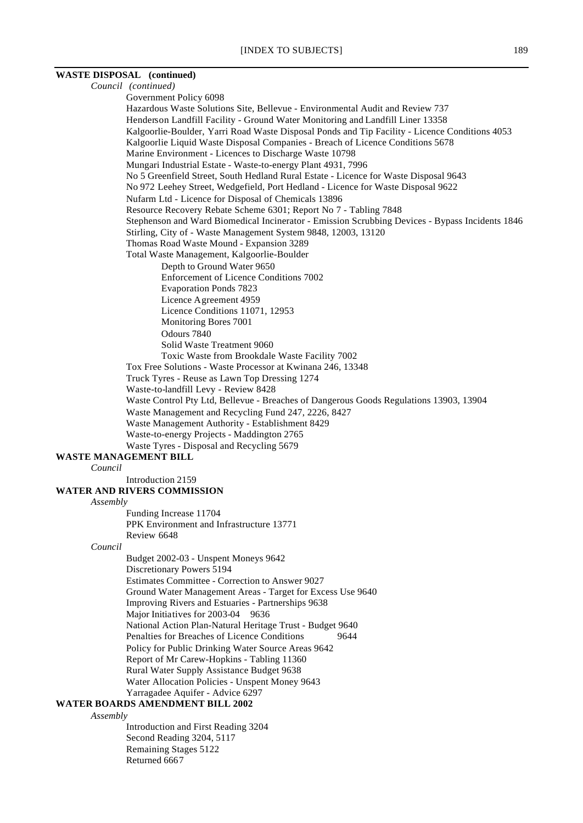#### **WASTE DISPOSAL (continued)**

Remaining Stages 5122

Returned 6667

*Council (continued)* Government Policy 6098 Hazardous Waste Solutions Site, Bellevue - Environmental Audit and Review 737 Henderson Landfill Facility - Ground Water Monitoring and Landfill Liner 13358 Kalgoorlie-Boulder, Yarri Road Waste Disposal Ponds and Tip Facility - Licence Conditions 4053 Kalgoorlie Liquid Waste Disposal Companies - Breach of Licence Conditions 5678 Marine Environment - Licences to Discharge Waste 10798 Mungari Industrial Estate - Waste-to-energy Plant 4931, 7996 No 5 Greenfield Street, South Hedland Rural Estate - Licence for Waste Disposal 9643 No 972 Leehey Street, Wedgefield, Port Hedland - Licence for Waste Disposal 9622 Nufarm Ltd - Licence for Disposal of Chemicals 13896 Resource Recovery Rebate Scheme 6301; Report No 7 - Tabling 7848 Stephenson and Ward Biomedical Incinerator - Emission Scrubbing Devices - Bypass Incidents 1846 Stirling, City of - Waste Management System 9848, 12003, 13120 Thomas Road Waste Mound - Expansion 3289 Total Waste Management, Kalgoorlie-Boulder Depth to Ground Water 9650 Enforcement of Licence Conditions 7002 Evaporation Ponds 7823 Licence Agreement 4959 Licence Conditions 11071, 12953 Monitoring Bores 7001 Odours 7840 Solid Waste Treatment 9060 Toxic Waste from Brookdale Waste Facility 7002 Tox Free Solutions - Waste Processor at Kwinana 246, 13348 Truck Tyres - Reuse as Lawn Top Dressing 1274 Waste-to-landfill Levy - Review 8428 Waste Control Pty Ltd, Bellevue - Breaches of Dangerous Goods Regulations 13903, 13904 Waste Management and Recycling Fund 247, 2226, 8427 Waste Management Authority - Establishment 8429 Waste-to-energy Projects - Maddington 2765 Waste Tyres - Disposal and Recycling 5679 **WASTE MANAGEMENT BILL** *Council* Introduction 2159 **WATER AND RIVERS COMMISSION** *Assembly* Funding Increase 11704 PPK Environment and Infrastructure 13771 Review 6648 *Council* Budget 2002-03 - Unspent Moneys 9642 Discretionary Powers 5194 Estimates Committee - Correction to Answer 9027 Ground Water Management Areas - Target for Excess Use 9640 Improving Rivers and Estuaries - Partnerships 9638 Major Initiatives for 2003-04 9636 National Action Plan-Natural Heritage Trust - Budget 9640 Penalties for Breaches of Licence Conditions 9644 Policy for Public Drinking Water Source Areas 9642 Report of Mr Carew-Hopkins - Tabling 11360 Rural Water Supply Assistance Budget 9638 Water Allocation Policies - Unspent Money 9643 Yarragadee Aquifer - Advice 6297 **WATER BOARDS AMENDMENT BILL 2002** *Assembly* Introduction and First Reading 3204 Second Reading 3204, 5117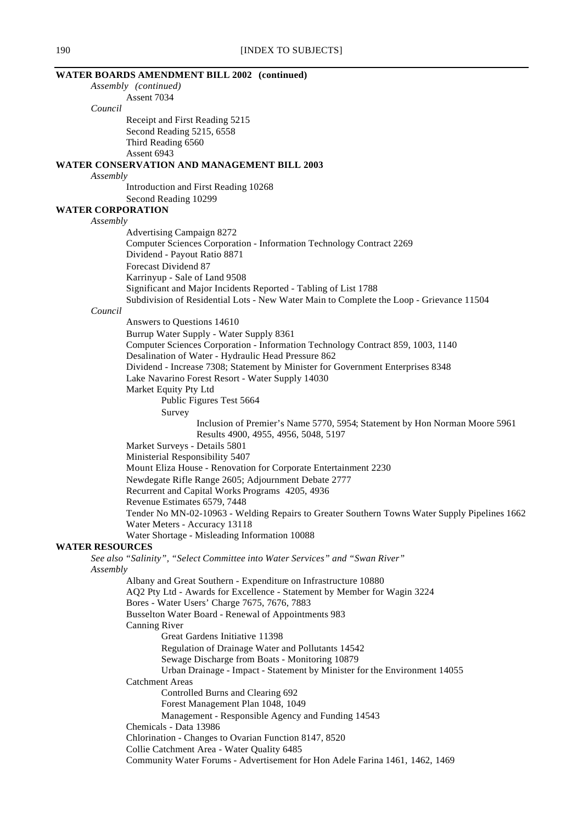|                          | <b>WATER BOARDS AMENDMENT BILL 2002 (continued)</b>                                                  |
|--------------------------|------------------------------------------------------------------------------------------------------|
|                          | Assembly (continued)                                                                                 |
|                          | Assent 7034                                                                                          |
| Council                  |                                                                                                      |
|                          | Receipt and First Reading 5215                                                                       |
|                          | Second Reading 5215, 6558                                                                            |
|                          | Third Reading 6560                                                                                   |
|                          | Assent 6943                                                                                          |
|                          | <b>WATER CONSERVATION AND MANAGEMENT BILL 2003</b>                                                   |
| Assembly                 |                                                                                                      |
|                          | Introduction and First Reading 10268                                                                 |
|                          | Second Reading 10299                                                                                 |
| <b>WATER CORPORATION</b> |                                                                                                      |
| Assembly                 |                                                                                                      |
|                          | Advertising Campaign 8272                                                                            |
|                          | Computer Sciences Corporation - Information Technology Contract 2269<br>Dividend - Payout Ratio 8871 |
|                          | Forecast Dividend 87                                                                                 |
|                          | Karrinyup - Sale of Land 9508                                                                        |
|                          | Significant and Major Incidents Reported - Tabling of List 1788                                      |
|                          | Subdivision of Residential Lots - New Water Main to Complete the Loop - Grievance 11504              |
| Council                  |                                                                                                      |
|                          | Answers to Questions 14610                                                                           |
|                          | Burrup Water Supply - Water Supply 8361                                                              |
|                          | Computer Sciences Corporation - Information Technology Contract 859, 1003, 1140                      |
|                          | Desalination of Water - Hydraulic Head Pressure 862                                                  |
|                          | Dividend - Increase 7308; Statement by Minister for Government Enterprises 8348                      |
|                          | Lake Navarino Forest Resort - Water Supply 14030                                                     |
|                          | Market Equity Pty Ltd                                                                                |
|                          | Public Figures Test 5664                                                                             |
|                          | Survey                                                                                               |
|                          | Inclusion of Premier's Name 5770, 5954; Statement by Hon Norman Moore 5961                           |
|                          | Results 4900, 4955, 4956, 5048, 5197                                                                 |
|                          | Market Surveys - Details 5801                                                                        |
|                          | Ministerial Responsibility 5407                                                                      |
|                          | Mount Eliza House - Renovation for Corporate Entertainment 2230                                      |
|                          | Newdegate Rifle Range 2605; Adjournment Debate 2777                                                  |
|                          | Recurrent and Capital Works Programs 4205, 4936                                                      |
|                          | Revenue Estimates 6579, 7448                                                                         |
|                          | Tender No MN-02-10963 - Welding Repairs to Greater Southern Towns Water Supply Pipelines 1662        |
|                          | Water Meters - Accuracy 13118                                                                        |
|                          | Water Shortage - Misleading Information 10088                                                        |
| <b>WATER RESOURCES</b>   |                                                                                                      |
|                          | See also "Salinity", "Select Committee into Water Services" and "Swan River"                         |
| Assembly                 |                                                                                                      |
|                          | Albany and Great Southern - Expenditure on Infrastructure 10880                                      |
|                          | AQ2 Pty Ltd - Awards for Excellence - Statement by Member for Wagin 3224                             |
|                          | Bores - Water Users' Charge 7675, 7676, 7883                                                         |
|                          | Busselton Water Board - Renewal of Appointments 983                                                  |
|                          | <b>Canning River</b>                                                                                 |
|                          | Great Gardens Initiative 11398                                                                       |
|                          | Regulation of Drainage Water and Pollutants 14542                                                    |
|                          | Sewage Discharge from Boats - Monitoring 10879                                                       |
|                          | Urban Drainage - Impact - Statement by Minister for the Environment 14055<br><b>Catchment Areas</b>  |
|                          | Controlled Burns and Clearing 692                                                                    |
|                          | Forest Management Plan 1048, 1049                                                                    |
|                          | Management - Responsible Agency and Funding 14543                                                    |
|                          | Chemicals - Data 13986                                                                               |
|                          | Chlorination - Changes to Ovarian Function 8147, 8520                                                |
|                          | Collie Catchment Area - Water Quality 6485                                                           |
|                          | Community Water Forums - Advertisement for Hon Adele Farina 1461, 1462, 1469                         |
|                          |                                                                                                      |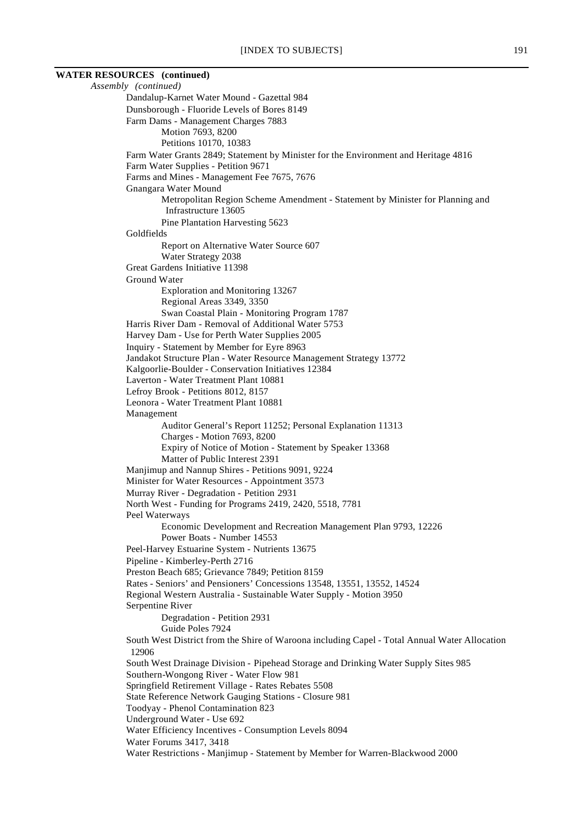# **WATER RESOURCES (continued)** *Assembly (continued)* Dandalup-Karnet Water Mound - Gazettal 984 Dunsborough - Fluoride Levels of Bores 8149 Farm Dams - Management Charges 7883 Motion 7693, 8200 Petitions 10170, 10383 Farm Water Grants 2849; Statement by Minister for the Environment and Heritage 4816 Farm Water Supplies - Petition 9671 Farms and Mines - Management Fee 7675, 7676 Gnangara Water Mound Infrastructure 13605

Metropolitan Region Scheme Amendment - Statement by Minister for Planning and Pine Plantation Harvesting 5623 Goldfields Report on Alternative Water Source 607 Water Strategy 2038 Great Gardens Initiative 11398 Ground Water Exploration and Monitoring 13267 Regional Areas 3349, 3350 Swan Coastal Plain - Monitoring Program 1787 Harris River Dam - Removal of Additional Water 5753 Harvey Dam - Use for Perth Water Supplies 2005 Inquiry - Statement by Member for Eyre 8963 Jandakot Structure Plan - Water Resource Management Strategy 13772 Kalgoorlie-Boulder - Conservation Initiatives 12384 Laverton - Water Treatment Plant 10881 Lefroy Brook - Petitions 8012, 8157 Leonora - Water Treatment Plant 10881 Management Auditor General's Report 11252; Personal Explanation 11313 Charges - Motion 7693, 8200 Expiry of Notice of Motion - Statement by Speaker 13368 Matter of Public Interest 2391 Manjimup and Nannup Shires - Petitions 9091, 9224 Minister for Water Resources - Appointment 3573 Murray River - Degradation - Petition 2931 North West - Funding for Programs 2419, 2420, 5518, 7781 Peel Waterways Economic Development and Recreation Management Plan 9793, 12226 Power Boats - Number 14553 Peel-Harvey Estuarine System - Nutrients 13675 Pipeline - Kimberley-Perth 2716 Preston Beach 685; Grievance 7849; Petition 8159 Rates - Seniors' and Pensioners' Concessions 13548, 13551, 13552, 14524 Regional Western Australia - Sustainable Water Supply - Motion 3950 Serpentine River Degradation - Petition 2931 Guide Poles 7924 South West District from the Shire of Waroona including Capel - Total Annual Water Allocation 12906 South West Drainage Division - Pipehead Storage and Drinking Water Supply Sites 985 Southern-Wongong River - Water Flow 981 Springfield Retirement Village - Rates Rebates 5508 State Reference Network Gauging Stations - Closure 981 Toodyay - Phenol Contamination 823 Underground Water - Use 692 Water Efficiency Incentives - Consumption Levels 8094 Water Forums 3417, 3418 Water Restrictions - Manjimup - Statement by Member for Warren-Blackwood 2000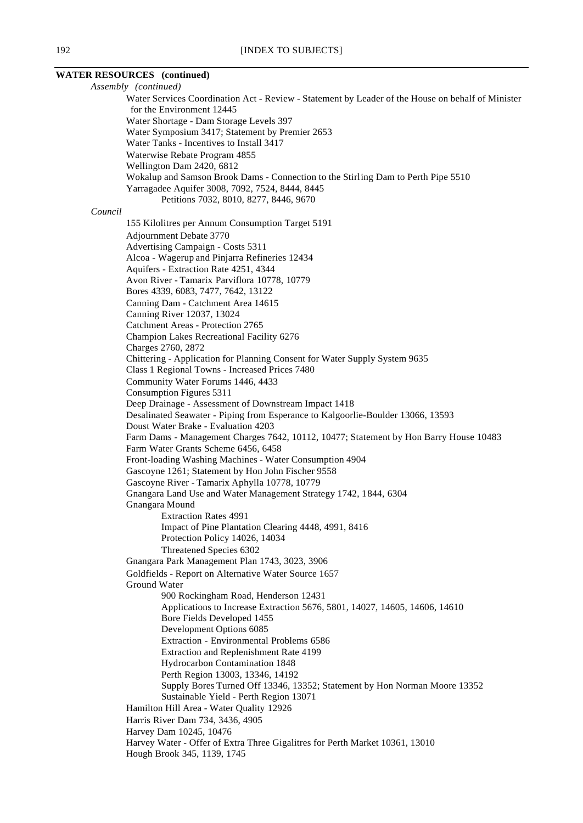# **WATER RESOURCES (continued)**

*Assembly (continued)* Water Services Coordination Act - Review - Statement by Leader of the House on behalf of Minister for the Environment 12445 Water Shortage - Dam Storage Levels 397 Water Symposium 3417; Statement by Premier 2653 Water Tanks - Incentives to Install 3417 Waterwise Rebate Program 4855 Wellington Dam 2420, 6812 Wokalup and Samson Brook Dams - Connection to the Stirling Dam to Perth Pipe 5510 Yarragadee Aquifer 3008, 7092, 7524, 8444, 8445 Petitions 7032, 8010, 8277, 8446, 9670 *Council* 155 Kilolitres per Annum Consumption Target 5191 Adjournment Debate 3770 Advertising Campaign - Costs 5311 Alcoa - Wagerup and Pinjarra Refineries 12434 Aquifers - Extraction Rate 4251, 4344 Avon River - Tamarix Parviflora 10778, 10779 Bores 4339, 6083, 7477, 7642, 13122 Canning Dam - Catchment Area 14615 Canning River 12037, 13024 Catchment Areas - Protection 2765 Champion Lakes Recreational Facility 6276 Charges 2760, 2872 Chittering - Application for Planning Consent for Water Supply System 9635 Class 1 Regional Towns - Increased Prices 7480 Community Water Forums 1446, 4433 Consumption Figures 5311 Deep Drainage - Assessment of Downstream Impact 1418 Desalinated Seawater - Piping from Esperance to Kalgoorlie-Boulder 13066, 13593 Doust Water Brake - Evaluation 4203 Farm Dams - Management Charges 7642, 10112, 10477; Statement by Hon Barry House 10483 Farm Water Grants Scheme 6456, 6458 Front-loading Washing Machines - Water Consumption 4904 Gascoyne 1261; Statement by Hon John Fischer 9558 Gascoyne River - Tamarix Aphylla 10778, 10779 Gnangara Land Use and Water Management Strategy 1742, 1844, 6304 Gnangara Mound Extraction Rates 4991 Impact of Pine Plantation Clearing 4448, 4991, 8416 Protection Policy 14026, 14034 Threatened Species 6302 Gnangara Park Management Plan 1743, 3023, 3906 Goldfields - Report on Alternative Water Source 1657 Ground Water 900 Rockingham Road, Henderson 12431 Applications to Increase Extraction 5676, 5801, 14027, 14605, 14606, 14610 Bore Fields Developed 1455 Development Options 6085 Extraction - Environmental Problems 6586 Extraction and Replenishment Rate 4199 Hydrocarbon Contamination 1848 Perth Region 13003, 13346, 14192 Supply Bores Turned Off 13346, 13352; Statement by Hon Norman Moore 13352 Sustainable Yield - Perth Region 13071 Hamilton Hill Area - Water Quality 12926 Harris River Dam 734, 3436, 4905 Harvey Dam 10245, 10476 Harvey Water - Offer of Extra Three Gigalitres for Perth Market 10361, 13010 Hough Brook 345, 1139, 1745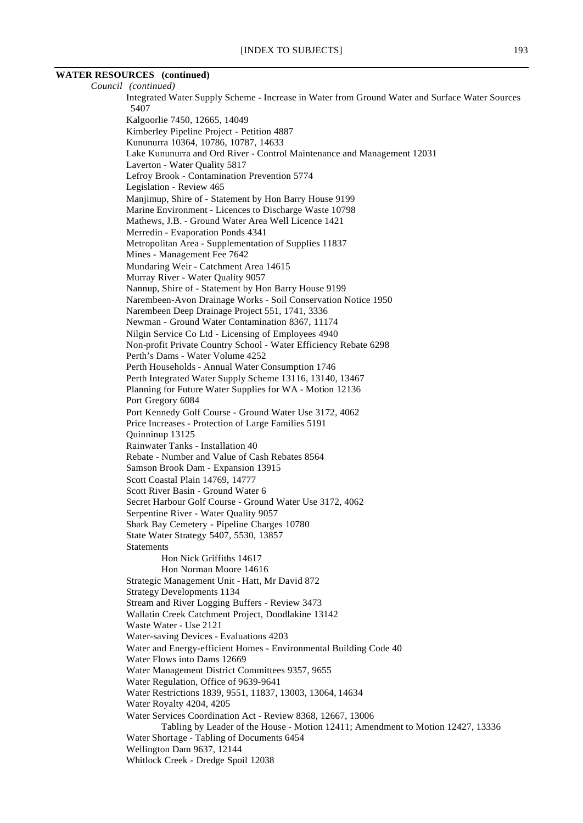# **WATER RESOURCES (continued)**

*Council (continued)* Integrated Water Supply Scheme - Increase in Water from Ground Water and Surface Water Sources 5407 Kalgoorlie 7450, 12665, 14049 Kimberley Pipeline Project - Petition 4887 Kununurra 10364, 10786, 10787, 14633 Lake Kununurra and Ord River - Control Maintenance and Management 12031 Laverton - Water Quality 5817 Lefroy Brook - Contamination Prevention 5774 Legislation - Review 465 Manjimup, Shire of - Statement by Hon Barry House 9199 Marine Environment - Licences to Discharge Waste 10798 Mathews, J.B. - Ground Water Area Well Licence 1421 Merredin - Evaporation Ponds 4341 Metropolitan Area - Supplementation of Supplies 11837 Mines - Management Fee 7642 Mundaring Weir - Catchment Area 14615 Murray River - Water Quality 9057 Nannup, Shire of - Statement by Hon Barry House 9199 Narembeen-Avon Drainage Works - Soil Conservation Notice 1950 Narembeen Deep Drainage Project 551, 1741, 3336 Newman - Ground Water Contamination 8367, 11174 Nilgin Service Co Ltd - Licensing of Employees 4940 Non-profit Private Country School - Water Efficiency Rebate 6298 Perth's Dams - Water Volume 4252 Perth Households - Annual Water Consumption 1746 Perth Integrated Water Supply Scheme 13116, 13140, 13467 Planning for Future Water Supplies for WA - Motion 12136 Port Gregory 6084 Port Kennedy Golf Course - Ground Water Use 3172, 4062 Price Increases - Protection of Large Families 5191 Quinninup 13125 Rainwater Tanks - Installation 40 Rebate - Number and Value of Cash Rebates 8564 Samson Brook Dam - Expansion 13915 Scott Coastal Plain 14769, 14777 Scott River Basin - Ground Water 6 Secret Harbour Golf Course - Ground Water Use 3172, 4062 Serpentine River - Water Quality 9057 Shark Bay Cemetery - Pipeline Charges 10780 State Water Strategy 5407, 5530, 13857 Statements Hon Nick Griffiths 14617 Hon Norman Moore 14616 Strategic Management Unit - Hatt, Mr David 872 Strategy Developments 1134 Stream and River Logging Buffers - Review 3473 Wallatin Creek Catchment Project, Doodlakine 13142 Waste Water - Use 2121 Water-saving Devices - Evaluations 4203 Water and Energy-efficient Homes - Environmental Building Code 40 Water Flows into Dams 12669 Water Management District Committees 9357, 9655 Water Regulation, Office of 9639-9641 Water Restrictions 1839, 9551, 11837, 13003, 13064, 14634 Water Royalty 4204, 4205 Water Services Coordination Act - Review 8368, 12667, 13006 Tabling by Leader of the House - Motion 12411; Amendment to Motion 12427, 13336 Water Shortage - Tabling of Documents 6454 Wellington Dam 9637, 12144 Whitlock Creek - Dredge Spoil 12038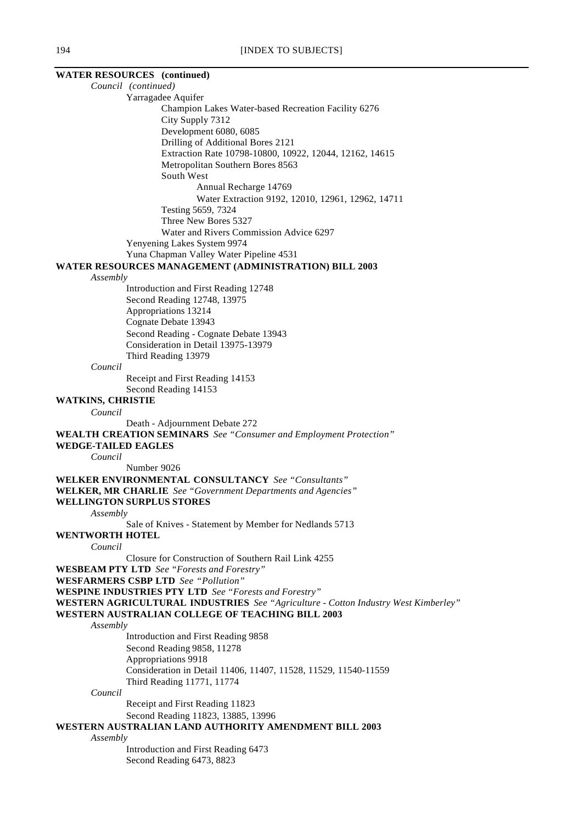| <b>WATER RESOURCES</b> (continued) |                                                                                           |
|------------------------------------|-------------------------------------------------------------------------------------------|
| Council (continued)                |                                                                                           |
|                                    | Yarragadee Aquifer                                                                        |
|                                    | Champion Lakes Water-based Recreation Facility 6276                                       |
|                                    | City Supply 7312                                                                          |
|                                    | Development 6080, 6085                                                                    |
|                                    | Drilling of Additional Bores 2121                                                         |
|                                    | Extraction Rate 10798-10800, 10922, 12044, 12162, 14615                                   |
|                                    | Metropolitan Southern Bores 8563                                                          |
|                                    | South West                                                                                |
|                                    | Annual Recharge 14769                                                                     |
|                                    | Water Extraction 9192, 12010, 12961, 12962, 14711                                         |
|                                    | Testing 5659, 7324<br>Three New Bores 5327                                                |
|                                    | Water and Rivers Commission Advice 6297                                                   |
|                                    | Yenyening Lakes System 9974                                                               |
|                                    | Yuna Chapman Valley Water Pipeline 4531                                                   |
|                                    | <b>WATER RESOURCES MANAGEMENT (ADMINISTRATION) BILL 2003</b>                              |
| Assembly                           |                                                                                           |
|                                    | Introduction and First Reading 12748                                                      |
|                                    | Second Reading 12748, 13975                                                               |
|                                    | Appropriations 13214                                                                      |
|                                    | Cognate Debate 13943                                                                      |
|                                    | Second Reading - Cognate Debate 13943                                                     |
|                                    | Consideration in Detail 13975-13979                                                       |
|                                    | Third Reading 13979                                                                       |
| Council                            |                                                                                           |
|                                    | Receipt and First Reading 14153                                                           |
|                                    | Second Reading 14153                                                                      |
| <b>WATKINS, CHRISTIE</b>           |                                                                                           |
| Council                            |                                                                                           |
|                                    | Death - Adjournment Debate 272                                                            |
| <b>WEDGE-TAILED EAGLES</b>         | <b>WEALTH CREATION SEMINARS</b> See "Consumer and Employment Protection"                  |
| Council                            |                                                                                           |
|                                    | Number 9026                                                                               |
|                                    | <b>WELKER ENVIRONMENTAL CONSULTANCY</b> See "Consultants"                                 |
|                                    | WELKER, MR CHARLIE See "Government Departments and Agencies"                              |
| <b>WELLINGTON SURPLUS STORES</b>   |                                                                                           |
| Assembly                           |                                                                                           |
|                                    | Sale of Knives - Statement by Member for Nedlands 5713                                    |
| <b>WENTWORTH HOTEL</b>             |                                                                                           |
| Council                            |                                                                                           |
|                                    | Closure for Construction of Southern Rail Link 4255                                       |
|                                    | <b>WESBEAM PTY LTD</b> See "Forests and Forestry"                                         |
|                                    | <b>WESFARMERS CSBP LTD</b> See "Pollution"                                                |
|                                    | <b>WESPINE INDUSTRIES PTY LTD</b> See "Forests and Forestry"                              |
|                                    | <b>WESTERN AGRICULTURAL INDUSTRIES</b> See "Agriculture - Cotton Industry West Kimberley" |
|                                    | WESTERN AUSTRALIAN COLLEGE OF TEACHING BILL 2003                                          |
| Assembly                           | Introduction and First Reading 9858                                                       |
|                                    | Second Reading 9858, 11278                                                                |
|                                    | Appropriations 9918                                                                       |
|                                    | Consideration in Detail 11406, 11407, 11528, 11529, 11540-11559                           |
|                                    | Third Reading 11771, 11774                                                                |
| Council                            |                                                                                           |
|                                    | Receipt and First Reading 11823                                                           |
|                                    | Second Reading 11823, 13885, 13996                                                        |
|                                    | WESTERN AUSTRALIAN LAND AUTHORITY AMENDMENT BILL 2003                                     |
| Assembly                           |                                                                                           |
|                                    | Introduction and First Reading 6473                                                       |

Second Reading 6473, 8823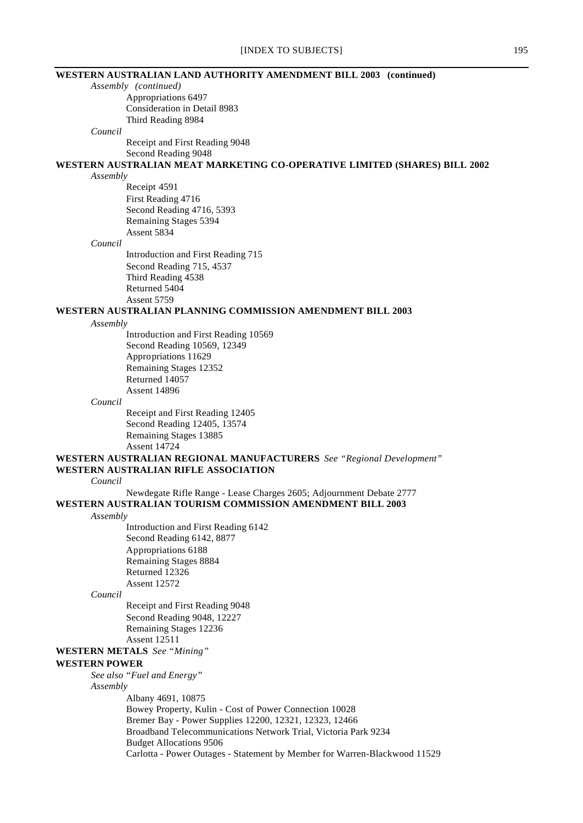# **WESTERN AUSTRALIAN LAND AUTHORITY AMENDMENT BILL 2003 (continued)** *Assembly (continued)* Appropriations 6497 Consideration in Detail 8983 Third Reading 8984 *Council* Receipt and First Reading 9048 Second Reading 9048 **WESTERN AUSTRALIAN MEAT MARKETING CO-OPERATIVE LIMITED (SHARES) BILL 2002** *Assembly* Receipt 4591 First Reading 4716 Second Reading 4716, 5393 Remaining Stages 5394 Assent 5834 *Council* Introduction and First Reading 715 Second Reading 715, 4537 Third Reading 4538 Returned 5404 Assent 5759 **WESTERN AUSTRALIAN PLANNING COMMISSION AMENDMENT BILL 2003** *Assembly* Introduction and First Reading 10569 Second Reading 10569, 12349 Appropriations 11629 Remaining Stages 12352 Returned 14057 Assent 14896 *Council* Receipt and First Reading 12405 Second Reading 12405, 13574 Remaining Stages 13885 Assent 14724 **WESTERN AUSTRALIAN REGIONAL MANUFACTURERS** *See "Regional Development"* **WESTERN AUSTRALIAN RIFLE ASSOCIATION** *Council* Newdegate Rifle Range - Lease Charges 2605; Adjournment Debate 2777 **WESTERN AUSTRALIAN TOURISM COMMISSION AMENDMENT BILL 2003** *Assembly* Introduction and First Reading 6142 Second Reading 6142, 8877 Appropriations 6188 Remaining Stages 8884 Returned 12326 Assent 12572 *Council* Receipt and First Reading 9048 Second Reading 9048, 12227 Remaining Stages 12236 Assent 12511 **WESTERN METALS** *See "Mining"* **WESTERN POWER** *See also "Fuel and Energy" Assembly* Albany 4691, 10875

Bowey Property, Kulin - Cost of Power Connection 10028 Bremer Bay - Power Supplies 12200, 12321, 12323, 12466 Broadband Telecommunications Network Trial, Victoria Park 9234 Budget Allocations 9506 Carlotta - Power Outages - Statement by Member for Warren-Blackwood 11529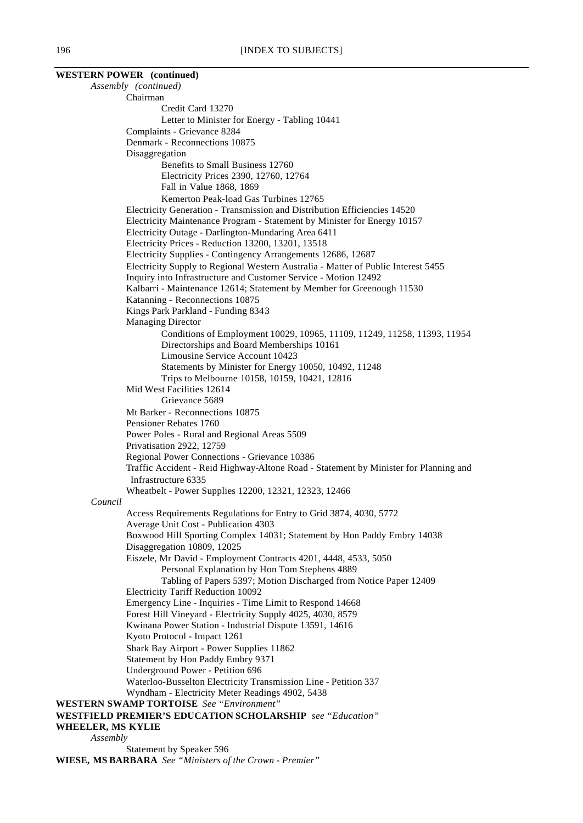|                   | <b>WESTERN POWER</b> (continued)                                                                               |
|-------------------|----------------------------------------------------------------------------------------------------------------|
|                   | Assembly (continued)                                                                                           |
|                   | Chairman                                                                                                       |
|                   | Credit Card 13270                                                                                              |
|                   | Letter to Minister for Energy - Tabling 10441                                                                  |
|                   | Complaints - Grievance 8284                                                                                    |
|                   | Denmark - Reconnections 10875                                                                                  |
|                   | Disaggregation                                                                                                 |
|                   | Benefits to Small Business 12760                                                                               |
|                   | Electricity Prices 2390, 12760, 12764<br>Fall in Value 1868, 1869                                              |
|                   | Kemerton Peak-load Gas Turbines 12765                                                                          |
|                   | Electricity Generation - Transmission and Distribution Efficiencies 14520                                      |
|                   | Electricity Maintenance Program - Statement by Minister for Energy 10157                                       |
|                   | Electricity Outage - Darlington-Mundaring Area 6411                                                            |
|                   | Electricity Prices - Reduction 13200, 13201, 13518                                                             |
|                   | Electricity Supplies - Contingency Arrangements 12686, 12687                                                   |
|                   | Electricity Supply to Regional Western Australia - Matter of Public Interest 5455                              |
|                   | Inquiry into Infrastructure and Customer Service - Motion 12492                                                |
|                   | Kalbarri - Maintenance 12614; Statement by Member for Greenough 11530                                          |
|                   | Katanning - Reconnections 10875                                                                                |
|                   | Kings Park Parkland - Funding 8343                                                                             |
|                   | <b>Managing Director</b>                                                                                       |
|                   | Conditions of Employment 10029, 10965, 11109, 11249, 11258, 11393, 11954                                       |
|                   | Directorships and Board Memberships 10161                                                                      |
|                   | Limousine Service Account 10423                                                                                |
|                   | Statements by Minister for Energy 10050, 10492, 11248                                                          |
|                   | Trips to Melbourne 10158, 10159, 10421, 12816                                                                  |
|                   | Mid West Facilities 12614                                                                                      |
|                   | Grievance 5689                                                                                                 |
|                   | Mt Barker - Reconnections 10875<br>Pensioner Rebates 1760                                                      |
|                   | Power Poles - Rural and Regional Areas 5509                                                                    |
|                   | Privatisation 2922, 12759                                                                                      |
|                   | Regional Power Connections - Grievance 10386                                                                   |
|                   | Traffic Accident - Reid Highway-Altone Road - Statement by Minister for Planning and                           |
|                   | Infrastructure 6335                                                                                            |
|                   | Wheatbelt - Power Supplies 12200, 12321, 12323, 12466                                                          |
| Council           |                                                                                                                |
|                   | Access Requirements Regulations for Entry to Grid 3874, 4030, 5772                                             |
|                   | Average Unit Cost - Publication 4303                                                                           |
|                   | Boxwood Hill Sporting Complex 14031; Statement by Hon Paddy Embry 14038                                        |
|                   | Disaggregation 10809, 12025                                                                                    |
|                   | Eiszele, Mr David - Employment Contracts 4201, 4448, 4533, 5050                                                |
|                   | Personal Explanation by Hon Tom Stephens 4889                                                                  |
|                   | Tabling of Papers 5397; Motion Discharged from Notice Paper 12409<br><b>Electricity Tariff Reduction 10092</b> |
|                   | Emergency Line - Inquiries - Time Limit to Respond 14668                                                       |
|                   | Forest Hill Vineyard - Electricity Supply 4025, 4030, 8579                                                     |
|                   | Kwinana Power Station - Industrial Dispute 13591, 14616                                                        |
|                   | Kyoto Protocol - Impact 1261                                                                                   |
|                   | Shark Bay Airport - Power Supplies 11862                                                                       |
|                   | Statement by Hon Paddy Embry 9371                                                                              |
|                   | Underground Power - Petition 696                                                                               |
|                   | Waterloo-Busselton Electricity Transmission Line - Petition 337                                                |
|                   | Wyndham - Electricity Meter Readings 4902, 5438                                                                |
|                   | <b>WESTERN SWAMP TORTOISE</b> See "Environment"                                                                |
|                   | <b>WESTFIELD PREMIER'S EDUCATION SCHOLARSHIP</b> see "Education"                                               |
| WHEELER, MS KYLIE |                                                                                                                |
| Assembly          |                                                                                                                |

Statement by Speaker 596 **WIESE, MS BARBARA** *See "Ministers of the Crown - Premier"*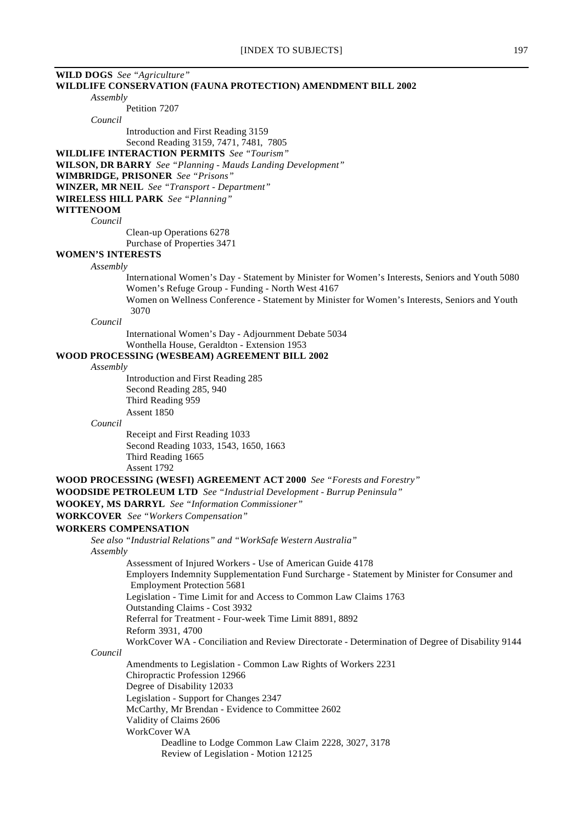| <b>WILD DOGS</b> See "Agriculture" |                                                                                                                                                     |
|------------------------------------|-----------------------------------------------------------------------------------------------------------------------------------------------------|
|                                    | WILDLIFE CONSERVATION (FAUNA PROTECTION) AMENDMENT BILL 2002                                                                                        |
| Assembly                           |                                                                                                                                                     |
|                                    | Petition 7207                                                                                                                                       |
| Council                            |                                                                                                                                                     |
|                                    | Introduction and First Reading 3159                                                                                                                 |
|                                    | Second Reading 3159, 7471, 7481, 7805                                                                                                               |
|                                    | <b>WILDLIFE INTERACTION PERMITS</b> See "Tourism"                                                                                                   |
|                                    | WILSON, DR BARRY See "Planning - Mauds Landing Development"<br><b>WIMBRIDGE, PRISONER</b> See "Prisons"                                             |
|                                    | <b>WINZER, MR NEIL</b> See "Transport - Department"                                                                                                 |
|                                    | <b>WIRELESS HILL PARK</b> See "Planning"                                                                                                            |
| <b>WITTENOOM</b>                   |                                                                                                                                                     |
| Council                            |                                                                                                                                                     |
|                                    | Clean-up Operations 6278                                                                                                                            |
|                                    | Purchase of Properties 3471                                                                                                                         |
| <b>WOMEN'S INTERESTS</b>           |                                                                                                                                                     |
| Assembly                           |                                                                                                                                                     |
|                                    | International Women's Day - Statement by Minister for Women's Interests, Seniors and Youth 5080<br>Women's Refuge Group - Funding - North West 4167 |
|                                    | Women on Wellness Conference - Statement by Minister for Women's Interests, Seniors and Youth<br>3070                                               |
| Council                            |                                                                                                                                                     |
|                                    | International Women's Day - Adjournment Debate 5034                                                                                                 |
|                                    | Wonthella House, Geraldton - Extension 1953                                                                                                         |
|                                    | WOOD PROCESSING (WESBEAM) AGREEMENT BILL 2002                                                                                                       |
| Assembly                           |                                                                                                                                                     |
|                                    | Introduction and First Reading 285                                                                                                                  |
|                                    | Second Reading 285, 940                                                                                                                             |
|                                    | Third Reading 959<br>Assent 1850                                                                                                                    |
| Council                            |                                                                                                                                                     |
|                                    | Receipt and First Reading 1033                                                                                                                      |
|                                    | Second Reading 1033, 1543, 1650, 1663                                                                                                               |
|                                    | Third Reading 1665                                                                                                                                  |
|                                    | Assent 1792                                                                                                                                         |
|                                    | <b>WOOD PROCESSING (WESFI) AGREEMENT ACT 2000</b> See "Forests and Forestry"                                                                        |
|                                    | <b>WOODSIDE PETROLEUM LTD</b> See "Industrial Development - Burrup Peninsula"                                                                       |
|                                    | <b>WOOKEY, MS DARRYL</b> See "Information Commissioner"                                                                                             |
|                                    | <b>WORKCOVER</b> See "Workers Compensation"                                                                                                         |
| <b>WORKERS COMPENSATION</b>        |                                                                                                                                                     |
|                                    |                                                                                                                                                     |
|                                    | See also "Industrial Relations" and "WorkSafe Western Australia"                                                                                    |
| Assembly                           | Assessment of Injured Workers - Use of American Guide 4178                                                                                          |
|                                    | Employers Indemnity Supplementation Fund Surcharge - Statement by Minister for Consumer and<br><b>Employment Protection 5681</b>                    |
|                                    | Legislation - Time Limit for and Access to Common Law Claims 1763<br>Outstanding Claims - Cost 3932                                                 |
|                                    | Referral for Treatment - Four-week Time Limit 8891, 8892                                                                                            |
|                                    | Reform 3931, 4700                                                                                                                                   |
| Council                            | WorkCover WA - Conciliation and Review Directorate - Determination of Degree of Disability 9144                                                     |
|                                    |                                                                                                                                                     |
|                                    | Amendments to Legislation - Common Law Rights of Workers 2231<br>Chiropractic Profession 12966                                                      |
|                                    | Degree of Disability 12033                                                                                                                          |
|                                    | Legislation - Support for Changes 2347                                                                                                              |
|                                    | McCarthy, Mr Brendan - Evidence to Committee 2602                                                                                                   |
|                                    | Validity of Claims 2606                                                                                                                             |
|                                    | WorkCover WA                                                                                                                                        |
|                                    | Deadline to Lodge Common Law Claim 2228, 3027, 3178                                                                                                 |
|                                    | Review of Legislation - Motion 12125                                                                                                                |
|                                    |                                                                                                                                                     |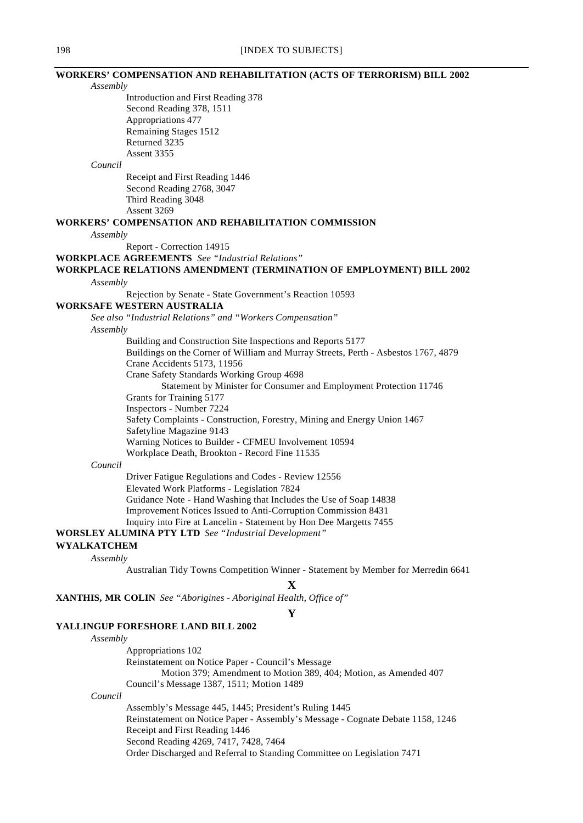#### **WORKERS' COMPENSATION AND REHABILITATION (ACTS OF TERRORISM) BILL 2002**

*Assembly*

Introduction and First Reading 378 Second Reading 378, 1511 Appropriations 477 Remaining Stages 1512 Returned 3235 Assent 3355

*Council*

Receipt and First Reading 1446 Second Reading 2768, 3047 Third Reading 3048 Assent 3269

#### **WORKERS' COMPENSATION AND REHABILITATION COMMISSION**

#### *Assembly*

Report - Correction 14915

**WORKPLACE AGREEMENTS** *See "Industrial Relations"*

## **WORKPLACE RELATIONS AMENDMENT (TERMINATION OF EMPLOYMENT) BILL 2002** *Assembly*

Rejection by Senate - State Government's Reaction 10593

**WORKSAFE WESTERN AUSTRALIA**

*See also "Industrial Relations" and "Workers Compensation"*

*Assembly*

Building and Construction Site Inspections and Reports 5177

Buildings on the Corner of William and Murray Streets, Perth - Asbestos 1767, 4879

Crane Accidents 5173, 11956

Crane Safety Standards Working Group 4698

Statement by Minister for Consumer and Employment Protection 11746

Grants for Training 5177

Inspectors - Number 7224

Safety Complaints - Construction, Forestry, Mining and Energy Union 1467

Safetyline Magazine 9143

Warning Notices to Builder - CFMEU Involvement 10594

Workplace Death, Brookton - Record Fine 11535

### *Council*

Driver Fatigue Regulations and Codes - Review 12556 Elevated Work Platforms - Legislation 7824 Guidance Note - Hand Washing that Includes the Use of Soap 14838 Improvement Notices Issued to Anti-Corruption Commission 8431 Inquiry into Fire at Lancelin - Statement by Hon Dee Margetts 7455

**WORSLEY ALUMINA PTY LTD** *See "Industrial Development"*

#### **WYALKATCHEM**

*Assembly*

Australian Tidy Towns Competition Winner - Statement by Member for Merredin 6641

# **X**

**XANTHIS, MR COLIN** *See "Aborigines - Aboriginal Health, Office of"*

## **Y**

# **YALLINGUP FORESHORE LAND BILL 2002**

#### *Assembly*

*Council*

Appropriations 102 Reinstatement on Notice Paper - Council's Message Motion 379; Amendment to Motion 389, 404; Motion, as Amended 407 Council's Message 1387, 1511; Motion 1489 Assembly's Message 445, 1445; President's Ruling 1445

Reinstatement on Notice Paper - Assembly's Message - Cognate Debate 1158, 1246 Receipt and First Reading 1446

Second Reading 4269, 7417, 7428, 7464

Order Discharged and Referral to Standing Committee on Legislation 7471